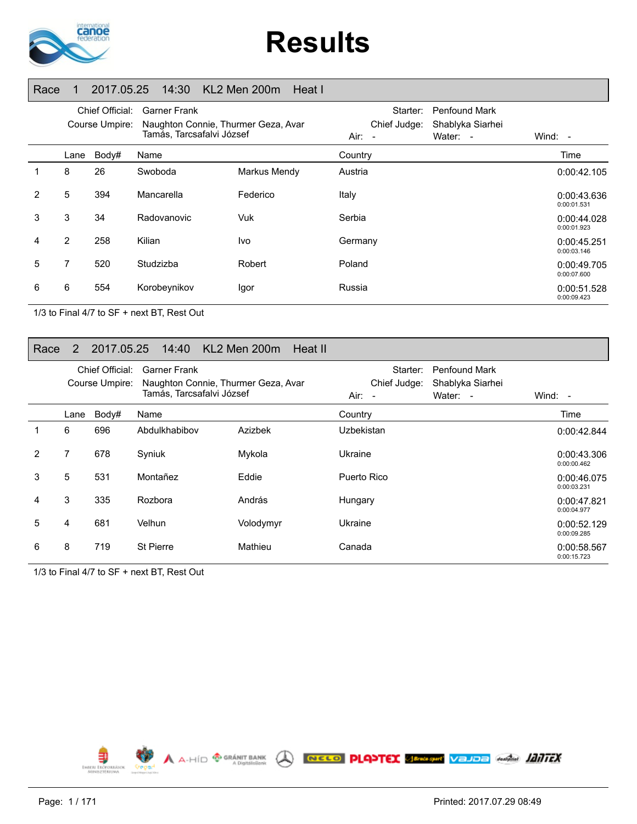

# **Results**

#### Race 1 2017.05.25 14:30 KL2 Men 200m Heat I

|                | Chief Official:<br>Course Umpire: |       | <b>Garner Frank</b><br>Naughton Connie, Thurmer Geza, Avar<br>Tamás, Tarcsafalvi József |              | Air:    | Starter:<br>Chief Judge:<br>$\overline{\phantom{a}}$ | <b>Penfound Mark</b><br>Shablyka Siarhei<br>Water: - | Wind: $-$                  |
|----------------|-----------------------------------|-------|-----------------------------------------------------------------------------------------|--------------|---------|------------------------------------------------------|------------------------------------------------------|----------------------------|
|                | Lane                              | Body# | Name                                                                                    |              | Country |                                                      |                                                      | Time                       |
| $\mathbf 1$    | 8                                 | 26    | Swoboda                                                                                 | Markus Mendy | Austria |                                                      |                                                      | 0:00:42.105                |
| $\overline{2}$ | 5                                 | 394   | Mancarella                                                                              | Federico     | Italy   |                                                      |                                                      | 0:00:43.636<br>0:00:01.531 |
| 3              | 3                                 | 34    | Radovanovic                                                                             | Vuk          | Serbia  |                                                      |                                                      | 0:00:44.028<br>0:00:01.923 |
| 4              | 2                                 | 258   | Kilian                                                                                  | Ivo          | Germany |                                                      |                                                      | 0:00:45.251<br>0:00:03.146 |
| 5              | 7                                 | 520   | Studzizba                                                                               | Robert       | Poland  |                                                      |                                                      | 0:00:49.705<br>0:00:07.600 |
| 6              | 6                                 | 554   | Korobeynikov                                                                            | Igor         | Russia  |                                                      |                                                      | 0:00:51.528<br>0:00:09.423 |

1/3 to Final 4/7 to SF + next BT, Rest Out

#### Race 2 2017.05.25 14:40 KL2 Men 200m Heat II

|   | Chief Official:<br>Course Umpire: |       | <b>Garner Frank</b><br>Naughton Connie, Thurmer Geza, Avar<br>Tamás, Tarcsafalvi József |           | Starter:<br>Chief Judge:<br>Air:<br>$\sim$ | <b>Penfound Mark</b><br>Shablyka Siarhei<br>Water: - | Wind: $-$                  |
|---|-----------------------------------|-------|-----------------------------------------------------------------------------------------|-----------|--------------------------------------------|------------------------------------------------------|----------------------------|
|   | Lane                              | Body# | Name                                                                                    |           | Country                                    |                                                      | Time                       |
|   | 6                                 | 696   | Abdulkhabibov                                                                           | Azizbek   | Uzbekistan                                 |                                                      | 0:00:42.844                |
| 2 | 7                                 | 678   | Syniuk                                                                                  | Mykola    | Ukraine                                    |                                                      | 0:00:43.306<br>0:00:00.462 |
| 3 | 5                                 | 531   | Montañez                                                                                | Eddie     | Puerto Rico                                |                                                      | 0:00:46.075<br>0:00:03.231 |
| 4 | 3                                 | 335   | Rozbora                                                                                 | András    | Hungary                                    |                                                      | 0:00:47.821<br>0:00:04.977 |
| 5 | 4                                 | 681   | Velhun                                                                                  | Volodymyr | Ukraine                                    |                                                      | 0:00:52.129<br>0:00:09.285 |
| 6 | 8                                 | 719   | <b>St Pierre</b>                                                                        | Mathieu   | Canada                                     |                                                      | 0:00:58.567<br>0:00:15.723 |

1/3 to Final 4/7 to SF + next BT, Rest Out

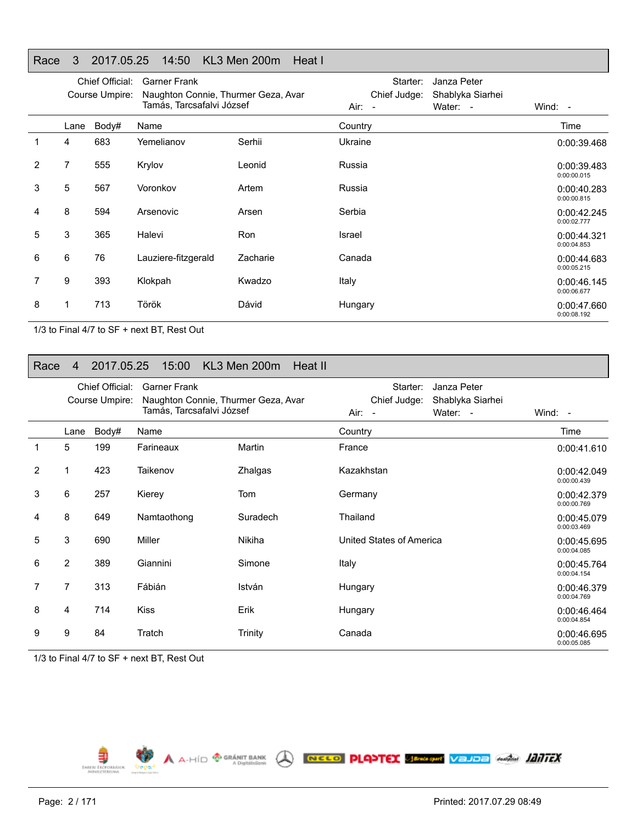#### Race 3 2017.05.25 14:50 KL3 Men 200m Heat I

|                |      | Chief Official:<br>Course Umpire: | <b>Garner Frank</b><br>Naughton Connie, Thurmer Geza, Avar<br>Tamás, Tarcsafalvi József |          | Starter:<br>Chief Judge:<br>Air: - | Janza Peter<br>Shablyka Siarhei<br>Water: - | Wind: -                    |
|----------------|------|-----------------------------------|-----------------------------------------------------------------------------------------|----------|------------------------------------|---------------------------------------------|----------------------------|
|                | Lane | Body#                             | Name                                                                                    |          | Country                            |                                             | Time                       |
| 1              | 4    | 683                               | Yemelianov                                                                              | Serhii   | Ukraine                            |                                             | 0:00:39.468                |
| $\overline{2}$ | 7    | 555                               | Krylov                                                                                  | Leonid   | Russia                             |                                             | 0:00:39.483<br>0:00:00.015 |
| 3              | 5    | 567                               | Voronkov                                                                                | Artem    | Russia                             |                                             | 0:00:40.283<br>0:00:00.815 |
| 4              | 8    | 594                               | Arsenovic                                                                               | Arsen    | Serbia                             |                                             | 0:00:42.245<br>0:00:02.777 |
| 5              | 3    | 365                               | Halevi                                                                                  | Ron      | Israel                             |                                             | 0:00:44.321<br>0:00:04.853 |
| 6              | 6    | 76                                | Lauziere-fitzgerald                                                                     | Zacharie | Canada                             |                                             | 0:00:44.683<br>0:00:05.215 |
| 7              | 9    | 393                               | Klokpah                                                                                 | Kwadzo   | Italy                              |                                             | 0:00:46.145<br>0:00:06.677 |
| 8              | 1    | 713                               | Török                                                                                   | Dávid    | Hungary                            |                                             | 0:00:47.660<br>0:00:08.192 |

1/3 to Final 4/7 to SF + next BT, Rest Out

#### Race 4 2017.05.25 15:00 KL3 Men 200m Heat II

|                |                | Chief Official:<br>Course Umpire: | <b>Garner Frank</b><br>Naughton Connie, Thurmer Geza, Avar |          | Starter:<br>Janza Peter<br>Chief Judge:<br>Shablyka Siarhei |                            |
|----------------|----------------|-----------------------------------|------------------------------------------------------------|----------|-------------------------------------------------------------|----------------------------|
|                |                |                                   | Tamás, Tarcsafalvi József                                  |          | Air:<br>Water: -<br>$\sim$                                  | Wind: -                    |
|                | Lane           | Body#                             | Name                                                       |          | Country                                                     | Time                       |
|                | 5              | 199                               | Farineaux                                                  | Martin   | France                                                      | 0:00:41.610                |
| $\overline{2}$ | 1              | 423                               | Taikenov                                                   | Zhalgas  | Kazakhstan                                                  | 0:00:42.049<br>0:00:00.439 |
| 3              | 6              | 257                               | Kierey                                                     | Tom      | Germany                                                     | 0:00:42.379<br>0:00:00.769 |
| 4              | 8              | 649                               | Namtaothong                                                | Suradech | Thailand                                                    | 0:00:45.079<br>0:00:03.469 |
| 5              | 3              | 690                               | Miller                                                     | Nikiha   | United States of America                                    | 0:00:45.695<br>0:00:04.085 |
| 6              | $\overline{2}$ | 389                               | Giannini                                                   | Simone   | Italy                                                       | 0:00:45.764<br>0:00:04.154 |
| 7              | 7              | 313                               | Fábián                                                     | István   | Hungary                                                     | 0:00:46.379<br>0:00:04.769 |
| 8              | 4              | 714                               | <b>Kiss</b>                                                | Erik     | Hungary                                                     | 0:00:46.464<br>0:00:04.854 |
| 9              | 9              | 84                                | Tratch                                                     | Trinity  | Canada                                                      | 0:00:46.695<br>0:00:05.085 |

1/3 to Final 4/7 to SF + next BT, Rest Out

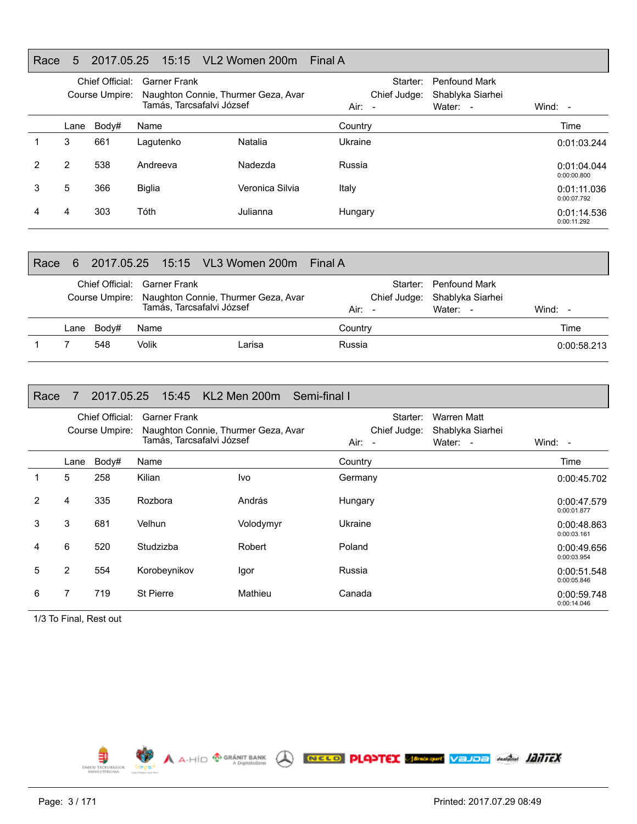#### Race 5 2017.05.25 15:15 VL2 Women 200m Final A

|   |      | Chief Official:<br>Garner Frank<br>Naughton Connie, Thurmer Geza, Avar<br>Course Umpire:<br>Tamás, Tarcsafalvi József |               |                 | Starter:<br><b>Penfound Mark</b><br>Chief Judge:<br>Shablyka Siarhei<br>$Air: -$<br>Water: - |  | Wind: $-$                  |
|---|------|-----------------------------------------------------------------------------------------------------------------------|---------------|-----------------|----------------------------------------------------------------------------------------------|--|----------------------------|
|   | Lane | Body#                                                                                                                 | Name          |                 | Country                                                                                      |  | Time                       |
|   | 3    | 661                                                                                                                   | Lagutenko     | Natalia         | Ukraine                                                                                      |  | 0:01:03.244                |
|   | 2    | 538                                                                                                                   | Andreeva      | Nadezda         | Russia                                                                                       |  | 0:01:04.044<br>0:00:00.800 |
| 3 | 5    | 366                                                                                                                   | <b>Biglia</b> | Veronica Silvia | Italy                                                                                        |  | 0:01:11.036<br>0:00:07.792 |
|   | 4    | 303                                                                                                                   | Tóth          | Julianna        | Hungary                                                                                      |  | 0:01:14.536<br>0:00:11.292 |

| Race | 6    |       |                                                           |                                                    | Final A |                                                                   |             |
|------|------|-------|-----------------------------------------------------------|----------------------------------------------------|---------|-------------------------------------------------------------------|-------------|
|      |      |       | Chief Official: Garner Frank<br>Tamás, Tarcsafalvi József | Course Umpire: Naughton Connie, Thurmer Geza, Avar | Air: -  | Starter: Penfound Mark<br>Chief Judge: Shablyka Siarhei<br>Water: | Wind: $-$   |
|      | Lane | Bodv# | Name                                                      |                                                    | Country |                                                                   | Time        |
|      |      | 548   | Volik                                                     | Larisa                                             | Russia  |                                                                   | 0:00:58.213 |

| Race           | 7              | 2017.05.25                        | 15:45 KL2 Men 200m                                                                      |           | Semi-final I                               |                                             |                            |
|----------------|----------------|-----------------------------------|-----------------------------------------------------------------------------------------|-----------|--------------------------------------------|---------------------------------------------|----------------------------|
|                |                | Chief Official:<br>Course Umpire: | <b>Garner Frank</b><br>Naughton Connie, Thurmer Geza, Avar<br>Tamás, Tarcsafalvi József |           | Starter:<br>Chief Judge:<br>Air:<br>$\sim$ | Warren Matt<br>Shablyka Siarhei<br>Water: - | Wind: $-$                  |
|                | Lane           | Body#                             | Name                                                                                    |           | Country                                    |                                             | Time                       |
| 1              | 5              | 258                               | Kilian                                                                                  | Ivo       | Germany                                    |                                             | 0:00:45.702                |
| $\overline{2}$ | 4              | 335                               | Rozbora                                                                                 | András    | Hungary                                    |                                             | 0:00:47.579<br>0:00:01.877 |
| 3              | 3              | 681                               | Velhun                                                                                  | Volodymyr | Ukraine                                    |                                             | 0:00:48.863<br>0:00:03.161 |
| 4              | 6              | 520                               | Studzizba                                                                               | Robert    | Poland                                     |                                             | 0:00:49.656<br>0:00:03.954 |
| 5              | $\overline{2}$ | 554                               | Korobeynikov                                                                            | Igor      | Russia                                     |                                             | 0:00:51.548<br>0:00:05.846 |
| 6              | 7              | 719                               | <b>St Pierre</b>                                                                        | Mathieu   | Canada                                     |                                             | 0:00:59.748<br>0:00:14.046 |

1/3 To Final, Rest out

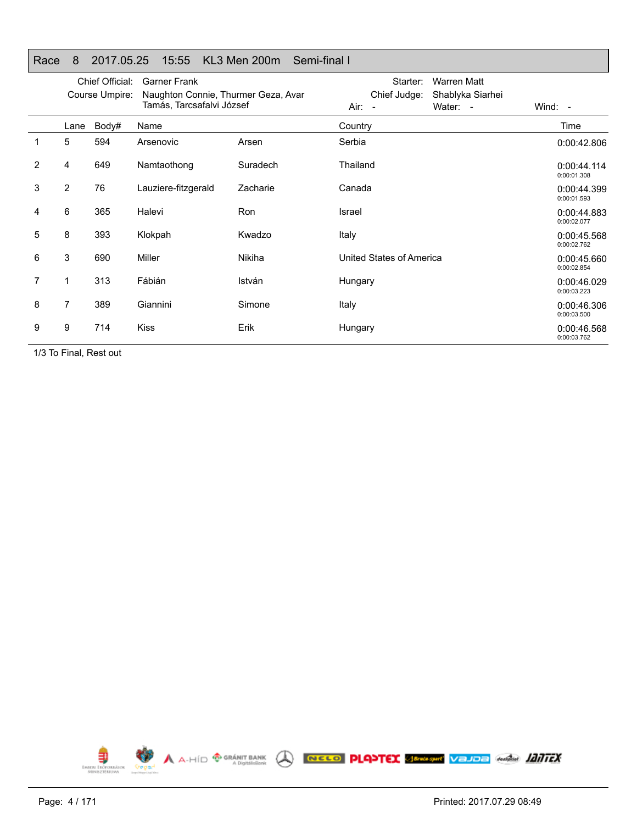| Race | 8              | 2017.05.25                        | 15:55                                                                                   | KL3 Men 200m<br>Semi-final I |                                    |                                                    |                            |
|------|----------------|-----------------------------------|-----------------------------------------------------------------------------------------|------------------------------|------------------------------------|----------------------------------------------------|----------------------------|
|      |                | Chief Official:<br>Course Umpire: | <b>Garner Frank</b><br>Naughton Connie, Thurmer Geza, Avar<br>Tamás, Tarcsafalvi József |                              | Starter:<br>Chief Judge:<br>Air: - | <b>Warren Matt</b><br>Shablyka Siarhei<br>Water: - | Wind: $-$                  |
|      | Lane           | Body#                             | Name                                                                                    |                              | Country                            |                                                    | Time                       |
| 1    | 5              | 594                               | Arsenovic                                                                               | Arsen                        | Serbia                             |                                                    | 0:00:42.806                |
| 2    | 4              | 649                               | Namtaothong                                                                             | Suradech                     | Thailand                           |                                                    | 0:00:44.114<br>0:00:01.308 |
| 3    | $\overline{2}$ | 76                                | Lauziere-fitzgerald                                                                     | Zacharie                     | Canada                             |                                                    | 0:00:44.399<br>0:00:01.593 |
| 4    | 6              | 365                               | Halevi                                                                                  | Ron                          | Israel                             |                                                    | 0:00:44.883<br>0:00:02.077 |
| 5    | 8              | 393                               | Klokpah                                                                                 | Kwadzo                       | Italy                              |                                                    | 0:00:45.568<br>0:00:02.762 |
| 6    | 3              | 690                               | Miller                                                                                  | <b>Nikiha</b>                | United States of America           |                                                    | 0:00:45.660<br>0:00:02.854 |
| 7    |                | 313                               | Fábián                                                                                  | István                       | Hungary                            |                                                    | 0:00:46.029<br>0:00:03.223 |
| 8    | 7              | 389                               | Giannini                                                                                | Simone                       | Italy                              |                                                    | 0:00:46.306<br>0:00:03.500 |
| 9    | 9              | 714                               | <b>Kiss</b>                                                                             | Erik                         | Hungary                            |                                                    | 0:00:46.568<br>0:00:03.762 |

Race 8 2017.05.25 15:55 KL3 Men 200m Semi-final I

1/3 To Final, Rest out



E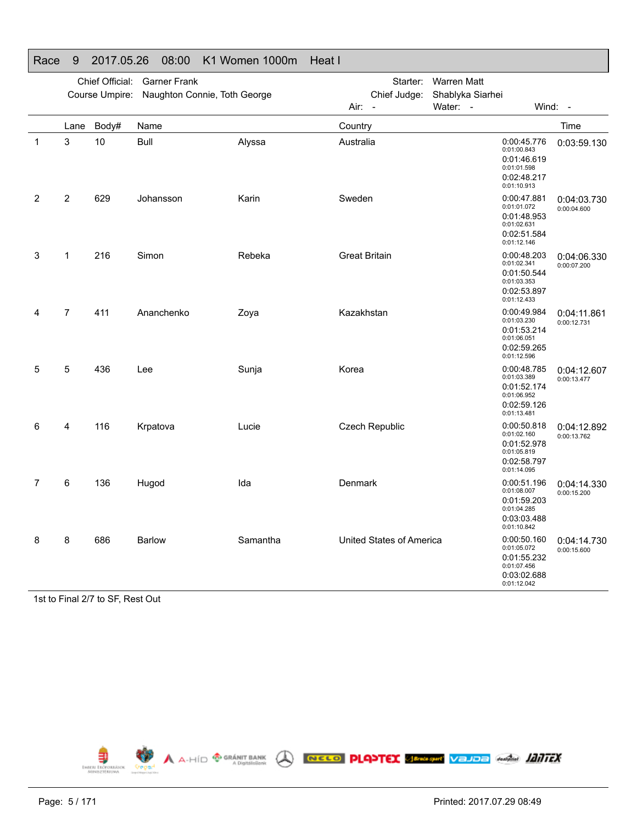|   |                | Chief Official: | <b>Garner Frank</b>          |          | Starter:                 | <b>Warren Matt</b> |                                                                                        |                            |
|---|----------------|-----------------|------------------------------|----------|--------------------------|--------------------|----------------------------------------------------------------------------------------|----------------------------|
|   |                | Course Umpire:  | Naughton Connie, Toth George |          | Chief Judge:             | Shablyka Siarhei   |                                                                                        |                            |
|   |                |                 |                              |          | Air:<br>$\overline{a}$   | Water: -           | Wind: -                                                                                |                            |
|   | Lane           | Body#           | Name                         |          | Country                  |                    |                                                                                        | Time                       |
| 1 | 3              | 10              | <b>Bull</b>                  | Alyssa   | Australia                |                    | 0:00:45.776<br>0:01:00.843<br>0:01:46.619<br>0:01:01.598<br>0:02:48.217<br>0:01:10.913 | 0:03:59.130                |
| 2 | 2              | 629             | Johansson                    | Karin    | Sweden                   |                    | 0:00:47.881<br>0:01:01.072<br>0:01:48.953<br>0:01:02.631<br>0:02:51.584<br>0:01:12.146 | 0:04:03.730<br>0:00:04.600 |
| 3 | 1              | 216             | Simon                        | Rebeka   | <b>Great Britain</b>     |                    | 0:00:48.203<br>0:01:02.341<br>0:01:50.544<br>0:01:03.353<br>0:02:53.897<br>0:01:12.433 | 0:04:06.330<br>0:00:07.200 |
| 4 | $\overline{7}$ | 411             | Ananchenko                   | Zoya     | Kazakhstan               |                    | 0:00:49.984<br>0:01:03.230<br>0:01:53.214<br>0:01:06.051<br>0:02:59.265<br>0:01:12.596 | 0:04:11.861<br>0:00:12.731 |
| 5 | 5              | 436             | Lee                          | Sunja    | Korea                    |                    | 0:00:48.785<br>0:01:03.389<br>0:01:52.174<br>0:01:06.952<br>0:02:59.126<br>0:01:13.481 | 0:04:12.607<br>0:00:13.477 |
| 6 | 4              | 116             | Krpatova                     | Lucie    | <b>Czech Republic</b>    |                    | 0:00:50.818<br>0:01:02.160<br>0:01:52.978<br>0:01:05.819<br>0:02:58.797<br>0:01:14.095 | 0:04:12.892<br>0:00:13.762 |
| 7 | 6              | 136             | Hugod                        | Ida      | Denmark                  |                    | 0:00:51.196<br>0:01:08.007<br>0:01:59.203<br>0:01:04.285<br>0:03:03.488<br>0:01:10.842 | 0:04:14.330<br>0:00:15.200 |
| 8 | 8              | 686             | <b>Barlow</b>                | Samantha | United States of America |                    | 0:00:50.160<br>0:01:05.072<br>0:01:55.232<br>0:01:07.456<br>0:03:02.688<br>0:01:12.042 | 0:04:14.730<br>0:00:15.600 |

#### Race 9 2017.05.26 08:00 K1 Women 1000m Heat I

1st to Final 2/7 to SF, Rest Out

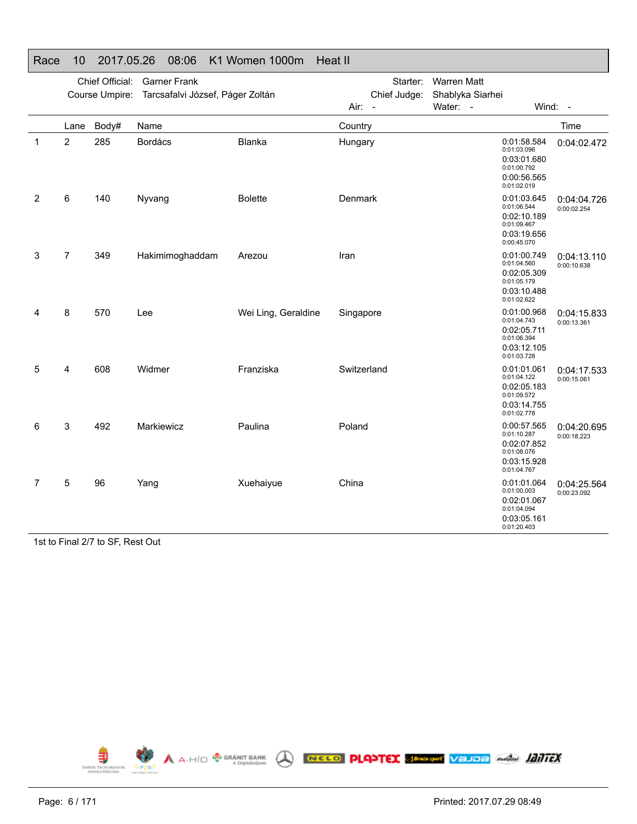|   |                | Chief Official: | <b>Garner Frank</b><br>Course Umpire: Tarcsafalvi József, Páger Zoltán |                     | Starter:<br>Chief Judge: | <b>Warren Matt</b><br>Shablyka Siarhei |                                                                                        |                            |
|---|----------------|-----------------|------------------------------------------------------------------------|---------------------|--------------------------|----------------------------------------|----------------------------------------------------------------------------------------|----------------------------|
|   |                |                 |                                                                        |                     | Air: -                   | Water: -                               |                                                                                        | Wind: $-$                  |
|   | Lane           | Body#           | Name                                                                   |                     | Country                  |                                        |                                                                                        | Time                       |
| 1 | 2              | 285             | <b>Bordács</b>                                                         | Blanka              | Hungary                  |                                        | 0:01:58.584<br>0:01:03.096<br>0:03:01.680<br>0:01:00.792<br>0:00:56.565<br>0:01:02.019 | 0:04:02.472                |
| 2 | 6              | 140             | Nyvang                                                                 | <b>Bolette</b>      | Denmark                  |                                        | 0:01:03.645<br>0:01:06.544<br>0:02:10.189<br>0:01:09.467<br>0:03:19.656<br>0:00:45.070 | 0:04:04.726<br>0:00:02.254 |
| 3 | $\overline{7}$ | 349             | Hakimimoghaddam                                                        | Arezou              | Iran                     |                                        | 0:01:00.749<br>0:01:04.560<br>0:02:05.309<br>0:01:05.179<br>0:03:10.488<br>0:01:02.622 | 0:04:13.110<br>0:00:10.638 |
| 4 | 8              | 570             | Lee                                                                    | Wei Ling, Geraldine | Singapore                |                                        | 0:01:00.968<br>0:01:04.743<br>0:02:05.711<br>0:01:06.394<br>0:03:12.105<br>0:01:03.728 | 0:04:15.833<br>0:00:13.361 |
| 5 | 4              | 608             | Widmer                                                                 | Franziska           | Switzerland              |                                        | 0:01:01.061<br>0:01:04.122<br>0:02:05.183<br>0:01:09.572<br>0:03:14.755<br>0:01:02.778 | 0:04:17.533<br>0:00:15.061 |
| 6 | 3              | 492             | Markiewicz                                                             | Paulina             | Poland                   |                                        | 0:00:57.565<br>0:01:10.287<br>0:02:07.852<br>0:01:08.076<br>0:03:15.928<br>0:01:04.767 | 0:04:20.695<br>0:00:18.223 |
| 7 | 5              | 96              | Yang                                                                   | Xuehaiyue           | China                    |                                        | 0:01:01.064<br>0:01:00.003<br>0:02:01.067<br>0:01:04.094<br>0:03:05.161<br>0:01:20.403 | 0:04:25.564<br>0:00:23.092 |

#### Race 10 2017.05.26 08:06 K1 Women 1000m Heat II

1st to Final 2/7 to SF, Rest Out

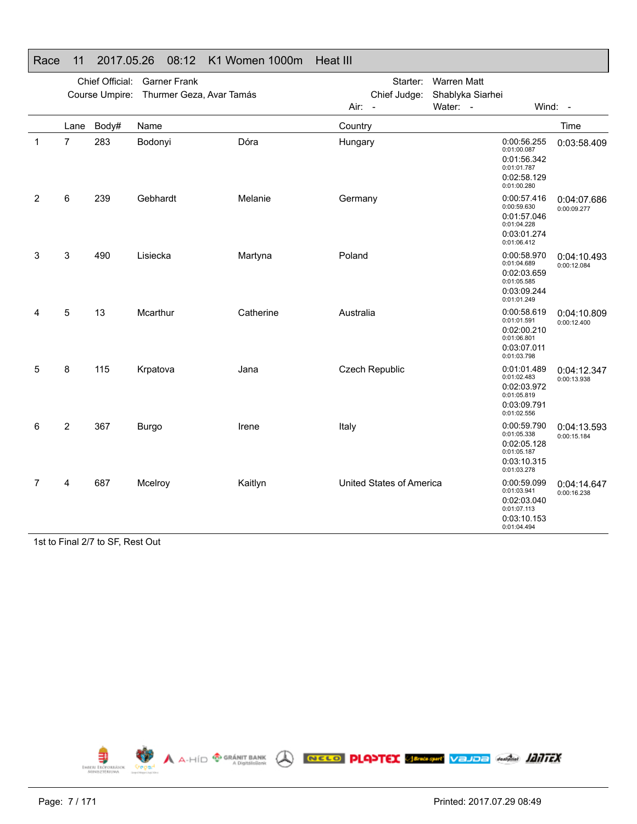|   |                | Chief Official: | <b>Garner Frank</b>      |           | Starter:                 | <b>Warren Matt</b>           |                                                                                        |                            |
|---|----------------|-----------------|--------------------------|-----------|--------------------------|------------------------------|----------------------------------------------------------------------------------------|----------------------------|
|   |                | Course Umpire:  | Thurmer Geza, Avar Tamás |           | Chief Judge:<br>Air:     | Shablyka Siarhei<br>Water: - |                                                                                        | Wind: -                    |
|   |                |                 |                          |           | $\sim$                   |                              |                                                                                        |                            |
|   | Lane           | Body#           | Name                     |           | Country                  |                              |                                                                                        | Time                       |
| 1 | $\overline{7}$ | 283             | Bodonyi                  | Dóra      | Hungary                  |                              | 0:00:56.255<br>0:01:00.087<br>0:01:56.342<br>0:01:01.787<br>0:02:58.129<br>0:01:00.280 | 0:03:58.409                |
| 2 | 6              | 239             | Gebhardt                 | Melanie   | Germany                  |                              | 0:00:57.416<br>0:00:59.630<br>0:01:57.046<br>0:01:04.228<br>0:03:01.274<br>0:01:06.412 | 0:04:07.686<br>0:00:09.277 |
| 3 | 3              | 490             | Lisiecka                 | Martyna   | Poland                   |                              | 0:00:58.970<br>0:01:04.689<br>0:02:03.659<br>0:01:05.585<br>0:03:09.244<br>0:01:01.249 | 0:04:10.493<br>0:00:12.084 |
| 4 | 5              | 13              | Mcarthur                 | Catherine | Australia                |                              | 0:00:58.619<br>0:01:01.591<br>0:02:00.210<br>0:01:06.801<br>0:03:07.011<br>0:01:03.798 | 0:04:10.809<br>0:00:12.400 |
| 5 | 8              | 115             | Krpatova                 | Jana      | Czech Republic           |                              | 0:01:01.489<br>0:01:02.483<br>0:02:03.972<br>0:01:05.819<br>0:03:09.791<br>0:01:02.556 | 0:04:12.347<br>0:00:13.938 |
| 6 | 2              | 367             | <b>Burgo</b>             | Irene     | Italy                    |                              | 0:00:59.790<br>0:01:05.338<br>0:02:05.128<br>0:01:05.187<br>0:03:10.315<br>0:01:03.278 | 0:04:13.593<br>0:00:15.184 |
| 7 | 4              | 687             | Mcelroy                  | Kaitlyn   | United States of America |                              | 0:00:59.099<br>0:01:03.941<br>0:02:03.040<br>0:01:07.113<br>0:03:10.153<br>0:01:04.494 | 0:04:14.647<br>0:00:16.238 |

#### Race 11 2017.05.26 08:12 K1 Women 1000m Heat III

1st to Final 2/7 to SF, Rest Out

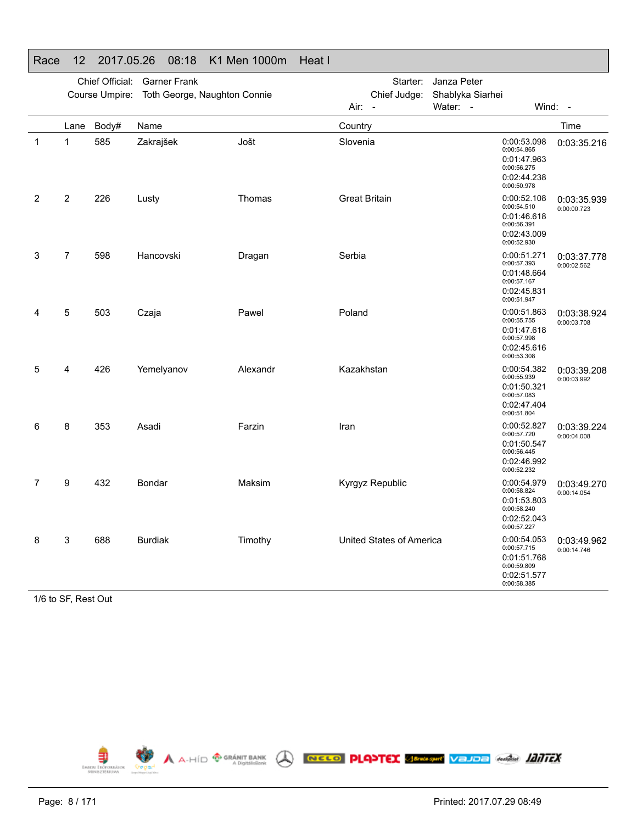|   |                | Chief Official: | <b>Garner Frank</b>          |          | Starter:                 | Janza Peter                                                                            |                            |
|---|----------------|-----------------|------------------------------|----------|--------------------------|----------------------------------------------------------------------------------------|----------------------------|
|   |                | Course Umpire:  | Toth George, Naughton Connie |          | Chief Judge:             | Shablyka Siarhei                                                                       |                            |
|   |                |                 |                              |          | Air: -                   | Water: -                                                                               | Wind: -                    |
|   | Lane           | Body#           | Name                         |          | Country                  |                                                                                        | Time                       |
| 1 | 1              | 585             | Zakrajšek                    | Jošt     | Slovenia                 | 0:00:53.098<br>0:00:54.865<br>0:01:47.963<br>0:00:56.275<br>0:02:44.238<br>0:00:50.978 | 0:03:35.216                |
| 2 | 2              | 226             | Lusty                        | Thomas   | <b>Great Britain</b>     | 0:00:52.108<br>0:00:54.510<br>0:01:46.618<br>0:00:56.391<br>0:02:43.009<br>0:00:52.930 | 0:03:35.939<br>0:00:00.723 |
| 3 | $\overline{7}$ | 598             | Hancovski                    | Dragan   | Serbia                   | 0:00:51.271<br>0:00:57.393<br>0:01:48.664<br>0:00:57.167<br>0:02:45.831<br>0:00:51.947 | 0:03:37.778<br>0:00:02.562 |
| 4 | 5              | 503             | Czaja                        | Pawel    | Poland                   | 0:00:51.863<br>0:00:55.755<br>0:01:47.618<br>0:00:57.998<br>0:02:45.616<br>0:00:53.308 | 0:03:38.924<br>0:00:03.708 |
| 5 | 4              | 426             | Yemelyanov                   | Alexandr | Kazakhstan               | 0:00:54.382<br>0:00:55.939<br>0:01:50.321<br>0:00:57.083<br>0:02:47.404<br>0:00:51.804 | 0:03:39.208<br>0:00:03.992 |
| 6 | 8              | 353             | Asadi                        | Farzin   | Iran                     | 0:00:52.827<br>0:00:57.720<br>0:01:50.547<br>0:00:56.445<br>0:02:46.992<br>0:00:52.232 | 0:03:39.224<br>0:00:04.008 |
| 7 | 9              | 432             | Bondar                       | Maksim   | Kyrgyz Republic          | 0:00:54.979<br>0:00:58.824<br>0:01:53.803<br>0:00:58.240<br>0:02:52.043<br>0:00:57.227 | 0:03:49.270<br>0:00:14.054 |
| 8 | 3              | 688             | <b>Burdiak</b>               | Timothy  | United States of America | 0:00:54.053<br>0:00:57.715<br>0:01:51.768<br>0:00:59.809<br>0:02:51.577<br>0:00:58.385 | 0:03:49.962<br>0:00:14.746 |

### Race 12 2017.05.26 08:18 K1 Men 1000m Heat I

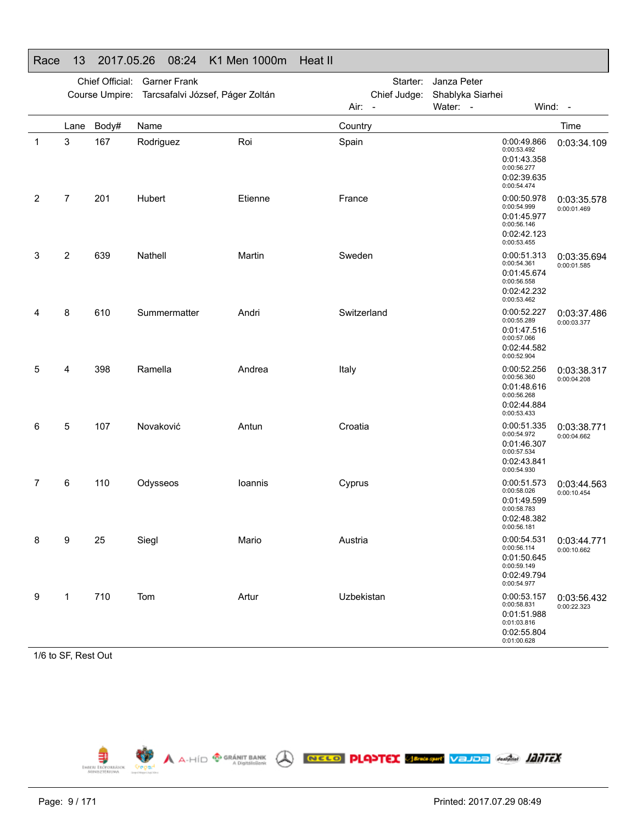|              |                | Chief Official: | <b>Garner Frank</b><br>Course Umpire: Tarcsafalvi József, Páger Zoltán |         | Starter:<br>Chief Judge: | Janza Peter<br>Shablyka Siarhei                                                        |                            |
|--------------|----------------|-----------------|------------------------------------------------------------------------|---------|--------------------------|----------------------------------------------------------------------------------------|----------------------------|
|              |                |                 |                                                                        |         | Air: -                   | Water: -                                                                               | Wind: -                    |
|              | Lane           | Body#           | Name                                                                   |         | Country                  |                                                                                        | Time                       |
| $\mathbf{1}$ | 3              | 167             | Rodriguez                                                              | Roi     | Spain                    | 0:00:49.866<br>0:00:53.492<br>0:01:43.358<br>0:00:56.277<br>0:02:39.635<br>0:00:54.474 | 0:03:34.109                |
| 2            | 7              | 201             | Hubert                                                                 | Etienne | France                   | 0:00:50.978<br>0:00:54.999<br>0:01:45.977<br>0:00:56.146<br>0:02:42.123<br>0:00:53.455 | 0:03:35.578<br>0:00:01.469 |
| 3            | $\overline{2}$ | 639             | Nathell                                                                | Martin  | Sweden                   | 0:00:51.313<br>0:00:54.361<br>0:01:45.674<br>0:00:56.558<br>0:02:42.232<br>0:00:53.462 | 0:03:35.694<br>0:00:01.585 |
| 4            | 8              | 610             | Summermatter                                                           | Andri   | Switzerland              | 0:00:52.227<br>0:00:55.289<br>0:01:47.516<br>0:00:57.066<br>0:02:44.582<br>0:00:52.904 | 0:03:37.486<br>0:00:03.377 |
| 5            | 4              | 398             | Ramella                                                                | Andrea  | Italy                    | 0:00:52.256<br>0:00:56.360<br>0:01:48.616<br>0:00:56.268<br>0:02:44.884<br>0:00:53.433 | 0:03:38.317<br>0:00:04.208 |
| 6            | 5              | 107             | Novaković                                                              | Antun   | Croatia                  | 0:00:51.335<br>0:00:54.972<br>0:01:46.307<br>0:00:57.534<br>0:02:43.841<br>0:00:54.930 | 0:03:38.771<br>0:00:04.662 |
| 7            | 6              | 110             | Odysseos                                                               | loannis | Cyprus                   | 0:00:51.573<br>0:00:58.026<br>0:01:49.599<br>0:00:58.783<br>0:02:48.382<br>0:00:56.181 | 0:03:44.563<br>0:00:10.454 |
| 8            | 9              | 25              | Siegl                                                                  | Mario   | Austria                  | 0:00:54.531<br>0:00:56.114<br>0:01:50.645<br>0:00:59.149<br>0:02:49.794<br>0:00:54.977 | 0:03:44.771<br>0:00:10.662 |
| 9            | 1              | 710             | Tom                                                                    | Artur   | Uzbekistan               | 0:00:53.157<br>0:00:58.831<br>0:01:51.988<br>0:01:03.816<br>0:02:55.804<br>0:01:00.628 | 0:03:56.432<br>0:00:22.323 |

#### Race 13 2017.05.26 08:24 K1 Men 1000m Heat II

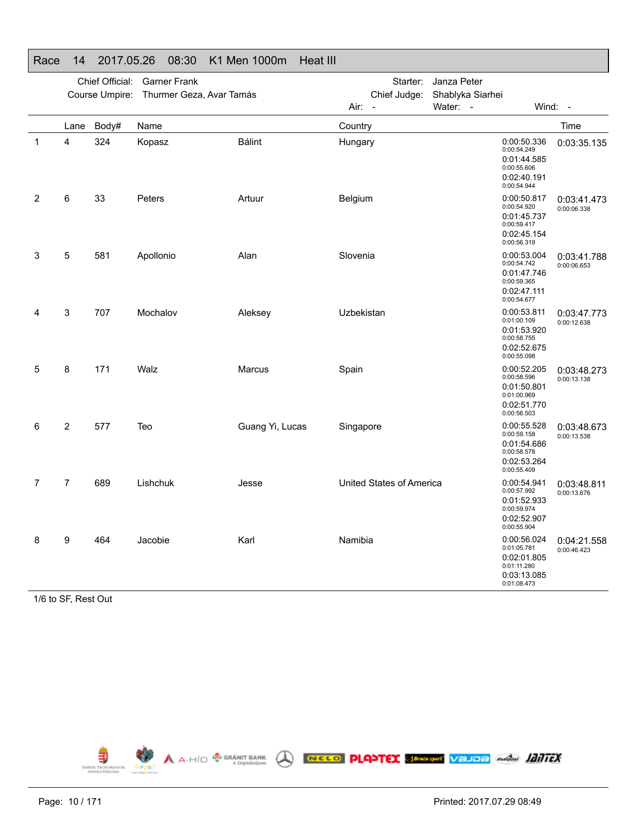|   |           | Chief Official:<br>Course Umpire: | <b>Garner Frank</b><br>Thurmer Geza, Avar Tamás |                 | Starter:<br>Chief Judge: | Janza Peter<br>Shablyka Siarhei |                                                                                        |                            |
|---|-----------|-----------------------------------|-------------------------------------------------|-----------------|--------------------------|---------------------------------|----------------------------------------------------------------------------------------|----------------------------|
|   |           |                                   |                                                 |                 | Air: -                   | Water: -                        |                                                                                        | Wind: -                    |
| 1 | Lane<br>4 | Body#<br>324                      | Name<br>Kopasz                                  | <b>Bálint</b>   | Country<br>Hungary       |                                 | 0:00:50.336<br>0:00:54.249<br>0:01:44.585<br>0:00:55.606<br>0:02:40.191<br>0:00:54.944 | Time<br>0:03:35.135        |
| 2 | 6         | 33                                | Peters                                          | Artuur          | Belgium                  |                                 | 0:00:50.817<br>0:00:54.920<br>0:01:45.737<br>0:00:59.417<br>0:02:45.154<br>0:00:56.319 | 0:03:41.473<br>0:00:06.338 |
| 3 | 5         | 581                               | Apollonio                                       | Alan            | Slovenia                 |                                 | 0:00:53.004<br>0:00:54.742<br>0:01:47.746<br>0:00:59.365<br>0:02:47.111<br>0:00:54.677 | 0:03:41.788<br>0:00:06.653 |
| 4 | 3         | 707                               | Mochalov                                        | Aleksey         | Uzbekistan               |                                 | 0:00:53.811<br>0:01:00.109<br>0:01:53.920<br>0:00:58.755<br>0:02:52.675<br>0:00:55.098 | 0:03:47.773<br>0:00:12.638 |
| 5 | 8         | 171                               | Walz                                            | <b>Marcus</b>   | Spain                    |                                 | 0:00:52.205<br>0:00:58.596<br>0:01:50.801<br>0:01:00.969<br>0:02:51.770<br>0:00:56.503 | 0:03:48.273<br>0:00:13.138 |
| 6 | 2         | 577                               | Teo                                             | Guang Yi, Lucas | Singapore                |                                 | 0:00:55.528<br>0:00:59.158<br>0:01:54.686<br>0:00:58.578<br>0:02:53.264<br>0:00:55.409 | 0:03:48.673<br>0:00:13.538 |
| 7 | 7         | 689                               | Lishchuk                                        | Jesse           | United States of America |                                 | 0:00:54.941<br>0:00:57.992<br>0:01:52.933<br>0:00:59.974<br>0:02:52.907<br>0:00:55.904 | 0:03:48.811<br>0:00:13.676 |
| 8 | 9         | 464                               | Jacobie                                         | Karl            | Namibia                  |                                 | 0:00:56.024<br>0:01:05.781<br>0:02:01.805<br>0:01:11.280<br>0:03:13.085<br>0:01:08.473 | 0:04:21.558<br>0:00:46.423 |

#### Race 14 2017.05.26 08:30 K1 Men 1000m Heat III

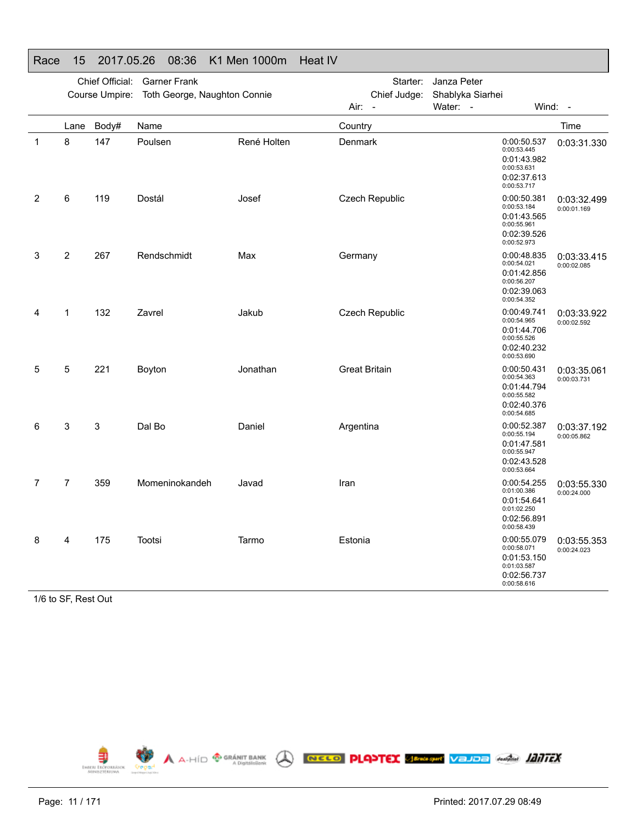|   |           | Chief Official: | <b>Garner Frank</b>          |             |                       | Starter:     | Janza Peter                              |                                                                                        |                            |
|---|-----------|-----------------|------------------------------|-------------|-----------------------|--------------|------------------------------------------|----------------------------------------------------------------------------------------|----------------------------|
|   |           | Course Umpire:  | Toth George, Naughton Connie |             | Air: -                | Chief Judge: | Shablyka Siarhei<br>Water:<br>$\sim$ $-$ | Wind: -                                                                                |                            |
|   |           |                 | Name                         |             |                       |              |                                          |                                                                                        | Time                       |
| 1 | Lane<br>8 | Body#<br>147    | Poulsen                      | René Holten | Country<br>Denmark    |              |                                          | 0:00:50.537<br>0:00:53.445<br>0:01:43.982<br>0:00:53.631<br>0:02:37.613<br>0:00:53.717 | 0:03:31.330                |
| 2 | 6         | 119             | Dostál                       | Josef       | Czech Republic        |              |                                          | 0:00:50.381<br>0:00:53.184<br>0:01:43.565<br>0:00:55.961<br>0:02:39.526<br>0:00:52.973 | 0:03:32.499<br>0:00:01.169 |
| 3 | 2         | 267             | Rendschmidt                  | Max         | Germany               |              |                                          | 0:00:48.835<br>0:00:54.021<br>0:01:42.856<br>0:00:56.207<br>0:02:39.063<br>0:00:54.352 | 0:03:33.415<br>0:00:02.085 |
| 4 | 1         | 132             | Zavrel                       | Jakub       | <b>Czech Republic</b> |              |                                          | 0:00:49.741<br>0:00:54.965<br>0:01:44.706<br>0:00:55.526<br>0:02:40.232<br>0:00:53.690 | 0:03:33.922<br>0:00:02.592 |
| 5 | 5         | 221             | Boyton                       | Jonathan    | <b>Great Britain</b>  |              |                                          | 0:00:50.431<br>0:00:54.363<br>0:01:44.794<br>0:00:55.582<br>0:02:40.376<br>0:00:54.685 | 0:03:35.061<br>0:00:03.731 |
| 6 | 3         | 3               | Dal Bo                       | Daniel      | Argentina             |              |                                          | 0:00:52.387<br>0:00:55.194<br>0:01:47.581<br>0:00:55.947<br>0:02:43.528<br>0:00:53.664 | 0:03:37.192<br>0:00:05.862 |
| 7 | 7         | 359             | Momeninokandeh               | Javad       | Iran                  |              |                                          | 0:00:54.255<br>0:01:00.386<br>0:01:54.641<br>0:01:02.250<br>0:02:56.891<br>0:00:58.439 | 0:03:55.330<br>0:00:24.000 |
| 8 | 4         | 175             | Tootsi                       | Tarmo       | Estonia               |              |                                          | 0:00:55.079<br>0:00:58.071<br>0:01:53.150<br>0:01:03.587<br>0:02:56.737<br>0:00:58.616 | 0:03:55.353<br>0:00:24.023 |

#### Race 15 2017.05.26 08:36 K1 Men 1000m Heat IV

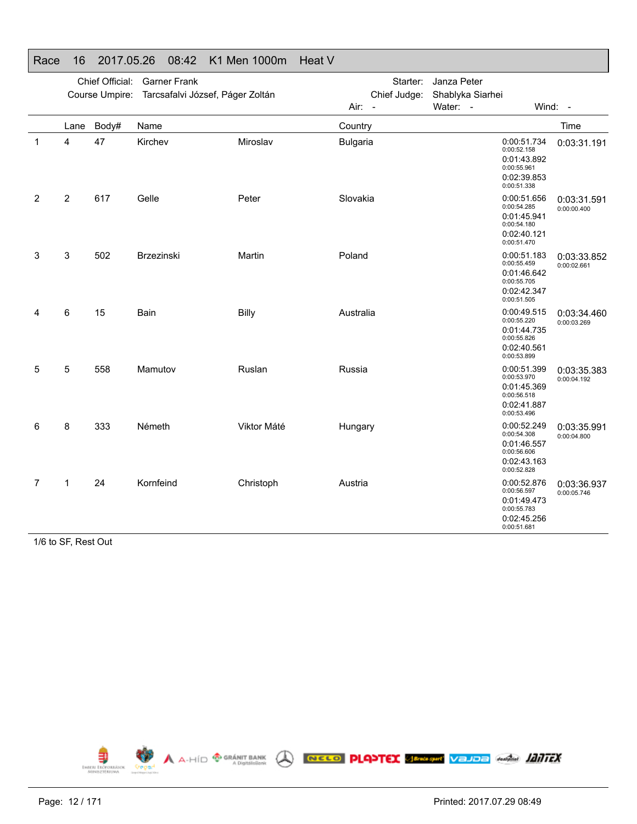|   |                | Chief Official: | <b>Garner Frank</b><br>Course Umpire: Tarcsafalvi József, Páger Zoltán |             |                 | Starter:<br>Chief Judge: | Janza Peter<br>Shablyka Siarhei |                                                                                        |                            |
|---|----------------|-----------------|------------------------------------------------------------------------|-------------|-----------------|--------------------------|---------------------------------|----------------------------------------------------------------------------------------|----------------------------|
|   |                |                 |                                                                        |             | Air: -          |                          | Water: -                        |                                                                                        | Wind: -                    |
|   | Lane           | Body#           | Name                                                                   |             | Country         |                          |                                 |                                                                                        | Time                       |
| 1 | 4              | 47              | Kirchev                                                                | Miroslav    | <b>Bulgaria</b> |                          |                                 | 0:00:51.734<br>0:00:52.158<br>0:01:43.892<br>0:00:55.961<br>0:02:39.853<br>0:00:51.338 | 0:03:31.191                |
| 2 | $\overline{2}$ | 617             | Gelle                                                                  | Peter       | Slovakia        |                          |                                 | 0:00:51.656<br>0:00:54.285<br>0:01:45.941<br>0:00:54.180<br>0:02:40.121<br>0:00:51.470 | 0:03:31.591<br>0:00:00.400 |
| 3 | 3              | 502             | Brzezinski                                                             | Martin      | Poland          |                          |                                 | 0:00:51.183<br>0:00:55.459<br>0:01:46.642<br>0:00:55.705<br>0:02:42.347<br>0:00:51.505 | 0:03:33.852<br>0:00:02.661 |
| 4 | 6              | 15              | Bain                                                                   | Billy       | Australia       |                          |                                 | 0:00:49.515<br>0:00:55.220<br>0:01:44.735<br>0:00:55.826<br>0:02:40.561<br>0:00:53.899 | 0:03:34.460<br>0:00:03.269 |
| 5 | 5              | 558             | Mamutov                                                                | Ruslan      | Russia          |                          |                                 | 0:00:51.399<br>0:00:53.970<br>0:01:45.369<br>0:00:56.518<br>0:02:41.887<br>0:00:53.496 | 0:03:35.383<br>0:00:04.192 |
| 6 | 8              | 333             | Németh                                                                 | Viktor Máté | Hungary         |                          |                                 | 0:00:52.249<br>0:00:54.308<br>0:01:46.557<br>0:00:56.606<br>0:02:43.163<br>0:00:52.828 | 0:03:35.991<br>0:00:04.800 |
| 7 | $\mathbf{1}$   | 24              | Kornfeind                                                              | Christoph   | Austria         |                          |                                 | 0:00:52.876<br>0:00:56.597<br>0:01:49.473<br>0:00:55.783<br>0:02:45.256<br>0:00:51.681 | 0:03:36.937<br>0:00:05.746 |

#### Race 16 2017.05.26 08:42 K1 Men 1000m Heat V

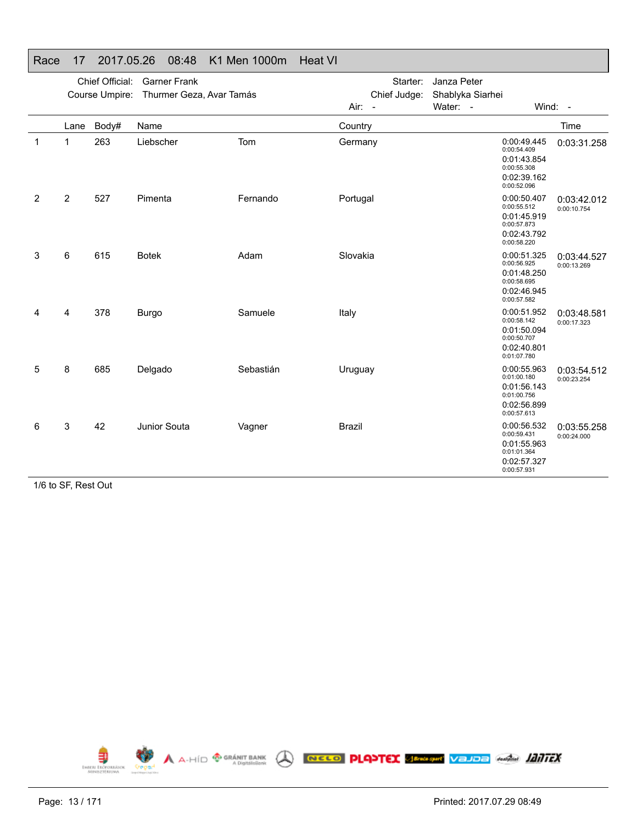|   |                | Chief Official:<br>Course Umpire: | <b>Garner Frank</b><br>Thurmer Geza, Avar Tamás |           |               | Starter:<br>Chief Judge: | Janza Peter<br>Shablyka Siarhei |                                                                                        |                            |
|---|----------------|-----------------------------------|-------------------------------------------------|-----------|---------------|--------------------------|---------------------------------|----------------------------------------------------------------------------------------|----------------------------|
|   |                |                                   |                                                 |           | $Air: -$      |                          | Water: -                        | Wind: -                                                                                |                            |
|   | Lane           | Body#                             | Name                                            |           | Country       |                          |                                 |                                                                                        | Time                       |
| 1 | 1              | 263                               | Liebscher                                       | Tom       | Germany       |                          |                                 | 0:00:49.445<br>0:00:54.409<br>0:01:43.854<br>0:00:55.308<br>0:02:39.162<br>0:00:52.096 | 0:03:31.258                |
| 2 | $\overline{2}$ | 527                               | Pimenta                                         | Fernando  | Portugal      |                          |                                 | 0:00:50.407<br>0:00:55.512<br>0:01:45.919<br>0:00:57.873<br>0:02:43.792<br>0:00:58.220 | 0:03:42.012<br>0:00:10.754 |
| 3 | 6              | 615                               | <b>Botek</b>                                    | Adam      | Slovakia      |                          |                                 | 0:00:51.325<br>0:00:56.925<br>0:01:48.250<br>0:00:58.695<br>0:02:46.945<br>0:00:57.582 | 0:03:44.527<br>0:00:13.269 |
| 4 | 4              | 378                               | Burgo                                           | Samuele   | Italy         |                          |                                 | 0:00:51.952<br>0:00:58.142<br>0:01:50.094<br>0:00:50.707<br>0:02:40.801<br>0:01:07.780 | 0:03:48.581<br>0:00:17.323 |
| 5 | 8              | 685                               | Delgado                                         | Sebastián | Uruguay       |                          |                                 | 0:00:55.963<br>0:01:00.180<br>0:01:56.143<br>0:01:00.756<br>0:02:56.899<br>0:00:57.613 | 0:03:54.512<br>0:00:23.254 |
| 6 | 3              | 42                                | Junior Souta                                    | Vagner    | <b>Brazil</b> |                          |                                 | 0:00:56.532<br>0:00:59.431<br>0:01:55.963<br>0:01:01.364<br>0:02:57.327<br>0:00:57.931 | 0:03:55.258<br>0:00:24.000 |

#### Race 17 2017.05.26 08:48 K1 Men 1000m Heat VI

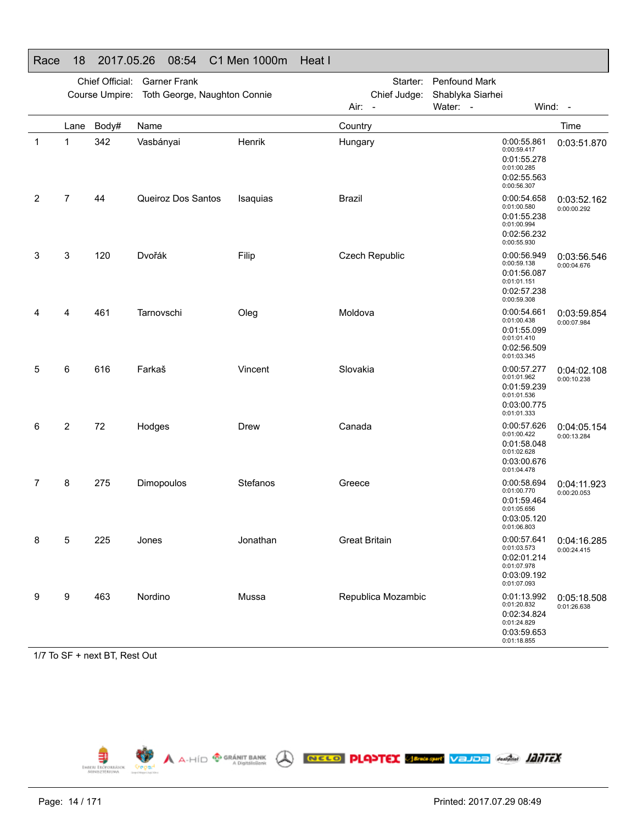|             |      | Chief Official: | <b>Garner Frank</b><br>Course Umpire: Toth George, Naughton Connie |          | Starter:<br>Chief Judge:         | Penfound Mark<br>Shablyka Siarhei                                                      |                            |
|-------------|------|-----------------|--------------------------------------------------------------------|----------|----------------------------------|----------------------------------------------------------------------------------------|----------------------------|
|             |      |                 |                                                                    |          | Air:<br>$\overline{\phantom{a}}$ | Water: -                                                                               | Wind: -                    |
|             | Lane | Body#           | Name                                                               |          | Country                          |                                                                                        | Time                       |
| $\mathbf 1$ | 1    | 342             | Vasbányai                                                          | Henrik   | Hungary                          | 0:00:55.861<br>0:00:59.417<br>0:01:55.278<br>0:01:00.285<br>0:02:55.563<br>0:00:56.307 | 0:03:51.870                |
| 2           | 7    | 44              | Queiroz Dos Santos                                                 | Isaquias | <b>Brazil</b>                    | 0:00:54.658<br>0:01:00.580<br>0:01:55.238<br>0:01:00.994<br>0:02:56.232<br>0:00:55.930 | 0:03:52.162<br>0:00:00.292 |
| 3           | 3    | 120             | Dvořák                                                             | Filip    | Czech Republic                   | 0:00:56.949<br>0:00:59.138<br>0:01:56.087<br>0:01:01.151<br>0:02:57.238<br>0:00:59.308 | 0:03:56.546<br>0:00:04.676 |
|             | 4    | 461             | Tarnovschi                                                         | Oleg     | Moldova                          | 0:00:54.661<br>0:01:00.438<br>0:01:55.099<br>0:01:01.410<br>0:02:56.509<br>0:01:03.345 | 0:03:59.854<br>0:00:07.984 |
| 5           | 6    | 616             | Farkaš                                                             | Vincent  | Slovakia                         | 0:00:57.277<br>0:01:01.962<br>0:01:59.239<br>0:01:01.536<br>0:03:00.775<br>0:01:01.333 | 0:04:02.108<br>0:00:10.238 |
| 6           | 2    | 72              | Hodges                                                             | Drew     | Canada                           | 0:00:57.626<br>0:01:00.422<br>0:01:58.048<br>0:01:02.628<br>0:03:00.676<br>0:01:04.478 | 0:04:05.154<br>0:00:13.284 |
| 7           | 8    | 275             | Dimopoulos                                                         | Stefanos | Greece                           | 0:00:58.694<br>0:01:00.770<br>0:01:59.464<br>0:01:05.656<br>0:03:05.120<br>0:01:06.803 | 0:04:11.923<br>0:00:20.053 |
| 8           | 5    | 225             | Jones                                                              | Jonathan | <b>Great Britain</b>             | 0:00:57.641<br>0:01:03.573<br>0:02:01.214<br>0:01:07.978<br>0:03:09.192<br>0:01:07.093 | 0:04:16.285<br>0:00:24.415 |
| 9           | 9    | 463             | Nordino                                                            | Mussa    | Republica Mozambic               | 0:01:13.992<br>0:01:20.832<br>0:02:34.824<br>0:01:24.829<br>0:03:59.653<br>0:01:18.855 | 0:05:18.508<br>0:01:26.638 |

#### Race 18 2017.05.26 08:54 C1 Men 1000m Heat I

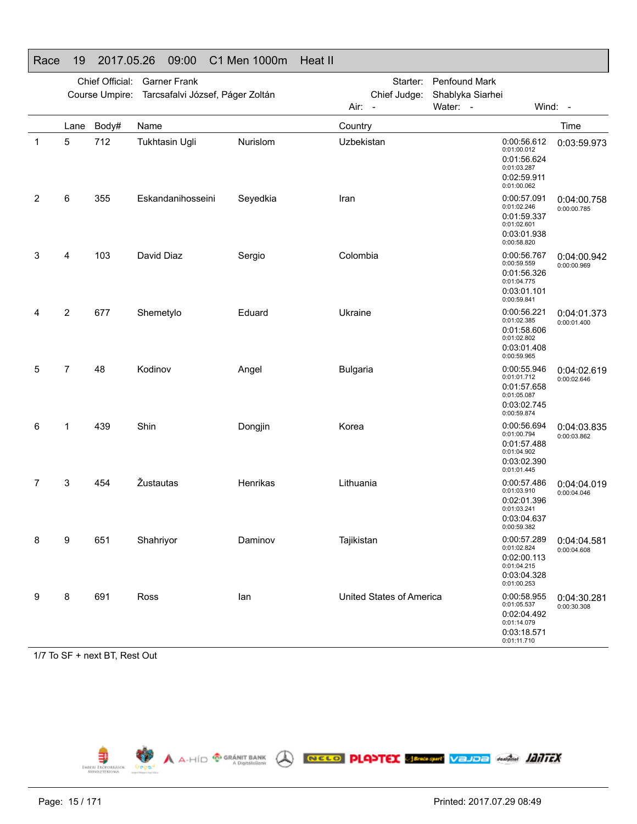|   |                | Chief Official: | <b>Garner Frank</b>                             |          |                          | Starter: Penfound Mark                                                                 |                            |
|---|----------------|-----------------|-------------------------------------------------|----------|--------------------------|----------------------------------------------------------------------------------------|----------------------------|
|   |                |                 | Course Umpire: Tarcsafalvi József, Páger Zoltán |          | Chief Judge:             | Shablyka Siarhei                                                                       |                            |
|   |                |                 |                                                 |          | Air: -                   | Water: -                                                                               | Wind: -                    |
|   | Lane           | Body#           | Name                                            |          | Country                  |                                                                                        | Time                       |
| 1 | 5              | 712             | <b>Tukhtasin Ugli</b>                           | Nurislom | Uzbekistan               | 0:00:56.612<br>0:01:00.012<br>0:01:56.624<br>0:01:03.287<br>0:02:59.911<br>0:01:00.062 | 0:03:59.973                |
| 2 | 6              | 355             | Eskandanihosseini                               | Seyedkia | Iran                     | 0:00:57.091<br>0:01:02.246<br>0:01:59.337<br>0:01:02.601<br>0:03:01.938<br>0:00:58.820 | 0:04:00.758<br>0:00:00.785 |
| 3 | 4              | 103             | David Diaz                                      | Sergio   | Colombia                 | 0:00:56.767<br>0:00:59.559<br>0:01:56.326<br>0:01:04.775<br>0:03:01.101<br>0:00:59.841 | 0:04:00.942<br>0:00:00.969 |
| 4 | 2              | 677             | Shemetylo                                       | Eduard   | Ukraine                  | 0:00:56.221<br>0:01:02.385<br>0:01:58.606<br>0:01:02.802<br>0:03:01.408<br>0:00:59.965 | 0:04:01.373<br>0:00:01.400 |
| 5 | $\overline{7}$ | 48              | Kodinov                                         | Angel    | <b>Bulgaria</b>          | 0:00:55.946<br>0:01:01.712<br>0:01:57.658<br>0:01:05.087<br>0:03:02.745<br>0:00:59.874 | 0:04:02.619<br>0:00:02.646 |
| 6 | 1              | 439             | Shin                                            | Dongjin  | Korea                    | 0:00:56.694<br>0:01:00.794<br>0:01:57.488<br>0:01:04.902<br>0:03:02.390<br>0:01:01.445 | 0:04:03.835<br>0:00:03.862 |
| 7 | 3              | 454             | Žustautas                                       | Henrikas | Lithuania                | 0:00:57.486<br>0:01:03.910<br>0:02:01.396<br>0:01:03.241<br>0:03:04.637<br>0:00:59.382 | 0:04:04.019<br>0:00:04.046 |
| 8 | 9              | 651             | Shahriyor                                       | Daminov  | Tajikistan               | 0:00:57.289<br>0:01:02.824<br>0:02:00.113<br>0:01:04.215<br>0:03:04.328<br>0:01:00.253 | 0:04:04.581<br>0:00:04.608 |
| 9 | 8              | 691             | Ross                                            | lan      | United States of America | 0:00:58.955<br>0:01:05.537<br>0:02:04.492<br>0:01:14.079<br>0:03:18.571<br>0:01:11.710 | 0:04:30.281<br>0:00:30.308 |

#### Race 19 2017.05.26 09:00 C1 Men 1000m Heat II

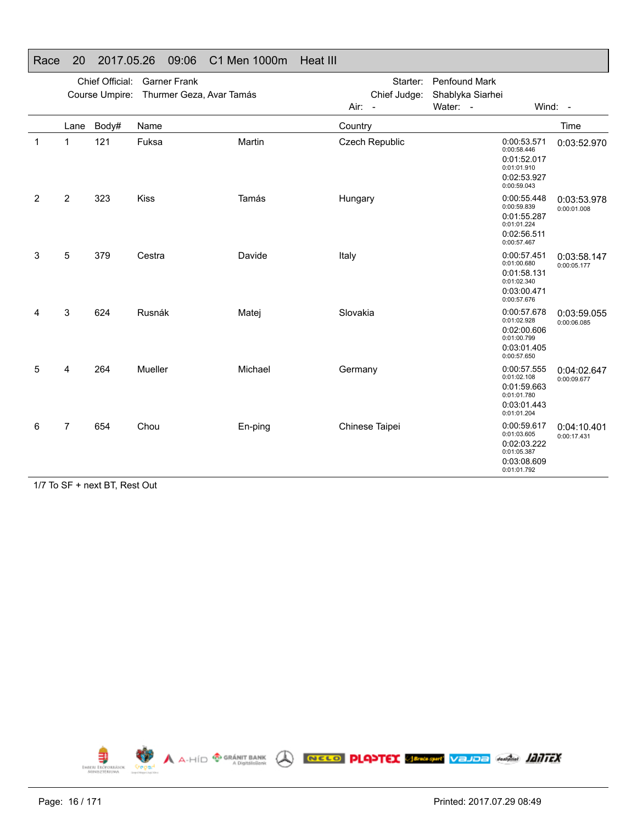|   |                | Chief Official: | <b>Garner Frank</b><br>Course Umpire: Thurmer Geza, Avar Tamás |         | Starter:<br>Chief Judge: | <b>Penfound Mark</b><br>Shablyka Siarhei                                               |                            |
|---|----------------|-----------------|----------------------------------------------------------------|---------|--------------------------|----------------------------------------------------------------------------------------|----------------------------|
|   |                |                 |                                                                |         | Air: -                   | Water: -                                                                               | Wind: -                    |
|   | Lane           | Body#           | Name                                                           |         | Country                  |                                                                                        | Time                       |
| 1 | 1              | 121             | Fuksa                                                          | Martin  | Czech Republic           | 0:00:53.571<br>0:00:58.446<br>0:01:52.017<br>0:01:01.910<br>0:02:53.927<br>0:00:59.043 | 0:03:52.970                |
| 2 | $\overline{2}$ | 323             | <b>Kiss</b>                                                    | Tamás   | Hungary                  | 0:00:55.448<br>0:00:59.839<br>0:01:55.287<br>0:01:01.224<br>0:02:56.511<br>0:00:57.467 | 0:03:53.978<br>0:00:01.008 |
| 3 | 5              | 379             | Cestra                                                         | Davide  | Italy                    | 0:00:57.451<br>0:01:00.680<br>0:01:58.131<br>0:01:02.340<br>0:03:00.471<br>0:00:57.676 | 0:03:58.147<br>0:00:05.177 |
| 4 | 3              | 624             | Rusnák                                                         | Matej   | Slovakia                 | 0:00:57.678<br>0:01:02.928<br>0:02:00.606<br>0:01:00.799<br>0:03:01.405<br>0:00:57.650 | 0:03:59.055<br>0:00:06.085 |
| 5 | 4              | 264             | Mueller                                                        | Michael | Germany                  | 0:00:57.555<br>0:01:02.108<br>0:01:59.663<br>0:01:01.780<br>0:03:01.443<br>0:01:01.204 | 0:04:02.647<br>0:00:09.677 |
| 6 | $\overline{7}$ | 654             | Chou                                                           | En-ping | Chinese Taipei           | 0:00:59.617<br>0:01:03.605<br>0:02:03.222<br>0:01:05.387<br>0:03:08.609<br>0:01:01.792 | 0:04:10.401<br>0:00:17.431 |

#### Race 20 2017.05.26 09:06 C1 Men 1000m Heat III

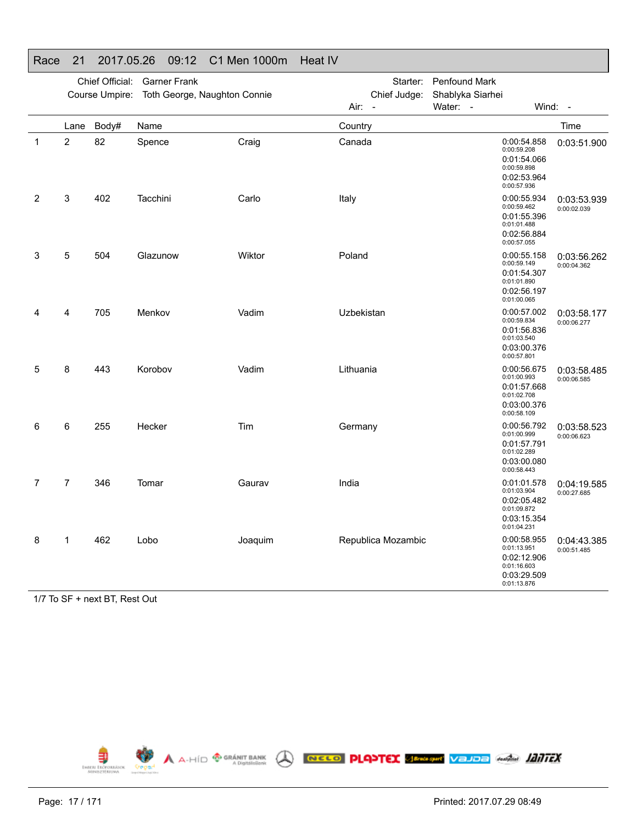|   |                | Chief Official: | <b>Garner Frank</b>          |         |            | Starter:           | <b>Penfound Mark</b> |                                                                                        |                            |
|---|----------------|-----------------|------------------------------|---------|------------|--------------------|----------------------|----------------------------------------------------------------------------------------|----------------------------|
|   |                | Course Umpire:  | Toth George, Naughton Connie |         |            | Chief Judge:       | Shablyka Siarhei     |                                                                                        |                            |
|   |                |                 |                              |         | Air: -     |                    | Water: -             | Wind: -                                                                                |                            |
|   | Lane           | Body#           | Name                         |         | Country    |                    |                      |                                                                                        | Time                       |
| 1 | $\overline{2}$ | 82              | Spence                       | Craig   | Canada     |                    |                      | 0:00:54.858<br>0:00:59.208<br>0:01:54.066<br>0:00:59.898<br>0:02:53.964<br>0:00:57.936 | 0:03:51.900                |
| 2 | 3              | 402             | Tacchini                     | Carlo   | Italy      |                    |                      | 0:00:55.934<br>0:00:59.462<br>0:01:55.396<br>0:01:01.488<br>0:02:56.884<br>0:00:57.055 | 0:03:53.939<br>0:00:02.039 |
| 3 | 5              | 504             | Glazunow                     | Wiktor  | Poland     |                    |                      | 0:00:55.158<br>0:00:59.149<br>0:01:54.307<br>0:01:01.890<br>0:02:56.197<br>0:01:00.065 | 0:03:56.262<br>0:00:04.362 |
| Δ | 4              | 705             | Menkov                       | Vadim   | Uzbekistan |                    |                      | 0:00:57.002<br>0:00:59.834<br>0:01:56.836<br>0:01:03.540<br>0:03:00.376<br>0:00:57.801 | 0:03:58.177<br>0:00:06.277 |
| 5 | 8              | 443             | Korobov                      | Vadim   | Lithuania  |                    |                      | 0:00:56.675<br>0:01:00.993<br>0:01:57.668<br>0:01:02.708<br>0:03:00.376<br>0:00:58.109 | 0:03:58.485<br>0:00:06.585 |
| 6 | 6              | 255             | Hecker                       | Tim     | Germany    |                    |                      | 0:00:56.792<br>0:01:00.999<br>0:01:57.791<br>0:01:02.289<br>0:03:00.080<br>0:00:58.443 | 0:03:58.523<br>0:00:06.623 |
| 7 | $\overline{7}$ | 346             | Tomar                        | Gaurav  | India      |                    |                      | 0:01:01.578<br>0:01:03.904<br>0:02:05.482<br>0:01:09.872<br>0:03:15.354<br>0:01:04.231 | 0:04:19.585<br>0:00:27.685 |
| 8 | 1              | 462             | Lobo                         | Joaquim |            | Republica Mozambic |                      | 0:00:58.955<br>0:01:13.951<br>0:02:12.906<br>0:01:16.603<br>0:03:29.509<br>0:01:13.876 | 0:04:43.385<br>0:00:51.485 |

#### Race 21 2017.05.26 09:12 C1 Men 1000m Heat IV

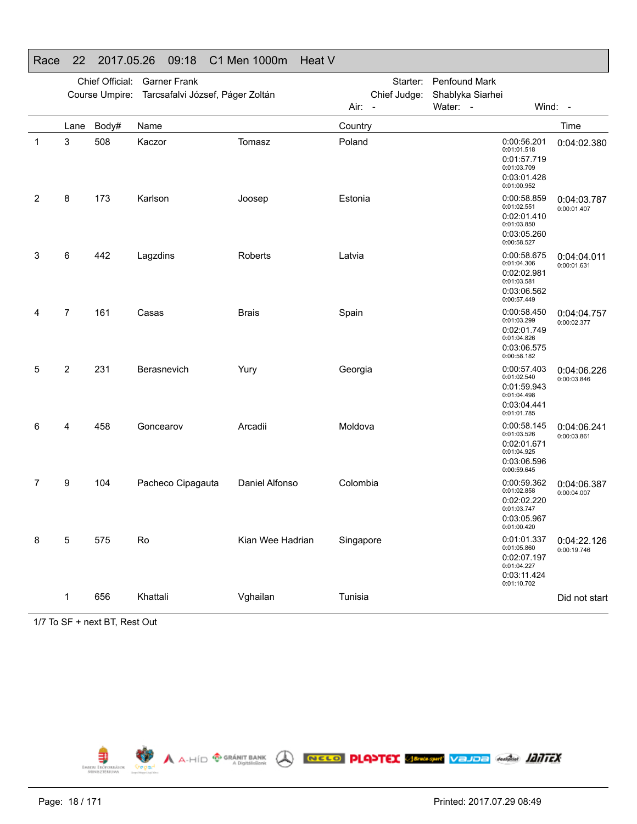|   |                | Chief Official: | <b>Garner Frank</b><br>Course Umpire: Tarcsafalvi József, Páger Zoltán |                  | Starter:<br>Chief Judge: | <b>Penfound Mark</b><br>Shablyka Siarhei |                                                                                        |                            |
|---|----------------|-----------------|------------------------------------------------------------------------|------------------|--------------------------|------------------------------------------|----------------------------------------------------------------------------------------|----------------------------|
|   | Lane           | Body#           | Name                                                                   |                  | Air: -<br>Country        | Water: -                                 | Wind: -                                                                                | Time                       |
| 1 | 3              | 508             | Kaczor                                                                 | Tomasz           | Poland                   |                                          | 0:00:56.201<br>0:01:01.518<br>0:01:57.719<br>0:01:03.709<br>0:03:01.428<br>0:01:00.952 | 0:04:02.380                |
| 2 | 8              | 173             | Karlson                                                                | Joosep           | Estonia                  |                                          | 0:00:58.859<br>0:01:02.551<br>0:02:01.410<br>0:01:03.850<br>0:03:05.260<br>0:00:58.527 | 0:04:03.787<br>0:00:01.407 |
| 3 | 6              | 442             | Lagzdins                                                               | Roberts          | Latvia                   |                                          | 0:00:58.675<br>0:01:04.306<br>0:02:02.981<br>0:01:03.581<br>0:03:06.562<br>0:00:57.449 | 0:04:04.011<br>0:00:01.631 |
| 4 | $\overline{7}$ | 161             | Casas                                                                  | <b>Brais</b>     | Spain                    |                                          | 0:00:58.450<br>0:01:03.299<br>0:02:01.749<br>0:01:04.826<br>0:03:06.575<br>0:00:58.182 | 0:04:04.757<br>0:00:02.377 |
| 5 | $\overline{2}$ | 231             | Berasnevich                                                            | Yury             | Georgia                  |                                          | 0:00:57.403<br>0:01:02.540<br>0:01:59.943<br>0:01:04.498<br>0:03:04.441<br>0:01:01.785 | 0:04:06.226<br>0:00:03.846 |
| 6 | 4              | 458             | Goncearov                                                              | Arcadii          | Moldova                  |                                          | 0:00:58.145<br>0:01:03.526<br>0:02:01.671<br>0:01:04.925<br>0:03:06.596<br>0:00:59.645 | 0:04:06.241<br>0:00:03.861 |
| 7 | 9              | 104             | Pacheco Cipagauta                                                      | Daniel Alfonso   | Colombia                 |                                          | 0:00:59.362<br>0:01:02.858<br>0:02:02.220<br>0:01:03.747<br>0:03:05.967<br>0:01:00.420 | 0:04:06.387<br>0:00:04.007 |
| 8 | 5              | 575             | Ro                                                                     | Kian Wee Hadrian | Singapore                |                                          | 0:01:01.337<br>0:01:05.860<br>0:02:07.197<br>0:01:04.227<br>0:03:11.424<br>0:01:10.702 | 0:04:22.126<br>0:00:19.746 |
|   | 1              | 656             | Khattali                                                               | Vghailan         | Tunisia                  |                                          |                                                                                        | Did not start              |

#### Race 22 2017.05.26 09:18 C1 Men 1000m Heat V

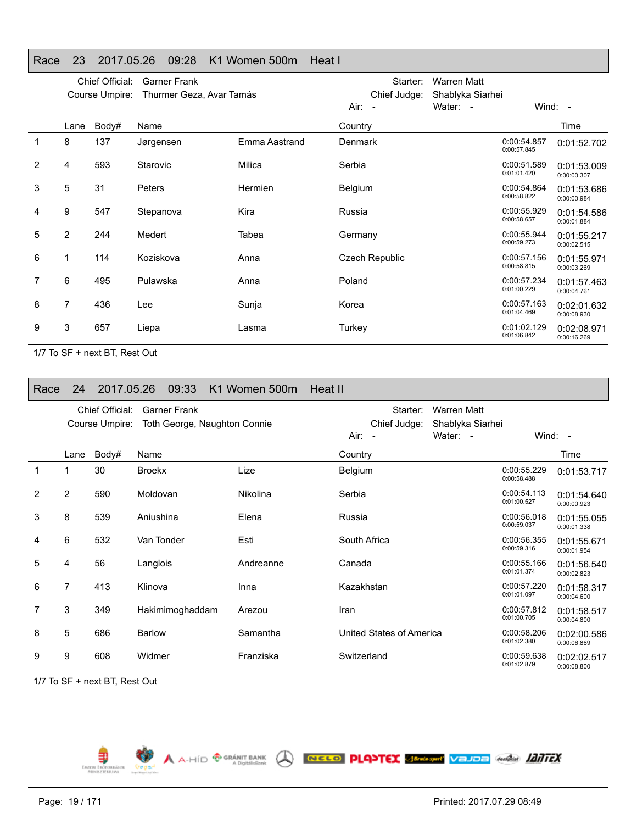#### Race 23 2017.05.26 09:28 K1 Women 500m Heat I

|   |                | Chief Official:<br>Course Umpire: | <b>Garner Frank</b><br>Thurmer Geza, Avar Tamás |                | Starter:<br>Chief Judge: | <b>Warren Matt</b><br>Shablyka Siarhei |                            |                            |
|---|----------------|-----------------------------------|-------------------------------------------------|----------------|--------------------------|----------------------------------------|----------------------------|----------------------------|
|   |                |                                   |                                                 |                | Air: -                   | Water: -                               |                            | Wind: -                    |
|   | Lane           | Body#                             | Name                                            |                | Country                  |                                        |                            | Time                       |
| 1 | 8              | 137                               | Jørgensen                                       | Emma Aastrand  | <b>Denmark</b>           |                                        | 0:00:54.857<br>0:00:57.845 | 0:01:52.702                |
| 2 | 4              | 593                               | Starovic                                        | Milica         | Serbia                   |                                        | 0:00:51.589<br>0:01:01.420 | 0:01:53.009<br>0:00:00.307 |
| 3 | 5              | 31                                | <b>Peters</b>                                   | <b>Hermien</b> | Belgium                  |                                        | 0:00:54.864<br>0:00:58.822 | 0:01:53.686<br>0:00:00.984 |
| 4 | 9              | 547                               | Stepanova                                       | Kira           | Russia                   |                                        | 0:00:55.929<br>0:00:58.657 | 0:01:54.586<br>0:00:01.884 |
| 5 | $\overline{2}$ | 244                               | Medert                                          | Tabea          | Germany                  |                                        | 0:00:55.944<br>0:00:59.273 | 0:01:55.217<br>0:00:02.515 |
| 6 |                | 114                               | Koziskova                                       | Anna           | <b>Czech Republic</b>    |                                        | 0:00:57.156<br>0:00:58.815 | 0:01:55.971<br>0:00:03.269 |
| 7 | 6              | 495                               | Pulawska                                        | Anna           | Poland                   |                                        | 0:00:57.234<br>0:01:00.229 | 0:01:57.463<br>0:00:04.761 |
| 8 | 7              | 436                               | Lee                                             | Sunja          | Korea                    |                                        | 0:00:57.163<br>0:01:04.469 | 0:02:01.632<br>0:00:08.930 |
| 9 | 3              | 657                               | Liepa                                           | Lasma          | Turkey                   |                                        | 0:01:02.129<br>0:01:06.842 | 0:02:08.971<br>0:00:16.269 |

1/7 To SF + next BT, Rest Out

| Race         | 24             | 2017.05.26      | 09:33                        | K1 Women 500m   | Heat II                  |                    |                            |                            |
|--------------|----------------|-----------------|------------------------------|-----------------|--------------------------|--------------------|----------------------------|----------------------------|
|              |                | Chief Official: | <b>Garner Frank</b>          |                 | Starter:                 | <b>Warren Matt</b> |                            |                            |
|              |                | Course Umpire:  | Toth George, Naughton Connie |                 | Chief Judge:             | Shablyka Siarhei   |                            |                            |
|              |                |                 |                              |                 | $Air: -$                 | Water: -           |                            | Wind: $-$                  |
|              | Lane           | Body#           | Name                         |                 | Country                  |                    |                            | Time                       |
| $\mathbf{1}$ |                | 30              | <b>Broekx</b>                | Lize            | Belgium                  |                    | 0:00:55.229<br>0:00:58.488 | 0:01:53.717                |
| 2            | $\overline{2}$ | 590             | Moldovan                     | <b>Nikolina</b> | Serbia                   |                    | 0:00:54.113<br>0:01:00.527 | 0:01:54.640<br>0:00:00.923 |
| 3            | 8              | 539             | Aniushina                    | Elena           | Russia                   |                    | 0:00:56.018<br>0:00:59.037 | 0:01:55.055<br>0:00:01.338 |
| 4            | 6              | 532             | Van Tonder                   | Esti            | South Africa             |                    | 0:00:56.355<br>0:00:59.316 | 0:01:55.671<br>0:00:01.954 |
| 5            | 4              | 56              | Langlois                     | Andreanne       | Canada                   |                    | 0:00:55.166<br>0:01:01.374 | 0:01:56.540<br>0:00:02.823 |
| 6            | 7              | 413             | Klinova                      | Inna            | Kazakhstan               |                    | 0:00:57.220<br>0:01:01.097 | 0:01:58.317<br>0:00:04.600 |
| 7            | 3              | 349             | Hakimimoghaddam              | Arezou          | Iran                     |                    | 0:00:57.812<br>0:01:00.705 | 0:01:58.517<br>0:00:04.800 |
| 8            | 5              | 686             | <b>Barlow</b>                | Samantha        | United States of America |                    | 0:00:58.206<br>0:01:02.380 | 0:02:00.586<br>0:00:06.869 |
| 9            | 9              | 608             | Widmer                       | Franziska       | Switzerland              |                    | 0:00:59.638<br>0:01:02.879 | 0:02:02.517<br>0:00:08.800 |

1/7 To SF + next BT, Rest Out

⋾ EMBERL EROP

A A-HÍD <sup>@ GRÁNIT BANK</sup> ( **NECO PLANTEX SEPARATION** VEJDE GARAGE *HATTEX* 

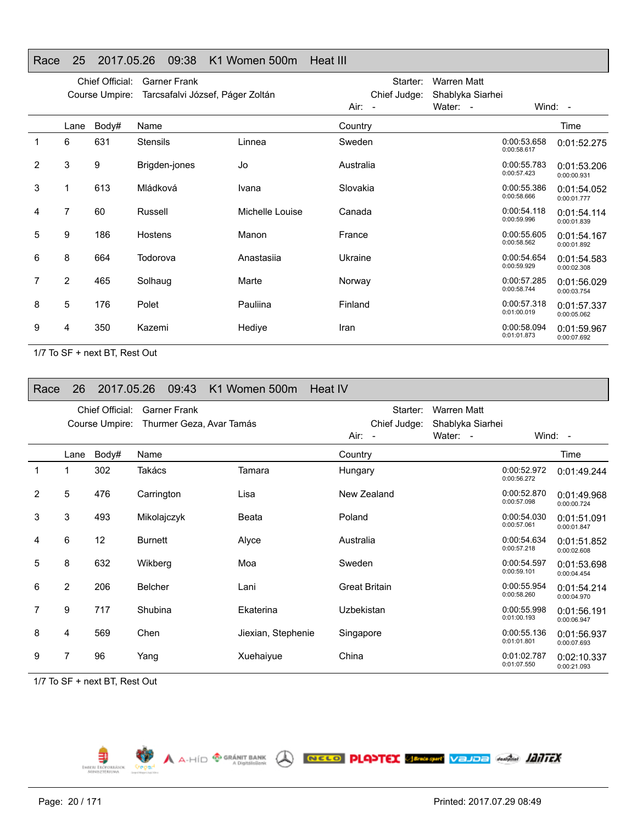#### Race 25 2017.05.26 09:38 K1 Women 500m Heat III

|   |      | Chief Official:<br>Course Umpire: | <b>Garner Frank</b><br>Tarcsafalvi József, Páger Zoltán |                 | Air: -    | Starter:<br>Chief Judge: | <b>Warren Matt</b><br>Shablyka Siarhei<br>Water: - |                            | Wind: $-$                  |
|---|------|-----------------------------------|---------------------------------------------------------|-----------------|-----------|--------------------------|----------------------------------------------------|----------------------------|----------------------------|
|   | Lane | Body#                             | Name                                                    |                 | Country   |                          |                                                    |                            | Time                       |
| 1 | 6    | 631                               | <b>Stensils</b>                                         | Linnea          | Sweden    |                          |                                                    | 0:00:53.658<br>0:00:58.617 | 0:01:52.275                |
| 2 | 3    | 9                                 | Brigden-jones                                           | Jo              | Australia |                          |                                                    | 0:00:55.783<br>0:00:57.423 | 0:01:53.206<br>0:00:00.931 |
| 3 |      | 613                               | Mládková                                                | Ivana           | Slovakia  |                          |                                                    | 0:00:55.386<br>0:00:58.666 | 0:01:54.052<br>0:00:01.777 |
| 4 | 7    | 60                                | Russell                                                 | Michelle Louise | Canada    |                          |                                                    | 0:00:54.118<br>0:00:59.996 | 0:01:54.114<br>0:00:01.839 |
| 5 | 9    | 186                               | Hostens                                                 | Manon           | France    |                          |                                                    | 0:00:55.605<br>0:00:58.562 | 0:01:54.167<br>0:00:01.892 |
| 6 | 8    | 664                               | Todorova                                                | Anastasija      | Ukraine   |                          |                                                    | 0:00:54.654<br>0:00:59.929 | 0:01:54.583<br>0:00:02.308 |
| 7 | 2    | 465                               | Solhaug                                                 | Marte           | Norway    |                          |                                                    | 0:00:57.285<br>0:00:58.744 | 0:01:56.029<br>0:00:03.754 |
| 8 | 5    | 176                               | Polet                                                   | Pauliina        | Finland   |                          |                                                    | 0:00:57.318<br>0:01:00.019 | 0:01:57.337<br>0:00:05.062 |
| 9 | 4    | 350                               | Kazemi                                                  | Hedive          | Iran      |                          |                                                    | 0:00:58.094<br>0:01:01.873 | 0:01:59.967<br>0:00:07.692 |

1/7 To SF + next BT, Rest Out

| Race           | 26             | 2017.05.26      | 09:43                    | K1 Women 500m      | Heat IV              |                    |                            |                            |
|----------------|----------------|-----------------|--------------------------|--------------------|----------------------|--------------------|----------------------------|----------------------------|
|                |                | Chief Official: | <b>Garner Frank</b>      |                    | Starter:             | <b>Warren Matt</b> |                            |                            |
|                |                | Course Umpire:  | Thurmer Geza, Avar Tamás |                    | Chief Judge:         | Shablyka Siarhei   |                            |                            |
|                |                |                 |                          |                    | $Air: -$             | Water: -           |                            | Wind: $-$                  |
|                | Lane           | Body#           | Name                     |                    | Country              |                    |                            | Time                       |
| $\mathbf 1$    |                | 302             | Takács                   | Tamara             | Hungary              |                    | 0:00:52.972<br>0:00:56.272 | 0:01:49.244                |
| $\overline{2}$ | 5              | 476             | Carrington               | Lisa               | New Zealand          |                    | 0:00:52.870<br>0:00:57.098 | 0:01:49.968<br>0:00:00.724 |
| 3              | 3              | 493             | Mikolajczyk              | Beata              | Poland               |                    | 0:00:54.030<br>0:00:57.061 | 0:01:51.091<br>0:00:01.847 |
| 4              | 6              | 12              | <b>Burnett</b>           | Alyce              | Australia            |                    | 0:00:54.634<br>0:00:57.218 | 0:01:51.852<br>0:00:02.608 |
| 5              | 8              | 632             | Wikberg                  | Moa                | Sweden               |                    | 0:00:54.597<br>0:00:59.101 | 0:01:53.698<br>0:00:04.454 |
| 6              | $\overline{2}$ | 206             | <b>Belcher</b>           | Lani               | <b>Great Britain</b> |                    | 0:00:55.954<br>0:00:58.260 | 0:01:54.214<br>0:00:04.970 |
| 7              | 9              | 717             | Shubina                  | Ekaterina          | Uzbekistan           |                    | 0:00:55.998<br>0:01:00.193 | 0:01:56.191<br>0:00:06.947 |
| 8              | 4              | 569             | Chen                     | Jiexian, Stephenie | Singapore            |                    | 0:00:55.136<br>0:01:01.801 | 0:01:56.937<br>0:00:07.693 |
| 9              | 7              | 96              | Yang                     | Xuehaiyue          | China                |                    | 0:01:02.787<br>0:01:07.550 | 0:02:10.337<br>0:00:21.093 |

A A-HID O GRÁNIT BANK A RECO PLOYTEX SERAPHY VEJOE GARAGE 1217EX

1/7 To SF + next BT, Rest Out



⋾ EMBERL EROP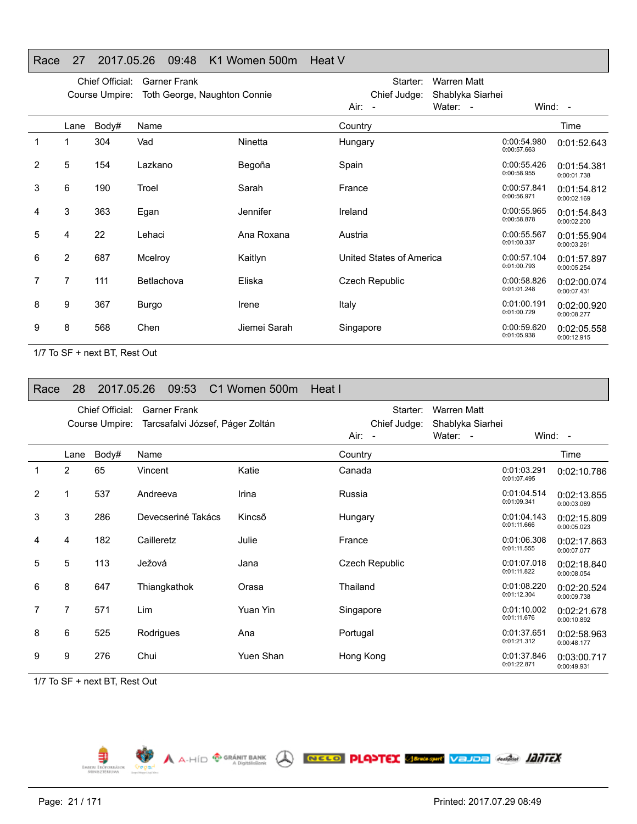#### Race 27 2017.05.26 09:48 K1 Women 500m Heat V

|   |                | Chief Official:<br>Course Umpire: | <b>Garner Frank</b><br>Toth George, Naughton Connie |                 | Starter:<br>Chief Judge: | Warren Matt<br>Shablyka Siarhei |                            |                            |
|---|----------------|-----------------------------------|-----------------------------------------------------|-----------------|--------------------------|---------------------------------|----------------------------|----------------------------|
|   |                |                                   |                                                     |                 | Air: -                   | Water: -                        |                            | Wind: $-$                  |
|   | Lane           | Body#                             | Name                                                |                 | Country                  |                                 |                            | Time                       |
| 1 |                | 304                               | Vad                                                 | Ninetta         | Hungary                  |                                 | 0:00:54.980<br>0:00:57.663 | 0:01:52.643                |
| 2 | 5              | 154                               | Lazkano                                             | Begoña          | Spain                    |                                 | 0:00:55.426<br>0:00:58.955 | 0:01:54.381<br>0:00:01.738 |
| 3 | 6              | 190                               | Troel                                               | Sarah           | France                   |                                 | 0:00:57.841<br>0:00:56.971 | 0:01:54.812<br>0:00:02.169 |
| 4 | 3              | 363                               | Egan                                                | <b>Jennifer</b> | Ireland                  |                                 | 0:00:55.965<br>0:00:58.878 | 0:01:54.843<br>0:00:02.200 |
| 5 | 4              | 22                                | Lehaci                                              | Ana Roxana      | Austria                  |                                 | 0:00:55.567<br>0:01:00.337 | 0:01:55.904<br>0:00:03.261 |
| 6 | $\overline{2}$ | 687                               | Mcelroy                                             | Kaitlyn         | United States of America |                                 | 0:00:57.104<br>0:01:00.793 | 0:01:57.897<br>0:00:05.254 |
| 7 | 7              | 111                               | Betlachova                                          | Eliska          | <b>Czech Republic</b>    |                                 | 0:00:58.826<br>0:01:01.248 | 0:02:00.074<br>0:00:07.431 |
| 8 | 9              | 367                               | Burgo                                               | Irene           | Italy                    |                                 | 0:01:00.191<br>0:01:00.729 | 0:02:00.920<br>0:00:08.277 |
| 9 | 8              | 568                               | Chen                                                | Jiemei Sarah    | Singapore                |                                 | 0:00:59.620<br>0:01:05.938 | 0:02:05.558<br>0:00:12.915 |

1/7 To SF + next BT, Rest Out

| Race           | 28   | 2017.05.26      |              | 09:53               | C1 Women 500m                    | Heat I         |                  |                            |                            |
|----------------|------|-----------------|--------------|---------------------|----------------------------------|----------------|------------------|----------------------------|----------------------------|
|                |      | Chief Official: |              | <b>Garner Frank</b> |                                  | Starter:       | Warren Matt      |                            |                            |
|                |      | Course Umpire:  |              |                     | Tarcsafalvi József, Páger Zoltán | Chief Judge:   | Shablyka Siarhei |                            |                            |
|                |      |                 |              |                     |                                  | $Air: -$       | Water: -         |                            | Wind: $-$                  |
|                | Lane | Body#           | Name         |                     |                                  | Country        |                  |                            | Time                       |
| $\mathbf 1$    | 2    | 65              | Vincent      |                     | Katie                            | Canada         |                  | 0:01:03.291<br>0:01:07.495 | 0:02:10.786                |
| $\overline{2}$ |      | 537             | Andreeva     |                     | Irina                            | Russia         |                  | 0:01:04.514<br>0:01:09.341 | 0:02:13.855<br>0:00:03.069 |
| 3              | 3    | 286             |              | Devecseriné Takács  | Kincső                           | Hungary        |                  | 0:01:04.143<br>0:01:11.666 | 0:02:15.809<br>0:00:05.023 |
| 4              | 4    | 182             | Cailleretz   |                     | Julie                            | France         |                  | 0:01:06.308<br>0:01:11.555 | 0:02:17.863<br>0:00:07.077 |
| 5              | 5    | 113             | Ježová       |                     | Jana                             | Czech Republic |                  | 0:01:07.018<br>0:01:11.822 | 0:02:18.840<br>0:00:08.054 |
| 6              | 8    | 647             | Thiangkathok |                     | Orasa                            | Thailand       |                  | 0:01:08.220<br>0:01:12.304 | 0:02:20.524<br>0:00:09.738 |
| 7              | 7    | 571             | Lim          |                     | Yuan Yin                         | Singapore      |                  | 0:01:10.002<br>0:01:11.676 | 0:02:21.678<br>0:00:10.892 |
| 8              | 6    | 525             | Rodrigues    |                     | Ana                              | Portugal       |                  | 0:01:37.651<br>0:01:21.312 | 0:02:58.963<br>0:00:48.177 |
| 9              | 9    | 276             | Chui         |                     | Yuen Shan                        | Hong Kong      |                  | 0:01:37.846<br>0:01:22.871 | 0:03:00.717<br>0:00:49.931 |

A A-HÍD <sup>@ GRÁNIT BANK</sup> ( **NECO PLANTEX SEPARATION** VEJDE GARAGE *HATTEX* 

1/7 To SF + next BT, Rest Out

Ę EMBERL EROP

Page: 21 / 171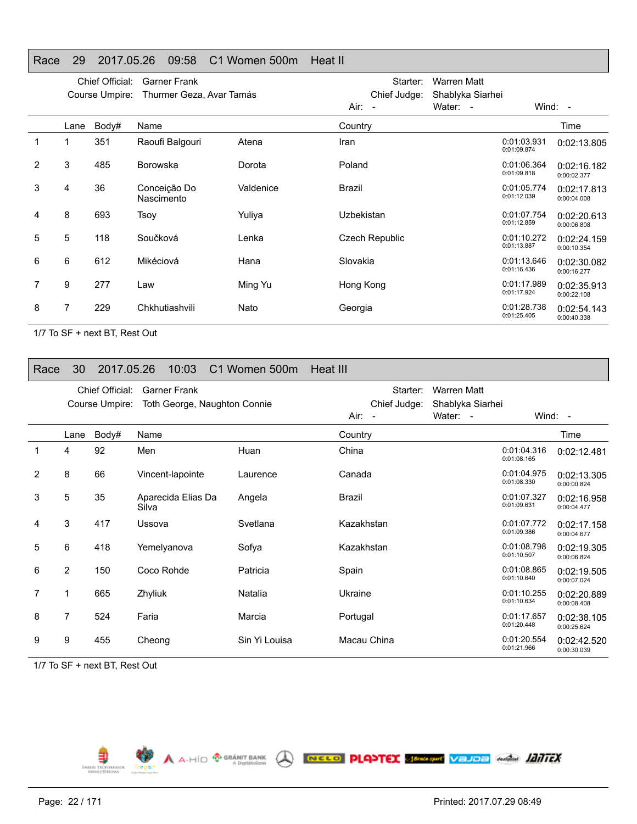#### Race 29 2017.05.26 09:58 C1 Women 500m Heat II

|   |      | Chief Official:<br>Course Umpire: | <b>Garner Frank</b><br>Thurmer Geza, Avar Tamás |           | Starter:<br>Chief Judge: | Warren Matt<br>Shablyka Siarhei |                            |                            |
|---|------|-----------------------------------|-------------------------------------------------|-----------|--------------------------|---------------------------------|----------------------------|----------------------------|
|   |      |                                   |                                                 |           | Air: -                   | Water: -                        |                            | Wind: -                    |
|   | Lane | Body#                             | Name                                            |           | Country                  |                                 |                            | Time                       |
| 1 |      | 351                               | Raoufi Balgouri                                 | Atena     | Iran                     |                                 | 0:01:03.931<br>0:01:09.874 | 0:02:13.805                |
| 2 | 3    | 485                               | <b>Borowska</b>                                 | Dorota    | Poland                   |                                 | 0:01:06.364<br>0:01:09.818 | 0:02:16.182<br>0:00:02.377 |
| 3 | 4    | 36                                | Conceição Do<br>Nascimento                      | Valdenice | Brazil                   |                                 | 0:01:05.774<br>0:01:12.039 | 0:02:17.813<br>0:00:04.008 |
| 4 | 8    | 693                               | Tsoy                                            | Yuliya    | <b>Uzbekistan</b>        |                                 | 0:01:07.754<br>0:01:12.859 | 0:02:20.613<br>0:00:06.808 |
| 5 | 5    | 118                               | Součková                                        | Lenka     | Czech Republic           |                                 | 0:01:10.272<br>0:01:13.887 | 0:02:24.159<br>0:00:10.354 |
| 6 | 6    | 612                               | Mikéciová                                       | Hana      | Slovakia                 |                                 | 0:01:13.646<br>0:01:16.436 | 0:02:30.082<br>0:00:16.277 |
| 7 | 9    | 277                               | Law                                             | Ming Yu   | Hong Kong                |                                 | 0:01:17.989<br>0:01:17.924 | 0:02:35.913<br>0:00:22.108 |
| 8 | 7    | 229                               | Chkhutiashvili                                  | Nato      | Georgia                  |                                 | 0:01:28.738<br>0:01:25.405 | 0:02:54.143<br>0:00:40.338 |

1/7 To SF + next BT, Rest Out

#### Race 30 2017.05.26 10:03 C1 Women 500m Heat III

|                |                | Chief Official:<br>Course Umpire: | <b>Garner Frank</b><br>Toth George, Naughton Connie |               |             | Starter:<br>Chief Judge: | Warren Matt<br>Shablyka Siarhei |                            |                            |
|----------------|----------------|-----------------------------------|-----------------------------------------------------|---------------|-------------|--------------------------|---------------------------------|----------------------------|----------------------------|
|                |                |                                   |                                                     |               | Air: -      |                          | Water: -                        | Wind: $-$                  |                            |
|                | Lane           | Body#                             | Name                                                |               | Country     |                          |                                 |                            | Time                       |
|                | 4              | 92                                | Men                                                 | Huan          | China       |                          |                                 | 0:01:04.316<br>0:01:08.165 | 0:02:12.481                |
| $\overline{2}$ | 8              | 66                                | Vincent-lapointe                                    | Laurence      | Canada      |                          |                                 | 0:01:04.975<br>0:01:08.330 | 0:02:13.305<br>0:00:00.824 |
| 3              | 5              | 35                                | Aparecida Elias Da<br>Silva                         | Angela        | Brazil      |                          |                                 | 0:01:07.327<br>0:01:09.631 | 0:02:16.958<br>0:00:04.477 |
| 4              | 3              | 417                               | Ussova                                              | Svetlana      | Kazakhstan  |                          |                                 | 0:01:07.772<br>0:01:09.386 | 0:02:17.158<br>0:00:04.677 |
| 5              | 6              | 418                               | Yemelyanova                                         | Sofya         | Kazakhstan  |                          |                                 | 0:01:08.798<br>0:01:10.507 | 0:02:19.305<br>0:00:06.824 |
| 6              | $\overline{2}$ | 150                               | Coco Rohde                                          | Patricia      | Spain       |                          |                                 | 0:01:08.865<br>0:01:10.640 | 0:02:19.505<br>0:00:07.024 |
| 7              | 1              | 665                               | Zhyliuk                                             | Natalia       | Ukraine     |                          |                                 | 0:01:10.255<br>0:01:10.634 | 0:02:20.889<br>0:00:08.408 |
| 8              | $\overline{7}$ | 524                               | Faria                                               | Marcia        | Portugal    |                          |                                 | 0:01:17.657<br>0:01:20.448 | 0:02:38.105<br>0:00:25.624 |
| 9              | 9              | 455                               | Cheong                                              | Sin Yi Louisa | Macau China |                          |                                 | 0:01:20.554<br>0:01:21.966 | 0:02:42.520<br>0:00:30.039 |

1/7 To SF + next BT, Rest Out

Ę EMBERL ERDED A A-HID <sup>@ GRÁNIT BANK</sup> A RECO PLANTEX SERAPHY VEJDE Anglie 1217FX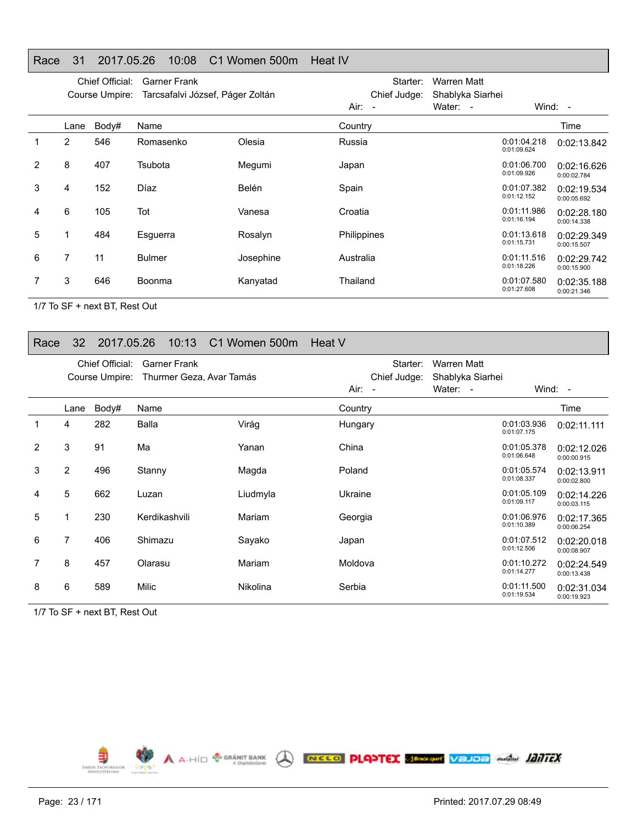#### Race 31 2017.05.26 10:08 C1 Women 500m Heat IV

|   |                | Chief Official:<br>Course Umpire: | <b>Garner Frank</b><br>Tarcsafalvi József, Páger Zoltán |           | Starter:<br>Chief Judge: | Warren Matt<br>Shablyka Siarhei |                            |                            |
|---|----------------|-----------------------------------|---------------------------------------------------------|-----------|--------------------------|---------------------------------|----------------------------|----------------------------|
|   |                |                                   |                                                         |           | Air: -                   | Water: -                        |                            | Wind: $-$                  |
|   | Lane           | Body#                             | Name                                                    |           | Country                  |                                 |                            | Time                       |
| 1 | $\overline{2}$ | 546                               | Romasenko                                               | Olesia    | Russia                   |                                 | 0:01:04.218<br>0:01:09.624 | 0:02:13.842                |
| 2 | 8              | 407                               | Tsubota                                                 | Megumi    | Japan                    |                                 | 0:01:06.700<br>0:01:09.926 | 0:02:16.626<br>0:00:02.784 |
| 3 | 4              | 152                               | Díaz                                                    | Belén     | Spain                    |                                 | 0:01:07.382<br>0:01:12.152 | 0:02:19.534<br>0:00:05.692 |
| 4 | 6              | 105                               | Tot                                                     | Vanesa    | Croatia                  |                                 | 0:01:11.986<br>0:01:16.194 | 0:02:28.180<br>0:00:14.338 |
| 5 |                | 484                               | Esguerra                                                | Rosalyn   | <b>Philippines</b>       |                                 | 0:01:13.618<br>0:01:15.731 | 0:02:29.349<br>0:00:15.507 |
| 6 | 7              | 11                                | <b>Bulmer</b>                                           | Josephine | Australia                |                                 | 0:01:11.516<br>0:01:18.226 | 0:02:29.742<br>0:00:15.900 |
|   | 3              | 646                               | Boonma                                                  | Kanyatad  | Thailand                 |                                 | 0:01:07.580<br>0:01:27.608 | 0:02:35.188<br>0:00:21.346 |

1/7 To SF + next BT, Rest Out

#### Race 32 2017.05.26 10:13 C1 Women 500m Heat V

|   |                | Chief Official:<br>Course Umpire: | <b>Garner Frank</b><br>Thurmer Geza, Avar Tamás |                 | $Air: -$ | Starter:<br>Chief Judge: | Warren Matt<br>Shablyka Siarhei<br>Water: - | Wind: $-$                  |                            |
|---|----------------|-----------------------------------|-------------------------------------------------|-----------------|----------|--------------------------|---------------------------------------------|----------------------------|----------------------------|
|   |                |                                   |                                                 |                 |          |                          |                                             |                            |                            |
|   | Lane           | Body#                             | Name                                            |                 | Country  |                          |                                             |                            | Time                       |
|   | 4              | 282                               | Balla                                           | Virág           | Hungary  |                          |                                             | 0:01:03.936<br>0:01:07.175 | 0:02:11.111                |
| 2 | 3              | 91                                | Ma                                              | Yanan           | China    |                          |                                             | 0:01:05.378<br>0:01:06.648 | 0:02:12.026<br>0:00:00.915 |
| 3 | 2              | 496                               | Stanny                                          | Magda           | Poland   |                          |                                             | 0:01:05.574<br>0:01:08.337 | 0:02:13.911<br>0:00:02.800 |
| 4 | 5              | 662                               | Luzan                                           | Liudmyla        | Ukraine  |                          |                                             | 0:01:05.109<br>0:01:09.117 | 0:02:14.226<br>0:00:03.115 |
| 5 | 1              | 230                               | Kerdikashvili                                   | Mariam          | Georgia  |                          |                                             | 0:01:06.976<br>0:01:10.389 | 0:02:17.365<br>0:00:06.254 |
| 6 | $\overline{7}$ | 406                               | Shimazu                                         | Sayako          | Japan    |                          |                                             | 0:01:07.512<br>0:01:12.506 | 0:02:20.018<br>0:00:08.907 |
| 7 | 8              | 457                               | Olarasu                                         | Mariam          | Moldova  |                          |                                             | 0:01:10.272<br>0:01:14.277 | 0:02:24.549<br>0:00:13.438 |
| 8 | 6              | 589                               | Milic                                           | <b>Nikolina</b> | Serbia   |                          |                                             | 0:01:11.500<br>0:01:19.534 | 0:02:31.034<br>0:00:19.923 |

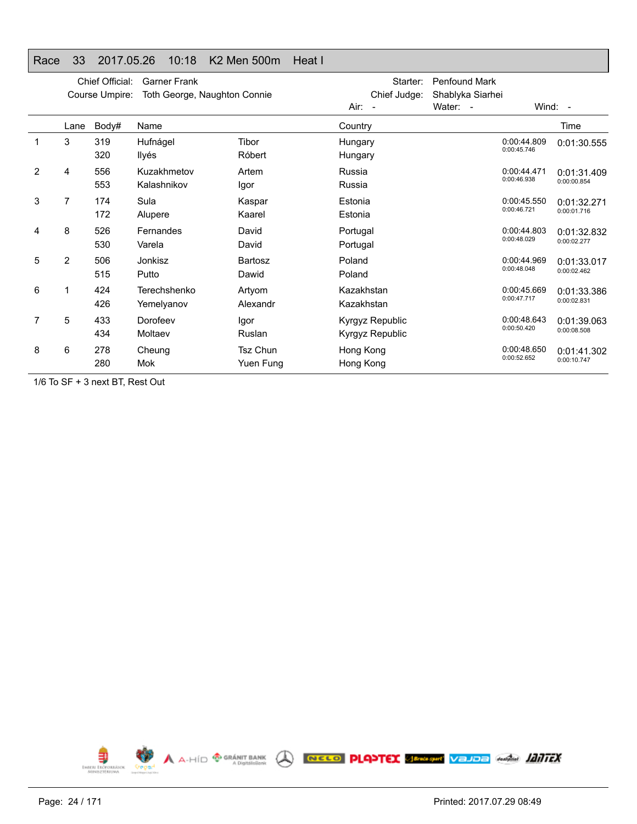#### Race 33 2017.05.26 10:18 K2 Men 500m Heat I

|                |                | Chief Official:<br>Course Umpire: | <b>Garner Frank</b><br>Toth George, Naughton Connie |                              | Air:<br>$\overline{\phantom{a}}$   | Starter:<br>Chief Judge: | <b>Penfound Mark</b><br>Shablyka Siarhei<br>Water: - |                            | Wind: -                    |
|----------------|----------------|-----------------------------------|-----------------------------------------------------|------------------------------|------------------------------------|--------------------------|------------------------------------------------------|----------------------------|----------------------------|
|                | Lane           | Body#                             | Name                                                |                              | Country                            |                          |                                                      |                            | Time                       |
|                | 3              | 319<br>320                        | Hufnágel<br>Ilyés                                   | Tibor<br>Róbert              | Hungary<br>Hungary                 |                          |                                                      | 0:00:44.809<br>0:00:45.746 | 0:01:30.555                |
| $\overline{2}$ | 4              | 556<br>553                        | Kuzakhmetov<br>Kalashnikov                          | Artem<br>Igor                | Russia<br>Russia                   |                          |                                                      | 0:00:44.471<br>0:00:46.938 | 0:01:31.409<br>0:00:00.854 |
| 3              | 7              | 174<br>172                        | Sula<br>Alupere                                     | Kaspar<br>Kaarel             | Estonia<br>Estonia                 |                          |                                                      | 0:00:45.550<br>0:00:46.721 | 0:01:32.271<br>0:00:01.716 |
| 4              | 8              | 526<br>530                        | Fernandes<br>Varela                                 | David<br>David               | Portugal<br>Portugal               |                          |                                                      | 0:00:44.803<br>0:00:48.029 | 0:01:32.832<br>0:00:02.277 |
| 5              | $\overline{2}$ | 506<br>515                        | Jonkisz<br>Putto                                    | Bartosz<br>Dawid             | Poland<br>Poland                   |                          |                                                      | 0:00:44.969<br>0:00:48.048 | 0:01:33.017<br>0:00:02.462 |
| 6              | 1              | 424<br>426                        | Terechshenko<br>Yemelyanov                          | Artyom<br>Alexandr           | Kazakhstan<br>Kazakhstan           |                          |                                                      | 0:00:45.669<br>0:00:47.717 | 0:01:33.386<br>0:00:02.831 |
| 7              | 5              | 433<br>434                        | Dorofeev<br>Moltaev                                 | Igor<br>Ruslan               | Kyrgyz Republic<br>Kyrgyz Republic |                          |                                                      | 0:00:48.643<br>0:00:50.420 | 0:01:39.063<br>0:00:08.508 |
| 8              | 6              | 278<br>280                        | Cheung<br>Mok                                       | <b>Tsz Chun</b><br>Yuen Fung | Hong Kong<br>Hong Kong             |                          |                                                      | 0:00:48.650<br>0:00:52.652 | 0:01:41.302<br>0:00:10.747 |

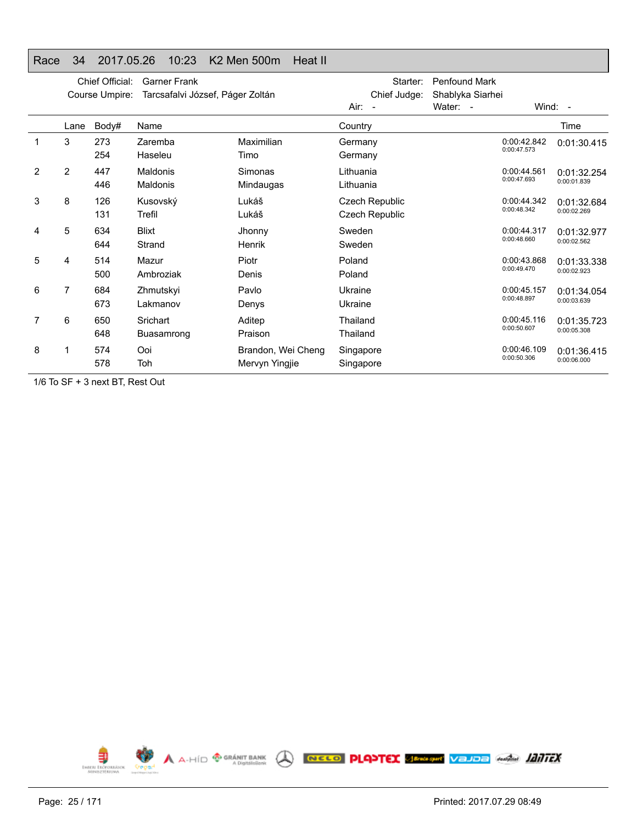#### Race 34 2017.05.26 10:23 K2 Men 500m Heat II

|   |      | Chief Official:<br>Course Umpire: | <b>Garner Frank</b><br>Tarcsafalvi József, Páger Zoltán |                                      | Starter:<br>Chief Judge:<br>Air:<br>$\sim$ | <b>Penfound Mark</b><br>Shablyka Siarhei<br>Water: - |                            | Wind: -                    |
|---|------|-----------------------------------|---------------------------------------------------------|--------------------------------------|--------------------------------------------|------------------------------------------------------|----------------------------|----------------------------|
|   | Lane | Body#                             | Name                                                    |                                      | Country                                    |                                                      |                            | Time                       |
|   | 3    | 273<br>254                        | Zaremba<br>Haseleu                                      | Maximilian<br>Timo                   | Germany<br>Germany                         |                                                      | 0:00:42.842<br>0:00:47.573 | 0:01:30.415                |
| 2 | 2    | 447<br>446                        | Maldonis<br>Maldonis                                    | <b>Simonas</b><br>Mindaugas          | Lithuania<br>Lithuania                     |                                                      | 0:00:44.561<br>0:00:47.693 | 0:01:32.254<br>0:00:01.839 |
| 3 | 8    | 126<br>131                        | Kusovský<br>Trefil                                      | Lukáš<br>Lukáš                       | Czech Republic<br>Czech Republic           |                                                      | 0:00:44.342<br>0:00:48.342 | 0:01:32.684<br>0:00:02.269 |
| 4 | 5    | 634<br>644                        | <b>Blixt</b><br>Strand                                  | Jhonny<br>Henrik                     | Sweden<br>Sweden                           |                                                      | 0:00:44.317<br>0:00:48.660 | 0:01:32.977<br>0:00:02.562 |
| 5 | 4    | 514<br>500                        | Mazur<br>Ambroziak                                      | Piotr<br>Denis                       | Poland<br>Poland                           |                                                      | 0:00:43.868<br>0:00:49.470 | 0:01:33.338<br>0:00:02.923 |
| 6 | 7    | 684<br>673                        | Zhmutskyi<br>Lakmanov                                   | Pavlo<br>Denys                       | Ukraine<br>Ukraine                         |                                                      | 0:00:45.157<br>0:00:48.897 | 0:01:34.054<br>0:00:03.639 |
| 7 | 6    | 650<br>648                        | Srichart<br>Buasamrong                                  | Aditep<br>Praison                    | Thailand<br>Thailand                       |                                                      | 0:00:45.116<br>0:00:50.607 | 0:01:35.723<br>0:00:05.308 |
| 8 |      | 574<br>578                        | Ooi<br>Toh                                              | Brandon, Wei Cheng<br>Mervyn Yingjie | Singapore<br>Singapore                     |                                                      | 0:00:46.109<br>0:00:50.306 | 0:01:36.415<br>0:00:06.000 |

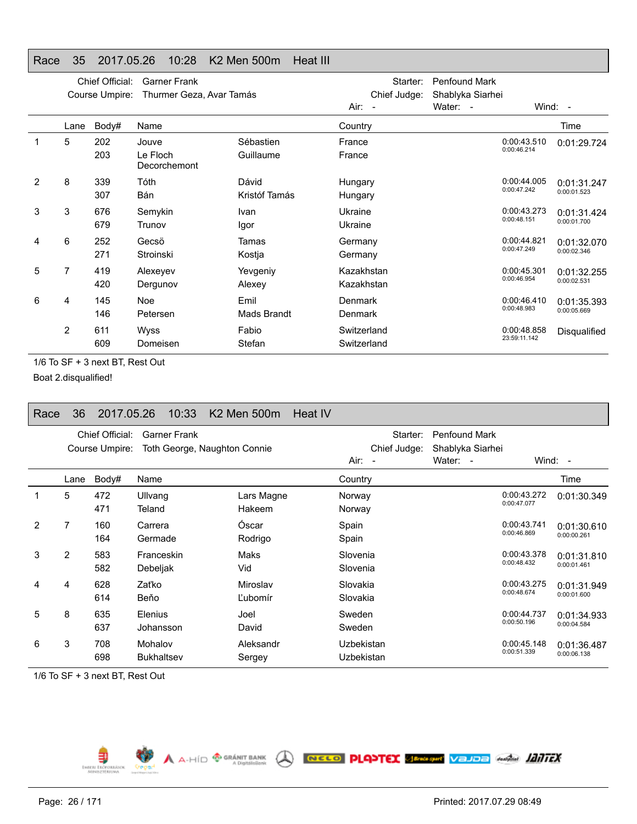#### Race 35 2017.05.26 10:28 K2 Men 500m Heat III

|   |      | Chief Official:<br>Course Umpire: | <b>Garner Frank</b><br>Thurmer Geza, Avar Tamás |                            |                            | Starter:<br>Chief Judge: | <b>Penfound Mark</b><br>Shablyka Siarhei |                             |                            |
|---|------|-----------------------------------|-------------------------------------------------|----------------------------|----------------------------|--------------------------|------------------------------------------|-----------------------------|----------------------------|
|   |      |                                   |                                                 |                            | Air: -                     |                          | Water: -                                 |                             | Wind: -                    |
|   | Lane | Body#                             | Name                                            |                            | Country                    |                          |                                          |                             | Time                       |
|   | 5    | 202<br>203                        | Jouve<br>Le Floch<br>Decorchemont               | Sébastien<br>Guillaume     | France<br>France           |                          |                                          | 0:00:43.510<br>0:00:46.214  | 0:01:29.724                |
| 2 | 8    | 339<br>307                        | Tóth<br>Bán                                     | Dávid<br>Kristóf Tamás     | Hungary<br>Hungary         |                          |                                          | 0:00:44.005<br>0:00:47.242  | 0:01:31.247<br>0:00:01.523 |
| 3 | 3    | 676<br>679                        | Semykin<br>Trunov                               | Ivan<br>Igor               | Ukraine<br>Ukraine         |                          |                                          | 0:00:43.273<br>0:00:48.151  | 0:01:31.424<br>0:00:01.700 |
| 4 | 6    | 252<br>271                        | Gecsö<br>Stroinski                              | Tamas<br>Kostja            | Germany<br>Germany         |                          |                                          | 0:00:44.821<br>0:00:47.249  | 0:01:32.070<br>0:00:02.346 |
| 5 | 7    | 419<br>420                        | Alexeyev<br>Dergunov                            | Yevgeniy<br>Alexey         | Kazakhstan<br>Kazakhstan   |                          |                                          | 0:00:45.301<br>0:00:46.954  | 0:01:32.255<br>0:00:02.531 |
| 6 | 4    | 145<br>146                        | Noe<br>Petersen                                 | Emil<br><b>Mads Brandt</b> | Denmark<br>Denmark         |                          |                                          | 0:00:46.410<br>0:00:48.983  | 0:01:35.393<br>0:00:05.669 |
|   | 2    | 611<br>609                        | <b>Wyss</b><br>Domeisen                         | Fabio<br>Stefan            | Switzerland<br>Switzerland |                          |                                          | 0:00:48.858<br>23:59:11.142 | Disqualified               |

1/6 To SF + 3 next BT, Rest Out

Boat 2.disqualified!

# Race 36 2017.05.26 10:33 K2 Men 500m Heat IV

|               |                | Chief Official:<br>Course Umpire: | <b>Garner Frank</b><br>Toth George, Naughton Connie |                      | Chief Judge:<br>$Air: -$ | Starter:<br><b>Penfound Mark</b><br>Shablyka Siarhei<br>Water: - |                            | Wind: $-$                  |
|---------------|----------------|-----------------------------------|-----------------------------------------------------|----------------------|--------------------------|------------------------------------------------------------------|----------------------------|----------------------------|
|               | Lane           | Body#                             | Name                                                |                      | Country                  |                                                                  |                            | Time                       |
| 1             | 5              | 472<br>471                        | Ullvang<br>Teland                                   | Lars Magne<br>Hakeem | Norway<br>Norway         |                                                                  | 0:00:43.272<br>0:00:47.077 | 0:01:30.349                |
| $\mathcal{P}$ | 7              | 160<br>164                        | Carrera<br>Germade                                  | Óscar<br>Rodrigo     | Spain<br>Spain           |                                                                  | 0:00:43.741<br>0:00:46.869 | 0:01:30.610<br>0:00:00.261 |
| 3             | $\overline{2}$ | 583<br>582                        | Franceskin<br>Debeljak                              | Maks<br>Vid          | Slovenia<br>Slovenia     |                                                                  | 0:00:43.378<br>0:00:48.432 | 0:01:31.810<br>0:00:01.461 |
| 4             | 4              | 628<br>614                        | Zaťko<br>Beňo                                       | Miroslav<br>L'ubomír | Slovakia<br>Slovakia     |                                                                  | 0:00:43.275<br>0:00:48.674 | 0:01:31.949<br>0:00:01.600 |
| 5             | 8              | 635<br>637                        | <b>Elenius</b><br>Johansson                         | Joel<br>David        | Sweden<br>Sweden         |                                                                  | 0:00:44.737<br>0:00:50.196 | 0:01:34.933<br>0:00:04.584 |
| 6             | 3              | 708<br>698                        | Mohalov<br><b>Bukhaltsev</b>                        | Aleksandr<br>Sergey  | Uzbekistan<br>Uzbekistan |                                                                  | 0:00:45.148<br>0:00:51.339 | 0:01:36.487<br>0:00:06.138 |

1/6 To SF + 3 next BT, Rest Out

⋾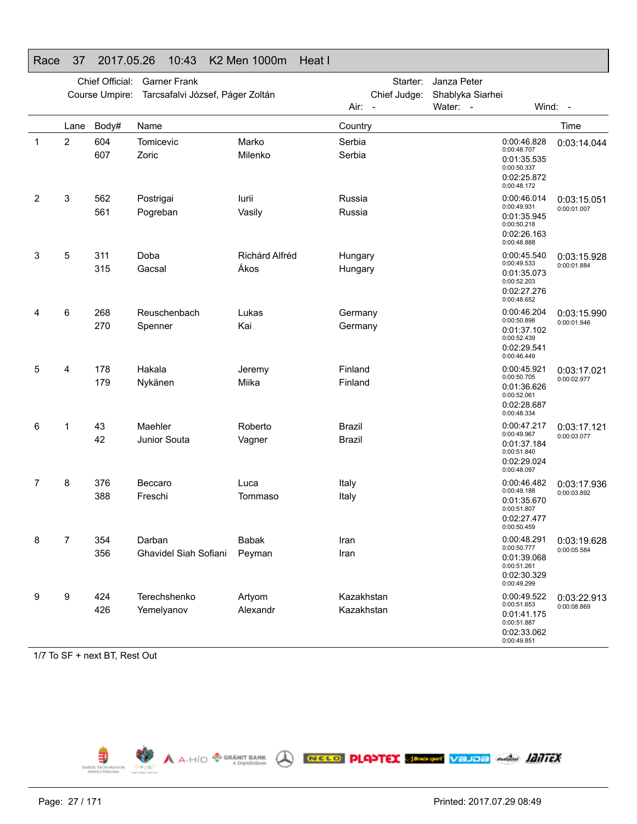#### Race 37 2017.05.26 10:43 K2 Men 1000m Heat I

|   |      | Chief Official: | <b>Garner Frank</b>              |                        | Starter:                 | Janza Peter                                                                            |                            |
|---|------|-----------------|----------------------------------|------------------------|--------------------------|----------------------------------------------------------------------------------------|----------------------------|
|   |      | Course Umpire:  | Tarcsafalvi József, Páger Zoltán |                        | Chief Judge:<br>Air: -   | Shablyka Siarhei<br>Water: -                                                           | Wind: -                    |
|   | Lane | Body#           | Name                             |                        | Country                  |                                                                                        | Time                       |
| 1 | 2    | 604<br>607      | Tomicevic<br>Zoric               | Marko<br>Milenko       | Serbia<br>Serbia         | 0:00:46.828<br>0:00:48.707<br>0:01:35.535<br>0:00:50.337<br>0:02:25.872<br>0:00:48.172 | 0:03:14.044                |
| 2 | 3    | 562<br>561      | Postrigai<br>Pogreban            | lurii<br>Vasily        | Russia<br>Russia         | 0:00:46.014<br>0:00:49.931<br>0:01:35.945<br>0:00:50.218<br>0:02:26.163<br>0:00:48.888 | 0:03:15.051<br>0:00:01.007 |
| 3 | 5    | 311<br>315      | Doba<br>Gacsal                   | Richárd Alfréd<br>Ákos | Hungary<br>Hungary       | 0:00:45.540<br>0:00:49.533<br>0:01:35.073<br>0:00:52.203<br>0:02:27.276<br>0:00:48.652 | 0:03:15.928<br>0:00:01.884 |
| 4 | 6    | 268<br>270      | Reuschenbach<br>Spenner          | Lukas<br>Kai           | Germany<br>Germany       | 0:00:46.204<br>0:00:50.898<br>0:01:37.102<br>0:00:52.439<br>0:02:29.541<br>0:00:46.449 | 0:03:15.990<br>0:00:01.946 |
| 5 | 4    | 178<br>179      | Hakala<br>Nykänen                | Jeremy<br>Miika        | Finland<br>Finland       | 0:00:45.921<br>0:00:50.705<br>0:01:36.626<br>0:00:52.061<br>0:02:28.687<br>0:00:48.334 | 0:03:17.021<br>0:00:02.977 |
| 6 | 1    | 43<br>42        | Maehler<br>Junior Souta          | Roberto<br>Vagner      | Brazil<br><b>Brazil</b>  | 0:00:47.217<br>0:00:49.967<br>0:01:37.184<br>0:00:51.840<br>0:02:29.024<br>0:00:48.097 | 0:03:17.121<br>0:00:03.077 |
| 7 | 8    | 376<br>388      | Beccaro<br>Freschi               | Luca<br>Tommaso        | Italy<br>Italy           | 0:00:46.482<br>0:00:49.188<br>0:01:35.670<br>0:00:51.807<br>0:02:27.477<br>0:00:50.459 | 0:03:17.936<br>0:00:03.892 |
| 8 | 7    | 354<br>356      | Darban<br>Ghavidel Siah Sofiani  | Babak<br>Peyman        | Iran<br>Iran             | 0:00:48.291<br>0:00:50.777<br>0:01:39.068<br>0:00:51.261<br>0:02:30.329<br>0:00:49.299 | 0:03:19.628<br>0:00:05.584 |
| 9 | 9    | 424<br>426      | Terechshenko<br>Yemelyanov       | Artyom<br>Alexandr     | Kazakhstan<br>Kazakhstan | 0:00:49.522<br>0:00:51.653<br>0:01:41.175<br>0:00:51.887<br>0:02:33.062<br>0:00:49.851 | 0:03:22.913<br>0:00:08.869 |

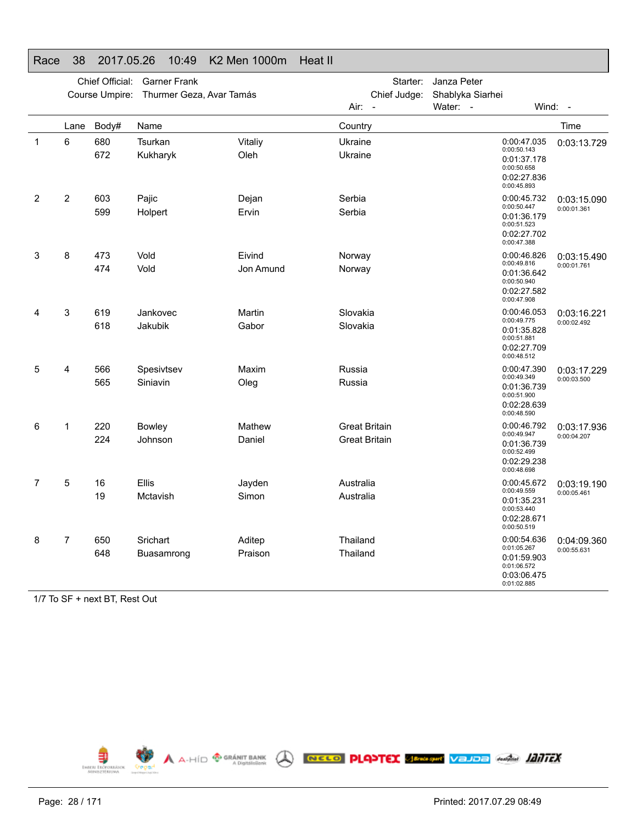|   |      | Chief Official:<br>Course Umpire: | <b>Garner Frank</b><br>Thurmer Geza, Avar Tamás |                     | Starter:<br>Chief Judge:                     | Janza Peter<br>Shablyka Siarhei |                                                                                        |                            |
|---|------|-----------------------------------|-------------------------------------------------|---------------------|----------------------------------------------|---------------------------------|----------------------------------------------------------------------------------------|----------------------------|
|   |      |                                   |                                                 |                     | Air:<br>$\overline{\phantom{a}}$             | Water: -                        |                                                                                        | Wind: -                    |
|   | Lane | Body#                             | Name                                            |                     | Country                                      |                                 |                                                                                        | Time                       |
| 1 | 6    | 680<br>672                        | Tsurkan<br>Kukharyk                             | Vitaliy<br>Oleh     | Ukraine<br>Ukraine                           |                                 | 0:00:47.035<br>0:00:50.143<br>0:01:37.178<br>0:00:50.658<br>0:02:27.836<br>0:00:45.893 | 0:03:13.729                |
| 2 | 2    | 603<br>599                        | Pajic<br>Holpert                                | Dejan<br>Ervin      | Serbia<br>Serbia                             |                                 | 0:00:45.732<br>0:00:50.447<br>0:01:36.179<br>0:00:51.523<br>0:02:27.702<br>0:00:47.388 | 0:03:15.090<br>0:00:01.361 |
| 3 | 8    | 473<br>474                        | Vold<br>Vold                                    | Eivind<br>Jon Amund | Norway<br>Norway                             |                                 | 0:00:46.826<br>0:00:49.816<br>0:01:36.642<br>0:00:50.940<br>0:02:27.582<br>0:00:47.908 | 0:03:15.490<br>0:00:01.761 |
| 4 | 3    | 619<br>618                        | Jankovec<br>Jakubik                             | Martin<br>Gabor     | Slovakia<br>Slovakia                         |                                 | 0:00:46.053<br>0:00:49.775<br>0:01:35.828<br>0:00:51.881<br>0:02:27.709<br>0:00:48.512 | 0:03:16.221<br>0:00:02.492 |
| 5 | 4    | 566<br>565                        | Spesivtsev<br>Siniavin                          | Maxim<br>Oleg       | Russia<br>Russia                             |                                 | 0:00:47.390<br>0:00:49.349<br>0:01:36.739<br>0:00:51.900<br>0:02:28.639<br>0:00:48.590 | 0:03:17.229<br>0:00:03.500 |
| 6 | 1    | 220<br>224                        | <b>Bowley</b><br>Johnson                        | Mathew<br>Daniel    | <b>Great Britain</b><br><b>Great Britain</b> |                                 | 0:00:46.792<br>0:00:49.947<br>0:01:36.739<br>0:00:52.499<br>0:02:29.238<br>0:00:48.698 | 0:03:17.936<br>0:00:04.207 |
| 7 | 5    | 16<br>19                          | Ellis<br>Mctavish                               | Jayden<br>Simon     | Australia<br>Australia                       |                                 | 0:00:45.672<br>0:00:49.559<br>0:01:35.231<br>0:00:53.440<br>0:02:28.671<br>0:00:50.519 | 0:03:19.190<br>0:00:05.461 |
| 8 | 7    | 650<br>648                        | Srichart<br>Buasamrong                          | Aditep<br>Praison   | Thailand<br>Thailand                         |                                 | 0:00:54.636<br>0:01:05.267<br>0:01:59.903<br>0:01:06.572<br>0:03:06.475<br>0:01:02.885 | 0:04:09.360<br>0:00:55.631 |

#### Race 38 2017.05.26 10:49 K2 Men 1000m Heat II

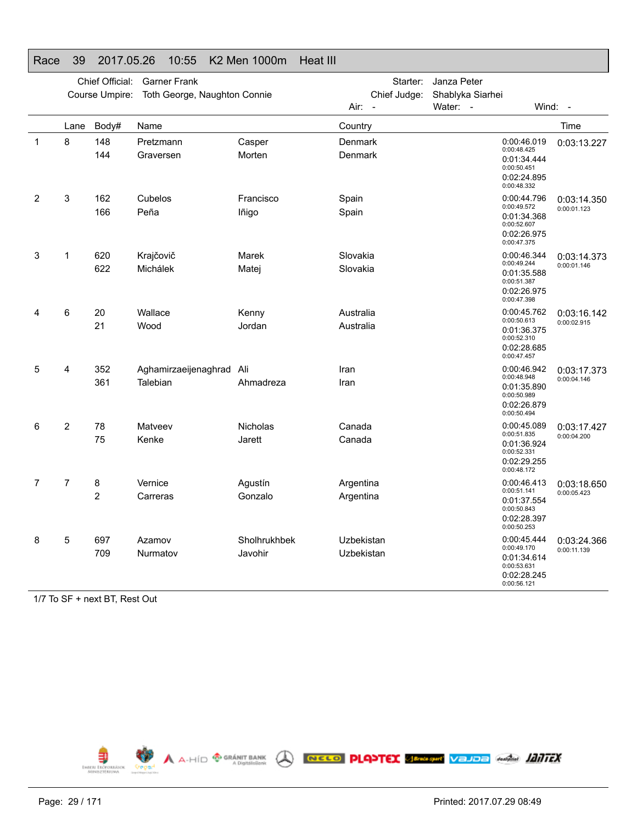|   |                | Chief Official: | <b>Garner Frank</b>                  |                         | Starter:                 | Janza Peter      |                                                                                        |                            |
|---|----------------|-----------------|--------------------------------------|-------------------------|--------------------------|------------------|----------------------------------------------------------------------------------------|----------------------------|
|   |                | Course Umpire:  | Toth George, Naughton Connie         |                         | Chief Judge:             | Shablyka Siarhei |                                                                                        |                            |
|   |                |                 |                                      |                         | Air:<br>$\overline{a}$   | Water: -         |                                                                                        | Wind: -                    |
|   | Lane           | Body#           | Name                                 |                         | Country                  |                  |                                                                                        | Time                       |
| 1 | 8              | 148<br>144      | Pretzmann<br>Graversen               | Casper<br>Morten        | Denmark<br>Denmark       |                  | 0:00:46.019<br>0:00:48.425<br>0:01:34.444<br>0:00:50.451<br>0:02:24.895<br>0:00:48.332 | 0:03:13.227                |
| 2 | 3              | 162<br>166      | Cubelos<br>Peña                      | Francisco<br>lñigo      | Spain<br>Spain           |                  | 0:00:44.796<br>0:00:49.572<br>0:01:34.368<br>0:00:52.607<br>0:02:26.975<br>0:00:47.375 | 0:03:14.350<br>0:00:01.123 |
| 3 | 1              | 620<br>622      | Krajčovič<br>Michálek                | Marek<br>Matei          | Slovakia<br>Slovakia     |                  | 0:00:46.344<br>0:00:49.244<br>0:01:35.588<br>0:00:51.387<br>0:02:26.975<br>0:00:47.398 | 0:03:14.373<br>0:00:01.146 |
| 4 | 6              | 20<br>21        | Wallace<br>Wood                      | Kenny<br>Jordan         | Australia<br>Australia   |                  | 0:00:45.762<br>0:00:50.613<br>0:01:36.375<br>0:00:52.310<br>0:02:28.685<br>0:00:47.457 | 0:03:16.142<br>0:00:02.915 |
| 5 | 4              | 352<br>361      | Aghamirzaeijenaghrad Ali<br>Talebian | Ahmadreza               | Iran<br>Iran             |                  | 0:00:46.942<br>0:00:48.948<br>0:01:35.890<br>0:00:50.989<br>0:02:26.879<br>0:00:50.494 | 0:03:17.373<br>0:00:04.146 |
| 6 | $\overline{2}$ | 78<br>75        | Matveev<br>Kenke                     | Nicholas<br>Jarett      | Canada<br>Canada         |                  | 0:00:45.089<br>0:00:51.835<br>0:01:36.924<br>0:00:52.331<br>0:02:29.255<br>0:00:48.172 | 0:03:17.427<br>0:00:04.200 |
| 7 | 7              | 8<br>2          | Vernice<br>Carreras                  | Agustín<br>Gonzalo      | Argentina<br>Argentina   |                  | 0:00:46.413<br>0:00:51.141<br>0:01:37.554<br>0:00:50.843<br>0:02:28.397<br>0:00:50.253 | 0:03:18.650<br>0:00:05.423 |
| 8 | 5              | 697<br>709      | Azamov<br>Nurmatov                   | Sholhrukhbek<br>Javohir | Uzbekistan<br>Uzbekistan |                  | 0:00:45.444<br>0:00:49.170<br>0:01:34.614<br>0:00:53.631<br>0:02:28.245<br>0:00:56.121 | 0:03:24.366<br>0:00:11.139 |

#### Race 39 2017.05.26 10:55 K2 Men 1000m Heat III

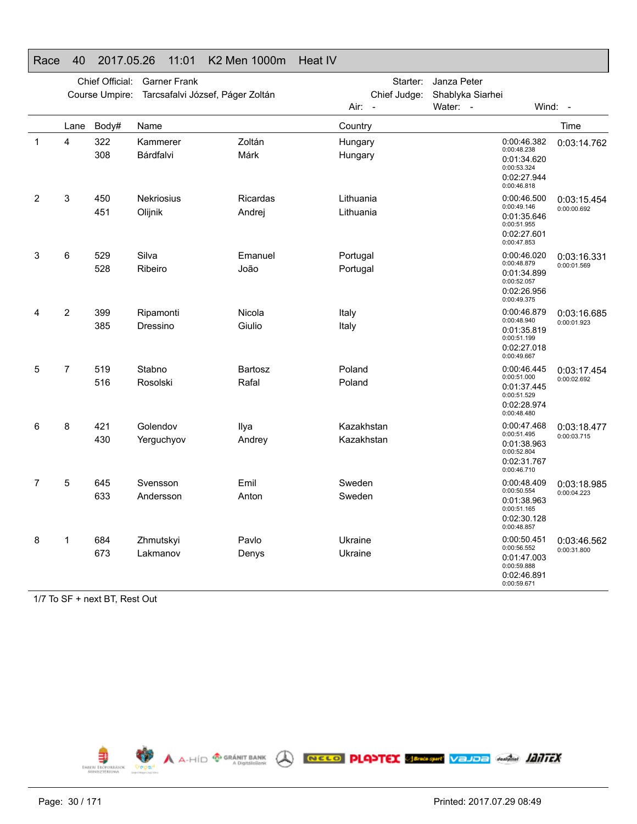|             |                | Chief Official: | <b>Garner Frank</b>              |                           | Starter:               | Janza Peter                  |                                                                                        |                            |
|-------------|----------------|-----------------|----------------------------------|---------------------------|------------------------|------------------------------|----------------------------------------------------------------------------------------|----------------------------|
|             |                | Course Umpire:  | Tarcsafalvi József, Páger Zoltán |                           | Chief Judge:<br>Air:   | Shablyka Siarhei<br>Water: - |                                                                                        | Wind: -                    |
|             |                |                 |                                  |                           | $\overline{a}$         |                              |                                                                                        |                            |
|             | Lane           | Body#           | Name                             | Zoltán                    | Country                |                              |                                                                                        | Time                       |
| $\mathbf 1$ | 4              | 322<br>308      | Kammerer<br>Bárdfalvi            | Márk                      | Hungary<br>Hungary     |                              | 0:00:46.382<br>0:00:48.238<br>0:01:34.620<br>0:00:53.324<br>0:02:27.944<br>0:00:46.818 | 0:03:14.762                |
| 2           | 3              | 450<br>451      | <b>Nekriosius</b><br>Olijnik     | <b>Ricardas</b><br>Andrej | Lithuania<br>Lithuania |                              | 0:00:46.500<br>0:00:49.146                                                             | 0:03:15.454<br>0:00:00.692 |
|             |                |                 |                                  |                           |                        |                              | 0:01:35.646<br>0:00:51.955<br>0:02:27.601<br>0:00:47.853                               |                            |
| 3           | 6              | 529             | Silva                            | Emanuel                   | Portugal               |                              | 0:00:46.020                                                                            | 0:03:16.331                |
|             |                | 528             | Ribeiro                          | João                      | Portugal               |                              | 0:00:48.879<br>0:01:34.899<br>0:00:52.057<br>0:02:26.956<br>0:00:49.375                | 0:00:01.569                |
| 4           | $\overline{2}$ | 399             | Ripamonti                        | Nicola                    | Italy                  |                              | 0:00:46.879                                                                            | 0:03:16.685                |
|             |                | 385             | Dressino                         | Giulio                    | Italy                  |                              | 0:00:48.940<br>0:01:35.819<br>0:00:51.199<br>0:02:27.018<br>0:00:49.667                | 0:00:01.923                |
| 5           | 7              | 519             | Stabno                           | Bartosz                   | Poland                 |                              | 0:00:46.445                                                                            | 0:03:17.454                |
|             |                | 516             | Rosolski                         | Rafal                     | Poland                 |                              | 0:00:51.000<br>0:01:37.445<br>0:00:51.529<br>0:02:28.974<br>0:00:48.480                | 0:00:02.692                |
| 6           | 8              | 421             | Golendov                         | Ilya                      | Kazakhstan             |                              | 0:00:47.468<br>0:00:51.495                                                             | 0:03:18.477                |
|             |                | 430             | Yerguchyov                       | Andrey                    | Kazakhstan             |                              | 0:01:38.963<br>0:00:52.804<br>0:02:31.767<br>0:00:46.710                               | 0:00:03.715                |
| 7           | 5              | 645             | Svensson                         | Emil                      | Sweden                 |                              | 0:00:48.409                                                                            | 0:03:18.985                |
|             |                | 633             | Andersson                        | Anton                     | Sweden                 |                              | 0:00:50.554<br>0:01:38.963<br>0:00:51.165<br>0:02:30.128<br>0:00:48.857                | 0:00:04.223                |
| 8           | 1              | 684             | Zhmutskyi                        | Pavlo                     | Ukraine                |                              | 0:00:50.451<br>0:00:56.552                                                             | 0:03:46.562                |
|             |                | 673             | Lakmanov                         | Denys                     | Ukraine                |                              | 0:01:47.003<br>0:00:59.888<br>0:02:46.891<br>0:00:59.671                               | 0:00:31.800                |

#### Race 40 2017.05.26 11:01 K2 Men 1000m Heat IV

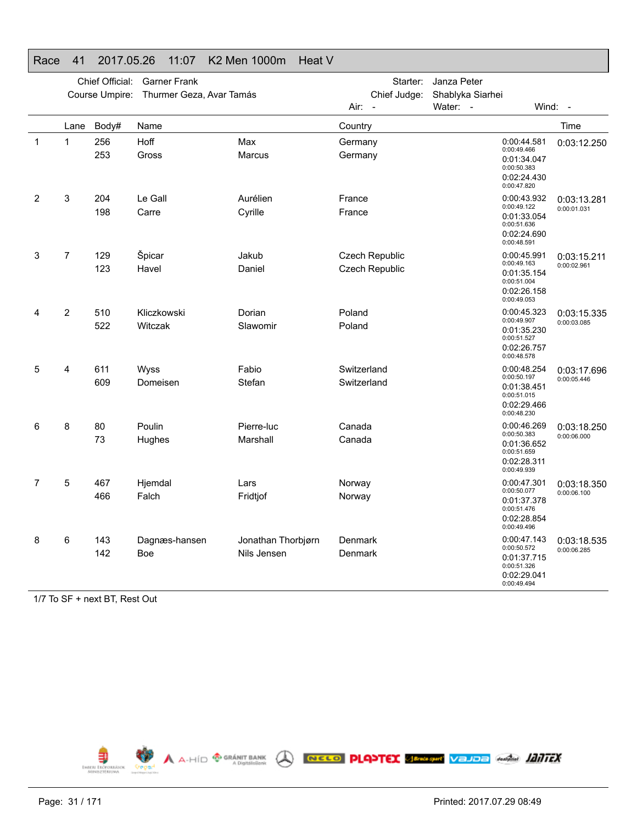#### Chief Official: Garner Frank Course Umpire: Thurmer Geza, Avar Tamás Starter: Janza Peter Chief Judge: Shablyka Siarhei Air: - Water: - Wind: - LaneBody# Name Time 11 256 Hoff Max Max Germany 253Gross Marcus Marcus Germany 0:00:44.5810:00:49.4660:01:34.0470:00:50.383 0:02:24.430 0:00:47.8200:03:12.25023 204 Le Gall **Aurélien** Aurélien France 198Carre Cyrille Covers Cyrille France 0:00:43.9320:00:49.122 0:01:33.0540:00:51.636 0:02:24.6900:00:48.5910:03:13.2810:00:01.03137 129 Špicar Jakub Czech Republic 123Havel Daniel Daniel Czech Republic 0:00:45.991 0:00:49.163 0:01:35.1540:00:51.0040:02:26.158 0:00:49.053 0:03:15.2110:00:02.9614 2 510 Kliczkowski Dorian Poland 522Witczak Slawomir Poland 0:00:45.323 0:00:49.9070:01:35.2300:00:51.5270:02:26.7570:00:48.578 0:03:15.3350:00:03.0855 4 611 Wyss Fabio Switzerland 609Domeisen Stefan Switzerland 0:00:48.254 0:00:50.1970:01:38.4510:00:51.015 0:02:29.466 0:00:48.2300:03:17.696 0:00:05.446 68 80 Poulin Pierre-luc Canada 73Hughes Marshall Canada 0:00:46.269 0:00:50.383 0:01:36.652 0:00:51.6590:02:28.3110:00:49.939 0:03:18.250 0:00:06.000 7 5 467 Hjemdal Lars Norway 466Falch Fridtiof **Norway** 0:00:47.3010:00:50.077 0:01:37.3780:00:51.4760:02:28.8540:00:49.496 0:03:18.350 0:00:06.100 8 6 143 Dagnæs-hansen Jonathan Thorbjørn Denmark 142 Boe Nils Jensen Denmark 0:00:47.143 0:00:50.5720:01:37.715 0:00:51.326 0:02:29.0410:00:49.4940:03:18.535 0:00:06.285

#### Race 41 2017.05.26 11:07 K2 Men 1000m Heat V

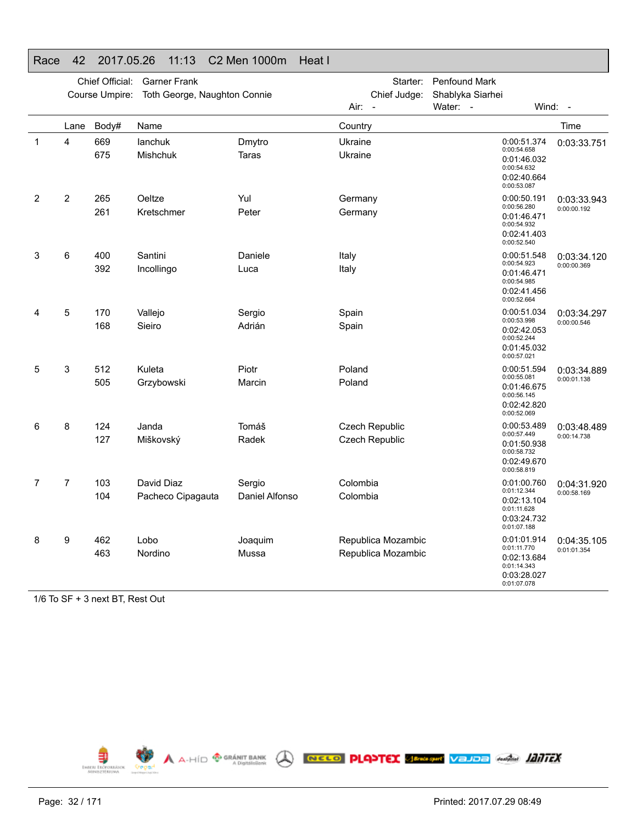|              |      | Chief Official: | <b>Garner Frank</b>             |                          | Starter:                                         | Penfound Mark                                                                          |                            |
|--------------|------|-----------------|---------------------------------|--------------------------|--------------------------------------------------|----------------------------------------------------------------------------------------|----------------------------|
|              |      | Course Umpire:  | Toth George, Naughton Connie    |                          | Chief Judge:<br>Air:<br>$\overline{\phantom{a}}$ | Shablyka Siarhei<br>Water: -                                                           | Wind: -                    |
|              | Lane | Body#           | Name                            |                          | Country                                          |                                                                                        | Time                       |
| $\mathbf{1}$ | 4    | 669<br>675      | lanchuk<br>Mishchuk             | Dmytro<br>Taras          | Ukraine<br>Ukraine                               | 0:00:51.374<br>0:00:54.658<br>0:01:46.032<br>0:00:54.632<br>0:02:40.664<br>0:00:53.087 | 0:03:33.751                |
| 2            | 2    | 265<br>261      | Oeltze<br>Kretschmer            | Yul<br>Peter             | Germany<br>Germany                               | 0:00:50.191<br>0:00:56.280<br>0:01:46.471<br>0:00:54.932<br>0:02:41.403<br>0:00:52.540 | 0:03:33.943<br>0:00:00.192 |
| 3            | 6    | 400<br>392      | Santini<br>Incollingo           | Daniele<br>Luca          | Italy<br>Italy                                   | 0:00:51.548<br>0:00:54.923<br>0:01:46.471<br>0:00:54.985<br>0:02:41.456<br>0:00:52.664 | 0:03:34.120<br>0:00:00.369 |
| 4            | 5    | 170<br>168      | Vallejo<br>Sieiro               | Sergio<br>Adrián         | Spain<br>Spain                                   | 0:00:51.034<br>0:00:53.998<br>0:02:42.053<br>0:00:52.244<br>0:01:45.032<br>0:00:57.021 | 0:03:34.297<br>0:00:00.546 |
| 5            | 3    | 512<br>505      | Kuleta<br>Grzybowski            | Piotr<br>Marcin          | Poland<br>Poland                                 | 0:00:51.594<br>0:00:55.081<br>0:01:46.675<br>0:00:56.145<br>0:02:42.820<br>0:00:52.069 | 0:03:34.889<br>0:00:01.138 |
| 6            | 8    | 124<br>127      | Janda<br>Miškovský              | Tomáš<br>Radek           | Czech Republic<br><b>Czech Republic</b>          | 0:00:53.489<br>0:00:57.449<br>0:01:50.938<br>0:00:58.732<br>0:02:49.670<br>0:00:58.819 | 0:03:48.489<br>0:00:14.738 |
| 7            | 7    | 103<br>104      | David Diaz<br>Pacheco Cipagauta | Sergio<br>Daniel Alfonso | Colombia<br>Colombia                             | 0:01:00.760<br>0:01:12.344<br>0:02:13.104<br>0:01:11.628<br>0:03:24.732<br>0:01:07.188 | 0:04:31.920<br>0:00:58.169 |
| 8            | 9    | 462<br>463      | Lobo<br>Nordino                 | Joaquim<br>Mussa         | Republica Mozambic<br>Republica Mozambic         | 0:01:01.914<br>0:01:11.770<br>0:02:13.684<br>0:01:14.343<br>0:03:28.027<br>0:01:07.078 | 0:04:35.105<br>0:01:01.354 |

#### Race 42 2017.05.26 11:13 C2 Men 1000m Heat I

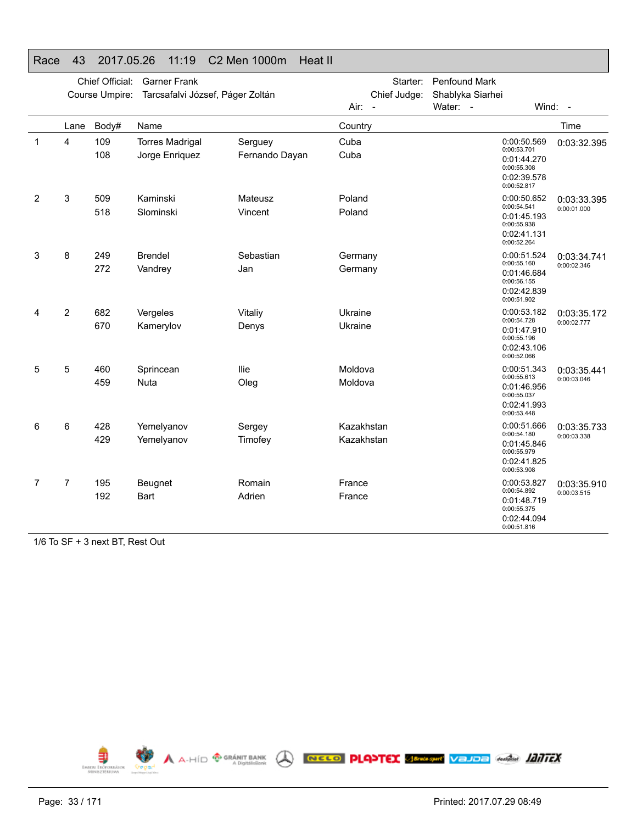|   |                | Chief Official:<br>Course Umpire: | <b>Garner Frank</b><br>Tarcsafalvi József, Páger Zoltán |                           |                          | Starter:<br>Chief Judge: | <b>Penfound Mark</b><br>Shablyka Siarhei |                                                                                        |                            |
|---|----------------|-----------------------------------|---------------------------------------------------------|---------------------------|--------------------------|--------------------------|------------------------------------------|----------------------------------------------------------------------------------------|----------------------------|
|   |                |                                   |                                                         |                           | Air: -                   |                          | Water: -                                 |                                                                                        | Wind: -                    |
|   | Lane           | Body#                             | Name                                                    |                           | Country                  |                          |                                          |                                                                                        | Time                       |
| 1 | $\overline{4}$ | 109<br>108                        | <b>Torres Madrigal</b><br>Jorge Enriquez                | Serguey<br>Fernando Dayan | Cuba<br>Cuba             |                          |                                          | 0:00:50.569<br>0:00:53.701<br>0:01:44.270<br>0:00:55.308<br>0:02:39.578<br>0:00:52.817 | 0:03:32.395                |
| 2 | 3              | 509<br>518                        | Kaminski<br>Slominski                                   | Mateusz<br>Vincent        | Poland<br>Poland         |                          |                                          | 0:00:50.652<br>0:00:54.541<br>0:01:45.193<br>0:00:55.938<br>0:02:41.131<br>0:00:52.264 | 0:03:33.395<br>0:00:01.000 |
| 3 | 8              | 249<br>272                        | <b>Brendel</b><br>Vandrey                               | Sebastian<br>Jan          | Germany<br>Germany       |                          |                                          | 0:00:51.524<br>0:00:55.160<br>0:01:46.684<br>0:00:56.155<br>0:02:42.839<br>0:00:51.902 | 0:03:34.741<br>0:00:02.346 |
|   | $\overline{c}$ | 682<br>670                        | Vergeles<br>Kamerylov                                   | Vitaliy<br>Denys          | Ukraine<br>Ukraine       |                          |                                          | 0:00:53.182<br>0:00:54.728<br>0:01:47.910<br>0:00:55.196<br>0:02:43.106<br>0:00:52.066 | 0:03:35.172<br>0:00:02.777 |
| 5 | 5              | 460<br>459                        | Sprincean<br><b>Nuta</b>                                | llie<br>Oleg              | Moldova<br>Moldova       |                          |                                          | 0:00:51.343<br>0:00:55.613<br>0:01:46.956<br>0:00:55.037<br>0:02:41.993<br>0:00:53.448 | 0:03:35.441<br>0:00:03.046 |
| 6 | 6              | 428<br>429                        | Yemelyanov<br>Yemelyanov                                | Sergey<br>Timofey         | Kazakhstan<br>Kazakhstan |                          |                                          | 0:00:51.666<br>0:00:54.180<br>0:01:45.846<br>0:00:55.979<br>0:02:41.825<br>0:00:53.908 | 0:03:35.733<br>0:00:03.338 |
| 7 | $\overline{7}$ | 195<br>192                        | Beugnet<br>Bart                                         | Romain<br>Adrien          | France<br>France         |                          |                                          | 0:00:53.827<br>0:00:54.892<br>0:01:48.719<br>0:00:55.375<br>0:02:44.094<br>0:00:51.816 | 0:03:35.910<br>0:00:03.515 |

#### 1/6 To SF + 3 next BT, Rest Out

Race 43 2017.05.26 11:19 C2 Men 1000m Heat II

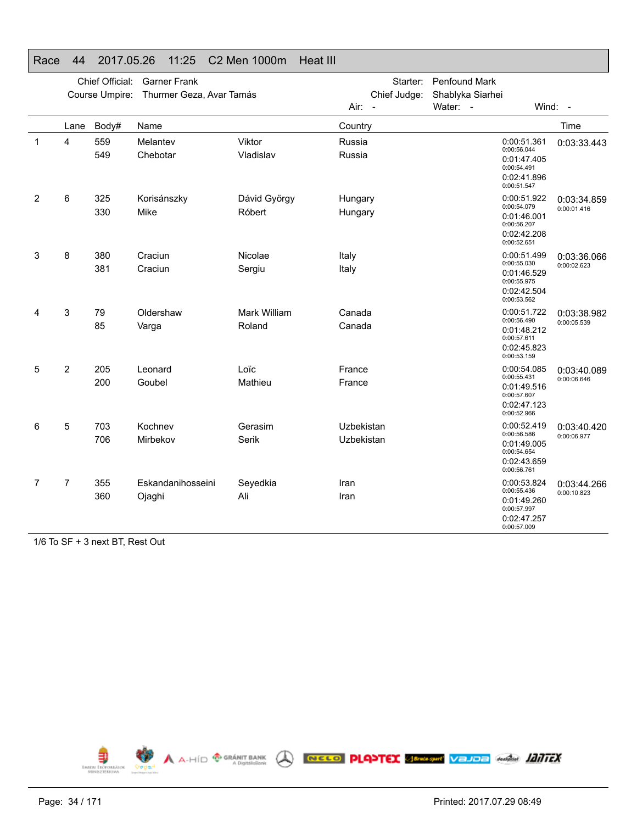|   |                | Chief Official:<br>Course Umpire: | <b>Garner Frank</b><br>Thurmer Geza, Avar Tamás |                               | Starter:<br>Chief Judge:<br>Air: - | Penfound Mark<br>Shablyka Siarhei<br>Water: -                                          | Wind: -                    |
|---|----------------|-----------------------------------|-------------------------------------------------|-------------------------------|------------------------------------|----------------------------------------------------------------------------------------|----------------------------|
|   | Lane           | Body#                             | Name                                            |                               | Country                            |                                                                                        | Time                       |
| 1 | 4              | 559<br>549                        | Melantev<br>Chebotar                            | Viktor<br>Vladislav           | Russia<br>Russia                   | 0:00:51.361<br>0:00:56.044<br>0:01:47.405<br>0:00:54.491<br>0:02:41.896<br>0:00:51.547 | 0:03:33.443                |
| 2 | 6              | 325<br>330                        | Korisánszky<br>Mike                             | Dávid György<br>Róbert        | Hungary<br>Hungary                 | 0:00:51.922<br>0:00:54.079<br>0:01:46.001<br>0:00:56.207<br>0:02:42.208<br>0:00:52.651 | 0:03:34.859<br>0:00:01.416 |
| 3 | 8              | 380<br>381                        | Craciun<br>Craciun                              | Nicolae<br>Sergiu             | Italy<br>Italy                     | 0:00:51.499<br>0:00:55.030<br>0:01:46.529<br>0:00:55.975<br>0:02:42.504<br>0:00:53.562 | 0:03:36.066<br>0:00:02.623 |
| 4 | 3              | 79<br>85                          | Oldershaw<br>Varga                              | <b>Mark William</b><br>Roland | Canada<br>Canada                   | 0:00:51.722<br>0:00:56.490<br>0:01:48.212<br>0:00:57.611<br>0:02:45.823<br>0:00:53.159 | 0:03:38.982<br>0:00:05.539 |
| 5 | $\overline{2}$ | 205<br>200                        | Leonard<br>Goubel                               | Loïc<br>Mathieu               | France<br>France                   | 0:00:54.085<br>0:00:55.431<br>0:01:49.516<br>0:00:57.607<br>0:02:47.123<br>0:00:52.966 | 0:03:40.089<br>0:00:06.646 |
| 6 | 5              | 703<br>706                        | Kochnev<br>Mirbekov                             | Gerasim<br>Serik              | Uzbekistan<br>Uzbekistan           | 0:00:52.419<br>0:00:56.586<br>0:01:49.005<br>0:00:54.654<br>0:02:43.659<br>0:00:56.761 | 0:03:40.420<br>0:00:06.977 |
| 7 | 7              | 355<br>360                        | Eskandanihosseini<br>Ojaghi                     | Seyedkia<br>Ali               | Iran<br>Iran                       | 0:00:53.824<br>0:00:55.436<br>0:01:49.260<br>0:00:57.997<br>0:02:47.257<br>0:00:57.009 | 0:03:44.266<br>0:00:10.823 |

#### Race 44 2017.05.26 11:25 C2 Men 1000m Heat III

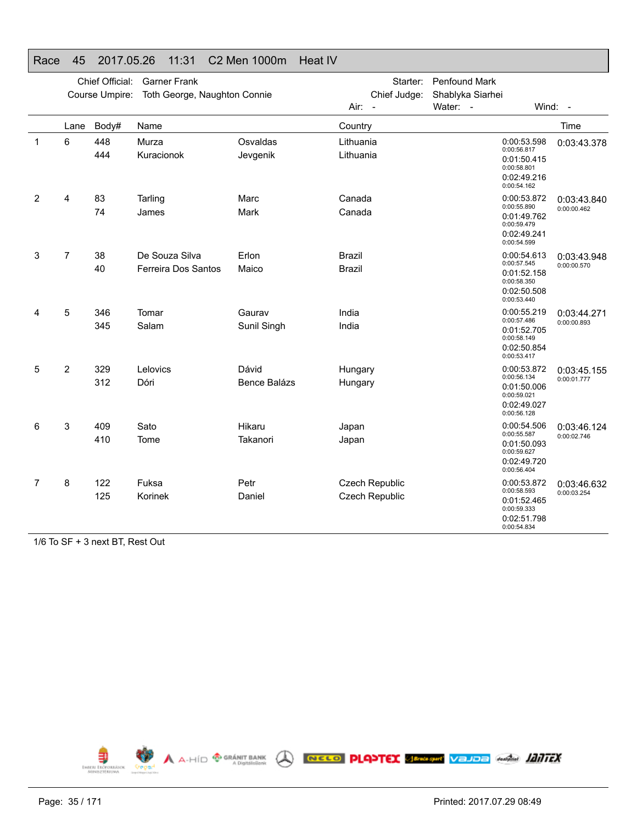|                |                | Chief Official: | <b>Garner Frank</b>                   |                       | Starter:                                | <b>Penfound Mark</b> |                                                                                        |                            |
|----------------|----------------|-----------------|---------------------------------------|-----------------------|-----------------------------------------|----------------------|----------------------------------------------------------------------------------------|----------------------------|
|                |                | Course Umpire:  | Toth George, Naughton Connie          |                       | Chief Judge:                            | Shablyka Siarhei     |                                                                                        |                            |
|                |                |                 |                                       |                       | $Air: -$                                | Water: -             |                                                                                        | Wind: $-$                  |
|                | Lane           | Body#           | Name                                  |                       | Country                                 |                      |                                                                                        | Time                       |
| $\mathbf 1$    | 6              | 448<br>444      | Murza<br>Kuracionok                   | Osvaldas<br>Jevgenik  | Lithuania<br>Lithuania                  |                      | 0:00:53.598<br>0:00:56.817<br>0:01:50.415<br>0:00:58.801<br>0:02:49.216<br>0:00:54.162 | 0:03:43.378                |
| $\overline{2}$ | 4              | 83<br>74        | Tarling<br>James                      | Marc<br>Mark          | Canada<br>Canada                        |                      | 0:00:53.872<br>0:00:55.890<br>0:01:49.762<br>0:00:59.479<br>0:02:49.241<br>0:00:54.599 | 0:03:43.840<br>0:00:00.462 |
| 3              | 7              | 38<br>40        | De Souza Silva<br>Ferreira Dos Santos | Erlon<br>Maico        | <b>Brazil</b><br><b>Brazil</b>          |                      | 0:00:54.613<br>0:00:57.545<br>0:01:52.158<br>0:00:58.350<br>0:02:50.508<br>0:00:53.440 | 0:03:43.948<br>0:00:00.570 |
| 4              | 5              | 346<br>345      | Tomar<br>Salam                        | Gaurav<br>Sunil Singh | India<br>India                          |                      | 0:00:55.219<br>0:00:57.486<br>0:01:52.705<br>0:00:58.149<br>0:02:50.854<br>0:00:53.417 | 0:03:44.271<br>0:00:00.893 |
| 5              | $\overline{2}$ | 329<br>312      | Lelovics<br>Dóri                      | Dávid<br>Bence Balázs | Hungary<br>Hungary                      |                      | 0:00:53.872<br>0:00:56.134<br>0:01:50.006<br>0:00:59.021<br>0:02:49.027<br>0:00:56.128 | 0:03:45.155<br>0:00:01.777 |
| 6              | 3              | 409<br>410      | Sato<br>Tome                          | Hikaru<br>Takanori    | Japan<br>Japan                          |                      | 0:00:54.506<br>0:00:55.587<br>0:01:50.093<br>0:00:59.627<br>0:02:49.720<br>0:00:56.404 | 0:03:46.124<br>0:00:02.746 |
| 7              | 8              | 122<br>125      | Fuksa<br>Korinek                      | Petr<br>Daniel        | Czech Republic<br><b>Czech Republic</b> |                      | 0:00:53.872<br>0:00:58.593<br>0:01:52.465<br>0:00:59.333<br>0:02:51.798<br>0:00:54.834 | 0:03:46.632<br>0:00:03.254 |

## Race 45 2017.05.26 11:31 C2 Men 1000m Heat IV

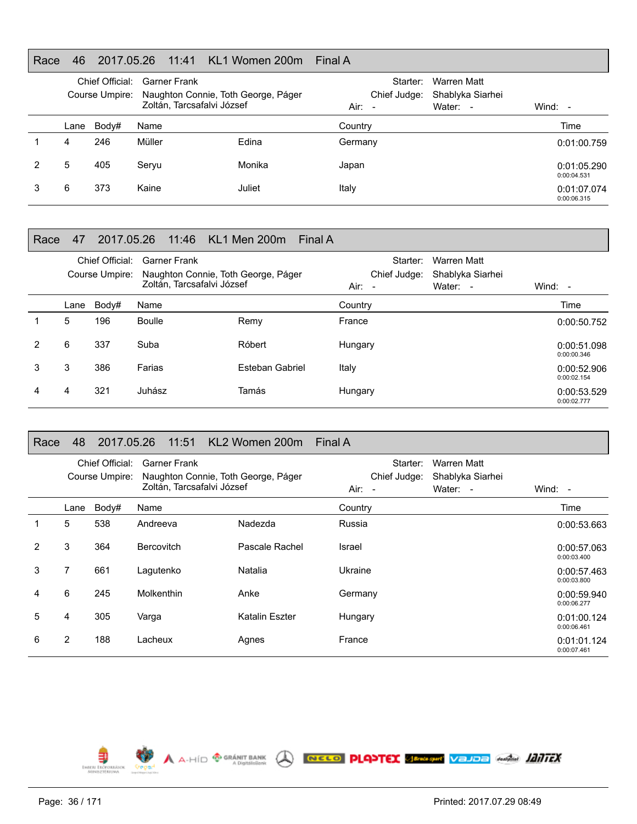#### Race 46 2017.05.26 11:41 KL1 Women 200m Final A

| Chief Official:<br>Course Umpire: |       | <b>Garner Frank</b><br>Naughton Connie, Toth George, Páger<br>Zoltán, Tarcsafalvi József |        | Starter:<br>Chief Judge:<br>Air:<br>$\overline{\phantom{a}}$ | Warren Matt<br>Shablyka Siarhei<br>Water: - | Wind: $-$                  |
|-----------------------------------|-------|------------------------------------------------------------------------------------------|--------|--------------------------------------------------------------|---------------------------------------------|----------------------------|
| Lane                              | Body# | Name                                                                                     |        | Country                                                      |                                             | Time                       |
| 4                                 | 246   | Müller                                                                                   | Edina  | Germany                                                      |                                             | 0:01:00.759                |
| 5                                 | 405   | Seryu                                                                                    | Monika | Japan                                                        |                                             | 0:01:05.290<br>0:00:04.531 |
| 6                                 | 373   | Kaine                                                                                    | Juliet | Italy                                                        |                                             | 0:01:07.074<br>0:00:06.315 |

#### Race 47 2017.05.26 11:46 KL1 Men 200m Final A

|   |      | Chief Official:<br>Course Umpire: | <b>Garner Frank</b><br>Naughton Connie, Toth George, Páger<br>Zoltán, Tarcsafalvi József |                 | Starter:<br>Chief Judge:<br>$Air: -$ |  | Warren Matt<br>Shablyka Siarhei<br>Water: - | Wind: $-$                  |
|---|------|-----------------------------------|------------------------------------------------------------------------------------------|-----------------|--------------------------------------|--|---------------------------------------------|----------------------------|
|   | Lane | Body#                             | Name                                                                                     |                 | Country                              |  |                                             | Time                       |
|   | 5    | 196                               | Boulle                                                                                   | Remy            | France                               |  |                                             | 0:00:50.752                |
| 2 | 6    | 337                               | Suba                                                                                     | Róbert          | Hungary                              |  |                                             | 0:00:51.098<br>0:00:00.346 |
| 3 | 3    | 386                               | Farias                                                                                   | Esteban Gabriel | Italy                                |  |                                             | 0:00:52.906<br>0:00:02.154 |
| 4 | 4    | 321                               | Juhász                                                                                   | Tamás           | Hungary                              |  |                                             | 0:00:53.529<br>0:00:02.777 |

#### Race 48 2017.05.26 11:51 KL2 Women 200m Final A

|               |      | Chief Official: | <b>Garner Frank</b>                 |                | Starter:     | Warren Matt      |                            |
|---------------|------|-----------------|-------------------------------------|----------------|--------------|------------------|----------------------------|
|               |      | Course Umpire:  | Naughton Connie, Toth George, Páger |                | Chief Judge: | Shablyka Siarhei |                            |
|               |      |                 | Zoltán, Tarcsafalvi József          |                | $Air: -$     | Water: -         | Wind: $-$                  |
|               | Lane | Body#           | Name                                |                | Country      |                  | Time                       |
|               | 5    | 538             | Andreeva                            | Nadezda        | Russia       |                  | 0:00:53.663                |
| $\mathcal{P}$ | 3    | 364             | Bercovitch                          | Pascale Rachel | Israel       |                  | 0:00:57.063<br>0:00:03.400 |
| 3             | 7    | 661             | Lagutenko                           | Natalia        | Ukraine      |                  | 0:00:57.463<br>0:00:03.800 |
| 4             | 6    | 245             | Molkenthin                          | Anke           | Germany      |                  | 0:00:59.940<br>0:00:06.277 |
| 5             | 4    | 305             | Varga                               | Katalin Eszter | Hungary      |                  | 0:01:00.124<br>0:00:06.461 |
| 6             | 2    | 188             | Lacheux                             | Agnes          | France       |                  | 0:01:01.124<br>0:00:07.461 |

A A-HÍD <sup>® GRÁNIT BANK</sup> A **RECO PLAPTEX SEMERAT VEJDE ANGLIS ATTEX** 

⋾ EMBERL ERÖP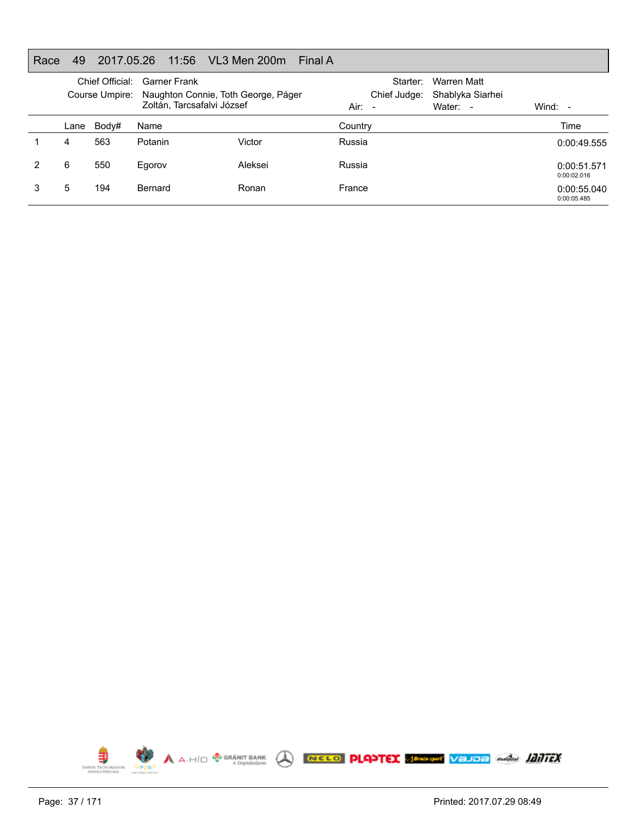## Race 49 2017.05.26 11:56 VL3 Men 200m Final A

| Chief Official:<br>Course Umpire: |       | <b>Garner Frank</b><br>Naughton Connie, Toth George, Páger<br>Zoltán, Tarcsafalvi József |         | Starter:<br>Chief Judge:<br>Air:<br>$\sim$ | Warren Matt<br>Shablyka Siarhei<br>Water: - | Wind: $-$                  |
|-----------------------------------|-------|------------------------------------------------------------------------------------------|---------|--------------------------------------------|---------------------------------------------|----------------------------|
| Lane                              | Body# | Name                                                                                     |         | Country                                    |                                             | Time                       |
| 4                                 | 563   | Potanin                                                                                  | Victor  | Russia                                     |                                             | 0:00:49.555                |
| 6                                 | 550   | Egorov                                                                                   | Aleksei | Russia                                     |                                             | 0:00:51.571<br>0:00:02.016 |
| 5                                 | 194   | Bernard                                                                                  | Ronan   | France                                     |                                             | 0:00:55.040<br>0:00:05.485 |

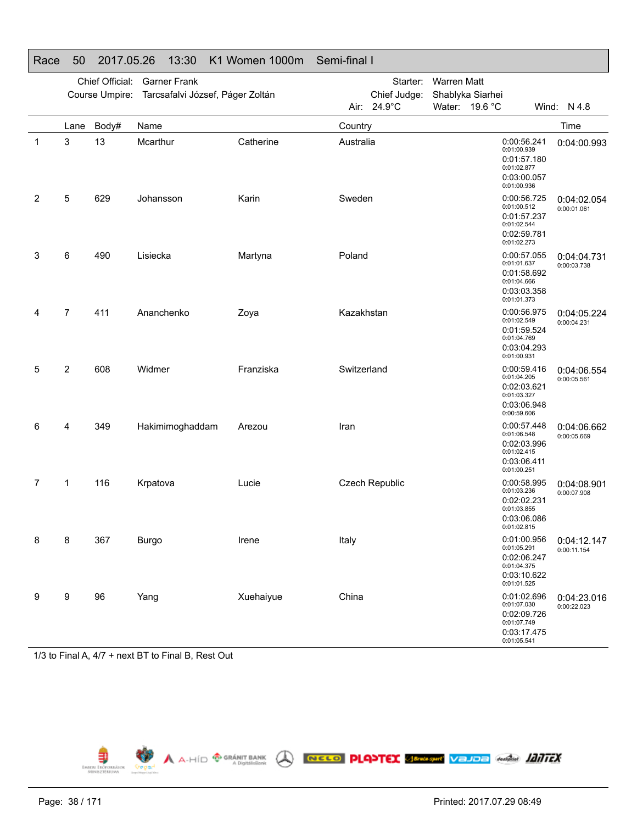|                |                | Chief Official: | <b>Garner Frank</b><br>Course Umpire: Tarcsafalvi József, Páger Zoltán |           |             | Starter:<br>Chief Judge: | <b>Warren Matt</b> | Shablyka Siarhei                                                                       |                            |
|----------------|----------------|-----------------|------------------------------------------------------------------------|-----------|-------------|--------------------------|--------------------|----------------------------------------------------------------------------------------|----------------------------|
|                |                |                 |                                                                        |           | Air:        | 24.9°C                   |                    | Water: 19.6 °C                                                                         | Wind: N 4.8                |
|                | Lane           | Body#           | Name                                                                   |           | Country     |                          |                    |                                                                                        | Time                       |
| $\mathbf{1}$   | 3              | 13              | Mcarthur                                                               | Catherine | Australia   |                          |                    | 0:00:56.241<br>0:01:00.939<br>0:01:57.180<br>0:01:02.877<br>0:03:00.057<br>0:01:00.936 | 0:04:00.993                |
| $\overline{2}$ | 5              | 629             | Johansson                                                              | Karin     | Sweden      |                          |                    | 0:00:56.725<br>0:01:00.512<br>0:01:57.237<br>0:01:02.544<br>0:02:59.781<br>0:01:02.273 | 0:04:02.054<br>0:00:01.061 |
| 3              | 6              | 490             | Lisiecka                                                               | Martyna   | Poland      |                          |                    | 0:00:57.055<br>0:01:01.637<br>0:01:58.692<br>0:01:04.666<br>0:03:03.358<br>0:01:01.373 | 0:04:04.731<br>0:00:03.738 |
| 4              | $\overline{7}$ | 411             | Ananchenko                                                             | Zoya      | Kazakhstan  |                          |                    | 0:00:56.975<br>0:01:02.549<br>0:01:59.524<br>0:01:04.769<br>0:03:04.293<br>0:01:00.931 | 0:04:05.224<br>0:00:04.231 |
| 5              | 2              | 608             | Widmer                                                                 | Franziska | Switzerland |                          |                    | 0:00:59.416<br>0:01:04.205<br>0:02:03.621<br>0:01:03.327<br>0:03:06.948<br>0:00:59.606 | 0:04:06.554<br>0:00:05.561 |
| 6              | 4              | 349             | Hakimimoghaddam                                                        | Arezou    | Iran        |                          |                    | 0:00:57.448<br>0:01:06.548<br>0:02:03.996<br>0:01:02.415<br>0:03:06.411<br>0:01:00.251 | 0:04:06.662<br>0:00:05.669 |
| 7              | 1              | 116             | Krpatova                                                               | Lucie     |             | <b>Czech Republic</b>    |                    | 0:00:58.995<br>0:01:03.236<br>0:02:02.231<br>0:01:03.855<br>0:03:06.086<br>0:01:02.815 | 0:04:08.901<br>0:00:07.908 |
| 8              | 8              | 367             | <b>Burgo</b>                                                           | Irene     | Italy       |                          |                    | 0:01:00.956<br>0:01:05.291<br>0:02:06.247<br>0:01:04.375<br>0:03:10.622<br>0:01:01.525 | 0:04:12.147<br>0:00:11.154 |
| 9              | 9              | 96              | Yang                                                                   | Xuehaiyue | China       |                          |                    | 0:01:02.696<br>0:01:07.030<br>0:02:09.726<br>0:01:07.749<br>0:03:17.475<br>0:01:05.541 | 0:04:23.016<br>0:00:22.023 |

## Race 50 2017.05.26 13:30 K1 Women 1000m Semi-final I

1/3 to Final A, 4/7 + next BT to Final B, Rest Out

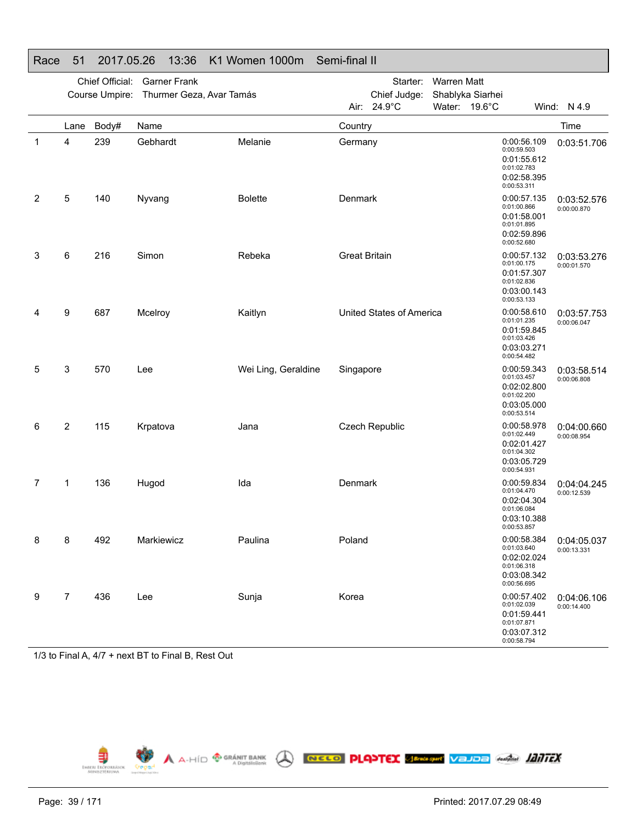|   |                | Chief Official:<br>Course Umpire: | <b>Garner Frank</b><br>Thurmer Geza, Avar Tamás |                     |                      | Starter:<br>Chief Judge: | <b>Warren Matt</b><br>Shablyka Siarhei |                                           |                                           |                            |
|---|----------------|-----------------------------------|-------------------------------------------------|---------------------|----------------------|--------------------------|----------------------------------------|-------------------------------------------|-------------------------------------------|----------------------------|
|   |                |                                   |                                                 |                     | Air: I               | 24.9°C                   | Water: 19.6°C                          |                                           |                                           | Wind: N 4.9                |
|   | Lane           | Body#                             | Name                                            |                     | Country              |                          |                                        |                                           |                                           | Time                       |
| 1 | 4              | 239                               | Gebhardt                                        | Melanie             | Germany              |                          |                                        | 0:00:59.503<br>0:01:02.783<br>0:00:53.311 | 0:00:56.109<br>0:01:55.612<br>0:02:58.395 | 0:03:51.706                |
| 2 | 5              | 140                               | Nyvang                                          | <b>Bolette</b>      | Denmark              |                          |                                        | 0:01:00.866<br>0:01:01.895<br>0:00:52.680 | 0:00:57.135<br>0:01:58.001<br>0:02:59.896 | 0:03:52.576<br>0:00:00.870 |
| 3 | 6              | 216                               | Simon                                           | Rebeka              | <b>Great Britain</b> |                          |                                        | 0:01:00.175<br>0:01:02.836<br>0:00:53.133 | 0:00:57.132<br>0:01:57.307<br>0:03:00.143 | 0:03:53.276<br>0:00:01.570 |
| 4 | 9              | 687                               | Mcelroy                                         | Kaitlyn             |                      | United States of America |                                        | 0:01:01.235<br>0:01:03.426<br>0:00:54.482 | 0:00:58.610<br>0:01:59.845<br>0:03:03.271 | 0:03:57.753<br>0:00:06.047 |
| 5 | 3              | 570                               | Lee                                             | Wei Ling, Geraldine | Singapore            |                          |                                        | 0:01:03.457<br>0:01:02.200<br>0:00:53.514 | 0:00:59.343<br>0:02:02.800<br>0:03:05.000 | 0:03:58.514<br>0:00:06.808 |
| 6 | 2              | 115                               | Krpatova                                        | Jana                |                      | <b>Czech Republic</b>    |                                        | 0:01:02.449<br>0:01:04.302<br>0:00:54.931 | 0:00:58.978<br>0:02:01.427<br>0:03:05.729 | 0:04:00.660<br>0:00:08.954 |
| 7 | 1              | 136                               | Hugod                                           | Ida                 | Denmark              |                          |                                        | 0:01:04.470<br>0:01:06.084<br>0:00:53.857 | 0:00:59.834<br>0:02:04.304<br>0:03:10.388 | 0:04:04.245<br>0:00:12.539 |
| 8 | 8              | 492                               | Markiewicz                                      | Paulina             | Poland               |                          |                                        | 0:01:03.640<br>0:01:06.318<br>0:00:56.695 | 0:00:58.384<br>0:02:02.024<br>0:03:08.342 | 0:04:05.037<br>0:00:13.331 |
| 9 | $\overline{7}$ | 436                               | Lee                                             | Sunja               | Korea                |                          |                                        | 0:01:02.039<br>0:01:07.871<br>0:00:58.794 | 0:00:57.402<br>0:01:59.441<br>0:03:07.312 | 0:04:06.106<br>0:00:14.400 |

## Race 51 2017.05.26 13:36 K1 Women 1000m Semi-final II

1/3 to Final A, 4/7 + next BT to Final B, Rest Out

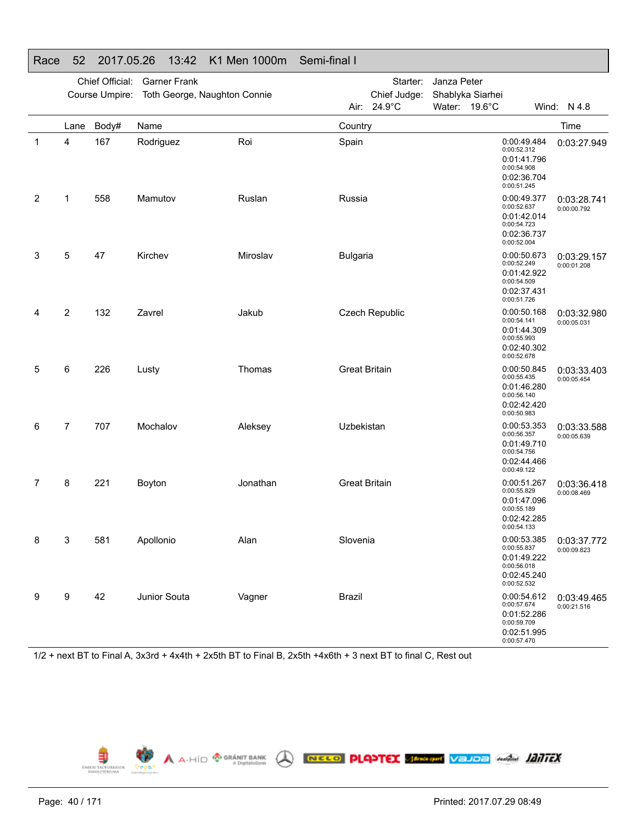|   |                | Chief Official:<br>Course Umpire: | <b>Garner Frank</b><br>Toth George, Naughton Connie |          |                      | Starter:<br>Chief Judge: | Janza Peter<br>Shablyka Siarhei |                                                          |                                           |                            |
|---|----------------|-----------------------------------|-----------------------------------------------------|----------|----------------------|--------------------------|---------------------------------|----------------------------------------------------------|-------------------------------------------|----------------------------|
|   |                |                                   |                                                     |          |                      | Air: 24.9°C              | Water: 19.6°C                   |                                                          |                                           | Wind: N 4.8                |
|   | Lane           | Body#                             | Name                                                |          | Country              |                          |                                 |                                                          |                                           | Time                       |
| 1 | 4              | 167                               | Rodriguez                                           | Roi      | Spain                |                          |                                 | 0:00:52.312<br>0:00:54.908<br>0:00:51.245                | 0:00:49.484<br>0:01:41.796<br>0:02:36.704 | 0:03:27.949                |
| 2 | 1              | 558                               | Mamutov                                             | Ruslan   | Russia               |                          |                                 | 0:00:52.637<br>0:00:54.723<br>0:00:52.004                | 0:00:49.377<br>0:01:42.014<br>0:02:36.737 | 0:03:28.741<br>0:00:00.792 |
| 3 | 5              | 47                                | Kirchev                                             | Miroslav | <b>Bulgaria</b>      |                          |                                 | 0:00:52.249<br>0:00:54.509<br>0:00:51.726                | 0:00:50.673<br>0:01:42.922<br>0:02:37.431 | 0:03:29.157<br>0:00:01.208 |
| 4 | $\overline{2}$ | 132                               | Zavrel                                              | Jakub    |                      | <b>Czech Republic</b>    |                                 | 0:00:54.141<br>0:00:55.993<br>0:00:52.678                | 0:00:50.168<br>0:01:44.309<br>0:02:40.302 | 0:03:32.980<br>0:00:05.031 |
| 5 | 6              | 226                               | Lusty                                               | Thomas   | <b>Great Britain</b> |                          |                                 | 0:00:55.435<br>0:00:56.140<br>0:00:50.983                | 0:00:50.845<br>0:01:46.280<br>0:02:42.420 | 0:03:33.403<br>0:00:05.454 |
| 6 | $\overline{7}$ | 707                               | Mochalov                                            | Aleksey  | Uzbekistan           |                          |                                 | 0:00:56.357<br>0:00:54.756<br>0:00:49.122                | 0:00:53.353<br>0:01:49.710<br>0:02:44.466 | 0:03:33.588<br>0:00:05.639 |
| 7 | 8              | 221                               | Boyton                                              | Jonathan | <b>Great Britain</b> |                          |                                 | 0:00:55.829<br>0:00:55.189<br>0:00:54.133                | 0:00:51.267<br>0:01:47.096<br>0:02:42.285 | 0:03:36.418<br>0:00:08.469 |
| 8 | 3              | 581                               | Apollonio                                           | Alan     | Slovenia             |                          |                                 | 0:00:55.837<br>0:00:56.018<br>0:02:45.240<br>0:00:52.532 | 0:00:53.385<br>0:01:49.222                | 0:03:37.772<br>0:00:09.823 |
| 9 | 9              | 42                                | Junior Souta                                        | Vagner   | <b>Brazil</b>        |                          |                                 | 0:00:57.674<br>0:00:59.709<br>0:00:57.470                | 0:00:54.612<br>0:01:52.286<br>0:02:51.995 | 0:03:49.465<br>0:00:21.516 |

## Race 52 2017.05.26 13:42 K1 Men 1000m Semi-final I

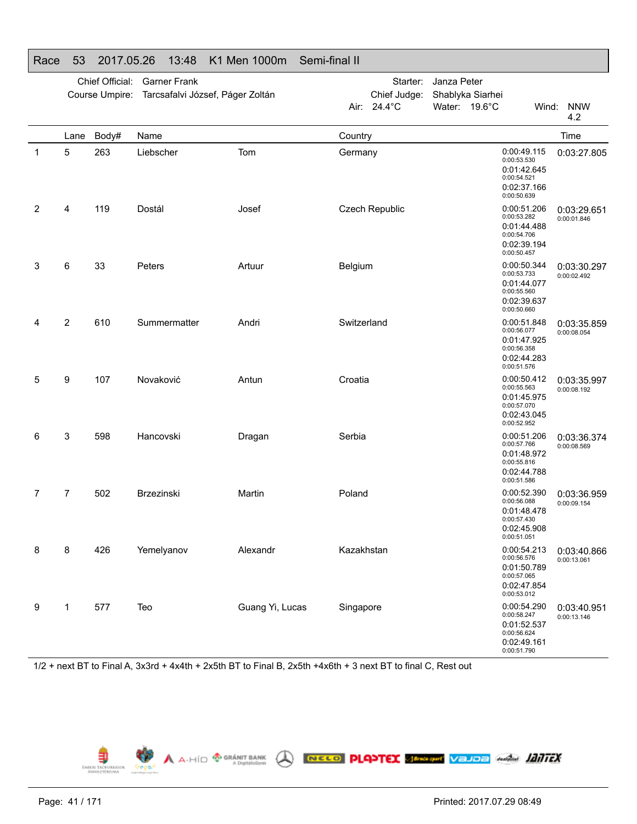| Race | 53             | 2017.05.26      |                   | 13:48               | K1 Men 1000m                     | Semi-final II |                  |                      |                  |                                                                                        |                            |
|------|----------------|-----------------|-------------------|---------------------|----------------------------------|---------------|------------------|----------------------|------------------|----------------------------------------------------------------------------------------|----------------------------|
|      |                | Chief Official: |                   | <b>Garner Frank</b> |                                  |               |                  | Starter: Janza Peter |                  |                                                                                        |                            |
|      |                | Course Umpire:  |                   |                     | Tarcsafalvi József, Páger Zoltán |               | Chief Judge:     |                      | Shablyka Siarhei |                                                                                        |                            |
|      |                |                 |                   |                     |                                  | Air:          | $24.4^{\circ}$ C |                      | Water: 19.6°C    | Wind:                                                                                  | <b>NNW</b><br>4.2          |
|      | Lane           | Body#           | Name              |                     |                                  | Country       |                  |                      |                  |                                                                                        | Time                       |
| 1    | 5              | 263             | Liebscher         |                     | Tom                              | Germany       |                  |                      |                  | 0:00:49.115<br>0:00:53.530<br>0:01:42.645<br>0:00:54.521<br>0:02:37.166<br>0:00:50.639 | 0:03:27.805                |
| 2    | 4              | 119             | Dostál            |                     | Josef                            |               | Czech Republic   |                      |                  | 0:00:51.206<br>0:00:53.282<br>0:01:44.488<br>0:00:54.706<br>0:02:39.194<br>0:00:50.457 | 0:03:29.651<br>0:00:01.846 |
| 3    | 6              | 33              | Peters            |                     | Artuur                           | Belgium       |                  |                      |                  | 0:00:50.344<br>0:00:53.733<br>0:01:44.077<br>0:00:55.560<br>0:02:39.637<br>0:00:50.660 | 0:03:30.297<br>0:00:02.492 |
| 4    | $\overline{2}$ | 610             |                   | Summermatter        | Andri                            | Switzerland   |                  |                      |                  | 0:00:51.848<br>0:00:56.077<br>0:01:47.925<br>0:00:56.358<br>0:02:44.283<br>0:00:51.576 | 0:03:35.859<br>0:00:08.054 |
| 5    | 9              | 107             | Novaković         |                     | Antun                            | Croatia       |                  |                      |                  | 0:00:50.412<br>0:00:55.563<br>0:01:45.975<br>0:00:57.070<br>0:02:43.045<br>0:00:52.952 | 0:03:35.997<br>0:00:08.192 |
| 6    | 3              | 598             | Hancovski         |                     | Dragan                           | Serbia        |                  |                      |                  | 0:00:51.206<br>0:00:57.766<br>0:01:48.972<br>0:00:55.816<br>0:02:44.788<br>0:00:51.586 | 0:03:36.374<br>0:00:08.569 |
| 7    | 7              | 502             | <b>Brzezinski</b> |                     | Martin                           | Poland        |                  |                      |                  | 0:00:52.390<br>0:00:56.088<br>0:01:48.478<br>0:00:57.430<br>0:02:45.908<br>0:00:51.051 | 0:03:36.959<br>0:00:09.154 |
| 8    | 8              | 426             | Yemelyanov        |                     | Alexandr                         | Kazakhstan    |                  |                      |                  | 0:00:54.213<br>0:00:56.576<br>0:01:50.789<br>0:00:57.065<br>0:02:47.854<br>0:00:53.012 | 0:03:40.866<br>0:00:13.061 |
| 9    | 1              | 577             | Teo               |                     | Guang Yi, Lucas                  | Singapore     |                  |                      |                  | 0:00:54.290<br>0:00:58.247<br>0:01:52.537<br>0:00:56.624<br>0:02:49.161<br>0:00:51.790 | 0:03:40.951<br>0:00:13.146 |

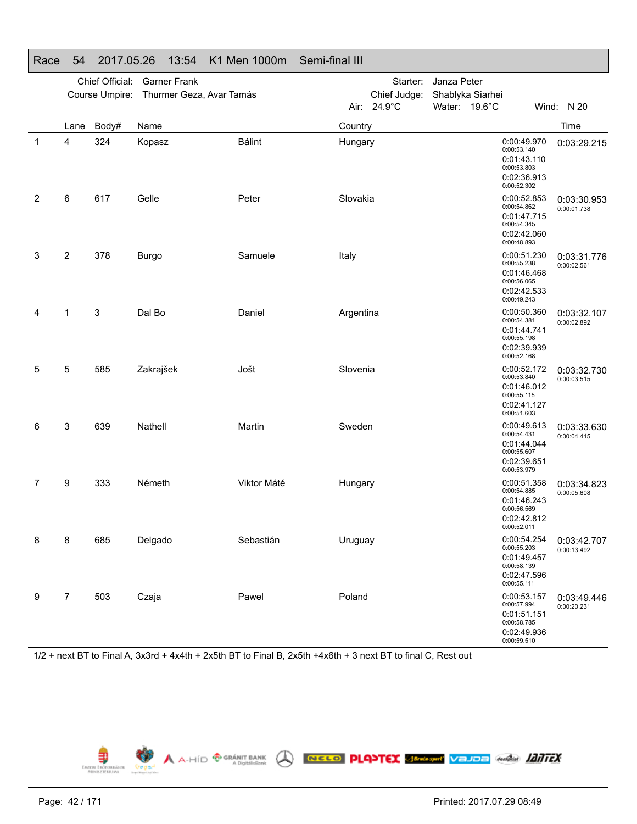|   |                | Chief Official: | <b>Garner Frank</b><br>Course Umpire: Thurmer Geza, Avar Tamás |               |           | Starter:<br>Chief Judge: | Janza Peter<br>Shablyka Siarhei |                                                                                        |                            |
|---|----------------|-----------------|----------------------------------------------------------------|---------------|-----------|--------------------------|---------------------------------|----------------------------------------------------------------------------------------|----------------------------|
|   |                |                 |                                                                |               |           | Air: 24.9°C              | Water: 19.6°C                   |                                                                                        | Wind: N 20                 |
|   | Lane           | Body#           | Name                                                           |               | Country   |                          |                                 |                                                                                        | Time                       |
| 1 | 4              | 324             | Kopasz                                                         | <b>Bálint</b> | Hungary   |                          |                                 | 0:00:49.970<br>0:00:53.140<br>0:01:43.110<br>0:00:53.803<br>0:02:36.913<br>0:00:52.302 | 0:03:29.215                |
| 2 | 6              | 617             | Gelle                                                          | Peter         | Slovakia  |                          |                                 | 0:00:52.853<br>0:00:54.862<br>0:01:47.715<br>0:00:54.345<br>0:02:42.060<br>0:00:48.893 | 0:03:30.953<br>0:00:01.738 |
| 3 | 2              | 378             | <b>Burgo</b>                                                   | Samuele       | Italy     |                          |                                 | 0:00:51.230<br>0:00:55.238<br>0:01:46.468<br>0:00:56.065<br>0:02:42.533<br>0:00:49.243 | 0:03:31.776<br>0:00:02.561 |
| 4 | 1              | 3               | Dal Bo                                                         | Daniel        | Argentina |                          |                                 | 0:00:50.360<br>0:00:54.381<br>0:01:44.741<br>0:00:55.198<br>0:02:39.939<br>0:00:52.168 | 0:03:32.107<br>0:00:02.892 |
| 5 | 5              | 585             | Zakrajšek                                                      | Jošt          | Slovenia  |                          |                                 | 0:00:52.172<br>0:00:53.840<br>0:01:46.012<br>0:00:55.115<br>0:02:41.127<br>0:00:51.603 | 0:03:32.730<br>0:00:03.515 |
| 6 | 3              | 639             | Nathell                                                        | Martin        | Sweden    |                          |                                 | 0:00:49.613<br>0:00:54.431<br>0:01:44.044<br>0:00:55.607<br>0:02:39.651<br>0:00:53.979 | 0:03:33.630<br>0:00:04.415 |
| 7 | 9              | 333             | Németh                                                         | Viktor Máté   | Hungary   |                          |                                 | 0:00:51.358<br>0:00:54.885<br>0:01:46.243<br>0:00:56.569<br>0:02:42.812<br>0:00:52.011 | 0:03:34.823<br>0:00:05.608 |
| 8 | 8              | 685             | Delgado                                                        | Sebastián     | Uruguay   |                          |                                 | 0:00:54.254<br>0:00:55.203<br>0:01:49.457<br>0:00:58.139<br>0:02:47.596<br>0:00:55.111 | 0:03:42.707<br>0:00:13.492 |
| 9 | $\overline{7}$ | 503             | Czaja                                                          | Pawel         | Poland    |                          |                                 | 0:00:53.157<br>0:00:57.994<br>0:01:51.151<br>0:00:58.785<br>0:02:49.936<br>0:00:59.510 | 0:03:49.446<br>0:00:20.231 |

## Race 54 2017.05.26 13:54 K1 Men 1000m Semi-final III

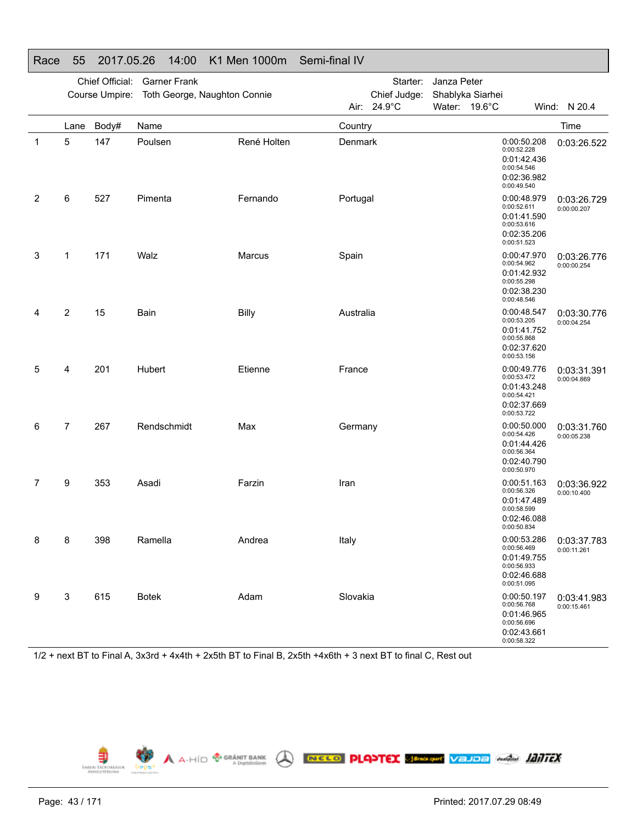|              |      | Chief Official: | <b>Garner Frank</b><br>Course Umpire: Toth George, Naughton Connie |             |           | Starter:<br>Chief Judge:<br>Air: 24.9°C | Janza Peter<br>Shablyka Siarhei<br>Water: 19.6°C |                                                                                        | Wind: N 20.4               |
|--------------|------|-----------------|--------------------------------------------------------------------|-------------|-----------|-----------------------------------------|--------------------------------------------------|----------------------------------------------------------------------------------------|----------------------------|
|              | Lane | Body#           | Name                                                               |             | Country   |                                         |                                                  |                                                                                        | Time                       |
| $\mathbf{1}$ | 5    | 147             | Poulsen                                                            | René Holten | Denmark   |                                         |                                                  | 0:00:50.208<br>0:00:52.228<br>0:01:42.436<br>0:00:54.546<br>0:02:36.982<br>0:00:49.540 | 0:03:26.522                |
| 2            | 6    | 527             | Pimenta                                                            | Fernando    | Portugal  |                                         |                                                  | 0:00:48.979<br>0:00:52.611<br>0:01:41.590<br>0:00:53.616<br>0:02:35.206<br>0:00:51.523 | 0:03:26.729<br>0:00:00.207 |
| 3            | 1    | 171             | Walz                                                               | Marcus      | Spain     |                                         |                                                  | 0:00:47.970<br>0:00:54.962<br>0:01:42.932<br>0:00:55.298<br>0:02:38.230<br>0:00:48.546 | 0:03:26.776<br>0:00:00.254 |
| 4            | 2    | 15              | Bain                                                               | Billy       | Australia |                                         |                                                  | 0:00:48.547<br>0:00:53.205<br>0:01:41.752<br>0:00:55.868<br>0:02:37.620<br>0:00:53.156 | 0:03:30.776<br>0:00:04.254 |
| 5            | 4    | 201             | Hubert                                                             | Etienne     | France    |                                         |                                                  | 0:00:49.776<br>0:00:53.472<br>0:01:43.248<br>0:00:54.421<br>0:02:37.669<br>0:00:53.722 | 0:03:31.391<br>0:00:04.869 |
| 6            | 7    | 267             | Rendschmidt                                                        | Max         | Germany   |                                         |                                                  | 0:00:50.000<br>0:00:54.426<br>0:01:44.426<br>0:00:56.364<br>0:02:40.790<br>0:00:50.970 | 0:03:31.760<br>0:00:05.238 |
| 7            | 9    | 353             | Asadi                                                              | Farzin      | Iran      |                                         |                                                  | 0:00:51.163<br>0:00:56.326<br>0:01:47.489<br>0:00:58.599<br>0:02:46.088<br>0:00:50.834 | 0:03:36.922<br>0:00:10.400 |
| 8            | 8    | 398             | Ramella                                                            | Andrea      | Italy     |                                         |                                                  | 0:00:53.286<br>0:00:56.469<br>0:01:49.755<br>0:00:56.933<br>0:02:46.688<br>0:00:51.095 | 0:03:37.783<br>0:00:11.261 |
| 9            | 3    | 615             | <b>Botek</b>                                                       | Adam        | Slovakia  |                                         |                                                  | 0:00:50.197<br>0:00:56.768<br>0:01:46.965<br>0:00:56.696<br>0:02:43.661<br>0:00:58.322 | 0:03:41.983<br>0:00:15.461 |

## Race 55 2017.05.26 14:00 K1 Men 1000m Semi-final IV

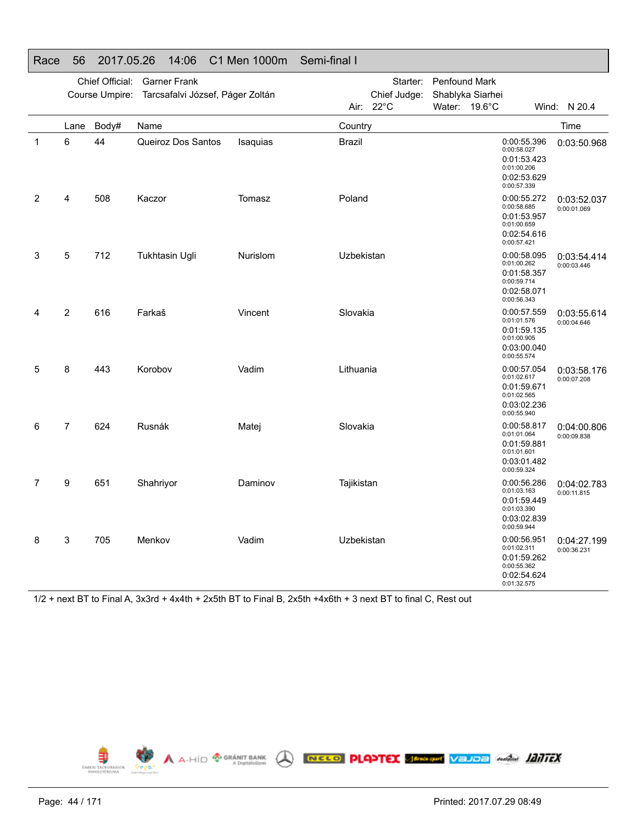|   |                | Chief Official: | <b>Garner Frank</b><br>Course Umpire: Tarcsafalvi József, Páger Zoltán |                 |               | Starter:<br>Chief Judge: | Penfound Mark | Shablyka Siarhei                          |                                           |                            |
|---|----------------|-----------------|------------------------------------------------------------------------|-----------------|---------------|--------------------------|---------------|-------------------------------------------|-------------------------------------------|----------------------------|
|   |                |                 |                                                                        |                 |               | Air: $22^{\circ}$ C      | Water: 19.6°C |                                           |                                           | Wind: N 20.4               |
|   | Lane           | Body#           | Name                                                                   |                 | Country       |                          |               |                                           |                                           | Time                       |
| 1 | 6              | 44              | Queiroz Dos Santos                                                     | <b>Isaquias</b> | <b>Brazil</b> |                          |               | 0:00:58.027<br>0:01:00.206<br>0:00:57.339 | 0:00:55.396<br>0:01:53.423<br>0:02:53.629 | 0:03:50.968                |
| 2 | 4              | 508             | Kaczor                                                                 | Tomasz          | Poland        |                          |               | 0:00:58.685<br>0:01:00.659<br>0:00:57.421 | 0:00:55.272<br>0:01:53.957<br>0:02:54.616 | 0:03:52.037<br>0:00:01.069 |
| 3 | 5              | 712             | Tukhtasin Ugli                                                         | Nurislom        | Uzbekistan    |                          |               | 0:01:00.262<br>0:00:59.714<br>0:00:56.343 | 0:00:58.095<br>0:01:58.357<br>0:02:58.071 | 0:03:54.414<br>0:00:03.446 |
| 4 | $\overline{2}$ | 616             | Farkaš                                                                 | Vincent         | Slovakia      |                          |               | 0:01:01.576<br>0:01:00.905<br>0:00:55.574 | 0:00:57.559<br>0:01:59.135<br>0:03:00.040 | 0:03:55.614<br>0:00:04.646 |
| 5 | 8              | 443             | Korobov                                                                | Vadim           | Lithuania     |                          |               | 0:01:02.617<br>0:01:02.565<br>0:00:55.940 | 0:00:57.054<br>0:01:59.671<br>0:03:02.236 | 0:03:58.176<br>0:00:07.208 |
| 6 | $\overline{7}$ | 624             | Rusnák                                                                 | Matej           | Slovakia      |                          |               | 0:01:01.064<br>0:01:01.601<br>0:00:59.324 | 0:00:58.817<br>0:01:59.881<br>0:03:01.482 | 0:04:00.806<br>0:00:09.838 |
| 7 | 9              | 651             | Shahriyor                                                              | Daminov         | Tajikistan    |                          |               | 0:01:03.163<br>0:01:03.390<br>0:00:59.944 | 0:00:56.286<br>0:01:59.449<br>0:03:02.839 | 0:04:02.783<br>0:00:11.815 |
| 8 | 3              | 705             | Menkov                                                                 | Vadim           | Uzbekistan    |                          |               | 0:01:02.311<br>0:00:55.362<br>0:01:32.575 | 0:00:56.951<br>0:01:59.262<br>0:02:54.624 | 0:04:27.199<br>0:00:36.231 |

#### Race 56 2017.05.26 14:06 C1 Men 1000m Semi-final I

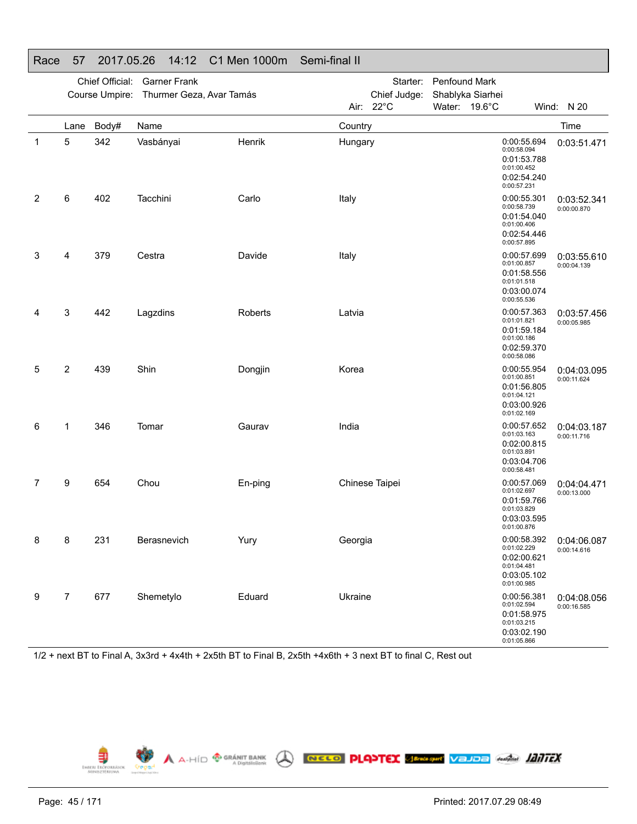|    |                | Chief Official: | <b>Garner Frank</b>                     |         |         | Starter:       | Penfound Mark    |                                                                                        |                            |
|----|----------------|-----------------|-----------------------------------------|---------|---------|----------------|------------------|----------------------------------------------------------------------------------------|----------------------------|
|    |                |                 | Course Umpire: Thurmer Geza, Avar Tamás |         |         | Chief Judge:   | Shablyka Siarhei |                                                                                        |                            |
|    |                |                 |                                         |         |         | Air: 22°C      | Water: 19.6°C    |                                                                                        | Wind: N 20                 |
|    | Lane           | Body#           | Name                                    |         | Country |                |                  |                                                                                        | Time                       |
| -1 | 5              | 342             | Vasbányai                               | Henrik  | Hungary |                |                  | 0:00:55.694<br>0:00:58.094<br>0:01:53.788<br>0:01:00.452<br>0:02:54.240<br>0:00:57.231 | 0:03:51.471                |
| 2  | 6              | 402             | Tacchini                                | Carlo   | Italy   |                |                  | 0:00:55.301<br>0:00:58.739<br>0:01:54.040<br>0:01:00.406<br>0:02:54.446<br>0:00:57.895 | 0:03:52.341<br>0:00:00.870 |
| 3  | 4              | 379             | Cestra                                  | Davide  | Italy   |                |                  | 0:00:57.699<br>0:01:00.857<br>0:01:58.556<br>0:01:01.518<br>0:03:00.074<br>0:00:55.536 | 0:03:55.610<br>0:00:04.139 |
| 4  | 3              | 442             | Lagzdins                                | Roberts | Latvia  |                |                  | 0:00:57.363<br>0:01:01.821<br>0:01:59.184<br>0:01:00.186<br>0:02:59.370<br>0:00:58.086 | 0:03:57.456<br>0:00:05.985 |
| 5  | $\overline{c}$ | 439             | Shin                                    | Dongjin | Korea   |                |                  | 0:00:55.954<br>0:01:00.851<br>0:01:56.805<br>0:01:04.121<br>0:03:00.926<br>0:01:02.169 | 0:04:03.095<br>0:00:11.624 |
| 6  | 1              | 346             | Tomar                                   | Gaurav  | India   |                |                  | 0:00:57.652<br>0:01:03.163<br>0:02:00.815<br>0:01:03.891<br>0:03:04.706<br>0:00:58.481 | 0:04:03.187<br>0:00:11.716 |
| 7  | 9              | 654             | Chou                                    | En-ping |         | Chinese Taipei |                  | 0:00:57.069<br>0:01:02.697<br>0:01:59.766<br>0:01:03.829<br>0:03:03.595<br>0:01:00.876 | 0:04:04.471<br>0:00:13.000 |
| 8  | 8              | 231             | Berasnevich                             | Yury    | Georgia |                |                  | 0:00:58.392<br>0:01:02.229<br>0:02:00.621<br>0:01:04.481<br>0:03:05.102<br>0:01:00.985 | 0:04:06.087<br>0:00:14.616 |
| 9  | $\overline{7}$ | 677             | Shemetylo                               | Eduard  | Ukraine |                |                  | 0:00:56.381<br>0:01:02.594<br>0:01:58.975<br>0:01:03.215<br>0:03:02.190<br>0:01:05.866 | 0:04:08.056<br>0:00:16.585 |

## Race 57 2017.05.26 14:12 C1 Men 1000m Semi-final II

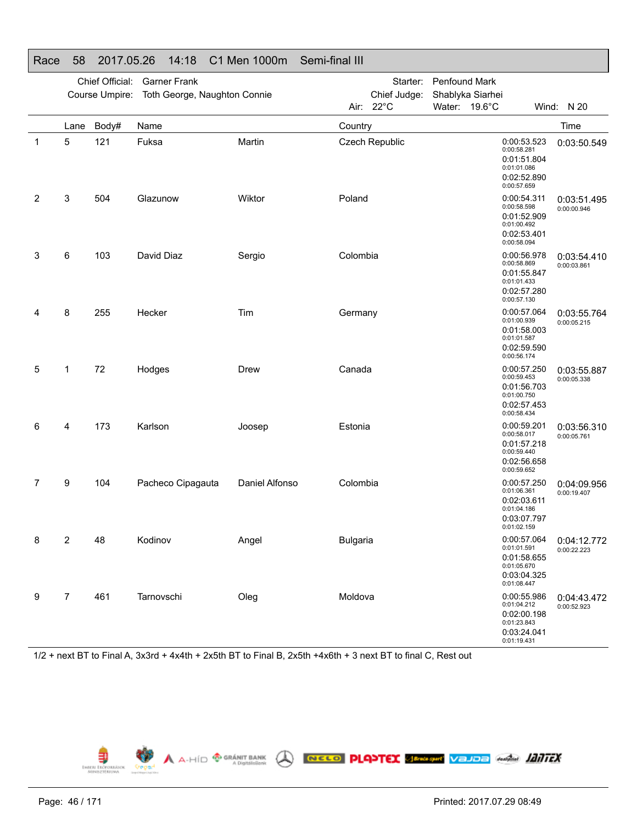|   |                | Chief Official: | <b>Garner Frank</b><br>Course Umpire: Toth George, Naughton Connie |                |                 | Starter:<br>Chief Judge: | Penfound Mark<br>Shablyka Siarhei |                                           |                                                          |                            |
|---|----------------|-----------------|--------------------------------------------------------------------|----------------|-----------------|--------------------------|-----------------------------------|-------------------------------------------|----------------------------------------------------------|----------------------------|
|   |                |                 |                                                                    |                |                 | Air: 22°C                | Water: 19.6°C                     |                                           |                                                          | Wind: N 20                 |
|   | Lane           | Body#           | Name                                                               |                | Country         |                          |                                   |                                           |                                                          | Time                       |
| 1 | 5              | 121             | Fuksa                                                              | Martin         |                 | Czech Republic           |                                   | 0:00:58.281<br>0:01:01.086<br>0:00:57.659 | 0:00:53.523<br>0:01:51.804<br>0:02:52.890                | 0:03:50.549                |
| 2 | 3              | 504             | Glazunow                                                           | Wiktor         | Poland          |                          |                                   | 0:00:58.598<br>0:01:00.492<br>0:00:58.094 | 0:00:54.311<br>0:01:52.909<br>0:02:53.401                | 0:03:51.495<br>0:00:00.946 |
| 3 | 6              | 103             | David Diaz                                                         | Sergio         | Colombia        |                          |                                   | 0:00:58.869<br>0:01:01.433<br>0:00:57.130 | 0:00:56.978<br>0:01:55.847<br>0:02:57.280                | 0:03:54.410<br>0:00:03.861 |
| 4 | 8              | 255             | Hecker                                                             | Tim            | Germany         |                          |                                   | 0:01:00.939<br>0:01:01.587<br>0:00:56.174 | 0:00:57.064<br>0:01:58.003<br>0:02:59.590                | 0:03:55.764<br>0:00:05.215 |
| 5 | 1              | 72              | Hodges                                                             | Drew           | Canada          |                          |                                   | 0:00:59.453<br>0:01:00.750<br>0:00:58.434 | 0:00:57.250<br>0:01:56.703<br>0:02:57.453                | 0:03:55.887<br>0:00:05.338 |
| 6 | 4              | 173             | Karlson                                                            | Joosep         | Estonia         |                          |                                   | 0:00:58.017<br>0:00:59.440<br>0:00:59.652 | 0:00:59.201<br>0:01:57.218<br>0:02:56.658                | 0:03:56.310<br>0:00:05.761 |
| 7 | 9              | 104             | Pacheco Cipagauta                                                  | Daniel Alfonso | Colombia        |                          |                                   | 0:01:06.361<br>0:01:04.186<br>0:01:02.159 | 0:00:57.250<br>0:02:03.611<br>0:03:07.797                | 0:04:09.956<br>0:00:19.407 |
| 8 | 2              | 48              | Kodinov                                                            | Angel          | <b>Bulgaria</b> |                          |                                   | 0:01:01.591<br>0:01:05.670<br>0:01:08.447 | 0:00:57.064<br>0:01:58.655<br>0:03:04.325                | 0:04:12.772<br>0:00:22.223 |
| 9 | $\overline{7}$ | 461             | Tarnovschi                                                         | Oleg           | Moldova         |                          |                                   | 0:01:23.843<br>0:01:19.431                | 0:00:55.986<br>0:01:04.212<br>0:02:00.198<br>0:03:24.041 | 0:04:43.472<br>0:00:52.923 |

## Race 58 2017.05.26 14:18 C1 Men 1000m Semi-final III

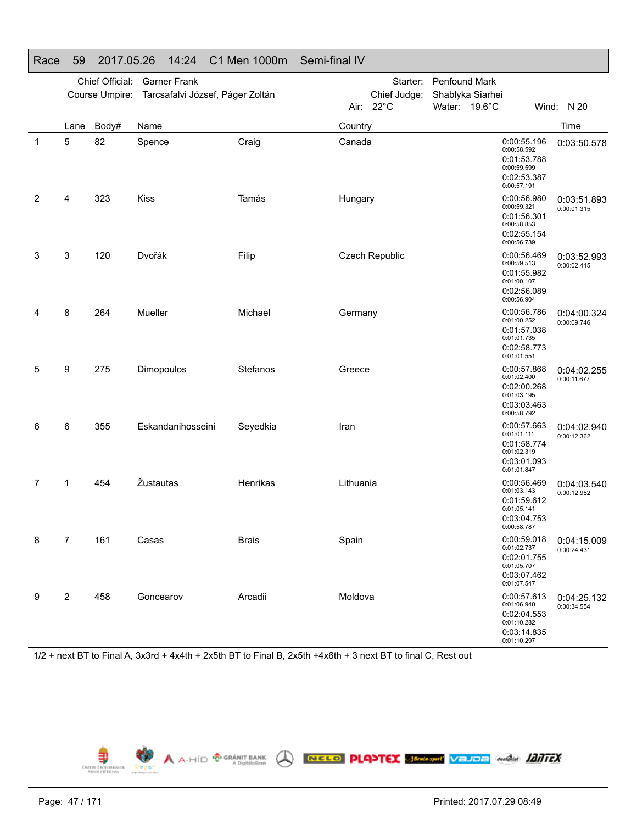|   |                         | Chief Official:<br>Course Umpire: | <b>Garner Frank</b><br>Tarcsafalvi József, Páger Zoltán |              |           | Starter:<br>Chief Judge: | Penfound Mark<br>Shablyka Siarhei |             |                                                                                        |                            |
|---|-------------------------|-----------------------------------|---------------------------------------------------------|--------------|-----------|--------------------------|-----------------------------------|-------------|----------------------------------------------------------------------------------------|----------------------------|
|   |                         |                                   |                                                         |              |           | Air: 22°C                | Water: 19.6°C                     |             |                                                                                        | Wind: N 20                 |
|   | Lane                    | Body#                             | Name                                                    |              | Country   |                          |                                   |             |                                                                                        | Time                       |
| 1 | 5                       | 82                                | Spence                                                  | Craig        | Canada    |                          |                                   | 0:00:57.191 | 0:00:55.196<br>0:00:58.592<br>0:01:53.788<br>0:00:59.599<br>0:02:53.387                | 0:03:50.578                |
| 2 | 4                       | 323                               | <b>Kiss</b>                                             | Tamás        | Hungary   |                          |                                   | 0:00:59.321 | 0:00:56.980<br>0:01:56.301<br>0:00:58.853<br>0:02:55.154<br>0:00:56.739                | 0:03:51.893<br>0:00:01.315 |
| 3 | 3                       | 120                               | Dvořák                                                  | Filip        |           | Czech Republic           |                                   |             | 0:00:56.469<br>0:00:59.513<br>0:01:55.982<br>0:01:00.107<br>0:02:56.089<br>0:00:56.904 | 0:03:52.993<br>0:00:02.415 |
| 4 | 8                       | 264                               | <b>Mueller</b>                                          | Michael      | Germany   |                          |                                   |             | 0:00:56.786<br>0:01:00.252<br>0:01:57.038<br>0:01:01.735<br>0:02:58.773<br>0:01:01.551 | 0:04:00.324<br>0:00:09.746 |
| 5 | 9                       | 275                               | Dimopoulos                                              | Stefanos     | Greece    |                          |                                   |             | 0:00:57.868<br>0:01:02.400<br>0:02:00.268<br>0:01:03.195<br>0:03:03.463<br>0:00:58.792 | 0:04:02.255<br>0:00:11.677 |
| 6 | 6                       | 355                               | Eskandanihosseini                                       | Seyedkia     | Iran      |                          |                                   | 0:01:01.111 | 0:00:57.663<br>0:01:58.774<br>0:01:02.319<br>0:03:01.093<br>0:01:01.847                | 0:04:02.940<br>0:00:12.362 |
| 7 | 1                       | 454                               | Žustautas                                               | Henrikas     | Lithuania |                          |                                   |             | 0:00:56.469<br>0:01:03.143<br>0:01:59.612<br>0:01:05.141<br>0:03:04.753<br>0:00:58.787 | 0:04:03.540<br>0:00:12.962 |
| 8 | 7                       | 161                               | Casas                                                   | <b>Brais</b> | Spain     |                          |                                   |             | 0:00:59.018<br>0:01:02.737<br>0:02:01.755<br>0:01:05.707<br>0:03:07.462<br>0:01:07.547 | 0:04:15.009<br>0:00:24.431 |
| 9 | $\overline{\mathbf{c}}$ | 458                               | Goncearov                                               | Arcadii      | Moldova   |                          |                                   |             | 0:00:57.613<br>0:01:06.940<br>0:02:04.553<br>0:01:10.282<br>0:03:14.835<br>0:01:10.297 | 0:04:25.132<br>0:00:34.554 |

## Race 59 2017.05.26 14:24 C1 Men 1000m Semi-final IV

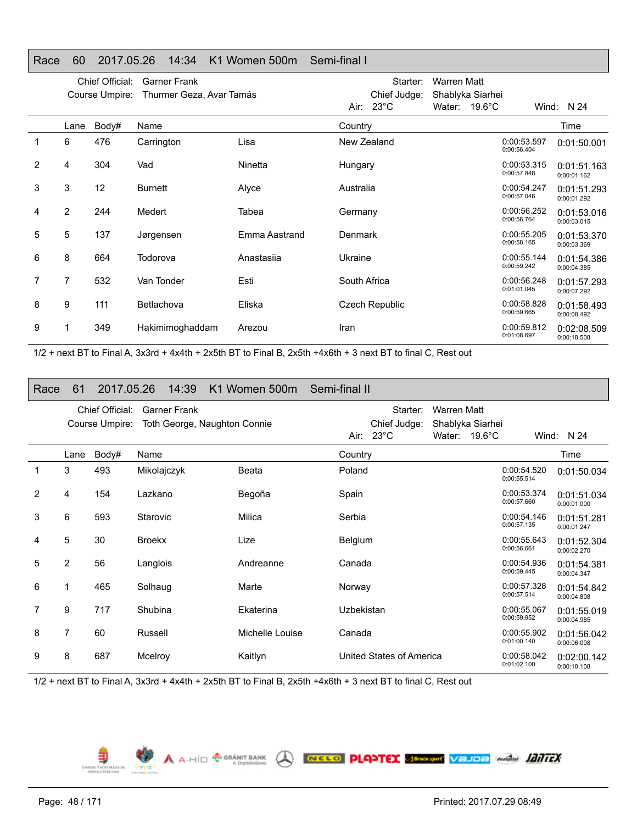#### Chief Official: Garner Frank Course Umpire: Thurmer Geza, Avar Tamás Starter: Warren Matt Chief Judge: Shablyka Siarhei Air: 23°C Water: 19.6°C Wind: N 24 LaneBody# Name Time 1 6 476 Carrington Lisa New Zealand 0:00:53.597 0:00:53.597 2 4 304 Vad Ninetta Hungary 0:00:53.315 0:00:57.848 3 3 12 Burnett Alyce Australia 0:00:54.247 0:00:54.247 4 2 244 Medert Tabea Germany 0:00:56.252 0:00:56.764 5 5 137 Jørgensen Emma Aastrand Denmark 0:00:55.205 0:00:58.1656 8 664 Todorova Anastasiia Ukraine 0:00:55.144 0:00:59.242

7 532 Van Tonder Esti South Africa 60:00:56.248

9 111 Betlachova Eliska Czech Republic 0:00:58.828

1 349 Hakimimoghaddam Arezou Iran 0:00:59.812

#### Race 60 2017.05.26 14:34 K1 Women 500m Semi-final I

1/2 + next BT to Final A, 3x3rd + 4x4th + 2x5th BT to Final B, 2x5th +4x6th + 3 next BT to final C, Rest out

#### Race 61 2017.05.26 14:39 K1 Women 500m Semi-final II

|                |                | Chief Official:<br>Course Umpire: | <b>Garner Frank</b><br>Toth George, Naughton Connie |                 |                | Starter:<br>Chief Judge: | <b>Warren Matt</b> | Shablyka Siarhei        |                            |                            |
|----------------|----------------|-----------------------------------|-----------------------------------------------------|-----------------|----------------|--------------------------|--------------------|-------------------------|----------------------------|----------------------------|
|                |                |                                   |                                                     |                 |                | Air: $23^{\circ}$ C      |                    | Water: $19.6^{\circ}$ C |                            | Wind: $N$ 24               |
|                | Lane           | Body#                             | Name                                                |                 | Country        |                          |                    |                         |                            | Time                       |
| 1              | 3              | 493                               | Mikolajczyk                                         | Beata           | Poland         |                          |                    |                         | 0:00:54.520<br>0:00:55.514 | 0:01:50.034                |
| $\overline{2}$ | 4              | 154                               | Lazkano                                             | Begoña          | Spain          |                          |                    |                         | 0:00:53.374<br>0:00:57.660 | 0:01:51.034<br>0:00:01.000 |
| 3              | 6              | 593                               | Starovic                                            | Milica          | Serbia         |                          |                    |                         | 0:00:54.146<br>0:00:57.135 | 0:01:51.281<br>0:00:01.247 |
| 4              | 5              | 30                                | <b>Broekx</b>                                       | Lize            | <b>Belgium</b> |                          |                    |                         | 0:00:55.643<br>0:00:56.661 | 0:01:52.304<br>0:00:02.270 |
| 5              | $\overline{2}$ | 56                                | Langlois                                            | Andreanne       | Canada         |                          |                    |                         | 0:00:54.936<br>0:00:59.445 | 0:01:54.381<br>0:00:04.347 |
| 6              |                | 465                               | Solhaug                                             | Marte           | Norway         |                          |                    |                         | 0:00:57.328<br>0:00:57.514 | 0:01:54.842<br>0:00:04.808 |
| 7              | 9              | 717                               | Shubina                                             | Ekaterina       | Uzbekistan     |                          |                    |                         | 0:00:55.067<br>0:00:59.952 | 0:01:55.019<br>0:00:04.985 |
| 8              | 7              | 60                                | Russell                                             | Michelle Louise | Canada         |                          |                    |                         | 0:00:55.902<br>0:01:00.140 | 0:01:56.042<br>0:00:06.008 |
| 9              | 8              | 687                               | Mcelroy                                             | Kaitlyn         |                | United States of America |                    |                         | 0:00:58.042<br>0:01:02.100 | 0:02:00.142<br>0:00:10.108 |

1/2 + next BT to Final A, 3x3rd + 4x4th + 2x5th BT to Final B, 2x5th +4x6th + 3 next BT to final C, Rest out

 $\bigwedge$   $A$ -HÍD  $\bigoplus_{A}^{n}$  GRÁNIT BANK

EMBERI ERÖPORRÁZ

7

8

9

NELO PLATEX SERVANTE VELOE AND ALITEX

0:01:50.001

0:01:51.163 0:00:01.162

0:01:51.293 0:00:01.292

0:01:53.016 0:00:03.015

0:01:53.370 0:00:03.369

0:01:54.386 0:00:04.385

0:01:57.293 0:00:07.292

0:01:58.493 0:00:08.492

0:02:08.509 0:00:18.508

0:01:01.045

0:00:59.665

0:01:08.697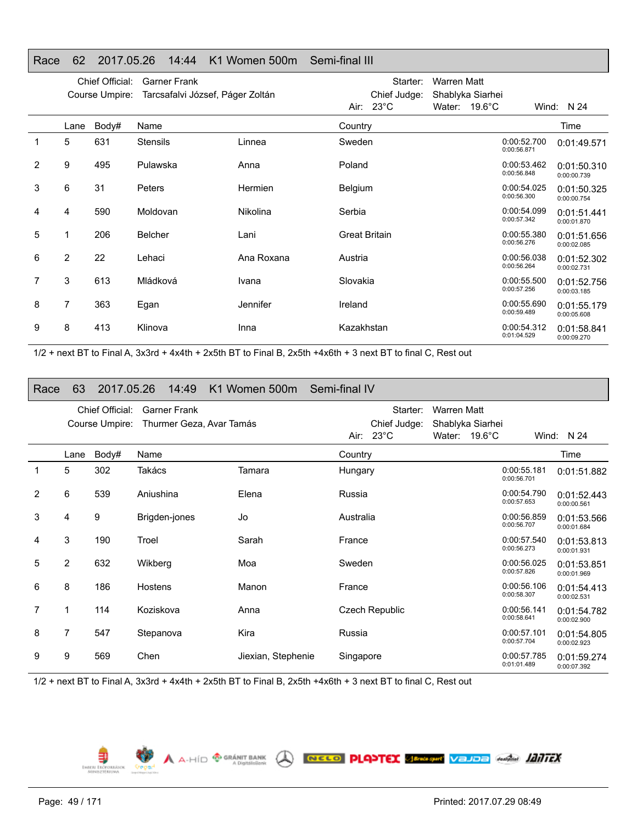|                |                | Chief Official: | <b>Garner Frank</b>              |                 |                      | Starter:                            | <b>Warren Matt</b>                |                            |                            |
|----------------|----------------|-----------------|----------------------------------|-----------------|----------------------|-------------------------------------|-----------------------------------|----------------------------|----------------------------|
|                |                | Course Umpire:  | Tarcsafalvi József, Páger Zoltán |                 |                      | Chief Judge:<br>Air: $23^{\circ}$ C | Shablyka Siarhei<br>Water: 19.6°C |                            | Wind: N 24                 |
|                | Lane           | Body#           | Name                             |                 | Country              |                                     |                                   |                            | Time                       |
| 1              | 5              | 631             | <b>Stensils</b>                  | Linnea          | Sweden               |                                     |                                   | 0:00:52.700<br>0:00:56.871 | 0:01:49.571                |
| $\overline{2}$ | 9              | 495             | Pulawska                         | Anna            | Poland               |                                     |                                   | 0:00:53.462<br>0:00:56.848 | 0:01:50.310<br>0:00:00.739 |
| 3              | 6              | 31              | Peters                           | Hermien         | <b>Belgium</b>       |                                     |                                   | 0:00:54.025<br>0:00:56.300 | 0:01:50.325<br>0:00:00.754 |
| 4              | 4              | 590             | Moldovan                         | <b>Nikolina</b> | Serbia               |                                     |                                   | 0:00:54.099<br>0:00:57.342 | 0:01:51.441<br>0:00:01.870 |
| 5              | 1              | 206             | <b>Belcher</b>                   | Lani            | <b>Great Britain</b> |                                     |                                   | 0:00:55.380<br>0:00:56.276 | 0:01:51.656<br>0:00:02.085 |
| 6              | $\overline{2}$ | 22              | Lehaci                           | Ana Roxana      | Austria              |                                     |                                   | 0:00:56.038<br>0:00:56.264 | 0:01:52.302<br>0:00:02.731 |
| 7              | 3              | 613             | Mládková                         | Ivana           | Slovakia             |                                     |                                   | 0:00:55.500<br>0:00:57.256 | 0:01:52.756<br>0:00:03.185 |
| 8              | 7              | 363             | Egan                             | Jennifer        | Ireland              |                                     |                                   | 0:00:55.690<br>0:00:59.489 | 0:01:55.179<br>0:00:05.608 |
| 9              | 8              | 413             | Klinova                          | Inna            | Kazakhstan           |                                     |                                   | 0:00:54.312<br>0:01:04.529 | 0:01:58.841<br>0.00.09.270 |

#### Race 62 2017.05.26 14:44 K1 Women 500m Semi-final III

1/2 + next BT to Final A, 3x3rd + 4x4th + 2x5th BT to Final B, 2x5th +4x6th + 3 next BT to final C, Rest out

#### Race 63 2017.05.26 14:49 K1 Women 500m Semi-final IV

|   |      | Chief Official: | <b>Garner Frank</b>      |                    |           | Starter:                            | <b>Warren Matt</b> |                         |                            |                            |
|---|------|-----------------|--------------------------|--------------------|-----------|-------------------------------------|--------------------|-------------------------|----------------------------|----------------------------|
|   |      | Course Umpire:  | Thurmer Geza, Avar Tamás |                    |           | Chief Judge:<br>Air: $23^{\circ}$ C | Shablyka Siarhei   | Water: $19.6^{\circ}$ C |                            | Wind: N 24                 |
|   |      |                 |                          |                    |           |                                     |                    |                         |                            |                            |
|   | Lane | Body#           | Name                     |                    | Country   |                                     |                    |                         |                            | Time                       |
|   | 5    | 302             | Takács                   | Tamara             | Hungary   |                                     |                    |                         | 0:00:55.181<br>0:00:56.701 | 0:01:51.882                |
| 2 | 6    | 539             | Aniushina                | Elena              | Russia    |                                     |                    |                         | 0:00:54.790<br>0:00:57.653 | 0:01:52.443<br>0:00:00.561 |
| 3 | 4    | 9               | Brigden-jones            | Jo                 | Australia |                                     |                    |                         | 0:00:56.859<br>0:00:56.707 | 0:01:53.566<br>0:00:01.684 |
| 4 | 3    | 190             | Troel                    | Sarah              | France    |                                     |                    |                         | 0:00:57.540<br>0:00:56.273 | 0:01:53.813<br>0:00:01.931 |
| 5 | 2    | 632             | Wikberg                  | Moa                | Sweden    |                                     |                    |                         | 0:00:56.025<br>0:00:57.826 | 0:01:53.851<br>0:00:01.969 |
| 6 | 8    | 186             | Hostens                  | Manon              | France    |                                     |                    |                         | 0:00:56.106<br>0:00:58.307 | 0:01:54.413<br>0:00:02.531 |
| 7 |      | 114             | Koziskova                | Anna               |           | <b>Czech Republic</b>               |                    |                         | 0:00:56.141<br>0:00:58.641 | 0:01:54.782<br>0:00:02.900 |
| 8 | 7    | 547             | Stepanova                | Kira               | Russia    |                                     |                    |                         | 0:00:57.101<br>0:00:57.704 | 0:01:54.805<br>0:00:02.923 |
| 9 | 9    | 569             | Chen                     | Jiexian, Stephenie | Singapore |                                     |                    |                         | 0:00:57.785<br>0:01:01.489 | 0:01:59.274<br>0:00:07.392 |

A A-HÍD <sup>® GRÁNIT BANK</sup> A **RECO PLANTEX SEMERENT VEJOE** ANGEL **JAITEX** 

1/2 + next BT to Final A, 3x3rd + 4x4th + 2x5th BT to Final B, 2x5th +4x6th + 3 next BT to final C, Rest out

€ EMBERL ERÖF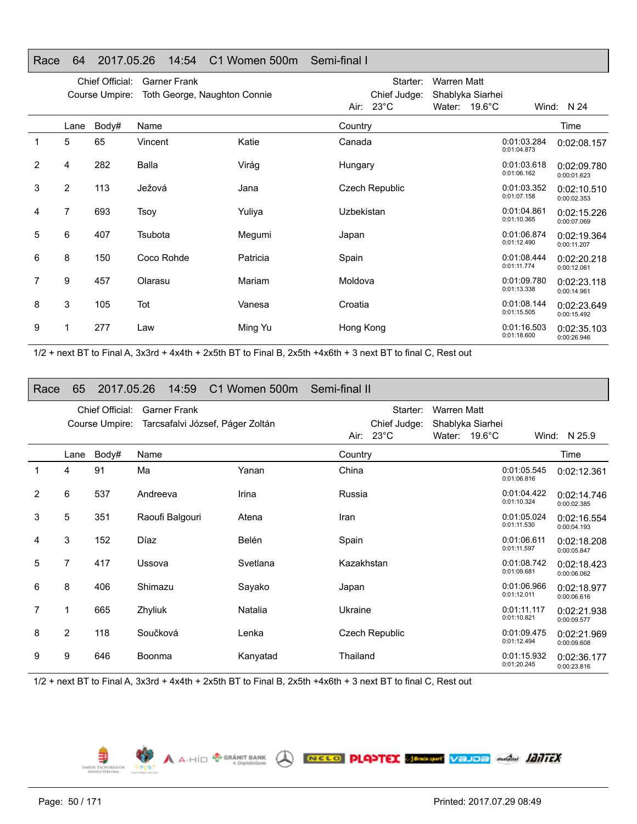|   |                | Chief Official: | <b>Garner Frank</b>          |          |            | Starter:                       | <b>Warren Matt</b>         |                  |                            |                            |
|---|----------------|-----------------|------------------------------|----------|------------|--------------------------------|----------------------------|------------------|----------------------------|----------------------------|
|   |                | Course Umpire:  | Toth George, Naughton Connie |          | Air:       | Chief Judge:<br>$23^{\circ}$ C | Shablyka Siarhei<br>Water: | $19.6^{\circ}$ C |                            | Wind: N 24                 |
|   | Lane           | Body#           | Name                         |          | Country    |                                |                            |                  |                            | Time                       |
| 1 | 5              | 65              | Vincent                      | Katie    | Canada     |                                |                            |                  | 0:01:03.284<br>0:01:04.873 | 0:02:08.157                |
| 2 | 4              | 282             | <b>Balla</b>                 | Virág    | Hungary    |                                |                            |                  | 0:01:03.618<br>0:01:06.162 | 0:02:09.780<br>0:00:01.623 |
| 3 | $\overline{2}$ | 113             | Ježová                       | Jana     |            | <b>Czech Republic</b>          |                            |                  | 0:01:03.352<br>0:01:07.158 | 0:02:10.510<br>0:00:02.353 |
| 4 | 7              | 693             | Tsoy                         | Yuliya   | Uzbekistan |                                |                            |                  | 0:01:04.861<br>0:01:10.365 | 0:02:15.226<br>0:00:07.069 |
| 5 | 6              | 407             | Tsubota                      | Megumi   | Japan      |                                |                            |                  | 0:01:06.874<br>0:01:12.490 | 0:02:19.364<br>0:00:11.207 |
| 6 | 8              | 150             | Coco Rohde                   | Patricia | Spain      |                                |                            |                  | 0:01:08.444<br>0:01:11.774 | 0:02:20.218<br>0:00:12.061 |
| 7 | 9              | 457             | Olarasu                      | Mariam   | Moldova    |                                |                            |                  | 0:01:09.780<br>0:01:13.338 | 0:02:23.118<br>0:00:14.961 |
| 8 | 3              | 105             | Tot                          | Vanesa   | Croatia    |                                |                            |                  | 0:01:08.144<br>0:01:15.505 | 0:02:23.649<br>0:00:15.492 |
| 9 |                | 277             | Law                          | Ming Yu  | Hong Kong  |                                |                            |                  | 0:01:16.503<br>0:01:18.600 | 0:02:35.103<br>0:00:26.946 |

#### Race 64 2017.05.26 14:54 C1 Women 500m Semi-final I

1/2 + next BT to Final A, 3x3rd + 4x4th + 2x5th BT to Final B, 2x5th +4x6th + 3 next BT to final C, Rest out

#### Race 65 2017.05.26 14:59 C1 Women 500m Semi-final II

|   |                | Chief Official: | <b>Garner Frank</b>              |          |            | Starter:              | Warren Matt      |                            |                            |
|---|----------------|-----------------|----------------------------------|----------|------------|-----------------------|------------------|----------------------------|----------------------------|
|   |                | Course Umpire:  | Tarcsafalvi József, Páger Zoltán |          |            | Chief Judge:          | Shablyka Siarhei |                            |                            |
|   |                |                 |                                  |          | Air: I     | $23^{\circ}$ C        | Water: 19.6°C    |                            | Wind: N 25.9               |
|   | Lane           | Body#           | Name                             |          | Country    |                       |                  |                            | Time                       |
| 1 | 4              | 91              | Ma                               | Yanan    | China      |                       |                  | 0:01:05.545<br>0:01:06.816 | 0:02:12.361                |
| 2 | 6              | 537             | Andreeva                         | Irina    | Russia     |                       |                  | 0:01:04.422<br>0:01:10.324 | 0:02:14.746<br>0:00:02.385 |
| 3 | 5              | 351             | Raoufi Balgouri                  | Atena    | Iran       |                       |                  | 0:01:05.024<br>0:01:11.530 | 0:02:16.554<br>0:00:04.193 |
| 4 | 3              | 152             | Díaz                             | Belén    | Spain      |                       |                  | 0:01:06.611<br>0:01:11.597 | 0:02:18.208<br>0:00:05.847 |
| 5 | 7              | 417             | Ussova                           | Svetlana | Kazakhstan |                       |                  | 0:01:08.742<br>0:01:09.681 | 0:02:18.423<br>0:00:06.062 |
| 6 | 8              | 406             | Shimazu                          | Sayako   | Japan      |                       |                  | 0:01:06.966<br>0:01:12.011 | 0:02:18.977<br>0:00:06.616 |
| 7 |                | 665             | Zhyliuk                          | Natalia  | Ukraine    |                       |                  | 0:01:11.117<br>0:01:10.821 | 0:02:21.938<br>0:00:09.577 |
| 8 | $\overline{2}$ | 118             | Součková                         | Lenka    |            | <b>Czech Republic</b> |                  | 0:01:09.475<br>0:01:12.494 | 0:02:21.969<br>0:00:09.608 |
| 9 | 9              | 646             | Boonma                           | Kanyatad | Thailand   |                       |                  | 0:01:15.932<br>0:01:20.245 | 0:02:36.177<br>0:00:23.816 |

A A-HÍD <sup>® GRÁNIT BANK</sup> A RECO PLANTEX SERGANY VEJOE AMÁM **JANTEX** 

1/2 + next BT to Final A, 3x3rd + 4x4th + 2x5th BT to Final B, 2x5th +4x6th + 3 next BT to final C, Rest out

鄠 EMBERL ERÖ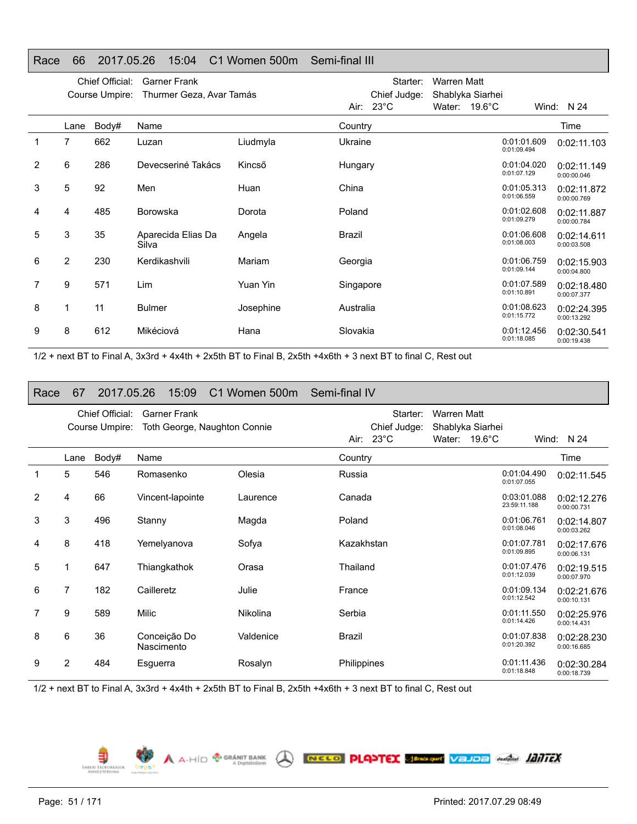#### Race 66 2017.05.26 15:04 C1 Women 500m Semi-final III

|   |      | Chief Official:<br>Course Umpire: | <b>Garner Frank</b><br>Thurmer Geza, Avar Tamás |           |           | Starter:<br>Chief Judge: | <b>Warren Matt</b><br>Shablyka Siarhei |                            |                            |
|---|------|-----------------------------------|-------------------------------------------------|-----------|-----------|--------------------------|----------------------------------------|----------------------------|----------------------------|
|   |      |                                   |                                                 |           |           | Air: $23^{\circ}$ C      | Water: $19.6^{\circ}$ C                |                            | Wind: $N$ 24               |
|   | Lane | Body#                             | Name                                            |           | Country   |                          |                                        |                            | Time                       |
| 1 | 7    | 662                               | Luzan                                           | Liudmyla  | Ukraine   |                          |                                        | 0:01:01.609<br>0:01:09.494 | 0:02:11.103                |
| 2 | 6    | 286                               | Devecseriné Takács                              | Kincső    | Hungary   |                          |                                        | 0:01:04.020<br>0:01:07.129 | 0:02:11.149<br>0:00:00.046 |
| 3 | 5    | 92                                | Men                                             | Huan      | China     |                          |                                        | 0:01:05.313<br>0:01:06.559 | 0:02:11.872<br>0:00:00.769 |
| 4 | 4    | 485                               | <b>Borowska</b>                                 | Dorota    | Poland    |                          |                                        | 0:01:02.608<br>0:01:09.279 | 0:02:11.887<br>0:00:00.784 |
| 5 | 3    | 35                                | Aparecida Elias Da<br>Silva                     | Angela    | Brazil    |                          |                                        | 0:01:06.608<br>0:01:08.003 | 0:02:14.611<br>0:00:03.508 |
| 6 | 2    | 230                               | Kerdikashvili                                   | Mariam    | Georgia   |                          |                                        | 0:01:06.759<br>0:01:09.144 | 0:02:15.903<br>0:00:04.800 |
| 7 | 9    | 571                               | Lim                                             | Yuan Yin  | Singapore |                          |                                        | 0:01:07.589<br>0:01:10.891 | 0:02:18.480<br>0:00:07.377 |
| 8 |      | 11                                | <b>Bulmer</b>                                   | Josephine | Australia |                          |                                        | 0:01:08.623<br>0:01:15.772 | 0:02:24.395<br>0:00:13.292 |
| 9 | 8    | 612                               | Mikéciová                                       | Hana      | Slovakia  |                          |                                        | 0:01:12.456<br>0:01:18.085 | 0:02:30.541<br>0:00:19.438 |

1/2 + next BT to Final A, 3x3rd + 4x4th + 2x5th BT to Final B, 2x5th +4x6th + 3 next BT to final C, Rest out

#### Race 67 2017.05.26 15:09 C1 Women 500m Semi-final IV

|   |      | Chief Official: | <b>Garner Frank</b>          |           |             | Starter:            | <b>Warren Matt</b> |        |                             |                            |
|---|------|-----------------|------------------------------|-----------|-------------|---------------------|--------------------|--------|-----------------------------|----------------------------|
|   |      | Course Umpire:  | Toth George, Naughton Connie |           |             | Chief Judge:        | Shablyka Siarhei   |        |                             |                            |
|   |      |                 |                              |           |             | Air: $23^{\circ}$ C | Water:             | 19.6°C |                             | Wind: N 24                 |
|   | Lane | Body#           | Name                         |           | Country     |                     |                    |        |                             | Time                       |
| 1 | 5    | 546             | Romasenko                    | Olesia    | Russia      |                     |                    |        | 0:01:04.490<br>0:01:07.055  | 0:02:11.545                |
| 2 | 4    | 66              | Vincent-lapointe             | Laurence  | Canada      |                     |                    |        | 0:03:01.088<br>23:59:11.188 | 0:02:12.276<br>0:00:00.731 |
| 3 | 3    | 496             | Stanny                       | Magda     | Poland      |                     |                    |        | 0:01:06.761<br>0:01:08.046  | 0:02:14.807<br>0:00:03.262 |
| 4 | 8    | 418             | Yemelyanova                  | Sofya     | Kazakhstan  |                     |                    |        | 0:01:07.781<br>0:01:09.895  | 0:02:17.676<br>0:00:06.131 |
| 5 |      | 647             | Thiangkathok                 | Orasa     | Thailand    |                     |                    |        | 0:01:07.476<br>0:01:12.039  | 0:02:19.515<br>0:00:07.970 |
| 6 | 7    | 182             | Cailleretz                   | Julie     | France      |                     |                    |        | 0:01:09.134<br>0:01:12.542  | 0:02:21.676<br>0:00:10.131 |
| 7 | 9    | 589             | <b>Milic</b>                 | Nikolina  | Serbia      |                     |                    |        | 0:01:11.550<br>0:01:14.426  | 0:02:25.976<br>0:00:14.431 |
| 8 | 6    | 36              | Conceição Do<br>Nascimento   | Valdenice | Brazil      |                     |                    |        | 0:01:07.838<br>0:01:20.392  | 0:02:28.230<br>0:00:16.685 |
| 9 | 2    | 484             | Esguerra                     | Rosalyn   | Philippines |                     |                    |        | 0:01:11.436<br>0:01:18.848  | 0:02:30.284<br>0:00:18.739 |

A A-HÍD <sup>®</sup> GRÁNIT BANK A **RECO PLASTEX SERGARY VEJDE ANGLIA ADITEX** 

1/2 + next BT to Final A, 3x3rd + 4x4th + 2x5th BT to Final B, 2x5th +4x6th + 3 next BT to final C, Rest out

₽ EMBERI ERÖPORRÁS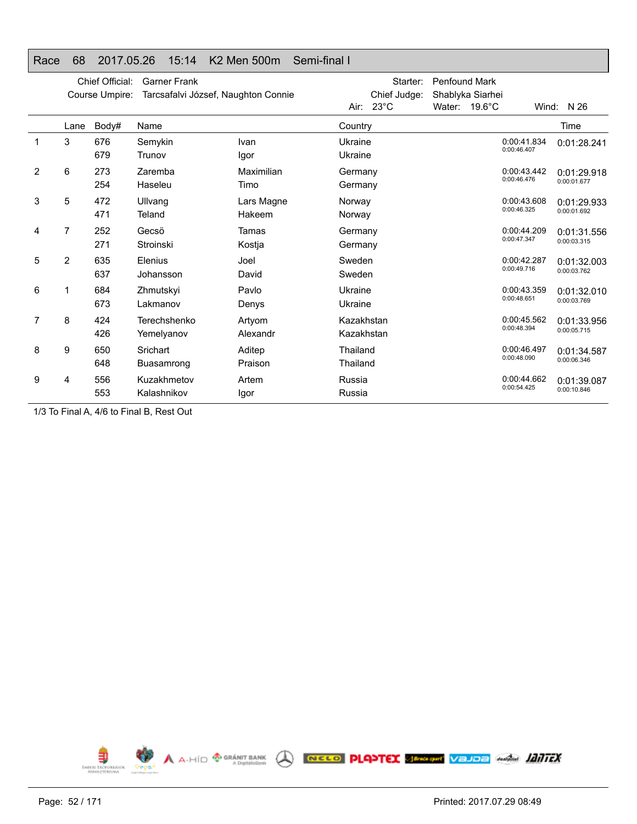| naut | υυ   | 2017.00.ZU      | $1 \cup . 1 +$                      | <b>IN A IVICIT JUUITI</b><br>JUIL-IIIIIIIIII |            |                |                      |                  |             |             |
|------|------|-----------------|-------------------------------------|----------------------------------------------|------------|----------------|----------------------|------------------|-------------|-------------|
|      |      | Chief Official: | <b>Garner Frank</b>                 |                                              |            | Starter:       | <b>Penfound Mark</b> |                  |             |             |
|      |      | Course Umpire:  | Tarcsafalvi József, Naughton Connie |                                              |            | Chief Judge:   |                      | Shablyka Siarhei |             |             |
|      |      |                 |                                     |                                              | Air:       | $23^{\circ}$ C | Water:               | $19.6^{\circ}$ C | Wind:       | N 26        |
|      | Lane | Body#           | Name                                |                                              | Country    |                |                      |                  |             | Time        |
| 1    | 3    | 676             | Semykin                             | Ivan                                         | Ukraine    |                |                      |                  | 0:00:41.834 | 0:01:28.241 |
|      |      | 679             | Trunov                              | Igor                                         | Ukraine    |                |                      |                  | 0:00:46.407 |             |
| 2    | 6    | 273             | Zaremba                             | Maximilian                                   | Germany    |                |                      |                  | 0:00:43.442 | 0:01:29.918 |
|      |      | 254             | Haseleu                             | Timo                                         | Germany    |                |                      |                  | 0:00:46.476 | 0:00:01.677 |
| 3    | 5    | 472             | Ullvang                             | Lars Magne                                   | Norway     |                |                      |                  | 0:00:43.608 | 0:01:29.933 |
|      |      | 471             | Teland                              | Hakeem                                       | Norway     |                |                      |                  | 0:00:46.325 | 0:00:01.692 |
| 4    | 7    | 252             | Gecsö                               | Tamas                                        | Germany    |                |                      |                  | 0:00:44.209 | 0:01:31.556 |
|      |      | 271             | Stroinski                           | Kostja                                       | Germany    |                |                      |                  | 0:00:47.347 | 0:00:03.315 |
| 5    | 2    | 635             | Elenius                             | Joel                                         | Sweden     |                |                      |                  | 0:00:42.287 | 0:01:32.003 |
|      |      | 637             | Johansson                           | David                                        | Sweden     |                |                      |                  | 0:00:49.716 | 0:00:03.762 |
| 6    | 1    | 684             | Zhmutskyi                           | Pavlo                                        | Ukraine    |                |                      |                  | 0:00:43.359 | 0:01:32.010 |
|      |      | 673             | Lakmanov                            | Denys                                        | Ukraine    |                |                      |                  | 0:00:48.651 | 0:00:03.769 |
| 7    | 8    | 424             | Terechshenko                        | Artyom                                       | Kazakhstan |                |                      |                  | 0:00:45.562 | 0:01:33.956 |
|      |      | 426             | Yemelyanov                          | Alexandr                                     | Kazakhstan |                |                      |                  | 0:00:48.394 | 0:00:05.715 |
| 8    | 9    | 650             | Srichart                            | Aditep                                       | Thailand   |                |                      |                  | 0:00:46.497 | 0:01:34.587 |
|      |      | 648             | Buasamrong                          | Praison                                      | Thailand   |                |                      |                  | 0:00:48.090 | 0:00:06.346 |
| 9    | 4    | 556             | Kuzakhmetov                         | Artem                                        | Russia     |                |                      |                  | 0:00:44.662 | 0:01:39.087 |
|      |      | 553             | Kalashnikov                         | lgor                                         | Russia     |                |                      |                  | 0:00:54.425 | 0:00:10.846 |

# Race 68 2017.05.26 15:14 K2 Men 500m Semi-final I

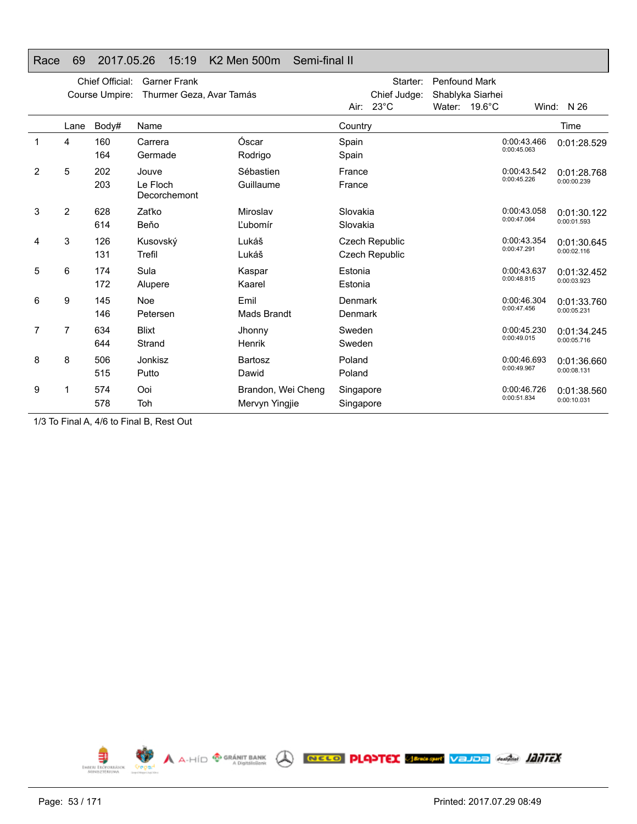|                |                | Chief Official: | <b>Garner Frank</b>               |                                      |                        | Starter:                         | <b>Penfound Mark</b> |                  |                            |                            |
|----------------|----------------|-----------------|-----------------------------------|--------------------------------------|------------------------|----------------------------------|----------------------|------------------|----------------------------|----------------------------|
|                |                | Course Umpire:  | Thurmer Geza, Avar Tamás          |                                      |                        | Chief Judge:                     |                      | Shablyka Siarhei |                            |                            |
|                |                |                 |                                   |                                      | Air:                   | $23^{\circ}$ C                   |                      | Water: 19.6°C    |                            | Wind: N 26                 |
|                | Lane           | Body#           | Name                              |                                      | Country                |                                  |                      |                  |                            | Time                       |
|                | 4              | 160<br>164      | Carrera<br>Germade                | Óscar<br>Rodrigo                     | Spain<br>Spain         |                                  |                      |                  | 0:00:43.466<br>0:00:45.063 | 0:01:28.529                |
| $\overline{2}$ | 5              | 202<br>203      | Jouve<br>Le Floch<br>Decorchemont | Sébastien<br>Guillaume               | France<br>France       |                                  |                      |                  | 0:00:43.542<br>0:00:45.226 | 0:01:28.768<br>0:00:00.239 |
| 3              | $\overline{2}$ | 628<br>614      | Zaťko<br>Beňo                     | Miroslav<br>Ľubomír                  | Slovakia<br>Slovakia   |                                  |                      |                  | 0:00:43.058<br>0:00:47.064 | 0:01:30.122<br>0:00:01.593 |
| 4              | 3              | 126<br>131      | Kusovský<br>Trefil                | Lukáš<br>Lukáš                       |                        | Czech Republic<br>Czech Republic |                      |                  | 0:00:43.354<br>0:00:47.291 | 0:01:30.645<br>0:00:02.116 |
| 5              | 6              | 174<br>172      | Sula<br>Alupere                   | Kaspar<br>Kaarel                     | Estonia<br>Estonia     |                                  |                      |                  | 0:00:43.637<br>0:00:48.815 | 0:01:32.452<br>0:00:03.923 |
| 6              | 9              | 145<br>146      | <b>Noe</b><br>Petersen            | Emil<br>Mads Brandt                  | Denmark<br>Denmark     |                                  |                      |                  | 0:00:46.304<br>0:00:47.456 | 0:01:33.760<br>0:00:05.231 |
| 7              | 7              | 634<br>644      | <b>Blixt</b><br>Strand            | Jhonny<br>Henrik                     | Sweden<br>Sweden       |                                  |                      |                  | 0:00:45.230<br>0:00:49.015 | 0:01:34.245<br>0:00:05.716 |
| 8              | 8              | 506<br>515      | Jonkisz<br>Putto                  | <b>Bartosz</b><br>Dawid              | Poland<br>Poland       |                                  |                      |                  | 0:00:46.693<br>0:00:49.967 | 0:01:36.660<br>0:00:08.131 |
| 9              | 1              | 574<br>578      | Ooi<br>Toh                        | Brandon, Wei Cheng<br>Mervyn Yingjie | Singapore<br>Singapore |                                  |                      |                  | 0:00:46.726<br>0:00:51.834 | 0:01:38.560<br>0:00:10.031 |

#### Race 69 2017.05.26 15:19 K2 Men 500m Semi-final II

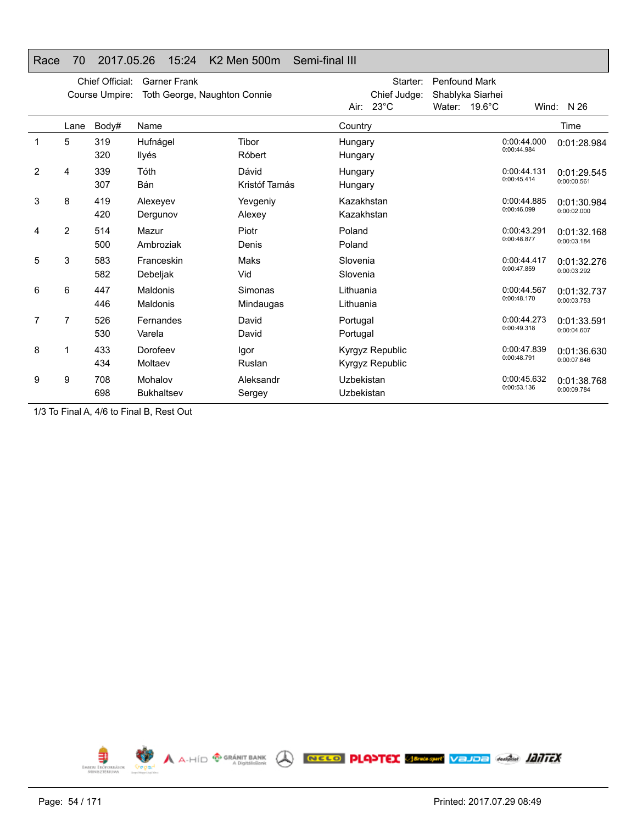#### Race 70 2017.05.26 15:24 K2 Men 500m Semi-final III Chief Official: Garner Frank Course Umpire: Toth George, Naughton Connie Starter: Penfound Mark Chief Judge: Shablyka Siarhei Air: 23°C Water: 19.6°C Wind: N 26 Lane

|                |      |            |                                    |                        | AII: 23 U                          | <i>vvater.</i> | 19.0 U | vviria:                    | - IN ∠O                    |
|----------------|------|------------|------------------------------------|------------------------|------------------------------------|----------------|--------|----------------------------|----------------------------|
|                | Lane | Body#      | Name                               |                        | Country                            |                |        |                            | Time                       |
| 1              | 5    | 319<br>320 | Hufnágel<br>Ilyés                  | Tibor<br>Róbert        | Hungary<br>Hungary                 |                |        | 0:00:44.000<br>0:00:44.984 | 0:01:28.984                |
| $\overline{2}$ | 4    | 339<br>307 | Tóth<br>Bán                        | Dávid<br>Kristóf Tamás | Hungary<br>Hungary                 |                |        | 0:00:44.131<br>0:00:45.414 | 0:01:29.545<br>0:00:00.561 |
| 3              | 8    | 419<br>420 | Alexeyev<br>Dergunov               | Yevgeniy<br>Alexey     | Kazakhstan<br>Kazakhstan           |                |        | 0:00:44.885<br>0:00:46.099 | 0:01:30.984<br>0:00:02.000 |
| 4              | 2    | 514<br>500 | Mazur<br>Ambroziak                 | Piotr<br>Denis         | Poland<br>Poland                   |                |        | 0:00:43.291<br>0:00:48.877 | 0:01:32.168<br>0:00:03.184 |
| 5              | 3    | 583<br>582 | Franceskin<br>Debeljak             | Maks<br>Vid            | Slovenia<br>Slovenia               |                |        | 0:00:44.417<br>0:00:47.859 | 0:01:32.276<br>0:00:03.292 |
| 6              | 6    | 447<br>446 | <b>Maldonis</b><br><b>Maldonis</b> | Simonas<br>Mindaugas   | Lithuania<br>Lithuania             |                |        | 0:00:44.567<br>0:00:48.170 | 0:01:32.737<br>0:00:03.753 |
| 7              | 7    | 526<br>530 | Fernandes<br>Varela                | David<br>David         | Portugal<br>Portugal               |                |        | 0:00:44.273<br>0:00:49.318 | 0:01:33.591<br>0:00:04.607 |
| 8              |      | 433<br>434 | Dorofeev<br>Moltaev                | Igor<br>Ruslan         | Kyrgyz Republic<br>Kyrgyz Republic |                |        | 0:00:47.839<br>0:00:48.791 | 0:01:36.630<br>0:00:07.646 |
| 9              | 9    | 708<br>698 | Mohalov<br><b>Bukhaltsev</b>       | Aleksandr<br>Sergey    | Uzbekistan<br>Uzbekistan           |                |        | 0:00:45.632<br>0:00:53.136 | 0:01:38.768<br>0:00:09.784 |

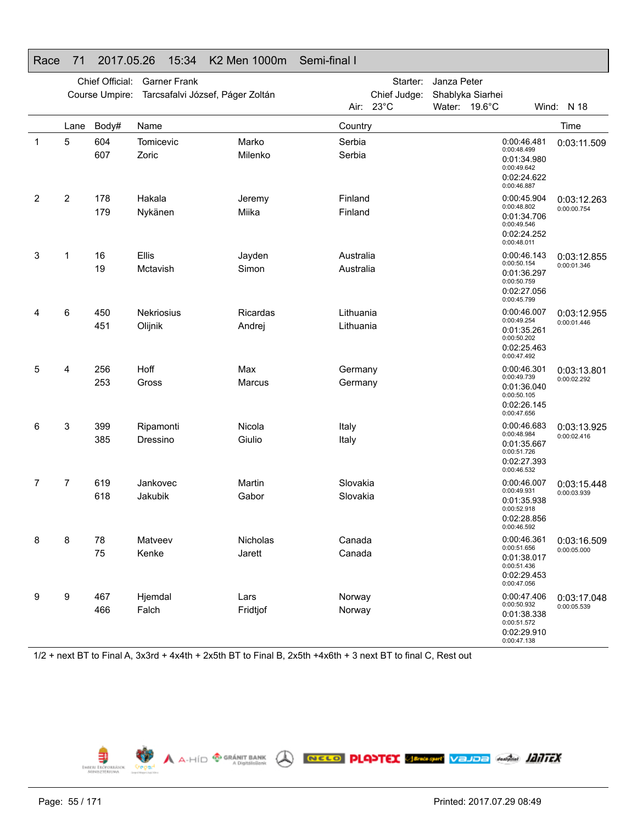|   |                | Chief Official: | <b>Garner Frank</b>              |                           |                        | Starter:     | Janza Peter                       |                                           |                                           |                            |
|---|----------------|-----------------|----------------------------------|---------------------------|------------------------|--------------|-----------------------------------|-------------------------------------------|-------------------------------------------|----------------------------|
|   |                | Course Umpire:  | Tarcsafalvi József, Páger Zoltán |                           | $23^{\circ}$ C<br>Air: | Chief Judge: | Shablyka Siarhei<br>Water: 19.6°C |                                           |                                           | Wind: N 18                 |
|   | Lane           | Body#           | Name                             |                           | Country                |              |                                   |                                           |                                           | Time                       |
| 1 | 5              | 604<br>607      | Tomicevic<br>Zoric               | Marko<br>Milenko          | Serbia<br>Serbia       |              |                                   | 0:00:48.499<br>0:00:49.642<br>0:00:46.887 | 0:00:46.481<br>0:01:34.980<br>0:02:24.622 | 0:03:11.509                |
| 2 | $\overline{2}$ | 178<br>179      | Hakala<br>Nykänen                | Jeremy<br>Miika           | Finland<br>Finland     |              |                                   | 0:00:48.802<br>0:00:49.546<br>0:00:48.011 | 0:00:45.904<br>0:01:34.706<br>0:02:24.252 | 0:03:12.263<br>0:00:00.754 |
| 3 | 1              | 16<br>19        | Ellis<br>Mctavish                | Jayden<br>Simon           | Australia<br>Australia |              |                                   | 0:00:50.154<br>0:00:50.759<br>0:00:45.799 | 0:00:46.143<br>0:01:36.297<br>0:02:27.056 | 0:03:12.855<br>0:00:01.346 |
| 4 | 6              | 450<br>451      | Nekriosius<br>Olijnik            | <b>Ricardas</b><br>Andrej | Lithuania<br>Lithuania |              |                                   | 0:00:49.254<br>0:00:50.202<br>0:00:47.492 | 0:00:46.007<br>0:01:35.261<br>0:02:25.463 | 0:03:12.955<br>0:00:01.446 |
| 5 | 4              | 256<br>253      | Hoff<br>Gross                    | Max<br>Marcus             | Germany<br>Germany     |              |                                   | 0:00:49.739<br>0:00:50.105<br>0:00:47.656 | 0:00:46.301<br>0:01:36.040<br>0:02:26.145 | 0:03:13.801<br>0:00:02.292 |
| 6 | 3              | 399<br>385      | Ripamonti<br>Dressino            | Nicola<br>Giulio          | Italy<br>Italy         |              |                                   | 0:00:48.984<br>0:00:51.726<br>0:00:46.532 | 0:00:46.683<br>0:01:35.667<br>0:02:27.393 | 0:03:13.925<br>0:00:02.416 |
| 7 | 7              | 619<br>618      | Jankovec<br>Jakubik              | Martin<br>Gabor           | Slovakia<br>Slovakia   |              |                                   | 0:00:49.931<br>0:00:52.918<br>0:00:46.592 | 0:00:46.007<br>0:01:35.938<br>0:02:28.856 | 0:03:15.448<br>0:00:03.939 |
| 8 | 8              | 78<br>75        | Matveev<br>Kenke                 | Nicholas<br>Jarett        | Canada<br>Canada       |              |                                   | 0:00:51.656<br>0:00:51.436<br>0:00:47.056 | 0:00:46.361<br>0:01:38.017<br>0:02:29.453 | 0:03:16.509<br>0:00:05.000 |
| 9 | 9              | 467<br>466      | Hjemdal<br>Falch                 | Lars<br>Fridtjof          | Norway<br>Norway       |              |                                   | 0:00:50.932<br>0:00:51.572<br>0:00:47.138 | 0:00:47.406<br>0:01:38.338<br>0:02:29.910 | 0:03:17.048<br>0:00:05.539 |

# Race 71 2017.05.26 15:34 K2 Men 1000m Semi-final I

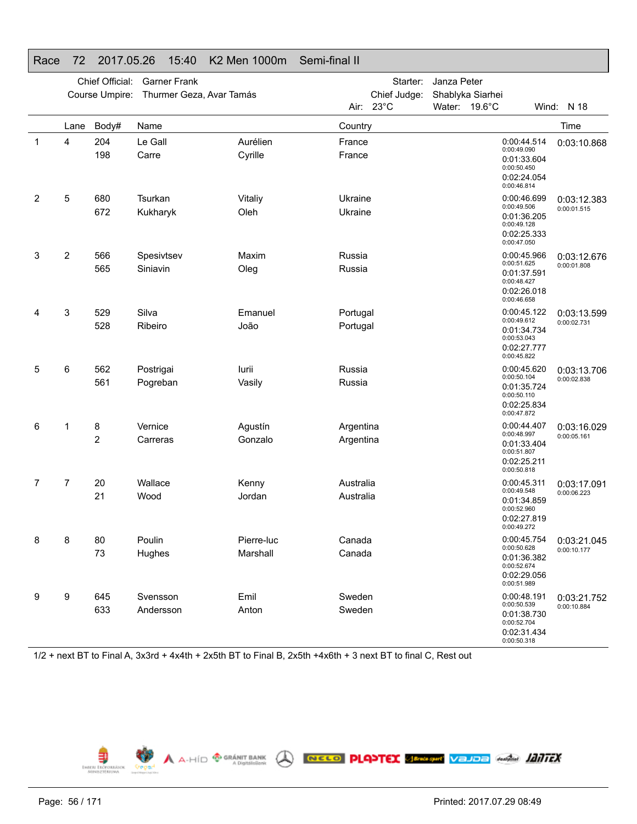|   |      | Chief Official:<br>Course Umpire: | <b>Garner Frank</b><br>Thurmer Geza, Avar Tamás |                     |                  | Starter:<br>Chief Judge: | Janza Peter   | Shablyka Siarhei                                                                       |                            |
|---|------|-----------------------------------|-------------------------------------------------|---------------------|------------------|--------------------------|---------------|----------------------------------------------------------------------------------------|----------------------------|
|   |      |                                   |                                                 |                     | Air:             | $23^{\circ}$ C           | Water: 19.6°C |                                                                                        | Wind: N 18                 |
|   | Lane | Body#                             | Name                                            |                     | Country          |                          |               |                                                                                        | Time                       |
| 1 | 4    | 204<br>198                        | Le Gall<br>Carre                                | Aurélien<br>Cyrille | France<br>France |                          |               | 0:00:44.514<br>0:00:49.090<br>0:01:33.604<br>0:00:50.450<br>0:02:24.054<br>0:00:46.814 | 0:03:10.868                |
| 2 | 5    | 680                               | Tsurkan                                         | Vitaliy             | Ukraine          |                          |               | 0:00:46.699<br>0:00:49.506                                                             | 0:03:12.383                |
|   |      | 672                               | Kukharyk                                        | Oleh                | Ukraine          |                          |               | 0:01:36.205<br>0:00:49.128<br>0:02:25.333<br>0:00:47.050                               | 0:00:01.515                |
| 3 | 2    | 566                               | Spesivtsev                                      | Maxim               | Russia           |                          |               | 0:00:45.966<br>0:00:51.625                                                             | 0:03:12.676                |
|   |      | 565                               | Siniavin                                        | Oleg                | Russia           |                          |               | 0:01:37.591<br>0:00:48.427<br>0:02:26.018<br>0:00:46.658                               | 0:00:01.808                |
| 4 | 3    | 529                               | Silva                                           | Emanuel             | Portugal         |                          |               | 0:00:45.122<br>0:00:49.612                                                             | 0:03:13.599                |
|   |      | 528                               | Ribeiro                                         | João                | Portugal         |                          |               | 0:01:34.734<br>0:00:53.043<br>0:02:27.777<br>0:00:45.822                               | 0:00:02.731                |
| 5 | 6    | 562                               | Postrigai                                       | lurii               | Russia           |                          |               | 0:00:45.620<br>0:00:50.104                                                             | 0:03:13.706                |
|   |      | 561                               | Pogreban                                        | Vasily              | Russia           |                          |               | 0:01:35.724<br>0:00:50.110<br>0:02:25.834<br>0:00:47.872                               | 0:00:02.838                |
| 6 | 1    | 8                                 | Vernice                                         | Agustín             | Argentina        |                          |               | 0:00:44.407<br>0:00:48.997                                                             | 0:03:16.029<br>0:00:05.161 |
|   |      | 2                                 | Carreras                                        | Gonzalo             | Argentina        |                          |               | 0:01:33.404<br>0:00:51.807<br>0:02:25.211<br>0:00:50.818                               |                            |
| 7 | 7    | 20                                | Wallace                                         | Kenny               | Australia        |                          |               | 0:00:45.311<br>0:00:49.548                                                             | 0:03:17.091                |
|   |      | 21                                | Wood                                            | Jordan              | Australia        |                          |               | 0:01:34.859<br>0:00:52.960<br>0:02:27.819<br>0:00:49.272                               | 0:00:06.223                |
| 8 | 8    | 80                                | Poulin                                          | Pierre-luc          | Canada           |                          |               | 0:00:45.754<br>0:00:50.628                                                             | 0:03:21.045                |
|   |      | 73                                | Hughes                                          | Marshall            | Canada           |                          |               | 0:01:36.382<br>0:00:52.674<br>0:02:29.056<br>0:00:51.989                               | 0:00:10.177                |
| 9 | 9    | 645                               | Svensson                                        | Emil                | Sweden           |                          |               | 0:00:48.191<br>0:00:50.539                                                             | 0:03:21.752                |
|   |      | 633                               | Andersson                                       | Anton               | Sweden           |                          |               | 0:01:38.730<br>0:00:52.704<br>0:02:31.434<br>0:00:50.318                               | 0:00:10.884                |

# Race 72 2017.05.26 15:40 K2 Men 1000m Semi-final II

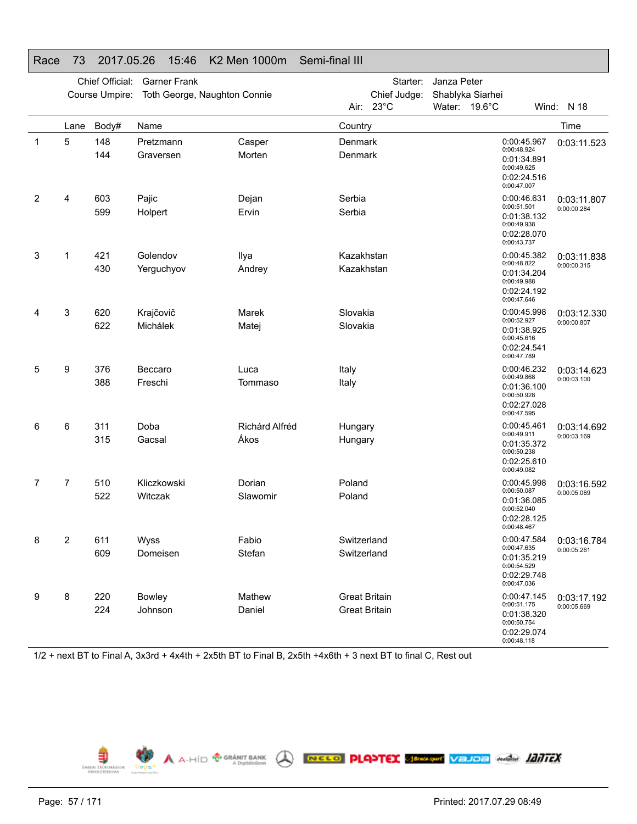|   |      | Chief Official: | <b>Garner Frank</b>          |                  |                      | Starter:     | Janza Peter      |                                                                                        |             |
|---|------|-----------------|------------------------------|------------------|----------------------|--------------|------------------|----------------------------------------------------------------------------------------|-------------|
|   |      | Course Umpire:  | Toth George, Naughton Connie |                  |                      | Chief Judge: | Shablyka Siarhei |                                                                                        |             |
|   |      |                 |                              |                  |                      | Air: 23°C    | Water: 19.6°C    |                                                                                        | Wind: N 18  |
|   | Lane | Body#           | Name                         |                  | Country              |              |                  |                                                                                        | Time        |
| 1 | 5    | 148<br>144      | Pretzmann<br>Graversen       | Casper<br>Morten | Denmark<br>Denmark   |              |                  | 0:00:45.967<br>0:00:48.924<br>0:01:34.891<br>0:00:49.625<br>0:02:24.516<br>0:00:47.007 | 0:03:11.523 |
| 2 | 4    | 603             | Pajic                        | Dejan            | Serbia               |              |                  | 0:00:46.631                                                                            | 0:03:11.807 |
|   |      | 599             | Holpert                      | Ervin            | Serbia               |              |                  | 0:00:51.501<br>0:01:38.132<br>0:00:49.938<br>0:02:28.070<br>0:00:43.737                | 0:00:00.284 |
| 3 | 1    | 421             | Golendov                     | Ilya             | Kazakhstan           |              |                  | 0:00:45.382                                                                            | 0:03:11.838 |
|   |      | 430             | Yerguchyov                   | Andrey           | Kazakhstan           |              |                  | 0:00:48.822<br>0:01:34.204<br>0:00:49.988<br>0:02:24.192<br>0:00:47.646                | 0:00:00.315 |
| 4 | 3    | 620             | Krajčovič                    | Marek            | Slovakia             |              |                  | 0:00:45.998                                                                            | 0:03:12.330 |
|   |      | 622             | Michálek                     | Matej            | Slovakia             |              |                  | 0:00:52.927<br>0:01:38.925<br>0:00:45.616<br>0:02:24.541<br>0:00:47.789                | 0:00:00.807 |
| 5 | 9    | 376             | Beccaro                      | Luca             | Italy                |              |                  | 0:00:46.232                                                                            | 0:03:14.623 |
|   |      | 388             | Freschi                      | Tommaso          | Italy                |              |                  | 0:00:49.868<br>0:01:36.100<br>0:00:50.928<br>0:02:27.028<br>0:00:47.595                | 0:00:03.100 |
| 6 | 6    | 311             | Doba                         | Richárd Alfréd   | Hungary              |              |                  | 0:00:45.461                                                                            | 0:03:14.692 |
|   |      | 315             | Gacsal                       | Ákos             | Hungary              |              |                  | 0:00:49.911<br>0:01:35.372<br>0:00:50.238<br>0:02:25.610<br>0:00:49.082                | 0:00:03.169 |
| 7 | 7    | 510             | Kliczkowski                  | Dorian           | Poland               |              |                  | 0:00:45.998<br>0:00:50.087                                                             | 0:03:16.592 |
|   |      | 522             | Witczak                      | Slawomir         | Poland               |              |                  | 0:01:36.085<br>0:00:52.040<br>0:02:28.125<br>0:00:48.467                               | 0:00:05.069 |
| 8 | 2    | 611             | Wyss                         | Fabio            | Switzerland          |              |                  | 0:00:47.584                                                                            | 0:03:16.784 |
|   |      | 609             | Domeisen                     | Stefan           | Switzerland          |              |                  | 0:00:47.635<br>0:01:35.219<br>0:00:54.529<br>0:02:29.748<br>0:00:47.036                | 0:00:05.261 |
| 9 | 8    | 220             | <b>Bowley</b>                | Mathew           | <b>Great Britain</b> |              |                  | 0:00:47.145<br>0:00:51.175                                                             | 0:03:17.192 |
|   |      | 224             | Johnson                      | Daniel           | <b>Great Britain</b> |              |                  | 0:01:38.320<br>0:00:50.754<br>0:02:29.074<br>0:00:48.118                               | 0:00:05.669 |

## Race 73 2017.05.26 15:46 K2 Men 1000m Semi-final III

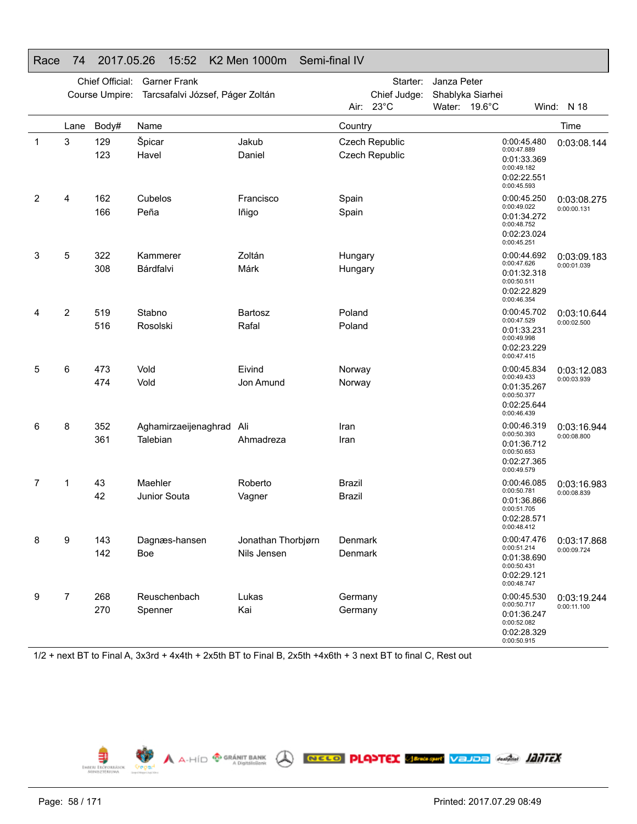|   |                | Chief Official: | <b>Garner Frank</b>              |                    | Starter:<br>Janza Peter |                                  |                  |                                                                                        |             |
|---|----------------|-----------------|----------------------------------|--------------------|-------------------------|----------------------------------|------------------|----------------------------------------------------------------------------------------|-------------|
|   |                | Course Umpire:  | Tarcsafalvi József, Páger Zoltán |                    |                         | Chief Judge:<br>Air: 23°C        | Shablyka Siarhei |                                                                                        |             |
|   |                |                 |                                  |                    |                         |                                  | Water: 19.6°C    |                                                                                        | Wind: N 18  |
|   | Lane           | Body#           | Name                             |                    | Country                 |                                  |                  |                                                                                        | Time        |
| 1 | 3              | 129<br>123      | Špicar<br>Havel                  | Jakub<br>Daniel    |                         | Czech Republic<br>Czech Republic |                  | 0:00:45.480<br>0:00:47.889<br>0:01:33.369<br>0:00:49.182<br>0:02:22.551<br>0:00:45.593 | 0:03:08.144 |
| 2 | 4              | 162             | Cubelos                          | Francisco          | Spain                   |                                  |                  | 0:00:45.250<br>0:00:49.022                                                             | 0:03:08.275 |
|   |                | 166             | Peña                             | lñigo              | Spain                   |                                  |                  | 0:01:34.272<br>0:00:48.752<br>0:02:23.024<br>0:00:45.251                               | 0:00:00.131 |
| 3 | 5              | 322             | Kammerer                         | Zoltán             | Hungary                 |                                  |                  | 0:00:44.692<br>0:00:47.626                                                             | 0:03:09.183 |
|   |                | 308             | Bárdfalvi                        | Márk               | Hungary                 |                                  |                  | 0:01:32.318<br>0:00:50.511<br>0:02:22.829<br>0:00:46.354                               | 0:00:01.039 |
| 4 | 2              | 519             | Stabno                           | <b>Bartosz</b>     | Poland                  |                                  |                  | 0:00:45.702                                                                            | 0:03:10.644 |
|   |                | 516             | Rosolski                         | Rafal              | Poland                  |                                  |                  | 0:00:47.529<br>0:01:33.231<br>0:00:49.998<br>0:02:23.229<br>0:00:47.415                | 0:00:02.500 |
| 5 | 6              | 473             | Vold                             | Eivind             | Norway                  |                                  |                  | 0:00:45.834                                                                            | 0:03:12.083 |
|   |                | 474             | Vold                             | Jon Amund          | Norway                  |                                  |                  | 0:00:49.433<br>0:01:35.267<br>0:00:50.377<br>0:02:25.644<br>0:00:46.439                | 0:00:03.939 |
| 6 | 8              | 352             | Aghamirzaeijenaghrad             | Ali                | Iran                    |                                  |                  | 0:00:46.319<br>0:00:50.393                                                             | 0:03:16.944 |
|   |                | 361             | Talebian                         | Ahmadreza          | Iran                    |                                  |                  | 0:01:36.712<br>0:00:50.653<br>0:02:27.365<br>0:00:49.579                               | 0:00:08.800 |
| 7 | 1              | 43              | Maehler                          | Roberto            | <b>Brazil</b>           |                                  |                  | 0:00:46.085<br>0:00:50.781                                                             | 0:03:16.983 |
|   |                | 42              | Junior Souta                     | Vagner             | Brazil                  |                                  |                  | 0:01:36.866<br>0:00:51.705<br>0:02:28.571<br>0:00:48.412                               | 0:00:08.839 |
| 8 | 9              | 143             | Dagnæs-hansen                    | Jonathan Thorbjørn | Denmark                 |                                  |                  | 0:00:47.476                                                                            | 0:03:17.868 |
|   |                | 142             | Boe                              | Nils Jensen        | Denmark                 |                                  |                  | 0:00:51.214<br>0:01:38.690<br>0:00:50.431<br>0:02:29.121<br>0:00:48.747                | 0:00:09.724 |
| 9 | $\overline{7}$ | 268             | Reuschenbach                     | Lukas              | Germany                 |                                  |                  | 0:00:45.530<br>0:00:50.717                                                             | 0:03:19.244 |
|   |                | 270             | Spenner                          | Kai                | Germany                 |                                  |                  | 0:01:36.247<br>0:00:52.082<br>0:02:28.329<br>0:00:50.915                               | 0:00:11.100 |

## Race 74 2017.05.26 15:52 K2 Men 1000m Semi-final IV

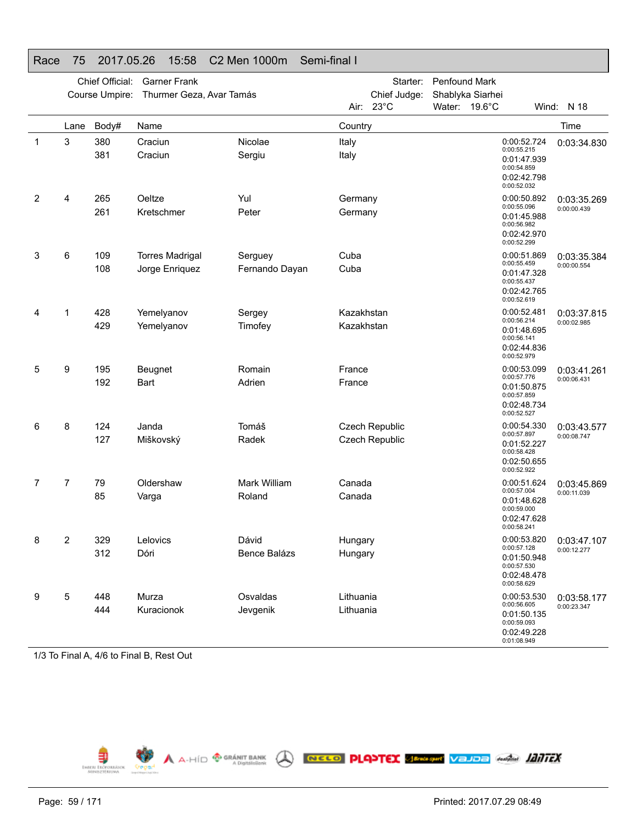|              | Chief Official:<br><b>Garner Frank</b><br>Course Umpire:<br>Thurmer Geza, Avar Tamás |            |                                          |                           |                          | Starter:<br>Chief Judge:<br>Air: 23°C | Penfound Mark<br>Water: 19.6°C | Shablyka Siarhei                          |                                           | Wind: N 18                 |
|--------------|--------------------------------------------------------------------------------------|------------|------------------------------------------|---------------------------|--------------------------|---------------------------------------|--------------------------------|-------------------------------------------|-------------------------------------------|----------------------------|
|              | Lane                                                                                 | Body#      | Name                                     |                           | Country                  |                                       |                                |                                           |                                           | Time                       |
| $\mathbf{1}$ | 3                                                                                    | 380<br>381 | Craciun<br>Craciun                       | Nicolae<br>Sergiu         | Italy<br>Italy           |                                       |                                | 0:00:55.215<br>0:00:54.859<br>0:00:52.032 | 0:00:52.724<br>0:01:47.939<br>0:02:42.798 | 0:03:34.830                |
| 2            | 4                                                                                    | 265<br>261 | Oeltze<br>Kretschmer                     | Yul<br>Peter              | Germany<br>Germany       |                                       |                                | 0:00:55.096<br>0:00:56.982<br>0:00:52.299 | 0:00:50.892<br>0:01:45.988<br>0:02:42.970 | 0:03:35.269<br>0:00:00.439 |
| 3            | 6                                                                                    | 109<br>108 | <b>Torres Madrigal</b><br>Jorge Enriquez | Serguey<br>Fernando Dayan | Cuba<br>Cuba             |                                       |                                | 0:00:55.459<br>0:00:55.437<br>0:00:52.619 | 0:00:51.869<br>0:01:47.328<br>0:02:42.765 | 0:03:35.384<br>0:00:00.554 |
| 4            | 1                                                                                    | 428<br>429 | Yemelyanov<br>Yemelyanov                 | Sergey<br>Timofey         | Kazakhstan<br>Kazakhstan |                                       |                                | 0:00:56.214<br>0:00:56.141<br>0:00:52.979 | 0:00:52.481<br>0:01:48.695<br>0:02:44.836 | 0:03:37.815<br>0:00:02.985 |
| 5            | 9                                                                                    | 195<br>192 | Beugnet<br><b>Bart</b>                   | Romain<br>Adrien          | France<br>France         |                                       |                                | 0:00:57.776<br>0:00:57.859<br>0:00:52.527 | 0:00:53.099<br>0:01:50.875<br>0:02:48.734 | 0:03:41.261<br>0:00:06.431 |
| 6            | 8                                                                                    | 124<br>127 | Janda<br>Miškovský                       | Tomáš<br>Radek            |                          | Czech Republic<br>Czech Republic      |                                | 0:00:57.897<br>0:00:58.428<br>0:00:52.922 | 0:00:54.330<br>0:01:52.227<br>0:02:50.655 | 0:03:43.577<br>0:00:08.747 |
| 7            | 7                                                                                    | 79<br>85   | Oldershaw<br>Varga                       | Mark William<br>Roland    | Canada<br>Canada         |                                       |                                | 0:00:57.004<br>0:00:59.000<br>0:00:58.241 | 0:00:51.624<br>0:01:48.628<br>0:02:47.628 | 0:03:45.869<br>0:00:11.039 |
| 8            | $\overline{2}$                                                                       | 329<br>312 | Lelovics<br>Dóri                         | Dávid<br>Bence Balázs     | Hungary<br>Hungary       |                                       |                                | 0:00:57.128<br>0:00:57.530<br>0:00:58.629 | 0:00:53.820<br>0:01:50.948<br>0:02:48.478 | 0:03:47.107<br>0:00:12.277 |
| 9            | 5                                                                                    | 448<br>444 | Murza<br>Kuracionok                      | Osvaldas<br>Jevgenik      | Lithuania<br>Lithuania   |                                       |                                | 0:00:56.605<br>0:00:59.093<br>0.01.08.949 | 0:00:53.530<br>0:01:50.135<br>0:02:49.228 | 0:03:58.177<br>0:00:23.347 |

## Race 75 2017.05.26 15:58 C2 Men 1000m Semi-final I

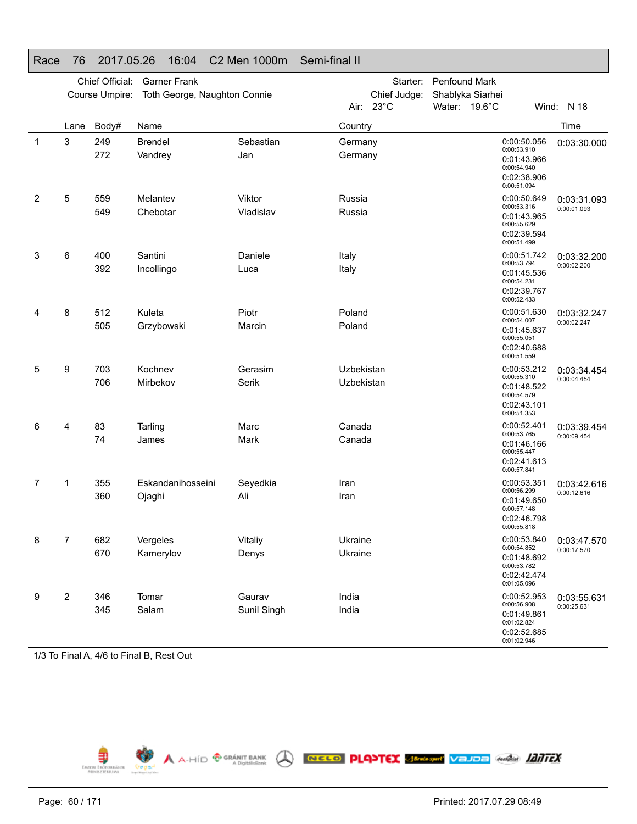|   |              | Chief Official:<br>Course Umpire: | <b>Garner Frank</b><br>Toth George, Naughton Connie |                       |                          | Starter:<br>Chief Judge: | Penfound Mark<br>Shablyka Siarhei |                                                                                        |                            |
|---|--------------|-----------------------------------|-----------------------------------------------------|-----------------------|--------------------------|--------------------------|-----------------------------------|----------------------------------------------------------------------------------------|----------------------------|
|   |              |                                   |                                                     |                       | Air: 23°C                |                          | Water: 19.6°C                     |                                                                                        | Wind: N 18                 |
|   | Lane         | Body#                             | Name                                                |                       | Country                  |                          |                                   |                                                                                        | Time                       |
| 1 | 3            | 249<br>272                        | <b>Brendel</b><br>Vandrey                           | Sebastian<br>Jan      | Germany<br>Germany       |                          |                                   | 0:00:50.056<br>0:00:53.910<br>0:01:43.966<br>0:00:54.940<br>0:02:38.906<br>0:00:51.094 | 0:03:30.000                |
| 2 | 5            | 559<br>549                        | Melantev<br>Chebotar                                | Viktor<br>Vladislav   | Russia<br>Russia         |                          |                                   | 0:00:50.649<br>0:00:53.316<br>0:01:43.965<br>0:00:55.629<br>0:02:39.594<br>0:00:51.499 | 0:03:31.093<br>0:00:01.093 |
| 3 | 6            | 400<br>392                        | Santini<br>Incollingo                               | Daniele<br>Luca       | Italy<br>Italy           |                          |                                   | 0:00:51.742<br>0:00:53.794<br>0:01:45.536<br>0:00:54.231<br>0:02:39.767<br>0:00:52.433 | 0:03:32.200<br>0:00:02.200 |
| 4 | 8            | 512<br>505                        | Kuleta<br>Grzybowski                                | Piotr<br>Marcin       | Poland<br>Poland         |                          |                                   | 0:00:51.630<br>0:00:54.007<br>0:01:45.637<br>0:00:55.051<br>0:02:40.688<br>0:00:51.559 | 0:03:32.247<br>0:00:02.247 |
| 5 | 9            | 703<br>706                        | Kochnev<br>Mirbekov                                 | Gerasim<br>Serik      | Uzbekistan<br>Uzbekistan |                          |                                   | 0:00:53.212<br>0:00:55.310<br>0:01:48.522<br>0:00:54.579<br>0:02:43.101<br>0:00:51.353 | 0:03:34.454<br>0:00:04.454 |
| 6 | 4            | 83<br>74                          | Tarling<br>James                                    | Marc<br><b>Mark</b>   | Canada<br>Canada         |                          |                                   | 0:00:52.401<br>0:00:53.765<br>0:01:46.166<br>0:00:55.447<br>0:02:41.613<br>0:00:57.841 | 0:03:39.454<br>0:00:09.454 |
| 7 | 1            | 355<br>360                        | Eskandanihosseini<br>Ojaghi                         | Seyedkia<br>Ali       | Iran<br>Iran             |                          |                                   | 0:00:53.351<br>0:00:56.299<br>0:01:49.650<br>0:00:57.148<br>0:02:46.798<br>0:00:55.818 | 0:03:42.616<br>0:00:12.616 |
| 8 | 7            | 682<br>670                        | Vergeles<br>Kamerylov                               | Vitaliy<br>Denys      | Ukraine<br>Ukraine       |                          |                                   | 0:00:53.840<br>0:00:54.852<br>0:01:48.692<br>0:00:53.782<br>0:02:42.474<br>0:01:05.096 | 0:03:47.570<br>0:00:17.570 |
| 9 | $\mathbf{2}$ | 346<br>345                        | Tomar<br>Salam                                      | Gaurav<br>Sunil Singh | India<br>India           |                          |                                   | 0:00:52.953<br>0:00:56.908<br>0:01:49.861<br>0:01:02.824<br>0:02:52.685<br>0:01:02.946 | 0:03:55.631<br>0:00:25.631 |

# Race 76 2017.05.26 16:04 C2 Men 1000m Semi-final II

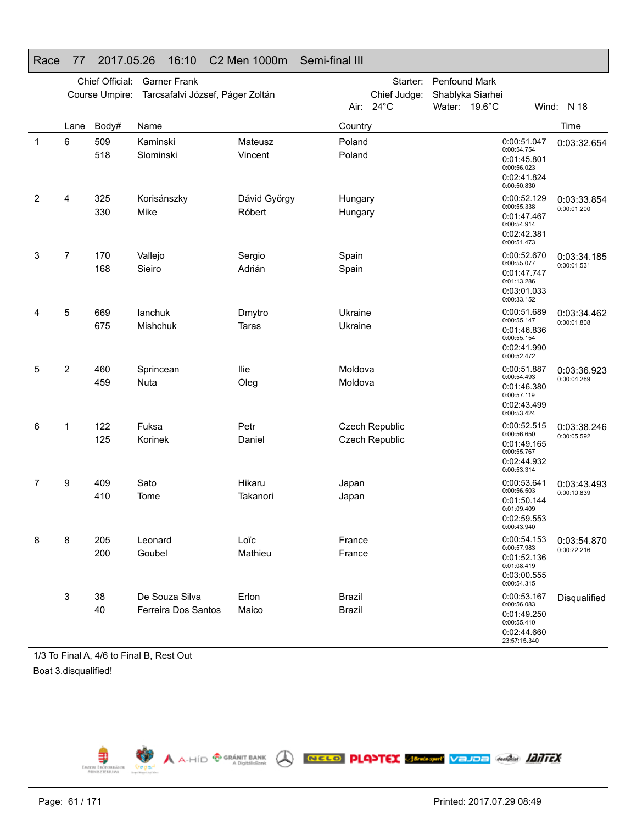|   |                           | Chief Official: | <b>Garner Frank</b>              |                    | Starter:<br><b>Penfound Mark</b> |                                |                                   |  |                                                                                        |              |
|---|---------------------------|-----------------|----------------------------------|--------------------|----------------------------------|--------------------------------|-----------------------------------|--|----------------------------------------------------------------------------------------|--------------|
|   |                           | Course Umpire:  | Tarcsafalvi József, Páger Zoltán |                    | Air:                             | Chief Judge:<br>$24^{\circ}$ C | Shablyka Siarhei<br>Water: 19.6°C |  |                                                                                        | Wind: N 18   |
|   |                           |                 |                                  |                    |                                  |                                |                                   |  |                                                                                        |              |
|   | Lane                      | Body#           | Name                             |                    | Country                          |                                |                                   |  |                                                                                        | Time         |
| 1 | 6                         | 509<br>518      | Kaminski<br>Slominski            | Mateusz<br>Vincent | Poland<br>Poland                 |                                |                                   |  | 0:00:51.047<br>0:00:54.754<br>0:01:45.801<br>0:00:56.023<br>0:02:41.824<br>0:00:50.830 | 0:03:32.654  |
| 2 | 4                         | 325             | Korisánszky                      | Dávid György       | Hungary                          |                                |                                   |  | 0:00:52.129<br>0:00:55.338                                                             | 0:03:33.854  |
|   |                           | 330             | Mike                             | Róbert             | Hungary                          |                                |                                   |  | 0:01:47.467<br>0:00:54.914<br>0:02:42.381<br>0:00:51.473                               | 0:00:01.200  |
| 3 | 7                         | 170             | Vallejo                          | Sergio             | Spain                            |                                |                                   |  | 0:00:52.670<br>0:00:55.077                                                             | 0:03:34.185  |
|   |                           | 168             | Sieiro                           | Adrián             | Spain                            |                                |                                   |  | 0:01:47.747<br>0:01:13.286<br>0:03:01.033<br>0:00:33.152                               | 0:00:01.531  |
| 4 | 5                         | 669             | lanchuk                          | Dmytro             | Ukraine                          |                                |                                   |  | 0:00:51.689                                                                            | 0:03:34.462  |
|   |                           | 675             | <b>Mishchuk</b>                  | <b>Taras</b>       | Ukraine                          |                                |                                   |  | 0:00:55.147<br>0:01:46.836<br>0:00:55.154<br>0:02:41.990<br>0:00:52.472                | 0:00:01.808  |
| 5 | 2                         | 460             | Sprincean                        | llie               | Moldova                          |                                |                                   |  | 0:00:51.887                                                                            | 0:03:36.923  |
|   |                           | 459             | Nuta                             | Oleg               | Moldova                          |                                |                                   |  | 0:00:54.493<br>0:01:46.380<br>0:00:57.119<br>0:02:43.499<br>0:00:53.424                | 0:00:04.269  |
| 6 | 1                         | 122             | Fuksa                            | Petr               |                                  | Czech Republic                 |                                   |  | 0:00:52.515<br>0:00:56.650                                                             | 0:03:38.246  |
|   |                           | 125             | Korinek                          | Daniel             |                                  | <b>Czech Republic</b>          |                                   |  | 0:01:49.165<br>0:00:55.767<br>0:02:44.932<br>0:00:53.314                               | 0:00:05.592  |
| 7 | 9                         | 409             | Sato                             | Hikaru             | Japan                            |                                |                                   |  | 0:00:53.641<br>0:00:56.503                                                             | 0:03:43.493  |
|   |                           | 410             | Tome                             | Takanori           | Japan                            |                                |                                   |  | 0:01:50.144<br>0:01:09.409<br>0:02:59.553<br>0:00:43.940                               | 0:00:10.839  |
| 8 | 8                         | 205             | Leonard                          | Loïc               | France                           |                                |                                   |  | 0:00:54.153                                                                            | 0:03:54.870  |
|   |                           | 200             | Goubel                           | Mathieu            | France                           |                                |                                   |  | 0:00:57.983<br>0:01:52.136<br>0:01:08.419<br>0:03:00.555<br>0:00:54.315                | 0:00:22.216  |
|   | $\ensuremath{\mathsf{3}}$ | 38              | De Souza Silva                   | Erlon              | <b>Brazil</b>                    |                                |                                   |  | 0:00:53.167                                                                            | Disqualified |
|   |                           | 40              | Ferreira Dos Santos              | Maico              | <b>Brazil</b>                    |                                |                                   |  | 0:00:56.083<br>0:01:49.250<br>0:00:55.410<br>0:02:44.660<br>23:57:15.340               |              |

# Race 77 2017.05.26 16:10 C2 Men 1000m Semi-final III

1/3 To Final A, 4/6 to Final B, Rest Out Boat 3.disqualified!

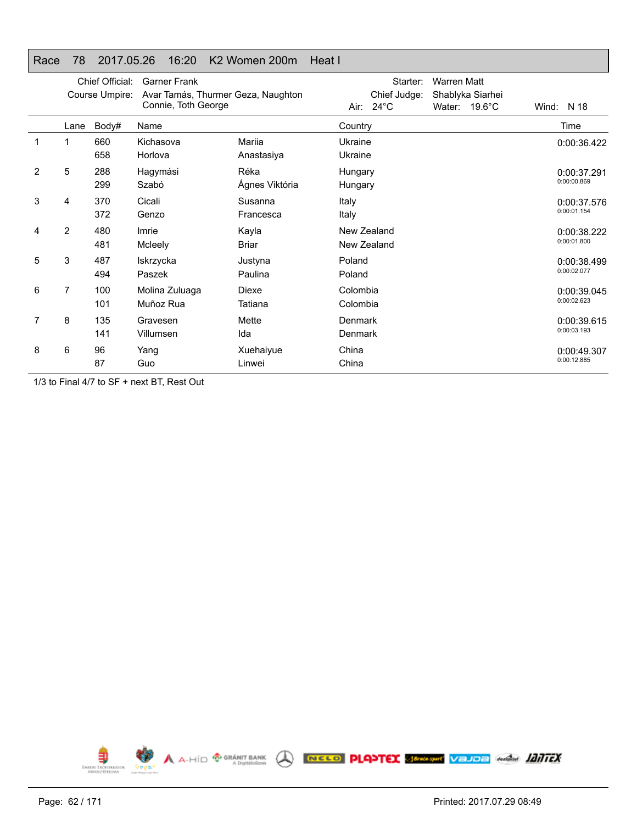## Race 78 2017.05.26 16:20 K2 Women 200m Heat I

|   | Chief Official:<br><b>Garner Frank</b><br>Course Umpire:<br>Avar Tamás, Thurmer Geza, Naughton<br>Connie, Toth George |            |                             |                        | Starter:<br><b>Warren Matt</b><br>Chief Judge:<br>Shablyka Siarhei<br>Air: $24^{\circ}$ C<br>Water: 19.6°C | N 18<br>Wind:              |
|---|-----------------------------------------------------------------------------------------------------------------------|------------|-----------------------------|------------------------|------------------------------------------------------------------------------------------------------------|----------------------------|
|   | Lane                                                                                                                  | Body#      | Name                        |                        | Country                                                                                                    | Time                       |
| 1 | 1                                                                                                                     | 660<br>658 | Kichasova<br>Horlova        | Mariia<br>Anastasiya   | Ukraine<br>Ukraine                                                                                         | 0:00:36.422                |
| 2 | 5                                                                                                                     | 288<br>299 | Hagymási<br>Szabó           | Réka<br>Ágnes Viktória | Hungary<br>Hungary                                                                                         | 0:00:37.291<br>0:00:00.869 |
| 3 | 4                                                                                                                     | 370<br>372 | Cicali<br>Genzo             | Susanna<br>Francesca   | Italy<br>Italy                                                                                             | 0:00:37.576<br>0:00:01.154 |
| 4 | 2                                                                                                                     | 480<br>481 | Imrie<br>Mcleely            | Kayla<br><b>Briar</b>  | New Zealand<br>New Zealand                                                                                 | 0:00:38.222<br>0:00:01.800 |
| 5 | 3                                                                                                                     | 487<br>494 | Iskrzycka<br>Paszek         | Justyna<br>Paulina     | Poland<br>Poland                                                                                           | 0:00:38.499<br>0:00:02.077 |
| 6 | 7                                                                                                                     | 100<br>101 | Molina Zuluaga<br>Muñoz Rua | Diexe<br>Tatiana       | Colombia<br>Colombia                                                                                       | 0:00:39.045<br>0:00:02.623 |
| 7 | 8                                                                                                                     | 135<br>141 | Gravesen<br>Villumsen       | Mette<br>Ida           | Denmark<br>Denmark                                                                                         | 0:00:39.615<br>0:00:03.193 |
| 8 | 6                                                                                                                     | 96<br>87   | Yang<br>Guo                 | Xuehaiyue<br>Linwei    | China<br>China                                                                                             | 0:00:49.307<br>0:00:12.885 |

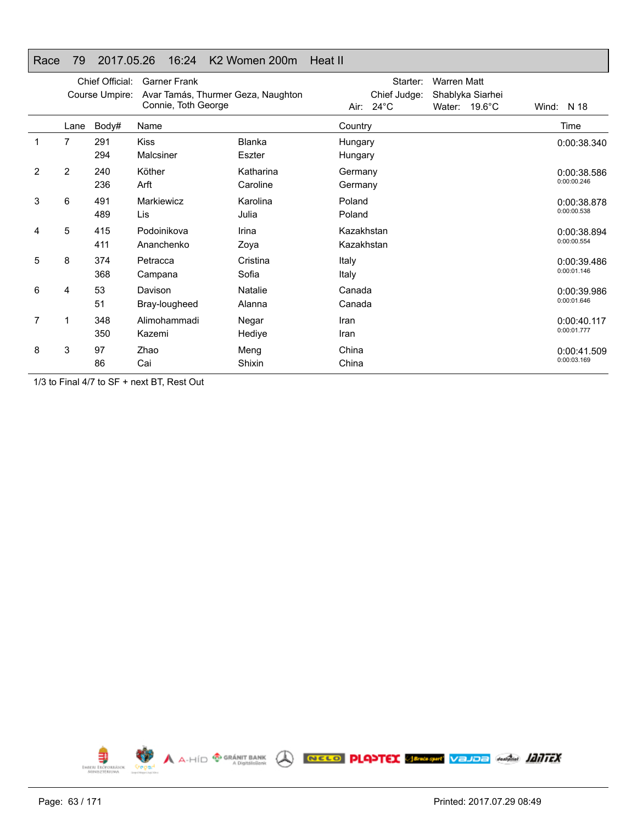## Race 79 2017.05.26 16:24 K2 Women 200m Heat II

|   | Chief Official:<br>Course Umpire: |            | <b>Garner Frank</b><br>Avar Tamás, Thurmer Geza, Naughton<br>Connie, Toth George |                         | Starter:<br><b>Warren Matt</b><br>Chief Judge:<br>Shablyka Siarhei<br>Air: $24^{\circ}$ C<br>Water: 19.6°C | Wind: N 18                 |
|---|-----------------------------------|------------|----------------------------------------------------------------------------------|-------------------------|------------------------------------------------------------------------------------------------------------|----------------------------|
|   | Lane                              | Body#      | Name                                                                             |                         | Country                                                                                                    | Time                       |
|   | $\overline{7}$                    | 291<br>294 | <b>Kiss</b><br>Malcsiner                                                         | <b>Blanka</b><br>Eszter | Hungary<br>Hungary                                                                                         | 0:00:38.340                |
| 2 | 2                                 | 240<br>236 | Köther<br>Arft                                                                   | Katharina<br>Caroline   | Germany<br>Germany                                                                                         | 0:00:38.586<br>0:00:00.246 |
| 3 | 6                                 | 491<br>489 | Markiewicz<br>Lis                                                                | Karolina<br>Julia       | Poland<br>Poland                                                                                           | 0:00:38.878<br>0:00:00.538 |
| 4 | 5                                 | 415<br>411 | Podoinikova<br>Ananchenko                                                        | Irina<br>Zoya           | Kazakhstan<br>Kazakhstan                                                                                   | 0:00:38.894<br>0:00:00.554 |
| 5 | 8                                 | 374<br>368 | Petracca<br>Campana                                                              | Cristina<br>Sofia       | Italy<br>Italy                                                                                             | 0:00:39.486<br>0:00:01.146 |
| 6 | 4                                 | 53<br>51   | Davison<br>Bray-lougheed                                                         | Natalie<br>Alanna       | Canada<br>Canada                                                                                           | 0:00:39.986<br>0:00:01.646 |
| 7 | 1                                 | 348<br>350 | Alimohammadi<br>Kazemi                                                           | Negar<br>Hediye         | Iran<br>Iran                                                                                               | 0:00:40.117<br>0:00:01.777 |
| 8 | 3                                 | 97<br>86   | Zhao<br>Cai                                                                      | Meng<br>Shixin          | China<br>China                                                                                             | 0:00:41.509<br>0:00:03.169 |

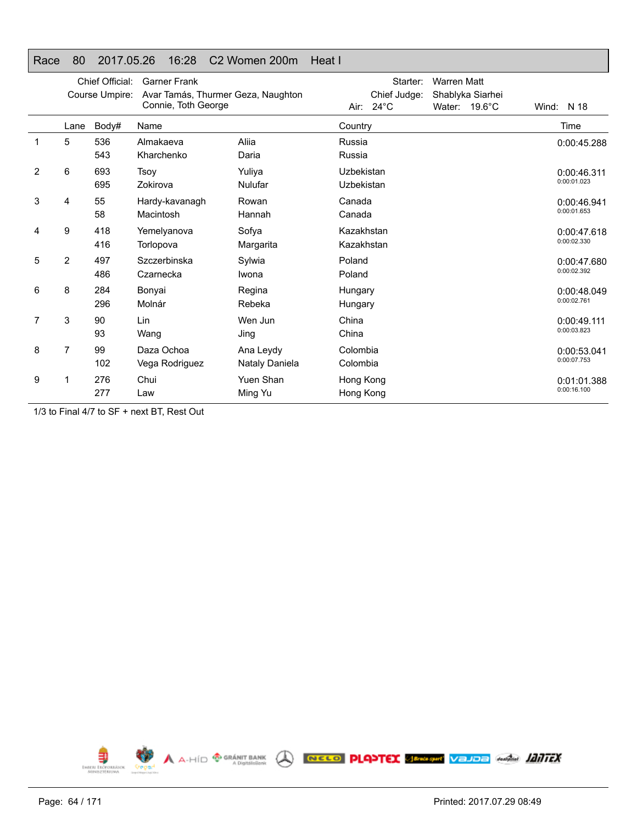## Race 80 2017.05.26 16:28 C2 Women 200m Heat I

|   |      | Chief Official:<br>Course Umpire: | <b>Garner Frank</b><br>Avar Tamás, Thurmer Geza, Naughton<br>Connie, Toth George |                             | Starter:<br>Chief Judge:<br>$24^{\circ}$ C<br>Air: | <b>Warren Matt</b><br>Shablyka Siarhei<br>$19.6^{\circ}$ C<br>Water: | Wind:<br>N 18              |
|---|------|-----------------------------------|----------------------------------------------------------------------------------|-----------------------------|----------------------------------------------------|----------------------------------------------------------------------|----------------------------|
|   | Lane | Body#                             | Name                                                                             |                             | Country                                            |                                                                      | Time                       |
| 1 | 5    | 536<br>543                        | Almakaeva<br>Kharchenko                                                          | Aliia<br>Daria              | Russia<br>Russia                                   |                                                                      | 0:00:45.288                |
| 2 | 6    | 693<br>695                        | Tsov<br>Zokirova                                                                 | Yuliya<br><b>Nulufar</b>    | Uzbekistan<br>Uzbekistan                           |                                                                      | 0:00:46.311<br>0:00:01.023 |
| 3 | 4    | 55<br>58                          | Hardy-kavanagh<br>Macintosh                                                      | Rowan<br>Hannah             | Canada<br>Canada                                   |                                                                      | 0:00:46.941<br>0:00:01.653 |
| 4 | 9    | 418<br>416                        | Yemelyanova<br>Torlopova                                                         | Sofya<br>Margarita          | Kazakhstan<br>Kazakhstan                           |                                                                      | 0:00:47.618<br>0:00:02.330 |
| 5 | 2    | 497<br>486                        | Szczerbinska<br>Czarnecka                                                        | Sylwia<br>Iwona             | Poland<br>Poland                                   |                                                                      | 0:00:47.680<br>0:00:02.392 |
| 6 | 8    | 284<br>296                        | Bonyai<br>Molnár                                                                 | Regina<br>Rebeka            | Hungary<br>Hungary                                 |                                                                      | 0:00:48.049<br>0:00:02.761 |
| 7 | 3    | 90<br>93                          | Lin<br>Wang                                                                      | Wen Jun<br>Jing             | China<br>China                                     |                                                                      | 0:00:49.111<br>0:00:03.823 |
| 8 | 7    | 99<br>102                         | Daza Ochoa<br>Vega Rodriguez                                                     | Ana Leydy<br>Nataly Daniela | Colombia<br>Colombia                               |                                                                      | 0:00:53.041<br>0:00:07.753 |
| 9 | 1    | 276<br>277                        | Chui<br>Law                                                                      | Yuen Shan<br>Ming Yu        | Hong Kong<br>Hong Kong                             |                                                                      | 0:01:01.388<br>0:00:16.100 |

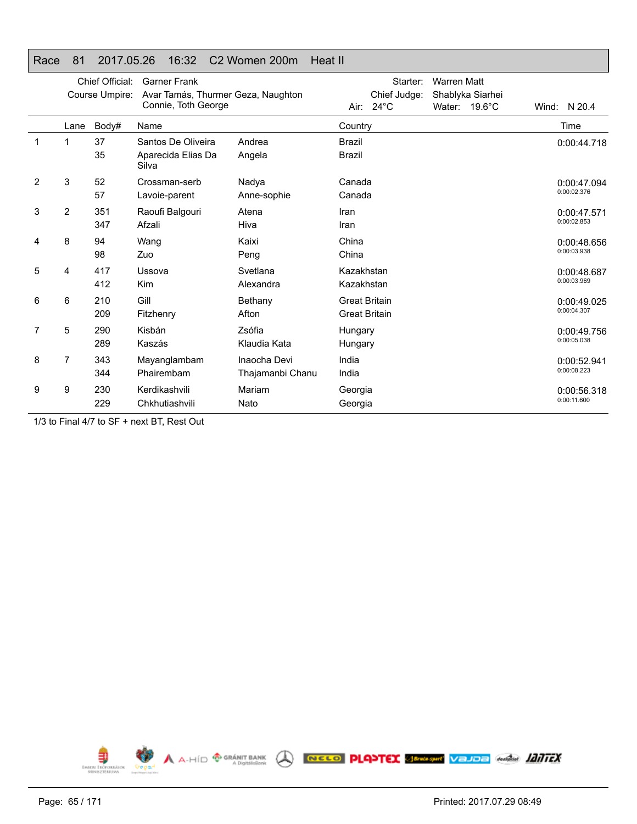## Race 81 2017.05.26 16:32 C2 Women 200m Heat II

|   | Chief Official:<br>Course Umpire: |            | <b>Garner Frank</b><br>Avar Tamás, Thurmer Geza, Naughton<br>Connie, Toth George |                                  | Starter:<br><b>Warren Matt</b><br>Chief Judge:<br>Shablyka Siarhei |                            |
|---|-----------------------------------|------------|----------------------------------------------------------------------------------|----------------------------------|--------------------------------------------------------------------|----------------------------|
|   | Lane                              | Body#      | Name                                                                             |                                  | Air: $24^{\circ}$ C<br>Water: $19.6^{\circ}$ C<br>Country          | Wind: N 20.4<br>Time       |
| 1 | 1                                 | 37<br>35   | Santos De Oliveira<br>Aparecida Elias Da                                         | Andrea<br>Angela                 | <b>Brazil</b><br><b>Brazil</b>                                     | 0:00:44.718                |
| 2 | 3                                 | 52<br>57   | Silva<br>Crossman-serb<br>Lavoie-parent                                          | Nadya<br>Anne-sophie             | Canada<br>Canada                                                   | 0:00:47.094<br>0:00:02.376 |
| 3 | 2                                 | 351<br>347 | Raoufi Balgouri<br>Afzali                                                        | Atena<br>Hiva                    | Iran<br>Iran                                                       | 0:00:47.571<br>0:00:02.853 |
| 4 | 8                                 | 94<br>98   | Wang<br>Zuo                                                                      | Kaixi<br>Peng                    | China<br>China                                                     | 0:00:48.656<br>0:00:03.938 |
| 5 | 4                                 | 417<br>412 | Ussova<br><b>Kim</b>                                                             | Svetlana<br>Alexandra            | Kazakhstan<br>Kazakhstan                                           | 0:00:48.687<br>0:00:03.969 |
| 6 | 6                                 | 210<br>209 | Gill<br>Fitzhenry                                                                | Bethany<br>Afton                 | <b>Great Britain</b><br><b>Great Britain</b>                       | 0:00:49.025<br>0:00:04.307 |
| 7 | 5                                 | 290<br>289 | Kisbán<br>Kaszás                                                                 | Zsófia<br>Klaudia Kata           | Hungary<br>Hungary                                                 | 0:00:49.756<br>0:00:05.038 |
| 8 | 7                                 | 343<br>344 | Mayanglambam<br>Phairembam                                                       | Inaocha Devi<br>Thajamanbi Chanu | India<br>India                                                     | 0:00:52.941<br>0:00:08.223 |
| 9 | 9                                 | 230<br>229 | Kerdikashvili<br>Chkhutiashvili                                                  | Mariam<br>Nato                   | Georgia<br>Georgia                                                 | 0:00:56.318<br>0:00:11.600 |

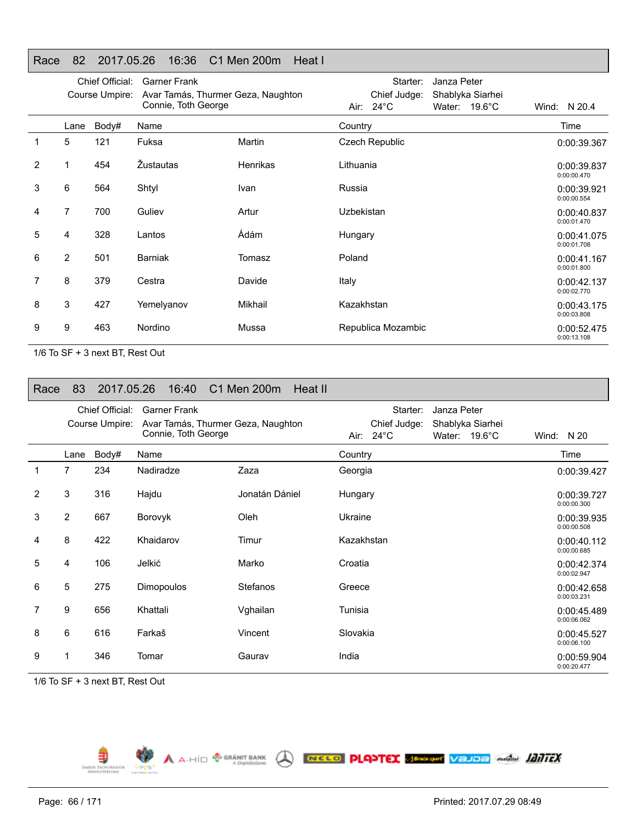## Race 82 2017.05.26 16:36 C1 Men 200m Heat I

|   |                | Chief Official:<br>Course Umpire: | <b>Garner Frank</b><br>Avar Tamás, Thurmer Geza, Naughton<br>Connie, Toth George |                 | Air:       | Starter:<br>Chief Judge:<br>$24^{\circ}$ C | Janza Peter | Shablyka Siarhei<br>Water: 19.6°C | Wind: N 20.4               |
|---|----------------|-----------------------------------|----------------------------------------------------------------------------------|-----------------|------------|--------------------------------------------|-------------|-----------------------------------|----------------------------|
|   | Lane           | Body#                             | Name                                                                             |                 | Country    |                                            |             |                                   | Time                       |
| 1 | 5              | 121                               | Fuksa                                                                            | Martin          |            | Czech Republic                             |             |                                   | 0:00:39.367                |
| 2 | 1              | 454                               | Žustautas                                                                        | <b>Henrikas</b> | Lithuania  |                                            |             |                                   | 0:00:39.837<br>0:00:00.470 |
| 3 | 6              | 564                               | Shtyl                                                                            | Ivan            | Russia     |                                            |             |                                   | 0:00:39.921<br>0:00:00.554 |
| 4 | 7              | 700                               | Guliev                                                                           | Artur           | Uzbekistan |                                            |             |                                   | 0:00:40.837<br>0:00:01.470 |
| 5 | 4              | 328                               | Lantos                                                                           | Ádám            | Hungary    |                                            |             |                                   | 0:00:41.075<br>0:00:01.708 |
| 6 | $\overline{2}$ | 501                               | <b>Barniak</b>                                                                   | Tomasz          | Poland     |                                            |             |                                   | 0:00:41.167<br>0:00:01.800 |
| 7 | 8              | 379                               | Cestra                                                                           | Davide          | Italy      |                                            |             |                                   | 0:00:42.137<br>0:00:02.770 |
| 8 | 3              | 427                               | Yemelyanov                                                                       | Mikhail         | Kazakhstan |                                            |             |                                   | 0:00:43.175<br>0:00:03.808 |
| 9 | 9              | 463                               | Nordino                                                                          | Mussa           |            | Republica Mozambic                         |             |                                   | 0:00:52.475<br>0:00:13.108 |

1/6 To SF + 3 next BT, Rest Out

| Race | 83             | 2017.05.26      | 16:40                                                     | C1 Men 200m     | Heat II |            |                                     |             |                                             |                            |
|------|----------------|-----------------|-----------------------------------------------------------|-----------------|---------|------------|-------------------------------------|-------------|---------------------------------------------|----------------------------|
|      |                | Chief Official: | <b>Garner Frank</b>                                       |                 |         |            | Starter:                            | Janza Peter |                                             |                            |
|      |                | Course Umpire:  | Avar Tamás, Thurmer Geza, Naughton<br>Connie, Toth George |                 |         |            | Chief Judge:<br>Air: $24^{\circ}$ C |             | Shablyka Siarhei<br>Water: $19.6^{\circ}$ C | Wind: $N 20$               |
|      | Lane           | Body#           | Name                                                      |                 |         | Country    |                                     |             |                                             | Time                       |
| 1    | 7              | 234             | Nadiradze                                                 | Zaza            |         | Georgia    |                                     |             |                                             | 0:00:39.427                |
| 2    | 3              | 316             | Hajdu                                                     | Jonatán Dániel  |         | Hungary    |                                     |             |                                             | 0:00:39.727<br>0:00:00.300 |
| 3    | $\overline{2}$ | 667             | Borovyk                                                   | Oleh            |         | Ukraine    |                                     |             |                                             | 0:00:39.935<br>0:00:00.508 |
| 4    | 8              | 422             | Khaidarov                                                 | Timur           |         | Kazakhstan |                                     |             |                                             | 0:00:40.112<br>0:00:00.685 |
| 5    | 4              | 106             | Jelkić                                                    | Marko           |         | Croatia    |                                     |             |                                             | 0:00:42.374<br>0:00:02.947 |
| 6    | 5              | 275             | Dimopoulos                                                | <b>Stefanos</b> |         | Greece     |                                     |             |                                             | 0:00:42.658<br>0:00:03.231 |
| 7    | 9              | 656             | Khattali                                                  | Vghailan        |         | Tunisia    |                                     |             |                                             | 0:00:45.489<br>0:00:06.062 |
| 8    | 6              | 616             | Farkaš                                                    | Vincent         |         | Slovakia   |                                     |             |                                             | 0:00:45.527<br>0:00:06.100 |
| 9    |                | 346             | Tomar                                                     | Gaurav          |         | India      |                                     |             |                                             | 0:00:59.904<br>0:00:20.477 |

A A-HID <sup>@ GRÁNIT BANK</sup> A RECO PLANTEX SPRAGHT VEJDE GARAGE 1217FX

1/6 To SF + 3 next BT, Rest Out

Ę EMBERL ERO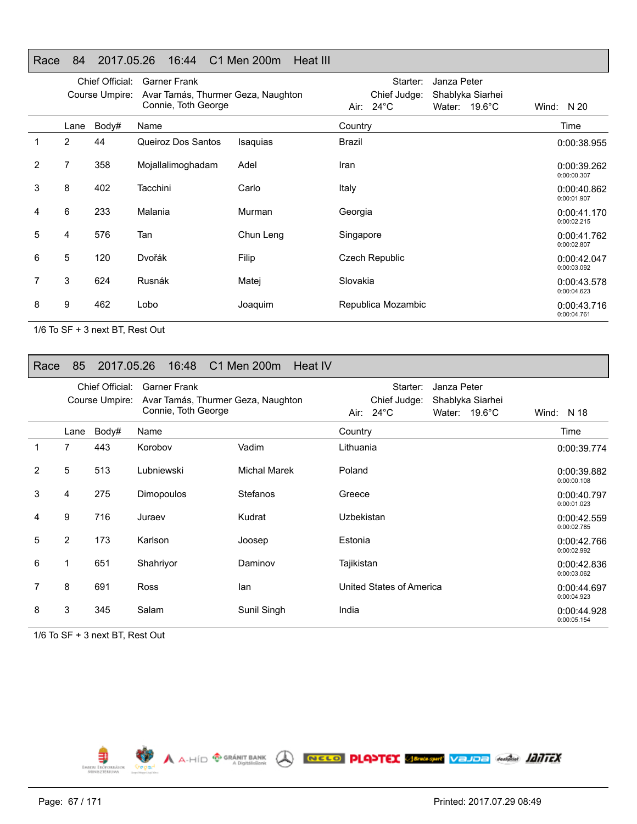#### Race 84 2017.05.26 16:44 C1 Men 200m Heat III

|   |                | Chief Official:<br>Course Umpire: | <b>Garner Frank</b><br>Avar Tamás, Thurmer Geza, Naughton<br>Connie, Toth George |           | Starter:<br>Chief Judge:<br>Air: 24°C | Janza Peter<br>Shablyka Siarhei<br>Water: $19.6^{\circ}$ C | Wind: $N 20$               |
|---|----------------|-----------------------------------|----------------------------------------------------------------------------------|-----------|---------------------------------------|------------------------------------------------------------|----------------------------|
|   | Lane           | Body#                             | Name                                                                             |           | Country                               |                                                            | Time                       |
|   | 2              | 44                                | Queiroz Dos Santos                                                               | Isaquias  | Brazil                                |                                                            | 0:00:38.955                |
| 2 | $\overline{7}$ | 358                               | Mojallalimoghadam                                                                | Adel      | Iran                                  |                                                            | 0:00:39.262<br>0:00:00.307 |
| 3 | 8              | 402                               | Tacchini                                                                         | Carlo     | Italy                                 |                                                            | 0:00:40.862<br>0:00:01.907 |
| 4 | 6              | 233                               | Malania                                                                          | Murman    | Georgia                               |                                                            | 0:00:41.170<br>0:00:02.215 |
| 5 | 4              | 576                               | Tan                                                                              | Chun Leng | Singapore                             |                                                            | 0:00:41.762<br>0:00:02.807 |
| 6 | 5              | 120                               | Dvořák                                                                           | Filip     | <b>Czech Republic</b>                 |                                                            | 0:00:42.047<br>0:00:03.092 |
|   | 3              | 624                               | Rusnák                                                                           | Matej     | Slovakia                              |                                                            | 0:00:43.578<br>0:00:04.623 |
| 8 | 9              | 462                               | Lobo                                                                             | Joaquim   | Republica Mozambic                    |                                                            | 0:00:43.716<br>0:00:04.761 |

1/6 To SF + 3 next BT, Rest Out

#### Race 85 2017.05.26 16:48 C1 Men 200m Heat IV

|   |                | Chief Official: | <b>Garner Frank</b>                                       |                     | Starter:<br>Janza Peter                                                               |                            |
|---|----------------|-----------------|-----------------------------------------------------------|---------------------|---------------------------------------------------------------------------------------|----------------------------|
|   |                | Course Umpire:  | Avar Tamás, Thurmer Geza, Naughton<br>Connie, Toth George |                     | Chief Judge:<br>Shablyka Siarhei<br>Air: $24^{\circ}$ C<br>$19.6^{\circ}$ C<br>Water: | Wind: N 18                 |
|   | Lane           | Body#           | Name                                                      |                     | Country                                                                               | Time                       |
|   | $\overline{7}$ | 443             | Korobov                                                   | Vadim               | Lithuania                                                                             | 0:00:39.774                |
| 2 | 5              | 513             | Lubniewski                                                | <b>Michal Marek</b> | Poland                                                                                | 0:00:39.882<br>0:00:00.108 |
| 3 | 4              | 275             | <b>Dimopoulos</b>                                         | <b>Stefanos</b>     | Greece                                                                                | 0:00:40.797<br>0:00:01.023 |
| 4 | 9              | 716             | Juraev                                                    | Kudrat              | Uzbekistan                                                                            | 0:00:42.559<br>0:00:02.785 |
| 5 | $\overline{2}$ | 173             | Karlson                                                   | Joosep              | Estonia                                                                               | 0:00:42.766<br>0:00:02.992 |
| 6 | 1              | 651             | Shahriyor                                                 | Daminov             | Tajikistan                                                                            | 0:00:42.836<br>0:00:03.062 |
|   | 8              | 691             | <b>Ross</b>                                               | lan                 | United States of America                                                              | 0:00:44.697<br>0:00:04.923 |
| 8 | 3              | 345             | Salam                                                     | Sunil Singh         | India                                                                                 | 0:00:44.928<br>0:00:05.154 |

1/6 To SF + 3 next BT, Rest Out

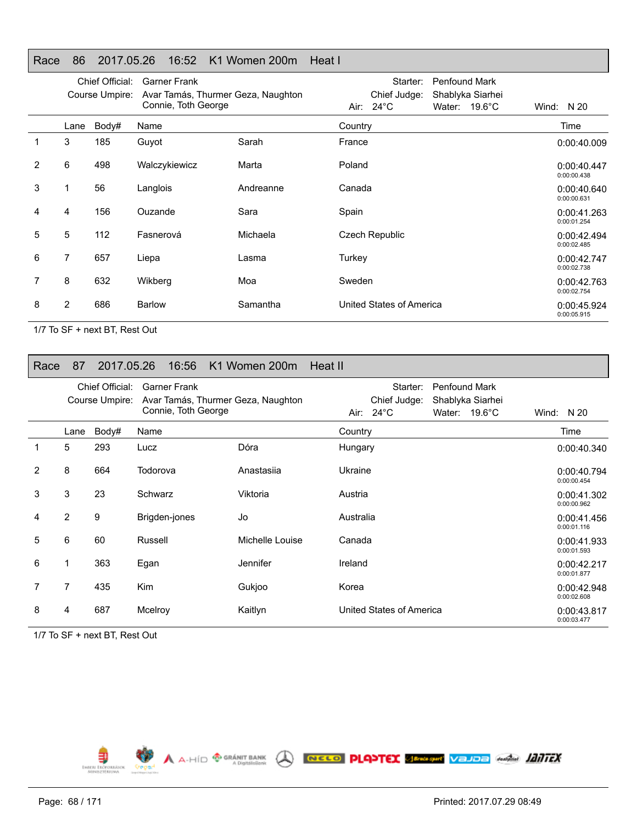### Race 86 2017.05.26 16:52 K1 Women 200m Heat I

|                |      | Chief Official:<br>Course Umpire: | <b>Garner Frank</b><br>Avar Tamás, Thurmer Geza, Naughton<br>Connie, Toth George |           | Starter:<br><b>Penfound Mark</b><br>Chief Judge:<br>Shablyka Siarhei<br>Air: $24^{\circ}$ C<br>$19.6^{\circ}$ C<br>Water: | Wind: N 20                 |
|----------------|------|-----------------------------------|----------------------------------------------------------------------------------|-----------|---------------------------------------------------------------------------------------------------------------------------|----------------------------|
|                | Lane | Body#                             | Name                                                                             |           | Country                                                                                                                   | Time                       |
| 1              | 3    | 185                               | Guyot                                                                            | Sarah     | France                                                                                                                    | 0:00:40.009                |
| $\overline{2}$ | 6    | 498                               | Walczykiewicz                                                                    | Marta     | Poland                                                                                                                    | 0:00:40.447<br>0:00:00.438 |
| 3              | 1    | 56                                | Langlois                                                                         | Andreanne | Canada                                                                                                                    | 0:00:40.640<br>0:00:00.631 |
| 4              | 4    | 156                               | Ouzande                                                                          | Sara      | Spain                                                                                                                     | 0:00:41.263<br>0:00:01.254 |
| 5              | 5    | 112                               | Fasnerová                                                                        | Michaela  | <b>Czech Republic</b>                                                                                                     | 0:00:42.494<br>0:00:02.485 |
| 6              | 7    | 657                               | Liepa                                                                            | Lasma     | Turkey                                                                                                                    | 0:00:42.747<br>0:00:02.738 |
| 7              | 8    | 632                               | Wikberg                                                                          | Moa       | Sweden                                                                                                                    | 0:00:42.763<br>0:00:02.754 |
| 8              | 2    | 686                               | <b>Barlow</b>                                                                    | Samantha  | United States of America                                                                                                  | 0:00:45.924<br>0:00:05.915 |

1/7 To SF + next BT, Rest Out

#### Race 87 2017.05.26 16:56 K1 Women 200m Heat II

|                |                | Chief Official:<br>Course Umpire: | <b>Garner Frank</b><br>Avar Tamás, Thurmer Geza, Naughton<br>Connie, Toth George |                 | Starter:<br><b>Penfound Mark</b><br>Shablyka Siarhei<br>Chief Judge:<br>Air: $24^{\circ}$ C<br>19.6°C<br>Water: | Wind: $N 20$               |
|----------------|----------------|-----------------------------------|----------------------------------------------------------------------------------|-----------------|-----------------------------------------------------------------------------------------------------------------|----------------------------|
|                | Lane           | Body#                             | Name                                                                             |                 | Country                                                                                                         | Time                       |
|                | 5              | 293                               | Lucz                                                                             | Dóra            | Hungary                                                                                                         | 0:00:40.340                |
| $\overline{2}$ | 8              | 664                               | Todorova                                                                         | Anastasija      | Ukraine                                                                                                         | 0:00:40.794<br>0:00:00.454 |
| 3              | 3              | 23                                | Schwarz                                                                          | Viktoria        | Austria                                                                                                         | 0:00:41.302<br>0:00:00.962 |
| 4              | 2              | 9                                 | Brigden-jones                                                                    | Jo              | Australia                                                                                                       | 0:00:41.456<br>0:00:01.116 |
| 5              | 6              | 60                                | Russell                                                                          | Michelle Louise | Canada                                                                                                          | 0:00:41.933<br>0:00:01.593 |
| 6              | 1              | 363                               | Egan                                                                             | Jennifer        | Ireland                                                                                                         | 0:00:42.217<br>0:00:01.877 |
|                | $\overline{7}$ | 435                               | <b>Kim</b>                                                                       | Gukjoo          | Korea                                                                                                           | 0:00:42.948<br>0:00:02.608 |
| 8              | 4              | 687                               | Mcelroy                                                                          | Kaitlyn         | United States of America                                                                                        | 0:00:43.817<br>0:00:03.477 |

1/7 To SF + next BT, Rest Out

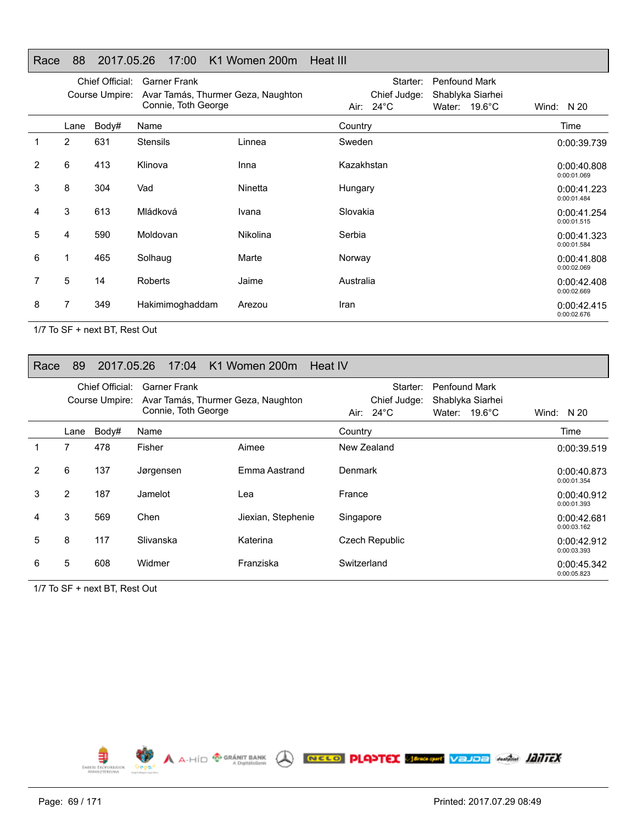#### Race 88 2017.05.26 17:00 K1 Women 200m Heat III

|                |                | Chief Official:<br>Course Umpire: | <b>Garner Frank</b><br>Avar Tamás, Thurmer Geza, Naughton<br>Connie, Toth George |          | Penfound Mark<br>Starter:<br>Chief Judge:<br>Shablyka Siarhei<br>Air: $24^{\circ}$ C<br>Water: 19.6°C | Wind: $N 20$               |
|----------------|----------------|-----------------------------------|----------------------------------------------------------------------------------|----------|-------------------------------------------------------------------------------------------------------|----------------------------|
|                | Lane           | Body#                             | Name                                                                             |          | Country                                                                                               | Time                       |
|                | $\overline{2}$ | 631                               | <b>Stensils</b>                                                                  | Linnea   | Sweden                                                                                                | 0:00:39.739                |
| $\overline{2}$ | 6              | 413                               | Klinova                                                                          | Inna     | Kazakhstan                                                                                            | 0:00:40.808<br>0:00:01.069 |
| 3              | 8              | 304                               | Vad                                                                              | Ninetta  | Hungary                                                                                               | 0:00:41.223<br>0:00:01.484 |
| 4              | 3              | 613                               | Mládková                                                                         | Ivana    | Slovakia                                                                                              | 0:00:41.254<br>0:00:01.515 |
| 5              | 4              | 590                               | Moldovan                                                                         | Nikolina | Serbia                                                                                                | 0:00:41.323<br>0:00:01.584 |
| 6              | 1              | 465                               | Solhaug                                                                          | Marte    | Norway                                                                                                | 0:00:41.808<br>0:00:02.069 |
| 7              | 5              | 14                                | <b>Roberts</b>                                                                   | Jaime    | Australia                                                                                             | 0:00:42.408<br>0:00:02.669 |
| 8              | 7              | 349                               | Hakimimoghaddam                                                                  | Arezou   | Iran                                                                                                  | 0:00:42.415<br>0:00:02.676 |

1/7 To SF + next BT, Rest Out

#### Race 89 2017.05.26 17:04 K1 Women 200m Heat IV

|    |                | Chief Official:<br>Course Umpire: | <b>Garner Frank</b><br>Avar Tamás, Thurmer Geza, Naughton<br>Connie, Toth George |                    |             | Starter:<br>Chief Judge:<br>Air: $24^{\circ}$ C | <b>Penfound Mark</b> | Shablyka Siarhei<br>Water: $19.6^{\circ}$ C | Wind: $N 20$               |
|----|----------------|-----------------------------------|----------------------------------------------------------------------------------|--------------------|-------------|-------------------------------------------------|----------------------|---------------------------------------------|----------------------------|
|    | Lane           | Body#                             | Name                                                                             |                    | Country     |                                                 |                      |                                             | Time                       |
| 1. | 7              | 478                               | Fisher                                                                           | Aimee              |             | New Zealand                                     |                      |                                             | 0:00:39.519                |
| 2  | 6              | 137                               | Jørgensen                                                                        | Emma Aastrand      | Denmark     |                                                 |                      |                                             | 0:00:40.873<br>0:00:01.354 |
| 3  | $\overline{2}$ | 187                               | Jamelot                                                                          | Lea                | France      |                                                 |                      |                                             | 0:00:40.912<br>0:00:01.393 |
| 4  | 3              | 569                               | Chen                                                                             | Jiexian, Stephenie | Singapore   |                                                 |                      |                                             | 0:00:42.681<br>0:00:03.162 |
| 5  | 8              | 117                               | Slivanska                                                                        | Katerina           |             | Czech Republic                                  |                      |                                             | 0:00:42.912<br>0:00:03.393 |
| 6  | 5              | 608                               | Widmer                                                                           | Franziska          | Switzerland |                                                 |                      |                                             | 0:00:45.342<br>0:00:05.823 |

1/7 To SF + next BT, Rest Out

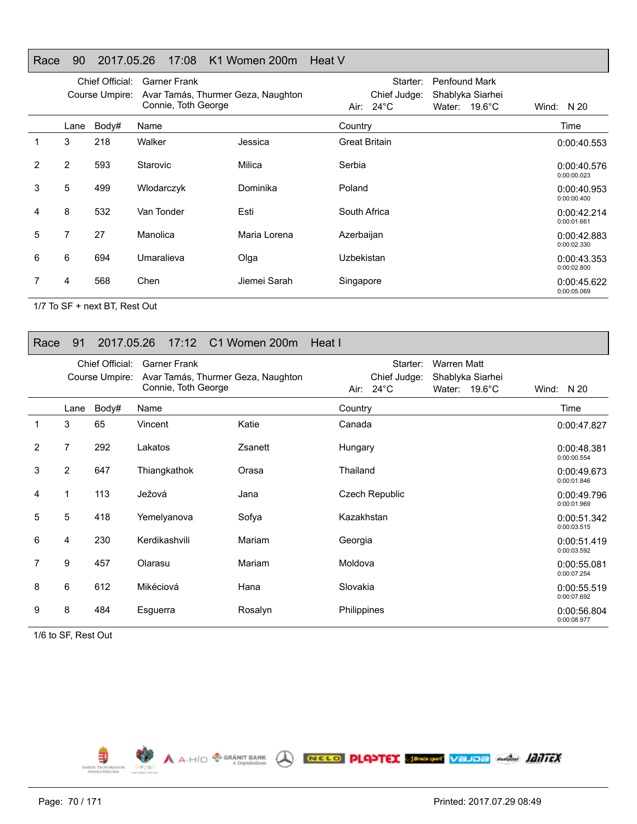#### Race 90 2017.05.26 17:08 K1 Women 200m Heat V

|   |      | Chief Official:<br>Course Umpire: | Garner Frank<br>Avar Tamás, Thurmer Geza, Naughton<br>Connie, Toth George |              | Starter:<br>Penfound Mark<br>Chief Judge:<br>Shablyka Siarhei<br>Air: $24^{\circ}$ C<br>Water: $19.6^{\circ}$ C | N 20<br>Wind:              |
|---|------|-----------------------------------|---------------------------------------------------------------------------|--------------|-----------------------------------------------------------------------------------------------------------------|----------------------------|
|   | Lane | Body#                             | Name                                                                      |              | Country                                                                                                         | Time                       |
|   | 3    | 218                               | Walker                                                                    | Jessica      | <b>Great Britain</b>                                                                                            | 0:00:40.553                |
| 2 | 2    | 593                               | Starovic                                                                  | Milica       | Serbia                                                                                                          | 0:00:40.576<br>0:00:00.023 |
| 3 | 5    | 499                               | Wlodarczyk                                                                | Dominika     | Poland                                                                                                          | 0:00:40.953<br>0:00:00.400 |
| 4 | 8    | 532                               | Van Tonder                                                                | Esti         | South Africa                                                                                                    | 0:00:42.214<br>0:00:01.661 |
| 5 | 7    | 27                                | Manolica                                                                  | Maria Lorena | Azerbaijan                                                                                                      | 0:00:42.883<br>0:00:02.330 |
| 6 | 6    | 694                               | Umaralieva                                                                | Olga         | Uzbekistan                                                                                                      | 0:00:43.353<br>0:00:02.800 |
|   | 4    | 568                               | Chen                                                                      | Jiemei Sarah | Singapore                                                                                                       | 0:00:45.622<br>0:00:05.069 |

1/7 To SF + next BT, Rest Out

## Race 91 2017.05.26 17:12 C1 Women 200m Heat I

|   |      | Chief Official:<br>Course Umpire: | <b>Garner Frank</b><br>Avar Tamás, Thurmer Geza, Naughton |         | Starter:<br>Chief Judge: | <b>Warren Matt</b><br>Shablyka Siarhei |                            |
|---|------|-----------------------------------|-----------------------------------------------------------|---------|--------------------------|----------------------------------------|----------------------------|
|   |      |                                   | Connie, Toth George                                       |         | Air: 24°C                | Water: 19.6°C                          | Wind: $N 20$               |
|   | Lane | Body#                             | Name                                                      |         | Country                  |                                        | Time                       |
|   | 3    | 65                                | Vincent                                                   | Katie   | Canada                   |                                        | 0:00:47.827                |
| 2 | 7    | 292                               | Lakatos                                                   | Zsanett | Hungary                  |                                        | 0:00:48.381<br>0:00:00.554 |
| 3 | 2    | 647                               | Thiangkathok                                              | Orasa   | Thailand                 |                                        | 0:00:49.673<br>0:00:01.846 |
| 4 |      | 113                               | Ježová                                                    | Jana    | <b>Czech Republic</b>    |                                        | 0:00:49.796<br>0:00:01.969 |
| 5 | 5    | 418                               | Yemelyanova                                               | Sofya   | Kazakhstan               |                                        | 0:00:51.342<br>0:00:03.515 |
| 6 | 4    | 230                               | Kerdikashvili                                             | Mariam  | Georgia                  |                                        | 0:00:51.419<br>0:00:03.592 |
| 7 | 9    | 457                               | Olarasu                                                   | Mariam  | Moldova                  |                                        | 0:00:55.081<br>0:00:07.254 |
| 8 | 6    | 612                               | Mikéciová                                                 | Hana    | Slovakia                 |                                        | 0:00:55.519<br>0:00:07.692 |
| 9 | 8    | 484                               | Esguerra                                                  | Rosalyn | Philippines              |                                        | 0:00:56.804<br>0:00:08.977 |

1/6 to SF, Rest Out

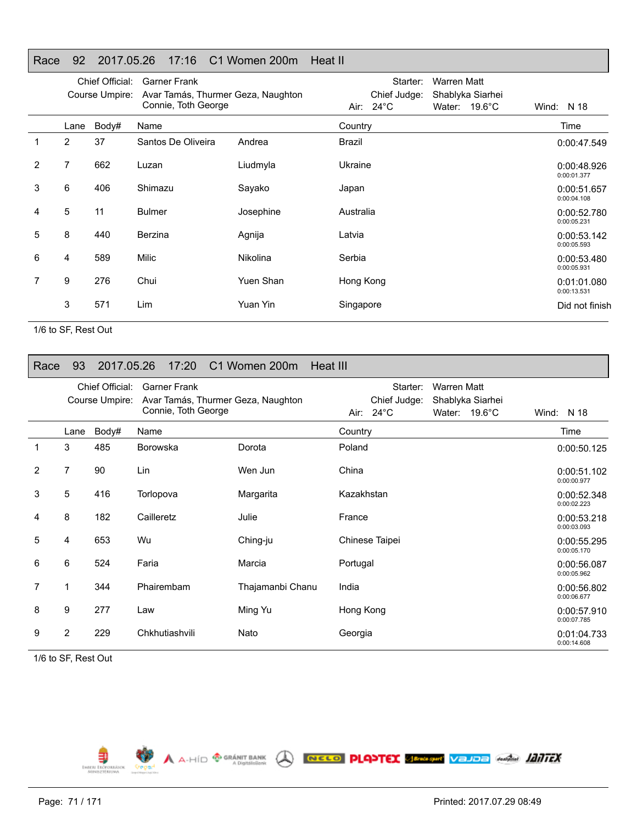## Race 92 2017.05.26 17:16 C1 Women 200m Heat II

|                |                | Chief Official:<br>Course Umpire: | <b>Garner Frank</b><br>Avar Tamás, Thurmer Geza, Naughton<br>Connie, Toth George |           |           | Starter:<br>Chief Judge:<br>Air: 24°C | <b>Warren Matt</b> | Shablyka Siarhei<br>Water: 19.6°C | Wind: $N$ 18               |
|----------------|----------------|-----------------------------------|----------------------------------------------------------------------------------|-----------|-----------|---------------------------------------|--------------------|-----------------------------------|----------------------------|
|                | Lane           | Body#                             | Name                                                                             |           | Country   |                                       |                    |                                   | Time                       |
|                | $\overline{2}$ | 37                                | Santos De Oliveira                                                               | Andrea    | Brazil    |                                       |                    |                                   | 0:00:47.549                |
| $\overline{2}$ | 7              | 662                               | Luzan                                                                            | Liudmyla  | Ukraine   |                                       |                    |                                   | 0:00:48.926<br>0:00:01.377 |
| 3              | 6              | 406                               | Shimazu                                                                          | Sayako    | Japan     |                                       |                    |                                   | 0:00:51.657<br>0:00:04.108 |
| 4              | 5              | 11                                | <b>Bulmer</b>                                                                    | Josephine | Australia |                                       |                    |                                   | 0:00:52.780<br>0:00:05.231 |
| 5              | 8              | 440                               | Berzina                                                                          | Agnija    | Latvia    |                                       |                    |                                   | 0:00:53.142<br>0:00:05.593 |
| 6              | 4              | 589                               | Milic                                                                            | Nikolina  | Serbia    |                                       |                    |                                   | 0:00:53.480<br>0:00:05.931 |
| 7              | 9              | 276                               | Chui                                                                             | Yuen Shan | Hong Kong |                                       |                    |                                   | 0:01:01.080<br>0:00:13.531 |
|                | 3              | 571                               | Lim                                                                              | Yuan Yin  | Singapore |                                       |                    |                                   | Did not finish             |

1/6 to SF, Rest Out

#### Race 93 2017.05.26 17:20 C1 Women 200m Heat III

|   |                | Chief Official:<br>Course Umpire: | <b>Garner Frank</b><br>Avar Tamás, Thurmer Geza, Naughton<br>Connie, Toth George |                  | Starter:<br><b>Warren Matt</b><br>Chief Judge:<br>Shablyka Siarhei<br>Air: 24°C<br>Water: $19.6^{\circ}$ C | Wind: $N$ 18               |
|---|----------------|-----------------------------------|----------------------------------------------------------------------------------|------------------|------------------------------------------------------------------------------------------------------------|----------------------------|
|   | Lane           | Body#                             | Name                                                                             |                  | Country                                                                                                    | Time                       |
|   | 3              | 485                               | <b>Borowska</b>                                                                  | Dorota           | Poland                                                                                                     | 0:00:50.125                |
| 2 | $\overline{7}$ | 90                                | Lin                                                                              | Wen Jun          | China                                                                                                      | 0:00:51.102<br>0:00:00.977 |
| 3 | 5              | 416                               | Torlopova                                                                        | Margarita        | Kazakhstan                                                                                                 | 0:00:52.348<br>0:00:02.223 |
| 4 | 8              | 182                               | Cailleretz                                                                       | Julie            | France                                                                                                     | 0:00:53.218<br>0:00:03.093 |
| 5 | 4              | 653                               | Wu                                                                               | Ching-ju         | Chinese Taipei                                                                                             | 0:00:55.295<br>0:00:05.170 |
| 6 | 6              | 524                               | Faria                                                                            | Marcia           | Portugal                                                                                                   | 0:00:56.087<br>0:00:05.962 |
| 7 | 1              | 344                               | Phairembam                                                                       | Thajamanbi Chanu | India                                                                                                      | 0:00:56.802<br>0:00:06.677 |
| 8 | 9              | 277                               | Law                                                                              | Ming Yu          | Hong Kong                                                                                                  | 0:00:57.910<br>0:00:07.785 |
| 9 | $\overline{2}$ | 229                               | Chkhutiashvili                                                                   | Nato             | Georgia                                                                                                    | 0:01:04.733<br>0:00:14.608 |

1/6 to SF, Rest Out

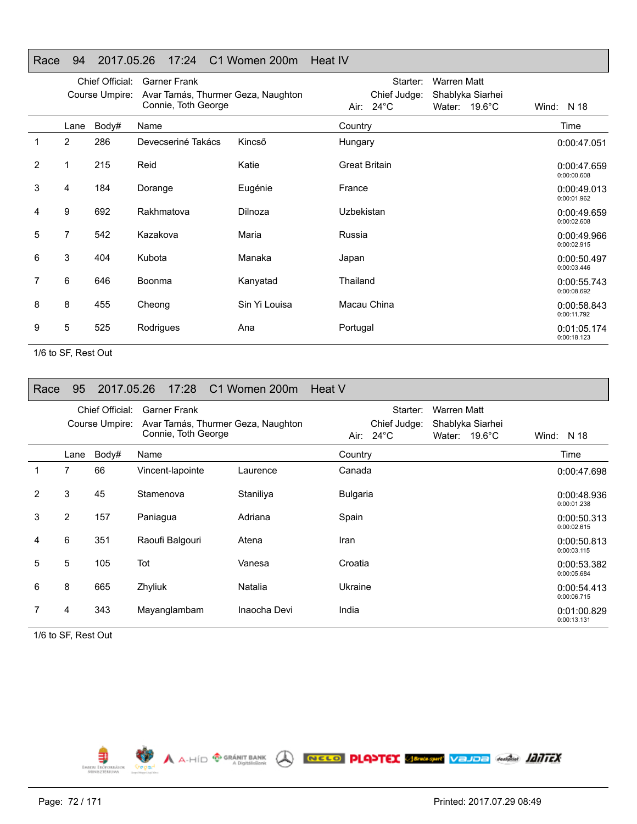### Race 94 2017.05.26 17:24 C1 Women 200m Heat IV

|                |                | Chief Official:<br>Course Umpire: | <b>Garner Frank</b><br>Avar Tamás, Thurmer Geza, Naughton<br>Connie, Toth George |               | Starter:<br>Warren Matt<br>Chief Judge:<br>Shablyka Siarhei<br>Air: 24°C<br>Water: $19.6^{\circ}$ C | Wind: N 18                 |
|----------------|----------------|-----------------------------------|----------------------------------------------------------------------------------|---------------|-----------------------------------------------------------------------------------------------------|----------------------------|
|                | Lane           | Body#                             | Name                                                                             |               | Country                                                                                             | Time                       |
| 1              | $\overline{2}$ | 286                               | Devecseriné Takács                                                               | Kincső        | Hungary                                                                                             | 0:00:47.051                |
| $\overline{2}$ |                | 215                               | Reid                                                                             | Katie         | <b>Great Britain</b>                                                                                | 0:00:47.659<br>0:00:00.608 |
| 3              | 4              | 184                               | Dorange                                                                          | Eugénie       | France                                                                                              | 0:00:49.013<br>0:00:01.962 |
| 4              | 9              | 692                               | Rakhmatova                                                                       | Dilnoza       | Uzbekistan                                                                                          | 0:00:49.659<br>0:00:02.608 |
| 5              | 7              | 542                               | Kazakova                                                                         | Maria         | Russia                                                                                              | 0:00:49.966<br>0:00:02.915 |
| 6              | 3              | 404                               | Kubota                                                                           | Manaka        | Japan                                                                                               | 0:00:50.497<br>0:00:03.446 |
| 7              | 6              | 646                               | Boonma                                                                           | Kanyatad      | Thailand                                                                                            | 0:00:55.743<br>0:00:08.692 |
| 8              | 8              | 455                               | Cheong                                                                           | Sin Yi Louisa | Macau China                                                                                         | 0:00:58.843<br>0:00:11.792 |
| 9              | 5              | 525                               | Rodrigues                                                                        | Ana           | Portugal                                                                                            | 0:01:05.174<br>0:00:18.123 |

1/6 to SF, Rest Out

| Race | 95             | 2017.05.26                        | 17:28                                      | C1 Women 200m                      | Heat V                                                                                                        |                            |
|------|----------------|-----------------------------------|--------------------------------------------|------------------------------------|---------------------------------------------------------------------------------------------------------------|----------------------------|
|      |                | Chief Official:<br>Course Umpire: | <b>Garner Frank</b><br>Connie, Toth George | Avar Tamás, Thurmer Geza, Naughton | Warren Matt<br>Starter:<br>Chief Judge:<br>Shablyka Siarhei<br>Air: $24^{\circ}$ C<br>Water: $19.6^{\circ}$ C | N 18<br>Wind:              |
|      | Lane           | Body#                             | Name                                       |                                    | Country                                                                                                       | Time                       |
| 1    | 7              | 66                                | Vincent-lapointe                           | Laurence                           | Canada                                                                                                        | 0:00:47.698                |
| 2    | 3              | 45                                | Stamenova                                  | Staniliya                          | <b>Bulgaria</b>                                                                                               | 0:00:48.936<br>0:00:01.238 |
| 3    | $\overline{2}$ | 157                               | Paniagua                                   | Adriana                            | Spain                                                                                                         | 0:00:50.313<br>0:00:02.615 |
| 4    | 6              | 351                               | Raoufi Balgouri                            | Atena                              | Iran                                                                                                          | 0:00:50.813<br>0:00:03.115 |
| 5    | 5              | 105                               | Tot                                        | Vanesa                             | Croatia                                                                                                       | 0:00:53.382<br>0:00:05.684 |
| 6    | 8              | 665                               | Zhyliuk                                    | Natalia                            | Ukraine                                                                                                       | 0:00:54.413<br>0:00:06.715 |
|      | 4              | 343                               | Mayanglambam                               | Inaocha Devi                       | India                                                                                                         | 0:01:00.829<br>0:00:13.131 |

1/6 to SF, Rest Out

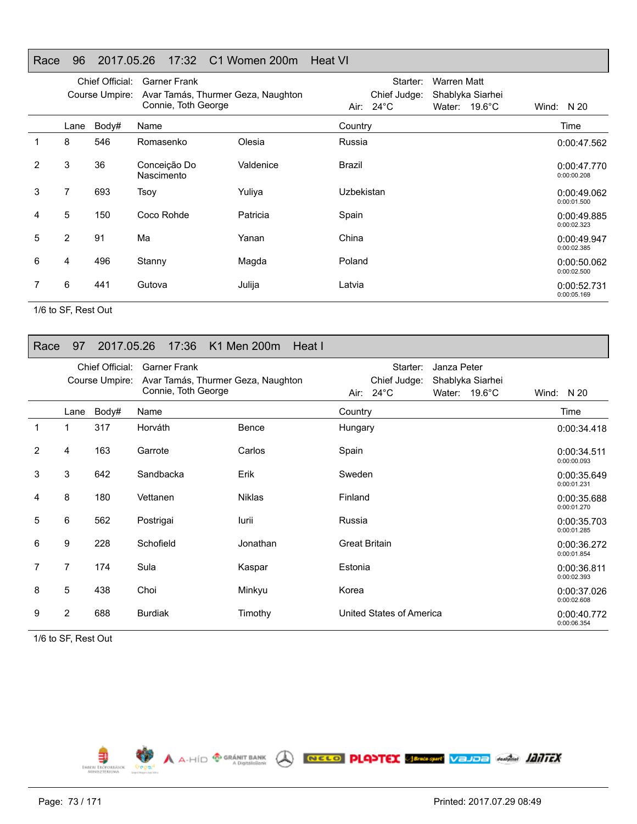## Race 96 2017.05.26 17:32 C1 Women 200m Heat VI

|   |                | Chief Official:<br>Course Umpire: | <b>Garner Frank</b><br>Avar Tamás, Thurmer Geza, Naughton<br>Connie, Toth George |           | Starter:<br>Warren Matt<br>Chief Judge:<br>Shablyka Siarhei<br>Air: $24^{\circ}$ C<br>Water: $19.6^{\circ}$ C | Wind: $N 20$               |
|---|----------------|-----------------------------------|----------------------------------------------------------------------------------|-----------|---------------------------------------------------------------------------------------------------------------|----------------------------|
|   | Lane           | Body#                             | Name                                                                             |           | Country                                                                                                       | Time                       |
|   | 8              | 546                               | Romasenko                                                                        | Olesia    | Russia                                                                                                        | 0:00:47.562                |
| 2 | 3              | 36                                | Conceição Do<br>Nascimento                                                       | Valdenice | Brazil                                                                                                        | 0:00:47.770<br>0:00:00.208 |
| 3 | 7              | 693                               | <b>Tsov</b>                                                                      | Yuliya    | Uzbekistan                                                                                                    | 0:00:49.062<br>0:00:01.500 |
| 4 | 5              | 150                               | Coco Rohde                                                                       | Patricia  | Spain                                                                                                         | 0:00:49.885<br>0:00:02.323 |
| 5 | $\overline{2}$ | 91                                | Ma                                                                               | Yanan     | China                                                                                                         | 0:00:49.947<br>0:00:02.385 |
| 6 | 4              | 496                               | Stanny                                                                           | Magda     | Poland                                                                                                        | 0:00:50.062<br>0:00:02.500 |
|   | 6              | 441                               | Gutova                                                                           | Julija    | Latvia                                                                                                        | 0:00:52.731<br>0:00:05.169 |

1/6 to SF, Rest Out

## Race 97 2017.05.26 17:36 K1 Men 200m Heat I

|   | Chief Official:<br>Course Umpire: |       | <b>Garner Frank</b><br>Avar Tamás, Thurmer Geza, Naughton |               | Starter:<br>Janza Peter<br>Chief Judge:<br>Shablyka Siarhei |                            |
|---|-----------------------------------|-------|-----------------------------------------------------------|---------------|-------------------------------------------------------------|----------------------------|
|   |                                   |       | Connie, Toth George                                       |               | Air: 24°C<br>Water: $19.6^{\circ}$ C                        | Wind: $N 20$               |
|   | Lane                              | Body# | Name                                                      |               | Country                                                     | Time                       |
| 1 | 1                                 | 317   | Horváth                                                   | Bence         | Hungary                                                     | 0:00:34.418                |
| 2 | 4                                 | 163   | Garrote                                                   | Carlos        | Spain                                                       | 0:00:34.511<br>0:00:00.093 |
| 3 | 3                                 | 642   | Sandbacka                                                 | Erik          | Sweden                                                      | 0:00:35.649<br>0:00:01.231 |
| 4 | 8                                 | 180   | Vettanen                                                  | <b>Niklas</b> | Finland                                                     | 0:00:35.688<br>0:00:01.270 |
| 5 | 6                                 | 562   | Postrigai                                                 | lurii         | Russia                                                      | 0:00:35.703<br>0:00:01.285 |
| 6 | 9                                 | 228   | Schofield                                                 | Jonathan      | <b>Great Britain</b>                                        | 0:00:36.272<br>0:00:01.854 |
| 7 | 7                                 | 174   | Sula                                                      | Kaspar        | Estonia                                                     | 0:00:36.811<br>0:00:02.393 |
| 8 | 5                                 | 438   | Choi                                                      | Minkyu        | Korea                                                       | 0:00:37.026<br>0:00:02.608 |
| 9 | 2                                 | 688   | <b>Burdiak</b>                                            | Timothy       | United States of America                                    | 0:00:40.772<br>0:00:06.354 |

1/6 to SF, Rest Out

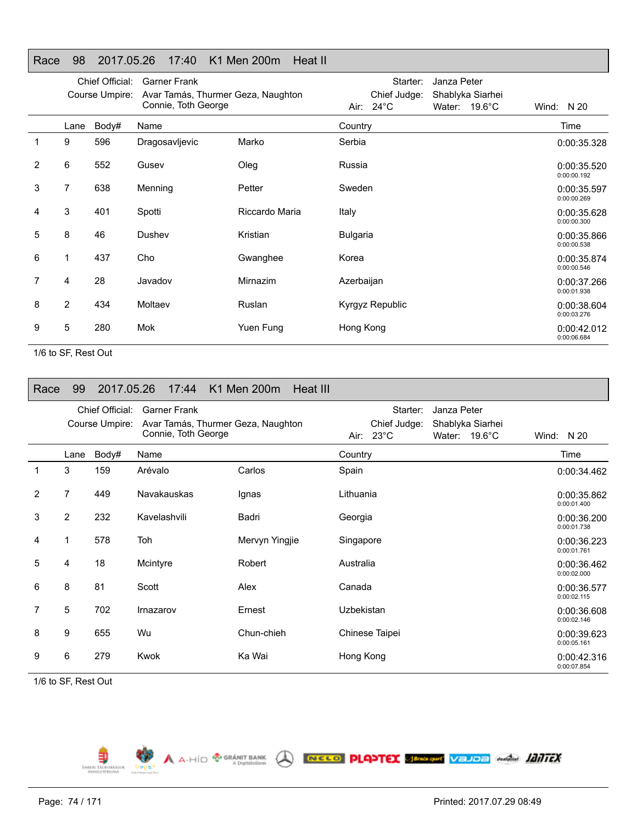## Race 98 2017.05.26 17:40 K1 Men 200m Heat II

|   |                | Chief Official:<br>Course Umpire: | <b>Garner Frank</b><br>Avar Tamás, Thurmer Geza, Naughton<br>Connie, Toth George |                | Air:            | Starter:<br>Chief Judge:<br>$24^{\circ}$ C | Janza Peter | Shablyka Siarhei<br>Water: 19.6°C | Wind: | N 20                       |
|---|----------------|-----------------------------------|----------------------------------------------------------------------------------|----------------|-----------------|--------------------------------------------|-------------|-----------------------------------|-------|----------------------------|
|   | Lane           | Body#                             | Name                                                                             |                | Country         |                                            |             |                                   |       | Time                       |
| 1 | 9              | 596                               | Dragosavljevic                                                                   | Marko          | Serbia          |                                            |             |                                   |       | 0:00:35.328                |
| 2 | 6              | 552                               | Gusev                                                                            | Oleg           | Russia          |                                            |             |                                   |       | 0:00:35.520<br>0:00:00.192 |
| 3 | $\overline{7}$ | 638                               | Menning                                                                          | Petter         | Sweden          |                                            |             |                                   |       | 0:00:35.597<br>0:00:00.269 |
| 4 | 3              | 401                               | Spotti                                                                           | Riccardo Maria | Italy           |                                            |             |                                   |       | 0:00:35.628<br>0:00:00.300 |
| 5 | 8              | 46                                | Dushev                                                                           | Kristian       | <b>Bulgaria</b> |                                            |             |                                   |       | 0:00:35.866<br>0:00:00.538 |
| 6 | 1              | 437                               | Cho                                                                              | Gwanghee       | Korea           |                                            |             |                                   |       | 0:00:35.874<br>0:00:00.546 |
| 7 | 4              | 28                                | Javadov                                                                          | Mirnazim       | Azerbaijan      |                                            |             |                                   |       | 0:00:37.266<br>0:00:01.938 |
| 8 | $\overline{2}$ | 434                               | Moltaev                                                                          | Ruslan         |                 | Kyrgyz Republic                            |             |                                   |       | 0:00:38.604<br>0:00:03.276 |
| 9 | 5              | 280                               | Mok                                                                              | Yuen Fung      | Hong Kong       |                                            |             |                                   |       | 0:00:42.012<br>0:00:06.684 |
|   |                |                                   |                                                                                  |                |                 |                                            |             |                                   |       |                            |

1/6 to SF, Rest Out

| Race           | 99             | 2017.05.26                        | 17:44                                                                            | K1 Men 200m<br>Heat III |                                                                                                               |                            |
|----------------|----------------|-----------------------------------|----------------------------------------------------------------------------------|-------------------------|---------------------------------------------------------------------------------------------------------------|----------------------------|
|                |                | Chief Official:<br>Course Umpire: | <b>Garner Frank</b><br>Avar Tamás, Thurmer Geza, Naughton<br>Connie, Toth George |                         | Janza Peter<br>Starter:<br>Chief Judge:<br>Shablyka Siarhei<br>Air: $23^{\circ}$ C<br>Water: $19.6^{\circ}$ C | Wind: $N 20$               |
|                | Lane           | Body#                             | Name                                                                             |                         | Country                                                                                                       | Time                       |
| $\mathbf{1}$   | 3              | 159                               | Arévalo                                                                          | Carlos                  | Spain                                                                                                         | 0:00:34.462                |
| 2              | 7              | 449                               | Navakauskas                                                                      | Ignas                   | Lithuania                                                                                                     | 0:00:35.862<br>0:00:01.400 |
| 3              | $\overline{2}$ | 232                               | Kavelashvili                                                                     | Badri                   | Georgia                                                                                                       | 0:00:36.200<br>0:00:01.738 |
| 4              | 1              | 578                               | Toh                                                                              | Mervyn Yingjie          | Singapore                                                                                                     | 0:00:36.223<br>0:00:01.761 |
| 5              | 4              | 18                                | Mcintyre                                                                         | Robert                  | Australia                                                                                                     | 0:00:36.462<br>0:00:02.000 |
| 6              | 8              | 81                                | Scott                                                                            | Alex                    | Canada                                                                                                        | 0:00:36.577<br>0:00:02.115 |
| $\overline{7}$ | 5              | 702                               | Irnazarov                                                                        | Ernest                  | Uzbekistan                                                                                                    | 0:00:36.608<br>0:00:02.146 |
| 8              | 9              | 655                               | Wu                                                                               | Chun-chieh              | Chinese Taipei                                                                                                | 0:00:39.623<br>0:00:05.161 |
| 9              | 6              | 279                               | Kwok                                                                             | Ka Wai                  | Hong Kong                                                                                                     | 0:00:42.316<br>0:00:07.854 |

A A-HID **<sup>O GRÁNIT BANK</sup> A RECO PLANTEX SERGAN VELOR MARÍA IZITEX** 

1/6 to SF, Rest Out

Ę EMBERL ERO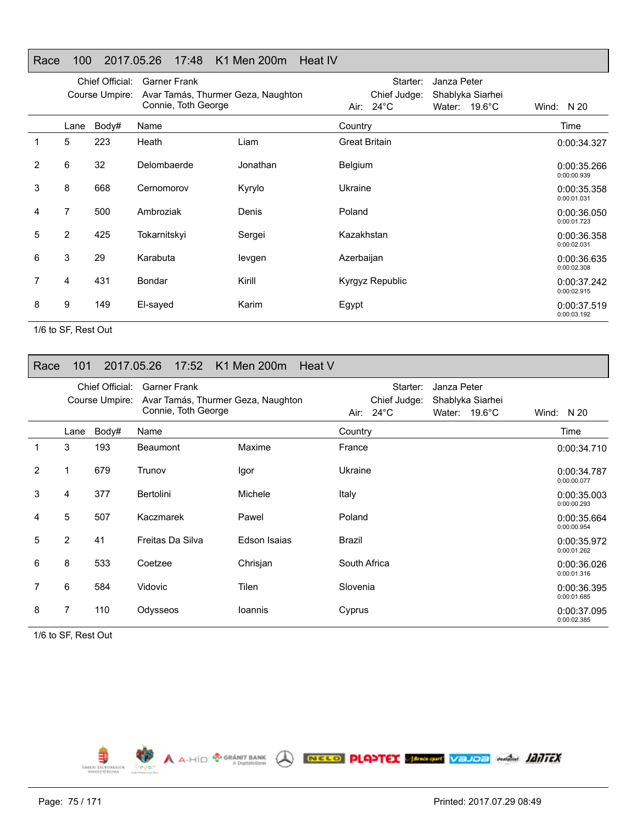## Race 100 2017.05.26 17:48 K1 Men 200m Heat IV

|   |      | Chief Official:<br>Course Umpire: | <b>Garner Frank</b><br>Avar Tamás, Thurmer Geza, Naughton<br>Connie, Toth George |          | Starter:<br>Janza Peter<br>Shablyka Siarhei<br>Chief Judge:<br>Air: $24^{\circ}$ C<br>Water: $19.6^{\circ}$ C | Wind: $N 20$               |
|---|------|-----------------------------------|----------------------------------------------------------------------------------|----------|---------------------------------------------------------------------------------------------------------------|----------------------------|
|   | Lane | Body#                             | Name                                                                             |          | Country                                                                                                       | Time                       |
|   | 5    | 223                               | Heath                                                                            | Liam     | <b>Great Britain</b>                                                                                          | 0:00:34.327                |
| 2 | 6    | 32                                | Delombaerde                                                                      | Jonathan | Belgium                                                                                                       | 0:00:35.266<br>0:00:00.939 |
| 3 | 8    | 668                               | Cernomorov                                                                       | Kyrylo   | Ukraine                                                                                                       | 0:00:35.358<br>0:00:01.031 |
| 4 | 7    | 500                               | Ambroziak                                                                        | Denis    | Poland                                                                                                        | 0:00:36.050<br>0:00:01.723 |
| 5 | 2    | 425                               | Tokarnitskyi                                                                     | Sergei   | Kazakhstan                                                                                                    | 0:00:36.358<br>0:00:02.031 |
| 6 | 3    | 29                                | Karabuta                                                                         | levgen   | Azerbaijan                                                                                                    | 0:00:36.635<br>0:00:02.308 |
|   | 4    | 431                               | Bondar                                                                           | Kirill   | Kyrgyz Republic                                                                                               | 0:00:37.242<br>0:00:02.915 |
| 8 | 9    | 149                               | El-sayed                                                                         | Karim    | Egypt                                                                                                         | 0:00:37.519<br>0:00:03.192 |

1/6 to SF, Rest Out

#### Race 101 2017.05.26 17:52 K1 Men 200m Heat V

|                | Chief Official:<br>Course Umpire: |       | <b>Garner Frank</b><br>Avar Tamás, Thurmer Geza, Naughton<br>Connie, Toth George |              | Starter:<br>Janza Peter<br>Chief Judge:<br>Shablyka Siarhei<br>Air: $24^{\circ}$ C<br>Water: 19.6°C | Wind: $N 20$               |
|----------------|-----------------------------------|-------|----------------------------------------------------------------------------------|--------------|-----------------------------------------------------------------------------------------------------|----------------------------|
|                | Lane                              | Body# | Name                                                                             |              | Country                                                                                             | Time                       |
| 1              | 3                                 | 193   | <b>Beaumont</b>                                                                  | Maxime       | France                                                                                              | 0:00:34.710                |
| $\overline{2}$ | 1                                 | 679   | Trunov                                                                           | Igor         | Ukraine                                                                                             | 0:00:34.787<br>0:00:00.077 |
| 3              | 4                                 | 377   | Bertolini                                                                        | Michele      | Italy                                                                                               | 0:00:35.003<br>0:00:00.293 |
| 4              | 5                                 | 507   | Kaczmarek                                                                        | Pawel        | Poland                                                                                              | 0:00:35.664<br>0:00:00.954 |
| 5              | $\overline{2}$                    | 41    | Freitas Da Silva                                                                 | Edson Isaias | <b>Brazil</b>                                                                                       | 0:00:35.972<br>0:00:01.262 |
| 6              | 8                                 | 533   | Coetzee                                                                          | Chrisjan     | South Africa                                                                                        | 0:00:36.026<br>0:00:01.316 |
|                | 6                                 | 584   | Vidovic                                                                          | <b>Tilen</b> | Slovenia                                                                                            | 0:00:36.395<br>0:00:01.685 |
| 8              | 7                                 | 110   | Odysseos                                                                         | loannis      | Cyprus                                                                                              | 0:00:37.095<br>0:00:02.385 |

1/6 to SF, Rest Out

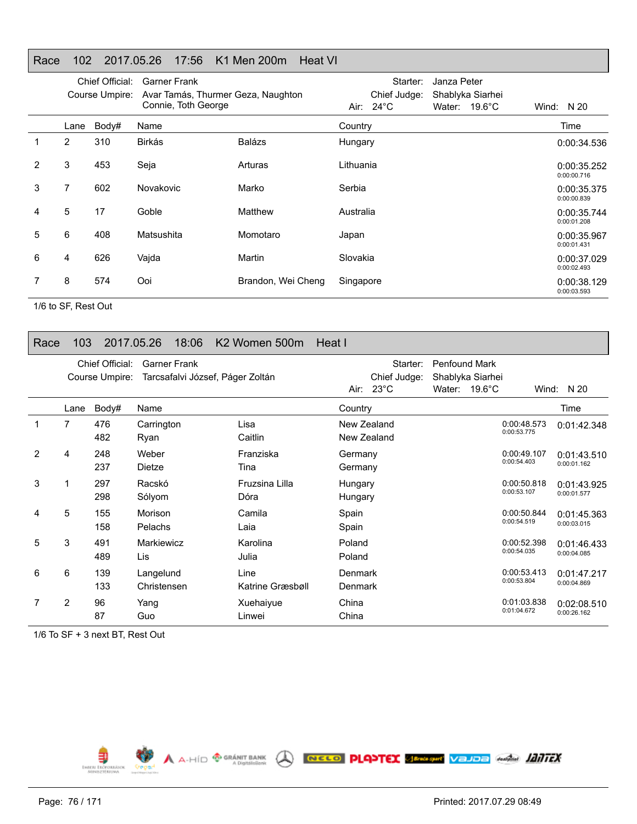## Race 102 2017.05.26 17:56 K1 Men 200m Heat VI

|               |      | Chief Official: | Garner Frank                                              |                    | Starter:<br>Janza Peter                                                            |                            |
|---------------|------|-----------------|-----------------------------------------------------------|--------------------|------------------------------------------------------------------------------------|----------------------------|
|               |      | Course Umpire:  | Avar Tamás, Thurmer Geza, Naughton<br>Connie, Toth George |                    | Chief Judge:<br>Shablyka Siarhei<br>Air: $24^{\circ}$ C<br>Water: $19.6^{\circ}$ C | Wind: $N 20$               |
|               | Lane | Body#           | Name                                                      |                    | Country                                                                            | Time                       |
|               | 2    | 310             | <b>Birkás</b>                                             | <b>Balázs</b>      | Hungary                                                                            | 0:00:34.536                |
| $\mathcal{P}$ | 3    | 453             | Seja                                                      | Arturas            | Lithuania                                                                          | 0:00:35.252<br>0:00:00.716 |
| 3             | 7    | 602             | Novakovic                                                 | Marko              | Serbia                                                                             | 0:00:35.375<br>0:00:00.839 |
| 4             | 5    | 17              | Goble                                                     | Matthew            | Australia                                                                          | 0:00:35.744<br>0:00:01.208 |
| 5             | 6    | 408             | Matsushita                                                | Momotaro           | Japan                                                                              | 0:00:35.967<br>0:00:01.431 |
| 6             | 4    | 626             | Vajda                                                     | Martin             | Slovakia                                                                           | 0:00:37.029<br>0:00:02.493 |
|               | 8    | 574             | Ooi                                                       | Brandon, Wei Cheng | Singapore                                                                          | 0:00:38.129<br>0:00:03.593 |

1/6 to SF, Rest Out

## Race 103 2017.05.26 18:06 K2 Women 500m Heat I

|   |      | Chief Official:<br>Course Umpire: | <b>Garner Frank</b><br>Tarcsafalvi József, Páger Zoltán |                          |                                  | Starter:<br>Chief Judge:<br>Air: $23^{\circ}$ C | <b>Penfound Mark</b> | Shablyka Siarhei<br>Water: $19.6^{\circ}$ C |                            | Wind: $N 20$               |
|---|------|-----------------------------------|---------------------------------------------------------|--------------------------|----------------------------------|-------------------------------------------------|----------------------|---------------------------------------------|----------------------------|----------------------------|
|   | Lane | Body#                             | Name                                                    |                          | Country                          |                                                 |                      |                                             |                            | Time                       |
|   | 7    | 476<br>482                        | Carrington<br>Ryan                                      | Lisa<br>Caitlin          |                                  | New Zealand<br>New Zealand                      |                      |                                             | 0:00:48.573<br>0:00:53.775 | 0:01:42.348                |
| 2 | 4    | 248<br>237                        | Weber<br>Dietze                                         | Franziska<br>Tina        | Germany<br>Germany               |                                                 |                      |                                             | 0:00:49.107<br>0:00:54.403 | 0:01:43.510<br>0:00:01.162 |
| 3 |      | 297<br>298                        | Racskó<br>Sólyom                                        | Fruzsina Lilla<br>Dóra   | Hungary<br>Hungary               |                                                 |                      |                                             | 0:00:50.818<br>0:00:53.107 | 0:01:43.925<br>0:00:01.577 |
| 4 | 5    | 155<br>158                        | Morison<br>Pelachs                                      | Camila<br>Laia           | Spain<br>Spain                   |                                                 |                      |                                             | 0:00:50.844<br>0:00:54.519 | 0:01:45.363<br>0:00:03.015 |
| 5 | 3    | 491<br>489                        | Markiewicz<br>Lis                                       | Karolina<br>Julia        | Poland<br>Poland                 |                                                 |                      |                                             | 0:00:52.398<br>0:00:54.035 | 0:01:46.433<br>0:00:04.085 |
| 6 | 6    | 139<br>133                        | Langelund<br>Christensen                                | Line<br>Katrine Græsbøll | <b>Denmark</b><br><b>Denmark</b> |                                                 |                      |                                             | 0:00:53.413<br>0:00:53.804 | 0:01:47.217<br>0:00:04.869 |
|   | 2    | 96<br>87                          | Yang<br>Guo                                             | Xuehaiyue<br>Linwei      | China<br>China                   |                                                 |                      |                                             | 0:01:03.838<br>0:01:04.672 | 0:02:08.510<br>0:00:26.162 |

1/6 To SF + 3 next BT, Rest Out

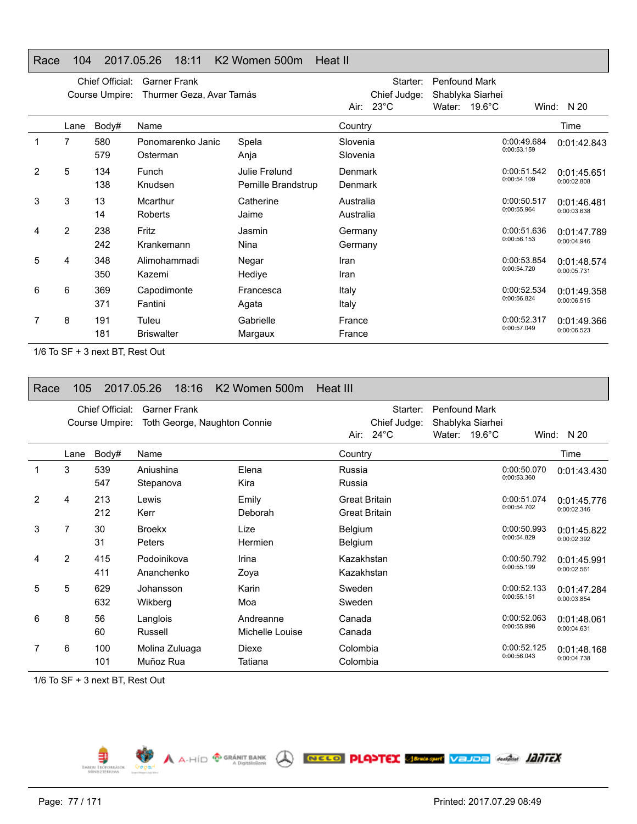## Race 104 2017.05.26 18:11 K2 Women 500m Heat II

|   |                | Chief Official:<br>Course Umpire: | <b>Garner Frank</b><br>Thurmer Geza, Avar Tamás |                                      | Air: $23^{\circ}$ C              | Starter:<br>Chief Judge: | <b>Penfound Mark</b><br>Shablyka Siarhei<br>Water: 19.6°C |                            | Wind: $N 20$               |
|---|----------------|-----------------------------------|-------------------------------------------------|--------------------------------------|----------------------------------|--------------------------|-----------------------------------------------------------|----------------------------|----------------------------|
|   | Lane           | Body#                             | Name                                            |                                      | Country                          |                          |                                                           |                            | Time                       |
|   | 7              | 580<br>579                        | Ponomarenko Janic<br>Osterman                   | Spela<br>Anja                        | Slovenia<br>Slovenia             |                          |                                                           | 0:00:49.684<br>0:00:53.159 | 0:01:42.843                |
| 2 | 5              | 134<br>138                        | Funch<br>Knudsen                                | Julie Frølund<br>Pernille Brandstrup | <b>Denmark</b><br><b>Denmark</b> |                          |                                                           | 0:00:51.542<br>0:00:54.109 | 0:01:45.651<br>0:00:02.808 |
| 3 | 3              | 13<br>14                          | Mcarthur<br>Roberts                             | Catherine<br>Jaime                   | Australia<br>Australia           |                          |                                                           | 0:00:50.517<br>0:00:55.964 | 0:01:46.481<br>0:00:03.638 |
| 4 | $\overline{2}$ | 238<br>242                        | Fritz<br>Krankemann                             | Jasmin<br>Nina                       | Germany<br>Germany               |                          |                                                           | 0:00:51.636<br>0:00:56.153 | 0:01:47.789<br>0:00:04.946 |
| 5 | 4              | 348<br>350                        | Alimohammadi<br>Kazemi                          | Negar<br>Hediye                      | Iran<br>Iran                     |                          |                                                           | 0:00:53.854<br>0:00:54.720 | 0:01:48.574<br>0:00:05.731 |
| 6 | 6              | 369<br>371                        | Capodimonte<br>Fantini                          | Francesca<br>Agata                   | Italy<br>Italy                   |                          |                                                           | 0:00:52.534<br>0:00:56.824 | 0:01:49.358<br>0:00:06.515 |
|   | 8              | 191<br>181                        | Tuleu<br><b>Briswalter</b>                      | Gabrielle<br>Margaux                 | France<br>France                 |                          |                                                           | 0:00:52.317<br>0:00:57.049 | 0:01:49.366<br>0:00:06.523 |

1/6 To SF + 3 next BT, Rest Out

| Race | 105  |                                   | 2017.05.26                     | 18:16               | K <sub>2</sub> Women 500m    | Heat III                                     |                                                 |                                |                                      |                            |                            |
|------|------|-----------------------------------|--------------------------------|---------------------|------------------------------|----------------------------------------------|-------------------------------------------------|--------------------------------|--------------------------------------|----------------------------|----------------------------|
|      |      | Chief Official:<br>Course Umpire: |                                | <b>Garner Frank</b> | Toth George, Naughton Connie |                                              | Starter:<br>Chief Judge:<br>Air: $24^{\circ}$ C | <b>Penfound Mark</b><br>Water: | Shablyka Siarhei<br>$19.6^{\circ}$ C | Wind:                      | N 20                       |
|      | Lane | Body#                             | Name                           |                     |                              | Country                                      |                                                 |                                |                                      |                            | Time                       |
|      | 3    | 539<br>547                        | Aniushina<br>Stepanova         |                     | Elena<br>Kira                | Russia<br>Russia                             |                                                 |                                |                                      | 0:00:50.070<br>0:00:53.360 | 0:01:43.430                |
| 2    | 4    | 213<br>212                        | Lewis<br>Kerr                  |                     | Emily<br>Deborah             | <b>Great Britain</b><br><b>Great Britain</b> |                                                 |                                |                                      | 0:00:51.074<br>0:00:54.702 | 0:01:45.776<br>0:00:02.346 |
| 3    | 7    | 30<br>31                          | <b>Broekx</b><br><b>Peters</b> |                     | Lize<br>Hermien              | <b>Belgium</b><br><b>Belgium</b>             |                                                 |                                |                                      | 0:00:50.993<br>0:00:54.829 | 0:01:45.822<br>0:00:02.392 |
| 4    | 2    | 415<br>411                        | Podoinikova<br>Ananchenko      |                     | Irina<br>Zoya                | Kazakhstan<br>Kazakhstan                     |                                                 |                                |                                      | 0:00:50.792<br>0:00:55.199 | 0:01:45.991<br>0:00:02.561 |
| 5    | 5    | 629<br>632                        | Johansson<br>Wikberg           |                     | Karin<br>Moa                 | Sweden<br>Sweden                             |                                                 |                                |                                      | 0:00:52.133<br>0:00:55.151 | 0:01:47.284<br>0:00:03.854 |
| 6    | 8    | 56<br>60                          | Langlois<br>Russell            |                     | Andreanne<br>Michelle Louise | Canada<br>Canada                             |                                                 |                                |                                      | 0:00:52.063<br>0:00:55.998 | 0:01:48.061<br>0:00:04.631 |
|      | 6    | 100<br>101                        | Muñoz Rua                      | Molina Zuluaga      | Diexe<br>Tatiana             | Colombia<br>Colombia                         |                                                 |                                |                                      | 0:00:52.125<br>0:00:56.043 | 0:01:48.168<br>0:00:04.738 |

1/6 To SF + 3 next BT, Rest Out

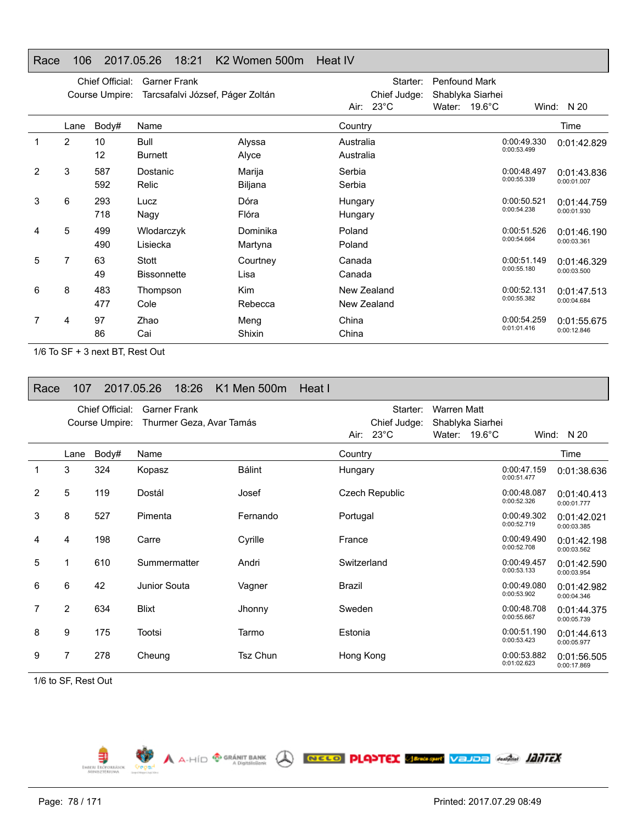## Race 106 2017.05.26 18:21 K2 Women 500m Heat IV

|   |                | Chief Official:<br>Course Umpire: | <b>Garner Frank</b><br>Tarcsafalvi József, Páger Zoltán |                       |                        | Starter:<br>Chief Judge:   | <b>Penfound Mark</b> | Shablyka Siarhei        |                            |                            |
|---|----------------|-----------------------------------|---------------------------------------------------------|-----------------------|------------------------|----------------------------|----------------------|-------------------------|----------------------------|----------------------------|
|   | Lane           | Body#                             | Name                                                    |                       | Country                | Air: 23°C                  |                      | Water: $19.6^{\circ}$ C |                            | Wind: $N 20$<br>Time       |
|   | $\overline{2}$ | 10<br>12                          | Bull<br><b>Burnett</b>                                  | Alyssa<br>Alyce       | Australia<br>Australia |                            |                      |                         | 0:00:49.330<br>0:00:53.499 | 0:01:42.829                |
| 2 | 3              | 587<br>592                        | Dostanic<br>Relic                                       | Marija<br>Biljana     | Serbia<br>Serbia       |                            |                      |                         | 0:00:48.497<br>0:00:55.339 | 0:01:43.836<br>0:00:01.007 |
| 3 | 6              | 293<br>718                        | Lucz<br>Nagy                                            | Dóra<br>Flóra         | Hungary<br>Hungary     |                            |                      |                         | 0:00:50.521<br>0:00:54.238 | 0:01:44.759<br>0:00:01.930 |
| 4 | 5              | 499<br>490                        | Wlodarczyk<br>Lisiecka                                  | Dominika<br>Martyna   | Poland<br>Poland       |                            |                      |                         | 0:00:51.526<br>0:00:54.664 | 0:01:46.190<br>0:00:03.361 |
| 5 | $\overline{7}$ | 63<br>49                          | Stott<br><b>Bissonnette</b>                             | Courtney<br>Lisa      | Canada<br>Canada       |                            |                      |                         | 0:00:51.149<br>0:00:55.180 | 0:01:46.329<br>0:00:03.500 |
| 6 | 8              | 483<br>477                        | Thompson<br>Cole                                        | <b>Kim</b><br>Rebecca |                        | New Zealand<br>New Zealand |                      |                         | 0:00:52.131<br>0:00:55.382 | 0:01:47.513<br>0:00:04.684 |
|   | 4              | 97<br>86                          | Zhao<br>Cai                                             | Meng<br>Shixin        | China<br>China         |                            |                      |                         | 0:00:54.259<br>0:01:01.416 | 0:01:55.675<br>0:00:12.846 |

1/6 To SF + 3 next BT, Rest Out

| Race | 107            |                 | 2017.05.26   | 18:26               | K1 Men 500m              | Heat I |             |                       |                    |                         |                            |                            |
|------|----------------|-----------------|--------------|---------------------|--------------------------|--------|-------------|-----------------------|--------------------|-------------------------|----------------------------|----------------------------|
|      |                | Chief Official: |              | <b>Garner Frank</b> |                          |        |             | Starter:              | <b>Warren Matt</b> |                         |                            |                            |
|      |                | Course Umpire:  |              |                     | Thurmer Geza, Avar Tamás |        |             | Chief Judge:          | Shablyka Siarhei   |                         |                            |                            |
|      |                |                 |              |                     |                          |        |             | Air: $23^{\circ}$ C   |                    | Water: $19.6^{\circ}$ C |                            | Wind: $N 20$               |
|      | Lane           | Body#           | Name         |                     |                          |        | Country     |                       |                    |                         |                            | Time                       |
| 1    | 3              | 324             | Kopasz       |                     | <b>Bálint</b>            |        | Hungary     |                       |                    |                         | 0:00:47.159<br>0:00:51.477 | 0:01:38.636                |
| 2    | 5              | 119             | Dostál       |                     | Josef                    |        |             | <b>Czech Republic</b> |                    |                         | 0:00:48.087<br>0:00:52.326 | 0:01:40.413<br>0:00:01.777 |
| 3    | 8              | 527             | Pimenta      |                     | Fernando                 |        | Portugal    |                       |                    |                         | 0:00:49.302<br>0:00:52.719 | 0:01:42.021<br>0:00:03.385 |
| 4    | 4              | 198             | Carre        |                     | Cyrille                  |        | France      |                       |                    |                         | 0:00:49.490<br>0:00:52.708 | 0:01:42.198<br>0:00:03.562 |
| 5    |                | 610             | Summermatter |                     | Andri                    |        | Switzerland |                       |                    |                         | 0:00:49.457<br>0:00:53.133 | 0:01:42.590<br>0:00:03.954 |
| 6    | 6              | 42              | Junior Souta |                     | Vagner                   |        | Brazil      |                       |                    |                         | 0:00:49.080<br>0:00:53.902 | 0:01:42.982<br>0:00:04.346 |
| 7    | $\overline{2}$ | 634             | <b>Blixt</b> |                     | Jhonny                   |        | Sweden      |                       |                    |                         | 0:00:48.708<br>0:00:55.667 | 0:01:44.375<br>0:00:05.739 |
| 8    | 9              | 175             | Tootsi       |                     | Tarmo                    |        | Estonia     |                       |                    |                         | 0:00:51.190<br>0:00:53.423 | 0:01:44.613<br>0:00:05.977 |
| 9    | 7              | 278             | Cheung       |                     | <b>Tsz Chun</b>          |        | Hong Kong   |                       |                    |                         | 0:00:53.882<br>0:01:02.623 | 0:01:56.505<br>0:00:17.869 |

**WE A A-HÍD O GRÁNIT BANK** A RECO PLAYTEX SERIORE VAJOR AMÁN **JANTEX** 

1/6 to SF, Rest Out

Ę EMBERL ERO

┑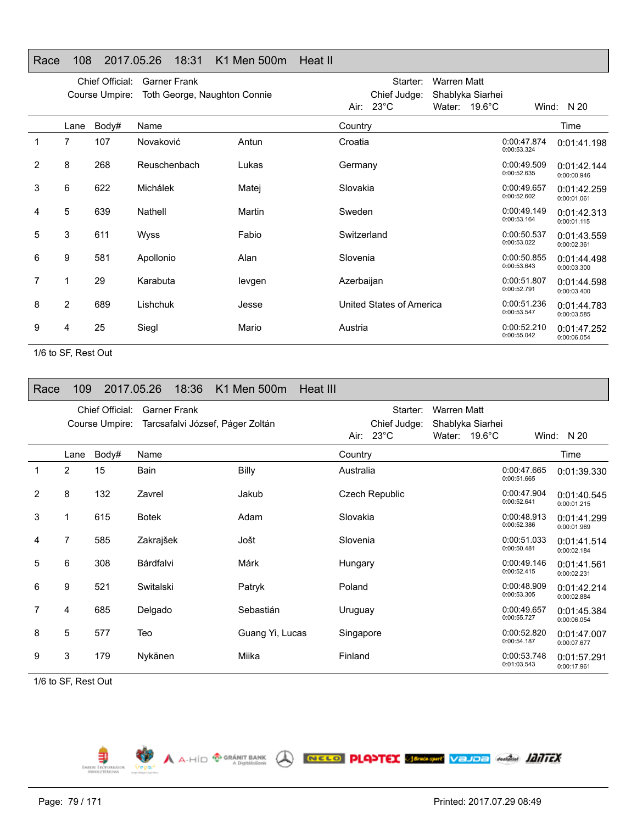## Race 108 2017.05.26 18:31 K1 Men 500m Heat II

|   |      | Chief Official:<br>Course Umpire: | <b>Garner Frank</b><br>Toth George, Naughton Connie |        |             | Starter:<br>Chief Judge: | <b>Warren Matt</b><br>Shablyka Siarhei |                            |                            |
|---|------|-----------------------------------|-----------------------------------------------------|--------|-------------|--------------------------|----------------------------------------|----------------------------|----------------------------|
|   |      |                                   |                                                     |        |             | Air: $23^{\circ}$ C      | Water: $19.6^{\circ}$ C                |                            | Wind: N 20                 |
|   | Lane | Body#                             | Name                                                |        | Country     |                          |                                        |                            | Time                       |
| 1 | 7    | 107                               | Novaković                                           | Antun  | Croatia     |                          |                                        | 0:00:47.874<br>0:00:53.324 | 0:01:41.198                |
| 2 | 8    | 268                               | Reuschenbach                                        | Lukas  | Germany     |                          |                                        | 0:00:49.509<br>0:00:52.635 | 0:01:42.144<br>0:00:00.946 |
| 3 | 6    | 622                               | Michálek                                            | Matej  | Slovakia    |                          |                                        | 0:00:49.657<br>0:00:52.602 | 0:01:42.259<br>0:00:01.061 |
| 4 | 5    | 639                               | Nathell                                             | Martin | Sweden      |                          |                                        | 0:00:49.149<br>0:00:53.164 | 0:01:42.313<br>0:00:01.115 |
| 5 | 3    | 611                               | <b>Wyss</b>                                         | Fabio  | Switzerland |                          |                                        | 0:00:50.537<br>0:00:53.022 | 0:01:43.559<br>0:00:02.361 |
| 6 | 9    | 581                               | Apollonio                                           | Alan   | Slovenia    |                          |                                        | 0:00:50.855<br>0:00:53.643 | 0:01:44.498<br>0:00:03.300 |
| 7 |      | 29                                | Karabuta                                            | levgen | Azerbaijan  |                          |                                        | 0:00:51.807<br>0:00:52.791 | 0:01:44.598<br>0:00:03.400 |
| 8 | 2    | 689                               | Lishchuk                                            | Jesse  |             | United States of America |                                        | 0:00:51.236<br>0:00:53.547 | 0:01:44.783<br>0:00:03.585 |
| 9 | 4    | 25                                | Siegl                                               | Mario  | Austria     |                          |                                        | 0:00:52.210<br>0:00:55.042 | 0:01:47.252<br>0:00:06.054 |

1/6 to SF, Rest Out

| Race           | 109  |                 | 2017.05.26   | 18:36               | K1 Men 500m                      | <b>Heat III</b> |                       |              |                    |                         |                            |                            |
|----------------|------|-----------------|--------------|---------------------|----------------------------------|-----------------|-----------------------|--------------|--------------------|-------------------------|----------------------------|----------------------------|
|                |      | Chief Official: |              | <b>Garner Frank</b> |                                  |                 |                       | Starter:     | <b>Warren Matt</b> |                         |                            |                            |
|                |      | Course Umpire:  |              |                     | Tarcsafalvi József, Páger Zoltán |                 |                       | Chief Judge: |                    | Shablyka Siarhei        |                            |                            |
|                |      |                 |              |                     |                                  |                 | Air: $23^{\circ}$ C   |              |                    | Water: $19.6^{\circ}$ C |                            | Wind: N 20                 |
|                | Lane | Body#           | Name         |                     |                                  |                 | Country               |              |                    |                         |                            | Time                       |
| $\mathbf 1$    | 2    | 15              | Bain         |                     | Billy                            |                 | Australia             |              |                    |                         | 0:00:47.665<br>0:00:51.665 | 0:01:39.330                |
| $\overline{2}$ | 8    | 132             | Zavrel       |                     | Jakub                            |                 | <b>Czech Republic</b> |              |                    |                         | 0:00:47.904<br>0:00:52.641 | 0:01:40.545<br>0:00:01.215 |
| 3              |      | 615             | <b>Botek</b> |                     | Adam                             |                 | Slovakia              |              |                    |                         | 0:00:48.913<br>0:00:52.386 | 0:01:41.299<br>0:00:01.969 |
| 4              | 7    | 585             | Zakrajšek    |                     | Jošt                             |                 | Slovenia              |              |                    |                         | 0:00:51.033<br>0:00:50.481 | 0:01:41.514<br>0:00:02.184 |
| 5              | 6    | 308             | Bárdfalvi    |                     | Márk                             |                 | Hungary               |              |                    |                         | 0:00:49.146<br>0:00:52.415 | 0:01:41.561<br>0:00:02.231 |
| 6              | 9    | 521             | Switalski    |                     | Patryk                           |                 | Poland                |              |                    |                         | 0:00:48.909<br>0:00:53.305 | 0:01:42.214<br>0:00:02.884 |
| 7              | 4    | 685             | Delgado      |                     | Sebastián                        |                 | Uruguay               |              |                    |                         | 0:00:49.657<br>0:00:55.727 | 0:01:45.384<br>0:00:06.054 |
| 8              | 5    | 577             | Teo          |                     | Guang Yi, Lucas                  |                 | Singapore             |              |                    |                         | 0:00:52.820<br>0:00:54.187 | 0:01:47.007<br>0:00:07.677 |
| 9              | 3    | 179             | Nykänen      |                     | Miika                            |                 | Finland               |              |                    |                         | 0:00:53.748<br>0:01:03.543 | 0:01:57.291<br>0:00:17.961 |

A A-HÍD <sup>® GRÁNIT BANK</sup> A RECO PLANTEX SERSENY VEJOR MANGE ADDITEX

1/6 to SF, Rest Out

EMBERI EROPORASI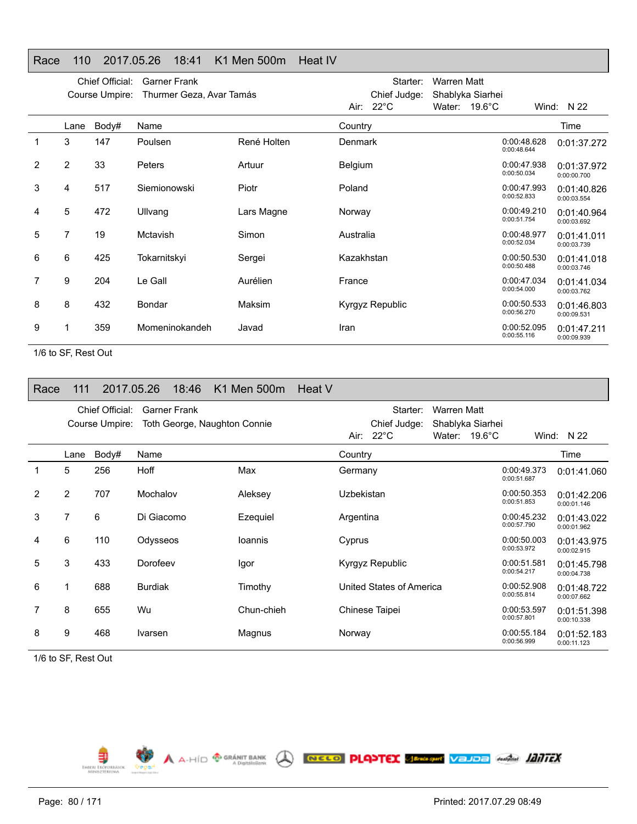## Race 110 2017.05.26 18:41 K1 Men 500m Heat IV

|   |                | Chief Official:<br>Course Umpire: | <b>Garner Frank</b><br>Thurmer Geza, Avar Tamás |             |                | Starter:<br>Chief Judge: | <b>Warren Matt</b><br>Shablyka Siarhei |                            |                            |
|---|----------------|-----------------------------------|-------------------------------------------------|-------------|----------------|--------------------------|----------------------------------------|----------------------------|----------------------------|
|   |                |                                   |                                                 |             |                | Air: $22^{\circ}$ C      | Water: $19.6^{\circ}$ C                |                            | Wind: N 22                 |
|   | Lane           | Body#                             | Name                                            |             | Country        |                          |                                        |                            | Time                       |
|   | 3              | 147                               | Poulsen                                         | René Holten | Denmark        |                          |                                        | 0:00:48.628<br>0:00:48.644 | 0:01:37.272                |
| 2 | $\overline{2}$ | 33                                | Peters                                          | Artuur      | <b>Belgium</b> |                          |                                        | 0:00:47.938<br>0:00:50.034 | 0:01:37.972<br>0:00:00.700 |
| 3 | 4              | 517                               | Siemionowski                                    | Piotr       | Poland         |                          |                                        | 0:00:47.993<br>0:00:52.833 | 0:01:40.826<br>0:00:03.554 |
| 4 | 5              | 472                               | Ullvang                                         | Lars Magne  | Norway         |                          |                                        | 0:00:49.210<br>0:00:51.754 | 0:01:40.964<br>0:00:03.692 |
| 5 | 7              | 19                                | Mctavish                                        | Simon       | Australia      |                          |                                        | 0:00:48.977<br>0:00:52.034 | 0:01:41.011<br>0:00:03.739 |
| 6 | 6              | 425                               | Tokarnitskyi                                    | Sergei      | Kazakhstan     |                          |                                        | 0:00:50.530<br>0:00:50.488 | 0:01:41.018<br>0:00:03.746 |
| 7 | 9              | 204                               | Le Gall                                         | Aurélien    | France         |                          |                                        | 0:00:47.034<br>0:00:54.000 | 0:01:41.034<br>0:00:03.762 |
| 8 | 8              | 432                               | Bondar                                          | Maksim      |                | Kyrgyz Republic          |                                        | 0:00:50.533<br>0:00:56.270 | 0:01:46.803<br>0:00:09.531 |
| 9 |                | 359                               | Momeninokandeh                                  | Javad       | Iran           |                          |                                        | 0:00:52.095<br>0:00:55.116 | 0:01:47.211<br>0:00:09.939 |

1/6 to SF, Rest Out

| Race | 111            | 2017.05.26                        |                | 18:46               | K1 Men 500m                  | Heat V |            |                          |                    |                         |                            |                            |
|------|----------------|-----------------------------------|----------------|---------------------|------------------------------|--------|------------|--------------------------|--------------------|-------------------------|----------------------------|----------------------------|
|      |                | Chief Official:<br>Course Umpire: |                | <b>Garner Frank</b> | Toth George, Naughton Connie |        |            | Starter:<br>Chief Judge: | <b>Warren Matt</b> | Shablyka Siarhei        |                            |                            |
|      |                |                                   |                |                     |                              |        |            | Air: $22^{\circ}$ C      |                    | Water: $19.6^{\circ}$ C |                            | Wind: $N$ 22               |
|      | Lane           | Body#                             | Name           |                     |                              |        | Country    |                          |                    |                         |                            | Time                       |
| 1    | 5              | 256                               | Hoff           |                     | Max                          |        | Germany    |                          |                    |                         | 0:00:49.373<br>0:00:51.687 | 0:01:41.060                |
| 2    | $\overline{2}$ | 707                               | Mochalov       |                     | Aleksey                      |        | Uzbekistan |                          |                    |                         | 0:00:50.353<br>0:00:51.853 | 0:01:42.206<br>0:00:01.146 |
| 3    | 7              | 6                                 | Di Giacomo     |                     | Ezequiel                     |        | Argentina  |                          |                    |                         | 0:00:45.232<br>0:00:57.790 | 0:01:43.022<br>0:00:01.962 |
| 4    | 6              | 110                               | Odysseos       |                     | <b>Ioannis</b>               |        | Cyprus     |                          |                    |                         | 0:00:50.003<br>0:00:53.972 | 0:01:43.975<br>0:00:02.915 |
| 5    | 3              | 433                               | Dorofeev       |                     | Igor                         |        |            | Kyrgyz Republic          |                    |                         | 0:00:51.581<br>0:00:54.217 | 0:01:45.798<br>0:00:04.738 |
| 6    |                | 688                               | <b>Burdiak</b> |                     | Timothy                      |        |            | United States of America |                    |                         | 0:00:52.908<br>0:00:55.814 | 0:01:48.722<br>0:00:07.662 |
|      | 8              | 655                               | Wu             |                     | Chun-chieh                   |        |            | Chinese Taipei           |                    |                         | 0:00:53.597<br>0:00:57.801 | 0:01:51.398<br>0:00:10.338 |
| 8    | 9              | 468                               | Ivarsen        |                     | Magnus                       |        | Norway     |                          |                    |                         | 0:00:55.184<br>0:00:56.999 | 0:01:52.183<br>0:00:11.123 |

1/6 to SF, Rest Out

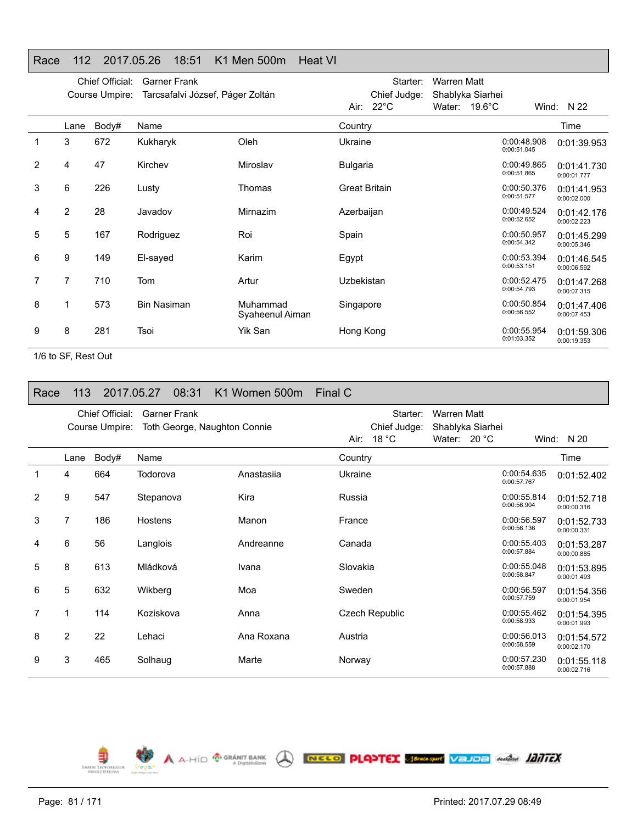## Race 112 2017.05.26 18:51 K1 Men 500m Heat VI

|   |                | Chief Official:<br>Course Umpire: | <b>Garner Frank</b><br>Tarcsafalvi József, Páger Zoltán |                             |                 | Starter:<br>Chief Judge: | <b>Warren Matt</b><br>Shablyka Siarhei |                            |                            |
|---|----------------|-----------------------------------|---------------------------------------------------------|-----------------------------|-----------------|--------------------------|----------------------------------------|----------------------------|----------------------------|
|   |                |                                   |                                                         |                             |                 | Air: $22^{\circ}$ C      | Water: $19.6^{\circ}$ C                |                            | Wind: $N$ 22               |
|   | Lane           | Body#                             | Name                                                    |                             | Country         |                          |                                        |                            | Time                       |
| 1 | 3              | 672                               | Kukharyk                                                | Oleh                        | Ukraine         |                          |                                        | 0:00:48.908<br>0:00:51.045 | 0:01:39.953                |
| 2 | 4              | 47                                | Kirchev                                                 | Miroslav                    | <b>Bulgaria</b> |                          |                                        | 0:00:49.865<br>0:00:51.865 | 0:01:41.730<br>0:00:01.777 |
| 3 | 6              | 226                               | Lusty                                                   | Thomas                      |                 | <b>Great Britain</b>     |                                        | 0:00:50.376<br>0:00:51.577 | 0:01:41.953<br>0:00:02.000 |
| 4 | $\overline{2}$ | 28                                | Javadov                                                 | Mirnazim                    | Azerbaijan      |                          |                                        | 0:00:49.524<br>0:00:52.652 | 0:01:42.176<br>0:00:02.223 |
| 5 | 5              | 167                               | Rodriguez                                               | Roi                         | Spain           |                          |                                        | 0:00:50.957<br>0:00:54.342 | 0:01:45.299<br>0:00:05.346 |
| 6 | 9              | 149                               | El-sayed                                                | Karim                       | Egypt           |                          |                                        | 0:00:53.394<br>0:00:53.151 | 0:01:46.545<br>0:00:06.592 |
| 7 | $\overline{7}$ | 710                               | <b>Tom</b>                                              | Artur                       | Uzbekistan      |                          |                                        | 0:00:52.475<br>0:00:54.793 | 0:01:47.268<br>0:00:07.315 |
| 8 |                | 573                               | <b>Bin Nasiman</b>                                      | Muhammad<br>Syaheenul Aiman | Singapore       |                          |                                        | 0:00:50.854<br>0:00:56.552 | 0:01:47.406<br>0:00:07.453 |
| 9 | 8              | 281                               | Tsoi                                                    | Yik San                     | Hong Kong       |                          |                                        | 0:00:55.954<br>0:01:03.352 | 0:01:59.306<br>0:00:19.353 |

1/6 to SF, Rest Out

| Race | 113            |                 | 2017.05.27 | 08:31               | K1 Women 500m                | Final C               |                                 |                                  |                            |                            |
|------|----------------|-----------------|------------|---------------------|------------------------------|-----------------------|---------------------------------|----------------------------------|----------------------------|----------------------------|
|      |                | Chief Official: |            | <b>Garner Frank</b> |                              |                       | Starter:                        | <b>Warren Matt</b>               |                            |                            |
|      |                | Course Umpire:  |            |                     | Toth George, Naughton Connie | Air:                  | Chief Judge:<br>18 $^{\circ}$ C | Shablyka Siarhei<br>Water: 20 °C |                            | Wind: $N 20$               |
|      | Lane           | Body#           | Name       |                     |                              | Country               |                                 |                                  |                            | Time                       |
|      | 4              | 664             | Todorova   |                     | Anastasija                   | Ukraine               |                                 |                                  | 0:00:54.635<br>0:00:57.767 | 0:01:52.402                |
| 2    | 9              | 547             | Stepanova  |                     | Kira                         | Russia                |                                 |                                  | 0:00:55.814<br>0:00:56.904 | 0:01:52.718<br>0:00:00.316 |
| 3    | 7              | 186             | Hostens    |                     | Manon                        | France                |                                 |                                  | 0:00:56.597<br>0:00:56.136 | 0:01:52.733<br>0:00:00.331 |
| 4    | 6              | 56              | Langlois   |                     | Andreanne                    | Canada                |                                 |                                  | 0:00:55.403<br>0:00:57.884 | 0:01:53.287<br>0:00:00.885 |
| 5    | 8              | 613             | Mládková   |                     | Ivana                        | Slovakia              |                                 |                                  | 0:00:55.048<br>0:00:58.847 | 0:01:53.895<br>0:00:01.493 |
| 6    | 5              | 632             | Wikberg    |                     | Moa                          | Sweden                |                                 |                                  | 0:00:56.597<br>0:00:57.759 | 0:01:54.356<br>0:00:01.954 |
| 7    | 1              | 114             | Koziskova  |                     | Anna                         | <b>Czech Republic</b> |                                 |                                  | 0:00:55.462<br>0:00:58.933 | 0:01:54.395<br>0:00:01.993 |
| 8    | $\overline{2}$ | 22              | Lehaci     |                     | Ana Roxana                   | Austria               |                                 |                                  | 0:00:56.013<br>0:00:58.559 | 0:01:54.572<br>0:00:02.170 |
| 9    | 3              | 465             | Solhaug    |                     | Marte                        | Norway                |                                 |                                  | 0:00:57.230<br>0:00:57.888 | 0:01:55.118<br>0:00:02.716 |

A A-HÍD <sup>®</sup> GRÁNIT BANK **A RECO PLANTEX SERGANY VEJOE** ANGEL **JANTEX EMBERI ERŐPORRÁSOK**<br>MIRIBETÉRIUMA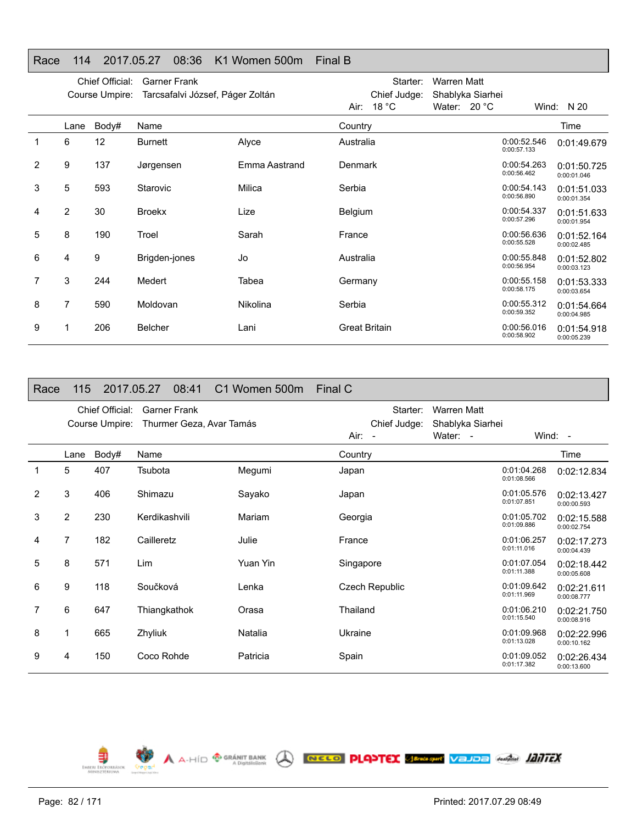## Race 114 2017.05.27 08:36 K1 Women 500m Final B

|   |                | Chief Official:<br>Course Umpire: | <b>Garner Frank</b><br>Tarcsafalvi József, Páger Zoltán |               |                      | Starter:<br>Chief Judge: | Warren Matt<br>Shablyka Siarhei |                            |                            |
|---|----------------|-----------------------------------|---------------------------------------------------------|---------------|----------------------|--------------------------|---------------------------------|----------------------------|----------------------------|
|   |                |                                   |                                                         |               |                      | Air: $18 °C$             | Water: 20 °C                    |                            | Wind: N 20                 |
|   | Lane           | Body#                             | Name                                                    |               | Country              |                          |                                 |                            | Time                       |
|   | 6              | 12                                | <b>Burnett</b>                                          | Alyce         | Australia            |                          |                                 | 0:00:52.546<br>0:00:57.133 | 0:01:49.679                |
| 2 | 9              | 137                               | Jørgensen                                               | Emma Aastrand | <b>Denmark</b>       |                          |                                 | 0:00:54.263<br>0:00:56.462 | 0:01:50.725<br>0:00:01.046 |
| 3 | 5              | 593                               | Starovic                                                | Milica        | Serbia               |                          |                                 | 0:00:54.143<br>0:00:56.890 | 0:01:51.033<br>0:00:01.354 |
| 4 | $\overline{2}$ | 30                                | <b>Broekx</b>                                           | Lize          | <b>Belgium</b>       |                          |                                 | 0:00:54.337<br>0:00:57.296 | 0:01:51.633<br>0:00:01.954 |
| 5 | 8              | 190                               | Troel                                                   | Sarah         | France               |                          |                                 | 0:00:56.636<br>0:00:55.528 | 0:01:52.164<br>0:00:02.485 |
| 6 | 4              | 9                                 | Brigden-jones                                           | Jo            | Australia            |                          |                                 | 0:00:55.848<br>0:00:56.954 | 0:01:52.802<br>0:00:03.123 |
|   | 3              | 244                               | Medert                                                  | Tabea         | Germany              |                          |                                 | 0:00:55.158<br>0:00:58.175 | 0:01:53.333<br>0:00:03.654 |
| 8 | 7              | 590                               | Moldovan                                                | Nikolina      | Serbia               |                          |                                 | 0:00:55.312<br>0:00:59.352 | 0:01:54.664<br>0:00:04.985 |
| 9 |                | 206                               | <b>Belcher</b>                                          | Lani          | <b>Great Britain</b> |                          |                                 | 0:00:56.016<br>0:00:58.902 | 0:01:54.918<br>0:00:05.239 |

# Race 115 2017.05.27 08:41 C1 Women 500m Final C

|                |                | Chief Official:<br>Course Umpire: | <b>Garner Frank</b><br>Thurmer Geza, Avar Tamás |          | Starter:<br>Chief Judge: | <b>Warren Matt</b><br>Shablyka Siarhei |                            |                            |
|----------------|----------------|-----------------------------------|-------------------------------------------------|----------|--------------------------|----------------------------------------|----------------------------|----------------------------|
|                |                |                                   |                                                 |          | Air: -                   | Water: -                               |                            | Wind: -                    |
|                | Lane           | Body#                             | Name                                            |          | Country                  |                                        |                            | Time                       |
| 1              | 5              | 407                               | Tsubota                                         | Megumi   | Japan                    |                                        | 0:01:04.268<br>0:01:08.566 | 0:02:12.834                |
| $\overline{2}$ | 3              | 406                               | Shimazu                                         | Sayako   | Japan                    |                                        | 0:01:05.576<br>0:01:07.851 | 0:02:13.427<br>0:00:00.593 |
| 3              | $\overline{2}$ | 230                               | Kerdikashvili                                   | Mariam   | Georgia                  |                                        | 0:01:05.702<br>0:01:09.886 | 0:02:15.588<br>0:00:02.754 |
| 4              | 7              | 182                               | Cailleretz                                      | Julie    | France                   |                                        | 0:01:06.257<br>0:01:11.016 | 0:02:17.273<br>0:00:04.439 |
| 5              | 8              | 571                               | <b>Lim</b>                                      | Yuan Yin | Singapore                |                                        | 0:01:07.054<br>0:01:11.388 | 0:02:18.442<br>0:00:05.608 |
| 6              | 9              | 118                               | Součková                                        | Lenka    | Czech Republic           |                                        | 0:01:09.642<br>0:01:11.969 | 0:02:21.611<br>0:00:08.777 |
| 7              | 6              | 647                               | Thiangkathok                                    | Orasa    | Thailand                 |                                        | 0:01:06.210<br>0:01:15.540 | 0:02:21.750<br>0:00:08.916 |
| 8              | 1              | 665                               | Zhyliuk                                         | Natalia  | Ukraine                  |                                        | 0:01:09.968<br>0:01:13.028 | 0:02:22.996<br>0:00:10.162 |
| 9              | 4              | 150                               | Coco Rohde                                      | Patricia | Spain                    |                                        | 0:01:09.052<br>0:01:17.382 | 0:02:26.434<br>0:00:13.600 |

A A-HID **<sup>® GRÁNIT BANK</sup> A RECO PLANTEX SEMERENT VELDE ANGLI IZITEX** 

Ę EMBERL ERO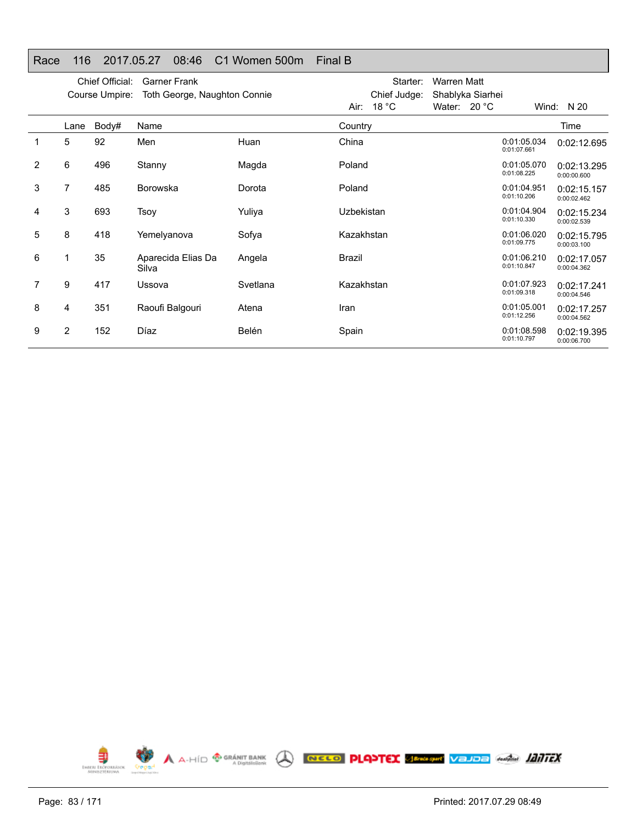## Race 116 2017.05.27 08:46 C1 Women 500m Final B

|   |      | Chief Official:<br>Course Umpire: | <b>Garner Frank</b><br>Toth George, Naughton Connie |          |            | Starter:<br>Chief Judge: | Warren Matt<br>Shablyka Siarhei |                            |                            |
|---|------|-----------------------------------|-----------------------------------------------------|----------|------------|--------------------------|---------------------------------|----------------------------|----------------------------|
|   |      |                                   |                                                     |          |            | Air: $18 °C$             | Water: $20 °C$                  |                            | Wind: $N 20$               |
|   | Lane | Body#                             | Name                                                |          | Country    |                          |                                 |                            | Time                       |
|   | 5    | 92                                | Men                                                 | Huan     | China      |                          |                                 | 0:01:05.034<br>0:01:07.661 | 0:02:12.695                |
| 2 | 6    | 496                               | Stanny                                              | Magda    | Poland     |                          |                                 | 0:01:05.070<br>0:01:08.225 | 0:02:13.295<br>0:00:00.600 |
| 3 | 7    | 485                               | <b>Borowska</b>                                     | Dorota   | Poland     |                          |                                 | 0:01:04.951<br>0:01:10.206 | 0:02:15.157<br>0:00:02.462 |
| 4 | 3    | 693                               | Tsoy                                                | Yuliya   | Uzbekistan |                          |                                 | 0:01:04.904<br>0:01:10.330 | 0:02:15.234<br>0:00:02.539 |
| 5 | 8    | 418                               | Yemelyanova                                         | Sofya    | Kazakhstan |                          |                                 | 0:01:06.020<br>0:01:09.775 | 0:02:15.795<br>0:00:03.100 |
| 6 | 1    | 35                                | Aparecida Elias Da<br>Silva                         | Angela   | Brazil     |                          |                                 | 0:01:06.210<br>0:01:10.847 | 0:02:17.057<br>0:00:04.362 |
| 7 | 9    | 417                               | Ussova                                              | Svetlana | Kazakhstan |                          |                                 | 0:01:07.923<br>0:01:09.318 | 0:02:17.241<br>0:00:04.546 |
| 8 | 4    | 351                               | Raoufi Balgouri                                     | Atena    | Iran       |                          |                                 | 0:01:05.001<br>0:01:12.256 | 0:02:17.257<br>0:00:04.562 |
| 9 | 2    | 152                               | Díaz                                                | Belén    | Spain      |                          |                                 | 0:01:08.598<br>0:01:10.797 | 0:02:19.395<br>0:00:06.700 |

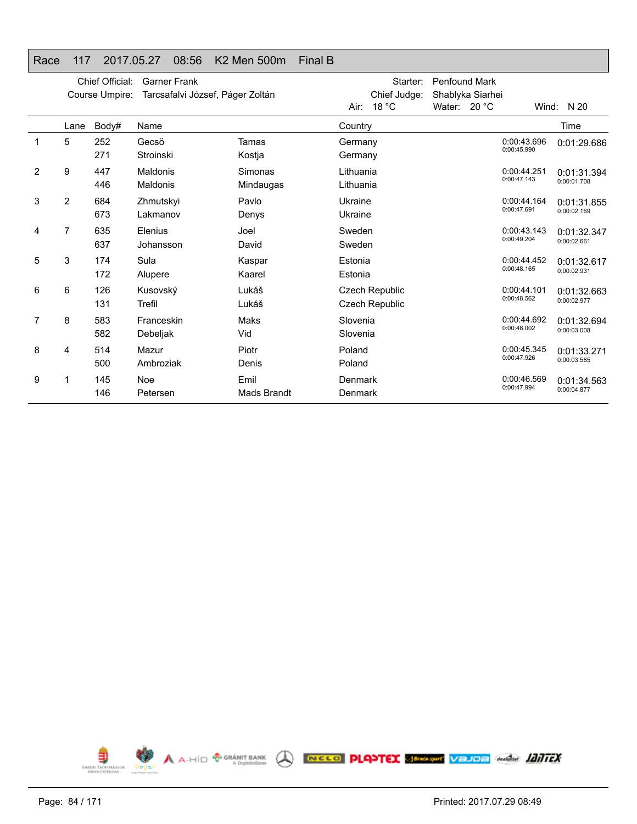## Race 117 2017.05.27 08:56 K2 Men 500m Final B

|   |      | Chief Official:<br>Course Umpire: | <b>Garner Frank</b><br>Tarcsafalvi József, Páger Zoltán |                            |                        | Starter:<br>Chief Judge:         | <b>Penfound Mark</b><br>Shablyka Siarhei |                            |                            |
|---|------|-----------------------------------|---------------------------------------------------------|----------------------------|------------------------|----------------------------------|------------------------------------------|----------------------------|----------------------------|
|   |      |                                   |                                                         |                            | Air:                   | 18 $^{\circ}$ C                  | Water: $20 °C$                           |                            | Wind: $N 20$               |
|   | Lane | Body#                             | Name                                                    |                            | Country                |                                  |                                          |                            | Time                       |
| 1 | 5    | 252<br>271                        | Gecsö<br>Stroinski                                      | Tamas<br>Kostja            | Germany<br>Germany     |                                  |                                          | 0:00:43.696<br>0:00:45.990 | 0:01:29.686                |
| 2 | 9    | 447<br>446                        | Maldonis<br>Maldonis                                    | Simonas<br>Mindaugas       | Lithuania<br>Lithuania |                                  |                                          | 0:00:44.251<br>0:00:47.143 | 0:01:31.394<br>0:00:01.708 |
| 3 | 2    | 684<br>673                        | Zhmutskyi<br>Lakmanov                                   | Pavlo<br>Denys             | Ukraine<br>Ukraine     |                                  |                                          | 0:00:44.164<br>0:00:47.691 | 0:01:31.855<br>0:00:02.169 |
| 4 | 7    | 635<br>637                        | Elenius<br>Johansson                                    | Joel<br>David              | Sweden<br>Sweden       |                                  |                                          | 0:00:43.143<br>0:00:49.204 | 0:01:32.347<br>0:00:02.661 |
| 5 | 3    | 174<br>172                        | Sula<br>Alupere                                         | Kaspar<br>Kaarel           | Estonia<br>Estonia     |                                  |                                          | 0:00:44.452<br>0:00:48.165 | 0:01:32.617<br>0:00:02.931 |
| 6 | 6    | 126<br>131                        | Kusovský<br>Trefil                                      | Lukáš<br>Lukáš             |                        | Czech Republic<br>Czech Republic |                                          | 0:00:44.101<br>0:00:48.562 | 0:01:32.663<br>0:00:02.977 |
| 7 | 8    | 583<br>582                        | Franceskin<br>Debeljak                                  | Maks<br>Vid                | Slovenia<br>Slovenia   |                                  |                                          | 0:00:44.692<br>0:00:48.002 | 0:01:32.694<br>0:00:03.008 |
| 8 | 4    | 514<br>500                        | Mazur<br>Ambroziak                                      | Piotr<br>Denis             | Poland<br>Poland       |                                  |                                          | 0:00:45.345<br>0:00:47.926 | 0:01:33.271<br>0:00:03.585 |
| 9 | 1    | 145<br>146                        | Noe<br>Petersen                                         | Emil<br><b>Mads Brandt</b> | Denmark<br>Denmark     |                                  |                                          | 0:00:46.569<br>0:00:47.994 | 0:01:34.563<br>0:00:04.877 |

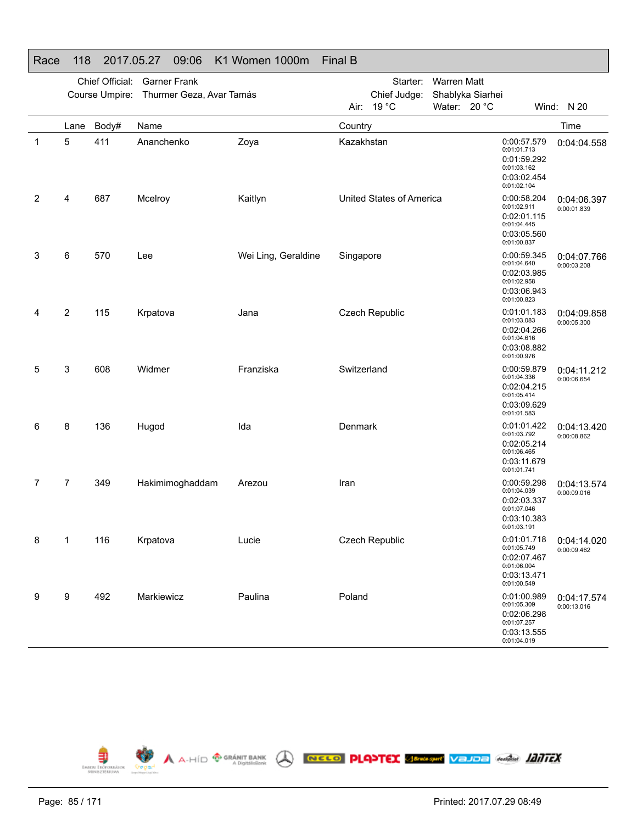|    |      | Chief Official:<br>Course Umpire: | <b>Garner Frank</b><br>Thurmer Geza, Avar Tamás |                     |             | Starter:<br>Chief Judge: | <b>Warren Matt</b> | Shablyka Siarhei |                                                                                        |                            |
|----|------|-----------------------------------|-------------------------------------------------|---------------------|-------------|--------------------------|--------------------|------------------|----------------------------------------------------------------------------------------|----------------------------|
|    |      |                                   |                                                 |                     | Air:        | 19 °C                    | Water: 20 °C       |                  |                                                                                        | Wind: N 20                 |
|    | Lane | Body#                             | Name                                            |                     | Country     |                          |                    |                  |                                                                                        | Time                       |
| -1 | 5    | 411                               | Ananchenko                                      | Zoya                | Kazakhstan  |                          |                    |                  | 0:00:57.579<br>0:01:01.713<br>0:01:59.292<br>0:01:03.162<br>0:03:02.454<br>0:01:02.104 | 0:04:04.558                |
| 2  | 4    | 687                               | Mcelroy                                         | Kaitlyn             |             | United States of America |                    |                  | 0:00:58.204<br>0:01:02.911<br>0:02:01.115<br>0:01:04.445<br>0:03:05.560<br>0:01:00.837 | 0:04:06.397<br>0:00:01.839 |
| 3  | 6    | 570                               | Lee                                             | Wei Ling, Geraldine | Singapore   |                          |                    |                  | 0:00:59.345<br>0:01:04.640<br>0:02:03.985<br>0:01:02.958<br>0:03:06.943<br>0:01:00.823 | 0:04:07.766<br>0:00:03.208 |
| 4  | 2    | 115                               | Krpatova                                        | Jana                |             | Czech Republic           |                    |                  | 0:01:01.183<br>0:01:03.083<br>0:02:04.266<br>0:01:04.616<br>0:03:08.882<br>0:01:00.976 | 0:04:09.858<br>0:00:05.300 |
| 5  | 3    | 608                               | Widmer                                          | Franziska           | Switzerland |                          |                    |                  | 0:00:59.879<br>0:01:04.336<br>0:02:04.215<br>0:01:05.414<br>0:03:09.629<br>0:01:01.583 | 0:04:11.212<br>0:00:06.654 |
| 6  | 8    | 136                               | Hugod                                           | Ida                 | Denmark     |                          |                    |                  | 0:01:01.422<br>0:01:03.792<br>0:02:05.214<br>0:01:06.465<br>0:03:11.679<br>0:01:01.741 | 0:04:13.420<br>0:00:08.862 |
| 7  | 7    | 349                               | Hakimimoghaddam                                 | Arezou              | Iran        |                          |                    |                  | 0:00:59.298<br>0:01:04.039<br>0:02:03.337<br>0:01:07.046<br>0:03:10.383<br>0:01:03.191 | 0:04:13.574<br>0:00:09.016 |
| 8  | 1    | 116                               | Krpatova                                        | Lucie               |             | Czech Republic           |                    |                  | 0:01:01.718<br>0:01:05.749<br>0:02:07.467<br>0:01:06.004<br>0:03:13.471<br>0:01:00.549 | 0:04:14.020<br>0:00:09.462 |
| 9  | 9    | 492                               | Markiewicz                                      | Paulina             | Poland      |                          |                    |                  | 0:01:00.989<br>0:01:05.309<br>0:02:06.298<br>0:01:07.257<br>0:03:13.555<br>0:01:04.019 | 0:04:17.574<br>0:00:13.016 |



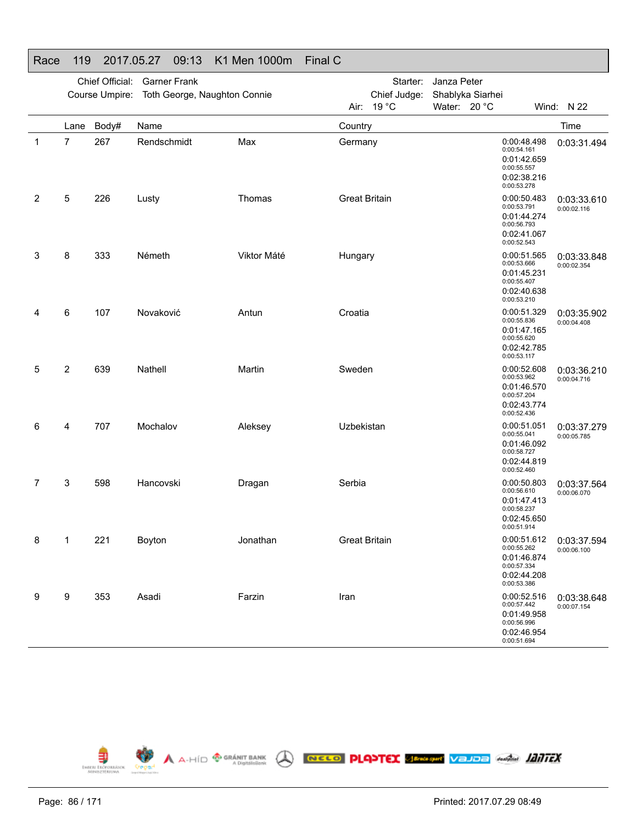|              |      | Chief Official:<br>Course Umpire: | <b>Garner Frank</b><br>Toth George, Naughton Connie |             |                      | Starter:<br>Chief Judge: | Janza Peter<br>Shablyka Siarhei |                                                                                        |                            |
|--------------|------|-----------------------------------|-----------------------------------------------------|-------------|----------------------|--------------------------|---------------------------------|----------------------------------------------------------------------------------------|----------------------------|
|              |      |                                   |                                                     |             | Air:                 | 19 °C                    | Water: 20 °C                    |                                                                                        | Wind: N 22                 |
|              | Lane | Body#                             | Name                                                |             | Country              |                          |                                 |                                                                                        | Time                       |
| $\mathbf{1}$ | 7    | 267                               | Rendschmidt                                         | Max         | Germany              |                          |                                 | 0:00:48.498<br>0:00:54.161<br>0:01:42.659<br>0:00:55.557<br>0:02:38.216<br>0:00:53.278 | 0:03:31.494                |
| 2            | 5    | 226                               | Lusty                                               | Thomas      | <b>Great Britain</b> |                          |                                 | 0:00:50.483<br>0:00:53.791<br>0:01:44.274<br>0:00:56.793<br>0:02:41.067<br>0:00:52.543 | 0:03:33.610<br>0:00:02.116 |
| 3            | 8    | 333                               | Németh                                              | Viktor Máté | Hungary              |                          |                                 | 0:00:51.565<br>0:00:53.666<br>0:01:45.231<br>0:00:55.407<br>0:02:40.638<br>0:00:53.210 | 0:03:33.848<br>0:00:02.354 |
| 4            | 6    | 107                               | Novaković                                           | Antun       | Croatia              |                          |                                 | 0:00:51.329<br>0:00:55.836<br>0:01:47.165<br>0:00:55.620<br>0:02:42.785<br>0:00:53.117 | 0:03:35.902<br>0:00:04.408 |
| 5            | 2    | 639                               | Nathell                                             | Martin      | Sweden               |                          |                                 | 0:00:52.608<br>0:00:53.962<br>0:01:46.570<br>0:00:57.204<br>0:02:43.774<br>0:00:52.436 | 0:03:36.210<br>0:00:04.716 |
| 6            | 4    | 707                               | Mochalov                                            | Aleksey     | Uzbekistan           |                          |                                 | 0:00:51.051<br>0:00:55.041<br>0:01:46.092<br>0:00:58.727<br>0:02:44.819<br>0:00:52.460 | 0:03:37.279<br>0:00:05.785 |
| 7            | 3    | 598                               | Hancovski                                           | Dragan      | Serbia               |                          |                                 | 0:00:50.803<br>0:00:56.610<br>0:01:47.413<br>0:00:58.237<br>0:02:45.650<br>0:00:51.914 | 0:03:37.564<br>0:00:06.070 |
| 8            | 1    | 221                               | Boyton                                              | Jonathan    | <b>Great Britain</b> |                          |                                 | 0:00:51.612<br>0:00:55.262<br>0:01:46.874<br>0:00:57.334<br>0:02:44.208<br>0:00:53.386 | 0:03:37.594<br>0:00:06.100 |
| 9            | 9    | 353                               | Asadi                                               | Farzin      | Iran                 |                          |                                 | 0:00:52.516<br>0:00:57.442<br>0:01:49.958<br>0:00:56.996<br>0:02:46.954<br>0:00:51.694 | 0:03:38.648<br>0:00:07.154 |



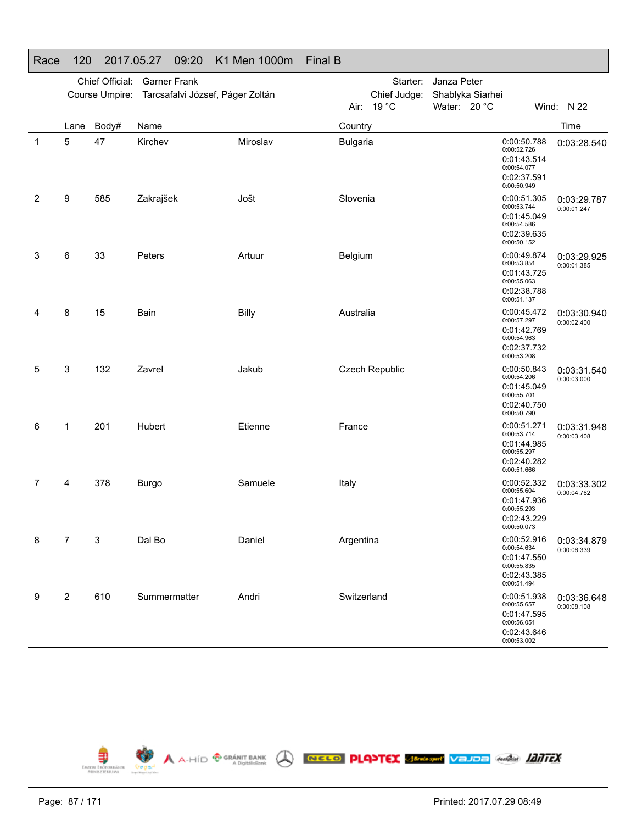| . .uv        |                         |                 | $\cdot$ $\cdot$ $\cdot$ $\cdot$ $\cdot$ $\cdot$ |              |                 |                 |                  |                                                                                        |                            |
|--------------|-------------------------|-----------------|-------------------------------------------------|--------------|-----------------|-----------------|------------------|----------------------------------------------------------------------------------------|----------------------------|
|              |                         | Chief Official: | <b>Garner Frank</b>                             |              |                 | Starter:        | Janza Peter      |                                                                                        |                            |
|              |                         |                 | Course Umpire: Tarcsafalvi József, Páger Zoltán |              |                 | Chief Judge:    | Shablyka Siarhei |                                                                                        |                            |
|              |                         |                 |                                                 |              | Air:            | 19 $^{\circ}$ C | Water: 20 °C     |                                                                                        | Wind: N 22                 |
|              | Lane                    | Body#           | Name                                            |              | Country         |                 |                  |                                                                                        | Time                       |
| $\mathbf{1}$ | 5                       | 47              | Kirchev                                         | Miroslav     | <b>Bulgaria</b> |                 |                  | 0:00:50.788<br>0:00:52.726<br>0:01:43.514<br>0:00:54.077<br>0:02:37.591<br>0:00:50.949 | 0:03:28.540                |
| 2            | 9                       | 585             | Zakrajšek                                       | Jošt         | Slovenia        |                 |                  | 0:00:51.305<br>0:00:53.744<br>0:01:45.049<br>0:00:54.586<br>0:02:39.635<br>0:00:50.152 | 0:03:29.787<br>0:00:01.247 |
| 3            | 6                       | 33              | Peters                                          | Artuur       | Belgium         |                 |                  | 0:00:49.874<br>0:00:53.851<br>0:01:43.725<br>0:00:55.063<br>0:02:38.788<br>0:00:51.137 | 0:03:29.925<br>0:00:01.385 |
| 4            | 8                       | 15              | Bain                                            | <b>Billy</b> | Australia       |                 |                  | 0:00:45.472<br>0:00:57.297<br>0:01:42.769<br>0:00:54.963<br>0:02:37.732<br>0:00:53.208 | 0:03:30.940<br>0:00:02.400 |
| 5            | 3                       | 132             | Zavrel                                          | Jakub        |                 | Czech Republic  |                  | 0:00:50.843<br>0:00:54.206<br>0:01:45.049<br>0:00:55.701<br>0:02:40.750<br>0:00:50.790 | 0:03:31.540<br>0:00:03.000 |
| 6            | 1                       | 201             | Hubert                                          | Etienne      | France          |                 |                  | 0:00:51.271<br>0:00:53.714<br>0:01:44.985<br>0:00:55.297<br>0:02:40.282<br>0:00:51.666 | 0:03:31.948<br>0:00:03.408 |
| 7            | 4                       | 378             | <b>Burgo</b>                                    | Samuele      | Italy           |                 |                  | 0:00:52.332<br>0:00:55.604<br>0:01:47.936<br>0:00:55.293<br>0:02:43.229<br>0:00:50.073 | 0:03:33.302<br>0:00:04.762 |
| 8            | 7                       | 3               | Dal Bo                                          | Daniel       | Argentina       |                 |                  | 0:00:52.916<br>0:00:54.634<br>0:01:47.550<br>0:00:55.835<br>0:02:43.385<br>0:00:51.494 | 0:03:34.879<br>0:00:06.339 |
| 9            | $\overline{\mathbf{c}}$ | 610             | Summermatter                                    | Andri        | Switzerland     |                 |                  | 0:00:51.938<br>0:00:55.657<br>0:01:47.595<br>0:00:56.051<br>0:02:43.646<br>0:00:53.002 | 0:03:36.648<br>0:00:08.108 |



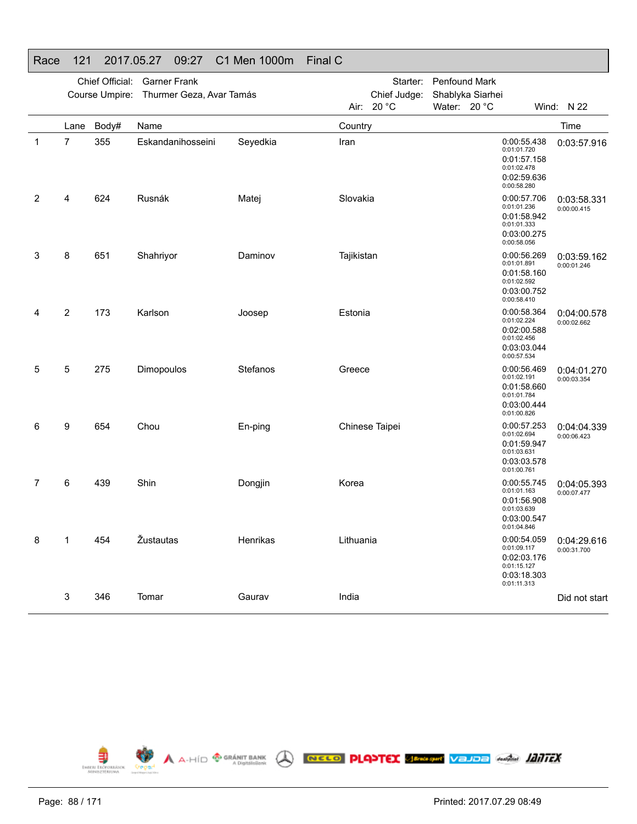| $\sim$      |                |                 | 11.00.41<br>$\cup$ . $\sim$ .           |          |            |                |                        |                                                                                        |                            |
|-------------|----------------|-----------------|-----------------------------------------|----------|------------|----------------|------------------------|----------------------------------------------------------------------------------------|----------------------------|
|             |                | Chief Official: | <b>Garner Frank</b>                     |          |            |                | Starter: Penfound Mark |                                                                                        |                            |
|             |                |                 | Course Umpire: Thurmer Geza, Avar Tamás |          |            | Chief Judge:   | Shablyka Siarhei       |                                                                                        |                            |
|             |                |                 |                                         |          |            | Air: 20 °C     | Water: 20 °C           |                                                                                        | Wind: N 22                 |
|             | Lane           | Body#           | Name                                    |          | Country    |                |                        |                                                                                        | Time                       |
| $\mathbf 1$ | $\overline{7}$ | 355             | Eskandanihosseini                       | Seyedkia | Iran       |                |                        | 0:00:55.438<br>0:01:01.720<br>0:01:57.158<br>0:01:02.478<br>0:02:59.636<br>0:00:58.280 | 0:03:57.916                |
| 2           | 4              | 624             | Rusnák                                  | Matej    | Slovakia   |                |                        | 0:00:57.706<br>0:01:01.236<br>0:01:58.942<br>0:01:01.333<br>0:03:00.275<br>0:00:58.056 | 0:03:58.331<br>0:00:00.415 |
| 3           | 8              | 651             | Shahriyor                               | Daminov  | Tajikistan |                |                        | 0:00:56.269<br>0:01:01.891<br>0:01:58.160<br>0:01:02.592<br>0:03:00.752<br>0:00:58.410 | 0:03:59.162<br>0:00:01.246 |
| 4           | $\overline{2}$ | 173             | Karlson                                 | Joosep   | Estonia    |                |                        | 0:00:58.364<br>0:01:02.224<br>0:02:00.588<br>0:01:02.456<br>0:03:03.044<br>0:00:57.534 | 0:04:00.578<br>0:00:02.662 |
| 5           | 5              | 275             | Dimopoulos                              | Stefanos | Greece     |                |                        | 0:00:56.469<br>0:01:02.191<br>0:01:58.660<br>0:01:01.784<br>0:03:00.444<br>0:01:00.826 | 0:04:01.270<br>0:00:03.354 |
| 6           | 9              | 654             | Chou                                    | En-ping  |            | Chinese Taipei |                        | 0:00:57.253<br>0:01:02.694<br>0:01:59.947<br>0:01:03.631<br>0:03:03.578<br>0:01:00.761 | 0:04:04.339<br>0:00:06.423 |
| 7           | 6              | 439             | Shin                                    | Dongjin  | Korea      |                |                        | 0:00:55.745<br>0:01:01.163<br>0:01:56.908<br>0:01:03.639<br>0:03:00.547<br>0:01:04.846 | 0:04:05.393<br>0:00:07.477 |
| 8           | 1              | 454             | Žustautas                               | Henrikas | Lithuania  |                |                        | 0:00:54.059<br>0:01:09.117<br>0:02:03.176<br>0:01:15.127<br>0:03:18.303<br>0:01:11.313 | 0:04:29.616<br>0:00:31.700 |
|             | 3              | 346             | Tomar                                   | Gaurav   | India      |                |                        |                                                                                        | Did not start              |



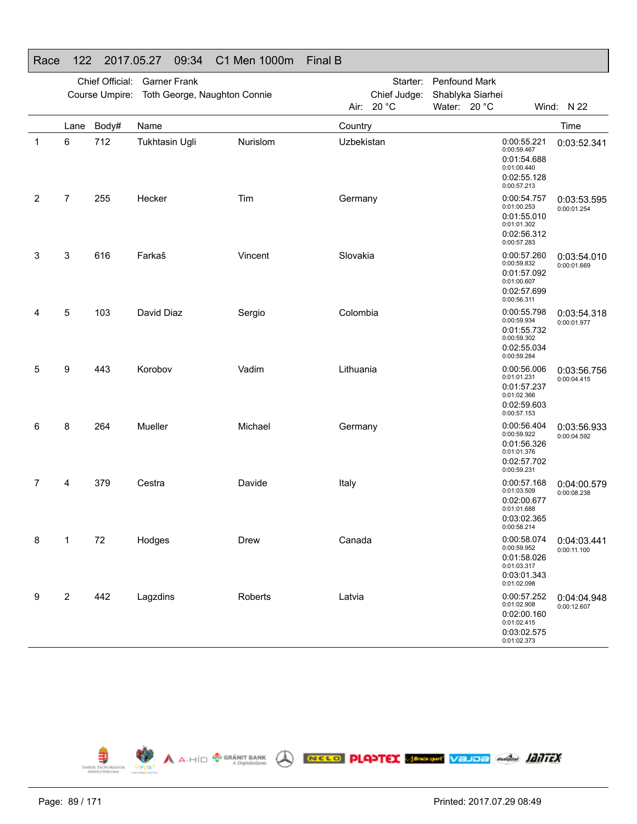|             |                | Chief Official: | <b>Garner Frank</b>                         |          |            |              | Starter: Penfound Mark |                                                                                        |                            |
|-------------|----------------|-----------------|---------------------------------------------|----------|------------|--------------|------------------------|----------------------------------------------------------------------------------------|----------------------------|
|             |                |                 | Course Umpire: Toth George, Naughton Connie |          |            | Chief Judge: | Shablyka Siarhei       |                                                                                        |                            |
|             |                |                 |                                             |          |            | Air: 20 °C   | Water: 20 °C           |                                                                                        | Wind: N 22                 |
|             | Lane           | Body#           | Name                                        |          | Country    |              |                        |                                                                                        | Time                       |
| $\mathbf 1$ | 6              | 712             | <b>Tukhtasin Ugli</b>                       | Nurislom | Uzbekistan |              |                        | 0:00:55.221<br>0:00:59.467<br>0:01:54.688<br>0:01:00.440<br>0:02:55.128<br>0:00:57.213 | 0:03:52.341                |
| 2           | 7              | 255             | Hecker                                      | Tim      | Germany    |              |                        | 0:00:54.757<br>0:01:00.253<br>0:01:55.010<br>0:01:01.302<br>0:02:56.312<br>0:00:57.283 | 0:03:53.595<br>0:00:01.254 |
| 3           | 3              | 616             | Farkaš                                      | Vincent  | Slovakia   |              |                        | 0:00:57.260<br>0:00:59.832<br>0:01:57.092<br>0:01:00.607<br>0:02:57.699<br>0:00:56.311 | 0:03:54.010<br>0:00:01.669 |
| 4           | 5              | 103             | David Diaz                                  | Sergio   | Colombia   |              |                        | 0:00:55.798<br>0:00:59.934<br>0:01:55.732<br>0:00:59.302<br>0:02:55.034<br>0:00:59.284 | 0:03:54.318<br>0:00:01.977 |
| 5           | 9              | 443             | Korobov                                     | Vadim    | Lithuania  |              |                        | 0:00:56.006<br>0:01:01.231<br>0:01:57.237<br>0:01:02.366<br>0:02:59.603<br>0:00:57.153 | 0:03:56.756<br>0:00:04.415 |
| 6           | 8              | 264             | Mueller                                     | Michael  | Germany    |              |                        | 0:00:56.404<br>0:00:59.922<br>0:01:56.326<br>0:01:01.376<br>0:02:57.702<br>0:00:59.231 | 0:03:56.933<br>0:00:04.592 |
| 7           | 4              | 379             | Cestra                                      | Davide   | Italy      |              |                        | 0:00:57.168<br>0:01:03.509<br>0:02:00.677<br>0:01:01.688<br>0:03:02.365<br>0:00:58.214 | 0:04:00.579<br>0:00:08.238 |
| 8           | 1              | 72              | Hodges                                      | Drew     | Canada     |              |                        | 0:00:58.074<br>0:00:59.952<br>0:01:58.026<br>0:01:03.317<br>0:03:01.343<br>0:01:02.098 | 0:04:03.441<br>0:00:11.100 |
| 9           | $\overline{c}$ | 442             | Lagzdins                                    | Roberts  | Latvia     |              |                        | 0:00:57.252<br>0:01:02.908<br>0:02:00.160<br>0:01:02.415<br>0:03:02.575<br>0:01:02.373 | 0:04:04.948<br>0:00:12.607 |



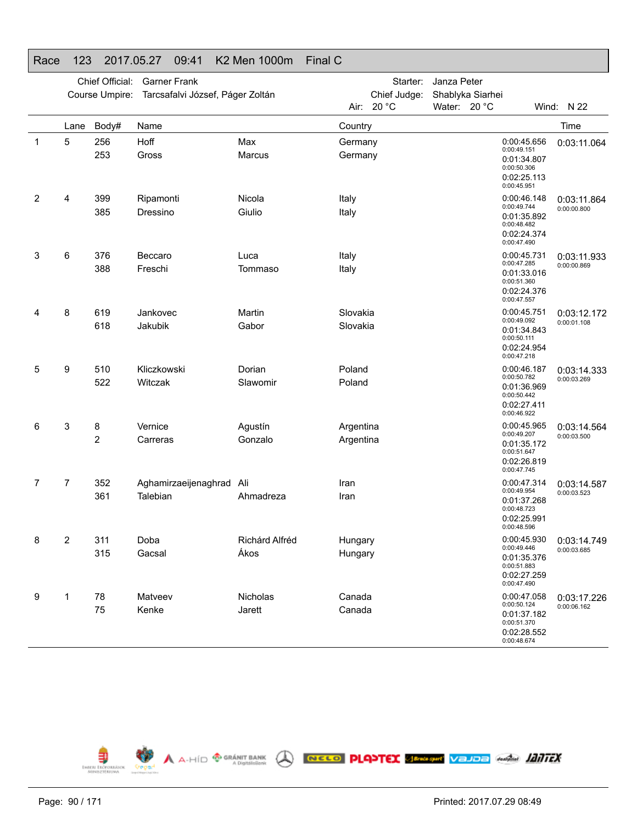|              |                         | Chief Official:<br>Course Umpire: | <b>Garner Frank</b><br>Tarcsafalvi József, Páger Zoltán |                |                    | Starter:<br>Chief Judge: | Janza Peter<br>Shablyka Siarhei |                                                                                        |                            |
|--------------|-------------------------|-----------------------------------|---------------------------------------------------------|----------------|--------------------|--------------------------|---------------------------------|----------------------------------------------------------------------------------------|----------------------------|
|              |                         |                                   |                                                         |                |                    | Air: 20 °C               | Water: 20 °C                    |                                                                                        | Wind: N 22                 |
|              | Lane                    | Body#                             | Name                                                    |                | Country            |                          |                                 |                                                                                        | Time                       |
| $\mathbf{1}$ | 5                       | 256<br>253                        | Hoff<br>Gross                                           | Max<br>Marcus  | Germany<br>Germany |                          |                                 | 0:00:45.656<br>0:00:49.151<br>0:01:34.807<br>0:00:50.306<br>0:02:25.113<br>0:00:45.951 | 0:03:11.064                |
| 2            | 4                       | 399                               | Ripamonti                                               | Nicola         | Italy              |                          |                                 | 0:00:46.148<br>0:00:49.744                                                             | 0:03:11.864                |
|              |                         | 385                               | Dressino                                                | Giulio         | Italy              |                          |                                 | 0:01:35.892<br>0:00:48.482<br>0:02:24.374<br>0:00:47.490                               | 0:00:00.800                |
| 3            | 6                       | 376                               | Beccaro                                                 | Luca           | Italy              |                          |                                 | 0:00:45.731<br>0:00:47.285                                                             | 0:03:11.933                |
|              |                         | 388                               | Freschi                                                 | Tommaso        | Italy              |                          |                                 | 0:01:33.016<br>0:00:51.360<br>0:02:24.376<br>0:00:47.557                               | 0:00:00.869                |
| 4            | 8                       | 619                               | Jankovec                                                | Martin         | Slovakia           |                          |                                 | 0:00:45.751                                                                            | 0:03:12.172                |
|              |                         | 618                               | Jakubik                                                 | Gabor          | Slovakia           |                          |                                 | 0:00:49.092<br>0:01:34.843<br>0:00:50.111<br>0:02:24.954<br>0:00:47.218                | 0:00:01.108                |
| 5            | 9                       | 510                               | Kliczkowski                                             | Dorian         | Poland             |                          |                                 | 0:00:46.187<br>0:00:50.782                                                             | 0:03:14.333                |
|              |                         | 522                               | Witczak                                                 | Slawomir       | Poland             |                          |                                 | 0:01:36.969<br>0:00:50.442<br>0:02:27.411<br>0:00:46.922                               | 0:00:03.269                |
| 6            | 3                       | 8                                 | Vernice                                                 | Agustín        | Argentina          |                          |                                 | 0:00:45.965<br>0:00:49.207                                                             | 0:03:14.564<br>0:00:03.500 |
|              |                         | 2                                 | Carreras                                                | Gonzalo        | Argentina          |                          |                                 | 0:01:35.172<br>0:00:51.647<br>0:02:26.819<br>0:00:47.745                               |                            |
| 7            | 7                       | 352                               | Aghamirzaeijenaghrad                                    | Ali            | Iran               |                          |                                 | 0:00:47.314<br>0:00:49.954                                                             | 0:03:14.587                |
|              |                         | 361                               | Talebian                                                | Ahmadreza      | Iran               |                          |                                 | 0:01:37.268<br>0:00:48.723<br>0:02:25.991<br>0:00:48.596                               | 0:00:03.523                |
| 8            | $\overline{\mathbf{c}}$ | 311                               | Doba                                                    | Richárd Alfréd | Hungary            |                          |                                 | 0:00:45.930<br>0:00:49.446                                                             | 0:03:14.749                |
|              |                         | 315                               | Gacsal                                                  | Ákos           | Hungary            |                          |                                 | 0:01:35.376<br>0:00:51.883<br>0:02:27.259<br>0:00:47.490                               | 0:00:03.685                |
| 9            | 1                       | 78                                | Matveev                                                 | Nicholas       | Canada             |                          |                                 | 0:00:47.058<br>0:00:50.124                                                             | 0:03:17.226                |
|              |                         | 75                                | Kenke                                                   | Jarett         | Canada             |                          |                                 | 0:01:37.182<br>0:00:51.370<br>0:02:28.552<br>0:00:48.674                               | 0:00:06.162                |

**A A-HID OF GRÁNIT BANK** A RECO PLANTEX SERGISM VELOR MARIA *MITEX* 

## Race 123 2017.05.27 09:41 K2 Men 1000m Final C



 $\bigoplus_{\scriptscriptstyle \text{MHSER~III}\atop \scriptscriptstyle \text{MHSER~III}}$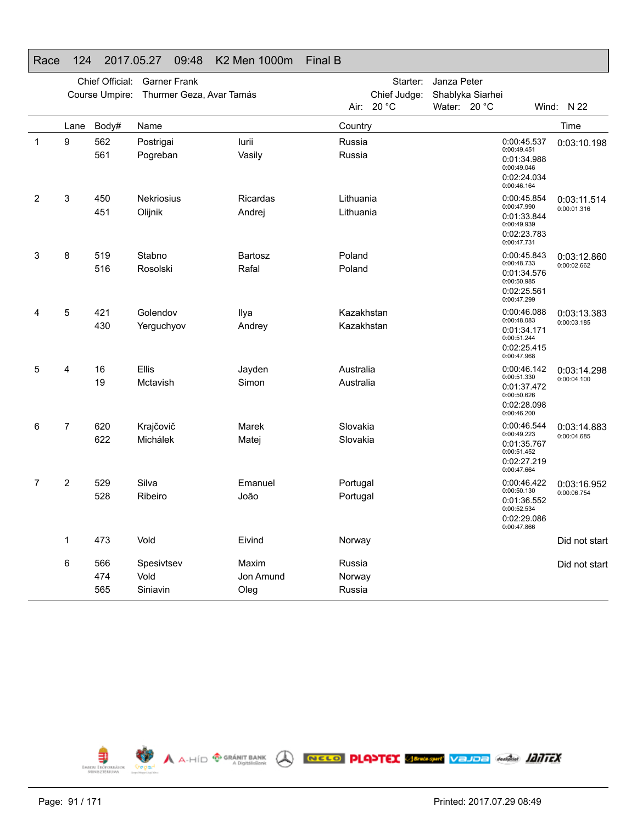|                |      | Chief Official: | <b>Garner Frank</b>      |           |            | Starter:     | Janza Peter      |                                                                         |               |
|----------------|------|-----------------|--------------------------|-----------|------------|--------------|------------------|-------------------------------------------------------------------------|---------------|
|                |      | Course Umpire:  | Thurmer Geza, Avar Tamás |           |            | Chief Judge: | Shablyka Siarhei |                                                                         |               |
|                |      |                 |                          |           |            | Air: 20 °C   | Water: 20 °C     |                                                                         | Wind: $N$ 22  |
|                | Lane | Body#           | Name                     |           | Country    |              |                  |                                                                         | Time          |
| $\mathbf{1}$   | 9    | 562             | Postrigai                | lurii     | Russia     |              |                  | 0:00:45.537                                                             | 0:03:10.198   |
|                |      | 561             | Pogreban                 | Vasily    | Russia     |              |                  | 0:00:49.451<br>0:01:34.988<br>0:00:49.046<br>0:02:24.034<br>0:00:46.164 |               |
| $\overline{2}$ | 3    | 450             | <b>Nekriosius</b>        | Ricardas  | Lithuania  |              |                  | 0:00:45.854                                                             | 0:03:11.514   |
|                |      | 451             | Olijnik                  | Andrej    | Lithuania  |              |                  | 0:00:47.990<br>0:01:33.844<br>0:00:49.939<br>0:02:23.783<br>0:00:47.731 | 0:00:01.316   |
| 3              | 8    | 519             | Stabno                   | Bartosz   | Poland     |              |                  | 0:00:45.843                                                             | 0:03:12.860   |
|                |      | 516             | Rosolski                 | Rafal     | Poland     |              |                  | 0:00:48.733<br>0:01:34.576<br>0:00:50.985<br>0:02:25.561<br>0:00:47.299 | 0:00:02.662   |
| 4              | 5    | 421             | Golendov                 | Ilya      | Kazakhstan |              |                  | 0:00:46.088                                                             | 0:03:13.383   |
|                |      | 430             | Yerguchyov               | Andrey    | Kazakhstan |              |                  | 0:00:48.083<br>0:01:34.171<br>0:00:51.244<br>0:02:25.415<br>0:00:47.968 | 0:00:03.185   |
| 5              | 4    | 16              | Ellis                    | Jayden    | Australia  |              |                  | 0:00:46.142                                                             | 0:03:14.298   |
|                |      | 19              | Mctavish                 | Simon     | Australia  |              |                  | 0:00:51.330<br>0:01:37.472<br>0:00:50.626<br>0:02:28.098<br>0:00:46.200 | 0:00:04.100   |
| 6              | 7    | 620             | Krajčovič                | Marek     | Slovakia   |              |                  | 0:00:46.544<br>0:00:49.223                                              | 0:03:14.883   |
|                |      | 622             | Michálek                 | Matej     | Slovakia   |              |                  | 0:01:35.767<br>0:00:51.452<br>0:02:27.219<br>0:00:47.664                | 0:00:04.685   |
| 7              | 2    | 529             | Silva                    | Emanuel   | Portugal   |              |                  | 0:00:46.422                                                             | 0:03:16.952   |
|                |      | 528             | Ribeiro                  | João      | Portugal   |              |                  | 0:00:50.130<br>0:01:36.552<br>0:00:52.534<br>0:02:29.086<br>0:00:47.866 | 0:00:06.754   |
|                | 1    | 473             | Vold                     | Eivind    | Norway     |              |                  |                                                                         | Did not start |
|                | 6    | 566             | Spesivtsev               | Maxim     | Russia     |              |                  |                                                                         | Did not start |
|                |      | 474             | Vold                     | Jon Amund | Norway     |              |                  |                                                                         |               |
|                |      | 565             | Siniavin                 | Oleg      | Russia     |              |                  |                                                                         |               |



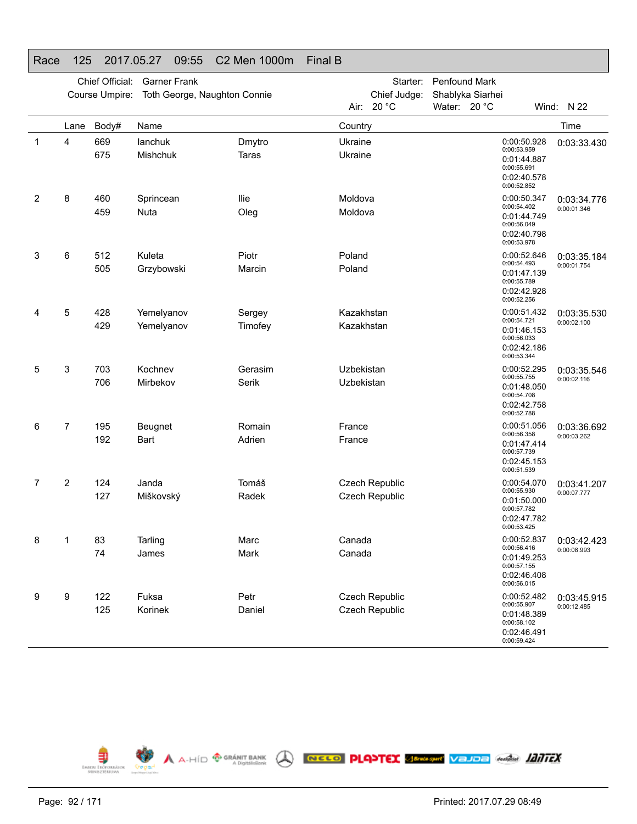|   |      | Chief Official: | <b>Garner Frank</b>          |                 |                    | Starter:       | Penfound Mark    |                                                                                        |             |
|---|------|-----------------|------------------------------|-----------------|--------------------|----------------|------------------|----------------------------------------------------------------------------------------|-------------|
|   |      | Course Umpire:  | Toth George, Naughton Connie |                 |                    | Chief Judge:   | Shablyka Siarhei |                                                                                        |             |
|   |      |                 |                              |                 |                    | Air: 20 °C     | Water: 20 °C     |                                                                                        | Wind: N 22  |
|   | Lane | Body#           | Name                         |                 | Country            |                |                  |                                                                                        | Time        |
| 1 | 4    | 669<br>675      | lanchuk<br><b>Mishchuk</b>   | Dmytro<br>Taras | Ukraine<br>Ukraine |                |                  | 0:00:50.928<br>0:00:53.959<br>0:01:44.887<br>0:00:55.691<br>0:02:40.578<br>0:00:52.852 | 0:03:33.430 |
| 2 | 8    | 460             | Sprincean                    | llie            | Moldova            |                |                  | 0:00:50.347<br>0:00:54.402                                                             | 0:03:34.776 |
|   |      | 459             | Nuta                         | Oleg            | Moldova            |                |                  | 0:01:44.749<br>0:00:56.049<br>0:02:40.798<br>0:00:53.978                               | 0:00:01.346 |
| 3 | 6    | 512             | Kuleta                       | Piotr           | Poland             |                |                  | 0:00:52.646<br>0:00:54.493                                                             | 0:03:35.184 |
|   |      | 505             | Grzybowski                   | Marcin          | Poland             |                |                  | 0:01:47.139<br>0:00:55.789<br>0:02:42.928<br>0:00:52.256                               | 0:00:01.754 |
| 4 | 5    | 428             | Yemelyanov                   | Sergey          | Kazakhstan         |                |                  | 0:00:51.432                                                                            | 0:03:35.530 |
|   |      | 429             | Yemelyanov                   | Timofey         | Kazakhstan         |                |                  | 0:00:54.721<br>0:01:46.153<br>0:00:56.033<br>0:02:42.186<br>0:00:53.344                | 0:00:02.100 |
| 5 | 3    | 703             | Kochnev                      | Gerasim         | Uzbekistan         |                |                  | 0:00:52.295                                                                            | 0:03:35.546 |
|   |      | 706             | Mirbekov                     | Serik           | Uzbekistan         |                |                  | 0:00:55.755<br>0:01:48.050<br>0:00:54.708<br>0:02:42.758<br>0:00:52.788                | 0:00:02.116 |
| 6 | 7    | 195             | Beugnet                      | Romain          | France             |                |                  | 0:00:51.056<br>0:00:56.358                                                             | 0:03:36.692 |
|   |      | 192             | <b>Bart</b>                  | Adrien          | France             |                |                  | 0:01:47.414<br>0:00:57.739<br>0:02:45.153<br>0:00:51.539                               | 0:00:03.262 |
| 7 | 2    | 124             | Janda                        | Tomáš           |                    | Czech Republic |                  | 0:00:54.070<br>0:00:55.930                                                             | 0:03:41.207 |
|   |      | 127             | Miškovský                    | Radek           |                    | Czech Republic |                  | 0:01:50.000<br>0:00:57.782<br>0:02:47.782<br>0:00:53.425                               | 0:00:07.777 |
| 8 | 1    | 83              | Tarling                      | Marc            | Canada             |                |                  | 0:00:52.837                                                                            | 0:03:42.423 |
|   |      | 74              | James                        | Mark            | Canada             |                |                  | 0:00:56.416<br>0:01:49.253<br>0:00:57.155<br>0:02:46.408<br>0:00:56.015                | 0:00:08.993 |
| 9 | 9    | 122             | Fuksa                        | Petr            |                    | Czech Republic |                  | 0:00:52.482<br>0:00:55.907                                                             | 0:03:45.915 |
|   |      | 125             | Korinek                      | Daniel          |                    | Czech Republic |                  | 0:01:48.389<br>0:00:58.102<br>0:02:46.491<br>0:00:59.424                               | 0:00:12.485 |

# Race 125 2017.05.27 09:55 C2 Men 1000m Final B

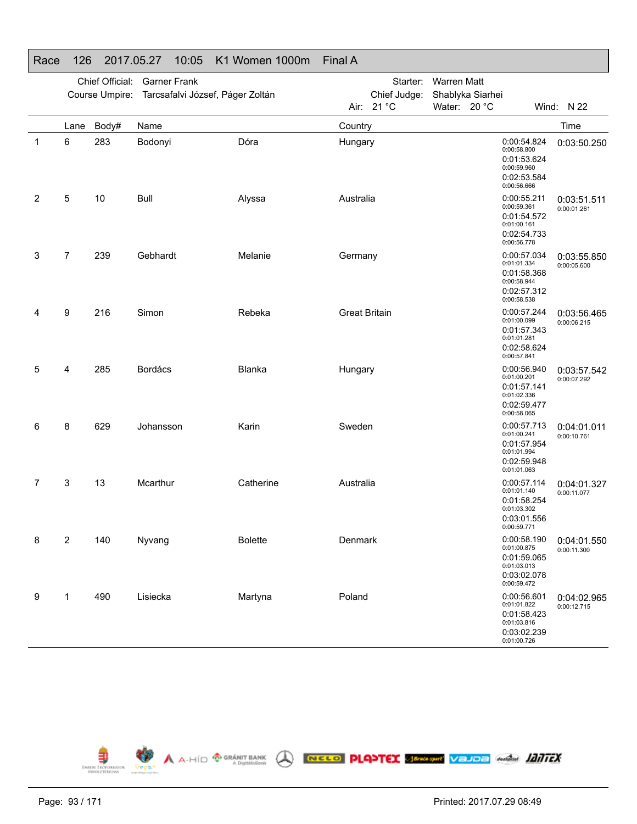|                |                         | Chief Official:<br>Course Umpire: | <b>Garner Frank</b><br>Tarcsafalvi József, Páger Zoltán |                |                      | Starter:<br>Chief Judge: | Warren Matt<br>Shablyka Siarhei |                                                                                        |                            |
|----------------|-------------------------|-----------------------------------|---------------------------------------------------------|----------------|----------------------|--------------------------|---------------------------------|----------------------------------------------------------------------------------------|----------------------------|
|                |                         |                                   |                                                         |                | Air:                 | 21 °C                    | Water: 20 °C                    |                                                                                        | Wind: N 22                 |
| 1              | Lane<br>6               | Body#<br>283                      | Name<br>Bodonyi                                         | Dóra           | Country<br>Hungary   |                          |                                 | 0:00:54.824<br>0:00:58.800<br>0:01:53.624<br>0:00:59.960<br>0:02:53.584<br>0:00:56.666 | Time<br>0:03:50.250        |
| $\overline{2}$ | 5                       | 10                                | <b>Bull</b>                                             | Alyssa         | Australia            |                          |                                 | 0:00:55.211<br>0:00:59.361<br>0:01:54.572<br>0:01:00.161<br>0:02:54.733<br>0:00:56.778 | 0:03:51.511<br>0:00:01.261 |
| 3              | $\overline{7}$          | 239                               | Gebhardt                                                | Melanie        | Germany              |                          |                                 | 0:00:57.034<br>0:01:01.334<br>0:01:58.368<br>0:00:58.944<br>0:02:57.312<br>0:00:58.538 | 0:03:55.850<br>0:00:05.600 |
| 4              | 9                       | 216                               | Simon                                                   | Rebeka         | <b>Great Britain</b> |                          |                                 | 0:00:57.244<br>0:01:00.099<br>0:01:57.343<br>0:01:01.281<br>0:02:58.624<br>0:00:57.841 | 0:03:56.465<br>0:00:06.215 |
| 5              | 4                       | 285                               | <b>Bordács</b>                                          | Blanka         | Hungary              |                          |                                 | 0:00:56.940<br>0:01:00.201<br>0:01:57.141<br>0:01:02.336<br>0:02:59.477<br>0:00:58.065 | 0:03:57.542<br>0:00:07.292 |
| 6              | 8                       | 629                               | Johansson                                               | Karin          | Sweden               |                          |                                 | 0:00:57.713<br>0:01:00.241<br>0:01:57.954<br>0:01:01.994<br>0:02:59.948<br>0:01:01.063 | 0:04:01.011<br>0:00:10.761 |
| 7              | 3                       | 13                                | Mcarthur                                                | Catherine      | Australia            |                          |                                 | 0:00:57.114<br>0:01:01.140<br>0:01:58.254<br>0:01:03.302<br>0:03:01.556<br>0:00:59.771 | 0:04:01.327<br>0:00:11.077 |
| 8              | $\overline{\mathbf{c}}$ | 140                               | Nyvang                                                  | <b>Bolette</b> | Denmark              |                          |                                 | 0:00:58.190<br>0:01:00.875<br>0:01:59.065<br>0:01:03.013<br>0:03:02.078<br>0:00:59.472 | 0:04:01.550<br>0:00:11.300 |
| 9              | 1                       | 490                               | Lisiecka                                                | Martyna        | Poland               |                          |                                 | 0:00:56.601<br>0:01:01.822<br>0:01:58.423<br>0:01:03.816<br>0:03:02.239<br>0:01:00.726 | 0:04:02.965<br>0:00:12.715 |



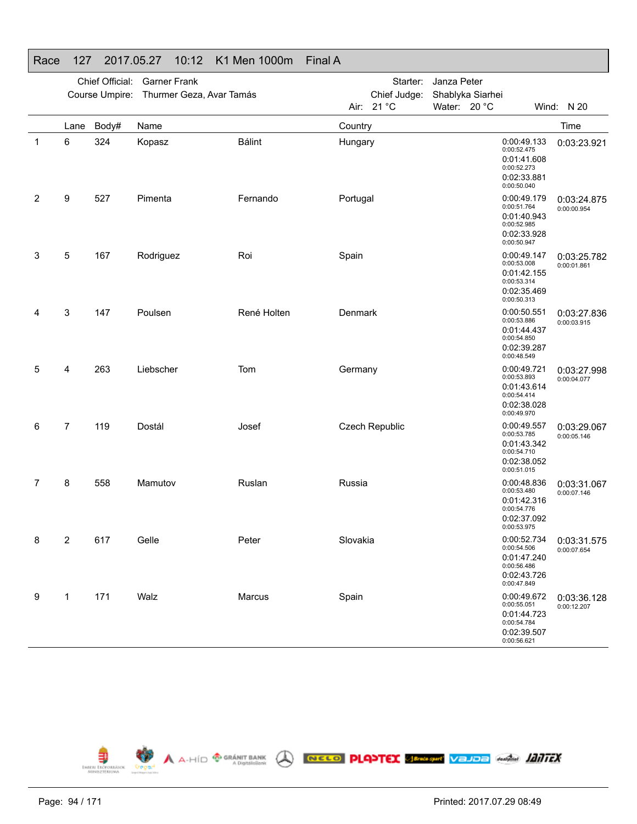|   |                |       | Chief Official: Garner Frank<br>Course Umpire: Thurmer Geza, Avar Tamás |               |          | Starter:<br>Chief Judge: | Janza Peter<br>Shablyka Siarhei |                                                                                        |                            |
|---|----------------|-------|-------------------------------------------------------------------------|---------------|----------|--------------------------|---------------------------------|----------------------------------------------------------------------------------------|----------------------------|
|   |                |       |                                                                         |               |          | Air: 21 °C               | Water: 20 °C                    |                                                                                        | Wind: N 20                 |
|   | Lane           | Body# | Name                                                                    |               | Country  |                          |                                 |                                                                                        | Time                       |
| 1 | 6              | 324   | Kopasz                                                                  | <b>Bálint</b> | Hungary  |                          |                                 | 0:00:49.133<br>0:00:52.475<br>0:01:41.608<br>0:00:52.273<br>0:02:33.881<br>0:00:50.040 | 0:03:23.921                |
| 2 | 9              | 527   | Pimenta                                                                 | Fernando      | Portugal |                          |                                 | 0:00:49.179<br>0:00:51.764<br>0:01:40.943<br>0:00:52.985<br>0:02:33.928<br>0:00:50.947 | 0:03:24.875<br>0:00:00.954 |
| 3 | 5              | 167   | Rodriguez                                                               | Roi           | Spain    |                          |                                 | 0:00:49.147<br>0:00:53.008<br>0:01:42.155<br>0:00:53.314<br>0:02:35.469<br>0:00:50.313 | 0:03:25.782<br>0:00:01.861 |
| 4 | 3              | 147   | Poulsen                                                                 | René Holten   | Denmark  |                          |                                 | 0:00:50.551<br>0:00:53.886<br>0:01:44.437<br>0:00:54.850<br>0:02:39.287<br>0:00:48.549 | 0:03:27.836<br>0:00:03.915 |
| 5 | 4              | 263   | Liebscher                                                               | Tom           | Germany  |                          |                                 | 0:00:49.721<br>0:00:53.893<br>0:01:43.614<br>0:00:54.414<br>0:02:38.028<br>0:00:49.970 | 0:03:27.998<br>0:00:04.077 |
| 6 | $\overline{7}$ | 119   | Dostál                                                                  | Josef         |          | <b>Czech Republic</b>    |                                 | 0:00:49.557<br>0:00:53.785<br>0:01:43.342<br>0:00:54.710<br>0:02:38.052<br>0:00:51.015 | 0:03:29.067<br>0:00:05.146 |
| 7 | 8              | 558   | Mamutov                                                                 | Ruslan        | Russia   |                          |                                 | 0:00:48.836<br>0:00:53.480<br>0:01:42.316<br>0:00:54.776<br>0:02:37.092<br>0:00:53.975 | 0:03:31.067<br>0:00:07.146 |
| 8 | 2              | 617   | Gelle                                                                   | Peter         | Slovakia |                          |                                 | 0:00:52.734<br>0:00:54.506<br>0:01:47.240<br>0:00:56.486<br>0:02:43.726<br>0:00:47.849 | 0:03:31.575<br>0:00:07.654 |
| 9 | 1              | 171   | Walz                                                                    | Marcus        | Spain    |                          |                                 | 0:00:49.672<br>0:00:55.051<br>0:01:44.723<br>0:00:54.784<br>0:02:39.507<br>0:00:56.621 | 0:03:36.128<br>0:00:12.207 |

A A-HÍD <sup>®</sup> GRÁNIT BANK A **RECO PLANTEX SERGANY VELIDE** ANGEL **LANTEX** 





EMBER ENCROKASOK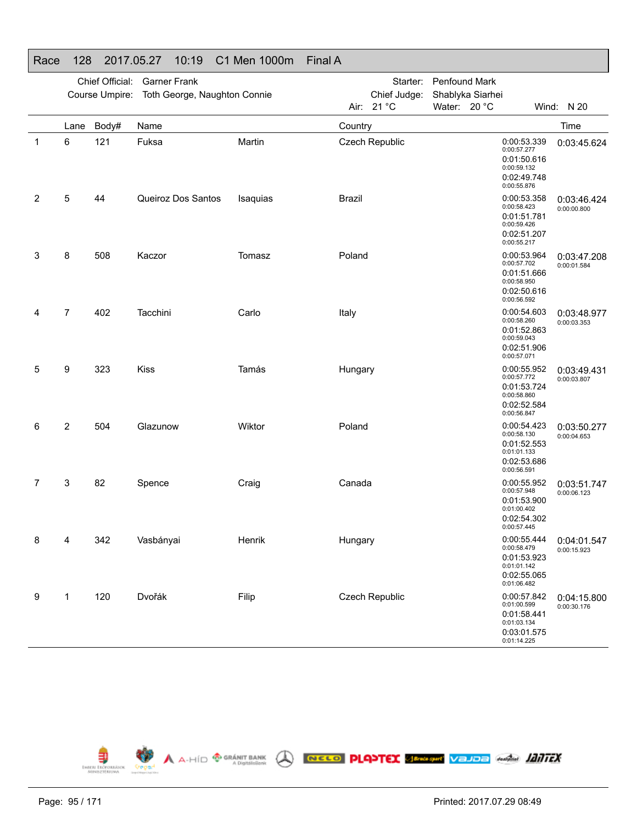|   |                | Chief Official: | <b>Garner Frank</b>          |          |               | Starter:       | Penfound Mark    |  |                                                                                        |                            |
|---|----------------|-----------------|------------------------------|----------|---------------|----------------|------------------|--|----------------------------------------------------------------------------------------|----------------------------|
|   |                | Course Umpire:  | Toth George, Naughton Connie |          |               | Chief Judge:   | Shablyka Siarhei |  |                                                                                        |                            |
|   |                |                 |                              |          |               | Air: 21 °C     | Water: 20 °C     |  |                                                                                        | Wind: N 20                 |
|   | Lane           | Body#           | Name                         |          | Country       |                |                  |  |                                                                                        | Time                       |
| 1 | 6              | 121             | Fuksa                        | Martin   |               | Czech Republic |                  |  | 0:00:53.339<br>0:00:57.277<br>0:01:50.616<br>0:00:59.132<br>0:02:49.748<br>0:00:55.876 | 0:03:45.624                |
| 2 | 5              | 44              | Queiroz Dos Santos           | Isaquias | <b>Brazil</b> |                |                  |  | 0:00:53.358<br>0:00:58.423<br>0:01:51.781<br>0:00:59.426<br>0:02:51.207<br>0:00:55.217 | 0:03:46.424<br>0:00:00.800 |
| 3 | 8              | 508             | Kaczor                       | Tomasz   | Poland        |                |                  |  | 0:00:53.964<br>0:00:57.702<br>0:01:51.666<br>0:00:58.950<br>0:02:50.616<br>0:00:56.592 | 0:03:47.208<br>0:00:01.584 |
| 4 | $\overline{7}$ | 402             | Tacchini                     | Carlo    | Italy         |                |                  |  | 0:00:54.603<br>0:00:58.260<br>0:01:52.863<br>0:00:59.043<br>0:02:51.906<br>0:00:57.071 | 0:03:48.977<br>0:00:03.353 |
| 5 | 9              | 323             | <b>Kiss</b>                  | Tamás    | Hungary       |                |                  |  | 0:00:55.952<br>0:00:57.772<br>0:01:53.724<br>0:00:58.860<br>0:02:52.584<br>0:00:56.847 | 0:03:49.431<br>0:00:03.807 |
| 6 | $\overline{2}$ | 504             | Glazunow                     | Wiktor   | Poland        |                |                  |  | 0:00:54.423<br>0:00:58.130<br>0:01:52.553<br>0:01:01.133<br>0:02:53.686<br>0:00:56.591 | 0:03:50.277<br>0:00:04.653 |
| 7 | 3              | 82              | Spence                       | Craig    | Canada        |                |                  |  | 0:00:55.952<br>0:00:57.948<br>0:01:53.900<br>0:01:00.402<br>0:02:54.302<br>0:00:57.445 | 0:03:51.747<br>0:00:06.123 |
| 8 | 4              | 342             | Vasbányai                    | Henrik   | Hungary       |                |                  |  | 0:00:55.444<br>0:00:58.479<br>0:01:53.923<br>0:01:01.142<br>0:02:55.065<br>0:01:06.482 | 0:04:01.547<br>0:00:15.923 |
| 9 | 1              | 120             | Dvořák                       | Filip    |               | Czech Republic |                  |  | 0:00:57.842<br>0:01:00.599<br>0:01:58.441<br>0:01:03.134<br>0:03:01.575<br>0:01:14.225 | 0:04:15.800<br>0:00:30.176 |

# Race 128 2017.05.27 10:19 C1 Men 1000m Final A

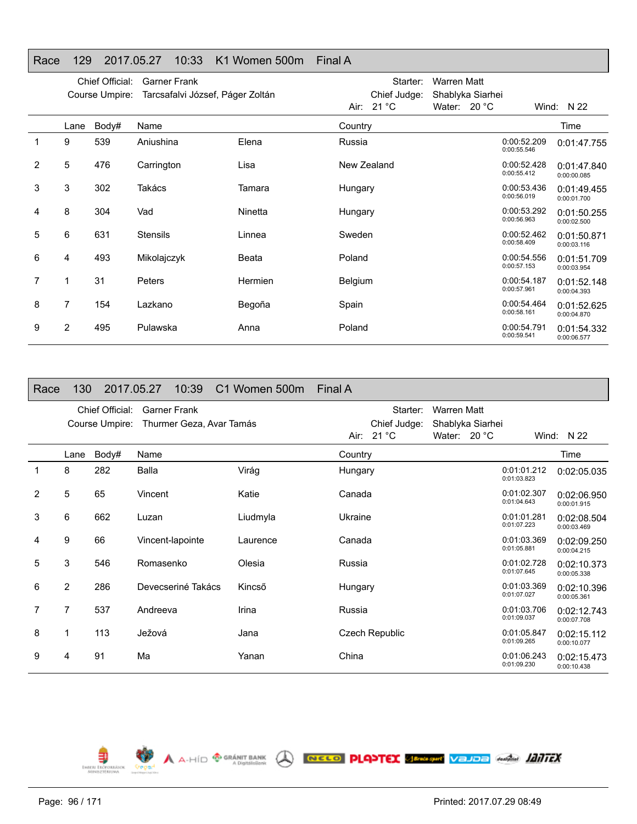## Race 129 2017.05.27 10:33 K1 Women 500m Final A

|   |      | Chief Official:<br>Course Umpire: | <b>Garner Frank</b><br>Tarcsafalvi József, Páger Zoltán |                |                | Starter:<br>Chief Judge: | Warren Matt<br>Shablyka Siarhei |                            |                            |
|---|------|-----------------------------------|---------------------------------------------------------|----------------|----------------|--------------------------|---------------------------------|----------------------------|----------------------------|
|   |      |                                   |                                                         |                |                | Air: 21 °C               | Water: $20 °C$                  |                            | Wind: $N$ 22               |
|   | Lane | Body#                             | Name                                                    |                | Country        |                          |                                 |                            | Time                       |
|   | 9    | 539                               | Aniushina                                               | Elena          | Russia         |                          |                                 | 0:00:52.209<br>0:00:55.546 | 0:01:47.755                |
| 2 | 5    | 476                               | Carrington                                              | Lisa           |                | New Zealand              |                                 | 0:00:52.428<br>0:00:55.412 | 0:01:47.840<br>0:00:00.085 |
| 3 | 3    | 302                               | Takács                                                  | Tamara         | Hungary        |                          |                                 | 0:00:53.436<br>0:00:56.019 | 0:01:49.455<br>0:00:01.700 |
| 4 | 8    | 304                               | Vad                                                     | Ninetta        | Hungary        |                          |                                 | 0:00:53.292<br>0:00:56.963 | 0:01:50.255<br>0:00:02.500 |
| 5 | 6    | 631                               | <b>Stensils</b>                                         | Linnea         | Sweden         |                          |                                 | 0:00:52.462<br>0:00:58.409 | 0:01:50.871<br>0:00:03.116 |
| 6 | 4    | 493                               | Mikolajczyk                                             | Beata          | Poland         |                          |                                 | 0:00:54.556<br>0:00:57.153 | 0:01:51.709<br>0:00:03.954 |
|   | 1    | 31                                | <b>Peters</b>                                           | <b>Hermien</b> | <b>Belgium</b> |                          |                                 | 0:00:54.187<br>0:00:57.961 | 0:01:52.148<br>0:00:04.393 |
| 8 | 7    | 154                               | Lazkano                                                 | Begoña         | Spain          |                          |                                 | 0:00:54.464<br>0:00:58.161 | 0:01:52.625<br>0:00:04.870 |
| 9 | 2    | 495                               | Pulawska                                                | Anna           | Poland         |                          |                                 | 0:00:54.791<br>0:00:59.541 | 0:01:54.332<br>0:00:06.577 |

| Race           | 130            |                                   | 2017.05.27          | 10:39 | C1 Women 500m            | Final A |                          |                    |                  |                            |                            |
|----------------|----------------|-----------------------------------|---------------------|-------|--------------------------|---------|--------------------------|--------------------|------------------|----------------------------|----------------------------|
|                |                | Chief Official:<br>Course Umpire: | <b>Garner Frank</b> |       | Thurmer Geza, Avar Tamás |         | Starter:<br>Chief Judge: | <b>Warren Matt</b> | Shablyka Siarhei |                            |                            |
|                |                |                                   |                     |       |                          |         | Air: $21 °C$             | Water: $20 °C$     |                  |                            | Wind: $N$ 22               |
|                | Lane           | Body#                             | Name                |       |                          | Country |                          |                    |                  |                            | Time                       |
| 1              | 8              | 282                               | Balla               |       | Virág                    | Hungary |                          |                    |                  | 0:01:01.212<br>0:01:03.823 | 0:02:05.035                |
| $\overline{2}$ | 5              | 65                                | Vincent             |       | Katie                    | Canada  |                          |                    |                  | 0:01:02.307<br>0:01:04.643 | 0:02:06.950<br>0:00:01.915 |
| 3              | 6              | 662                               | Luzan               |       | Liudmyla                 | Ukraine |                          |                    |                  | 0:01:01.281<br>0:01:07.223 | 0:02:08.504<br>0:00:03.469 |
| 4              | 9              | 66                                | Vincent-lapointe    |       | Laurence                 | Canada  |                          |                    |                  | 0:01:03.369<br>0:01:05.881 | 0:02:09.250<br>0:00:04.215 |
| 5              | 3              | 546                               | Romasenko           |       | Olesia                   | Russia  |                          |                    |                  | 0:01:02.728<br>0:01:07.645 | 0:02:10.373<br>0:00:05.338 |
| 6              | $\overline{2}$ | 286                               | Devecseriné Takács  |       | Kincső                   | Hungary |                          |                    |                  | 0:01:03.369<br>0:01:07.027 | 0:02:10.396<br>0:00:05.361 |
| 7              | $\overline{7}$ | 537                               | Andreeva            |       | Irina                    | Russia  |                          |                    |                  | 0:01:03.706<br>0:01:09.037 | 0:02:12.743<br>0:00:07.708 |
| 8              | 1              | 113                               | Ježová              |       | Jana                     |         | <b>Czech Republic</b>    |                    |                  | 0:01:05.847<br>0:01:09.265 | 0:02:15.112<br>0:00:10.077 |
| 9              | 4              | 91                                | Ma                  |       | Yanan                    | China   |                          |                    |                  | 0:01:06.243<br>0:01:09.230 | 0:02:15.473<br>0:00:10.438 |

A A-HID **<sup>® GRÁNIT BANK</sup> A RECO PLANTEX SEMBRE VELDE ANGLI IZITEX** 

€ EMBERL ERÖT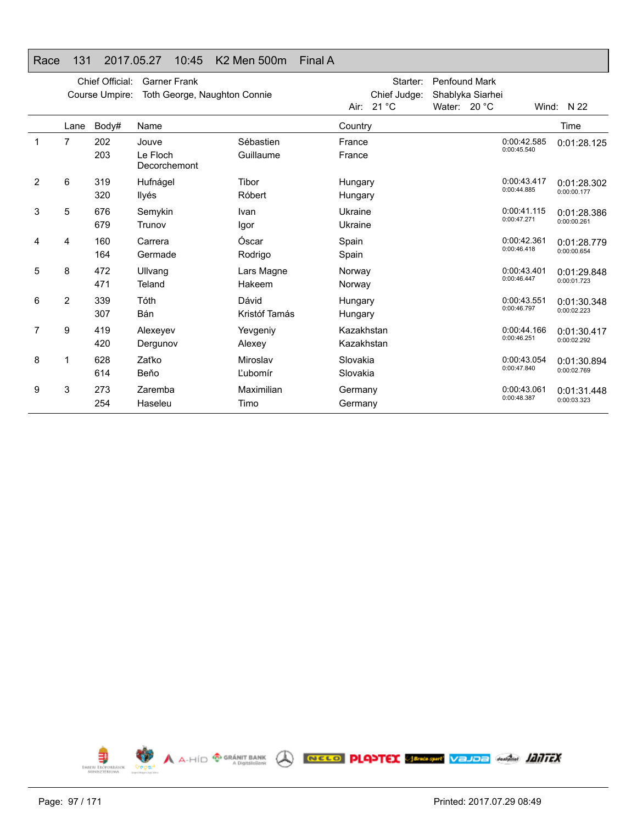## Race 131 2017.05.27 10:45 K2 Men 500m Final A

|   |                | Chief Official:<br>Course Umpire: | <b>Garner Frank</b><br>Toth George, Naughton Connie |               |            | Starter:<br>Chief Judge: | <b>Penfound Mark</b><br>Shablyka Siarhei |                            |              |
|---|----------------|-----------------------------------|-----------------------------------------------------|---------------|------------|--------------------------|------------------------------------------|----------------------------|--------------|
|   |                |                                   |                                                     |               | Air:       | 21 $^{\circ}$ C          | Water: $20 °C$                           |                            | Wind: $N$ 22 |
|   | Lane           | Body#                             | Name                                                |               | Country    |                          |                                          |                            | Time         |
| 1 | 7              | 202                               | Jouve                                               | Sébastien     | France     |                          |                                          | 0:00:42.585<br>0:00:45.540 | 0:01:28.125  |
|   |                | 203                               | Le Floch<br>Decorchemont                            | Guillaume     | France     |                          |                                          |                            |              |
| 2 | 6              | 319                               | Hufnágel                                            | Tibor         | Hungary    |                          |                                          | 0:00:43.417<br>0:00:44.885 | 0:01:28.302  |
|   |                | 320                               | Ilyés                                               | Róbert        | Hungary    |                          |                                          |                            | 0:00:00.177  |
| 3 | 5              | 676                               | Semykin                                             | Ivan          | Ukraine    |                          |                                          | 0:00:41.115                | 0:01:28.386  |
|   |                | 679                               | Trunov                                              | Igor          | Ukraine    |                          |                                          | 0:00:47.271                | 0:00:00.261  |
| 4 | 4              | 160                               | Carrera                                             | Óscar         | Spain      |                          |                                          | 0:00:42.361                | 0:01:28.779  |
|   |                | 164                               | Germade                                             | Rodrigo       | Spain      |                          |                                          | 0:00:46.418                | 0:00:00.654  |
| 5 | 8              | 472                               | Ullvang                                             | Lars Magne    | Norway     |                          |                                          | 0:00:43.401                | 0:01:29.848  |
|   |                | 471                               | Teland                                              | Hakeem        | Norway     |                          |                                          | 0:00:46.447                | 0:00:01.723  |
| 6 | $\overline{2}$ | 339                               | Tóth                                                | Dávid         | Hungary    |                          |                                          | 0:00:43.551                | 0:01:30.348  |
|   |                | 307                               | Bán                                                 | Kristóf Tamás | Hungary    |                          |                                          | 0:00:46.797                | 0:00:02.223  |
| 7 | 9              | 419                               | Alexeyev                                            | Yevgeniy      | Kazakhstan |                          |                                          | 0:00:44.166                | 0:01:30.417  |
|   |                | 420                               | Dergunov                                            | Alexey        | Kazakhstan |                          |                                          | 0:00:46.251                | 0:00:02.292  |
| 8 | 1              | 628                               | Zaťko                                               | Miroslav      | Slovakia   |                          |                                          | 0:00:43.054                | 0:01:30.894  |
|   |                | 614                               | Beňo                                                | Ľubomír       | Slovakia   |                          |                                          | 0:00:47.840                | 0:00:02.769  |
| 9 | 3              | 273                               | Zaremba                                             | Maximilian    | Germany    |                          |                                          | 0:00:43.061                | 0:01:31.448  |
|   |                | 254                               | Haseleu                                             | Timo          | Germany    |                          |                                          | 0:00:48.387                | 0:00:03.323  |

A A-HÍD <sup>® GRÁNIT BANK</sup> A **RECO PLANTEX** SPRESSING VELORE ANGLIS ANTEX EMBERI ERŐPORRÁSOK<br>MENISZTÉRIUMA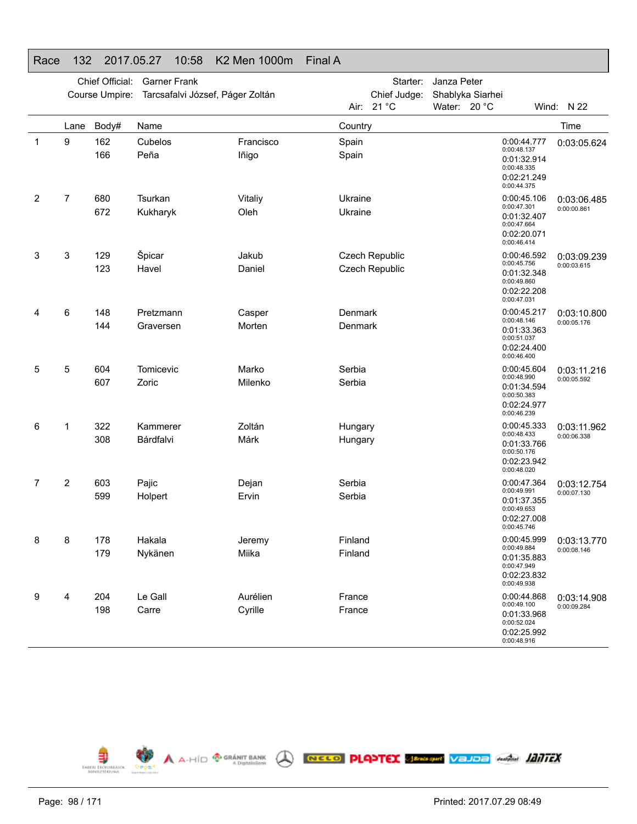|   |                | Chief Official:<br>Course Umpire: | <b>Garner Frank</b><br>Tarcsafalvi József, Páger Zoltán |                    |                | Starter:<br>Chief Judge: | Janza Peter<br>Shablyka Siarhei |                                                                                        |             |
|---|----------------|-----------------------------------|---------------------------------------------------------|--------------------|----------------|--------------------------|---------------------------------|----------------------------------------------------------------------------------------|-------------|
|   |                |                                   |                                                         |                    | Air:           | 21 °C                    | Water: 20 °C                    |                                                                                        | Wind: N 22  |
|   | Lane           | Body#                             | Name                                                    |                    | Country        |                          |                                 |                                                                                        | Time        |
| 1 | 9              | 162<br>166                        | Cubelos<br>Peña                                         | Francisco<br>lñigo | Spain<br>Spain |                          |                                 | 0:00:44.777<br>0:00:48.137<br>0:01:32.914<br>0:00:48.335<br>0:02:21.249<br>0:00:44.375 | 0:03:05.624 |
| 2 | $\overline{7}$ | 680                               | Tsurkan                                                 | Vitaliy            | Ukraine        |                          |                                 | 0:00:45.106<br>0:00:47.301                                                             | 0:03:06.485 |
|   |                | 672                               | Kukharyk                                                | Oleh               | Ukraine        |                          |                                 | 0:01:32.407<br>0:00:47.664<br>0:02:20.071<br>0:00:46.414                               | 0:00:00.861 |
| 3 | 3              | 129                               | Špicar                                                  | Jakub              |                | Czech Republic           |                                 | 0:00:46.592                                                                            | 0:03:09.239 |
|   |                | 123                               | Havel                                                   | Daniel             |                | Czech Republic           |                                 | 0:00:45.756<br>0:01:32.348<br>0:00:49.860<br>0:02:22.208<br>0:00:47.031                | 0:00:03.615 |
| 4 | 6              | 148                               | Pretzmann                                               | Casper             | Denmark        |                          |                                 | 0:00:45.217                                                                            | 0:03:10.800 |
|   |                | 144                               | Graversen                                               | Morten             | Denmark        |                          |                                 | 0:00:48.146<br>0:01:33.363<br>0:00:51.037<br>0:02:24.400<br>0:00:46.400                | 0:00:05.176 |
| 5 | 5              | 604                               | Tomicevic                                               | Marko              | Serbia         |                          |                                 | 0:00:45.604                                                                            | 0:03:11.216 |
|   |                | 607                               | Zoric                                                   | Milenko            | Serbia         |                          |                                 | 0:00:48.990<br>0:01:34.594<br>0:00:50.383<br>0:02:24.977<br>0:00:46.239                | 0:00:05.592 |
| 6 | 1              | 322                               | Kammerer                                                | Zoltán             | Hungary        |                          |                                 | 0:00:45.333<br>0:00:48.433                                                             | 0:03:11.962 |
|   |                | 308                               | Bárdfalvi                                               | Márk               | Hungary        |                          |                                 | 0:01:33.766<br>0:00:50.176<br>0:02:23.942<br>0:00:48.020                               | 0:00:06.338 |
| 7 | 2              | 603                               | Pajic                                                   | Dejan              | Serbia         |                          |                                 | 0:00:47.364<br>0:00:49.991                                                             | 0:03:12.754 |
|   |                | 599                               | Holpert                                                 | Ervin              | Serbia         |                          |                                 | 0:01:37.355<br>0:00:49.653<br>0:02:27.008<br>0:00:45.746                               | 0:00:07.130 |
| 8 | 8              | 178                               | Hakala                                                  | Jeremy             | Finland        |                          |                                 | 0:00:45.999                                                                            | 0:03:13.770 |
|   |                | 179                               | Nykänen                                                 | Miika              | Finland        |                          |                                 | 0:00:49.884<br>0:01:35.883<br>0:00:47.949<br>0:02:23.832<br>0:00:49.938                | 0:00:08.146 |
| 9 | 4              | 204                               | Le Gall                                                 | Aurélien           | France         |                          |                                 | 0:00:44.868                                                                            | 0:03:14.908 |
|   |                | 198                               | Carre                                                   | Cyrille            | France         |                          |                                 | 0:00:49.100<br>0:01:33.968<br>0:00:52.024<br>0:02:25.992<br>0:00:48.916                | 0:00:09.284 |

A A-HÍD <sup>®</sup> GRÁNIT BANK A **RECO PLANTEX SERGANY VELIDE** ANGEL **LANTEX** 

# Race 132 2017.05.27 10:58 K2 Men 1000m Final A



EMBER ERŐFORRÁSOK<br>MINISZTÉRIUMA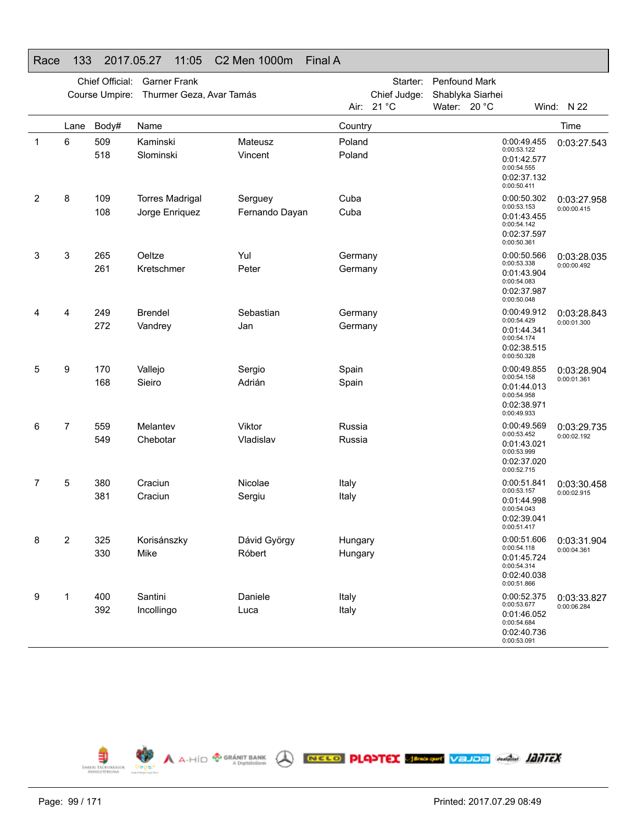| nace | טטו            | 2017.00.27      | U. U. 11                 | UZ IVICII TUUUIT | Filial A |              |                  |                                                                         |                            |
|------|----------------|-----------------|--------------------------|------------------|----------|--------------|------------------|-------------------------------------------------------------------------|----------------------------|
|      |                | Chief Official: | <b>Garner Frank</b>      |                  |          | Starter:     | Penfound Mark    |                                                                         |                            |
|      |                | Course Umpire:  | Thurmer Geza, Avar Tamás |                  |          | Chief Judge: | Shablyka Siarhei |                                                                         |                            |
|      |                |                 |                          |                  |          | Air: 21 °C   | Water: 20 °C     |                                                                         | Wind: N 22                 |
|      | Lane           | Body#           | Name                     |                  | Country  |              |                  |                                                                         | Time                       |
| 1    | 6              | 509             | Kaminski                 | Mateusz          | Poland   |              |                  | 0:00:49.455<br>0:00:53.122                                              | 0:03:27.543                |
|      |                | 518             | Slominski                | Vincent          | Poland   |              |                  | 0:01:42.577<br>0:00:54.555<br>0:02:37.132<br>0:00:50.411                |                            |
| 2    | 8              | 109             | <b>Torres Madrigal</b>   | Serguey          | Cuba     |              |                  | 0:00:50.302                                                             | 0:03:27.958                |
|      |                | 108             | Jorge Enriquez           | Fernando Dayan   | Cuba     |              |                  | 0:00:53.153<br>0:01:43.455<br>0:00:54.142<br>0:02:37.597<br>0:00:50.361 | 0:00:00.415                |
| 3    | 3              | 265             | Oeltze                   | Yul              | Germany  |              |                  | 0:00:50.566<br>0:00:53.338                                              | 0:03:28.035                |
|      |                | 261             | Kretschmer               | Peter            | Germany  |              |                  | 0:01:43.904<br>0:00:54.083<br>0:02:37.987<br>0:00:50.048                | 0:00:00.492                |
| 4    | 4              | 249             | <b>Brendel</b>           | Sebastian        | Germany  |              |                  | 0:00:49.912                                                             | 0:03:28.843                |
|      |                | 272             | Vandrey                  | Jan              | Germany  |              |                  | 0:00:54.429<br>0:01:44.341                                              | 0:00:01.300                |
|      |                |                 |                          |                  |          |              |                  | 0:00:54.174<br>0:02:38.515<br>0:00:50.328                               |                            |
| 5    | 9              | 170             | Vallejo                  | Sergio           | Spain    |              |                  | 0:00:49.855<br>0:00:54.158                                              | 0:03:28.904<br>0:00:01.361 |
|      |                | 168             | Sieiro                   | Adrián           | Spain    |              |                  | 0:01:44.013<br>0:00:54.958<br>0:02:38.971<br>0:00:49.933                |                            |
| 6    | $\overline{7}$ | 559             | Melantev                 | Viktor           | Russia   |              |                  | 0:00:49.569<br>0:00:53.452                                              | 0:03:29.735                |
|      |                | 549             | Chebotar                 | Vladislav        | Russia   |              |                  | 0:01:43.021<br>0:00:53.999<br>0:02:37.020<br>0:00:52.715                | 0:00:02.192                |
| 7    | 5              | 380             | Craciun                  | Nicolae          | Italy    |              |                  | 0:00:51.841<br>0:00:53.157                                              | 0:03:30.458                |
|      |                | 381             | Craciun                  | Sergiu           | Italy    |              |                  | 0:01:44.998<br>0:00:54.043<br>0:02:39.041<br>0:00:51.417                | 0:00:02.915                |
| 8    | 2              | 325             | Korisánszky              | Dávid György     | Hungary  |              |                  | 0:00:51.606<br>0:00:54.118                                              | 0:03:31.904                |
|      |                | 330             | Mike                     | Róbert           | Hungary  |              |                  | 0:01:45.724<br>0:00:54.314<br>0:02:40.038<br>0:00:51.866                | 0:00:04.361                |
| 9    | 1              | 400             | Santini                  | Daniele          | Italy    |              |                  | 0:00:52.375                                                             | 0:03:33.827                |
|      |                | 392             | Incollingo               | Luca             | Italy    |              |                  | 0:00:53.677<br>0:01:46.052<br>0:00:54.684<br>0:02:40.736<br>0:00:53.091 | 0:00:06.284                |

**ED A A-HÍD GRÁNIT BANK** A **RELO PLANTEX SERVIÇAN** VELDE GALU **LANTEX** 

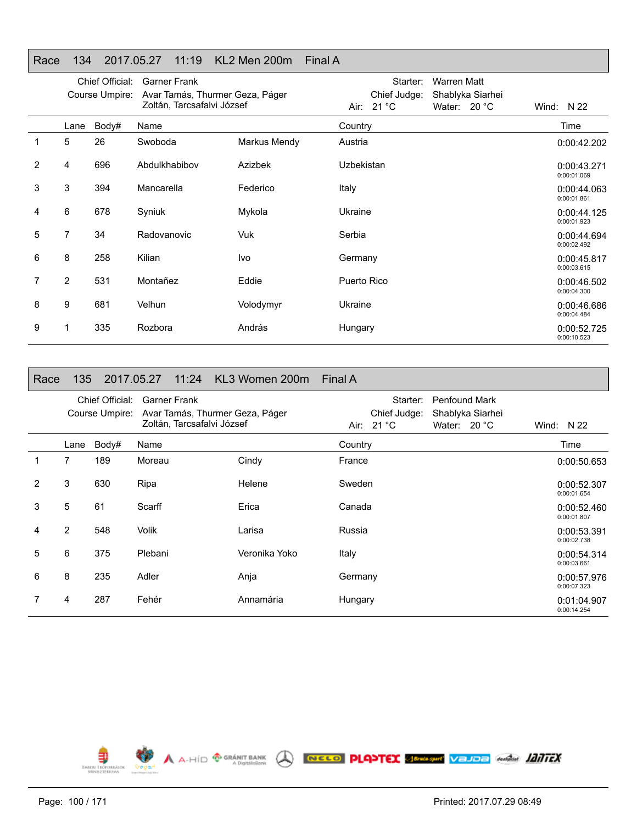## Race 134 2017.05.27 11:19 KL2 Men 200m Final A

|                |      | Chief Official: | <b>Garner Frank</b>             |              | Starter:     | <b>Warren Matt</b>         |                            |
|----------------|------|-----------------|---------------------------------|--------------|--------------|----------------------------|----------------------------|
|                |      | Course Umpire:  | Avar Tamás, Thurmer Geza, Páger |              | Chief Judge: | Shablyka Siarhei           |                            |
|                |      |                 | Zoltán, Tarcsafalvi József      |              | Air: 21 °C   | Water: 20 °C               | Wind: $N$ 22               |
|                | Lane | Body#           | Name                            |              | Country      |                            | Time                       |
|                | 5    | 26              | Swoboda                         | Markus Mendy | Austria      |                            | 0:00:42.202                |
| $\overline{2}$ | 4    | 696             | Abdulkhabibov                   | Azizbek      | Uzbekistan   |                            | 0:00:43.271<br>0:00:01.069 |
| 3              | 3    | 394             | Mancarella                      | Federico     | Italy        |                            | 0:00:44.063<br>0:00:01.861 |
| 4              | 6    | 678             | Syniuk                          | Mykola       | Ukraine      | 0:00:44.125<br>0:00:01.923 |                            |
| 5              | 7    | 34              | Radovanovic                     | Vuk          | Serbia       |                            | 0:00:44.694<br>0:00:02.492 |
| 6              | 8    | 258             | Kilian                          | Ivo          | Germany      |                            | 0:00:45.817<br>0:00:03.615 |
| 7              | 2    | 531             | Montañez                        | Eddie        | Puerto Rico  |                            | 0:00:46.502<br>0:00:04.300 |
| 8              | 9    | 681             | Velhun                          | Volodymyr    | Ukraine      |                            | 0:00:46.686<br>0:00:04.484 |
| 9              |      | 335             | Rozbora                         | András       | Hungary      |                            | 0:00:52.725<br>0:00:10.523 |

#### Race 135 2017.05.27 11:24 KL3 Women 200m Final A

|   |                | Chief Official:<br>Course Umpire: | <b>Garner Frank</b><br>Avar Tamás, Thurmer Geza, Páger<br>Zoltán, Tarcsafalvi József |               | Penfound Mark<br>Starter:<br>Chief Judge:<br>Shablyka Siarhei<br>Air: $21 °C$<br>Water: $20^{\circ}$ C | Wind: $N$ 22               |
|---|----------------|-----------------------------------|--------------------------------------------------------------------------------------|---------------|--------------------------------------------------------------------------------------------------------|----------------------------|
|   | Lane           | Body#                             | Name                                                                                 |               | Country                                                                                                | Time                       |
| 1 | 7              | 189                               | Moreau                                                                               | Cindy         | France                                                                                                 | 0:00:50.653                |
| 2 | 3              | 630                               | Ripa                                                                                 | Helene        | Sweden                                                                                                 | 0:00:52.307<br>0:00:01.654 |
| 3 | 5              | 61                                | Scarff                                                                               | Erica         | Canada                                                                                                 | 0:00:52.460<br>0:00:01.807 |
| 4 | $\overline{2}$ | 548                               | <b>Volik</b>                                                                         | Larisa        | Russia                                                                                                 | 0:00:53.391<br>0:00:02.738 |
| 5 | 6              | 375                               | Plebani                                                                              | Veronika Yoko | Italy                                                                                                  | 0:00:54.314<br>0:00:03.661 |
| 6 | 8              | 235                               | Adler                                                                                | Anja          | Germany                                                                                                | 0:00:57.976<br>0:00:07.323 |
|   | 4              | 287                               | Fehér                                                                                | Annamária     | Hungary                                                                                                | 0:01:04.907<br>0:00:14.254 |

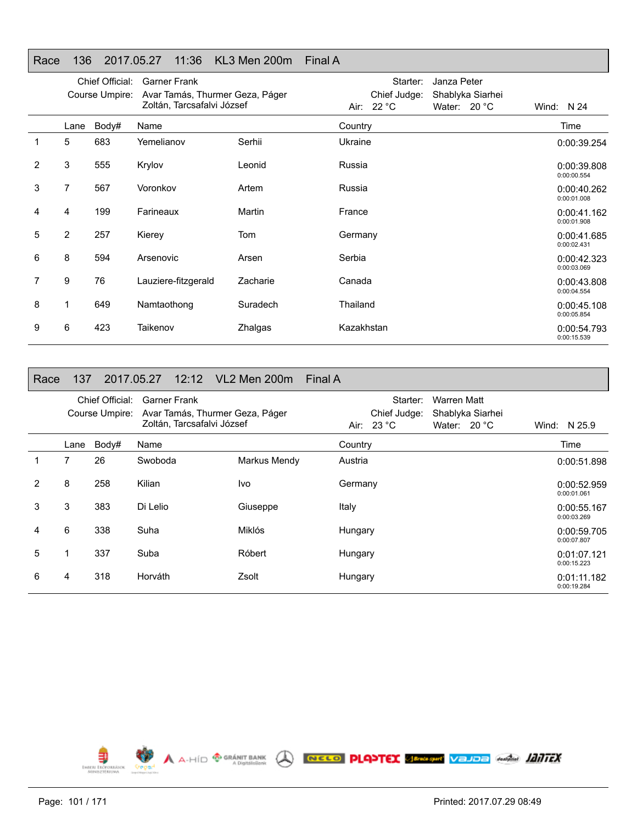## Race 136 2017.05.27 11:36 KL3 Men 200m Final A

|   |                | Chief Official: | <b>Garner Frank</b>             |          | Janza Peter<br>Starter:          |                            |
|---|----------------|-----------------|---------------------------------|----------|----------------------------------|----------------------------|
|   |                | Course Umpire:  | Avar Tamás, Thurmer Geza, Páger |          | Chief Judge:<br>Shablyka Siarhei |                            |
|   |                |                 | Zoltán, Tarcsafalvi József      |          | Air: 22 °C<br>Water: $20 °C$     | Wind: $N$ 24               |
|   | Lane           | Body#           | Name                            |          | Country                          | Time                       |
|   | 5              | 683             | Yemelianov                      | Serhii   | Ukraine                          | 0:00:39.254                |
| 2 | 3              | 555             | Krylov                          | Leonid   | Russia                           | 0:00:39.808<br>0:00:00.554 |
| 3 | 7              | 567             | Voronkov                        | Artem    | Russia                           | 0:00:40.262<br>0:00:01.008 |
| 4 | 4              | 199             | Farineaux                       | Martin   | France                           | 0:00:41.162<br>0:00:01.908 |
| 5 | $\overline{2}$ | 257             | Kierey                          | Tom      | Germany                          | 0:00:41.685<br>0:00:02.431 |
| 6 | 8              | 594             | Arsenovic                       | Arsen    | Serbia                           | 0:00:42.323<br>0:00:03.069 |
| 7 | 9              | 76              | Lauziere-fitzgerald             | Zacharie | Canada                           | 0:00:43.808<br>0:00:04.554 |
| 8 | 1              | 649             | Namtaothong                     | Suradech | Thailand                         | 0:00:45.108<br>0:00:05.854 |
| 9 | 6              | 423             | Taikenov                        | Zhalgas  | Kazakhstan                       | 0:00:54.793<br>0:00:15.539 |

#### Race 137 2017.05.27 12:12 VL2 Men 200m Final A

|   |      | Chief Official:<br>Course Umpire: | <b>Garner Frank</b><br>Avar Tamás, Thurmer Geza, Páger<br>Zoltán, Tarcsafalvi József |              | Starter:<br>Warren Matt<br>Chief Judge:<br>Shablyka Siarhei<br>Air: $23 °C$<br>Water: $20 °C$ | Wind: N 25.9               |
|---|------|-----------------------------------|--------------------------------------------------------------------------------------|--------------|-----------------------------------------------------------------------------------------------|----------------------------|
|   | Lane | Body#                             | Name                                                                                 |              | Country                                                                                       | Time                       |
|   | 7    | 26                                | Swoboda                                                                              | Markus Mendy | Austria                                                                                       | 0:00:51.898                |
| 2 | 8    | 258                               | Kilian                                                                               | Ivo          | Germany                                                                                       | 0:00:52.959<br>0:00:01.061 |
| 3 | 3    | 383                               | Di Lelio                                                                             | Giuseppe     | Italy                                                                                         | 0:00:55.167<br>0:00:03.269 |
| 4 | 6    | 338                               | Suha                                                                                 | Miklós       | Hungary                                                                                       | 0:00:59.705<br>0:00:07.807 |
| 5 | 1    | 337                               | Suba                                                                                 | Róbert       | Hungary                                                                                       | 0:01:07.121<br>0:00:15.223 |
| 6 | 4    | 318                               | Horváth                                                                              | Zsolt        | Hungary                                                                                       | 0:01:11.182<br>0:00:19.284 |

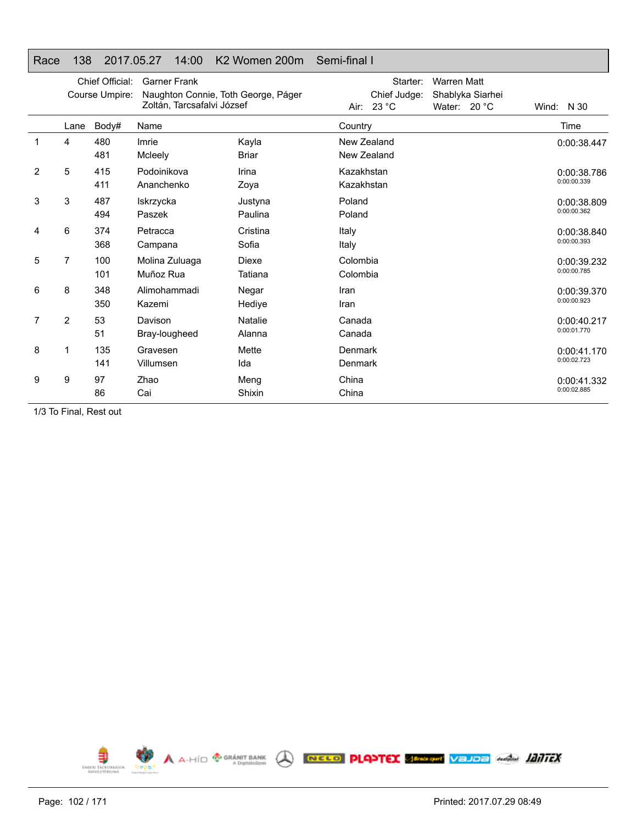## Race 138 2017.05.27 14:00 K2 Women 200m Semi-final I

|   |                | Chief Official:<br>Course Umpire: | <b>Garner Frank</b><br>Naughton Connie, Toth George, Páger<br>Zoltán, Tarcsafalvi József |                         | Starter:<br>Chief Judge:<br>23 °C<br>Air: | <b>Warren Matt</b><br>Shablyka Siarhei<br>Water: $20 °C$ | Wind: N 30                 |
|---|----------------|-----------------------------------|------------------------------------------------------------------------------------------|-------------------------|-------------------------------------------|----------------------------------------------------------|----------------------------|
|   | Lane           | Body#                             | Name                                                                                     |                         | Country                                   |                                                          | Time                       |
|   | 4              | 480<br>481                        | Imrie<br>Mcleely                                                                         | Kayla<br><b>Briar</b>   | New Zealand<br>New Zealand                |                                                          | 0:00:38.447                |
| 2 | 5              | 415<br>411                        | Podoinikova<br>Ananchenko                                                                | Irina<br>Zoya           | Kazakhstan<br>Kazakhstan                  |                                                          | 0:00:38.786<br>0:00:00.339 |
| 3 | 3              | 487<br>494                        | Iskrzycka<br>Paszek                                                                      | Justyna<br>Paulina      | Poland<br>Poland                          |                                                          | 0:00:38.809<br>0:00:00.362 |
| 4 | 6              | 374<br>368                        | Petracca<br>Campana                                                                      | Cristina<br>Sofia       | Italy<br>Italy                            |                                                          | 0:00:38.840<br>0:00:00.393 |
| 5 | $\overline{7}$ | 100<br>101                        | Molina Zuluaga<br>Muñoz Rua                                                              | <b>Diexe</b><br>Tatiana | Colombia<br>Colombia                      |                                                          | 0:00:39.232<br>0:00:00.785 |
| 6 | 8              | 348<br>350                        | Alimohammadi<br>Kazemi                                                                   | Negar<br>Hedive         | Iran<br>Iran                              |                                                          | 0:00:39.370<br>0:00:00.923 |
| 7 | $\overline{2}$ | 53<br>51                          | Davison<br>Bray-lougheed                                                                 | Natalie<br>Alanna       | Canada<br>Canada                          |                                                          | 0:00:40.217<br>0:00:01.770 |
| 8 |                | 135<br>141                        | Gravesen<br>Villumsen                                                                    | Mette<br>Ida            | Denmark<br>Denmark                        |                                                          | 0:00:41.170<br>0:00:02.723 |
| 9 | 9              | 97<br>86                          | Zhao<br>Cai                                                                              | Meng<br>Shixin          | China<br>China                            |                                                          | 0:00:41.332<br>0:00:02.885 |

1/3 To Final, Rest out

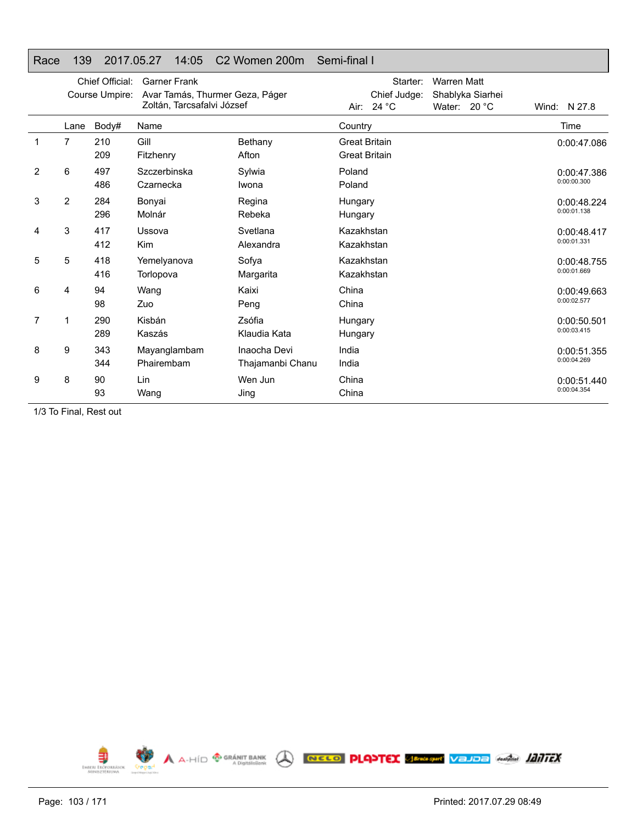## Race 139 2017.05.27 14:05 C2 Women 200m Semi-final I

|   |      | Chief Official:<br>Course Umpire: | <b>Garner Frank</b><br>Avar Tamás, Thurmer Geza, Páger<br>Zoltán, Tarcsafalvi József |                                  | Starter:<br><b>Warren Matt</b><br>Chief Judge:<br>Shablyka Siarhei<br>Air: $24 °C$<br>Water: $20 °C$ | Wind: N 27.8               |
|---|------|-----------------------------------|--------------------------------------------------------------------------------------|----------------------------------|------------------------------------------------------------------------------------------------------|----------------------------|
|   | Lane | Body#                             | Name                                                                                 |                                  | Country                                                                                              | Time                       |
| 1 | 7    | 210<br>209                        | Gill<br>Fitzhenry                                                                    | Bethany<br>Afton                 | <b>Great Britain</b><br><b>Great Britain</b>                                                         | 0:00:47.086                |
| 2 | 6    | 497<br>486                        | Szczerbinska<br>Czarnecka                                                            | Sylwia<br>Iwona                  | Poland<br>Poland                                                                                     | 0:00:47.386<br>0:00:00.300 |
| 3 | 2    | 284<br>296                        | Bonyai<br>Molnár                                                                     | Regina<br>Rebeka                 | Hungary<br>Hungary                                                                                   | 0:00:48.224<br>0:00:01.138 |
| 4 | 3    | 417<br>412                        | Ussova<br>Kim                                                                        | Svetlana<br>Alexandra            | Kazakhstan<br>Kazakhstan                                                                             | 0:00:48.417<br>0:00:01.331 |
| 5 | 5    | 418<br>416                        | Yemelyanova<br>Torlopova                                                             | Sofya<br>Margarita               | Kazakhstan<br>Kazakhstan                                                                             | 0:00:48.755<br>0:00:01.669 |
| 6 | 4    | 94<br>98                          | Wang<br>Zuo                                                                          | Kaixi<br>Peng                    | China<br>China                                                                                       | 0:00:49.663<br>0:00:02.577 |
| 7 | 1    | 290<br>289                        | Kisbán<br>Kaszás                                                                     | Zsófia<br>Klaudia Kata           | Hungary<br>Hungary                                                                                   | 0:00:50.501<br>0:00:03.415 |
| 8 | 9    | 343<br>344                        | Mayanglambam<br>Phairembam                                                           | Inaocha Devi<br>Thajamanbi Chanu | India<br>India                                                                                       | 0:00:51.355<br>0:00:04.269 |
| 9 | 8    | 90<br>93                          | Lin<br>Wang                                                                          | Wen Jun<br>Jing                  | China<br>China                                                                                       | 0:00:51.440<br>0:00:04.354 |

1/3 To Final, Rest out

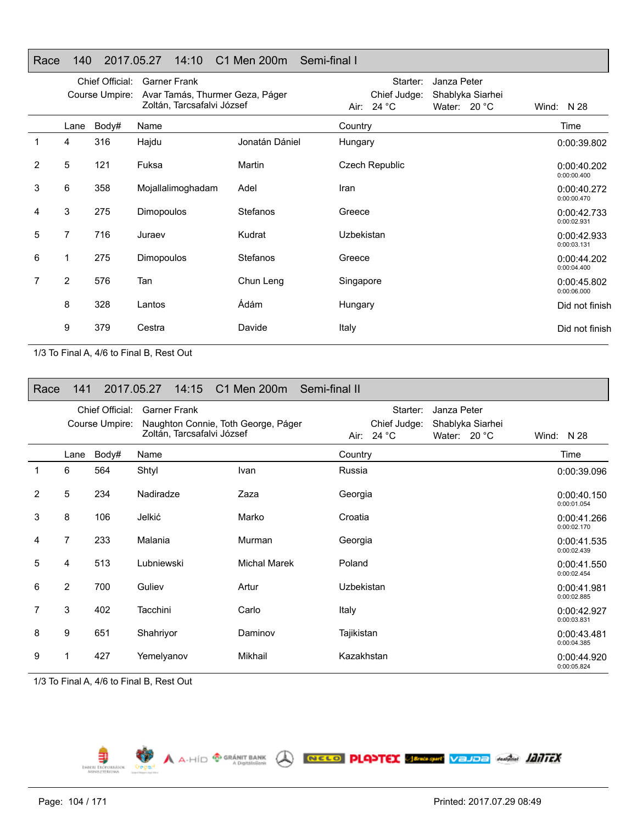## Race 140 2017.05.27 14:10 C1 Men 200m Semi-final I

|                |                | Chief Official:<br>Course Umpire: | <b>Garner Frank</b><br>Avar Tamás, Thurmer Geza, Páger<br>Zoltán, Tarcsafalvi József |                | Starter:<br>Janza Peter<br>Chief Judge:<br>Shablyka Siarhei<br>Air: 24 °C<br>Water: 20 °C | Wind: $N$ 28               |
|----------------|----------------|-----------------------------------|--------------------------------------------------------------------------------------|----------------|-------------------------------------------------------------------------------------------|----------------------------|
|                | Lane           | Body#                             | Name                                                                                 |                | Country                                                                                   | Time                       |
|                | 4              | 316                               | Hajdu                                                                                | Jonatán Dániel | Hungary                                                                                   | 0:00:39.802                |
| $\overline{2}$ | 5              | 121                               | Fuksa                                                                                | Martin         | <b>Czech Republic</b>                                                                     | 0:00:40.202<br>0:00:00.400 |
| 3              | 6              | 358                               | Mojallalimoghadam                                                                    | Adel           | Iran                                                                                      | 0:00:40.272<br>0:00:00.470 |
| 4              | 3              | 275                               | Dimopoulos                                                                           | Stefanos       | Greece                                                                                    | 0:00:42.733<br>0:00:02.931 |
| 5              | 7              | 716                               | Juraev                                                                               | Kudrat         | Uzbekistan                                                                                | 0:00:42.933<br>0:00:03.131 |
| 6              |                | 275                               | Dimopoulos                                                                           | Stefanos       | Greece                                                                                    | 0:00:44.202<br>0:00:04.400 |
| 7              | $\overline{2}$ | 576                               | Tan                                                                                  | Chun Leng      | Singapore                                                                                 | 0:00:45.802<br>0:00:06.000 |
|                | 8              | 328                               | Lantos                                                                               | Ádám           | Hungary                                                                                   | Did not finish             |
|                | 9              | 379                               | Cestra                                                                               | Davide         | Italy                                                                                     | Did not finish             |

1/3 To Final A, 4/6 to Final B, Rest Out

| Race | 141            |                                   | 2017.05.27                                                                               | 14:15 C1 Men 200m Semi-final II |            |                                             |                             |                  |                            |
|------|----------------|-----------------------------------|------------------------------------------------------------------------------------------|---------------------------------|------------|---------------------------------------------|-----------------------------|------------------|----------------------------|
|      |                | Chief Official:<br>Course Umpire: | <b>Garner Frank</b><br>Naughton Connie, Toth George, Páger<br>Zoltán, Tarcsafalvi József |                                 | Air:       | Starter:<br>Chief Judge:<br>24 $^{\circ}$ C | Janza Peter<br>Water: 20 °C | Shablyka Siarhei | Wind: N 28                 |
|      | Lane           | Body#                             | Name                                                                                     |                                 | Country    |                                             |                             |                  | Time                       |
|      | 6              | 564                               | Shtyl                                                                                    | Ivan                            | Russia     |                                             |                             |                  | 0:00:39.096                |
| 2    | 5              | 234                               | Nadiradze                                                                                | Zaza                            | Georgia    |                                             |                             |                  | 0:00:40.150<br>0:00:01.054 |
| 3    | 8              | 106                               | Jelkić                                                                                   | Marko                           | Croatia    |                                             |                             |                  | 0:00:41.266<br>0:00:02.170 |
| 4    | $\overline{7}$ | 233                               | Malania                                                                                  | Murman                          | Georgia    |                                             |                             |                  | 0:00:41.535<br>0:00:02.439 |
| 5    | 4              | 513                               | Lubniewski                                                                               | <b>Michal Marek</b>             | Poland     |                                             |                             |                  | 0:00:41.550<br>0:00:02.454 |
| 6    | $\overline{2}$ | 700                               | Guliev                                                                                   | Artur                           | Uzbekistan |                                             |                             |                  | 0:00:41.981<br>0:00:02.885 |
| 7    | 3              | 402                               | Tacchini                                                                                 | Carlo                           | Italy      |                                             |                             |                  | 0:00:42.927<br>0:00:03.831 |
| 8    | 9              | 651                               | Shahriyor                                                                                | Daminov                         | Tajikistan |                                             |                             |                  | 0:00:43.481<br>0:00:04.385 |
| 9    |                | 427                               | Yemelyanov                                                                               | Mikhail                         | Kazakhstan |                                             |                             |                  | 0:00:44.920<br>0:00:05.824 |

1/3 To Final A, 4/6 to Final B, Rest Out

⋾ EMBERL ERÖR

A A-HÍD <sup>@ GRÁNIT BANK</sup> A RECO PLANTEX SPRAGHT VEJDE Anglie 1117FX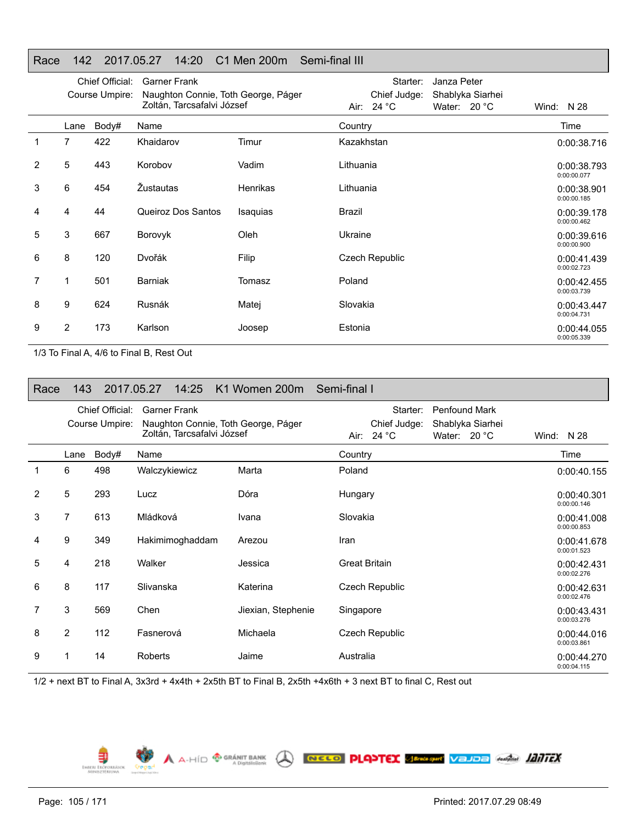## Race 142 2017.05.27 14:20 C1 Men 200m Semi-final III

|   |      | Chief Official:<br>Course Umpire: | <b>Garner Frank</b><br>Naughton Connie, Toth George, Páger |          | Janza Peter<br>Starter:<br>Chief Judge:<br>Shablyka Siarhei |                            |
|---|------|-----------------------------------|------------------------------------------------------------|----------|-------------------------------------------------------------|----------------------------|
|   |      |                                   | Zoltán, Tarcsafalvi József                                 |          | Air: 24 °C<br>Water: 20 °C                                  | Wind: $N$ 28               |
|   | Lane | Body#                             | Name                                                       |          | Country                                                     | Time                       |
| 1 | 7    | 422                               | Khaidarov                                                  | Timur    | Kazakhstan                                                  | 0:00:38.716                |
| 2 | 5    | 443                               | Korobov                                                    | Vadim    | Lithuania                                                   | 0:00:38.793<br>0:00:00.077 |
| 3 | 6    | 454                               | Žustautas                                                  | Henrikas | Lithuania                                                   | 0:00:38.901<br>0:00:00.185 |
| 4 | 4    | 44                                | Queiroz Dos Santos                                         | Isaquias | <b>Brazil</b>                                               | 0:00:39.178<br>0:00:00.462 |
| 5 | 3    | 667                               | Borovyk                                                    | Oleh     | Ukraine                                                     | 0:00:39.616<br>0:00:00.900 |
| 6 | 8    | 120                               | Dvořák                                                     | Filip    | Czech Republic                                              | 0:00:41.439<br>0:00:02.723 |
| 7 | 1    | 501                               | <b>Barniak</b>                                             | Tomasz   | Poland                                                      | 0:00:42.455<br>0:00:03.739 |
| 8 | 9    | 624                               | Rusnák                                                     | Matej    | Slovakia                                                    | 0:00:43.447<br>0:00:04.731 |
| 9 | 2    | 173                               | Karlson                                                    | Joosep   | Estonia                                                     | 0:00:44.055<br>0:00:05.339 |

1/3 To Final A, 4/6 to Final B, Rest Out

| Race           | 143  |                                   | 2017.05.27          | 14:25           | K1 Women 200m Semi-final I                                        |                      |                                          |                                               |                  |                            |
|----------------|------|-----------------------------------|---------------------|-----------------|-------------------------------------------------------------------|----------------------|------------------------------------------|-----------------------------------------------|------------------|----------------------------|
|                |      | Chief Official:<br>Course Umpire: | <b>Garner Frank</b> |                 | Naughton Connie, Toth George, Páger<br>Zoltán, Tarcsafalvi József |                      | Starter:<br>Chief Judge:<br>Air: $24 °C$ | <b>Penfound Mark</b><br>Water: $20^{\circ}$ C | Shablyka Siarhei | Wind: $N$ 28               |
|                | Lane | Body#                             | Name                |                 |                                                                   | Country              |                                          |                                               |                  | Time                       |
| 1              | 6    | 498                               | Walczykiewicz       |                 | Marta                                                             | Poland               |                                          |                                               |                  | 0:00:40.155                |
| $\overline{2}$ | 5    | 293                               | Lucz                |                 | Dóra                                                              | Hungary              |                                          |                                               |                  | 0:00:40.301<br>0:00:00.146 |
| 3              | 7    | 613                               | Mládková            |                 | Ivana                                                             | Slovakia             |                                          |                                               |                  | 0:00:41.008<br>0:00:00.853 |
| 4              | 9    | 349                               |                     | Hakimimoghaddam | Arezou                                                            | Iran                 |                                          |                                               |                  | 0:00:41.678<br>0:00:01.523 |
| 5              | 4    | 218                               | Walker              |                 | Jessica                                                           | <b>Great Britain</b> |                                          |                                               |                  | 0:00:42.431<br>0:00:02.276 |
| 6              | 8    | 117                               | Slivanska           |                 | Katerina                                                          |                      | Czech Republic                           |                                               |                  | 0:00:42.631<br>0:00:02.476 |
| 7              | 3    | 569                               | Chen                |                 | Jiexian, Stephenie                                                | Singapore            |                                          |                                               |                  | 0:00:43.431<br>0:00:03.276 |
| 8              | 2    | 112                               | Fasnerová           |                 | Michaela                                                          |                      | Czech Republic                           |                                               |                  | 0:00:44.016<br>0:00:03.861 |
| 9              |      | 14                                | <b>Roberts</b>      |                 | Jaime                                                             | Australia            |                                          |                                               |                  | 0:00:44.270<br>0:00:04.115 |

A A-HÍD <sup>@ GRÁNIT BANK</sup> A RECO PLOPTEX SERGANY VELOR ANGEL **1017EX** 

1/2 + next BT to Final A, 3x3rd + 4x4th + 2x5th BT to Final B, 2x5th +4x6th + 3 next BT to final C, Rest out

Page: 105 / 171

⋾ EMBERL ERO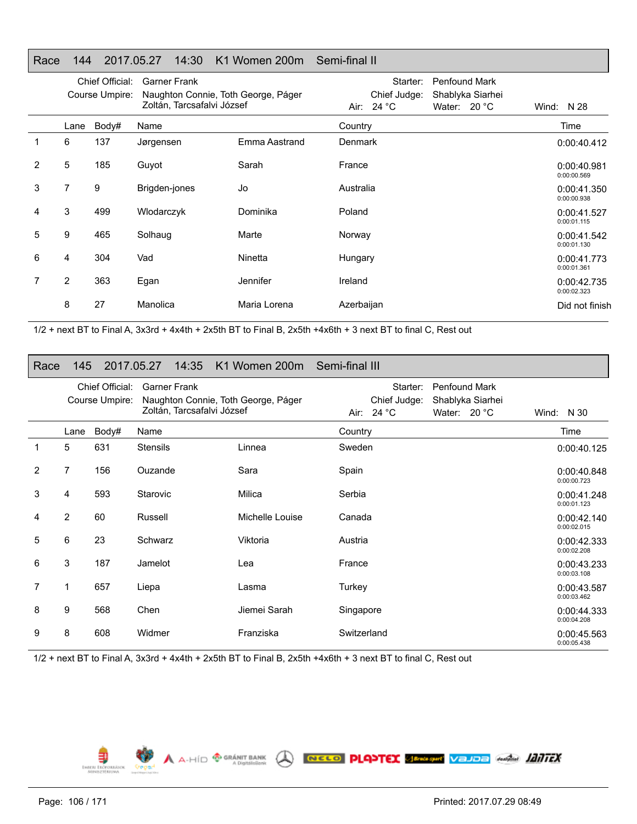## Race 144 2017.05.27 14:30 K1 Women 200m Semi-final II

|   | Chief Official:<br>Course Umpire: |       | <b>Garner Frank</b><br>Naughton Connie, Toth George, Páger<br>Zoltán, Tarcsafalvi József |               | Starter:<br>Chief Judge:<br>Air: $24 °C$ | <b>Penfound Mark</b><br>Shablyka Siarhei<br>Water: $20^{\circ}$ C | Wind: $N$ 28               |
|---|-----------------------------------|-------|------------------------------------------------------------------------------------------|---------------|------------------------------------------|-------------------------------------------------------------------|----------------------------|
|   | Lane                              | Body# | Name                                                                                     |               | Country                                  |                                                                   | Time                       |
|   | 6                                 | 137   | Jørgensen                                                                                | Emma Aastrand | Denmark                                  |                                                                   | 0:00:40.412                |
| 2 | 5                                 | 185   | Guyot                                                                                    | Sarah         | France                                   |                                                                   | 0:00:40.981<br>0:00:00.569 |
| 3 | 7                                 | 9     | Brigden-jones                                                                            | Jo            | Australia                                |                                                                   | 0:00:41.350<br>0:00:00.938 |
| 4 | 3                                 | 499   | Wlodarczyk                                                                               | Dominika      | Poland                                   |                                                                   | 0:00:41.527<br>0:00:01.115 |
| 5 | 9                                 | 465   | Solhaug                                                                                  | Marte         | Norway                                   |                                                                   | 0:00:41.542<br>0:00:01.130 |
| 6 | 4                                 | 304   | Vad                                                                                      | Ninetta       | Hungary                                  |                                                                   | 0:00:41.773<br>0:00:01.361 |
| 7 | $\overline{2}$                    | 363   | Egan                                                                                     | Jennifer      | Ireland                                  |                                                                   | 0:00:42.735<br>0:00:02.323 |
|   | 8                                 | 27    | Manolica                                                                                 | Maria Lorena  | Azerbaijan                               |                                                                   | Did not finish             |

1/2 + next BT to Final A, 3x3rd + 4x4th + 2x5th BT to Final B, 2x5th +4x6th + 3 next BT to final C, Rest out

#### Race 145 2017.05.27 14:35 K1 Women 200m Semi-final III

|                | Chief Official:<br>Course Umpire: |       | <b>Garner Frank</b><br>Naughton Connie, Toth George, Páger<br>Zoltán, Tarcsafalvi József |                 | Starter:<br><b>Penfound Mark</b><br>Chief Judge:<br>Shablyka Siarhei<br>Air: $24 °C$<br>Water: 20 °C | Wind: $N30$                |
|----------------|-----------------------------------|-------|------------------------------------------------------------------------------------------|-----------------|------------------------------------------------------------------------------------------------------|----------------------------|
|                | Lane                              | Body# | Name                                                                                     |                 | Country                                                                                              | Time                       |
|                | 5                                 | 631   | <b>Stensils</b>                                                                          | Linnea          | Sweden                                                                                               | 0:00:40.125                |
| $\overline{2}$ | $\overline{7}$                    | 156   | Ouzande                                                                                  | Sara            | Spain                                                                                                | 0:00:40.848<br>0:00:00.723 |
| 3              | 4                                 | 593   | Starovic                                                                                 | Milica          | Serbia                                                                                               | 0:00:41.248<br>0:00:01.123 |
| 4              | $\overline{2}$                    | 60    | Russell                                                                                  | Michelle Louise | Canada                                                                                               | 0:00:42.140<br>0:00:02.015 |
| 5              | 6                                 | 23    | Schwarz                                                                                  | Viktoria        | Austria                                                                                              | 0:00:42.333<br>0:00:02.208 |
| 6              | 3                                 | 187   | Jamelot                                                                                  | Lea             | France                                                                                               | 0:00:43.233<br>0:00:03.108 |
| 7              | $\mathbf{1}$                      | 657   | Liepa                                                                                    | Lasma           | Turkey                                                                                               | 0:00:43.587<br>0:00:03.462 |
| 8              | 9                                 | 568   | Chen                                                                                     | Jiemei Sarah    | Singapore                                                                                            | 0:00:44.333<br>0:00:04.208 |
| 9              | 8                                 | 608   | Widmer                                                                                   | Franziska       | Switzerland                                                                                          | 0:00:45.563<br>0:00:05.438 |

A A-HID <sup>®</sup> GRÁNIT BANK **O NELO PLANTEX SERASTIC VEJDE Anglia 1217FX** 

1/2 + next BT to Final A, 3x3rd + 4x4th + 2x5th BT to Final B, 2x5th +4x6th + 3 next BT to final C, Rest out



EMBERL ER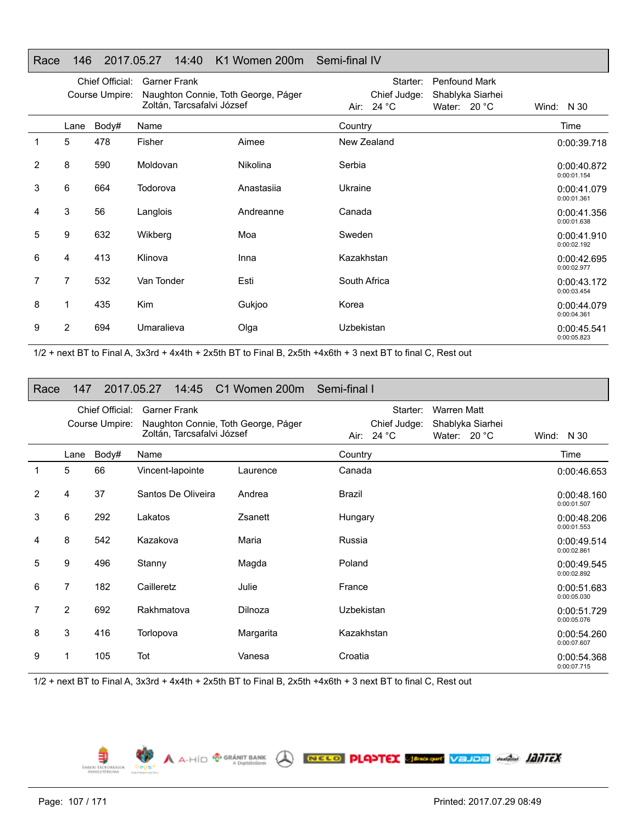## Race 146 2017.05.27 14:40 K1 Women 200m Semi-final IV

|   | Course Umpire: |       | Chief Official:<br><b>Garner Frank</b><br>Naughton Connie, Toth George, Páger<br>Zoltán, Tarcsafalvi József |                 | Penfound Mark<br>Starter:                                      |                            |
|---|----------------|-------|-------------------------------------------------------------------------------------------------------------|-----------------|----------------------------------------------------------------|----------------------------|
|   |                |       |                                                                                                             |                 | Chief Judge:<br>Shablyka Siarhei<br>Air: 24 °C<br>Water: 20 °C | Wind: $N30$                |
|   | Lane           | Body# | Name                                                                                                        |                 | Country                                                        | Time                       |
|   | 5              | 478   | Fisher                                                                                                      | Aimee           | New Zealand                                                    | 0:00:39.718                |
| 2 | 8              | 590   | Moldovan                                                                                                    | <b>Nikolina</b> | Serbia                                                         | 0:00:40.872<br>0:00:01.154 |
| 3 | 6              | 664   | Todorova                                                                                                    | Anastasija      | Ukraine                                                        | 0:00:41.079<br>0:00:01.361 |
| 4 | 3              | 56    | Langlois                                                                                                    | Andreanne       | Canada                                                         | 0:00:41.356<br>0:00:01.638 |
| 5 | 9              | 632   | Wikberg                                                                                                     | Moa             | Sweden                                                         | 0:00:41.910<br>0:00:02.192 |
| 6 | 4              | 413   | Klinova                                                                                                     | Inna            | Kazakhstan                                                     | 0:00:42.695<br>0:00:02.977 |
| 7 | 7              | 532   | Van Tonder                                                                                                  | Esti            | South Africa                                                   | 0:00:43.172<br>0:00:03.454 |
| 8 |                | 435   | <b>Kim</b>                                                                                                  | Gukjoo          | Korea                                                          | 0:00:44.079<br>0:00:04.361 |
| 9 | 2              | 694   | Umaralieva                                                                                                  | Olga            | Uzbekistan                                                     | 0:00:45.541<br>0:00:05.823 |

1/2 + next BT to Final A, 3x3rd + 4x4th + 2x5th BT to Final B, 2x5th +4x6th + 3 next BT to final C, Rest out

| Race | 147                               |       | 2017.05.27<br>14:45                                                                      | C1 Women 200m | Semi-final I                           |                                                                 |                            |
|------|-----------------------------------|-------|------------------------------------------------------------------------------------------|---------------|----------------------------------------|-----------------------------------------------------------------|----------------------------|
|      | Chief Official:<br>Course Umpire: |       | <b>Garner Frank</b><br>Naughton Connie, Toth George, Páger<br>Zoltán, Tarcsafalvi József |               | Starter:<br>Chief Judge:<br>Air: 24 °C | <b>Warren Matt</b><br>Shablyka Siarhei<br>Water: $20^{\circ}$ C | Wind: $N30$                |
|      | Lane                              | Body# | Name                                                                                     |               | Country                                |                                                                 | Time                       |
| 1    | 5                                 | 66    | Vincent-lapointe                                                                         | Laurence      | Canada                                 |                                                                 | 0:00:46.653                |
| 2    | 4                                 | 37    | Santos De Oliveira                                                                       | Andrea        | Brazil                                 |                                                                 | 0:00:48.160<br>0:00:01.507 |
| 3    | 6                                 | 292   | Lakatos                                                                                  | Zsanett       | Hungary                                |                                                                 | 0:00:48.206<br>0:00:01.553 |
| 4    | 8                                 | 542   | Kazakova                                                                                 | Maria         | Russia                                 |                                                                 | 0:00:49.514<br>0:00:02.861 |
| 5    | 9                                 | 496   | Stanny                                                                                   | Magda         | Poland                                 |                                                                 | 0:00:49.545<br>0:00:02.892 |
| 6    | $\overline{7}$                    | 182   | Cailleretz                                                                               | Julie         | France                                 |                                                                 | 0:00:51.683<br>0:00:05.030 |
| 7    | $\overline{2}$                    | 692   | Rakhmatova                                                                               | Dilnoza       | Uzbekistan                             |                                                                 | 0:00:51.729<br>0:00:05.076 |
| 8    | 3                                 | 416   | Torlopova                                                                                | Margarita     | Kazakhstan                             |                                                                 | 0:00:54.260<br>0:00:07.607 |
| 9    |                                   | 105   | Tot                                                                                      | Vanesa        | Croatia                                |                                                                 | 0:00:54.368<br>0:00:07.715 |

A A-HÍD **O GRÁNIT BANK** A RECO PLOYTEX SERGANY VELOR ANGELE **ADULTEX** 

1/2 + next BT to Final A, 3x3rd + 4x4th + 2x5th BT to Final B, 2x5th +4x6th + 3 next BT to final C, Rest out

Page: 107 / 171

€ EMBERL ERÖPO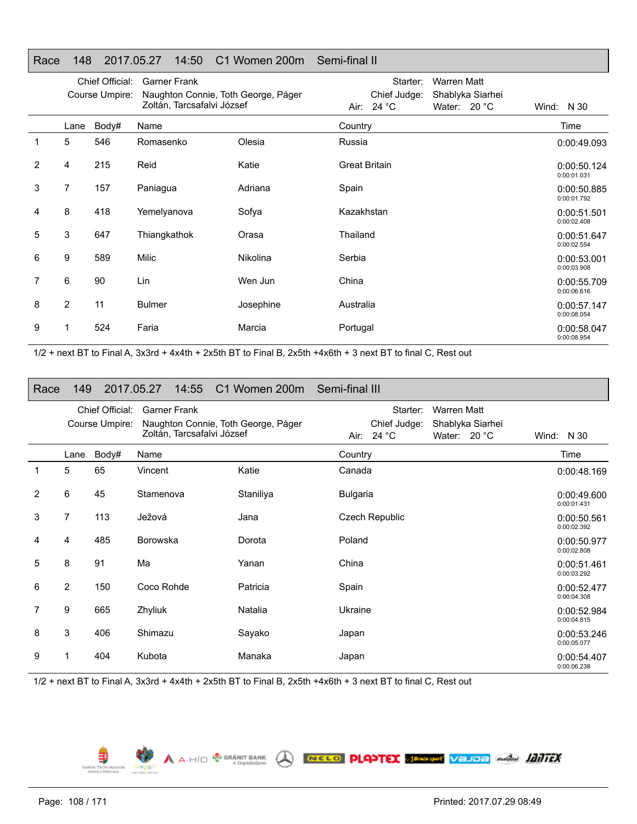## Race 148 2017.05.27 14:50 C1 Women 200m Semi-final II

|   |                | Chief Official:<br>Course Umpire: | <b>Garner Frank</b><br>Naughton Connie, Toth George, Páger<br>Zoltán, Tarcsafalvi József |                 | Starter:<br><b>Warren Matt</b><br>Chief Judge:<br>Shablyka Siarhei<br>Air: $24 °C$<br>Water: 20 °C | Wind: $N30$                |
|---|----------------|-----------------------------------|------------------------------------------------------------------------------------------|-----------------|----------------------------------------------------------------------------------------------------|----------------------------|
|   | Lane           | Body#                             | Name                                                                                     |                 | Country                                                                                            | Time                       |
| 1 | 5              | 546                               | Romasenko                                                                                | Olesia          | Russia                                                                                             | 0:00:49.093                |
| 2 | 4              | 215                               | Reid                                                                                     | Katie           | <b>Great Britain</b>                                                                               | 0:00:50.124<br>0:00:01.031 |
| 3 | 7              | 157                               | Paniagua                                                                                 | Adriana         | Spain                                                                                              | 0:00:50.885<br>0:00:01.792 |
| 4 | 8              | 418                               | Yemelyanova                                                                              | Sofya           | Kazakhstan                                                                                         | 0:00:51.501<br>0:00:02.408 |
| 5 | 3              | 647                               | Thiangkathok                                                                             | Orasa           | Thailand                                                                                           | 0:00:51.647<br>0:00:02.554 |
| 6 | 9              | 589                               | Milic                                                                                    | <b>Nikolina</b> | Serbia                                                                                             | 0:00:53.001<br>0:00:03.908 |
| 7 | 6              | 90                                | Lin                                                                                      | Wen Jun         | China                                                                                              | 0:00:55.709<br>0:00:06.616 |
| 8 | $\overline{2}$ | 11                                | <b>Bulmer</b>                                                                            | Josephine       | Australia                                                                                          | 0:00:57.147<br>0:00:08.054 |
| 9 |                | 524                               | Faria                                                                                    | Marcia          | Portugal                                                                                           | 0:00:58.047<br>0:00:08.954 |

1/2 + next BT to Final A, 3x3rd + 4x4th + 2x5th BT to Final B, 2x5th +4x6th + 3 next BT to final C, Rest out

| Race | 149            |                                   | 2017.05.27<br>14:55 | C1 Women 200m                                                     | Semi-final III                           |                                                 |                            |
|------|----------------|-----------------------------------|---------------------|-------------------------------------------------------------------|------------------------------------------|-------------------------------------------------|----------------------------|
|      |                | Chief Official:<br>Course Umpire: | <b>Garner Frank</b> | Naughton Connie, Toth George, Páger<br>Zoltán, Tarcsafalvi József | Starter:<br>Chief Judge:<br>Air: $24 °C$ | Warren Matt<br>Shablyka Siarhei<br>Water: 20 °C | Wind: N 30                 |
|      | Lane           | Body#                             | Name                |                                                                   | Country                                  |                                                 | Time                       |
| 1    | 5              | 65                                | Vincent             | Katie                                                             | Canada                                   |                                                 | 0:00:48.169                |
| 2    | 6              | 45                                | Stamenova           | Staniliya                                                         | <b>Bulgaria</b>                          |                                                 | 0:00:49.600<br>0:00:01.431 |
| 3    | 7              | 113                               | Ježová              | Jana                                                              | Czech Republic                           |                                                 | 0:00:50.561<br>0:00:02.392 |
| 4    | 4              | 485                               | <b>Borowska</b>     | Dorota                                                            | Poland                                   |                                                 | 0:00:50.977<br>0:00:02.808 |
| 5    | 8              | 91                                | Ma                  | Yanan                                                             | China                                    |                                                 | 0:00:51.461<br>0:00:03.292 |
| 6    | $\overline{2}$ | 150                               | Coco Rohde          | Patricia                                                          | Spain                                    |                                                 | 0:00:52.477<br>0:00:04.308 |
| 7    | 9              | 665                               | Zhyliuk             | Natalia                                                           | Ukraine                                  |                                                 | 0:00:52.984<br>0:00:04.815 |
| 8    | 3              | 406                               | Shimazu             | Sayako                                                            | Japan                                    |                                                 | 0:00:53.246<br>0:00:05.077 |
| 9    |                | 404                               | Kubota              | Manaka                                                            | Japan                                    |                                                 | 0:00:54.407<br>0:00:06.238 |

A A-HÍD **O GRÁNIT BANK** A RECO PLOYTEX SERGANY VELOR ANGELE **ADULTEX** 

1/2 + next BT to Final A, 3x3rd + 4x4th + 2x5th BT to Final B, 2x5th +4x6th + 3 next BT to final C, Rest out



€ EMBERL ERÖR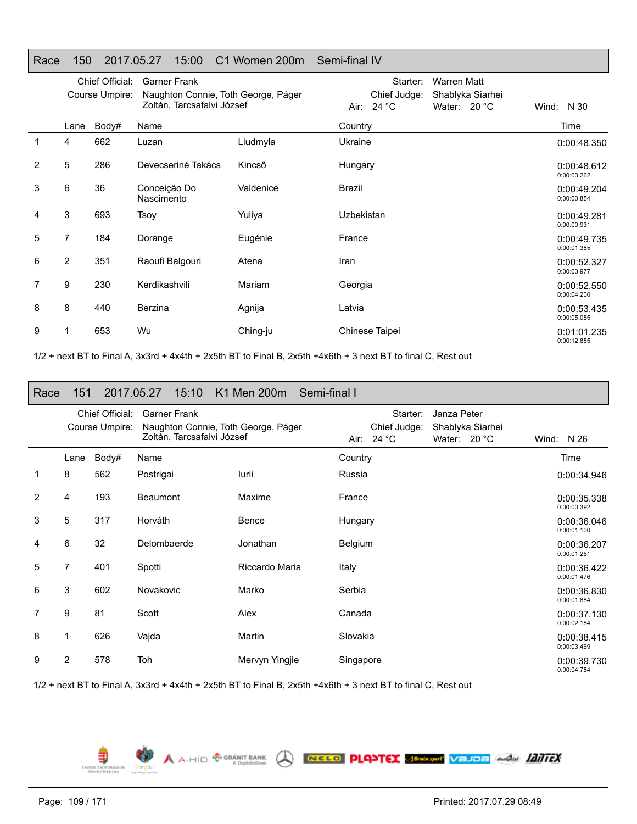### Race 150 2017.05.27 15:00 C1 Women 200m Semi-final IV

|   |                | Chief Official: | <b>Garner Frank</b>                                               |           | <b>Warren Matt</b><br>Starter:                                 |                            |
|---|----------------|-----------------|-------------------------------------------------------------------|-----------|----------------------------------------------------------------|----------------------------|
|   |                | Course Umpire:  | Naughton Connie, Toth George, Páger<br>Zoltán, Tarcsafalvi József |           | Chief Judge:<br>Shablyka Siarhei<br>Air: 24 °C<br>Water: 20 °C | Wind: $N30$                |
|   | Lane           | Body#           | Name                                                              |           | Country                                                        | Time                       |
|   | 4              | 662             | Luzan                                                             | Liudmyla  | Ukraine                                                        | 0:00:48.350                |
| 2 | 5              | 286             | Devecseriné Takács                                                | Kincső    | Hungary                                                        | 0:00:48.612<br>0:00:00.262 |
| 3 | 6              | 36              | Conceição Do<br>Nascimento                                        | Valdenice | <b>Brazil</b>                                                  | 0:00:49.204<br>0:00:00.854 |
| 4 | 3              | 693             | Tsoy                                                              | Yuliya    | Uzbekistan                                                     | 0:00:49.281<br>0:00:00.931 |
| 5 | 7              | 184             | Dorange                                                           | Eugénie   | France                                                         | 0:00:49.735<br>0:00:01.385 |
| 6 | $\overline{2}$ | 351             | Raoufi Balgouri                                                   | Atena     | Iran                                                           | 0:00:52.327<br>0:00:03.977 |
| 7 | 9              | 230             | Kerdikashvili                                                     | Mariam    | Georgia                                                        | 0:00:52.550<br>0:00:04.200 |
| 8 | 8              | 440             | Berzina                                                           | Agnija    | Latvia                                                         | 0:00:53.435<br>0:00:05.085 |
| 9 |                | 653             | Wu                                                                | Ching-ju  | Chinese Taipei                                                 | 0:01:01.235<br>0:00:12.885 |

1/2 + next BT to Final A, 3x3rd + 4x4th + 2x5th BT to Final B, 2x5th +4x6th + 3 next BT to final C, Rest out

### Race 151 2017.05.27 15:10 K1 Men 200m Semi-final IChief Official: Garner Frank Course Umpire: Naughton Connie, Toth George, Páger Zoltán, Tarcsafalvi József Starter: Janza Peter Chief Judge: Shablyka Siarhei Air: 24 °C Water: 20 °C Wind: N 26 LaneBody# Name Time 1 8 562 Postrigai Iurii Russia 0:00:34.9460:00:34.946 2 4 193 Beaumont Maxime France 0:00:35.3380:00:35.338 0:00:00.3923 5 317 Horváth Bence Hungary 0:00:36.0460:00:36.046 0:00:01.100 4 6 32 Delombaerde Jonathan Belgium 0:00:36.2070:00:01.261 5 7 401 Spotti Riccardo Maria Italy 0:00:36.4220:00:36.422 0:00:01.476 6 3 602 Novakovic Marko Serbia 0:00:36.8300:00:01.8847 9 81 Scott Alex Canada 0:00:37.1300:00:37.130 0:00:02.1848 1 626 Vajda Martin Slovakia 0:00:38.4150:00:03.469 92 578 Toh Mervyn Yingjie Singapore 1988 Strombart Christ Christ 2 578 Toh 0:00:39.730 0:00:04.784

1/2 + next BT to Final A, 3x3rd + 4x4th + 2x5th BT to Final B, 2x5th +4x6th + 3 next BT to final C, Rest out

 $\bigwedge$   $A \cdot \text{HID}$   $\bigoplus_{A \text{ Digitali-Sank}}$ 

EMBERI ERO

NELO PLANTEX SENSION VEJOE ANGEL ANTEX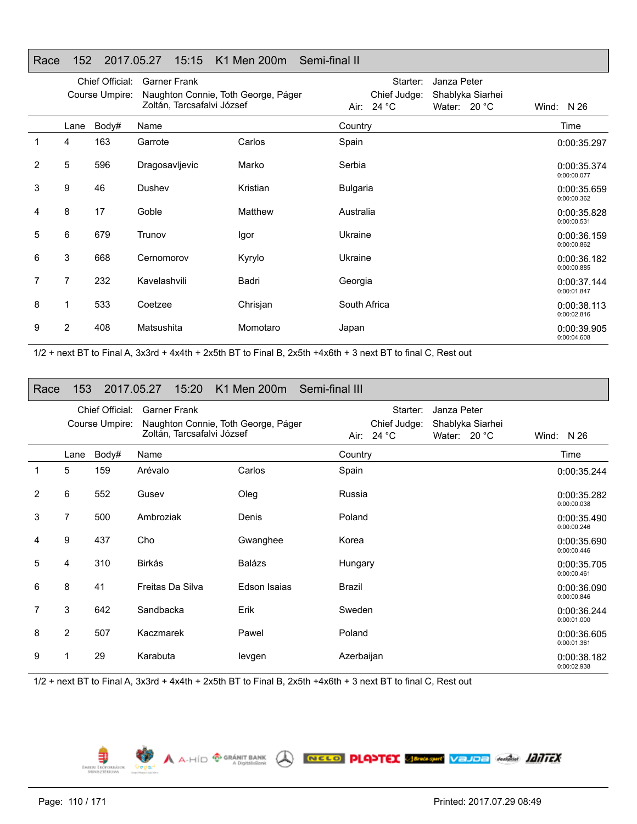### Race 152 2017.05.27 15:15 K1 Men 200m Semi-final II

|                |                | Chief Official: | <b>Garner Frank</b>                                               |          | Starter:                   | Janza Peter                        |                            |
|----------------|----------------|-----------------|-------------------------------------------------------------------|----------|----------------------------|------------------------------------|----------------------------|
|                |                | Course Umpire:  | Naughton Connie, Toth George, Páger<br>Zoltán, Tarcsafalvi József |          | Chief Judge:<br>Air: 24 °C | Shablyka Siarhei<br>Water: $20 °C$ | Wind: $N$ 26               |
|                | Lane           | Body#           | Name                                                              |          | Country                    |                                    | Time                       |
| 1              | 4              | 163             | Garrote                                                           | Carlos   | Spain                      |                                    | 0:00:35.297                |
| $\overline{2}$ | 5              | 596             | Dragosavljevic                                                    | Marko    | Serbia                     |                                    | 0:00:35.374<br>0:00:00.077 |
| 3              | 9              | 46              | Dushev                                                            | Kristian | <b>Bulgaria</b>            |                                    | 0:00:35.659<br>0:00:00.362 |
| 4              | 8              | 17              | Goble                                                             | Matthew  | Australia                  |                                    | 0:00:35.828<br>0:00:00.531 |
| 5              | 6              | 679             | Trunov                                                            | Igor     | Ukraine                    |                                    | 0:00:36.159<br>0:00:00.862 |
| 6              | 3              | 668             | Cernomorov                                                        | Kyrylo   | Ukraine                    |                                    | 0:00:36.182<br>0:00:00.885 |
| 7              | 7              | 232             | Kavelashvili                                                      | Badri    | Georgia                    |                                    | 0:00:37.144<br>0:00:01.847 |
| 8              | 1              | 533             | Coetzee                                                           | Chrisjan | South Africa               |                                    | 0:00:38.113<br>0:00:02.816 |
| 9              | $\overline{2}$ | 408             | Matsushita                                                        | Momotaro | Japan                      |                                    | 0:00:39.905<br>0:00:04.608 |

1/2 + next BT to Final A, 3x3rd + 4x4th + 2x5th BT to Final B, 2x5th +4x6th + 3 next BT to final C, Rest out

## Race 153 2017.05.27 15:20 K1 Men 200m Semi-final III

|   |                | Chief Official: | <b>Garner Frank</b>                 |              | Starter:<br>Janza Peter          |                            |
|---|----------------|-----------------|-------------------------------------|--------------|----------------------------------|----------------------------|
|   |                | Course Umpire:  | Naughton Connie, Toth George, Páger |              | Chief Judge:<br>Shablyka Siarhei |                            |
|   |                |                 | Zoltán, Tarcsafalvi József          |              | Air: $24 °C$<br>Water: $20 °C$   | Wind: $N$ 26               |
|   |                |                 |                                     |              |                                  |                            |
|   | Lane           | Body#           | Name                                |              | Country                          | Time                       |
| 1 | 5              | 159             | Arévalo                             | Carlos       | Spain                            | 0:00:35.244                |
| 2 | 6              | 552             | Gusev                               | Oleg         | Russia                           | 0:00:35.282<br>0:00:00.038 |
| 3 | 7              | 500             | Ambroziak                           | Denis        | Poland                           | 0:00:35.490<br>0:00:00.246 |
| 4 | 9              | 437             | Cho                                 | Gwanghee     | Korea                            | 0:00:35.690<br>0:00:00.446 |
| 5 | 4              | 310             | Birkás                              | Balázs       | Hungary                          | 0:00:35.705<br>0:00:00.461 |
| 6 | 8              | 41              | Freitas Da Silva                    | Edson Isaias | Brazil                           | 0:00:36.090<br>0:00:00.846 |
| 7 | 3              | 642             | Sandbacka                           | Erik         | Sweden                           | 0:00:36.244<br>0:00:01.000 |
| 8 | $\overline{2}$ | 507             | Kaczmarek                           | Pawel        | Poland                           | 0:00:36.605<br>0:00:01.361 |
| 9 |                | 29              | Karabuta                            | levgen       | Azerbaijan                       | 0:00:38.182<br>0:00:02.938 |

A A-HÍD <sup>® GRÁNIT BANK</sup> A RECO PLANTEX SERGANY VEJOE AMÁM **JANTEX** 

1/2 + next BT to Final A, 3x3rd + 4x4th + 2x5th BT to Final B, 2x5th +4x6th + 3 next BT to final C, Rest out

€ EMBERL ERÖPO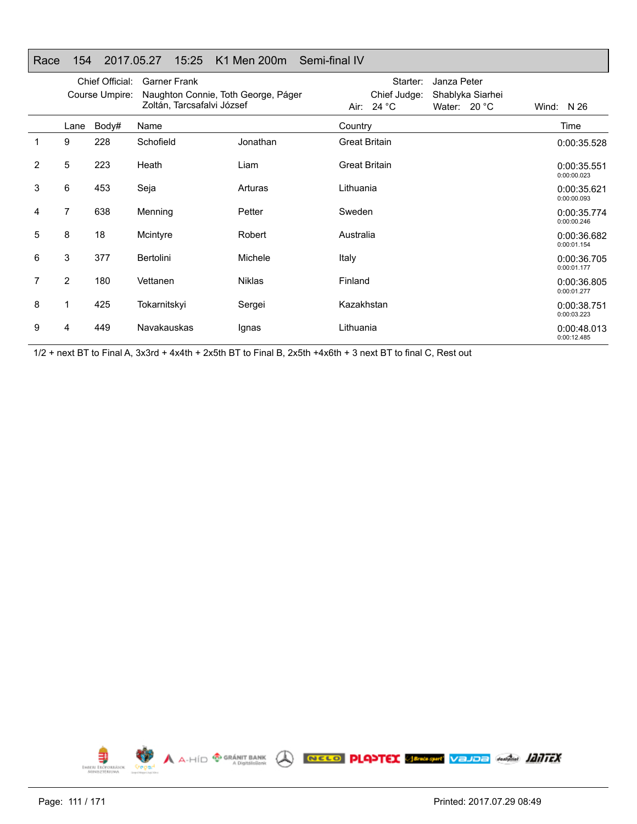|   |                | Chief Official:<br>Course Umpire: | <b>Garner Frank</b><br>Naughton Connie, Toth George, Páger<br>Zoltán, Tarcsafalvi József |               | Starter:<br>Janza Peter<br>Chief Judge:<br>Shablyka Siarhei<br>24 $^{\circ}$ C<br>Water: 20 °C<br>Air: |                      |  | Wind: N 26 |                            |  |
|---|----------------|-----------------------------------|------------------------------------------------------------------------------------------|---------------|--------------------------------------------------------------------------------------------------------|----------------------|--|------------|----------------------------|--|
|   | Lane           | Body#                             | Name                                                                                     |               | Country                                                                                                |                      |  |            | Time                       |  |
| 1 | 9              | 228                               | Schofield                                                                                | Jonathan      |                                                                                                        | <b>Great Britain</b> |  |            | 0:00:35.528                |  |
| 2 | 5              | 223                               | Heath                                                                                    | Liam          |                                                                                                        | <b>Great Britain</b> |  |            | 0:00:35.551<br>0:00:00.023 |  |
| 3 | 6              | 453                               | Seja                                                                                     | Arturas       | Lithuania                                                                                              |                      |  |            | 0:00:35.621<br>0:00:00.093 |  |
| 4 | 7              | 638                               | Menning                                                                                  | Petter        | Sweden                                                                                                 |                      |  |            | 0:00:35.774<br>0:00:00.246 |  |
| 5 | 8              | 18                                | Mcintyre                                                                                 | Robert        | Australia                                                                                              |                      |  |            | 0:00:36.682<br>0:00:01.154 |  |
| 6 | 3              | 377                               | Bertolini                                                                                | Michele       | Italy                                                                                                  |                      |  |            | 0:00:36.705<br>0:00:01.177 |  |
| 7 | $\overline{2}$ | 180                               | Vettanen                                                                                 | <b>Niklas</b> | Finland                                                                                                |                      |  |            | 0:00:36.805<br>0:00:01.277 |  |
| 8 | 1              | 425                               | Tokarnitskyi                                                                             | Sergei        |                                                                                                        | Kazakhstan           |  |            | 0:00:38.751<br>0:00:03.223 |  |
| 9 | 4              | 449                               | Navakauskas                                                                              | Ignas         | Lithuania                                                                                              |                      |  |            | 0:00:48.013<br>0:00:12.485 |  |

Race 154 2017.05.27 15:25 K1 Men 200m Semi-final IV

1/2 + next BT to Final A, 3x3rd + 4x4th + 2x5th BT to Final B, 2x5th +4x6th + 3 next BT to final C, Rest out

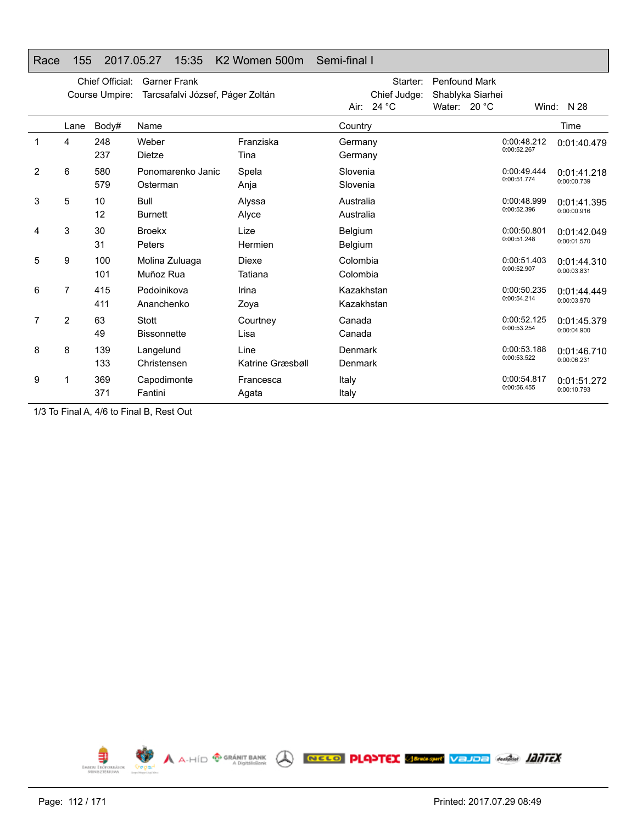### Race 155 2017.05.27 15:35 K2 Women 500m Semi-final I

|   |      | Chief Official:<br>Course Umpire: | <b>Garner Frank</b><br>Tarcsafalvi József, Páger Zoltán |                          | Starter:<br>Chief Judge:<br>Air: $24 °C$ | <b>Penfound Mark</b><br>Shablyka Siarhei<br>Water: $20 °C$ |                            | Wind: $N$ 28               |
|---|------|-----------------------------------|---------------------------------------------------------|--------------------------|------------------------------------------|------------------------------------------------------------|----------------------------|----------------------------|
|   | Lane | Body#                             | Name                                                    |                          | Country                                  |                                                            |                            | Time                       |
| 1 | 4    | 248<br>237                        | Weber<br>Dietze                                         | Franziska<br>Tina        | Germany<br>Germany                       |                                                            | 0:00:48.212<br>0:00:52.267 | 0:01:40.479                |
| 2 | 6    | 580<br>579                        | Ponomarenko Janic<br>Osterman                           | Spela<br>Anja            | Slovenia<br>Slovenia                     |                                                            | 0:00:49.444<br>0:00:51.774 | 0:01:41.218<br>0:00:00.739 |
| 3 | 5    | 10<br>12                          | <b>Bull</b><br><b>Burnett</b>                           | Alyssa<br>Alyce          | Australia<br>Australia                   |                                                            | 0:00:48.999<br>0:00:52.396 | 0:01:41.395<br>0:00:00.916 |
| 4 | 3    | 30<br>31                          | <b>Broekx</b><br>Peters                                 | Lize<br>Hermien          | Belgium<br>Belgium                       |                                                            | 0:00:50.801<br>0:00:51.248 | 0:01:42.049<br>0:00:01.570 |
| 5 | 9    | 100<br>101                        | Molina Zuluaga<br>Muñoz Rua                             | Diexe<br>Tatiana         | Colombia<br>Colombia                     |                                                            | 0:00:51.403<br>0:00:52.907 | 0:01:44.310<br>0:00:03.831 |
| 6 | 7    | 415<br>411                        | Podoinikova<br>Ananchenko                               | Irina<br>Zoya            | Kazakhstan<br>Kazakhstan                 |                                                            | 0:00:50.235<br>0:00:54.214 | 0:01:44.449<br>0:00:03.970 |
| 7 | 2    | 63<br>49                          | Stott<br><b>Bissonnette</b>                             | Courtney<br>Lisa         | Canada<br>Canada                         |                                                            | 0:00:52.125<br>0:00:53.254 | 0:01:45.379<br>0:00:04.900 |
| 8 | 8    | 139<br>133                        | Langelund<br>Christensen                                | Line<br>Katrine Græsbøll | Denmark<br>Denmark                       |                                                            | 0:00:53.188<br>0:00:53.522 | 0:01:46.710<br>0:00:06.231 |
| 9 |      | 369<br>371                        | Capodimonte<br>Fantini                                  | Francesca<br>Agata       | Italy<br>Italy                           |                                                            | 0:00:54.817<br>0:00:56.455 | 0:01:51.272<br>0:00:10.793 |

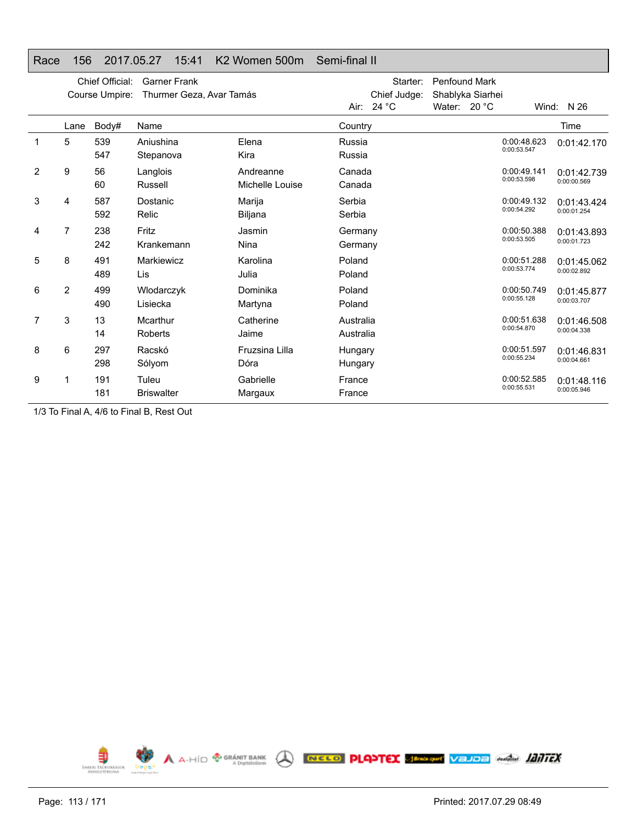### Race 156 2017.05.27 15:41 K2 Women 500m Semi-final II

|   |                | Chief Official:<br>Course Umpire: | <b>Garner Frank</b><br>Thurmer Geza, Avar Tamás |                              |                        | Starter:<br>Chief Judge:<br>Air: $24 °C$ | <b>Penfound Mark</b><br>Shablyka Siarhei<br>Water: $20 °C$ |                            | Wind: N 26                 |
|---|----------------|-----------------------------------|-------------------------------------------------|------------------------------|------------------------|------------------------------------------|------------------------------------------------------------|----------------------------|----------------------------|
|   | Lane           | Body#                             | Name                                            |                              | Country                |                                          |                                                            |                            | Time                       |
|   | 5              | 539<br>547                        | Aniushina<br>Stepanova                          | Elena<br>Kira                | Russia<br>Russia       |                                          |                                                            | 0:00:48.623<br>0:00:53.547 | 0:01:42.170                |
| 2 | 9              | 56<br>60                          | Langlois<br>Russell                             | Andreanne<br>Michelle Louise | Canada<br>Canada       |                                          |                                                            | 0:00:49.141<br>0:00:53.598 | 0:01:42.739<br>0:00:00.569 |
| 3 | 4              | 587<br>592                        | Dostanic<br>Relic                               | Marija<br>Biljana            | Serbia<br>Serbia       |                                          |                                                            | 0:00:49.132<br>0:00:54.292 | 0:01:43.424<br>0:00:01.254 |
| 4 | 7              | 238<br>242                        | Fritz<br>Krankemann                             | Jasmin<br>Nina               | Germany<br>Germany     |                                          |                                                            | 0:00:50.388<br>0:00:53.505 | 0:01:43.893<br>0:00:01.723 |
| 5 | 8              | 491<br>489                        | Markiewicz<br>Lis                               | Karolina<br>Julia            | Poland<br>Poland       |                                          |                                                            | 0:00:51.288<br>0:00:53.774 | 0:01:45.062<br>0:00:02.892 |
| 6 | $\overline{2}$ | 499<br>490                        | Wlodarczyk<br>Lisiecka                          | Dominika<br>Martyna          | Poland<br>Poland       |                                          |                                                            | 0:00:50.749<br>0:00:55.128 | 0:01:45.877<br>0:00:03.707 |
| 7 | 3              | 13<br>14                          | Mcarthur<br>Roberts                             | Catherine<br>Jaime           | Australia<br>Australia |                                          |                                                            | 0:00:51.638<br>0:00:54.870 | 0:01:46.508<br>0:00:04.338 |
| 8 | 6              | 297<br>298                        | Racskó<br>Sólyom                                | Fruzsina Lilla<br>Dóra       | Hungary<br>Hungary     |                                          |                                                            | 0:00:51.597<br>0:00:55.234 | 0:01:46.831<br>0:00:04.661 |
| 9 | 1              | 191<br>181                        | Tuleu<br><b>Briswalter</b>                      | Gabrielle<br>Margaux         | France<br>France       |                                          |                                                            | 0:00:52.585<br>0:00:55.531 | 0:01:48.116<br>0:00:05.946 |

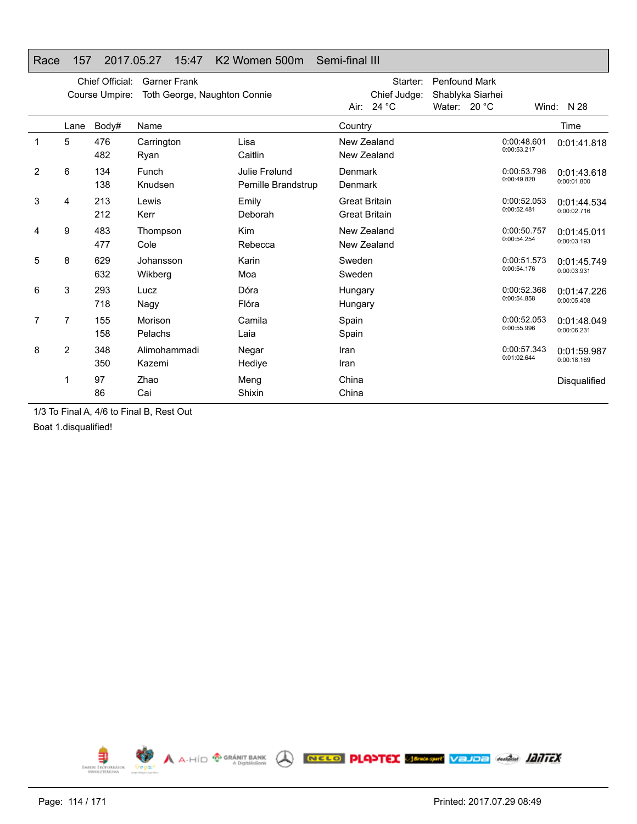## Race 157 2017.05.27 15:47 K2 Women 500m Semi-final III

|   |      | Chief Official:<br>Course Umpire: | <b>Garner Frank</b><br>Toth George, Naughton Connie |                                      | Starter:<br>Chief Judge:<br>Air: $24 °C$     | <b>Penfound Mark</b><br>Shablyka Siarhei<br>Water: $20 °C$ |                            | Wind: N 28                 |
|---|------|-----------------------------------|-----------------------------------------------------|--------------------------------------|----------------------------------------------|------------------------------------------------------------|----------------------------|----------------------------|
|   | Lane | Body#                             | Name                                                |                                      | Country                                      |                                                            |                            | Time                       |
|   | 5    | 476<br>482                        | Carrington<br>Ryan                                  | Lisa<br>Caitlin                      | New Zealand<br>New Zealand                   |                                                            | 0:00:48.601<br>0:00:53.217 | 0:01:41.818                |
| 2 | 6    | 134<br>138                        | Funch<br>Knudsen                                    | Julie Frølund<br>Pernille Brandstrup | Denmark<br>Denmark                           |                                                            | 0:00:53.798<br>0:00:49.820 | 0:01:43.618<br>0:00:01.800 |
| 3 | 4    | 213<br>212                        | Lewis<br>Kerr                                       | Emily<br>Deborah                     | <b>Great Britain</b><br><b>Great Britain</b> |                                                            | 0:00:52.053<br>0:00:52.481 | 0:01:44.534<br>0:00:02.716 |
| 4 | 9    | 483<br>477                        | Thompson<br>Cole                                    | <b>Kim</b><br>Rebecca                | New Zealand<br>New Zealand                   |                                                            | 0:00:50.757<br>0:00:54.254 | 0:01:45.011<br>0:00:03.193 |
| 5 | 8    | 629<br>632                        | Johansson<br>Wikberg                                | Karin<br>Moa                         | Sweden<br>Sweden                             |                                                            | 0:00:51.573<br>0:00:54.176 | 0:01:45.749<br>0:00:03.931 |
| 6 | 3    | 293<br>718                        | Lucz<br>Nagy                                        | Dóra<br>Flóra                        | Hungary<br>Hungary                           |                                                            | 0:00:52.368<br>0:00:54.858 | 0:01:47.226<br>0:00:05.408 |
| 7 | 7    | 155<br>158                        | Morison<br>Pelachs                                  | Camila<br>Laia                       | Spain<br>Spain                               |                                                            | 0:00:52.053<br>0:00:55.996 | 0:01:48.049<br>0:00:06.231 |
| 8 | 2    | 348<br>350                        | Alimohammadi<br>Kazemi                              | Negar<br>Hedive                      | Iran<br>Iran                                 |                                                            | 0:00:57.343<br>0:01:02.644 | 0:01:59.987<br>0:00:18.169 |
|   | 1    | 97<br>86                          | Zhao<br>Cai                                         | Meng<br>Shixin                       | China<br>China                               |                                                            |                            | Disqualified               |

1/3 To Final A, 4/6 to Final B, Rest Out

Boat 1.disqualified!

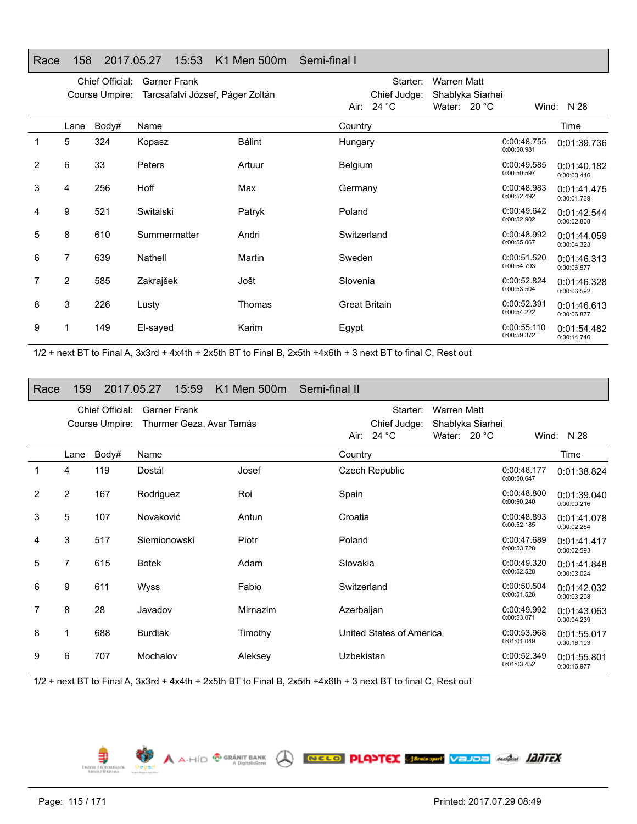### Race 158 2017.05.27 15:53 K1 Men 500m Semi-final IChief Official: Garner Frank Course Umpire: Tarcsafalvi József, Páger Zoltán Starter: Warren Matt Chief Judge: Shablyka Siarhei Air: 24 °C Water: 20 °C Wind: N 28 LaneBody# Name Time 1 5 324 Kopasz Bálint Hungary 0:00:48.755 0:00:48.755 2 6 33 Peters Artuur Belgium 0:00:49.585 0:00:50.597 3 4 256 Hoff Max Germany 0:00:48.983 0:00:48.983 9 521 Switalski Patryk Poland 0:00:49.642

8 610 Summermatter Andri Switzerland 0:00:48.992

7 639 Nathell Martin Sweden 0:00:51.520

2 585 Zakrajšek Jošt Slovenia 0:00:52.824

3 226 Lusty Thomas Great Britain 0:00:52.391

1 149 El-sayed Karim Egypt 0:00:55.110

1/2 + next BT to Final A, 3x3rd + 4x4th + 2x5th BT to Final B, 2x5th +4x6th + 3 next BT to final C, Rest out

### Race 159 2017.05.27 15:59 K1 Men 500m Semi-final II

|                |                | Chief Official: | <b>Garner Frank</b>      |          |             | Starter:                 | <b>Warren Matt</b>    |                            |                            |
|----------------|----------------|-----------------|--------------------------|----------|-------------|--------------------------|-----------------------|----------------------------|----------------------------|
|                |                | Course Umpire:  | Thurmer Geza, Avar Tamás |          |             | Chief Judge:             | Shablyka Siarhei      |                            |                            |
|                |                |                 |                          |          |             | Air: $24 °C$             | Water: $20^{\circ}$ C |                            | Wind: N 28                 |
|                | Lane           | Body#           | Name                     |          | Country     |                          |                       |                            | Time                       |
|                | 4              | 119             | Dostál                   | Josef    |             | <b>Czech Republic</b>    |                       | 0:00:48.177<br>0:00:50.647 | 0:01:38.824                |
| $\overline{2}$ | $\overline{2}$ | 167             | Rodriguez                | Roi      | Spain       |                          |                       | 0:00:48.800<br>0:00:50.240 | 0:01:39.040<br>0:00:00.216 |
| 3              | 5              | 107             | Novaković                | Antun    | Croatia     |                          |                       | 0:00:48.893<br>0:00:52.185 | 0:01:41.078<br>0:00:02.254 |
| 4              | 3              | 517             | Siemionowski             | Piotr    | Poland      |                          |                       | 0:00:47.689<br>0:00:53.728 | 0:01:41.417<br>0:00:02.593 |
| 5              | 7              | 615             | <b>Botek</b>             | Adam     | Slovakia    |                          |                       | 0:00:49.320<br>0:00:52.528 | 0:01:41.848<br>0:00:03.024 |
| 6              | 9              | 611             | Wyss                     | Fabio    | Switzerland |                          |                       | 0:00:50.504<br>0:00:51.528 | 0:01:42.032<br>0:00:03.208 |
| $\overline{7}$ | 8              | 28              | Javadov                  | Mirnazim | Azerbaijan  |                          |                       | 0:00:49.992<br>0:00:53.071 | 0:01:43.063<br>0:00:04.239 |
| 8              | 1              | 688             | <b>Burdiak</b>           | Timothy  |             | United States of America |                       | 0:00:53.968<br>0:01:01.049 | 0:01:55.017<br>0:00:16.193 |
| 9              | 6              | 707             | Mochalov                 | Aleksey  | Uzbekistan  |                          |                       | 0:00:52.349<br>0:01:03.452 | 0:01:55.801<br>0:00:16.977 |

1/2 + next BT to Final A, 3x3rd + 4x4th + 2x5th BT to Final B, 2x5th +4x6th + 3 next BT to final C, Rest out

 $\bigwedge$   $A \cdot \text{HID}$   $\bigoplus_{A \text{ Digitali-Sank}}$ 

EMBERI ERÖPORRÁ

4

5

6

7

8

9

NELO PLATEX SERVICE VELOE ANGEL ATTEX

0:01:39.736

0:01:40.182 0:00:00.446

0:01:41.475 0:00:01.739

0:01:42.5440:00:02.808

0:01:44.059 0:00:04.323

0:01:46.313 0:00:06.577

0:01:46.328 0:00:06.592

0:01:46.613 0:00:06.877

0:01:54.482 0:00:14.746

0:00:52.902

0:00:55.067

0:00:54.793

0:00:53.504

0:00:54.222

0:00:59.372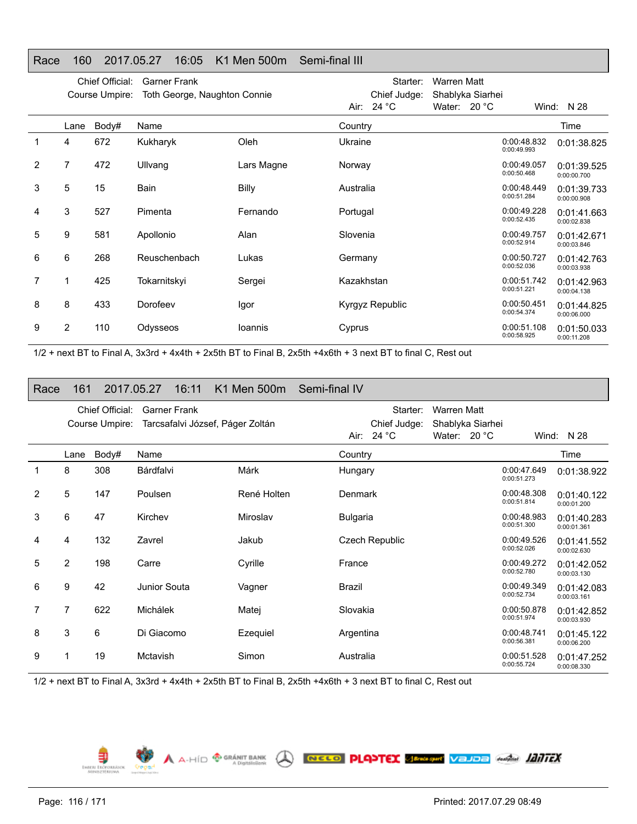### Race 160 2017.05.27 16:05 K1 Men 500m Semi-final III

|   | Chief Official:<br>Garner Frank<br>Toth George, Naughton Connie<br>Course Umpire: |       |              |            |            | Starter:<br>Chief Judge: | Warren Matt<br>Shablyka Siarhei |                            |                            |
|---|-----------------------------------------------------------------------------------|-------|--------------|------------|------------|--------------------------|---------------------------------|----------------------------|----------------------------|
|   |                                                                                   |       |              |            |            | Air: $24 °C$             | Water: $20 °C$                  |                            | Wind: $N$ 28               |
|   | Lane                                                                              | Body# | Name         |            | Country    |                          |                                 |                            | Time                       |
| 1 | 4                                                                                 | 672   | Kukharyk     | Oleh       | Ukraine    |                          |                                 | 0:00:48.832<br>0:00:49.993 | 0:01:38.825                |
| 2 | 7                                                                                 | 472   | Ullvang      | Lars Magne | Norway     |                          |                                 | 0:00:49.057<br>0:00:50.468 | 0:01:39.525<br>0:00:00.700 |
| 3 | 5                                                                                 | 15    | Bain         | Billy      | Australia  |                          |                                 | 0:00:48.449<br>0:00:51.284 | 0:01:39.733<br>0:00:00.908 |
| 4 | 3                                                                                 | 527   | Pimenta      | Fernando   | Portugal   |                          |                                 | 0:00:49.228<br>0:00:52.435 | 0:01:41.663<br>0:00:02.838 |
| 5 | 9                                                                                 | 581   | Apollonio    | Alan       | Slovenia   |                          |                                 | 0:00:49.757<br>0:00:52.914 | 0:01:42.671<br>0:00:03.846 |
| 6 | 6                                                                                 | 268   | Reuschenbach | Lukas      | Germany    |                          |                                 | 0:00:50.727<br>0:00:52.036 | 0:01:42.763<br>0:00:03.938 |
| 7 |                                                                                   | 425   | Tokarnitskyi | Sergei     | Kazakhstan |                          |                                 | 0:00:51.742<br>0:00:51.221 | 0:01:42.963<br>0:00:04.138 |
| 8 | 8                                                                                 | 433   | Dorofeev     | Igor       |            | Kyrgyz Republic          |                                 | 0:00:50.451<br>0:00:54.374 | 0:01:44.825<br>0:00:06.000 |
| 9 | 2                                                                                 | 110   | Odysseos     | loannis    | Cyprus     |                          |                                 | 0:00:51.108<br>0:00:58.925 | 0:01:50.033<br>0:00:11.208 |

1/2 + next BT to Final A, 3x3rd + 4x4th + 2x5th BT to Final B, 2x5th +4x6th + 3 next BT to final C, Rest out

### Race 161 2017.05.27 16:11 K1 Men 500m Semi-final IV

|   | Chief Official:<br><b>Garner Frank</b><br>Tarcsafalvi József, Páger Zoltán<br>Course Umpire: |       |              |             | Starter:<br><b>Warren Matt</b><br>Chief Judge:<br>Shablyka Siarhei |              |  |                            |                            |
|---|----------------------------------------------------------------------------------------------|-------|--------------|-------------|--------------------------------------------------------------------|--------------|--|----------------------------|----------------------------|
|   |                                                                                              |       |              |             | Air: $24 °C$                                                       | Water: 20 °C |  |                            | Wind: $N$ 28               |
|   | Lane                                                                                         | Body# | Name         |             | Country                                                            |              |  |                            | Time                       |
|   | 8                                                                                            | 308   | Bárdfalvi    | Márk        | Hungary                                                            |              |  | 0:00:47.649<br>0:00:51.273 | 0:01:38.922                |
| 2 | 5                                                                                            | 147   | Poulsen      | René Holten | <b>Denmark</b>                                                     |              |  | 0:00:48.308<br>0:00:51.814 | 0:01:40.122<br>0:00:01.200 |
| 3 | 6                                                                                            | 47    | Kirchev      | Miroslav    | <b>Bulgaria</b>                                                    |              |  | 0:00:48.983<br>0:00:51.300 | 0:01:40.283<br>0:00:01.361 |
| 4 | 4                                                                                            | 132   | Zavrel       | Jakub       | Czech Republic                                                     |              |  | 0:00:49.526<br>0:00:52.026 | 0:01:41.552<br>0:00:02.630 |
| 5 | $\overline{2}$                                                                               | 198   | Carre        | Cyrille     | France                                                             |              |  | 0:00:49.272<br>0:00:52.780 | 0:01:42.052<br>0:00:03.130 |
| 6 | 9                                                                                            | 42    | Junior Souta | Vagner      | Brazil                                                             |              |  | 0:00:49.349<br>0:00:52.734 | 0:01:42.083<br>0:00:03.161 |
| 7 | 7                                                                                            | 622   | Michálek     | Matej       | Slovakia                                                           |              |  | 0:00:50.878<br>0:00:51.974 | 0:01:42.852<br>0:00:03.930 |
| 8 | 3                                                                                            | 6     | Di Giacomo   | Ezequiel    | Argentina                                                          |              |  | 0:00:48.741<br>0:00:56.381 | 0:01:45.122<br>0:00:06.200 |
| 9 |                                                                                              | 19    | Mctavish     | Simon       | Australia                                                          |              |  | 0:00:51.528<br>0:00:55.724 | 0:01:47.252<br>0:00:08.330 |

A A-HID **<sup>® GRÁNIT BANK</sup> A RECO PLANTEX SEMEREN VEJOE** ANGLI **IZITEX** 

1/2 + next BT to Final A, 3x3rd + 4x4th + 2x5th BT to Final B, 2x5th +4x6th + 3 next BT to final C, Rest out

€ EMBERL ERÖPO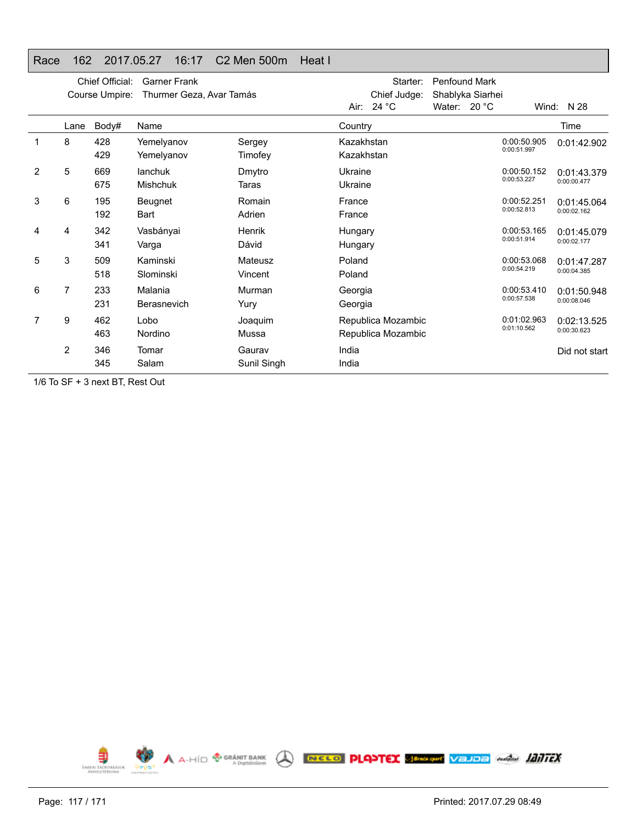## Race 162 2017.05.27 16:17 C2 Men 500m Heat I

|   | Chief Official:<br><b>Garner Frank</b><br>Thurmer Geza, Avar Tamás<br>Course Umpire: |            |                            |                        |                          | Air: $24 °C$ | Starter:<br>Chief Judge:                 | <b>Penfound Mark</b><br>Shablyka Siarhei<br>Water: $20 °C$ | Wind:                      | N 28                       |
|---|--------------------------------------------------------------------------------------|------------|----------------------------|------------------------|--------------------------|--------------|------------------------------------------|------------------------------------------------------------|----------------------------|----------------------------|
|   | Lane                                                                                 | Body#      | Name                       |                        | Country                  |              |                                          |                                                            |                            | Time                       |
|   | 8                                                                                    | 428<br>429 | Yemelyanov<br>Yemelyanov   | Sergey<br>Timofey      | Kazakhstan<br>Kazakhstan |              |                                          |                                                            | 0:00:50.905<br>0:00:51.997 | 0:01:42.902                |
| 2 | 5                                                                                    | 669<br>675 | lanchuk<br><b>Mishchuk</b> | Dmytro<br><b>Taras</b> | Ukraine<br>Ukraine       |              |                                          |                                                            | 0:00:50.152<br>0:00:53.227 | 0:01:43.379<br>0:00:00.477 |
| 3 | 6                                                                                    | 195<br>192 | Beugnet<br>Bart            | Romain<br>Adrien       | France<br>France         |              |                                          |                                                            | 0:00:52.251<br>0:00:52.813 | 0:01:45.064<br>0:00:02.162 |
| 4 | 4                                                                                    | 342<br>341 | Vasbányai<br>Varga         | Henrik<br>Dávid        | Hungary<br>Hungary       |              |                                          |                                                            | 0:00:53.165<br>0:00:51.914 | 0:01:45.079<br>0:00:02.177 |
| 5 | 3                                                                                    | 509<br>518 | Kaminski<br>Slominski      | Mateusz<br>Vincent     | Poland<br>Poland         |              |                                          |                                                            | 0:00:53.068<br>0:00:54.219 | 0:01:47.287<br>0:00:04.385 |
| 6 | 7                                                                                    | 233<br>231 | Malania<br>Berasnevich     | Murman<br>Yury         | Georgia<br>Georgia       |              |                                          |                                                            | 0:00:53.410<br>0:00:57.538 | 0:01:50.948<br>0:00:08.046 |
|   | 9                                                                                    | 462<br>463 | Lobo<br>Nordino            | Joaquim<br>Mussa       |                          |              | Republica Mozambic<br>Republica Mozambic |                                                            | 0:01:02.963<br>0:01:10.562 | 0:02:13.525<br>0:00:30.623 |
|   | 2                                                                                    | 346<br>345 | Tomar<br>Salam             | Gaurav<br>Sunil Singh  | India<br>India           |              |                                          |                                                            |                            | Did not start              |

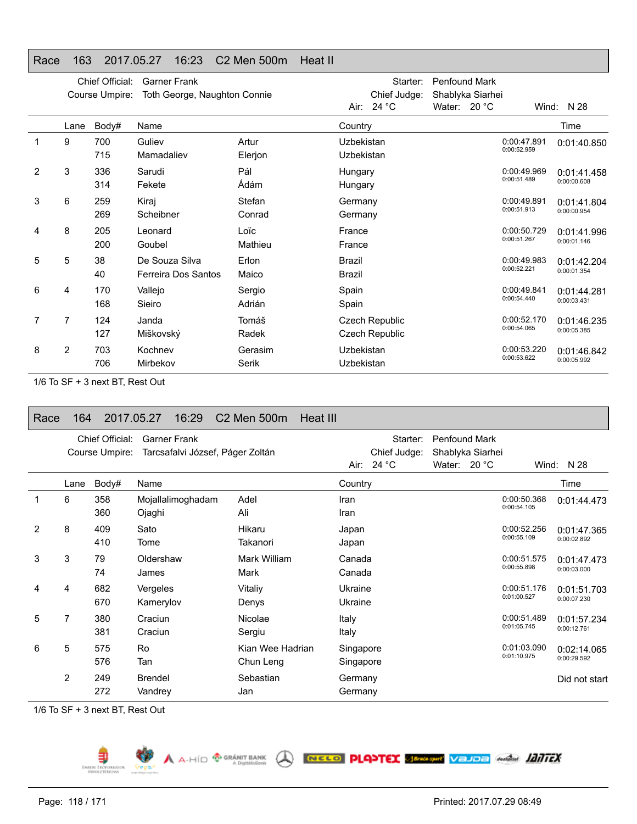### Race 163 2017.05.27 16:23 C2 Men 500m Heat II

|                |                | Chief Official:<br>Course Umpire: | <b>Garner Frank</b><br>Toth George, Naughton Connie |                  | Starter:<br>Chief Judge:<br>Air: $24 °C$ | <b>Penfound Mark</b><br>Shablyka Siarhei<br>Water: $20 °C$ |                            | Wind: $N$ 28               |
|----------------|----------------|-----------------------------------|-----------------------------------------------------|------------------|------------------------------------------|------------------------------------------------------------|----------------------------|----------------------------|
|                | Lane           | Body#                             | Name                                                |                  | Country                                  |                                                            |                            | Time                       |
|                | 9              | 700<br>715                        | Guliev<br>Mamadaliev                                | Artur<br>Elerjon | Uzbekistan<br>Uzbekistan                 |                                                            | 0:00:47.891<br>0:00:52.959 | 0:01:40.850                |
| $\overline{2}$ | 3              | 336<br>314                        | Sarudi<br>Fekete                                    | Pál<br>Ádám      | Hungary<br>Hungary                       |                                                            | 0:00:49.969<br>0:00:51.489 | 0:01:41.458<br>0:00:00.608 |
| 3              | 6              | 259<br>269                        | Kiraj<br>Scheibner                                  | Stefan<br>Conrad | Germany<br>Germany                       |                                                            | 0:00:49.891<br>0:00:51.913 | 0:01:41.804<br>0:00:00.954 |
| 4              | 8              | 205<br>200                        | Leonard<br>Goubel                                   | Loïc<br>Mathieu  | France<br>France                         |                                                            | 0:00:50.729<br>0:00:51.267 | 0:01:41.996<br>0:00:01.146 |
| 5              | 5              | 38<br>40                          | De Souza Silva<br>Ferreira Dos Santos               | Erlon<br>Maico   | <b>Brazil</b><br>Brazil                  |                                                            | 0:00:49.983<br>0:00:52.221 | 0:01:42.204<br>0:00:01.354 |
| 6              | 4              | 170<br>168                        | Vallejo<br>Sieiro                                   | Sergio<br>Adrián | Spain<br>Spain                           |                                                            | 0:00:49.841<br>0:00:54.440 | 0:01:44.281<br>0:00:03.431 |
| 7              | 7              | 124<br>127                        | Janda<br>Miškovský                                  | Tomáš<br>Radek   | Czech Republic<br><b>Czech Republic</b>  |                                                            | 0:00:52.170<br>0:00:54.065 | 0:01:46.235<br>0:00:05.385 |
| 8              | $\overline{2}$ | 703<br>706                        | Kochnev<br>Mirbekov                                 | Gerasim<br>Serik | Uzbekistan<br>Uzbekistan                 |                                                            | 0:00:53.220<br>0:00:53.622 | 0:01:46.842<br>0:00:05.992 |

1/6 To SF + 3 next BT, Rest Out

| Race | 164            |                                   | 2017.05.27<br>16:29                                     | C <sub>2</sub> Men 500m       | <b>Heat III</b>        |                                   |                                      |                  |                            |                            |
|------|----------------|-----------------------------------|---------------------------------------------------------|-------------------------------|------------------------|-----------------------------------|--------------------------------------|------------------|----------------------------|----------------------------|
|      |                | Chief Official:<br>Course Umpire: | <b>Garner Frank</b><br>Tarcsafalvi József, Páger Zoltán |                               | Air:                   | Starter:<br>Chief Judge:<br>24 °C | <b>Penfound Mark</b><br>Water: 20 °C | Shablyka Siarhei |                            | Wind: N 28                 |
|      | Lane           | Body#                             | Name                                                    |                               | Country                |                                   |                                      |                  |                            | Time                       |
|      | 6              | 358<br>360                        | Mojallalimoghadam<br>Ojaghi                             | Adel<br>Ali                   | Iran<br>Iran           |                                   |                                      |                  | 0:00:50.368<br>0:00:54.105 | 0:01:44.473                |
| 2    | 8              | 409<br>410                        | Sato<br>Tome                                            | Hikaru<br>Takanori            | Japan<br>Japan         |                                   |                                      |                  | 0:00:52.256<br>0:00:55.109 | 0:01:47.365<br>0:00:02.892 |
| 3    | 3              | 79<br>74                          | Oldershaw<br>James                                      | Mark William<br>Mark          | Canada<br>Canada       |                                   |                                      |                  | 0:00:51.575<br>0:00:55.898 | 0:01:47.473<br>0:00:03.000 |
| 4    | 4              | 682<br>670                        | Vergeles<br>Kamerylov                                   | Vitaliy<br>Denys              | Ukraine<br>Ukraine     |                                   |                                      |                  | 0:00:51.176<br>0:01:00.527 | 0:01:51.703<br>0:00:07.230 |
| 5    | 7              | 380<br>381                        | Craciun<br>Craciun                                      | Nicolae<br>Sergiu             | Italy<br>Italy         |                                   |                                      |                  | 0:00:51.489<br>0:01:05.745 | 0:01:57.234<br>0:00:12.761 |
| 6    | 5              | 575<br>576                        | <b>Ro</b><br>Tan                                        | Kian Wee Hadrian<br>Chun Leng | Singapore<br>Singapore |                                   |                                      |                  | 0:01:03.090<br>0:01:10.975 | 0:02:14.065<br>0:00:29.592 |
|      | $\overline{2}$ | 249<br>272                        | <b>Brendel</b><br>Vandrey                               | Sebastian<br>Jan              | Germany<br>Germany     |                                   |                                      |                  |                            | Did not start              |

A A-HID <sup>@ GRÁNIT BANK</sup> ( **RECO PLASTEX SERASTIN** VEJDE GARAGE *HATTEX* 

1/6 To SF + 3 next BT, Rest Out

⋾ EMBERL EROPO

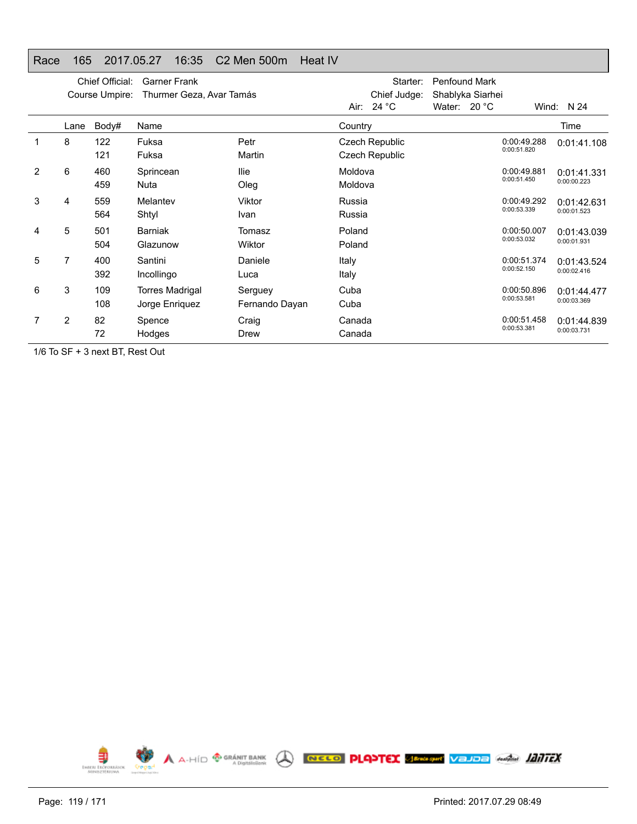# Race 165 2017.05.27 16:35 C2 Men 500m Heat IV

|   |      | Chief Official:<br>Course Umpire: | <b>Garner Frank</b><br>Thurmer Geza, Avar Tamás |                           | Air: I             | Starter:<br>Chief Judge:<br>24 °C              | <b>Penfound Mark</b><br>Shablyka Siarhei<br>Water: $20 °C$ |                            | Wind: $N$ 24               |
|---|------|-----------------------------------|-------------------------------------------------|---------------------------|--------------------|------------------------------------------------|------------------------------------------------------------|----------------------------|----------------------------|
|   | Lane | Body#                             | Name                                            |                           | Country            |                                                |                                                            |                            | Time                       |
|   | 8    | 122<br>121                        | Fuksa<br>Fuksa                                  | Petr<br>Martin            |                    | <b>Czech Republic</b><br><b>Czech Republic</b> |                                                            | 0:00:49.288<br>0:00:51.820 | 0:01:41.108                |
| 2 | 6    | 460<br>459                        | Sprincean<br>Nuta                               | llie<br>Oleg              | Moldova<br>Moldova |                                                |                                                            | 0:00:49.881<br>0:00:51.450 | 0:01:41.331<br>0:00:00.223 |
| 3 | 4    | 559<br>564                        | Melantev<br>Shtyl                               | Viktor<br>Ivan            | Russia<br>Russia   |                                                |                                                            | 0:00:49.292<br>0:00:53.339 | 0:01:42.631<br>0:00:01.523 |
| 4 | 5    | 501<br>504                        | <b>Barniak</b><br>Glazunow                      | Tomasz<br>Wiktor          | Poland<br>Poland   |                                                |                                                            | 0:00:50.007<br>0:00:53.032 | 0:01:43.039<br>0:00:01.931 |
| 5 | 7    | 400<br>392                        | Santini<br>Incollingo                           | Daniele<br>Luca           | Italy<br>Italy     |                                                |                                                            | 0:00:51.374<br>0:00:52.150 | 0:01:43.524<br>0:00:02.416 |
| 6 | 3    | 109<br>108                        | <b>Torres Madrigal</b><br>Jorge Enriquez        | Serguey<br>Fernando Dayan | Cuba<br>Cuba       |                                                |                                                            | 0:00:50.896<br>0:00:53.581 | 0:01:44.477<br>0:00:03.369 |
|   | 2    | 82<br>72                          | Spence<br>Hodges                                | Craig<br>Drew             | Canada<br>Canada   |                                                |                                                            | 0:00:51.458<br>0:00:53.381 | 0:01:44.839<br>0:00:03.731 |

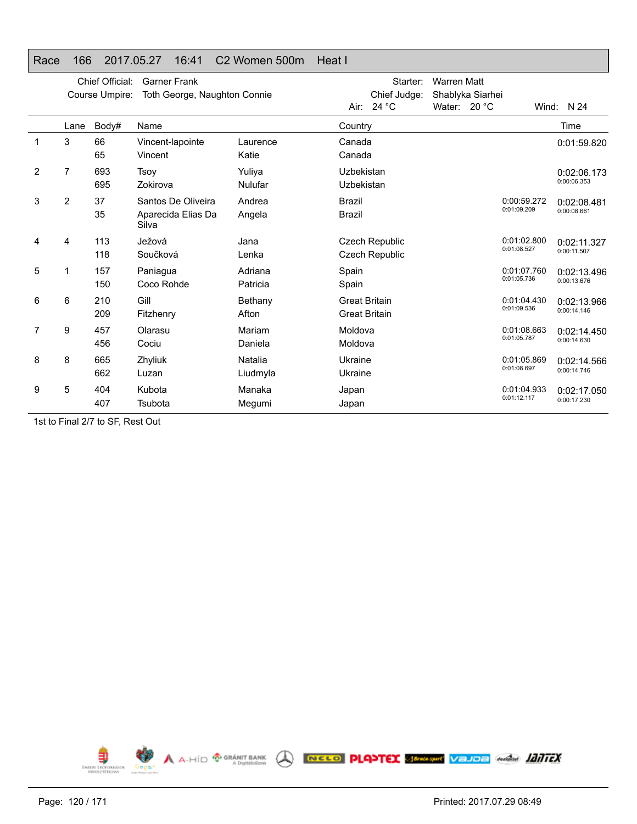### Race 166 2017.05.27 16:41 C2 Women 500m Heat I

|   |                | Chief Official:<br>Course Umpire: | <b>Garner Frank</b><br>Toth George, Naughton Connie |          |                      | Starter:<br>Chief Judge: | <b>Warren Matt</b> | Shablyka Siarhei |             |             |
|---|----------------|-----------------------------------|-----------------------------------------------------|----------|----------------------|--------------------------|--------------------|------------------|-------------|-------------|
|   |                |                                   |                                                     |          |                      | Air: 24 °C               | Water: 20 °C       |                  |             | Wind: N 24  |
|   | Lane           | Body#                             | Name                                                |          | Country              |                          |                    |                  |             | Time        |
|   | 3              | 66                                | Vincent-lapointe                                    | Laurence | Canada               |                          |                    |                  |             | 0:01:59.820 |
|   |                | 65                                | Vincent                                             | Katie    | Canada               |                          |                    |                  |             |             |
| 2 | $\overline{7}$ | 693                               | <b>Tsoy</b>                                         | Yuliya   | Uzbekistan           |                          |                    |                  |             | 0:02:06.173 |
|   |                | 695                               | Zokirova                                            | Nulufar  | Uzbekistan           |                          |                    |                  |             | 0:00:06.353 |
| 3 | 2              | 37                                | Santos De Oliveira                                  | Andrea   | Brazil               |                          |                    |                  | 0:00:59.272 | 0:02:08.481 |
|   |                | 35                                | Aparecida Elias Da<br>Silva                         | Angela   | <b>Brazil</b>        |                          |                    |                  | 0:01:09.209 | 0:00:08.661 |
| 4 | 4              | 113                               | Ježová                                              | Jana     |                      | <b>Czech Republic</b>    |                    |                  | 0:01:02.800 | 0:02:11.327 |
|   |                | 118                               | Součková                                            | Lenka    |                      | <b>Czech Republic</b>    |                    |                  | 0:01:08.527 | 0:00:11.507 |
| 5 |                | 157                               | Paniagua                                            | Adriana  | Spain                |                          |                    |                  | 0:01:07.760 | 0:02:13.496 |
|   |                | 150                               | Coco Rohde                                          | Patricia | Spain                |                          |                    |                  | 0:01:05.736 | 0:00:13.676 |
| 6 | 6              | 210                               | Gill                                                | Bethany  | <b>Great Britain</b> |                          |                    |                  | 0:01:04.430 | 0:02:13.966 |
|   |                | 209                               | Fitzhenry                                           | Afton    | <b>Great Britain</b> |                          |                    |                  | 0:01:09.536 | 0:00:14.146 |
| 7 | 9              | 457                               | Olarasu                                             | Mariam   | Moldova              |                          |                    |                  | 0:01:08.663 | 0:02:14.450 |
|   |                | 456                               | Cociu                                               | Daniela  | Moldova              |                          |                    |                  | 0:01:05.787 | 0:00:14.630 |
| 8 | 8              | 665                               | Zhyliuk                                             | Natalia  | Ukraine              |                          |                    |                  | 0:01:05.869 | 0:02:14.566 |
|   |                | 662                               | Luzan                                               | Liudmyla | Ukraine              |                          |                    |                  | 0:01:08.697 | 0:00:14.746 |
| 9 | 5              | 404                               | Kubota                                              | Manaka   | Japan                |                          |                    |                  | 0:01:04.933 | 0:02:17.050 |
|   |                | 407                               | Tsubota                                             | Megumi   | Japan                |                          |                    |                  | 0:01:12.117 | 0:00:17.230 |

1st to Final 2/7 to SF, Rest Out

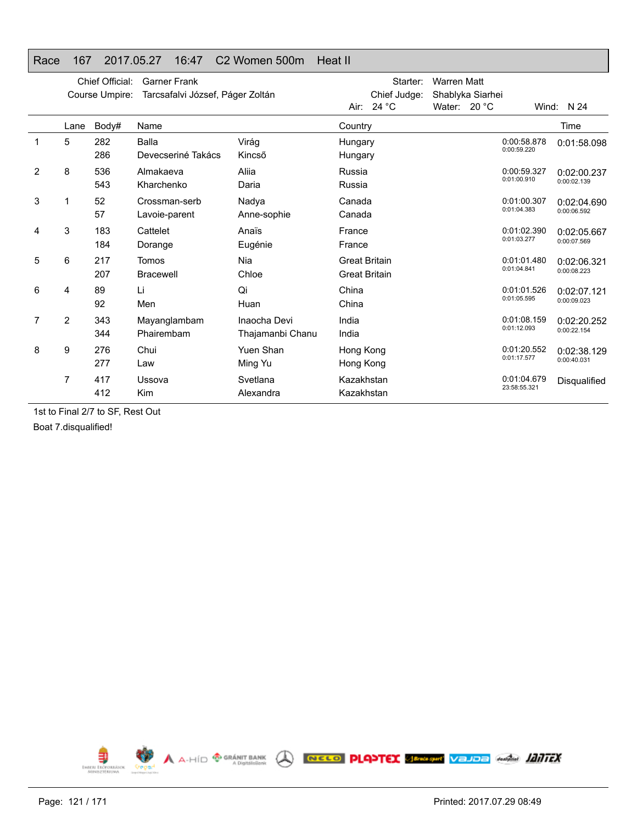### Race 167 2017.05.27 16:47 C2 Women 500m Heat II

|   |                | Chief Official:<br>Course Umpire: | <b>Garner Frank</b><br>Tarcsafalvi József, Páger Zoltán |                                  |                                              | Starter:<br>Chief Judge: | <b>Warren Matt</b><br>Shablyka Siarhei |                             |                            |
|---|----------------|-----------------------------------|---------------------------------------------------------|----------------------------------|----------------------------------------------|--------------------------|----------------------------------------|-----------------------------|----------------------------|
|   |                |                                   |                                                         |                                  | Air:                                         | 24 $^{\circ}$ C          | Water: $20^{\circ}$ C                  |                             | Wind: $N$ 24               |
|   | Lane           | Body#                             | Name                                                    |                                  | Country                                      |                          |                                        |                             | Time                       |
| 1 | 5              | 282<br>286                        | Balla<br>Devecseriné Takács                             | Virág<br>Kincső                  | Hungary<br>Hungary                           |                          |                                        | 0:00:58.878<br>0:00:59.220  | 0:01:58.098                |
| 2 | 8              | 536<br>543                        | Almakaeva<br>Kharchenko                                 | Aliia<br>Daria                   | Russia<br>Russia                             |                          |                                        | 0:00:59.327<br>0:01:00.910  | 0:02:00.237<br>0:00:02.139 |
| 3 |                | 52<br>57                          | Crossman-serb<br>Lavoie-parent                          | Nadya<br>Anne-sophie             | Canada<br>Canada                             |                          |                                        | 0:01:00.307<br>0:01:04.383  | 0:02:04.690<br>0:00:06.592 |
| 4 | 3              | 183<br>184                        | Cattelet<br>Dorange                                     | Anaïs<br>Eugénie                 | France<br>France                             |                          |                                        | 0:01:02.390<br>0:01:03.277  | 0:02:05.667<br>0:00:07.569 |
| 5 | 6              | 217<br>207                        | Tomos<br><b>Bracewell</b>                               | Nia<br>Chloe                     | <b>Great Britain</b><br><b>Great Britain</b> |                          |                                        | 0:01:01.480<br>0:01:04.841  | 0:02:06.321<br>0:00:08.223 |
| 6 | 4              | 89<br>92                          | Li<br>Men                                               | Qi<br>Huan                       | China<br>China                               |                          |                                        | 0:01:01.526<br>0:01:05.595  | 0:02:07.121<br>0:00:09.023 |
| 7 | $\overline{2}$ | 343<br>344                        | Mayanglambam<br>Phairembam                              | Inaocha Devi<br>Thajamanbi Chanu | India<br>India                               |                          |                                        | 0:01:08.159<br>0:01:12.093  | 0:02:20.252<br>0:00:22.154 |
| 8 | 9              | 276<br>277                        | Chui<br>Law                                             | Yuen Shan<br>Ming Yu             | Hong Kong<br>Hong Kong                       |                          |                                        | 0:01:20.552<br>0:01:17.577  | 0:02:38.129<br>0:00:40.031 |
|   | 7              | 417<br>412                        | Ussova<br>Kim                                           | Svetlana<br>Alexandra            | Kazakhstan<br>Kazakhstan                     |                          |                                        | 0:01:04.679<br>23:58:55.321 | Disqualified               |

1st to Final 2/7 to SF, Rest Out

Boat 7.disqualified!

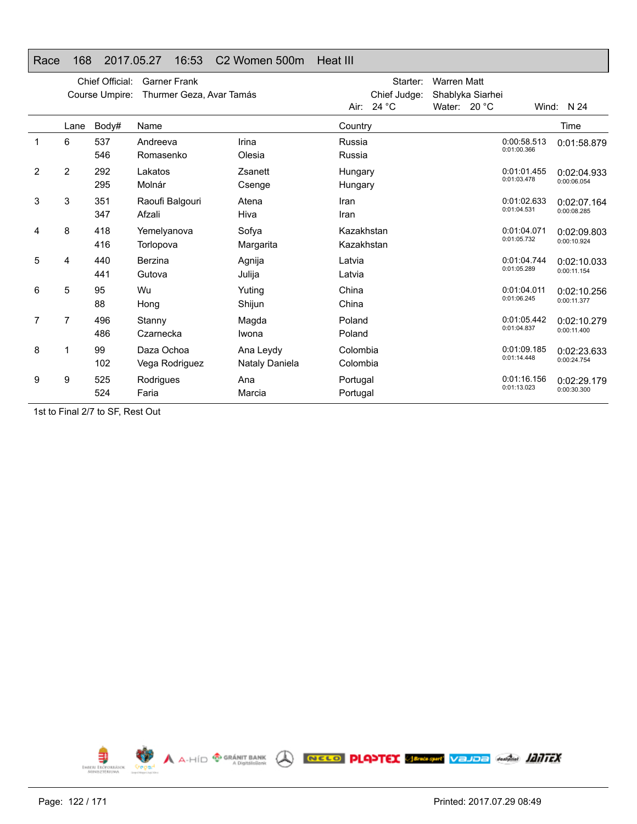### Race 168 2017.05.27 16:53 C2 Women 500m Heat III

|                |                | Chief Official:<br>Course Umpire: | <b>Garner Frank</b><br>Thurmer Geza, Avar Tamás |                             |                          | Starter:<br>Chief Judge: | <b>Warren Matt</b><br>Shablyka Siarhei |                            |                            |
|----------------|----------------|-----------------------------------|-------------------------------------------------|-----------------------------|--------------------------|--------------------------|----------------------------------------|----------------------------|----------------------------|
|                |                |                                   |                                                 |                             |                          | Air: $24 °C$             | Water: $20 °C$                         |                            | Wind: $N$ 24               |
|                | Lane           | Body#                             | Name                                            |                             | Country                  |                          |                                        |                            | Time                       |
|                | 6              | 537<br>546                        | Andreeva<br>Romasenko                           | Irina<br>Olesia             | Russia<br>Russia         |                          |                                        | 0:00:58.513<br>0:01:00.366 | 0:01:58.879                |
| $\overline{2}$ | $\overline{2}$ | 292<br>295                        | Lakatos<br>Molnár                               | Zsanett<br>Csenge           | Hungary<br>Hungary       |                          |                                        | 0:01:01.455<br>0:01:03.478 | 0:02:04.933<br>0:00:06.054 |
| 3              | 3              | 351<br>347                        | Raoufi Balgouri<br>Afzali                       | Atena<br>Hiva               | Iran<br>Iran             |                          |                                        | 0:01:02.633<br>0:01:04.531 | 0:02:07.164<br>0:00:08.285 |
| 4              | 8              | 418<br>416                        | Yemelyanova<br>Torlopova                        | Sofya<br>Margarita          | Kazakhstan<br>Kazakhstan |                          |                                        | 0:01:04.071<br>0:01:05.732 | 0:02:09.803<br>0:00:10.924 |
| 5              | 4              | 440<br>441                        | Berzina<br>Gutova                               | Agnija<br>Julija            | Latvia<br>Latvia         |                          |                                        | 0:01:04.744<br>0:01:05.289 | 0:02:10.033<br>0:00:11.154 |
| 6              | 5              | 95<br>88                          | Wu<br>Hong                                      | Yuting<br>Shijun            | China<br>China           |                          |                                        | 0:01:04.011<br>0:01:06.245 | 0:02:10.256<br>0:00:11.377 |
| 7              | 7              | 496<br>486                        | Stanny<br>Czarnecka                             | Magda<br>Iwona              | Poland<br>Poland         |                          |                                        | 0:01:05.442<br>0:01:04.837 | 0:02:10.279<br>0:00:11.400 |
| 8              |                | 99<br>102                         | Daza Ochoa<br>Vega Rodriguez                    | Ana Leydy<br>Nataly Daniela | Colombia<br>Colombia     |                          |                                        | 0:01:09.185<br>0:01:14.448 | 0:02:23.633<br>0:00:24.754 |
| 9              | 9              | 525<br>524                        | Rodrigues<br>Faria                              | Ana<br>Marcia               | Portugal<br>Portugal     |                          |                                        | 0:01:16.156<br>0:01:13.023 | 0:02:29.179<br>0:00:30.300 |

1st to Final 2/7 to SF, Rest Out

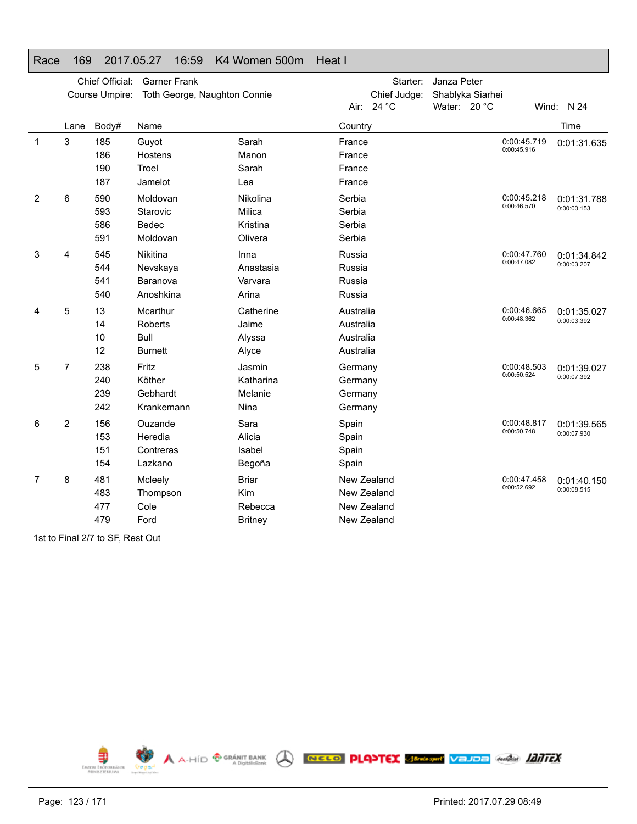### Race 169 2017.05.27 16:59 K4 Women 500m Heat I

|   |                | Chief Official:<br>Course Umpire: | <b>Garner Frank</b><br>Toth George, Naughton Connie |                |             | Starter:<br>Chief Judge: | Janza Peter<br>Shablyka Siarhei |                            |             |
|---|----------------|-----------------------------------|-----------------------------------------------------|----------------|-------------|--------------------------|---------------------------------|----------------------------|-------------|
|   |                |                                   |                                                     |                |             | Air: 24 °C               | Water: 20 °C                    |                            | Wind: N 24  |
|   | Lane           | Body#                             | Name                                                |                | Country     |                          |                                 |                            | Time        |
| 1 | 3              | 185                               | Guyot                                               | Sarah          | France      |                          |                                 | 0:00:45.719<br>0:00:45.916 | 0:01:31.635 |
|   |                | 186                               | Hostens                                             | Manon          | France      |                          |                                 |                            |             |
|   |                | 190                               | Troel                                               | Sarah          | France      |                          |                                 |                            |             |
|   |                | 187                               | Jamelot                                             | Lea            | France      |                          |                                 |                            |             |
| 2 | 6              | 590                               | Moldovan                                            | Nikolina       | Serbia      |                          |                                 | 0:00:45.218<br>0:00:46.570 | 0:01:31.788 |
|   |                | 593                               | Starovic                                            | Milica         | Serbia      |                          |                                 |                            | 0:00:00.153 |
|   |                | 586                               | Bedec                                               | Kristina       | Serbia      |                          |                                 |                            |             |
|   |                | 591                               | Moldovan                                            | Olivera        | Serbia      |                          |                                 |                            |             |
| 3 | 4              | 545                               | Nikitina                                            | Inna           | Russia      |                          |                                 | 0:00:47.760                | 0:01:34.842 |
|   |                | 544                               | Nevskaya                                            | Anastasia      | Russia      |                          |                                 | 0:00:47.082                | 0:00:03.207 |
|   |                | 541                               | Baranova                                            | Varvara        | Russia      |                          |                                 |                            |             |
|   |                | 540                               | Anoshkina                                           | Arina          | Russia      |                          |                                 |                            |             |
| 4 | 5              | 13                                | Mcarthur                                            | Catherine      | Australia   |                          |                                 | 0:00:46.665                | 0:01:35.027 |
|   |                | 14                                | Roberts                                             | Jaime          | Australia   |                          |                                 | 0:00:48.362                | 0:00:03.392 |
|   |                | 10                                | Bull                                                | Alyssa         | Australia   |                          |                                 |                            |             |
|   |                | 12                                | <b>Burnett</b>                                      | Alyce          | Australia   |                          |                                 |                            |             |
| 5 | $\overline{7}$ | 238                               | Fritz                                               | Jasmin         | Germany     |                          |                                 | 0:00:48.503                | 0:01:39.027 |
|   |                | 240                               | Köther                                              | Katharina      | Germany     |                          |                                 | 0:00:50.524                | 0:00:07.392 |
|   |                | 239                               | Gebhardt                                            | Melanie        | Germany     |                          |                                 |                            |             |
|   |                | 242                               | Krankemann                                          | Nina           | Germany     |                          |                                 |                            |             |
| 6 | 2              | 156                               | Ouzande                                             | Sara           | Spain       |                          |                                 | 0:00:48.817                | 0:01:39.565 |
|   |                | 153                               | Heredia                                             | Alicia         | Spain       |                          |                                 | 0:00:50.748                | 0:00:07.930 |
|   |                | 151                               | Contreras                                           | Isabel         | Spain       |                          |                                 |                            |             |
|   |                | 154                               | Lazkano                                             | Begoña         | Spain       |                          |                                 |                            |             |
| 7 | 8              | 481                               | Mcleely                                             | <b>Briar</b>   | New Zealand |                          |                                 | 0:00:47.458                | 0:01:40.150 |
|   |                | 483                               | Thompson                                            | Kim            | New Zealand |                          |                                 | 0:00:52.692                | 0:00:08.515 |
|   |                | 477                               | Cole                                                | Rebecca        | New Zealand |                          |                                 |                            |             |
|   |                | 479                               | Ford                                                | <b>Britney</b> | New Zealand |                          |                                 |                            |             |

1st to Final 2/7 to SF, Rest Out

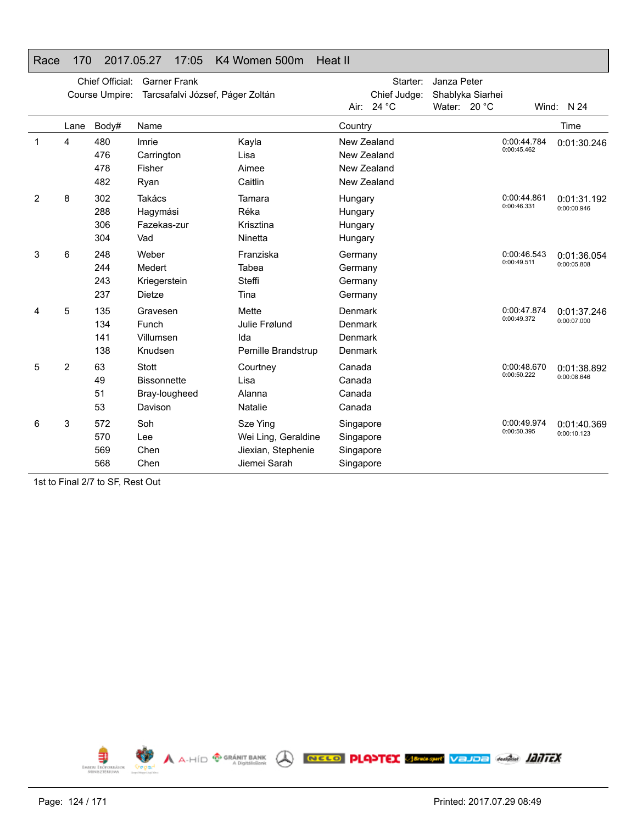|   |      | Chief Official: | <b>Garner Frank</b>              |                     | Starter:     | Janza Peter      |             |              |
|---|------|-----------------|----------------------------------|---------------------|--------------|------------------|-------------|--------------|
|   |      | Course Umpire:  | Tarcsafalvi József, Páger Zoltán |                     | Chief Judge: | Shablyka Siarhei |             |              |
|   |      |                 |                                  |                     | Air: 24 °C   | Water: 20 °C     |             | Wind: $N$ 24 |
|   | Lane | Body#           | Name                             |                     | Country      |                  |             | Time         |
| 1 | 4    | 480             | Imrie                            | Kayla               | New Zealand  |                  | 0:00:44.784 | 0:01:30.246  |
|   |      | 476             | Carrington                       | Lisa                | New Zealand  |                  | 0:00:45.462 |              |
|   |      | 478             | Fisher                           | Aimee               | New Zealand  |                  |             |              |
|   |      | 482             | Ryan                             | Caitlin             | New Zealand  |                  |             |              |
| 2 | 8    | 302             | Takács                           | Tamara              | Hungary      |                  | 0:00:44.861 | 0:01:31.192  |
|   |      | 288             | Hagymási                         | Réka                | Hungary      |                  | 0:00:46.331 | 0:00:00.946  |
|   |      | 306             | Fazekas-zur                      | Krisztina           | Hungary      |                  |             |              |
|   |      | 304             | Vad                              | Ninetta             | Hungary      |                  |             |              |
| 3 | 6    | 248             | Weber                            | Franziska           | Germany      |                  | 0:00:46.543 | 0:01:36.054  |
|   |      | 244             | Medert                           | Tabea               | Germany      |                  | 0:00:49.511 | 0:00:05.808  |
|   |      | 243             | Kriegerstein                     | Steffi              | Germany      |                  |             |              |
|   |      | 237             | <b>Dietze</b>                    | Tina                | Germany      |                  |             |              |
|   | 5    | 135             | Gravesen                         | Mette               | Denmark      |                  | 0:00:47.874 | 0:01:37.246  |
|   |      | 134             | Funch                            | Julie Frølund       | Denmark      |                  | 0:00:49.372 | 0:00:07.000  |
|   |      | 141             | Villumsen                        | Ida                 | Denmark      |                  |             |              |
|   |      | 138             | Knudsen                          | Pernille Brandstrup | Denmark      |                  |             |              |
| 5 | 2    | 63              | <b>Stott</b>                     | Courtney            | Canada       |                  | 0:00:48.670 | 0:01:38.892  |
|   |      | 49              | <b>Bissonnette</b>               | Lisa                | Canada       |                  | 0:00:50.222 | 0:00:08.646  |
|   |      | 51              | Bray-lougheed                    | Alanna              | Canada       |                  |             |              |
|   |      | 53              | Davison                          | Natalie             | Canada       |                  |             |              |
| 6 | 3    | 572             | Soh                              | Sze Ying            | Singapore    |                  | 0:00:49.974 | 0:01:40.369  |
|   |      | 570             | Lee                              | Wei Ling, Geraldine | Singapore    |                  | 0:00:50.395 | 0:00:10.123  |
|   |      | 569             | Chen                             | Jiexian, Stephenie  | Singapore    |                  |             |              |
|   |      | 568             | Chen                             | Jiemei Sarah        | Singapore    |                  |             |              |
|   |      |                 |                                  |                     |              |                  |             |              |

### Race 170 2017.05.27 17:05 K4 Women 500m Heat II

1st to Final 2/7 to SF, Rest Out

A A-HID **<sup>® GRÁNIT BANK</sub>** A RECO PLANTEX SEMANT VEJOB ANGLI **JANTEX**</sup> € **EMBERLERON**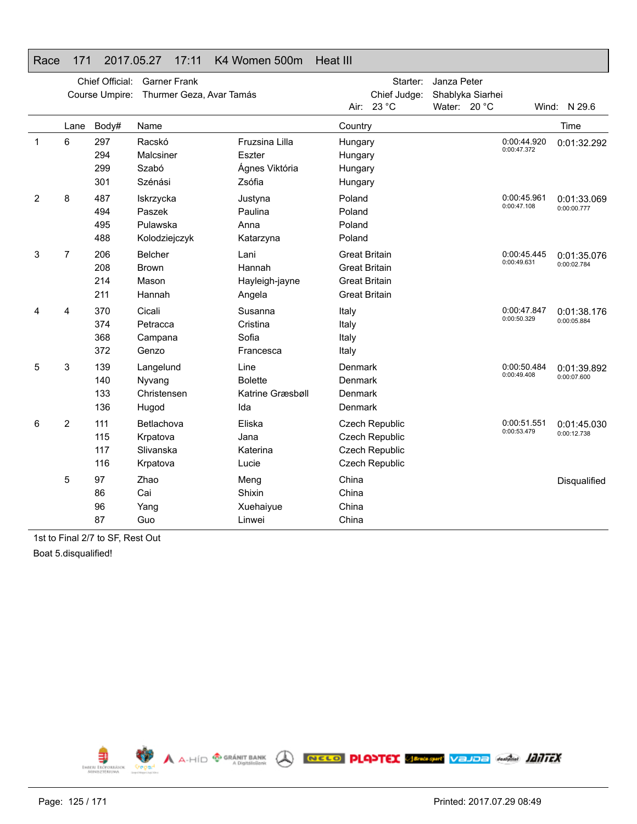### Race 171 2017.05.27 17:11 K4 Women 500m Heat III

|                |                | Chief Official: | <b>Garner Frank</b>      |                  |                      | Starter:              | Janza Peter      |                            |              |
|----------------|----------------|-----------------|--------------------------|------------------|----------------------|-----------------------|------------------|----------------------------|--------------|
|                |                | Course Umpire:  | Thurmer Geza, Avar Tamás |                  |                      | Chief Judge:          | Shablyka Siarhei |                            |              |
|                |                |                 |                          |                  |                      | Air: 23 °C            | Water: 20 °C     |                            | Wind: N 29.6 |
|                | Lane           | Body#           | Name                     |                  | Country              |                       |                  |                            | Time         |
| 1              | 6              | 297             | Racskó                   | Fruzsina Lilla   | Hungary              |                       |                  | 0:00:44.920<br>0:00:47.372 | 0:01:32.292  |
|                |                | 294             | Malcsiner                | Eszter           | Hungary              |                       |                  |                            |              |
|                |                | 299             | Szabó                    | Ágnes Viktória   | Hungary              |                       |                  |                            |              |
|                |                | 301             | Szénási                  | Zsófia           | Hungary              |                       |                  |                            |              |
| $\overline{2}$ | 8              | 487             | Iskrzycka                | Justyna          | Poland               |                       |                  | 0:00:45.961                | 0:01:33.069  |
|                |                | 494             | Paszek                   | Paulina          | Poland               |                       |                  | 0:00:47.108                | 0:00:00.777  |
|                |                | 495             | Pulawska                 | Anna             | Poland               |                       |                  |                            |              |
|                |                | 488             | Kolodziejczyk            | Katarzyna        | Poland               |                       |                  |                            |              |
| 3              | $\overline{7}$ | 206             | <b>Belcher</b>           | Lani             | <b>Great Britain</b> |                       |                  | 0:00:45.445                | 0:01:35.076  |
|                |                | 208             | <b>Brown</b>             | Hannah           | <b>Great Britain</b> |                       |                  | 0:00:49.631                | 0:00:02.784  |
|                |                | 214             | Mason                    | Hayleigh-jayne   | <b>Great Britain</b> |                       |                  |                            |              |
|                |                | 211             | Hannah                   | Angela           | <b>Great Britain</b> |                       |                  |                            |              |
| 4              | 4              | 370             | Cicali                   | Susanna          | Italy                |                       |                  | 0:00:47.847                | 0:01:38.176  |
|                |                | 374             | Petracca                 | Cristina         | Italy                |                       |                  | 0:00:50.329                | 0:00:05.884  |
|                |                | 368             | Campana                  | Sofia            | Italy                |                       |                  |                            |              |
|                |                | 372             | Genzo                    | Francesca        | Italy                |                       |                  |                            |              |
| 5              | 3              | 139             | Langelund                | Line             | Denmark              |                       |                  | 0:00:50.484                | 0:01:39.892  |
|                |                | 140             | Nyvang                   | <b>Bolette</b>   | Denmark              |                       |                  | 0:00:49.408                | 0:00:07.600  |
|                |                | 133             | Christensen              | Katrine Græsbøll | Denmark              |                       |                  |                            |              |
|                |                | 136             | Hugod                    | Ida              | Denmark              |                       |                  |                            |              |
| 6              | $\overline{c}$ | 111             | Betlachova               | Eliska           |                      | <b>Czech Republic</b> |                  | 0:00:51.551                | 0:01:45.030  |
|                |                | 115             | Krpatova                 | Jana             |                      | <b>Czech Republic</b> |                  | 0:00:53.479                | 0:00:12.738  |
|                |                | 117             | Slivanska                | Katerina         |                      | <b>Czech Republic</b> |                  |                            |              |
|                |                | 116             | Krpatova                 | Lucie            |                      | Czech Republic        |                  |                            |              |
|                | 5              | 97              | Zhao                     | Meng             | China                |                       |                  |                            | Disqualified |
|                |                | 86              | Cai                      | Shixin           | China                |                       |                  |                            |              |
|                |                | 96              | Yang                     | Xuehaiyue        | China                |                       |                  |                            |              |
|                |                | 87              | Guo                      | Linwei           | China                |                       |                  |                            |              |

1st to Final 2/7 to SF, Rest Out

Boat 5.disqualified!

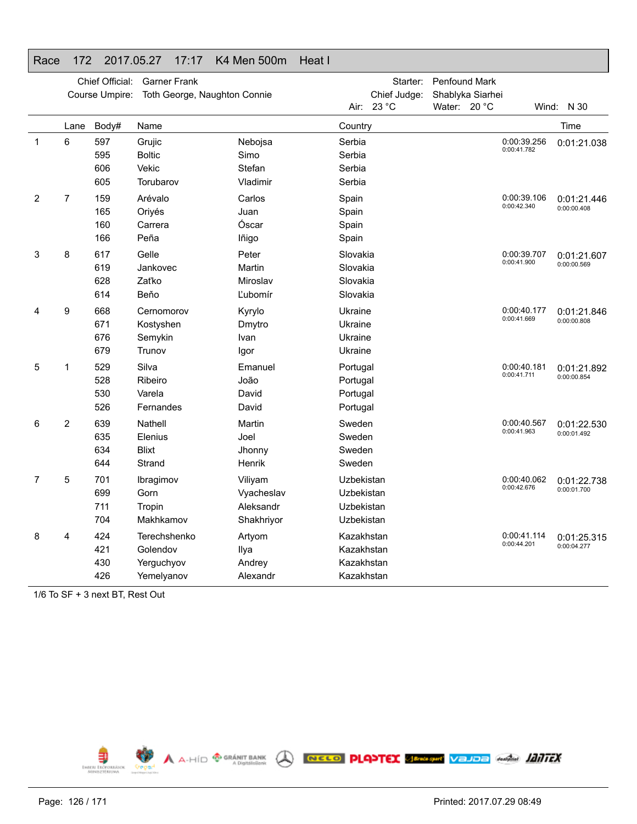## Race 172 2017.05.27 17:17 K4 Men 500m Heat I

|              |                | Chief Official:<br>Course Umpire: | <b>Garner Frank</b><br>Toth George, Naughton Connie  |                                                  |                                                      | Starter:<br>Chief Judge:<br>Air: 23 °C | <b>Penfound Mark</b><br>Shablyka Siarhei<br>Water: 20 °C |                            | Wind: N 30                 |
|--------------|----------------|-----------------------------------|------------------------------------------------------|--------------------------------------------------|------------------------------------------------------|----------------------------------------|----------------------------------------------------------|----------------------------|----------------------------|
|              | Lane           | Body#                             | Name                                                 |                                                  | Country                                              |                                        |                                                          |                            | Time                       |
| $\mathbf{1}$ | 6              | 597<br>595<br>606<br>605          | Grujic<br><b>Boltic</b><br>Vekic<br>Torubarov        | Nebojsa<br>Simo<br>Stefan<br>Vladimir            | Serbia<br>Serbia<br>Serbia<br>Serbia                 |                                        |                                                          | 0:00:39.256<br>0:00:41.782 | 0:01:21.038                |
| 2            | $\overline{7}$ | 159<br>165<br>160<br>166          | Arévalo<br>Oriyés<br>Carrera<br>Peña                 | Carlos<br>Juan<br>Óscar<br>lñigo                 | Spain<br>Spain<br>Spain<br>Spain                     |                                        |                                                          | 0:00:39.106<br>0:00:42.340 | 0:01:21.446<br>0:00:00.408 |
| 3            | 8              | 617<br>619<br>628<br>614          | Gelle<br>Jankovec<br>Zaťko<br>Beňo                   | Peter<br>Martin<br>Miroslav<br>Ľubomír           | Slovakia<br>Slovakia<br>Slovakia<br>Slovakia         |                                        |                                                          | 0:00:39.707<br>0:00:41.900 | 0:01:21.607<br>0:00:00.569 |
| 4            | 9              | 668<br>671<br>676<br>679          | Cernomorov<br>Kostyshen<br>Semykin<br>Trunov         | Kyrylo<br>Dmytro<br>Ivan<br>lgor                 | Ukraine<br>Ukraine<br>Ukraine<br>Ukraine             |                                        |                                                          | 0:00:40.177<br>0:00:41.669 | 0:01:21.846<br>0:00:00.808 |
| 5            | 1              | 529<br>528<br>530<br>526          | Silva<br>Ribeiro<br>Varela<br>Fernandes              | Emanuel<br>João<br>David<br>David                | Portugal<br>Portugal<br>Portugal<br>Portugal         |                                        |                                                          | 0:00:40.181<br>0:00:41.711 | 0:01:21.892<br>0:00:00.854 |
| 6            | 2              | 639<br>635<br>634<br>644          | Nathell<br>Elenius<br><b>Blixt</b><br>Strand         | Martin<br>Joel<br>Jhonny<br>Henrik               | Sweden<br>Sweden<br>Sweden<br>Sweden                 |                                        |                                                          | 0:00:40.567<br>0:00:41.963 | 0:01:22.530<br>0:00:01.492 |
| 7            | 5              | 701<br>699<br>711<br>704          | Ibragimov<br>Gorn<br>Tropin<br>Makhkamov             | Viliyam<br>Vyacheslav<br>Aleksandr<br>Shakhriyor | Uzbekistan<br>Uzbekistan<br>Uzbekistan<br>Uzbekistan |                                        |                                                          | 0:00:40.062<br>0:00:42.676 | 0:01:22.738<br>0:00:01.700 |
| 8            | 4              | 424<br>421<br>430<br>426          | Terechshenko<br>Golendov<br>Yerguchyov<br>Yemelyanov | Artyom<br>Ilya<br>Andrey<br>Alexandr             | Kazakhstan<br>Kazakhstan<br>Kazakhstan<br>Kazakhstan |                                        |                                                          | 0:00:41.114<br>0:00:44.201 | 0:01:25.315<br>0:00:04.277 |

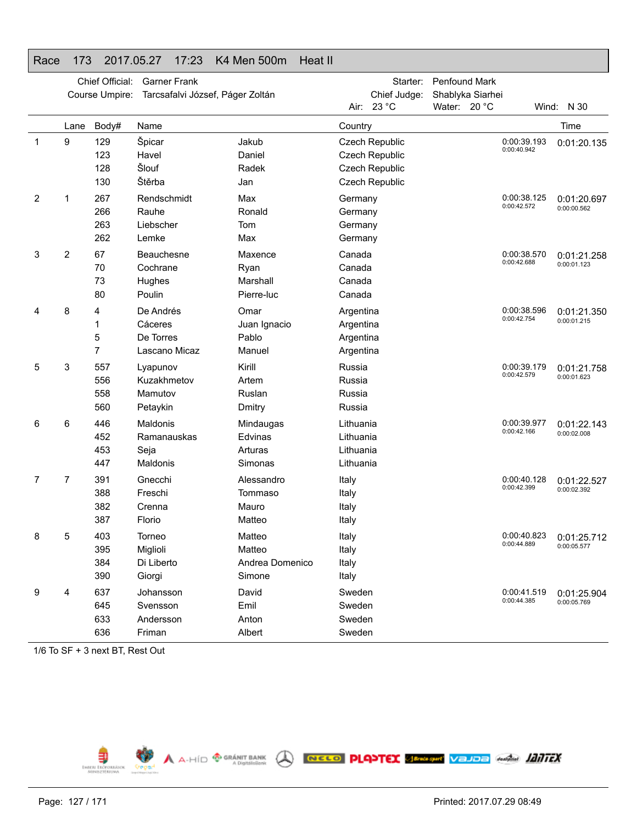| Race | 173              | 2017.05.27                        |                                                | 17:23               | <b>K4 Men 500m</b>                            | Heat II |                                                  |                                                    |                               |                  |                            |                            |
|------|------------------|-----------------------------------|------------------------------------------------|---------------------|-----------------------------------------------|---------|--------------------------------------------------|----------------------------------------------------|-------------------------------|------------------|----------------------------|----------------------------|
|      |                  | Chief Official:<br>Course Umpire: |                                                | <b>Garner Frank</b> | Tarcsafalvi József, Páger Zoltán              |         | Air:                                             | Starter:<br>Chief Judge:<br>23 °C                  | Penfound Mark<br>Water: 20 °C | Shablyka Siarhei |                            | Wind: N 30                 |
|      | Lane             | Body#                             | Name                                           |                     |                                               |         | Country                                          |                                                    |                               |                  |                            | Time                       |
| 1    | $\boldsymbol{9}$ | 129<br>123<br>128<br>130          | Špicar<br>Havel<br>Šlouf<br>Štěrba             |                     | Jakub<br>Daniel<br>Radek                      |         |                                                  | Czech Republic<br>Czech Republic<br>Czech Republic |                               |                  | 0:00:39.193<br>0:00:40.942 | 0:01:20.135                |
| 2    | 1                | 267<br>266<br>263<br>262          | Rendschmidt<br>Rauhe<br>Liebscher<br>Lemke     |                     | Jan<br>Max<br>Ronald<br>Tom<br>Max            |         | Germany<br>Germany<br>Germany<br>Germany         | Czech Republic                                     |                               |                  | 0:00:38.125<br>0:00:42.572 | 0:01:20.697<br>0:00:00.562 |
| 3    | 2                | 67<br>70<br>73<br>80              | Beauchesne<br>Cochrane<br>Hughes<br>Poulin     |                     | Maxence<br>Ryan<br>Marshall<br>Pierre-luc     |         | Canada<br>Canada<br>Canada<br>Canada             |                                                    |                               |                  | 0:00:38.570<br>0:00:42.688 | 0:01:21.258<br>0:00:01.123 |
| 4    | 8                | 4<br>1<br>5<br>7                  | De Andrés<br>Cáceres<br>De Torres              | Lascano Micaz       | Omar<br>Juan Ignacio<br>Pablo<br>Manuel       |         | Argentina<br>Argentina<br>Argentina<br>Argentina |                                                    |                               |                  | 0:00:38.596<br>0:00:42.754 | 0:01:21.350<br>0:00:01.215 |
| 5    | 3                | 557<br>556<br>558<br>560          | Lyapunov<br>Kuzakhmetov<br>Mamutov<br>Petaykin |                     | Kirill<br>Artem<br>Ruslan<br>Dmitry           |         | Russia<br>Russia<br>Russia<br>Russia             |                                                    |                               |                  | 0:00:39.179<br>0:00:42.579 | 0:01:21.758<br>0:00:01.623 |
| 6    | 6                | 446<br>452<br>453<br>447          | Maldonis<br>Ramanauskas<br>Seja<br>Maldonis    |                     | Mindaugas<br>Edvinas<br>Arturas<br>Simonas    |         | Lithuania<br>Lithuania<br>Lithuania<br>Lithuania |                                                    |                               |                  | 0:00:39.977<br>0:00:42.166 | 0:01:22.143<br>0:00:02.008 |
| 7    | 7                | 391<br>388<br>382<br>387          | Gnecchi<br>Freschi<br>Crenna<br>Florio         |                     | Alessandro<br>Tommaso<br>Mauro<br>Matteo      |         | Italy<br>Italy<br>Italy<br>Italy                 |                                                    |                               |                  | 0:00:40.128<br>0:00:42.399 | 0:01:22.527<br>0:00:02.392 |
| 8    | 5                | 403<br>395<br>384<br>390          | Torneo<br>Miglioli<br>Di Liberto<br>Giorgi     |                     | Matteo<br>Matteo<br>Andrea Domenico<br>Simone |         | Italy<br>Italy<br>Italy<br>Italy                 |                                                    |                               |                  | 0:00:40.823<br>0:00:44.889 | 0:01:25.712<br>0:00:05.577 |
| 9    | 4                | 637<br>645<br>633<br>636          | Johansson<br>Svensson<br>Andersson<br>Friman   |                     | David<br>Emil<br>Anton<br>Albert              |         | Sweden<br>Sweden<br>Sweden<br>Sweden             |                                                    |                               |                  | 0:00:41.519<br>0:00:44.385 | 0:01:25.904<br>0:00:05.769 |

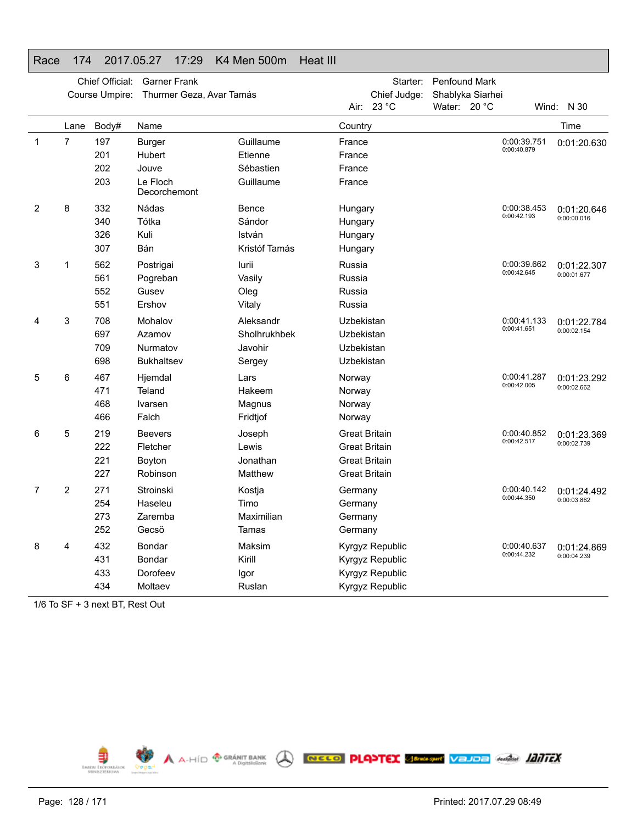### Race 174 2017.05.27 17:29 K4 Men 500m Heat III

| Chief Judge:<br>Shablyka Siarhei<br>Course Umpire:<br>Thurmer Geza, Avar Tamás<br>23 °C<br>Water: 20 °C<br>Air:<br>Wind: N 30<br>Time<br>Body#<br>Country<br>Lane<br>Name<br>$\mathbf{1}$<br>7<br>197<br>Guillaume<br>0:00:39.751<br>Burger<br>France<br>0:00:40.879<br>201<br>Hubert<br>Etienne<br>France |             |
|------------------------------------------------------------------------------------------------------------------------------------------------------------------------------------------------------------------------------------------------------------------------------------------------------------|-------------|
|                                                                                                                                                                                                                                                                                                            |             |
|                                                                                                                                                                                                                                                                                                            |             |
|                                                                                                                                                                                                                                                                                                            |             |
|                                                                                                                                                                                                                                                                                                            | 0:01:20.630 |
|                                                                                                                                                                                                                                                                                                            |             |
| 202<br>Jouve<br>Sébastien<br>France                                                                                                                                                                                                                                                                        |             |
| 203<br>Le Floch<br>Guillaume<br>France<br>Decorchemont                                                                                                                                                                                                                                                     |             |
| 8<br>2<br>332<br>Nádas<br>0:00:38.453<br>Bence<br>Hungary                                                                                                                                                                                                                                                  | 0:01:20.646 |
| 0:00:42.193<br>0:00:00.016<br>Tótka<br>340<br>Sándor<br>Hungary                                                                                                                                                                                                                                            |             |
| 326<br>Kuli<br>István<br>Hungary                                                                                                                                                                                                                                                                           |             |
| 307<br>Bán<br>Kristóf Tamás<br>Hungary                                                                                                                                                                                                                                                                     |             |
| 562<br>0:00:39.662<br>3<br>1<br>Postrigai<br>Russia<br>lurii                                                                                                                                                                                                                                               | 0:01:22.307 |
| 0:00:42.645<br>0:00:01.677<br>561<br>Pogreban<br>Vasily<br>Russia                                                                                                                                                                                                                                          |             |
| 552<br>Gusev<br>Russia<br>Oleg                                                                                                                                                                                                                                                                             |             |
| 551<br>Ershov<br>Russia<br>Vitaly                                                                                                                                                                                                                                                                          |             |
| 3<br>708<br>Mohalov<br>Aleksandr<br>0:00:41.133<br>Uzbekistan<br>4                                                                                                                                                                                                                                         | 0:01:22.784 |
| 0:00:41.651<br>0:00:02.154<br>697<br>Azamov<br>Sholhrukhbek<br>Uzbekistan                                                                                                                                                                                                                                  |             |
| 709<br>Nurmatov<br>Javohir<br>Uzbekistan                                                                                                                                                                                                                                                                   |             |
| 698<br><b>Bukhaltsev</b><br>Uzbekistan<br>Sergey                                                                                                                                                                                                                                                           |             |
| 467<br>5<br>6<br>Hjemdal<br>0:00:41.287<br>Lars<br>Norway                                                                                                                                                                                                                                                  | 0:01:23.292 |
| 0:00:42.005<br>0:00:02.662<br>471<br>Teland<br>Hakeem<br>Norway                                                                                                                                                                                                                                            |             |
| 468<br>Ivarsen<br>Magnus<br>Norway                                                                                                                                                                                                                                                                         |             |
| 466<br>Falch<br>Fridtjof<br>Norway                                                                                                                                                                                                                                                                         |             |
| 5<br>219<br><b>Great Britain</b><br>0:00:40.852<br>6<br><b>Beevers</b><br>Joseph                                                                                                                                                                                                                           | 0:01:23.369 |
| 0:00:42.517<br>0:00:02.739<br>222<br>Fletcher<br>Lewis<br>Great Britain                                                                                                                                                                                                                                    |             |
| 221<br>Jonathan<br>Great Britain<br>Boyton                                                                                                                                                                                                                                                                 |             |
| 227<br>Robinson<br>Matthew<br><b>Great Britain</b>                                                                                                                                                                                                                                                         |             |
| 2<br>271<br>7<br>Stroinski<br>0:00:40.142<br>Kostja<br>Germany                                                                                                                                                                                                                                             | 0:01:24.492 |
| 0:00:44.350<br>0:00:03.862<br>254<br>Haseleu<br>Timo<br>Germany                                                                                                                                                                                                                                            |             |
| 273<br>Maximilian<br>Zaremba<br>Germany                                                                                                                                                                                                                                                                    |             |
| 252<br>Gecsö<br>Tamas<br>Germany                                                                                                                                                                                                                                                                           |             |
| 432<br>8<br>Bondar<br>Maksim<br>Kyrgyz Republic<br>0:00:40.637<br>4                                                                                                                                                                                                                                        | 0:01:24.869 |
| 0:00:44.232<br>0:00:04.239<br>431<br>Bondar<br>Kirill<br>Kyrgyz Republic                                                                                                                                                                                                                                   |             |
| 433<br>Dorofeev<br>Kyrgyz Republic<br>Igor                                                                                                                                                                                                                                                                 |             |
| 434<br>Moltaev<br>Ruslan<br>Kyrgyz Republic                                                                                                                                                                                                                                                                |             |

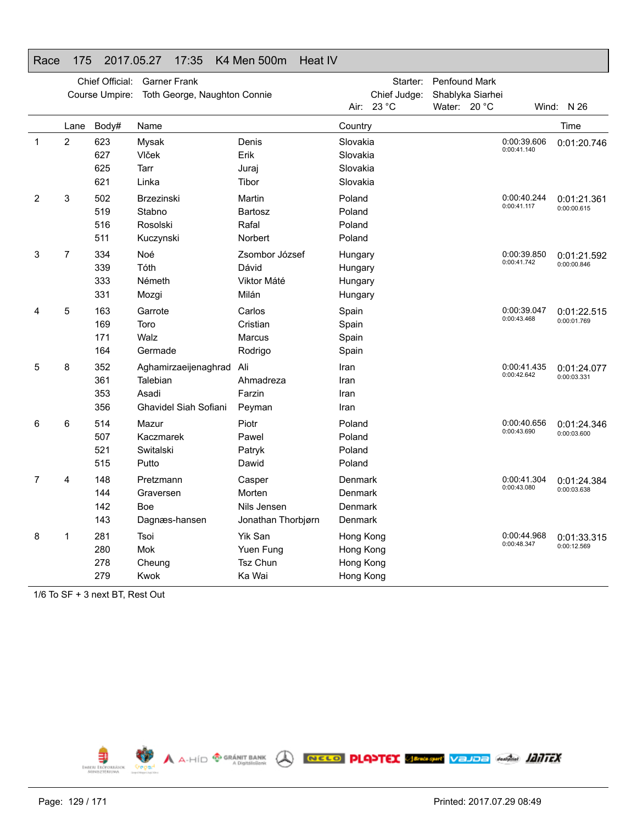## Race 175 2017.05.27 17:35 K4 Men 500m Heat IV

|   |      | Chief Official:<br>Course Umpire: | <b>Garner Frank</b><br>Toth George, Naughton Connie |                    |           | Starter:<br>Chief Judge: | <b>Penfound Mark</b><br>Shablyka Siarhei |                            |              |
|---|------|-----------------------------------|-----------------------------------------------------|--------------------|-----------|--------------------------|------------------------------------------|----------------------------|--------------|
|   |      |                                   |                                                     |                    |           | Air: 23 °C               | Water: 20 °C                             |                            | Wind: $N$ 26 |
|   | Lane | Body#                             | Name                                                |                    | Country   |                          |                                          |                            | Time         |
| 1 | 2    | 623                               | Mysak                                               | Denis              | Slovakia  |                          |                                          | 0:00:39.606<br>0:00:41.140 | 0:01:20.746  |
|   |      | 627                               | Vlček                                               | Erik               | Slovakia  |                          |                                          |                            |              |
|   |      | 625                               | Tarr                                                | Juraj              | Slovakia  |                          |                                          |                            |              |
|   |      | 621                               | Linka                                               | Tibor              | Slovakia  |                          |                                          |                            |              |
| 2 | 3    | 502                               | <b>Brzezinski</b>                                   | Martin             | Poland    |                          |                                          | 0:00:40.244<br>0:00:41.117 | 0:01:21.361  |
|   |      | 519                               | Stabno                                              | <b>Bartosz</b>     | Poland    |                          |                                          |                            | 0:00:00.615  |
|   |      | 516                               | Rosolski                                            | Rafal              | Poland    |                          |                                          |                            |              |
|   |      | 511                               | Kuczynski                                           | Norbert            | Poland    |                          |                                          |                            |              |
| 3 | 7    | 334                               | Noé                                                 | Zsombor József     | Hungary   |                          |                                          | 0:00:39.850                | 0:01:21.592  |
|   |      | 339                               | Tóth                                                | Dávid              | Hungary   |                          |                                          | 0:00:41.742                | 0:00:00.846  |
|   |      | 333                               | Németh                                              | Viktor Máté        | Hungary   |                          |                                          |                            |              |
|   |      | 331                               | Mozgi                                               | Milán              | Hungary   |                          |                                          |                            |              |
| 4 | 5    | 163                               | Garrote                                             | Carlos             | Spain     |                          |                                          | 0:00:39.047                | 0:01:22.515  |
|   |      | 169                               | Toro                                                | Cristian           | Spain     |                          |                                          | 0:00:43.468                | 0:00:01.769  |
|   |      | 171                               | Walz                                                | Marcus             | Spain     |                          |                                          |                            |              |
|   |      | 164                               | Germade                                             | Rodrigo            | Spain     |                          |                                          |                            |              |
| 5 | 8    | 352                               | Aghamirzaeijenaghrad                                | Ali                | Iran      |                          |                                          | 0:00:41.435                | 0:01:24.077  |
|   |      | 361                               | Talebian                                            | Ahmadreza          | Iran      |                          |                                          | 0:00:42.642                | 0:00:03.331  |
|   |      | 353                               | Asadi                                               | Farzin             | Iran      |                          |                                          |                            |              |
|   |      | 356                               | Ghavidel Siah Sofiani                               | Peyman             | Iran      |                          |                                          |                            |              |
| 6 | 6    | 514                               | Mazur                                               | Piotr              | Poland    |                          |                                          | 0:00:40.656                | 0:01:24.346  |
|   |      | 507                               | Kaczmarek                                           | Pawel              | Poland    |                          |                                          | 0:00:43.690                | 0:00:03.600  |
|   |      | 521                               | Switalski                                           | Patryk             | Poland    |                          |                                          |                            |              |
|   |      | 515                               | Putto                                               | Dawid              | Poland    |                          |                                          |                            |              |
| 7 | 4    | 148                               | Pretzmann                                           | Casper             | Denmark   |                          |                                          | 0:00:41.304                | 0:01:24.384  |
|   |      | 144                               | Graversen                                           | Morten             | Denmark   |                          |                                          | 0:00:43.080                | 0:00:03.638  |
|   |      | 142                               | <b>Boe</b>                                          | Nils Jensen        | Denmark   |                          |                                          |                            |              |
|   |      | 143                               | Dagnæs-hansen                                       | Jonathan Thorbjørn | Denmark   |                          |                                          |                            |              |
| 8 | 1    | 281                               | Tsoi                                                | Yik San            | Hong Kong |                          |                                          | 0:00:44.968                | 0:01:33.315  |
|   |      | 280                               | Mok                                                 | Yuen Fung          | Hong Kong |                          |                                          | 0:00:48.347                | 0:00:12.569  |
|   |      | 278                               | Cheung                                              | <b>Tsz Chun</b>    | Hong Kong |                          |                                          |                            |              |
|   |      | 279                               | Kwok                                                | Ka Wai             | Hong Kong |                          |                                          |                            |              |
|   |      |                                   |                                                     |                    |           |                          |                                          |                            |              |

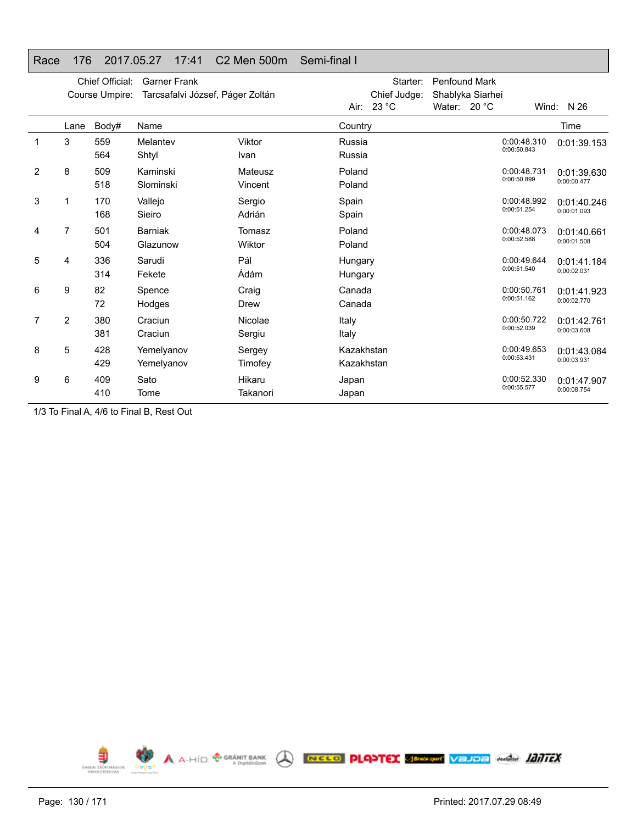### Race 176 2017.05.27 17:41 C2 Men 500m Semi-final I

|                |                | Chief Official:<br>Course Umpire: | <b>Garner Frank</b><br>Tarcsafalvi József, Páger Zoltán |                    |                          | Starter:<br>Chief Judge:<br>Air: 23 °C | <b>Penfound Mark</b><br>Shablyka Siarhei<br>Water: $20 °C$ |                            | Wind: $N$ 26               |
|----------------|----------------|-----------------------------------|---------------------------------------------------------|--------------------|--------------------------|----------------------------------------|------------------------------------------------------------|----------------------------|----------------------------|
|                | Lane           | Body#                             | Name                                                    |                    | Country                  |                                        |                                                            |                            | Time                       |
|                | 3              | 559<br>564                        | Melantev<br>Shtyl                                       | Viktor<br>Ivan     | Russia<br>Russia         |                                        |                                                            | 0:00:48.310<br>0:00:50.843 | 0:01:39.153                |
| $\overline{2}$ | 8              | 509<br>518                        | Kaminski<br>Slominski                                   | Mateusz<br>Vincent | Poland<br>Poland         |                                        |                                                            | 0:00:48.731<br>0:00:50.899 | 0:01:39.630<br>0:00:00.477 |
| 3              |                | 170<br>168                        | Vallejo<br>Sieiro                                       | Sergio<br>Adrián   | Spain<br>Spain           |                                        |                                                            | 0:00:48.992<br>0:00:51.254 | 0:01:40.246<br>0:00:01.093 |
| 4              | 7              | 501<br>504                        | <b>Barniak</b><br>Glazunow                              | Tomasz<br>Wiktor   | Poland<br>Poland         |                                        |                                                            | 0:00:48.073<br>0:00:52.588 | 0:01:40.661<br>0:00:01.508 |
| 5              | 4              | 336<br>314                        | Sarudi<br>Fekete                                        | Pál<br>Ádám        | Hungary<br>Hungary       |                                        |                                                            | 0:00:49.644<br>0:00:51.540 | 0:01:41.184<br>0:00:02.031 |
| 6              | 9              | 82<br>72                          | Spence<br>Hodges                                        | Craig<br>Drew      | Canada<br>Canada         |                                        |                                                            | 0:00:50.761<br>0:00:51.162 | 0:01:41.923<br>0:00:02.770 |
| 7              | $\overline{2}$ | 380<br>381                        | Craciun<br>Craciun                                      | Nicolae<br>Sergiu  | Italy<br>Italy           |                                        |                                                            | 0:00:50.722<br>0:00:52.039 | 0:01:42.761<br>0:00:03.608 |
| 8              | 5              | 428<br>429                        | Yemelyanov<br>Yemelyanov                                | Sergey<br>Timofey  | Kazakhstan<br>Kazakhstan |                                        |                                                            | 0:00:49.653<br>0:00:53.431 | 0:01:43.084<br>0:00:03.931 |
| 9              | 6              | 409<br>410                        | Sato<br>Tome                                            | Hikaru<br>Takanori | Japan<br>Japan           |                                        |                                                            | 0:00:52.330<br>0:00:55.577 | 0:01:47.907<br>0:00:08.754 |

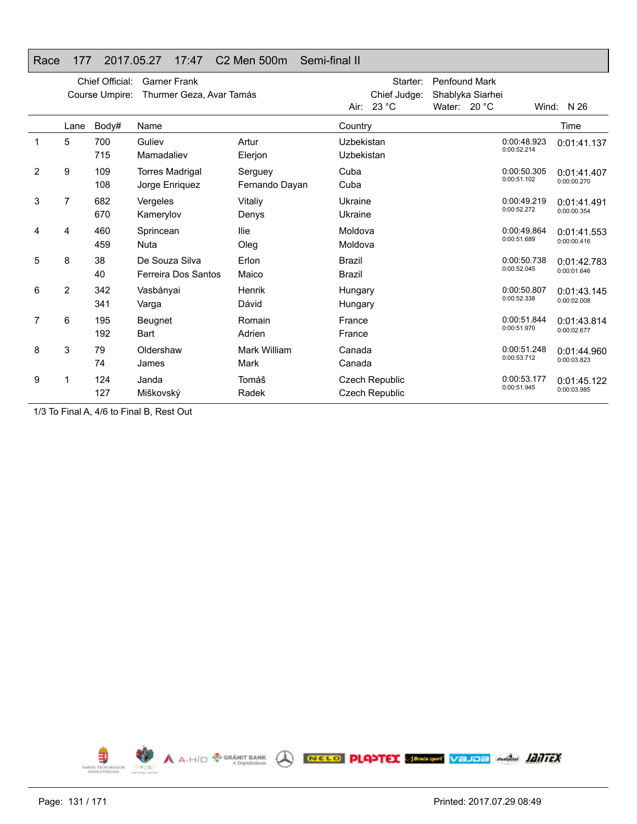### Race 177 2017.05.27 17:47 C2 Men 500m Semi-final II

|                |                | Chief Official:<br>Course Umpire: | <b>Garner Frank</b><br>Thurmer Geza, Avar Tamás |                           | Starter:<br>Chief Judge:<br>Air: 23 °C | <b>Penfound Mark</b><br>Shablyka Siarhei<br>Water: 20 °C |                            | Wind: $N$ 26               |
|----------------|----------------|-----------------------------------|-------------------------------------------------|---------------------------|----------------------------------------|----------------------------------------------------------|----------------------------|----------------------------|
|                | Lane           | Body#                             | Name                                            |                           | Country                                |                                                          |                            | Time                       |
|                | 5              | 700<br>715                        | Guliev<br>Mamadaliev                            | Artur<br>Elerjon          | Uzbekistan<br>Uzbekistan               |                                                          | 0:00:48.923<br>0:00:52.214 | 0:01:41.137                |
| $\overline{2}$ | 9              | 109<br>108                        | <b>Torres Madrigal</b><br>Jorge Enriquez        | Serguey<br>Fernando Dayan | Cuba<br>Cuba                           |                                                          | 0:00:50.305<br>0:00:51.102 | 0:01:41.407<br>0:00:00.270 |
| 3              | 7              | 682<br>670                        | Vergeles<br>Kamerylov                           | Vitaliy<br>Denys          | Ukraine<br>Ukraine                     |                                                          | 0:00:49.219<br>0:00:52.272 | 0:01:41.491<br>0:00:00.354 |
| 4              | 4              | 460<br>459                        | Sprincean<br>Nuta                               | llie<br>Oleg              | Moldova<br>Moldova                     |                                                          | 0:00:49.864<br>0:00:51.689 | 0:01:41.553<br>0:00:00.416 |
| 5              | 8              | 38<br>40                          | De Souza Silva<br>Ferreira Dos Santos           | Erlon<br>Maico            | <b>Brazil</b><br><b>Brazil</b>         |                                                          | 0:00:50.738<br>0:00:52.045 | 0:01:42.783<br>0:00:01.646 |
| 6              | $\overline{2}$ | 342<br>341                        | Vasbányai<br>Varga                              | Henrik<br>Dávid           | Hungary<br>Hungary                     |                                                          | 0:00:50.807<br>0:00:52.338 | 0:01:43.145<br>0:00:02.008 |
| 7              | 6              | 195<br>192                        | Beugnet<br><b>Bart</b>                          | Romain<br>Adrien          | France<br>France                       |                                                          | 0:00:51.844<br>0:00:51.970 | 0:01:43.814<br>0:00:02.677 |
| 8              | 3              | 79<br>74                          | Oldershaw<br>James                              | Mark William<br>Mark      | Canada<br>Canada                       |                                                          | 0:00:51.248<br>0:00:53.712 | 0:01:44.960<br>0:00:03.823 |
| 9              | 1              | 124<br>127                        | Janda<br>Miškovský                              | Tomáš<br>Radek            | Czech Republic<br>Czech Republic       |                                                          | 0:00:53.177<br>0:00:51.945 | 0:01:45.122<br>0:00:03.985 |

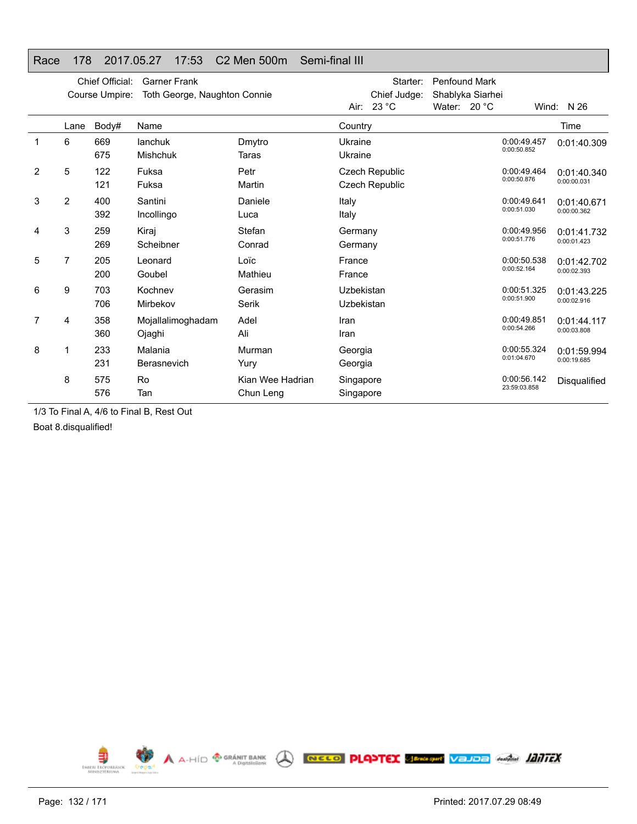### Race 178 2017.05.27 17:53 C2 Men 500m Semi-final III

|   |                | Chief Official:<br>Course Umpire: | <b>Garner Frank</b><br>Toth George, Naughton Connie |                               | Starter:<br>Chief Judge:<br>Air: 23 °C | Penfound Mark<br>Shablyka Siarhei<br>Water: 20 °C |                             | Wind: $N$ 26               |
|---|----------------|-----------------------------------|-----------------------------------------------------|-------------------------------|----------------------------------------|---------------------------------------------------|-----------------------------|----------------------------|
|   | Lane           | Body#                             | Name                                                |                               | Country                                |                                                   |                             | Time                       |
| 1 | 6              | 669<br>675                        | lanchuk<br><b>Mishchuk</b>                          | Dmytro<br>Taras               | Ukraine<br>Ukraine                     |                                                   | 0:00:49.457<br>0:00:50.852  | 0:01:40.309                |
| 2 | 5              | 122<br>121                        | Fuksa<br>Fuksa                                      | Petr<br>Martin                | Czech Republic<br>Czech Republic       |                                                   | 0:00:49.464<br>0:00:50.876  | 0:01:40.340<br>0:00:00.031 |
| 3 | $\overline{2}$ | 400<br>392                        | Santini<br>Incollingo                               | Daniele<br>Luca               | Italy<br>Italy                         |                                                   | 0:00:49.641<br>0:00:51.030  | 0:01:40.671<br>0:00:00.362 |
| 4 | 3              | 259<br>269                        | Kiraj<br>Scheibner                                  | Stefan<br>Conrad              | Germany<br>Germany                     |                                                   | 0:00:49.956<br>0:00:51.776  | 0:01:41.732<br>0:00:01.423 |
| 5 | 7              | 205<br>200                        | Leonard<br>Goubel                                   | Loïc<br>Mathieu               | France<br>France                       |                                                   | 0:00:50.538<br>0:00:52.164  | 0:01:42.702<br>0:00:02.393 |
| 6 | 9              | 703<br>706                        | Kochnev<br>Mirbekov                                 | Gerasim<br>Serik              | Uzbekistan<br>Uzbekistan               |                                                   | 0:00:51.325<br>0:00:51.900  | 0:01:43.225<br>0:00:02.916 |
| 7 | 4              | 358<br>360                        | Mojallalimoghadam<br>Ojaghi                         | Adel<br>Ali                   | Iran<br>Iran                           |                                                   | 0:00:49.851<br>0:00:54.266  | 0:01:44.117<br>0:00:03.808 |
| 8 |                | 233<br>231                        | Malania<br>Berasnevich                              | Murman<br>Yury                | Georgia<br>Georgia                     |                                                   | 0:00:55.324<br>0:01:04.670  | 0:01:59.994<br>0:00:19.685 |
|   | 8              | 575<br>576                        | Ro<br>Tan                                           | Kian Wee Hadrian<br>Chun Leng | Singapore<br>Singapore                 |                                                   | 0:00:56.142<br>23:59:03.858 | Disqualified               |

1/3 To Final A, 4/6 to Final B, Rest Out

Boat 8.disqualified!

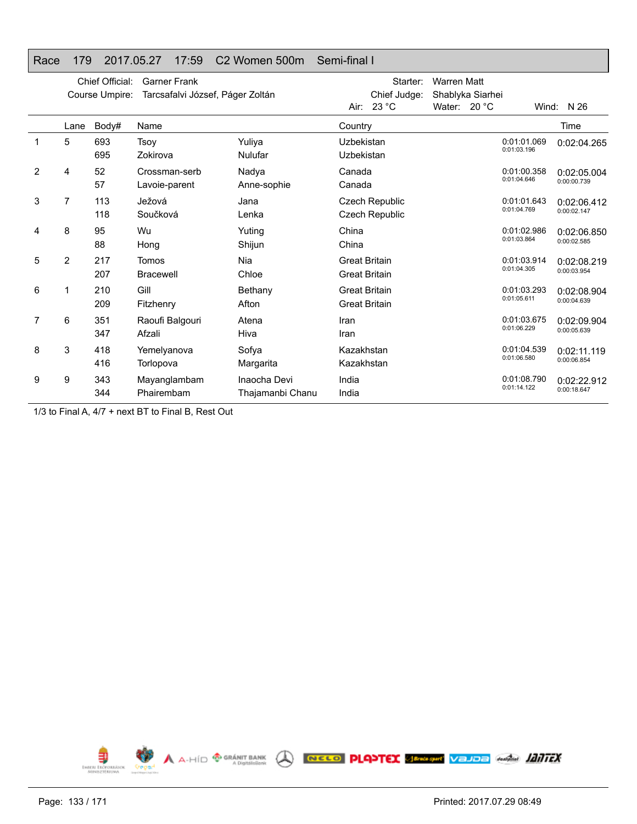## Race 179 2017.05.27 17:59 C2 Women 500m Semi-final I

|                | Chief Official:<br><b>Garner Frank</b><br>Tarcsafalvi József, Páger Zoltán<br>Course Umpire: |            |                                |                                  | Starter:<br>Chief Judge:<br>Air: $23 °C$     | <b>Warren Matt</b><br>Shablyka Siarhei<br>Water: $20 °C$ | Wind:                      | N 26                       |
|----------------|----------------------------------------------------------------------------------------------|------------|--------------------------------|----------------------------------|----------------------------------------------|----------------------------------------------------------|----------------------------|----------------------------|
|                | Lane                                                                                         | Body#      | Name                           |                                  | Country                                      |                                                          |                            | Time                       |
|                | 5                                                                                            | 693<br>695 | Tsoy<br>Zokirova               | Yuliya<br>Nulufar                | Uzbekistan<br>Uzbekistan                     |                                                          | 0:01:01.069<br>0:01:03.196 | 0:02:04.265                |
| $\overline{2}$ | 4                                                                                            | 52<br>57   | Crossman-serb<br>Lavoie-parent | Nadya<br>Anne-sophie             | Canada<br>Canada                             |                                                          | 0:01:00.358<br>0:01:04.646 | 0:02:05.004<br>0:00:00.739 |
| 3              | 7                                                                                            | 113<br>118 | Ježová<br>Součková             | Jana<br>Lenka                    | Czech Republic<br>Czech Republic             |                                                          | 0:01:01.643<br>0:01:04.769 | 0:02:06.412<br>0:00:02.147 |
| 4              | 8                                                                                            | 95<br>88   | Wu<br>Hong                     | Yuting<br>Shijun                 | China<br>China                               |                                                          | 0:01:02.986<br>0:01:03.864 | 0:02:06.850<br>0:00:02.585 |
| 5              | 2                                                                                            | 217<br>207 | Tomos<br><b>Bracewell</b>      | Nia<br>Chloe                     | <b>Great Britain</b><br><b>Great Britain</b> |                                                          | 0:01:03.914<br>0:01:04.305 | 0:02:08.219<br>0:00:03.954 |
| 6              | 1                                                                                            | 210<br>209 | Gill<br>Fitzhenry              | Bethany<br>Afton                 | <b>Great Britain</b><br><b>Great Britain</b> |                                                          | 0:01:03.293<br>0:01:05.611 | 0:02:08.904<br>0:00:04.639 |
| 7              | 6                                                                                            | 351<br>347 | Raoufi Balgouri<br>Afzali      | Atena<br>Hiva                    | Iran<br>Iran                                 |                                                          | 0:01:03.675<br>0:01:06.229 | 0:02:09.904<br>0:00:05.639 |
| 8              | 3                                                                                            | 418<br>416 | Yemelyanova<br>Torlopova       | Sofya<br>Margarita               | Kazakhstan<br>Kazakhstan                     |                                                          | 0:01:04.539<br>0:01:06.580 | 0:02:11.119<br>0:00:06.854 |
| 9              | 9                                                                                            | 343<br>344 | Mayanglambam<br>Phairembam     | Inaocha Devi<br>Thajamanbi Chanu | India<br>India                               |                                                          | 0:01:08.790<br>0:01:14.122 | 0:02:22.912<br>0:00:18.647 |

1/3 to Final A, 4/7 + next BT to Final B, Rest Out

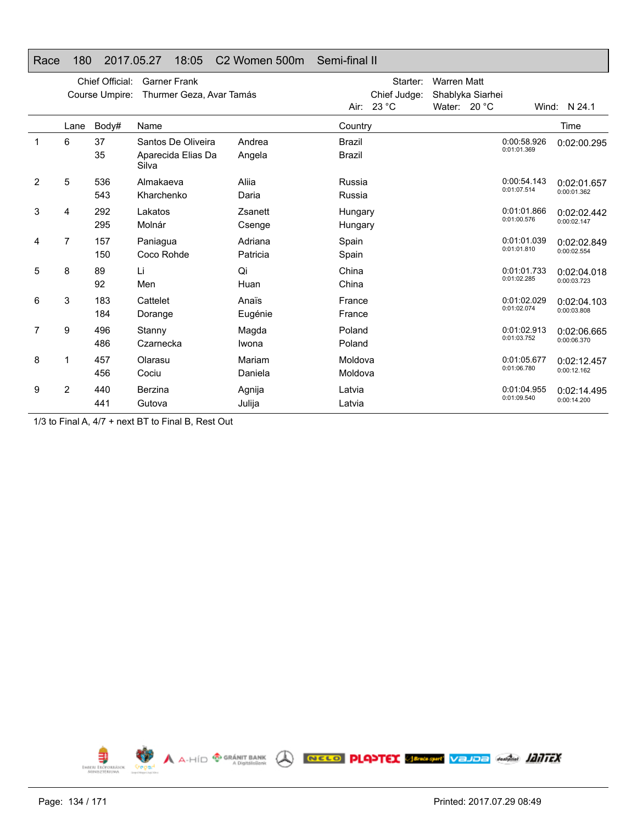### Race 180 2017.05.27 18:05 C2 Women 500m Semi-final II

| Air: 23 °C<br>Water: $20 °C$<br>Wind: N 24.1<br>Time<br>Body#<br>Country<br>Name<br>Lane<br>6<br>37<br>Santos De Oliveira<br>Andrea<br>1<br><b>Brazil</b><br>0:00:58.926<br>0:02:00.295<br>0:01:01.369<br>35<br>Aparecida Elias Da<br><b>Brazil</b><br>Angela<br>Silva<br>5<br>2<br>536<br>Almakaeva<br>Aliia<br>0:00:54.143<br>Russia<br>0:02:01.657<br>0:01:07.514<br>0:00:01.362<br>543<br>Kharchenko<br>Daria<br>Russia<br>3<br>292<br>0:01:01.866<br>Lakatos<br>Zsanett<br>4<br>Hungary<br>0:02:02.442<br>0:01:00.576<br>0:00:02.147<br>295<br>Molnár<br>Csenge<br>Hungary<br>7<br>157<br>Adriana<br>0:01:01.039<br>Paniagua<br>Spain<br>4<br>0:02:02.849<br>0:01:01.810<br>0:00:02.554<br>150<br>Coco Rohde<br>Patricia<br>Spain<br>Li<br>Qi<br>5<br>8<br>89<br>China<br>0:01:01.733<br>0:02:04.018<br>0:01:02.285<br>0:00:03.723<br>92<br>Men<br>Huan<br>China<br>3<br>183<br>Cattelet<br>6<br>Anaïs<br>France<br>0:01:02.029<br>0:02:04.103<br>0:01:02.074<br>0:00:03.808<br>184<br>Eugénie<br>France<br>Dorange<br>0:01:02.913<br>7<br>9<br>496<br>Poland<br>Stanny<br>Magda<br>0:02:06.665<br>0:01:03.752<br>0:00:06.370<br>486<br>Czarnecka<br>Iwona<br>Poland<br>8<br>457<br>Olarasu<br>Mariam<br>Moldova<br>0:01:05.677<br>0:02:12.457<br>0:01:06.780<br>0:00:12.162<br>456<br>Cociu<br>Daniela<br>Moldova<br>9<br>2<br>0:01:04.955<br>440<br>Berzina<br>Latvia<br>Agnija<br>0:02:14.495<br>0:01:09.540<br>0:00:14.200<br>441<br>Gutova<br>Julija<br>Latvia |  | Chief Official:<br>Course Umpire: | <b>Garner Frank</b><br>Thurmer Geza, Avar Tamás |  | Starter:<br>Chief Judge: | <b>Warren Matt</b><br>Shablyka Siarhei |  |  |
|--------------------------------------------------------------------------------------------------------------------------------------------------------------------------------------------------------------------------------------------------------------------------------------------------------------------------------------------------------------------------------------------------------------------------------------------------------------------------------------------------------------------------------------------------------------------------------------------------------------------------------------------------------------------------------------------------------------------------------------------------------------------------------------------------------------------------------------------------------------------------------------------------------------------------------------------------------------------------------------------------------------------------------------------------------------------------------------------------------------------------------------------------------------------------------------------------------------------------------------------------------------------------------------------------------------------------------------------------------------------------------------------------------------------------------------------------------------------------|--|-----------------------------------|-------------------------------------------------|--|--------------------------|----------------------------------------|--|--|
|                                                                                                                                                                                                                                                                                                                                                                                                                                                                                                                                                                                                                                                                                                                                                                                                                                                                                                                                                                                                                                                                                                                                                                                                                                                                                                                                                                                                                                                                          |  |                                   |                                                 |  |                          |                                        |  |  |
|                                                                                                                                                                                                                                                                                                                                                                                                                                                                                                                                                                                                                                                                                                                                                                                                                                                                                                                                                                                                                                                                                                                                                                                                                                                                                                                                                                                                                                                                          |  |                                   |                                                 |  |                          |                                        |  |  |
|                                                                                                                                                                                                                                                                                                                                                                                                                                                                                                                                                                                                                                                                                                                                                                                                                                                                                                                                                                                                                                                                                                                                                                                                                                                                                                                                                                                                                                                                          |  |                                   |                                                 |  |                          |                                        |  |  |
|                                                                                                                                                                                                                                                                                                                                                                                                                                                                                                                                                                                                                                                                                                                                                                                                                                                                                                                                                                                                                                                                                                                                                                                                                                                                                                                                                                                                                                                                          |  |                                   |                                                 |  |                          |                                        |  |  |
|                                                                                                                                                                                                                                                                                                                                                                                                                                                                                                                                                                                                                                                                                                                                                                                                                                                                                                                                                                                                                                                                                                                                                                                                                                                                                                                                                                                                                                                                          |  |                                   |                                                 |  |                          |                                        |  |  |
|                                                                                                                                                                                                                                                                                                                                                                                                                                                                                                                                                                                                                                                                                                                                                                                                                                                                                                                                                                                                                                                                                                                                                                                                                                                                                                                                                                                                                                                                          |  |                                   |                                                 |  |                          |                                        |  |  |
|                                                                                                                                                                                                                                                                                                                                                                                                                                                                                                                                                                                                                                                                                                                                                                                                                                                                                                                                                                                                                                                                                                                                                                                                                                                                                                                                                                                                                                                                          |  |                                   |                                                 |  |                          |                                        |  |  |
|                                                                                                                                                                                                                                                                                                                                                                                                                                                                                                                                                                                                                                                                                                                                                                                                                                                                                                                                                                                                                                                                                                                                                                                                                                                                                                                                                                                                                                                                          |  |                                   |                                                 |  |                          |                                        |  |  |
|                                                                                                                                                                                                                                                                                                                                                                                                                                                                                                                                                                                                                                                                                                                                                                                                                                                                                                                                                                                                                                                                                                                                                                                                                                                                                                                                                                                                                                                                          |  |                                   |                                                 |  |                          |                                        |  |  |
|                                                                                                                                                                                                                                                                                                                                                                                                                                                                                                                                                                                                                                                                                                                                                                                                                                                                                                                                                                                                                                                                                                                                                                                                                                                                                                                                                                                                                                                                          |  |                                   |                                                 |  |                          |                                        |  |  |
|                                                                                                                                                                                                                                                                                                                                                                                                                                                                                                                                                                                                                                                                                                                                                                                                                                                                                                                                                                                                                                                                                                                                                                                                                                                                                                                                                                                                                                                                          |  |                                   |                                                 |  |                          |                                        |  |  |
|                                                                                                                                                                                                                                                                                                                                                                                                                                                                                                                                                                                                                                                                                                                                                                                                                                                                                                                                                                                                                                                                                                                                                                                                                                                                                                                                                                                                                                                                          |  |                                   |                                                 |  |                          |                                        |  |  |
|                                                                                                                                                                                                                                                                                                                                                                                                                                                                                                                                                                                                                                                                                                                                                                                                                                                                                                                                                                                                                                                                                                                                                                                                                                                                                                                                                                                                                                                                          |  |                                   |                                                 |  |                          |                                        |  |  |
|                                                                                                                                                                                                                                                                                                                                                                                                                                                                                                                                                                                                                                                                                                                                                                                                                                                                                                                                                                                                                                                                                                                                                                                                                                                                                                                                                                                                                                                                          |  |                                   |                                                 |  |                          |                                        |  |  |
|                                                                                                                                                                                                                                                                                                                                                                                                                                                                                                                                                                                                                                                                                                                                                                                                                                                                                                                                                                                                                                                                                                                                                                                                                                                                                                                                                                                                                                                                          |  |                                   |                                                 |  |                          |                                        |  |  |
|                                                                                                                                                                                                                                                                                                                                                                                                                                                                                                                                                                                                                                                                                                                                                                                                                                                                                                                                                                                                                                                                                                                                                                                                                                                                                                                                                                                                                                                                          |  |                                   |                                                 |  |                          |                                        |  |  |
|                                                                                                                                                                                                                                                                                                                                                                                                                                                                                                                                                                                                                                                                                                                                                                                                                                                                                                                                                                                                                                                                                                                                                                                                                                                                                                                                                                                                                                                                          |  |                                   |                                                 |  |                          |                                        |  |  |
|                                                                                                                                                                                                                                                                                                                                                                                                                                                                                                                                                                                                                                                                                                                                                                                                                                                                                                                                                                                                                                                                                                                                                                                                                                                                                                                                                                                                                                                                          |  |                                   |                                                 |  |                          |                                        |  |  |
|                                                                                                                                                                                                                                                                                                                                                                                                                                                                                                                                                                                                                                                                                                                                                                                                                                                                                                                                                                                                                                                                                                                                                                                                                                                                                                                                                                                                                                                                          |  |                                   |                                                 |  |                          |                                        |  |  |
|                                                                                                                                                                                                                                                                                                                                                                                                                                                                                                                                                                                                                                                                                                                                                                                                                                                                                                                                                                                                                                                                                                                                                                                                                                                                                                                                                                                                                                                                          |  |                                   |                                                 |  |                          |                                        |  |  |

1/3 to Final A, 4/7 + next BT to Final B, Rest Out

A A-HID <sup>@ GRÁNIT BANK</sup> A RECO PLANTEX SERASTIC VEJDE GARAGE 1217FX €  $\mathbf{S}^{(n)}$ EMBERL ERÖPORRÄSK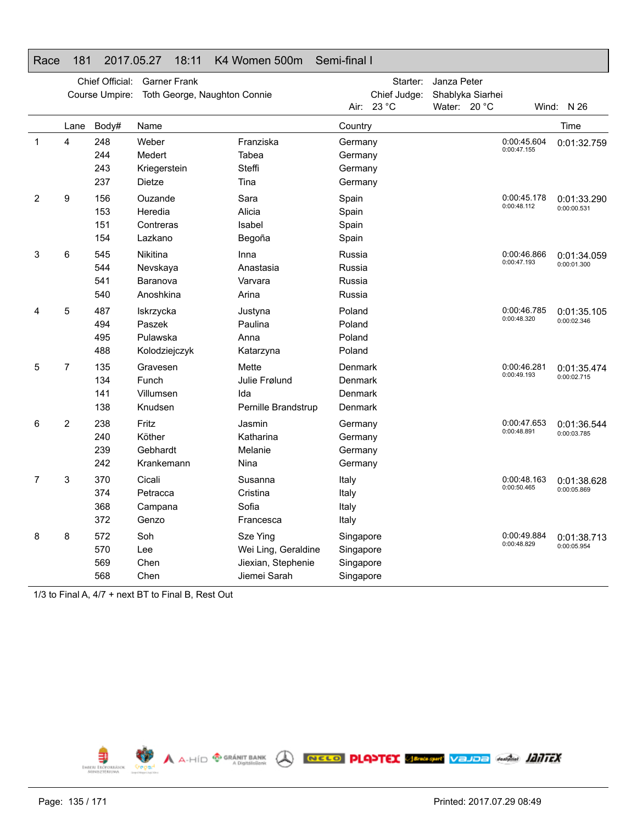### Race 181 2017.05.27 18:11 K4 Women 500m Semi-final I

|   |                | Chief Official:<br>Course Umpire: | <b>Garner Frank</b><br>Toth George, Naughton Connie  |                                                                       |                                                  | Starter:<br>Chief Judge: | Janza Peter<br>Shablyka Siarhei |                            |                            |
|---|----------------|-----------------------------------|------------------------------------------------------|-----------------------------------------------------------------------|--------------------------------------------------|--------------------------|---------------------------------|----------------------------|----------------------------|
|   |                |                                   |                                                      |                                                                       |                                                  | Air: 23 °C               | Water: $20^{\circ}$ C           |                            | Wind: $N$ 26               |
|   | Lane           | Body#                             | Name                                                 |                                                                       | Country                                          |                          |                                 |                            | Time                       |
| 1 | 4              | 248<br>244<br>243<br>237          | Weber<br>Medert<br>Kriegerstein<br>Dietze            | Franziska<br>Tabea<br>Steffi<br>Tina                                  | Germany<br>Germany<br>Germany<br>Germany         |                          |                                 | 0:00:45.604<br>0:00:47.155 | 0:01:32.759                |
| 2 | 9              | 156<br>153<br>151<br>154          | Ouzande<br>Heredia<br>Contreras<br>Lazkano           | Sara<br>Alicia<br>Isabel<br>Begoña                                    | Spain<br>Spain<br>Spain<br>Spain                 |                          |                                 | 0:00:45.178<br>0:00:48.112 | 0:01:33.290<br>0:00:00.531 |
| 3 | 6              | 545<br>544<br>541<br>540          | <b>Nikitina</b><br>Nevskaya<br>Baranova<br>Anoshkina | Inna<br>Anastasia<br>Varvara<br>Arina                                 | Russia<br>Russia<br>Russia<br>Russia             |                          |                                 | 0:00:46.866<br>0:00:47.193 | 0:01:34.059<br>0:00:01.300 |
| 4 | 5              | 487<br>494<br>495<br>488          | Iskrzycka<br>Paszek<br>Pulawska<br>Kolodziejczyk     | Justyna<br>Paulina<br>Anna<br>Katarzyna                               | Poland<br>Poland<br>Poland<br>Poland             |                          |                                 | 0:00:46.785<br>0:00:48.320 | 0:01:35.105<br>0:00:02.346 |
| 5 | $\overline{7}$ | 135<br>134<br>141<br>138          | Gravesen<br>Funch<br>Villumsen<br>Knudsen            | Mette<br>Julie Frølund<br>Ida<br>Pernille Brandstrup                  | Denmark<br>Denmark<br>Denmark<br>Denmark         |                          |                                 | 0:00:46.281<br>0:00:49.193 | 0:01:35.474<br>0:00:02.715 |
| 6 | $\overline{2}$ | 238<br>240<br>239<br>242          | Fritz<br>Köther<br>Gebhardt<br>Krankemann            | Jasmin<br>Katharina<br>Melanie<br>Nina                                | Germany<br>Germany<br>Germany<br>Germany         |                          |                                 | 0:00:47.653<br>0:00:48.891 | 0:01:36.544<br>0:00:03.785 |
| 7 | 3              | 370<br>374<br>368<br>372          | Cicali<br>Petracca<br>Campana<br>Genzo               | Susanna<br>Cristina<br>Sofia<br>Francesca                             | Italy<br>Italy<br>Italy<br>Italy                 |                          |                                 | 0:00:48.163<br>0:00:50.465 | 0:01:38.628<br>0:00:05.869 |
| 8 | 8              | 572<br>570<br>569<br>568          | Soh<br>Lee<br>Chen<br>Chen                           | Sze Ying<br>Wei Ling, Geraldine<br>Jiexian, Stephenie<br>Jiemei Sarah | Singapore<br>Singapore<br>Singapore<br>Singapore |                          |                                 | 0:00:49.884<br>0:00:48.829 | 0:01:38.713<br>0:00:05.954 |

1/3 to Final A, 4/7 + next BT to Final B, Rest Out

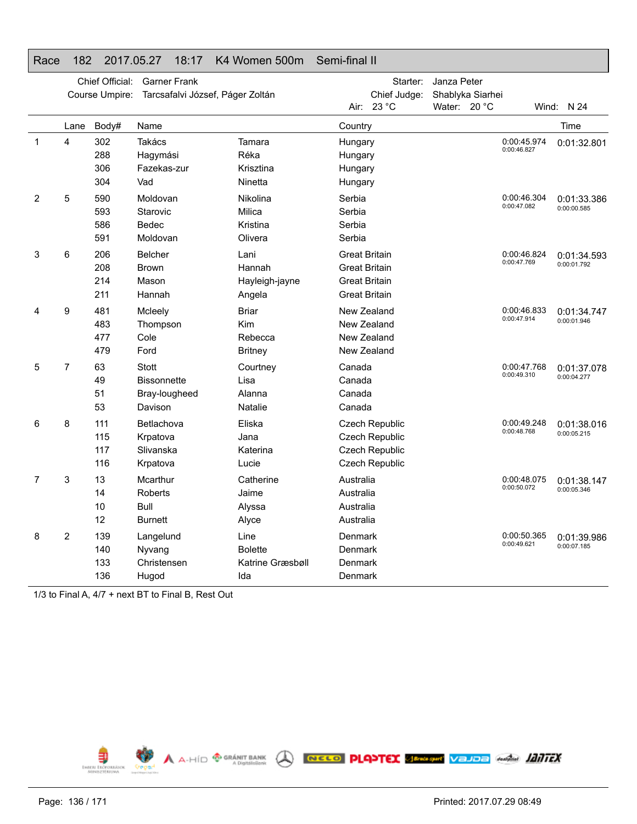### Race 182 2017.05.27 18:17 K4 Women 500m Semi-final II

|   |                | Chief Official:<br>Course Umpire: | <b>Garner Frank</b><br>Tarcsafalvi József, Páger Zoltán |                                                   |                                                                                              | Starter:<br>Chief Judge:                                             | Janza Peter<br>Shablyka Siarhei |                            |                            |
|---|----------------|-----------------------------------|---------------------------------------------------------|---------------------------------------------------|----------------------------------------------------------------------------------------------|----------------------------------------------------------------------|---------------------------------|----------------------------|----------------------------|
|   |                |                                   |                                                         |                                                   | Air:                                                                                         | 23 °C                                                                | Water: 20 °C                    |                            | Wind: N 24                 |
|   | Lane           | Body#                             | Name                                                    |                                                   | Country                                                                                      |                                                                      |                                 |                            | Time                       |
| 1 | 4              | 302<br>288<br>306<br>304          | Takács<br>Hagymási<br>Fazekas-zur<br>Vad                | Tamara<br>Réka<br>Krisztina<br>Ninetta            | Hungary<br>Hungary<br>Hungary<br>Hungary                                                     |                                                                      |                                 | 0:00:45.974<br>0:00:46.827 | 0:01:32.801                |
| 2 | 5              | 590<br>593<br>586<br>591          | Moldovan<br>Starovic<br>Bedec<br>Moldovan               | Nikolina<br>Milica<br>Kristina<br>Olivera         | Serbia<br>Serbia<br>Serbia<br>Serbia                                                         |                                                                      |                                 | 0:00:46.304<br>0:00:47.082 | 0:01:33.386<br>0:00:00.585 |
| 3 | 6              | 206<br>208<br>214<br>211          | Belcher<br><b>Brown</b><br>Mason<br>Hannah              | Lani<br>Hannah<br>Hayleigh-jayne<br>Angela        | <b>Great Britain</b><br><b>Great Britain</b><br><b>Great Britain</b><br><b>Great Britain</b> |                                                                      |                                 | 0:00:46.824<br>0:00:47.769 | 0:01:34.593<br>0:00:01.792 |
| 4 | 9              | 481<br>483<br>477<br>479          | Mcleely<br>Thompson<br>Cole<br>Ford                     | <b>Briar</b><br>Kim<br>Rebecca<br><b>Britney</b>  |                                                                                              | New Zealand<br>New Zealand<br>New Zealand<br>New Zealand             |                                 | 0:00:46.833<br>0:00:47.914 | 0:01:34.747<br>0:00:01.946 |
| 5 | $\overline{7}$ | 63<br>49<br>51<br>53              | <b>Stott</b><br>Bissonnette<br>Bray-lougheed<br>Davison | Courtney<br>Lisa<br>Alanna<br>Natalie             | Canada<br>Canada<br>Canada<br>Canada                                                         |                                                                      |                                 | 0:00:47.768<br>0:00:49.310 | 0:01:37.078<br>0:00:04.277 |
| 6 | 8              | 111<br>115<br>117<br>116          | Betlachova<br>Krpatova<br>Slivanska<br>Krpatova         | Eliska<br>Jana<br>Katerina<br>Lucie               |                                                                                              | Czech Republic<br>Czech Republic<br>Czech Republic<br>Czech Republic |                                 | 0:00:49.248<br>0:00:48.768 | 0:01:38.016<br>0:00:05.215 |
| 7 | 3              | 13<br>14<br>10<br>12              | Mcarthur<br>Roberts<br>Bull<br><b>Burnett</b>           | Catherine<br>Jaime<br>Alyssa<br>Alyce             | Australia<br>Australia<br>Australia<br>Australia                                             |                                                                      |                                 | 0:00:48.075<br>0:00:50.072 | 0:01:38.147<br>0:00:05.346 |
| 8 | 2              | 139<br>140<br>133<br>136          | Langelund<br>Nyvang<br>Christensen<br>Hugod             | Line<br><b>Bolette</b><br>Katrine Græsbøll<br>Ida | Denmark<br>Denmark<br>Denmark<br>Denmark                                                     |                                                                      |                                 | 0:00:50.365<br>0:00:49.621 | 0:01:39.986<br>0:00:07.185 |

1/3 to Final A, 4/7 + next BT to Final B, Rest Out

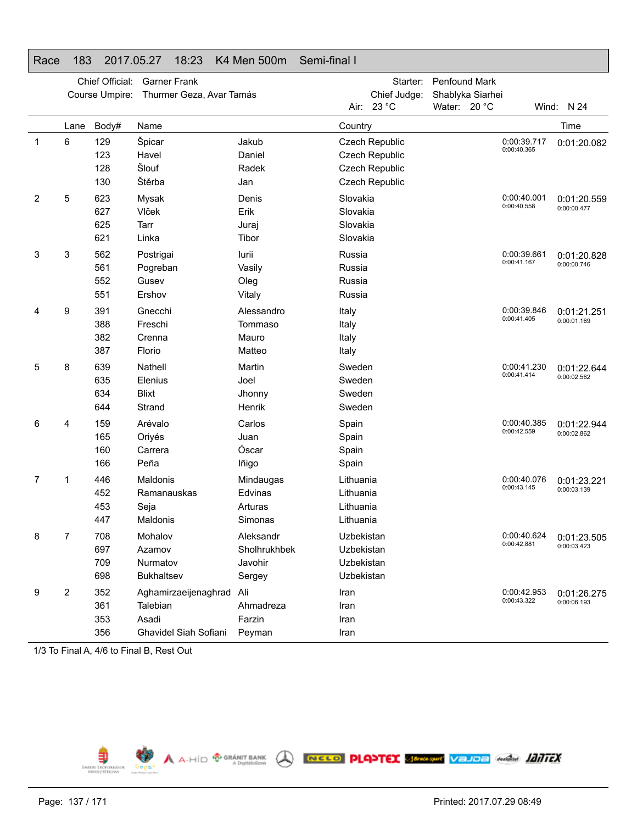|              |                         | Chief Official:          | <b>Garner Frank</b>                                                |                                                |                                                      | Starter:                                                                    | Penfound Mark    |                            |                            |
|--------------|-------------------------|--------------------------|--------------------------------------------------------------------|------------------------------------------------|------------------------------------------------------|-----------------------------------------------------------------------------|------------------|----------------------------|----------------------------|
|              |                         | Course Umpire:           | Thurmer Geza, Avar Tamás                                           |                                                |                                                      | Chief Judge:                                                                | Shablyka Siarhei |                            |                            |
|              |                         |                          |                                                                    |                                                | Air:                                                 | 23 °C                                                                       | Water: 20 °C     |                            | Wind: N 24                 |
|              | Lane                    | Body#                    | Name                                                               |                                                | Country                                              |                                                                             |                  |                            | Time                       |
| $\mathbf{1}$ | 6                       | 129<br>123<br>128<br>130 | Špicar<br>Havel<br>Šlouf<br>Štěrba                                 | Jakub<br>Daniel<br>Radek<br>Jan                |                                                      | <b>Czech Republic</b><br>Czech Republic<br>Czech Republic<br>Czech Republic |                  | 0:00:39.717<br>0:00:40.365 | 0:01:20.082                |
| 2            | 5                       | 623<br>627<br>625<br>621 | Mysak<br>Vlček<br>Tarr<br>Linka                                    | Denis<br>Erik<br>Juraj<br>Tibor                | Slovakia<br>Slovakia<br>Slovakia<br>Slovakia         |                                                                             |                  | 0:00:40.001<br>0:00:40.558 | 0:01:20.559<br>0:00:00.477 |
| 3            | 3                       | 562<br>561<br>552<br>551 | Postrigai<br>Pogreban<br>Gusev<br>Ershov                           | lurii<br>Vasily<br>Oleg<br>Vitaly              | Russia<br>Russia<br>Russia<br>Russia                 |                                                                             |                  | 0:00:39.661<br>0:00:41.167 | 0:01:20.828<br>0:00:00.746 |
| 4            | 9                       | 391<br>388<br>382<br>387 | Gnecchi<br>Freschi<br>Crenna<br>Florio                             | Alessandro<br>Tommaso<br>Mauro<br>Matteo       | Italy<br>Italy<br>Italy<br>Italy                     |                                                                             |                  | 0:00:39.846<br>0:00:41.405 | 0:01:21.251<br>0:00:01.169 |
| 5            | 8                       | 639<br>635<br>634<br>644 | Nathell<br>Elenius<br><b>Blixt</b><br>Strand                       | Martin<br>Joel<br>Jhonny<br>Henrik             | Sweden<br>Sweden<br>Sweden<br>Sweden                 |                                                                             |                  | 0:00:41.230<br>0:00:41.414 | 0:01:22.644<br>0:00:02.562 |
| 6            | 4                       | 159<br>165<br>160<br>166 | Arévalo<br>Oriyés<br>Carrera<br>Peña                               | Carlos<br>Juan<br>Óscar<br>lñigo               | Spain<br>Spain<br>Spain<br>Spain                     |                                                                             |                  | 0:00:40.385<br>0:00:42.559 | 0:01:22.944<br>0:00:02.862 |
| 7            | 1                       | 446<br>452<br>453<br>447 | <b>Maldonis</b><br>Ramanauskas<br>Seja<br>Maldonis                 | Mindaugas<br>Edvinas<br>Arturas<br>Simonas     | Lithuania<br>Lithuania<br>Lithuania<br>Lithuania     |                                                                             |                  | 0:00:40.076<br>0:00:43.145 | 0:01:23.221<br>0:00:03.139 |
| 8            | 7                       | 708<br>697<br>709<br>698 | Mohalov<br>Azamov<br>Nurmatov<br>Bukhaltsev                        | Aleksandr<br>Sholhrukhbek<br>Javohir<br>Sergey | Uzbekistan<br>Uzbekistan<br>Uzbekistan<br>Uzbekistan |                                                                             |                  | 0:00:40.624<br>0:00:42.881 | 0:01:23.505<br>0:00:03.423 |
| 9            | $\overline{\mathbf{c}}$ | 352<br>361<br>353<br>356 | Aghamirzaeijenaghrad<br>Talebian<br>Asadi<br>Ghavidel Siah Sofiani | Ali<br>Ahmadreza<br>Farzin<br>Peyman           | Iran<br>Iran<br>Iran<br>Iran                         |                                                                             |                  | 0:00:42.953<br>0:00:43.322 | 0:01:26.275<br>0:00:06.193 |

### Race 183 2017.05.27 18:23 K4 Men 500m Semi-final I

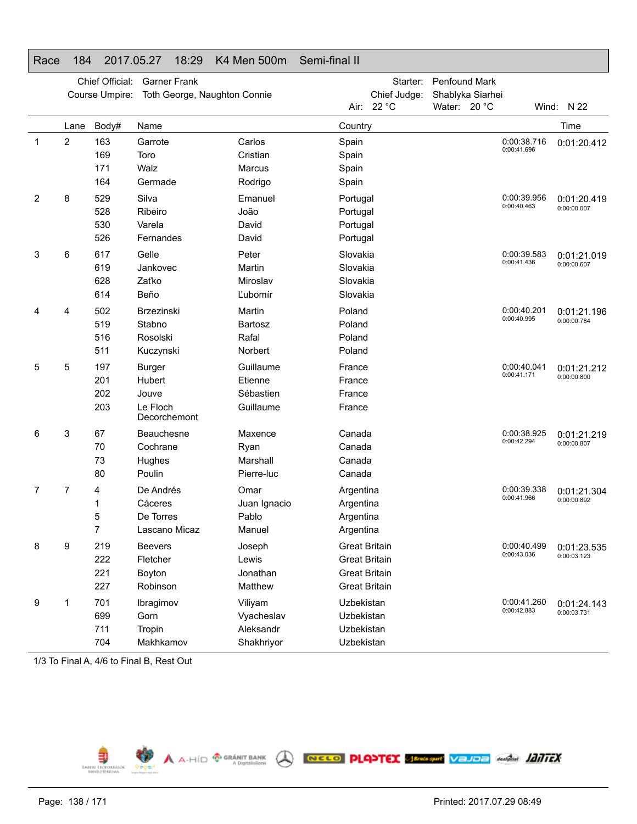## Race 184 2017.05.27 18:29 K4 Men 500m Semi-final II

|                |      | Chief Official: | <b>Garner Frank</b>          |              |            | Starter:             | Penfound Mark    |                            |             |
|----------------|------|-----------------|------------------------------|--------------|------------|----------------------|------------------|----------------------------|-------------|
|                |      | Course Umpire:  | Toth George, Naughton Connie |              |            | Chief Judge:         | Shablyka Siarhei |                            |             |
|                |      |                 |                              |              |            | Air: 22 °C           | Water: 20 °C     |                            | Wind: N 22  |
|                | Lane | Body#           | Name                         |              | Country    |                      |                  |                            | Time        |
| $\mathbf 1$    | 2    | 163             | Garrote                      | Carlos       | Spain      |                      |                  | 0:00:38.716<br>0:00:41.696 | 0:01:20.412 |
|                |      | 169             | Toro                         | Cristian     | Spain      |                      |                  |                            |             |
|                |      | 171             | Walz                         | Marcus       | Spain      |                      |                  |                            |             |
|                |      | 164             | Germade                      | Rodrigo      | Spain      |                      |                  |                            |             |
| $\overline{2}$ | 8    | 529             | Silva                        | Emanuel      | Portugal   |                      |                  | 0:00:39.956                | 0:01:20.419 |
|                |      | 528             | Ribeiro                      | João         | Portugal   |                      |                  | 0:00:40.463                | 0:00:00.007 |
|                |      | 530             | Varela                       | David        | Portugal   |                      |                  |                            |             |
|                |      | 526             | Fernandes                    | David        | Portugal   |                      |                  |                            |             |
| 3              | 6    | 617             | Gelle                        | Peter        | Slovakia   |                      |                  | 0:00:39.583                | 0:01:21.019 |
|                |      | 619             | Jankovec                     | Martin       | Slovakia   |                      |                  | 0:00:41.436                | 0:00:00.607 |
|                |      | 628             | Zaťko                        | Miroslav     | Slovakia   |                      |                  |                            |             |
|                |      | 614             | Beňo                         | Ľubomír      | Slovakia   |                      |                  |                            |             |
| 4              | 4    | 502             | Brzezinski                   | Martin       | Poland     |                      |                  | 0:00:40.201                | 0:01:21.196 |
|                |      | 519             | Stabno                       | Bartosz      | Poland     |                      |                  | 0:00:40.995                | 0:00:00.784 |
|                |      | 516             | Rosolski                     | Rafal        | Poland     |                      |                  |                            |             |
|                |      | 511             | Kuczynski                    | Norbert      | Poland     |                      |                  |                            |             |
| 5              | 5    | 197             | <b>Burger</b>                | Guillaume    | France     |                      |                  | 0:00:40.041                | 0:01:21.212 |
|                |      | 201             | Hubert                       | Etienne      | France     |                      |                  | 0:00:41.171                | 0:00:00.800 |
|                |      | 202             | Jouve                        | Sébastien    | France     |                      |                  |                            |             |
|                |      | 203             | Le Floch<br>Decorchemont     | Guillaume    | France     |                      |                  |                            |             |
| 6              | 3    | 67              | Beauchesne                   | Maxence      | Canada     |                      |                  | 0:00:38.925                | 0:01:21.219 |
|                |      | 70              | Cochrane                     | Ryan         | Canada     |                      |                  | 0:00:42.294                | 0:00:00.807 |
|                |      | 73              | Hughes                       | Marshall     | Canada     |                      |                  |                            |             |
|                |      | 80              | Poulin                       | Pierre-luc   | Canada     |                      |                  |                            |             |
| 7              | 7    | 4               | De Andrés                    | Omar         | Argentina  |                      |                  | 0:00:39.338                | 0:01:21.304 |
|                |      | 1               | Cáceres                      | Juan Ignacio | Argentina  |                      |                  | 0:00:41.966                | 0:00:00.892 |
|                |      | 5               | De Torres                    | Pablo        | Argentina  |                      |                  |                            |             |
|                |      | 7               | Lascano Micaz                | Manuel       | Argentina  |                      |                  |                            |             |
| 8              | 9    | 219             | <b>Beevers</b>               | Joseph       |            | <b>Great Britain</b> |                  | 0:00:40.499                | 0:01:23.535 |
|                |      | 222             | Fletcher                     | Lewis        |            | <b>Great Britain</b> |                  | 0:00:43.036                | 0:00:03.123 |
|                |      | 221             | Boyton                       | Jonathan     |            | <b>Great Britain</b> |                  |                            |             |
|                |      | 227             | Robinson                     | Matthew      |            | <b>Great Britain</b> |                  |                            |             |
| 9              | 1    | 701             | Ibragimov                    | Viliyam      | Uzbekistan |                      |                  | 0:00:41.260                | 0:01:24.143 |
|                |      | 699             | Gorn                         | Vyacheslav   | Uzbekistan |                      |                  | 0:00:42.883                | 0:00:03.731 |
|                |      | 711             | Tropin                       | Aleksandr    | Uzbekistan |                      |                  |                            |             |
|                |      | 704             | Makhkamov                    | Shakhriyor   | Uzbekistan |                      |                  |                            |             |

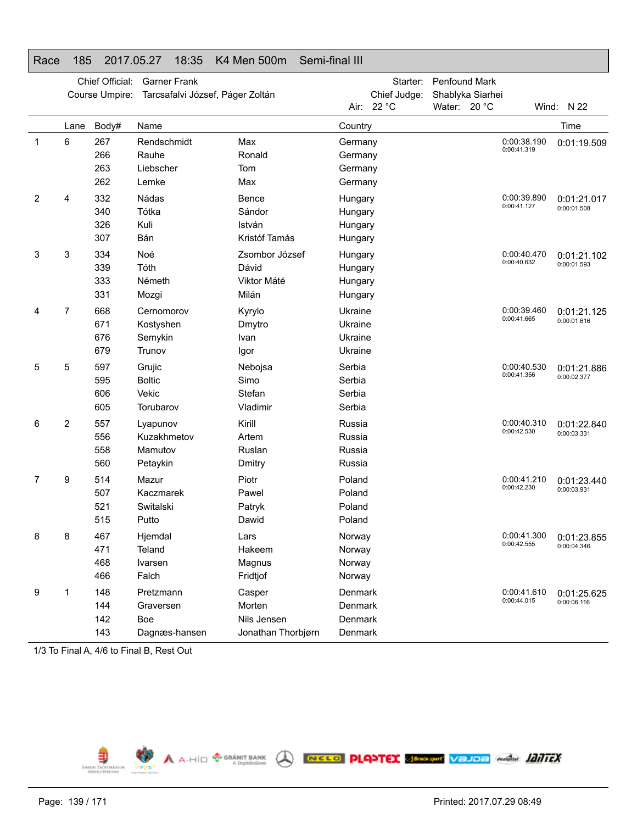## Race 185 2017.05.27 18:35 K4 Men 500m Semi-final III

| Course Umpire:<br>Tarcsafalvi József, Páger Zoltán<br>Shablyka Siarhei<br>Air: 22 °C<br>Water: 20 °C<br>Wind: N 22<br>Time<br>Body#<br>Name<br>Lane<br>Country<br>6<br>267<br>Max<br>0:00:38.190<br>1<br>Rendschmidt<br>Germany<br>0:01:19.509<br>0:00:41.319<br>266<br>Rauhe<br>Ronald<br>Germany<br>263<br>Liebscher<br>Tom<br>Germany<br>262<br>Lemke<br>Max<br>Germany<br>2<br>332<br>Nádas<br>4<br>Bence<br>0:00:39.890<br>Hungary<br>0:01:21.017<br>0:00:41.127<br>0:00:01.508<br>Tótka<br>340<br>Sándor<br>Hungary<br>326<br>Kuli<br>István<br>Hungary<br>Bán<br>307<br>Kristóf Tamás<br>Hungary<br>3<br>3<br>334<br>Noé<br>0:00:40.470<br>Zsombor József<br>Hungary<br>0:01:21.102<br>0:00:40.632<br>0:00:01.593<br>339<br>Tóth<br>Dávid<br>Hungary<br>333<br>Németh<br>Viktor Máté<br>Hungary<br>331<br>Milán<br>Mozgi<br>Hungary<br>7<br>668<br>Cernomorov<br>Kyrylo<br>Ukraine<br>0:00:39.460<br>4<br>0:01:21.125<br>0:00:41.665<br>0:00:01.616<br>671<br>Kostyshen<br>Dmytro<br>Ukraine<br>676<br>Semykin<br>Ukraine<br>Ivan<br>679<br>Trunov<br>Ukraine<br>Igor<br>5<br>597<br>Serbia<br>0:00:40.530<br>5<br>Grujic<br>Nebojsa<br>0:01:21.886<br>0:00:41.356<br>0:00:02.377<br>595<br><b>Boltic</b><br>Simo<br>Serbia<br>Vekic<br>606<br>Stefan<br>Serbia<br>605<br>Torubarov<br>Vladimir<br>Serbia<br>2<br>557<br>Kirill<br>Russia<br>0:00:40.310<br>6<br>Lyapunov<br>0:01:22.840<br>0:00:42.530<br>0:00:03.331<br>556<br>Kuzakhmetov<br>Artem<br>Russia<br>558<br>Mamutov<br>Ruslan<br>Russia<br>560<br>Russia<br>Petaykin<br>Dmitry<br>9<br>514<br>Piotr<br>Poland<br>0:00:41.210<br>7<br>Mazur<br>0:01:23.440<br>0:00:42.230<br>0:00:03.931<br>507<br>Kaczmarek<br>Poland<br>Pawel<br>521<br>Switalski<br>Poland<br>Patryk<br>515<br>Putto<br>Dawid<br>Poland<br>0:00:41.300<br>8<br>8<br>467<br>Hjemdal<br>Norway<br>Lars<br>0:01:23.855<br>0:00:42.555<br>0:00:04.346<br>471<br>Hakeem<br>Teland<br>Norway<br>468<br>Magnus<br>Norway<br>Ivarsen<br>466<br>Falch<br>Fridtjof<br>Norway<br>148<br>Pretzmann<br>Casper<br>Denmark<br>0:00:41.610<br>9<br>1<br>0:01:25.625<br>0:00:44.015<br>0:00:06.116<br>144<br>Morten<br>Denmark<br>Graversen |  | Chief Official: | <b>Garner Frank</b> | Starter:     | <b>Penfound Mark</b> |  |
|-------------------------------------------------------------------------------------------------------------------------------------------------------------------------------------------------------------------------------------------------------------------------------------------------------------------------------------------------------------------------------------------------------------------------------------------------------------------------------------------------------------------------------------------------------------------------------------------------------------------------------------------------------------------------------------------------------------------------------------------------------------------------------------------------------------------------------------------------------------------------------------------------------------------------------------------------------------------------------------------------------------------------------------------------------------------------------------------------------------------------------------------------------------------------------------------------------------------------------------------------------------------------------------------------------------------------------------------------------------------------------------------------------------------------------------------------------------------------------------------------------------------------------------------------------------------------------------------------------------------------------------------------------------------------------------------------------------------------------------------------------------------------------------------------------------------------------------------------------------------------------------------------------------------------------------------------------------------------------------------------------------------------------------------------------------------------------------------------------------------------------------------------------------------|--|-----------------|---------------------|--------------|----------------------|--|
|                                                                                                                                                                                                                                                                                                                                                                                                                                                                                                                                                                                                                                                                                                                                                                                                                                                                                                                                                                                                                                                                                                                                                                                                                                                                                                                                                                                                                                                                                                                                                                                                                                                                                                                                                                                                                                                                                                                                                                                                                                                                                                                                                                   |  |                 |                     | Chief Judge: |                      |  |
|                                                                                                                                                                                                                                                                                                                                                                                                                                                                                                                                                                                                                                                                                                                                                                                                                                                                                                                                                                                                                                                                                                                                                                                                                                                                                                                                                                                                                                                                                                                                                                                                                                                                                                                                                                                                                                                                                                                                                                                                                                                                                                                                                                   |  |                 |                     |              |                      |  |
|                                                                                                                                                                                                                                                                                                                                                                                                                                                                                                                                                                                                                                                                                                                                                                                                                                                                                                                                                                                                                                                                                                                                                                                                                                                                                                                                                                                                                                                                                                                                                                                                                                                                                                                                                                                                                                                                                                                                                                                                                                                                                                                                                                   |  |                 |                     |              |                      |  |
|                                                                                                                                                                                                                                                                                                                                                                                                                                                                                                                                                                                                                                                                                                                                                                                                                                                                                                                                                                                                                                                                                                                                                                                                                                                                                                                                                                                                                                                                                                                                                                                                                                                                                                                                                                                                                                                                                                                                                                                                                                                                                                                                                                   |  |                 |                     |              |                      |  |
|                                                                                                                                                                                                                                                                                                                                                                                                                                                                                                                                                                                                                                                                                                                                                                                                                                                                                                                                                                                                                                                                                                                                                                                                                                                                                                                                                                                                                                                                                                                                                                                                                                                                                                                                                                                                                                                                                                                                                                                                                                                                                                                                                                   |  |                 |                     |              |                      |  |
|                                                                                                                                                                                                                                                                                                                                                                                                                                                                                                                                                                                                                                                                                                                                                                                                                                                                                                                                                                                                                                                                                                                                                                                                                                                                                                                                                                                                                                                                                                                                                                                                                                                                                                                                                                                                                                                                                                                                                                                                                                                                                                                                                                   |  |                 |                     |              |                      |  |
|                                                                                                                                                                                                                                                                                                                                                                                                                                                                                                                                                                                                                                                                                                                                                                                                                                                                                                                                                                                                                                                                                                                                                                                                                                                                                                                                                                                                                                                                                                                                                                                                                                                                                                                                                                                                                                                                                                                                                                                                                                                                                                                                                                   |  |                 |                     |              |                      |  |
|                                                                                                                                                                                                                                                                                                                                                                                                                                                                                                                                                                                                                                                                                                                                                                                                                                                                                                                                                                                                                                                                                                                                                                                                                                                                                                                                                                                                                                                                                                                                                                                                                                                                                                                                                                                                                                                                                                                                                                                                                                                                                                                                                                   |  |                 |                     |              |                      |  |
|                                                                                                                                                                                                                                                                                                                                                                                                                                                                                                                                                                                                                                                                                                                                                                                                                                                                                                                                                                                                                                                                                                                                                                                                                                                                                                                                                                                                                                                                                                                                                                                                                                                                                                                                                                                                                                                                                                                                                                                                                                                                                                                                                                   |  |                 |                     |              |                      |  |
|                                                                                                                                                                                                                                                                                                                                                                                                                                                                                                                                                                                                                                                                                                                                                                                                                                                                                                                                                                                                                                                                                                                                                                                                                                                                                                                                                                                                                                                                                                                                                                                                                                                                                                                                                                                                                                                                                                                                                                                                                                                                                                                                                                   |  |                 |                     |              |                      |  |
|                                                                                                                                                                                                                                                                                                                                                                                                                                                                                                                                                                                                                                                                                                                                                                                                                                                                                                                                                                                                                                                                                                                                                                                                                                                                                                                                                                                                                                                                                                                                                                                                                                                                                                                                                                                                                                                                                                                                                                                                                                                                                                                                                                   |  |                 |                     |              |                      |  |
|                                                                                                                                                                                                                                                                                                                                                                                                                                                                                                                                                                                                                                                                                                                                                                                                                                                                                                                                                                                                                                                                                                                                                                                                                                                                                                                                                                                                                                                                                                                                                                                                                                                                                                                                                                                                                                                                                                                                                                                                                                                                                                                                                                   |  |                 |                     |              |                      |  |
|                                                                                                                                                                                                                                                                                                                                                                                                                                                                                                                                                                                                                                                                                                                                                                                                                                                                                                                                                                                                                                                                                                                                                                                                                                                                                                                                                                                                                                                                                                                                                                                                                                                                                                                                                                                                                                                                                                                                                                                                                                                                                                                                                                   |  |                 |                     |              |                      |  |
|                                                                                                                                                                                                                                                                                                                                                                                                                                                                                                                                                                                                                                                                                                                                                                                                                                                                                                                                                                                                                                                                                                                                                                                                                                                                                                                                                                                                                                                                                                                                                                                                                                                                                                                                                                                                                                                                                                                                                                                                                                                                                                                                                                   |  |                 |                     |              |                      |  |
|                                                                                                                                                                                                                                                                                                                                                                                                                                                                                                                                                                                                                                                                                                                                                                                                                                                                                                                                                                                                                                                                                                                                                                                                                                                                                                                                                                                                                                                                                                                                                                                                                                                                                                                                                                                                                                                                                                                                                                                                                                                                                                                                                                   |  |                 |                     |              |                      |  |
|                                                                                                                                                                                                                                                                                                                                                                                                                                                                                                                                                                                                                                                                                                                                                                                                                                                                                                                                                                                                                                                                                                                                                                                                                                                                                                                                                                                                                                                                                                                                                                                                                                                                                                                                                                                                                                                                                                                                                                                                                                                                                                                                                                   |  |                 |                     |              |                      |  |
|                                                                                                                                                                                                                                                                                                                                                                                                                                                                                                                                                                                                                                                                                                                                                                                                                                                                                                                                                                                                                                                                                                                                                                                                                                                                                                                                                                                                                                                                                                                                                                                                                                                                                                                                                                                                                                                                                                                                                                                                                                                                                                                                                                   |  |                 |                     |              |                      |  |
|                                                                                                                                                                                                                                                                                                                                                                                                                                                                                                                                                                                                                                                                                                                                                                                                                                                                                                                                                                                                                                                                                                                                                                                                                                                                                                                                                                                                                                                                                                                                                                                                                                                                                                                                                                                                                                                                                                                                                                                                                                                                                                                                                                   |  |                 |                     |              |                      |  |
|                                                                                                                                                                                                                                                                                                                                                                                                                                                                                                                                                                                                                                                                                                                                                                                                                                                                                                                                                                                                                                                                                                                                                                                                                                                                                                                                                                                                                                                                                                                                                                                                                                                                                                                                                                                                                                                                                                                                                                                                                                                                                                                                                                   |  |                 |                     |              |                      |  |
|                                                                                                                                                                                                                                                                                                                                                                                                                                                                                                                                                                                                                                                                                                                                                                                                                                                                                                                                                                                                                                                                                                                                                                                                                                                                                                                                                                                                                                                                                                                                                                                                                                                                                                                                                                                                                                                                                                                                                                                                                                                                                                                                                                   |  |                 |                     |              |                      |  |
|                                                                                                                                                                                                                                                                                                                                                                                                                                                                                                                                                                                                                                                                                                                                                                                                                                                                                                                                                                                                                                                                                                                                                                                                                                                                                                                                                                                                                                                                                                                                                                                                                                                                                                                                                                                                                                                                                                                                                                                                                                                                                                                                                                   |  |                 |                     |              |                      |  |
|                                                                                                                                                                                                                                                                                                                                                                                                                                                                                                                                                                                                                                                                                                                                                                                                                                                                                                                                                                                                                                                                                                                                                                                                                                                                                                                                                                                                                                                                                                                                                                                                                                                                                                                                                                                                                                                                                                                                                                                                                                                                                                                                                                   |  |                 |                     |              |                      |  |
|                                                                                                                                                                                                                                                                                                                                                                                                                                                                                                                                                                                                                                                                                                                                                                                                                                                                                                                                                                                                                                                                                                                                                                                                                                                                                                                                                                                                                                                                                                                                                                                                                                                                                                                                                                                                                                                                                                                                                                                                                                                                                                                                                                   |  |                 |                     |              |                      |  |
|                                                                                                                                                                                                                                                                                                                                                                                                                                                                                                                                                                                                                                                                                                                                                                                                                                                                                                                                                                                                                                                                                                                                                                                                                                                                                                                                                                                                                                                                                                                                                                                                                                                                                                                                                                                                                                                                                                                                                                                                                                                                                                                                                                   |  |                 |                     |              |                      |  |
|                                                                                                                                                                                                                                                                                                                                                                                                                                                                                                                                                                                                                                                                                                                                                                                                                                                                                                                                                                                                                                                                                                                                                                                                                                                                                                                                                                                                                                                                                                                                                                                                                                                                                                                                                                                                                                                                                                                                                                                                                                                                                                                                                                   |  |                 |                     |              |                      |  |
|                                                                                                                                                                                                                                                                                                                                                                                                                                                                                                                                                                                                                                                                                                                                                                                                                                                                                                                                                                                                                                                                                                                                                                                                                                                                                                                                                                                                                                                                                                                                                                                                                                                                                                                                                                                                                                                                                                                                                                                                                                                                                                                                                                   |  |                 |                     |              |                      |  |
|                                                                                                                                                                                                                                                                                                                                                                                                                                                                                                                                                                                                                                                                                                                                                                                                                                                                                                                                                                                                                                                                                                                                                                                                                                                                                                                                                                                                                                                                                                                                                                                                                                                                                                                                                                                                                                                                                                                                                                                                                                                                                                                                                                   |  |                 |                     |              |                      |  |
|                                                                                                                                                                                                                                                                                                                                                                                                                                                                                                                                                                                                                                                                                                                                                                                                                                                                                                                                                                                                                                                                                                                                                                                                                                                                                                                                                                                                                                                                                                                                                                                                                                                                                                                                                                                                                                                                                                                                                                                                                                                                                                                                                                   |  |                 |                     |              |                      |  |
|                                                                                                                                                                                                                                                                                                                                                                                                                                                                                                                                                                                                                                                                                                                                                                                                                                                                                                                                                                                                                                                                                                                                                                                                                                                                                                                                                                                                                                                                                                                                                                                                                                                                                                                                                                                                                                                                                                                                                                                                                                                                                                                                                                   |  |                 |                     |              |                      |  |
|                                                                                                                                                                                                                                                                                                                                                                                                                                                                                                                                                                                                                                                                                                                                                                                                                                                                                                                                                                                                                                                                                                                                                                                                                                                                                                                                                                                                                                                                                                                                                                                                                                                                                                                                                                                                                                                                                                                                                                                                                                                                                                                                                                   |  |                 |                     |              |                      |  |
|                                                                                                                                                                                                                                                                                                                                                                                                                                                                                                                                                                                                                                                                                                                                                                                                                                                                                                                                                                                                                                                                                                                                                                                                                                                                                                                                                                                                                                                                                                                                                                                                                                                                                                                                                                                                                                                                                                                                                                                                                                                                                                                                                                   |  |                 |                     |              |                      |  |
|                                                                                                                                                                                                                                                                                                                                                                                                                                                                                                                                                                                                                                                                                                                                                                                                                                                                                                                                                                                                                                                                                                                                                                                                                                                                                                                                                                                                                                                                                                                                                                                                                                                                                                                                                                                                                                                                                                                                                                                                                                                                                                                                                                   |  |                 |                     |              |                      |  |
|                                                                                                                                                                                                                                                                                                                                                                                                                                                                                                                                                                                                                                                                                                                                                                                                                                                                                                                                                                                                                                                                                                                                                                                                                                                                                                                                                                                                                                                                                                                                                                                                                                                                                                                                                                                                                                                                                                                                                                                                                                                                                                                                                                   |  |                 |                     |              |                      |  |
|                                                                                                                                                                                                                                                                                                                                                                                                                                                                                                                                                                                                                                                                                                                                                                                                                                                                                                                                                                                                                                                                                                                                                                                                                                                                                                                                                                                                                                                                                                                                                                                                                                                                                                                                                                                                                                                                                                                                                                                                                                                                                                                                                                   |  |                 |                     |              |                      |  |
|                                                                                                                                                                                                                                                                                                                                                                                                                                                                                                                                                                                                                                                                                                                                                                                                                                                                                                                                                                                                                                                                                                                                                                                                                                                                                                                                                                                                                                                                                                                                                                                                                                                                                                                                                                                                                                                                                                                                                                                                                                                                                                                                                                   |  |                 |                     |              |                      |  |
|                                                                                                                                                                                                                                                                                                                                                                                                                                                                                                                                                                                                                                                                                                                                                                                                                                                                                                                                                                                                                                                                                                                                                                                                                                                                                                                                                                                                                                                                                                                                                                                                                                                                                                                                                                                                                                                                                                                                                                                                                                                                                                                                                                   |  |                 |                     |              |                      |  |
| 142<br>Boe<br>Nils Jensen<br>Denmark                                                                                                                                                                                                                                                                                                                                                                                                                                                                                                                                                                                                                                                                                                                                                                                                                                                                                                                                                                                                                                                                                                                                                                                                                                                                                                                                                                                                                                                                                                                                                                                                                                                                                                                                                                                                                                                                                                                                                                                                                                                                                                                              |  |                 |                     |              |                      |  |
| 143<br>Jonathan Thorbjørn<br>Denmark<br>Dagnæs-hansen                                                                                                                                                                                                                                                                                                                                                                                                                                                                                                                                                                                                                                                                                                                                                                                                                                                                                                                                                                                                                                                                                                                                                                                                                                                                                                                                                                                                                                                                                                                                                                                                                                                                                                                                                                                                                                                                                                                                                                                                                                                                                                             |  |                 |                     |              |                      |  |

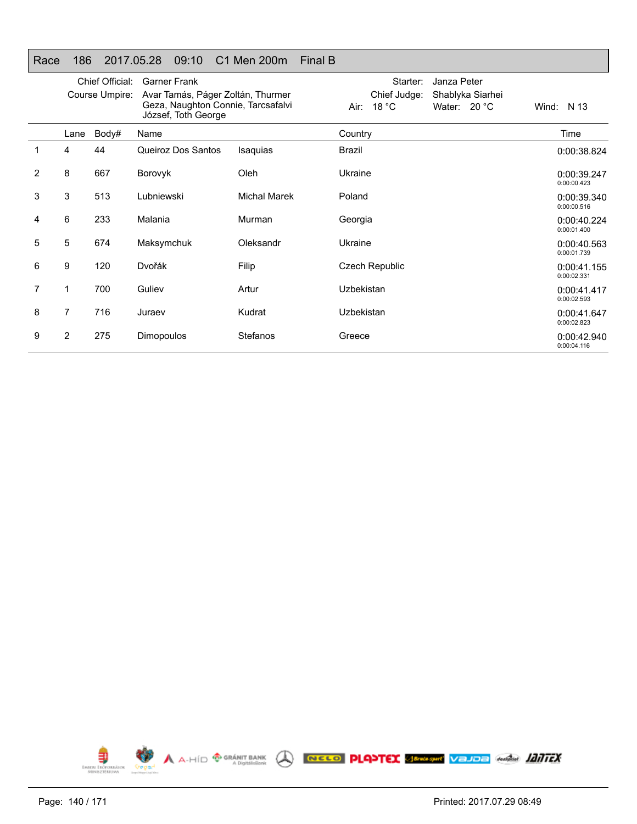### Race 186 2017.05.28 09:10 C1 Men 200m Final B

|   |      | Chief Official:<br>Course Umpire: | <b>Garner Frank</b><br>Avar Tamás, Páger Zoltán, Thurmer<br>Geza, Naughton Connie, Tarcsafalvi<br>József, Toth George |                     | Starter:<br>Janza Peter<br>Chief Judge:<br>Shablyka Siarhei<br>18 $^{\circ}$ C<br>Water: 20 °C<br>Air: I | Wind: $N$ 13               |
|---|------|-----------------------------------|-----------------------------------------------------------------------------------------------------------------------|---------------------|----------------------------------------------------------------------------------------------------------|----------------------------|
|   | Lane | Body#                             | Name                                                                                                                  |                     | Country                                                                                                  | Time                       |
|   | 4    | 44                                | Queiroz Dos Santos                                                                                                    | Isaquias            | Brazil                                                                                                   | 0:00:38.824                |
| 2 | 8    | 667                               | Borovyk                                                                                                               | Oleh                | Ukraine                                                                                                  | 0:00:39.247<br>0:00:00.423 |
| 3 | 3    | 513                               | Lubniewski                                                                                                            | <b>Michal Marek</b> | Poland                                                                                                   | 0:00:39.340<br>0:00:00.516 |
| 4 | 6    | 233                               | Malania                                                                                                               | Murman              | Georgia                                                                                                  | 0:00:40.224<br>0:00:01.400 |
| 5 | 5    | 674                               | Maksymchuk                                                                                                            | Oleksandr           | Ukraine                                                                                                  | 0:00:40.563<br>0:00:01.739 |
| 6 | 9    | 120                               | Dvořák                                                                                                                | Filip               | Czech Republic                                                                                           | 0:00:41.155<br>0:00:02.331 |
| 7 | 1    | 700                               | Guliev                                                                                                                | Artur               | Uzbekistan                                                                                               | 0:00:41.417<br>0:00:02.593 |
| 8 | 7    | 716                               | Juraev                                                                                                                | Kudrat              | Uzbekistan                                                                                               | 0:00:41.647<br>0:00:02.823 |
| 9 | 2    | 275                               | <b>Dimopoulos</b>                                                                                                     | Stefanos            | Greece                                                                                                   | 0:00:42.940<br>0:00:04.116 |

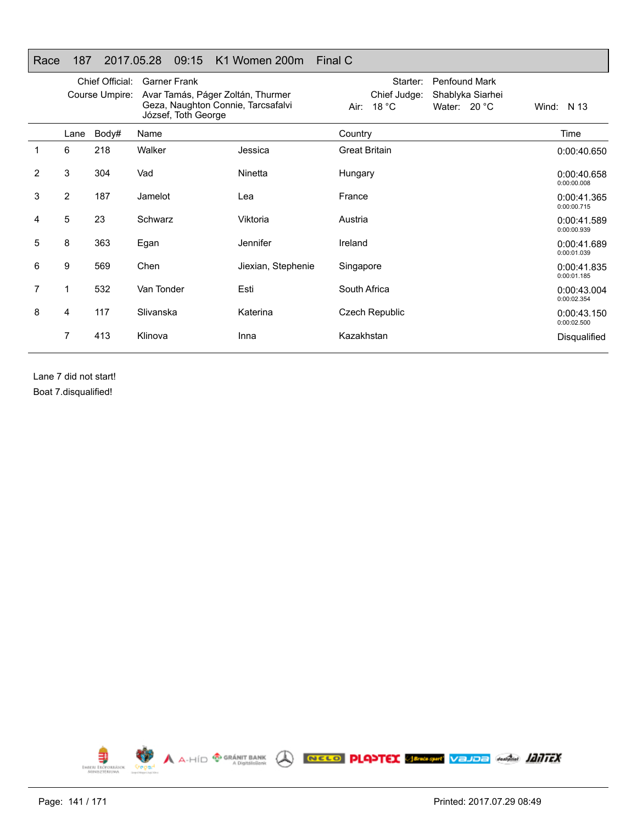## Race 187 2017.05.28 09:15 K1 Women 200m Final C

|                |                | Chief Official: | <b>Garner Frank</b>                                       |                    | Starter:<br><b>Penfound Mark</b> |                            |
|----------------|----------------|-----------------|-----------------------------------------------------------|--------------------|----------------------------------|----------------------------|
|                |                | Course Umpire:  | Avar Tamás, Páger Zoltán, Thurmer                         |                    | Chief Judge:<br>Shablyka Siarhei |                            |
|                |                |                 | Geza, Naughton Connie, Tarcsafalvi<br>József, Toth George |                    | Air: $18 °C$<br>Water: $20 °C$   | Wind: N 13                 |
|                | Lane           | Body#           | Name                                                      |                    | Country                          | Time                       |
| 1              | 6              | 218             | Walker                                                    | Jessica            | <b>Great Britain</b>             | 0:00:40.650                |
| $\overline{2}$ | 3              | 304             | Vad                                                       | Ninetta            | Hungary                          | 0:00:40.658<br>0:00:00.008 |
| 3              | $\overline{2}$ | 187             | Jamelot                                                   | Lea                | France                           | 0:00:41.365<br>0:00:00.715 |
| 4              | 5              | 23              | Schwarz                                                   | Viktoria           | Austria                          | 0:00:41.589<br>0:00:00.939 |
| 5              | 8              | 363             | Egan                                                      | <b>Jennifer</b>    | Ireland                          | 0:00:41.689<br>0:00:01.039 |
| 6              | 9              | 569             | Chen                                                      | Jiexian, Stephenie | Singapore                        | 0:00:41.835<br>0:00:01.185 |
| 7              | 1              | 532             | Van Tonder                                                | Esti               | South Africa                     | 0:00:43.004<br>0:00:02.354 |
| 8              | 4              | 117             | Slivanska                                                 | Katerina           | <b>Czech Republic</b>            | 0:00:43.150<br>0:00:02.500 |
|                | 7              | 413             | Klinova                                                   | Inna               | Kazakhstan                       | Disqualified               |
|                |                |                 |                                                           |                    |                                  |                            |

Lane 7 did not start! Boat 7.disqualified!

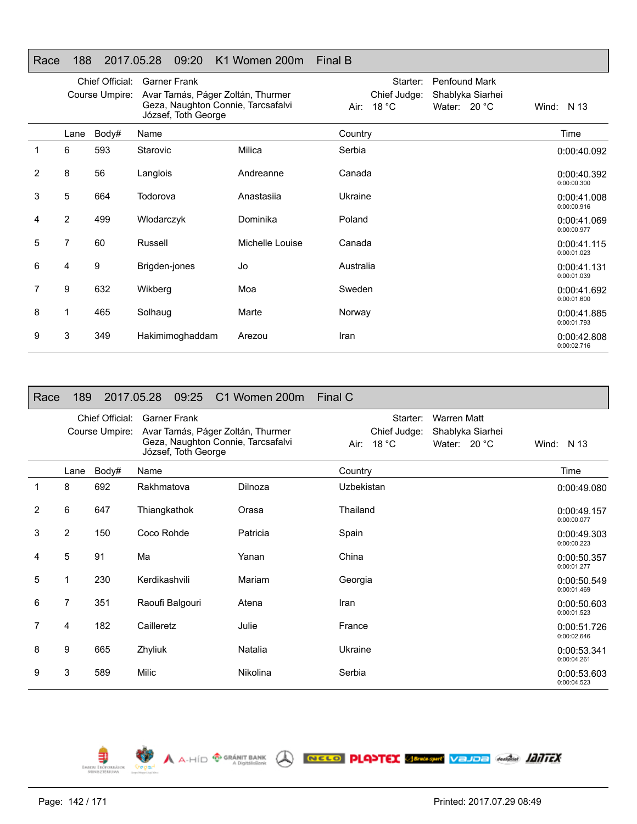## Race 188 2017.05.28 09:20 K1 Women 200m Final B

|   | Chief Official:<br>Course Umpire: |       | <b>Garner Frank</b>                                                                            |                 | Starter:<br><b>Penfound Mark</b>            |                            |
|---|-----------------------------------|-------|------------------------------------------------------------------------------------------------|-----------------|---------------------------------------------|----------------------------|
|   |                                   |       | Avar Tamás, Páger Zoltán, Thurmer<br>Geza, Naughton Connie, Tarcsafalvi<br>József, Toth George |                 | Chief Judge:<br>Shablyka Siarhei            |                            |
|   |                                   |       |                                                                                                |                 | 18 $^{\circ}$ C<br>Water: $20 °C$<br>Air: I | Wind: N 13                 |
|   | Lane                              | Body# | Name                                                                                           |                 | Country                                     | Time                       |
|   | 6                                 | 593   | Starovic                                                                                       | Milica          | Serbia                                      | 0:00:40.092                |
| 2 | 8                                 | 56    | Langlois                                                                                       | Andreanne       | Canada                                      | 0:00:40.392<br>0:00:00.300 |
| 3 | 5                                 | 664   | Todorova                                                                                       | Anastasija      | Ukraine                                     | 0:00:41.008<br>0:00:00.916 |
| 4 | 2                                 | 499   | Wlodarczyk                                                                                     | Dominika        | Poland                                      | 0:00:41.069<br>0:00:00.977 |
| 5 | 7                                 | 60    | Russell                                                                                        | Michelle Louise | Canada                                      | 0:00:41.115<br>0:00:01.023 |
| 6 | 4                                 | 9     | Brigden-jones                                                                                  | Jo              | Australia                                   | 0:00:41.131<br>0:00:01.039 |
| 7 | 9                                 | 632   | Wikberg                                                                                        | Moa             | Sweden                                      | 0:00:41.692<br>0:00:01.600 |
| 8 | 1                                 | 465   | Solhaug                                                                                        | Marte           | Norway                                      | 0:00:41.885<br>0:00:01.793 |
| 9 | 3                                 | 349   | Hakimimoghaddam                                                                                | Arezou          | Iran                                        | 0:00:42.808<br>0:00:02.716 |

| Race           | 189            |                                   | 09:25<br>2017.05.28                        | C1 Women 200m                                                           | Final C                                                                                            |                            |
|----------------|----------------|-----------------------------------|--------------------------------------------|-------------------------------------------------------------------------|----------------------------------------------------------------------------------------------------|----------------------------|
|                |                | Chief Official:<br>Course Umpire: | <b>Garner Frank</b><br>József, Toth George | Avar Tamás, Páger Zoltán, Thurmer<br>Geza, Naughton Connie, Tarcsafalvi | Starter:<br><b>Warren Matt</b><br>Chief Judge:<br>Shablyka Siarhei<br>Air: 18 °C<br>Water: $20 °C$ | Wind: $N$ 13               |
|                | Lane           | Body#                             | Name                                       |                                                                         | Country                                                                                            | Time                       |
|                | 8              | 692                               | Rakhmatova                                 | Dilnoza                                                                 | Uzbekistan                                                                                         | 0:00:49.080                |
| $\overline{2}$ | 6              | 647                               | Thiangkathok                               | Orasa                                                                   | Thailand                                                                                           | 0:00:49.157<br>0:00:00.077 |
| 3              | $\overline{2}$ | 150                               | Coco Rohde                                 | Patricia                                                                | Spain                                                                                              | 0:00:49.303<br>0:00:00.223 |
| 4              | 5              | 91                                | Ma                                         | Yanan                                                                   | China                                                                                              | 0:00:50.357<br>0:00:01.277 |
| 5              | 1              | 230                               | Kerdikashvili                              | Mariam                                                                  | Georgia                                                                                            | 0:00:50.549<br>0:00:01.469 |
| 6              | 7              | 351                               | Raoufi Balgouri                            | Atena                                                                   | Iran                                                                                               | 0:00:50.603<br>0:00:01.523 |
| 7              | 4              | 182                               | Cailleretz                                 | Julie                                                                   | France                                                                                             | 0:00:51.726<br>0:00:02.646 |
| 8              | 9              | 665                               | Zhyliuk                                    | Natalia                                                                 | Ukraine                                                                                            | 0:00:53.341<br>0:00:04.261 |
| 9              | 3              | 589                               | Milic                                      | Nikolina                                                                | Serbia                                                                                             | 0:00:53.603<br>0:00:04.523 |

A A-HID <sup>GRANIT BANK</sup> A **NECO PLAPTEX SERVER VELOR ANGLIS LENTEX** 



€

EMBERL ERÖP

 $\bullet$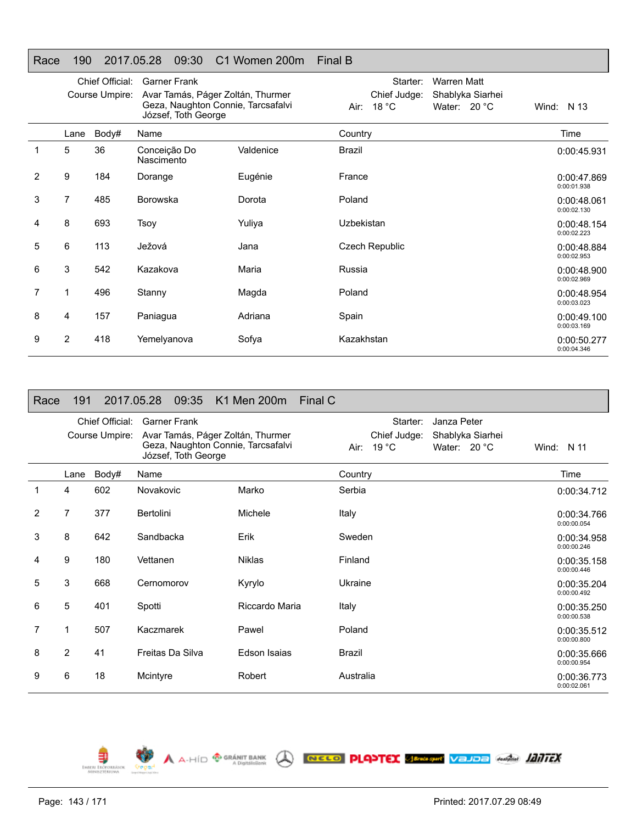### Race 190 2017.05.28 09:30 C1 Women 200m Final B

|   | Course Umpire: |             | Chief Official:<br><b>Garner Frank</b><br>Avar Tamás, Páger Zoltán, Thurmer<br>Geza, Naughton Connie, Tarcsafalvi |           | Starter:<br><b>Warren Matt</b><br>Chief Judge:<br>Shablyka Siarhei<br>18 $^{\circ}$ C<br>Water: 20 °C<br>Air: | Wind: N 13                 |
|---|----------------|-------------|-------------------------------------------------------------------------------------------------------------------|-----------|---------------------------------------------------------------------------------------------------------------|----------------------------|
|   | Lane           |             | József, Toth George<br>Name                                                                                       |           |                                                                                                               | Time                       |
|   | 5              | Body#<br>36 | Conceição Do<br>Nascimento                                                                                        | Valdenice | Country<br><b>Brazil</b>                                                                                      | 0:00:45.931                |
| 2 | 9              | 184         | Dorange                                                                                                           | Eugénie   | France                                                                                                        | 0:00:47.869<br>0:00:01.938 |
| 3 | 7              | 485         | <b>Borowska</b>                                                                                                   | Dorota    | Poland                                                                                                        | 0:00:48.061<br>0:00:02.130 |
| 4 | 8              | 693         | Tsoy                                                                                                              | Yuliya    | Uzbekistan                                                                                                    | 0:00:48.154<br>0:00:02.223 |
| 5 | 6              | 113         | Ježová                                                                                                            | Jana      | Czech Republic                                                                                                | 0:00:48.884<br>0:00:02.953 |
| 6 | 3              | 542         | Kazakova                                                                                                          | Maria     | Russia                                                                                                        | 0:00:48.900<br>0:00:02.969 |
| 7 | 1              | 496         | Stanny                                                                                                            | Magda     | Poland                                                                                                        | 0:00:48.954<br>0:00:03.023 |
| 8 | 4              | 157         | Paniagua                                                                                                          | Adriana   | Spain                                                                                                         | 0:00:49.100<br>0:00:03.169 |
| 9 | 2              | 418         | Yemelyanova                                                                                                       | Sofya     | Kazakhstan                                                                                                    | 0:00:50.277<br>0:00:04.346 |

| Race | 191  |                                   | 09:35<br>2017.05.28                                                                                                   | K1 Men 200m    | Final C   |                                             |                                                   |                            |
|------|------|-----------------------------------|-----------------------------------------------------------------------------------------------------------------------|----------------|-----------|---------------------------------------------|---------------------------------------------------|----------------------------|
|      |      | Chief Official:<br>Course Umpire: | <b>Garner Frank</b><br>Avar Tamás, Páger Zoltán, Thurmer<br>Geza, Naughton Connie, Tarcsafalvi<br>József, Toth George |                | Air:      | Starter:<br>Chief Judge:<br>19 $^{\circ}$ C | Janza Peter<br>Shablyka Siarhei<br>Water: $20 °C$ | Wind: $N$ 11               |
|      | Lane | Body#                             | Name                                                                                                                  |                | Country   |                                             |                                                   | Time                       |
|      | 4    | 602                               | Novakovic                                                                                                             | Marko          | Serbia    |                                             |                                                   | 0:00:34.712                |
| 2    | 7    | 377                               | Bertolini                                                                                                             | Michele        | Italy     |                                             |                                                   | 0:00:34.766<br>0:00:00.054 |
| 3    | 8    | 642                               | Sandbacka                                                                                                             | Erik           | Sweden    |                                             |                                                   | 0:00:34.958<br>0:00:00.246 |
| 4    | 9    | 180                               | Vettanen                                                                                                              | <b>Niklas</b>  | Finland   |                                             |                                                   | 0:00:35.158<br>0:00:00.446 |
| 5    | 3    | 668                               | Cernomorov                                                                                                            | Kyrylo         | Ukraine   |                                             |                                                   | 0:00:35.204<br>0:00:00.492 |
| 6    | 5    | 401                               | Spotti                                                                                                                | Riccardo Maria | Italy     |                                             |                                                   | 0:00:35.250<br>0:00:00.538 |
| 7    | 1    | 507                               | Kaczmarek                                                                                                             | Pawel          | Poland    |                                             |                                                   | 0:00:35.512<br>0:00:00.800 |
| 8    | 2    | 41                                | Freitas Da Silva                                                                                                      | Edson Isaias   | Brazil    |                                             |                                                   | 0:00:35.666<br>0:00:00.954 |
| 9    | 6    | 18                                | Mcintyre                                                                                                              | Robert         | Australia |                                             |                                                   | 0:00:36.773<br>0:00:02.061 |

A A-HÍD <sup>@ GRÁNIT BANK</sup> A **NECED PLANTEX SEPARAM VEJDE Anglia 1217FX** 

EMBERL ERÖFORNÁS

 $\bullet$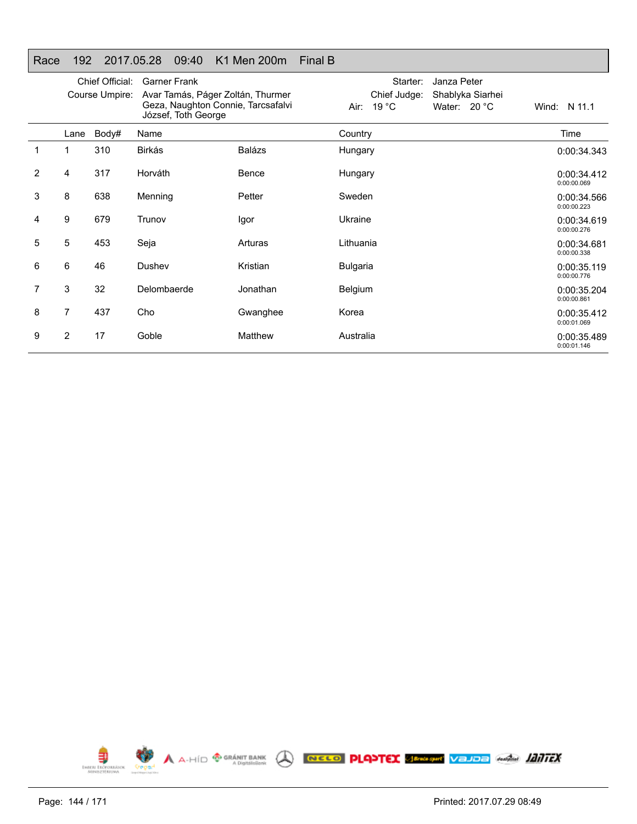### Race 192 2017.05.28 09:40 K1 Men 200m Final B

|   | Chief Official:<br>Course Umpire: |       | <b>Garner Frank</b><br>Avar Tamás, Páger Zoltán, Thurmer<br>Geza, Naughton Connie, Tarcsafalvi<br>József, Toth George |               | Starter:<br>Janza Peter<br>Shablyka Siarhei<br>Chief Judge:<br>Air: 19 °C<br>Water: $20 °C$ | Wind: N 11.1               |
|---|-----------------------------------|-------|-----------------------------------------------------------------------------------------------------------------------|---------------|---------------------------------------------------------------------------------------------|----------------------------|
|   | Lane                              | Body# | Name                                                                                                                  |               | Country                                                                                     | Time                       |
|   | 1                                 | 310   | Birkás                                                                                                                | <b>Balázs</b> | Hungary                                                                                     | 0:00:34.343                |
| 2 | 4                                 | 317   | Horváth                                                                                                               | Bence         | Hungary                                                                                     | 0:00:34.412<br>0:00:00.069 |
| 3 | 8                                 | 638   | Menning                                                                                                               | Petter        | Sweden                                                                                      | 0:00:34.566<br>0:00:00.223 |
| 4 | 9                                 | 679   | Trunov                                                                                                                | Igor          | Ukraine                                                                                     | 0:00:34.619<br>0:00:00.276 |
| 5 | 5                                 | 453   | Seja                                                                                                                  | Arturas       | Lithuania                                                                                   | 0:00:34.681<br>0:00:00.338 |
| 6 | 6                                 | 46    | Dushev                                                                                                                | Kristian      | <b>Bulgaria</b>                                                                             | 0:00:35.119<br>0:00:00.776 |
| 7 | 3                                 | 32    | Delombaerde                                                                                                           | Jonathan      | <b>Belgium</b>                                                                              | 0:00:35.204<br>0:00:00.861 |
| 8 | 7                                 | 437   | Cho                                                                                                                   | Gwanghee      | Korea                                                                                       | 0:00:35.412<br>0:00:01.069 |
| 9 | $\overline{2}$                    | 17    | Goble                                                                                                                 | Matthew       | Australia                                                                                   | 0:00:35.489<br>0:00:01.146 |

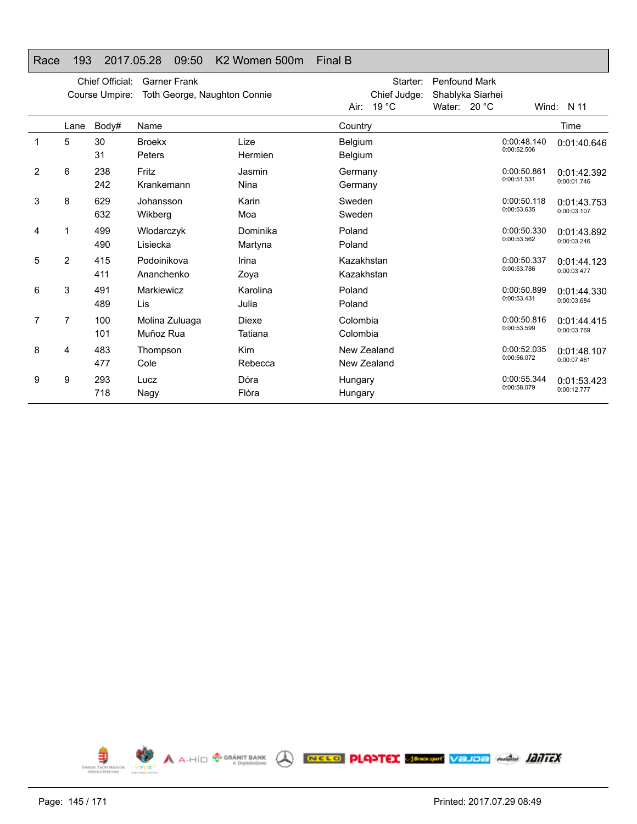### Race 193 2017.05.28 09:50 K2 Women 500m Final B

|   |                | Chief Official:<br>Course Umpire: | <b>Garner Frank</b><br>Toth George, Naughton Connie |                         | Starter:<br>Chief Judge:<br>19 °C<br>Air: | <b>Penfound Mark</b><br>Shablyka Siarhei<br>Water: $20 °C$ |                            | Wind: $N$ 11               |
|---|----------------|-----------------------------------|-----------------------------------------------------|-------------------------|-------------------------------------------|------------------------------------------------------------|----------------------------|----------------------------|
|   | Lane           | Body#                             | Name                                                |                         | Country                                   |                                                            |                            | Time                       |
| 1 | 5              | 30<br>31                          | <b>Broekx</b><br>Peters                             | Lize<br>Hermien         | Belgium<br>Belgium                        |                                                            | 0:00:48.140<br>0:00:52.506 | 0:01:40.646                |
| 2 | 6              | 238<br>242                        | Fritz<br>Krankemann                                 | Jasmin<br>Nina          | Germany<br>Germany                        |                                                            | 0:00:50.861<br>0:00:51.531 | 0:01:42.392<br>0:00:01.746 |
| 3 | 8              | 629<br>632                        | Johansson<br>Wikberg                                | Karin<br>Moa            | Sweden<br>Sweden                          |                                                            | 0:00:50.118<br>0:00:53.635 | 0:01:43.753<br>0:00:03.107 |
| 4 |                | 499<br>490                        | Wlodarczyk<br>Lisiecka                              | Dominika<br>Martyna     | Poland<br>Poland                          |                                                            | 0:00:50.330<br>0:00:53.562 | 0:01:43.892<br>0:00:03.246 |
| 5 | $\overline{2}$ | 415<br>411                        | Podoinikova<br>Ananchenko                           | Irina<br>Zoya           | Kazakhstan<br>Kazakhstan                  |                                                            | 0:00:50.337<br>0:00:53.786 | 0:01:44.123<br>0:00:03.477 |
| 6 | 3              | 491<br>489                        | Markiewicz<br>Lis                                   | Karolina<br>Julia       | Poland<br>Poland                          |                                                            | 0:00:50.899<br>0:00:53.431 | 0:01:44.330<br>0:00:03.684 |
| 7 | 7              | 100<br>101                        | Molina Zuluaga<br>Muñoz Rua                         | <b>Diexe</b><br>Tatiana | Colombia<br>Colombia                      |                                                            | 0:00:50.816<br>0:00:53.599 | 0:01:44.415<br>0:00:03.769 |
| 8 | 4              | 483<br>477                        | Thompson<br>Cole                                    | <b>Kim</b><br>Rebecca   | New Zealand<br>New Zealand                |                                                            | 0:00:52.035<br>0:00:56.072 | 0:01:48.107<br>0:00:07.461 |
| 9 | 9              | 293<br>718                        | Lucz<br>Nagy                                        | Dóra<br>Flóra           | Hungary<br>Hungary                        |                                                            | 0:00:55.344<br>0:00:58.079 | 0:01:53.423<br>0:00:12.777 |

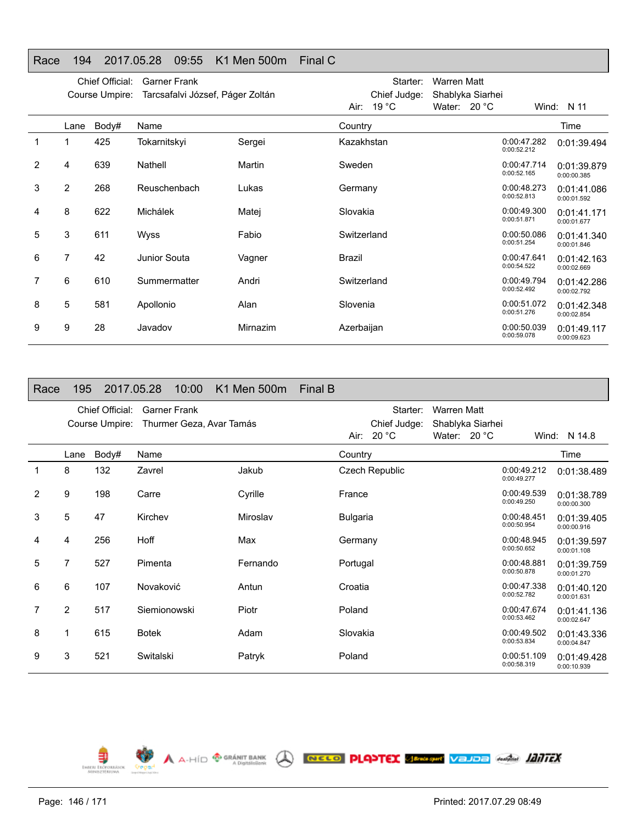#### Race 194 2017.05.28 09:55 K1 Men 500m Final C

|   |                | Chief Official: | <b>Garner Frank</b>              |          | Starter:                | <b>Warren Matt</b> |                            |                            |
|---|----------------|-----------------|----------------------------------|----------|-------------------------|--------------------|----------------------------|----------------------------|
|   |                | Course Umpire:  | Tarcsafalvi József, Páger Zoltán |          | Chief Judge:            | Shablyka Siarhei   |                            |                            |
|   |                |                 |                                  |          | 19 $^{\circ}$ C<br>Air: | Water: 20 °C       |                            | Wind: $N$ 11               |
|   | Lane           | Body#           | Name                             |          | Country                 |                    |                            | Time                       |
|   |                | 425             | Tokarnitskyi                     | Sergei   | Kazakhstan              |                    | 0:00:47.282<br>0:00:52.212 | 0:01:39.494                |
| 2 | 4              | 639             | Nathell                          | Martin   | Sweden                  |                    | 0:00:47.714<br>0:00:52.165 | 0:01:39.879<br>0:00:00.385 |
| 3 | 2              | 268             | Reuschenbach                     | Lukas    | Germany                 |                    | 0:00:48.273<br>0:00:52.813 | 0:01:41.086<br>0:00:01.592 |
| 4 | 8              | 622             | Michálek                         | Matej    | Slovakia                |                    | 0:00:49.300<br>0:00:51.871 | 0:01:41.171<br>0:00:01.677 |
| 5 | 3              | 611             | Wyss                             | Fabio    | Switzerland             |                    | 0:00:50.086<br>0:00:51.254 | 0:01:41.340<br>0:00:01.846 |
| 6 | $\overline{7}$ | 42              | Junior Souta                     | Vagner   | <b>Brazil</b>           |                    | 0:00:47.641<br>0:00:54.522 | 0:01:42.163<br>0:00:02.669 |
| 7 | 6              | 610             | Summermatter                     | Andri    | Switzerland             |                    | 0:00:49.794<br>0:00:52.492 | 0:01:42.286<br>0:00:02.792 |
| 8 | 5              | 581             | Apollonio                        | Alan     | Slovenia                |                    | 0:00:51.072<br>0:00:51.276 | 0:01:42.348<br>0:00:02.854 |
| 9 | 9              | 28              | Javadov                          | Mirnazim | Azerbaijan              |                    | 0:00:50.039<br>0:00:59.078 | 0:01:49.117<br>0:00:09.623 |

| Race | 195            |                                   | 2017.05.28   | 10:00               |                          | K1 Men 500m | Final B |                 |                                        |                             |                  |                            |                            |
|------|----------------|-----------------------------------|--------------|---------------------|--------------------------|-------------|---------|-----------------|----------------------------------------|-----------------------------|------------------|----------------------------|----------------------------|
|      |                | Chief Official:<br>Course Umpire: |              | <b>Garner Frank</b> | Thurmer Geza, Avar Tamás |             |         |                 | Starter:<br>Chief Judge:<br>Air: 20 °C | Warren Matt<br>Water: 20 °C | Shablyka Siarhei |                            | Wind: N 14.8               |
|      | Lane           | Body#                             | Name         |                     |                          |             |         | Country         |                                        |                             |                  |                            | Time                       |
| 1    | 8              | 132                               | Zavrel       |                     |                          | Jakub       |         |                 | <b>Czech Republic</b>                  |                             |                  | 0:00:49.212<br>0:00:49.277 | 0:01:38.489                |
| 2    | 9              | 198                               | Carre        |                     |                          | Cyrille     |         | France          |                                        |                             |                  | 0:00:49.539<br>0:00:49.250 | 0:01:38.789<br>0:00:00.300 |
| 3    | 5              | 47                                | Kirchev      |                     |                          | Miroslav    |         | <b>Bulgaria</b> |                                        |                             |                  | 0:00:48.451<br>0:00:50.954 | 0:01:39.405<br>0:00:00.916 |
| 4    | 4              | 256                               | Hoff         |                     |                          | Max         |         | Germany         |                                        |                             |                  | 0:00:48.945<br>0:00:50.652 | 0:01:39.597<br>0:00:01.108 |
| 5    | 7              | 527                               | Pimenta      |                     |                          | Fernando    |         | Portugal        |                                        |                             |                  | 0:00:48.881<br>0:00:50.878 | 0:01:39.759<br>0:00:01.270 |
| 6    | 6              | 107                               | Novaković    |                     |                          | Antun       |         | Croatia         |                                        |                             |                  | 0:00:47.338<br>0:00:52.782 | 0:01:40.120<br>0:00:01.631 |
| 7    | $\overline{2}$ | 517                               | Siemionowski |                     |                          | Piotr       |         | Poland          |                                        |                             |                  | 0:00:47.674<br>0:00:53.462 | 0:01:41.136<br>0:00:02.647 |
| 8    | 1              | 615                               | <b>Botek</b> |                     |                          | Adam        |         | Slovakia        |                                        |                             |                  | 0:00:49.502<br>0:00:53.834 | 0:01:43.336<br>0:00:04.847 |
| 9    | 3              | 521                               | Switalski    |                     |                          | Patryk      |         | Poland          |                                        |                             |                  | 0:00:51.109<br>0:00:58.319 | 0:01:49.428<br>0:00:10.939 |

A A-HÍD <sup>@ GRÁNIT BANK</sup> ( **NECO PLANTEX SEPARATION** VEJDE GARAGE *HATTEX* 

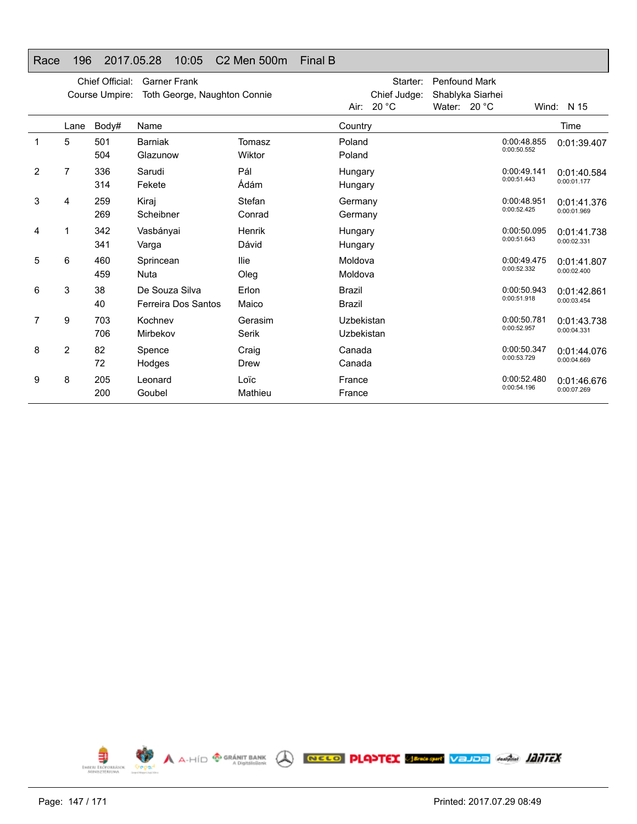# Race 196 2017.05.28 10:05 C2 Men 500m Final B

|                |                | Chief Official:<br>Course Umpire: | <b>Garner Frank</b><br>Toth George, Naughton Connie |                  |                                | Starter:<br>Chief Judge:<br>Air: $20 °C$ | <b>Penfound Mark</b><br>Shablyka Siarhei<br>Water: 20 °C | Wind:                      | N 15                       |
|----------------|----------------|-----------------------------------|-----------------------------------------------------|------------------|--------------------------------|------------------------------------------|----------------------------------------------------------|----------------------------|----------------------------|
|                | Lane           | Body#                             | Name                                                |                  | Country                        |                                          |                                                          |                            | Time                       |
| 1              | 5              | 501<br>504                        | <b>Barniak</b><br>Glazunow                          | Tomasz<br>Wiktor | Poland<br>Poland               |                                          |                                                          | 0:00:48.855<br>0:00:50.552 | 0:01:39.407                |
| $\overline{2}$ | $\overline{7}$ | 336<br>314                        | Sarudi<br>Fekete                                    | Pál<br>Ádám      | Hungary<br>Hungary             |                                          |                                                          | 0:00:49.141<br>0:00:51.443 | 0:01:40.584<br>0:00:01.177 |
| 3              | 4              | 259<br>269                        | Kiraj<br>Scheibner                                  | Stefan<br>Conrad | Germany<br>Germany             |                                          |                                                          | 0:00:48.951<br>0:00:52.425 | 0:01:41.376<br>0:00:01.969 |
| 4              | 1              | 342<br>341                        | Vasbányai<br>Varga                                  | Henrik<br>Dávid  | Hungary<br>Hungary             |                                          |                                                          | 0:00:50.095<br>0:00:51.643 | 0:01:41.738<br>0:00:02.331 |
| 5              | 6              | 460<br>459                        | Sprincean<br><b>Nuta</b>                            | llie<br>Oleg     | Moldova<br>Moldova             |                                          |                                                          | 0:00:49.475<br>0:00:52.332 | 0:01:41.807<br>0:00:02.400 |
| 6              | 3              | 38<br>40                          | De Souza Silva<br>Ferreira Dos Santos               | Erlon<br>Maico   | <b>Brazil</b><br><b>Brazil</b> |                                          |                                                          | 0:00:50.943<br>0:00:51.918 | 0:01:42.861<br>0:00:03.454 |
| 7              | 9              | 703<br>706                        | Kochnev<br>Mirbekov                                 | Gerasim<br>Serik | Uzbekistan<br>Uzbekistan       |                                          |                                                          | 0:00:50.781<br>0:00:52.957 | 0:01:43.738<br>0:00:04.331 |
| 8              | $\overline{2}$ | 82<br>72                          | Spence<br>Hodges                                    | Craig<br>Drew    | Canada<br>Canada               |                                          |                                                          | 0:00:50.347<br>0:00:53.729 | 0:01:44.076<br>0:00:04.669 |
| 9              | 8              | 205<br>200                        | Leonard<br>Goubel                                   | Loïc<br>Mathieu  | France<br>France               |                                          |                                                          | 0:00:52.480<br>0:00:54.196 | 0:01:46.676<br>0:00:07.269 |

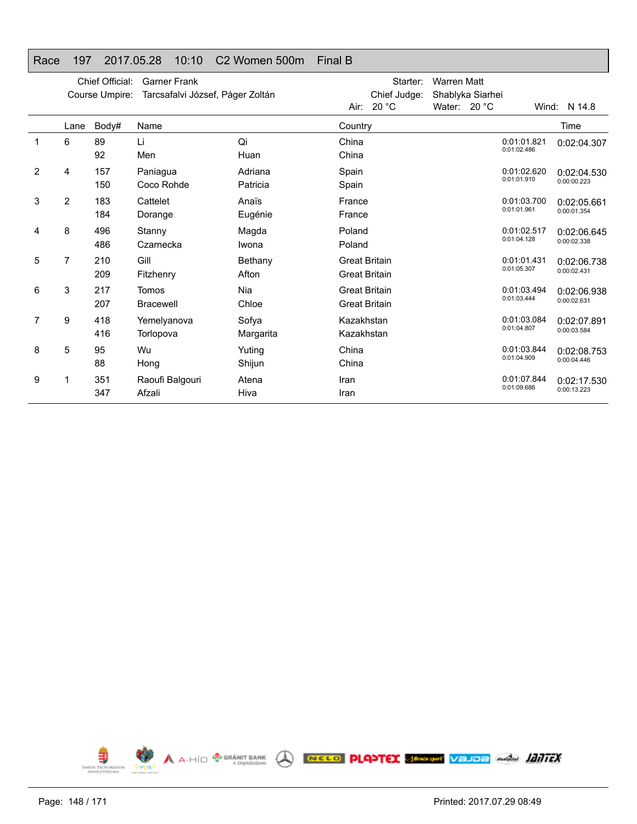# Race 197 2017.05.28 10:10 C2 Women 500m Final B

|                |                | Chief Official:<br>Course Umpire: | <b>Garner Frank</b><br>Tarcsafalvi József, Páger Zoltán |                     |                                              | Starter:<br>Chief Judge:<br>Air: $20 °C$ | <b>Warren Matt</b><br>Water: 20 °C | Shablyka Siarhei |                            | Wind: N 14.8               |
|----------------|----------------|-----------------------------------|---------------------------------------------------------|---------------------|----------------------------------------------|------------------------------------------|------------------------------------|------------------|----------------------------|----------------------------|
|                | Lane           | Body#                             | Name                                                    |                     | Country                                      |                                          |                                    |                  |                            | Time                       |
| 1              | 6              | 89<br>92                          | Li<br>Men                                               | Qi<br>Huan          | China<br>China                               |                                          |                                    |                  | 0:01:01.821<br>0:01:02.486 | 0:02:04.307                |
| $\overline{2}$ | 4              | 157<br>150                        | Paniagua<br>Coco Rohde                                  | Adriana<br>Patricia | Spain<br>Spain                               |                                          |                                    |                  | 0:01:02.620<br>0:01:01.910 | 0:02:04.530<br>0:00:00.223 |
| 3              | $\overline{2}$ | 183<br>184                        | Cattelet<br>Dorange                                     | Anaïs<br>Eugénie    | France<br>France                             |                                          |                                    |                  | 0:01:03.700<br>0:01:01.961 | 0:02:05.661<br>0:00:01.354 |
| 4              | 8              | 496<br>486                        | Stanny<br>Czarnecka                                     | Magda<br>Iwona      | Poland<br>Poland                             |                                          |                                    |                  | 0:01:02.517<br>0:01:04.128 | 0:02:06.645<br>0:00:02.338 |
| 5              | 7              | 210<br>209                        | Gill<br>Fitzhenry                                       | Bethany<br>Afton    | <b>Great Britain</b><br><b>Great Britain</b> |                                          |                                    |                  | 0:01:01.431<br>0:01:05.307 | 0:02:06.738<br>0:00:02.431 |
| 6              | 3              | 217<br>207                        | Tomos<br><b>Bracewell</b>                               | Nia<br>Chloe        | <b>Great Britain</b><br><b>Great Britain</b> |                                          |                                    |                  | 0:01:03.494<br>0:01:03.444 | 0:02:06.938<br>0:00:02.631 |
| 7              | 9              | 418<br>416                        | Yemelyanova<br>Torlopova                                | Sofya<br>Margarita  | Kazakhstan<br>Kazakhstan                     |                                          |                                    |                  | 0:01:03.084<br>0:01:04.807 | 0:02:07.891<br>0:00:03.584 |
| 8              | 5              | 95<br>88                          | Wu<br>Hong                                              | Yuting<br>Shijun    | China<br>China                               |                                          |                                    |                  | 0:01:03.844<br>0:01:04.909 | 0:02:08.753<br>0:00:04.446 |
| 9              | 1              | 351<br>347                        | Raoufi Balgouri<br>Afzali                               | Atena<br>Hiva       | Iran<br>Iran                                 |                                          |                                    |                  | 0:01:07.844<br>0:01:09.686 | 0:02:17.530<br>0:00:13.223 |

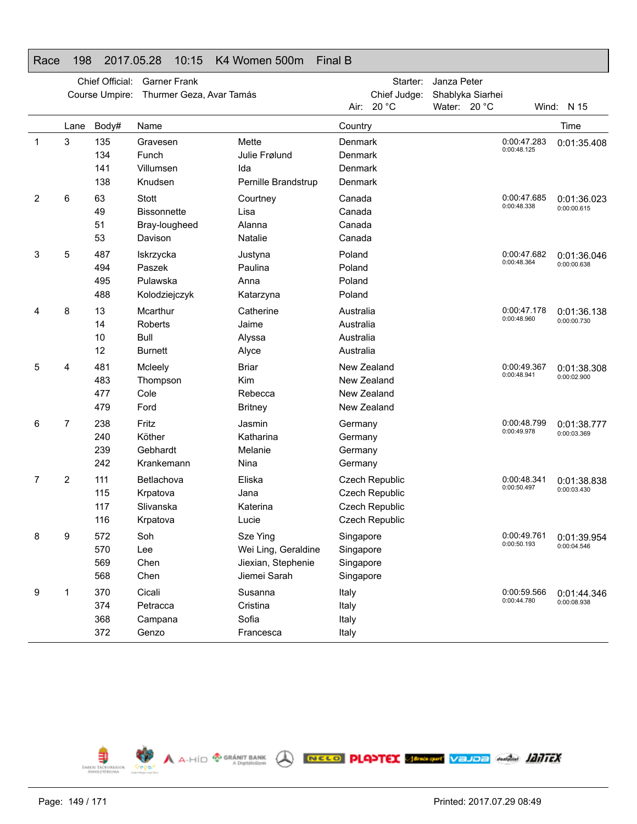#### Race 198 2017.05.28 10:15 K4 Women 500m Final B

|   | Chief Official:<br>Course Umpire: |                          | <b>Garner Frank</b><br>Thurmer Geza, Avar Tamás                |                                                                       |                                                          | Starter:<br>Chief Judge:                                             |              | Janza Peter<br>Shablyka Siarhei |                            |                                          |
|---|-----------------------------------|--------------------------|----------------------------------------------------------------|-----------------------------------------------------------------------|----------------------------------------------------------|----------------------------------------------------------------------|--------------|---------------------------------|----------------------------|------------------------------------------|
|   |                                   |                          |                                                                |                                                                       | Air: I                                                   | 20 °C                                                                | Water: 20 °C |                                 |                            | Wind: N 15                               |
|   | Lane                              | Body#                    | Name                                                           |                                                                       | Country                                                  |                                                                      |              |                                 |                            | Time                                     |
| 1 | 3                                 | 135<br>134<br>141<br>138 | Gravesen<br>Funch<br>Villumsen<br>Knudsen                      | Mette<br>Julie Frølund<br>Ida<br>Pernille Brandstrup                  | Denmark<br>Denmark<br>Denmark<br>Denmark                 |                                                                      |              |                                 | 0:00:47.283<br>0:00:48.125 | 0:01:35.408                              |
| 2 | 6                                 | 63<br>49<br>51<br>53     | <b>Stott</b><br><b>Bissonnette</b><br>Bray-lougheed<br>Davison | Courtney<br>Lisa<br>Alanna<br>Natalie                                 | Canada<br>Canada<br>Canada<br>Canada                     |                                                                      |              |                                 | 0:00:47.685<br>0:00:48.338 | 0:01:36.023<br>0:00:00.615               |
| 3 | 5                                 | 487<br>494<br>495<br>488 | Iskrzycka<br>Paszek<br>Pulawska<br>Kolodziejczyk               | Justyna<br>Paulina<br>Anna<br>Katarzyna                               | Poland<br>Poland<br>Poland<br>Poland                     |                                                                      |              |                                 | 0:00:47.682<br>0:00:48.364 | 0:01:36.046<br>0:00:00.638               |
| 4 | 8                                 | 13<br>14<br>10<br>12     | Mcarthur<br>Roberts<br><b>Bull</b><br><b>Burnett</b>           | Catherine<br>Jaime<br>Alyssa<br>Alyce                                 | Australia<br>Australia<br>Australia<br>Australia         |                                                                      |              |                                 | 0:00:47.178<br>0:00:48.960 | 0:01:36.138<br>0:00:00.730               |
| 5 | 4                                 | 481<br>483<br>477<br>479 | Mcleely<br>Thompson<br>Cole<br>Ford                            | <b>Briar</b><br>Kim<br>Rebecca<br><b>Britney</b>                      | New Zealand<br>New Zealand<br>New Zealand<br>New Zealand |                                                                      |              |                                 | 0:00:49.367<br>0:00:48.941 | 0:01:38.308<br>0:00:02.900               |
| 6 | 7                                 | 238<br>240<br>239<br>242 | Fritz<br>Köther<br>Gebhardt<br>Krankemann                      | Jasmin<br>Katharina<br>Melanie<br>Nina                                | Germany<br>Germany<br>Germany<br>Germany                 |                                                                      |              |                                 | 0:00:48.799<br>0:00:49.978 | 0:01:38.777<br>0:00:03.369               |
| 7 | 2                                 | 111<br>115<br>117<br>116 | Betlachova<br>Krpatova<br>Slivanska<br>Krpatova                | Eliska<br>Jana<br>Katerina<br>Lucie                                   |                                                          | Czech Republic<br>Czech Republic<br>Czech Republic<br>Czech Republic |              |                                 | 0:00:48.341<br>0:00:50.497 | 0:01:38.838<br>0:00:03.430               |
| 8 | 9                                 | 572<br>570<br>569<br>568 | Soh<br>Lee<br>Chen<br>Chen                                     | Sze Ying<br>Wei Ling, Geraldine<br>Jiexian, Stephenie<br>Jiemei Sarah | Singapore<br>Singapore<br>Singapore<br>Singapore         |                                                                      |              |                                 | 0:00:50.193                | 0:00:49.761   0:01:39.954<br>0:00:04.546 |
| 9 | 1                                 | 370<br>374<br>368<br>372 | Cicali<br>Petracca<br>Campana<br>Genzo                         | Susanna<br>Cristina<br>Sofia<br>Francesca                             | Italy<br>Italy<br>Italy<br>Italy                         |                                                                      |              |                                 | 0:00:59.566<br>0:00:44.780 | 0:01:44.346<br>0:00:08.938               |

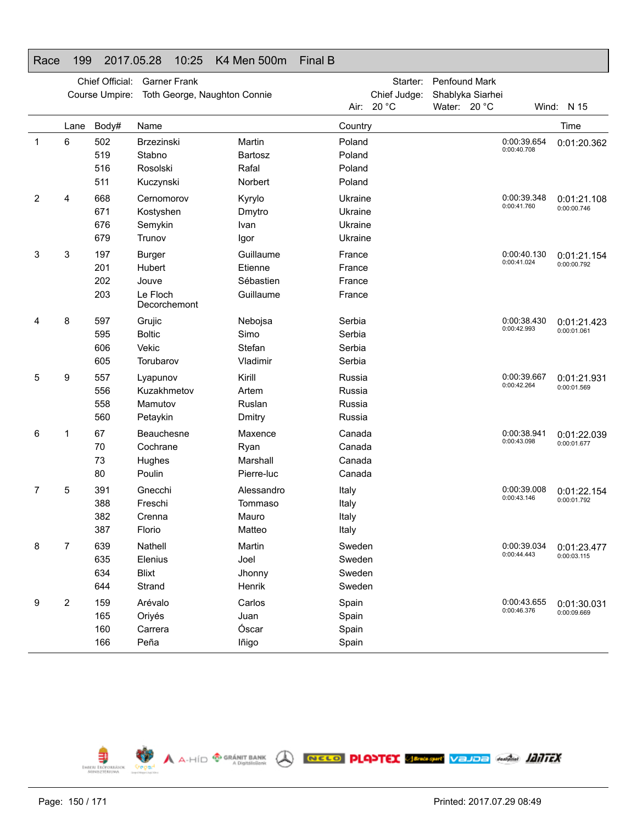# Race 199 2017.05.28 10:25 K4 Men 500m Final B

|   |      | Chief Official:<br>Course Umpire: | <b>Garner Frank</b><br>Toth George, Naughton Connie |                |         | Starter:<br>Chief Judge: | Penfound Mark<br>Shablyka Siarhei |                            |             |
|---|------|-----------------------------------|-----------------------------------------------------|----------------|---------|--------------------------|-----------------------------------|----------------------------|-------------|
|   |      |                                   |                                                     |                |         | Air: 20 °C               | Water: 20 °C                      |                            | Wind: N 15  |
|   | Lane | Body#                             | Name                                                |                | Country |                          |                                   |                            | Time        |
| 1 | 6    | 502                               | <b>Brzezinski</b>                                   | Martin         | Poland  |                          |                                   | 0:00:39.654<br>0:00:40.708 | 0:01:20.362 |
|   |      | 519                               | Stabno                                              | <b>Bartosz</b> | Poland  |                          |                                   |                            |             |
|   |      | 516                               | Rosolski                                            | Rafal          | Poland  |                          |                                   |                            |             |
|   |      | 511                               | Kuczynski                                           | Norbert        | Poland  |                          |                                   |                            |             |
| 2 | 4    | 668                               | Cernomorov                                          | Kyrylo         | Ukraine |                          |                                   | 0:00:39.348<br>0:00:41.760 | 0:01:21.108 |
|   |      | 671                               | Kostyshen                                           | Dmytro         | Ukraine |                          |                                   |                            | 0:00:00.746 |
|   |      | 676                               | Semykin                                             | Ivan           | Ukraine |                          |                                   |                            |             |
|   |      | 679                               | Trunov                                              | Igor           | Ukraine |                          |                                   |                            |             |
| 3 | 3    | 197                               | <b>Burger</b>                                       | Guillaume      | France  |                          |                                   | 0:00:40.130                | 0:01:21.154 |
|   |      | 201                               | Hubert                                              | Etienne        | France  |                          |                                   | 0:00:41.024                | 0:00:00.792 |
|   |      | 202                               | Jouve                                               | Sébastien      | France  |                          |                                   |                            |             |
|   |      | 203                               | Le Floch<br>Decorchemont                            | Guillaume      | France  |                          |                                   |                            |             |
| 4 | 8    | 597                               | Grujic                                              | Nebojsa        | Serbia  |                          |                                   | 0:00:38.430                | 0:01:21.423 |
|   |      | 595                               | <b>Boltic</b>                                       | Simo           | Serbia  |                          |                                   | 0:00:42.993                | 0:00:01.061 |
|   |      | 606                               | Vekic                                               | Stefan         | Serbia  |                          |                                   |                            |             |
|   |      | 605                               | Torubarov                                           | Vladimir       | Serbia  |                          |                                   |                            |             |
| 5 | 9    | 557                               | Lyapunov                                            | Kirill         | Russia  |                          |                                   | 0:00:39.667                | 0:01:21.931 |
|   |      | 556                               | Kuzakhmetov                                         | Artem          | Russia  |                          |                                   | 0:00:42.264                | 0:00:01.569 |
|   |      | 558                               | Mamutov                                             | Ruslan         | Russia  |                          |                                   |                            |             |
|   |      | 560                               | Petaykin                                            | Dmitry         | Russia  |                          |                                   |                            |             |
| 6 | 1    | 67                                | Beauchesne                                          | Maxence        | Canada  |                          |                                   | 0:00:38.941                | 0:01:22.039 |
|   |      | 70                                | Cochrane                                            | Ryan           | Canada  |                          |                                   | 0:00:43.098                | 0:00:01.677 |
|   |      | 73                                | Hughes                                              | Marshall       | Canada  |                          |                                   |                            |             |
|   |      | 80                                | Poulin                                              | Pierre-luc     | Canada  |                          |                                   |                            |             |
| 7 | 5    | 391                               | Gnecchi                                             | Alessandro     | Italy   |                          |                                   | 0:00:39.008                | 0:01:22.154 |
|   |      | 388                               | Freschi                                             | Tommaso        | Italy   |                          |                                   | 0:00:43.146                | 0:00:01.792 |
|   |      | 382                               | Crenna                                              | Mauro          | Italy   |                          |                                   |                            |             |
|   |      | 387                               | Florio                                              | Matteo         | Italy   |                          |                                   |                            |             |
| 8 | 7    | 639                               | Nathell                                             | Martin         | Sweden  |                          |                                   | 0:00:39.034                | 0:01:23.477 |
|   |      | 635                               | Elenius                                             | Joel           | Sweden  |                          |                                   | 0:00:44.443                | 0:00:03.115 |
|   |      | 634                               | <b>Blixt</b>                                        | Jhonny         | Sweden  |                          |                                   |                            |             |
|   |      | 644                               | Strand                                              | Henrik         | Sweden  |                          |                                   |                            |             |
| 9 | 2    | 159                               | Arévalo                                             | Carlos         | Spain   |                          |                                   | 0:00:43.655                | 0:01:30.031 |
|   |      | 165                               | Oriyés                                              | Juan           | Spain   |                          |                                   | 0:00:46.376                | 0:00:09.669 |
|   |      | 160                               | Carrera                                             | Óscar          | Spain   |                          |                                   |                            |             |
|   |      | 166                               | Peña                                                | lñigo          | Spain   |                          |                                   |                            |             |

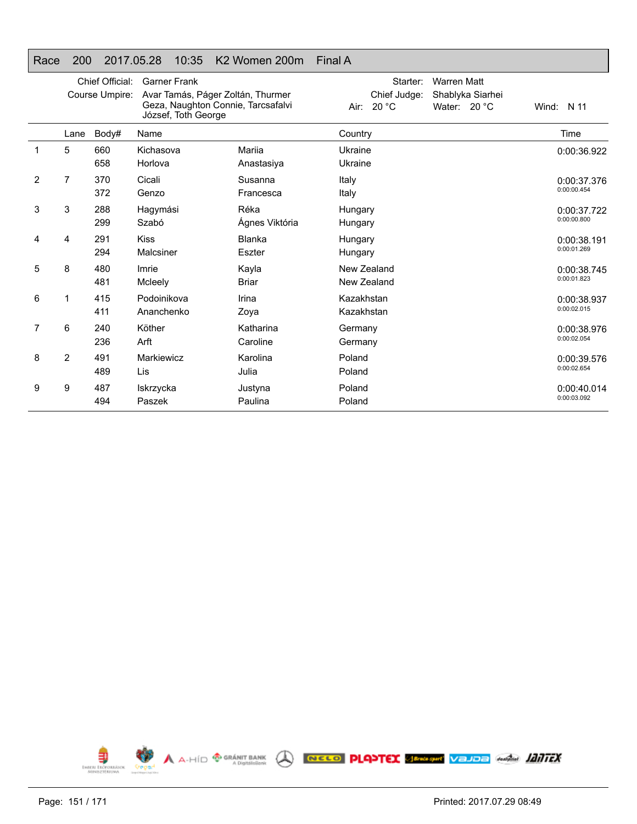# Race 200 2017.05.28 10:35 K2 Women 200m Final A

|                |      | Chief Official:<br>Course Umpire: | <b>Garner Frank</b><br>Avar Tamás, Páger Zoltán, Thurmer<br>Geza, Naughton Connie, Tarcsafalvi<br>József, Toth George |                        | Starter:<br><b>Warren Matt</b><br>Chief Judge:<br>Shablyka Siarhei<br>Air: 20 °C<br>Water: $20 °C$ | Wind: N 11                 |
|----------------|------|-----------------------------------|-----------------------------------------------------------------------------------------------------------------------|------------------------|----------------------------------------------------------------------------------------------------|----------------------------|
|                | Lane | Body#                             | Name                                                                                                                  |                        | Country                                                                                            | Time                       |
| 1              | 5    | 660<br>658                        | Kichasova<br>Horlova                                                                                                  | Mariia<br>Anastasiya   | Ukraine<br>Ukraine                                                                                 | 0:00:36.922                |
| $\overline{2}$ | 7    | 370<br>372                        | Cicali<br>Genzo                                                                                                       | Susanna<br>Francesca   | Italy<br>Italy                                                                                     | 0:00:37.376<br>0:00:00.454 |
| 3              | 3    | 288<br>299                        | Hagymási<br>Szabó                                                                                                     | Réka<br>Ágnes Viktória | Hungary<br>Hungary                                                                                 | 0:00:37.722<br>0:00:00.800 |
| 4              | 4    | 291<br>294                        | <b>Kiss</b><br>Malcsiner                                                                                              | Blanka<br>Eszter       | Hungary<br>Hungary                                                                                 | 0:00:38.191<br>0:00:01.269 |
| 5              | 8    | 480<br>481                        | Imrie<br>Mcleely                                                                                                      | Kayla<br><b>Briar</b>  | New Zealand<br>New Zealand                                                                         | 0:00:38.745<br>0:00:01.823 |
| 6              | 1    | 415<br>411                        | Podoinikova<br>Ananchenko                                                                                             | Irina<br>Zoya          | Kazakhstan<br>Kazakhstan                                                                           | 0:00:38.937<br>0:00:02.015 |
| 7              | 6    | 240<br>236                        | Köther<br>Arft                                                                                                        | Katharina<br>Caroline  | Germany<br>Germany                                                                                 | 0:00:38.976<br>0:00:02.054 |
| 8              | 2    | 491<br>489                        | Markiewicz<br>Lis                                                                                                     | Karolina<br>Julia      | Poland<br>Poland                                                                                   | 0:00:39.576<br>0:00:02.654 |
| 9              | 9    | 487<br>494                        | Iskrzycka<br>Paszek                                                                                                   | Justyna<br>Paulina     | Poland<br>Poland                                                                                   | 0:00:40.014<br>0:00:03.092 |

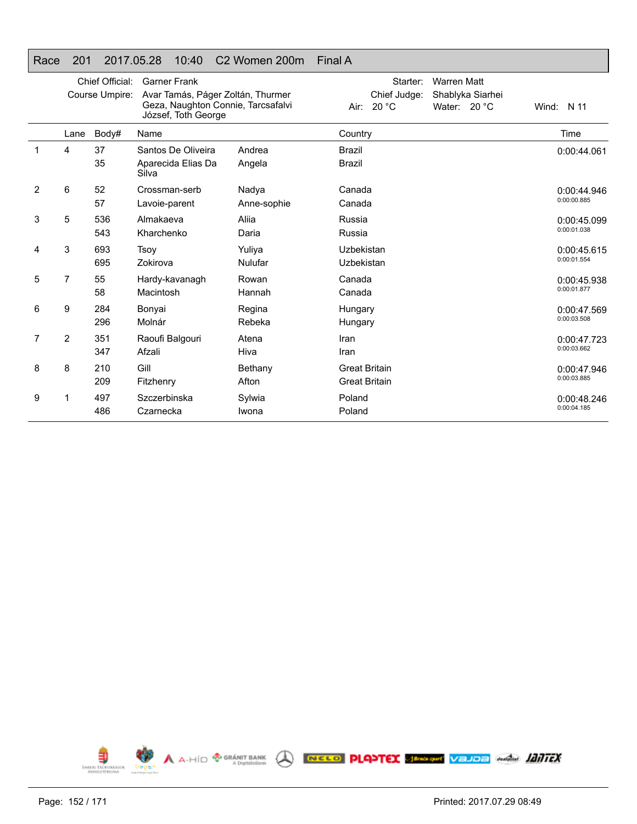# Race 201 2017.05.28 10:40 C2 Women 200m Final A

|   |                | Chief Official:<br>Course Umpire: | <b>Garner Frank</b><br>Avar Tamás, Páger Zoltán, Thurmer<br>Geza, Naughton Connie, Tarcsafalvi<br>József, Toth George |             | Starter:<br><b>Warren Matt</b><br>Chief Judge:<br>Shablyka Siarhei<br>Air: 20 °C<br>Water: 20 °C | Wind: $N$ 11 |
|---|----------------|-----------------------------------|-----------------------------------------------------------------------------------------------------------------------|-------------|--------------------------------------------------------------------------------------------------|--------------|
|   | Lane           | Body#                             | Name                                                                                                                  |             | Country                                                                                          | Time         |
|   | 4              | 37                                | Santos De Oliveira                                                                                                    | Andrea      | <b>Brazil</b>                                                                                    | 0:00:44.061  |
|   |                | 35                                | Aparecida Elias Da<br>Silva                                                                                           | Angela      | <b>Brazil</b>                                                                                    |              |
| 2 | 6              | 52                                | Crossman-serb                                                                                                         | Nadya       | Canada                                                                                           | 0:00:44.946  |
|   |                | 57                                | Lavoie-parent                                                                                                         | Anne-sophie | Canada                                                                                           | 0:00:00.885  |
| 3 | 5              | 536                               | Almakaeva                                                                                                             | Aliia       | Russia                                                                                           | 0:00:45.099  |
|   |                | 543                               | Kharchenko                                                                                                            | Daria       | Russia                                                                                           | 0:00:01.038  |
| 4 | 3              | 693                               | Tsoy                                                                                                                  | Yuliya      | Uzbekistan                                                                                       | 0:00:45.615  |
|   |                | 695                               | Zokirova                                                                                                              | Nulufar     | Uzbekistan                                                                                       | 0:00:01.554  |
| 5 | 7              | 55                                | Hardy-kavanagh                                                                                                        | Rowan       | Canada                                                                                           | 0:00:45.938  |
|   |                | 58                                | Macintosh                                                                                                             | Hannah      | Canada                                                                                           | 0:00:01.877  |
| 6 | 9              | 284                               | Bonyai                                                                                                                | Regina      | Hungary                                                                                          | 0:00:47.569  |
|   |                | 296                               | Molnár                                                                                                                | Rebeka      | Hungary                                                                                          | 0:00:03.508  |
| 7 | $\overline{2}$ | 351                               | Raoufi Balgouri                                                                                                       | Atena       | Iran                                                                                             | 0:00:47.723  |
|   |                | 347                               | Afzali                                                                                                                | Hiva        | Iran                                                                                             | 0:00:03.662  |
| 8 | 8              | 210                               | Gill                                                                                                                  | Bethany     | <b>Great Britain</b>                                                                             | 0:00:47.946  |
|   |                | 209                               | Fitzhenry                                                                                                             | Afton       | <b>Great Britain</b>                                                                             | 0:00:03.885  |
| 9 |                | 497                               | Szczerbinska                                                                                                          | Sylwia      | Poland                                                                                           | 0:00:48.246  |
|   |                | 486                               | Czarnecka                                                                                                             | Iwona       | Poland                                                                                           | 0:00:04.185  |

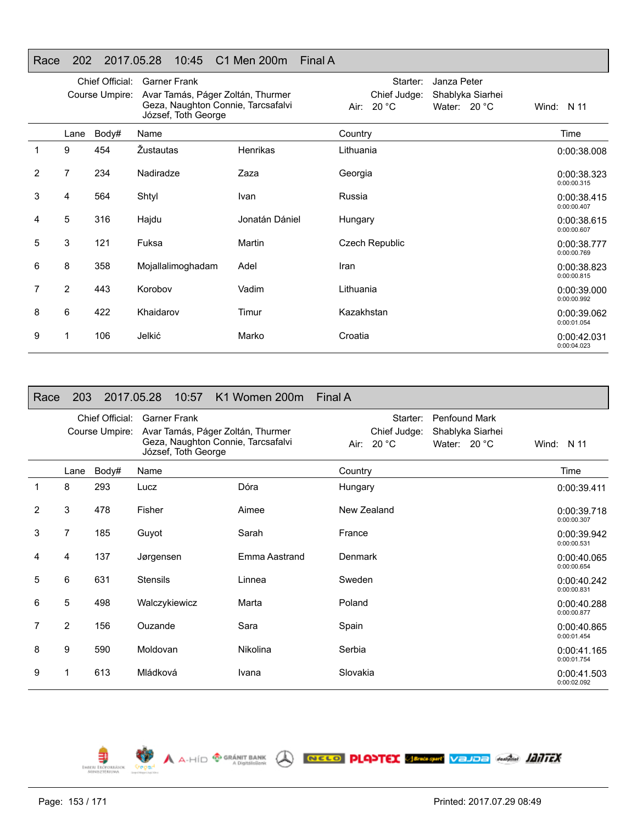# Race 202 2017.05.28 10:45 C1 Men 200m Final A

|                |                | Chief Official: | <b>Garner Frank</b>                                                                            |                | Janza Peter<br>Starter:                                             |                            |
|----------------|----------------|-----------------|------------------------------------------------------------------------------------------------|----------------|---------------------------------------------------------------------|----------------------------|
|                |                | Course Umpire:  | Avar Tamás, Páger Zoltán, Thurmer<br>Geza, Naughton Connie, Tarcsafalvi<br>József, Toth George |                | Chief Judge:<br>Shablyka Siarhei<br>Water: $20 °C$<br>20 °C<br>Air: | Wind: N 11                 |
|                | Lane           | Body#           | Name                                                                                           |                | Country                                                             | Time                       |
|                | 9              | 454             | <b>Zustautas</b>                                                                               | Henrikas       | Lithuania                                                           | 0:00:38.008                |
| $\overline{2}$ | 7              | 234             | Nadiradze                                                                                      | Zaza           | Georgia                                                             | 0:00:38.323<br>0:00:00.315 |
| 3              | 4              | 564             | Shtyl                                                                                          | Ivan           | Russia                                                              | 0:00:38.415<br>0:00:00.407 |
| 4              | 5              | 316             | Hajdu                                                                                          | Jonatán Dániel | Hungary                                                             | 0:00:38.615<br>0:00:00.607 |
| 5              | 3              | 121             | Fuksa                                                                                          | Martin         | <b>Czech Republic</b>                                               | 0:00:38.777<br>0:00:00.769 |
| 6              | 8              | 358             | Mojallalimoghadam                                                                              | Adel           | Iran                                                                | 0:00:38.823<br>0:00:00.815 |
| 7              | $\overline{2}$ | 443             | Korobov                                                                                        | Vadim          | Lithuania                                                           | 0:00:39.000<br>0:00:00.992 |
| 8              | 6              | 422             | Khaidarov                                                                                      | Timur          | Kazakhstan                                                          | 0:00:39.062<br>0:00:01.054 |
| 9              |                | 106             | Jelkić                                                                                         | Marko          | Croatia                                                             | 0:00:42.031<br>0:00:04.023 |

| Race           | 203            |                                   | 2017.05.28<br>10:57                        | K1 Women 200m Final A                                                   |                                          |                                                            |                            |
|----------------|----------------|-----------------------------------|--------------------------------------------|-------------------------------------------------------------------------|------------------------------------------|------------------------------------------------------------|----------------------------|
|                |                | Chief Official:<br>Course Umpire: | <b>Garner Frank</b><br>József, Toth George | Avar Tamás, Páger Zoltán, Thurmer<br>Geza, Naughton Connie, Tarcsafalvi | Starter:<br>Chief Judge:<br>Air: $20 °C$ | <b>Penfound Mark</b><br>Shablyka Siarhei<br>Water: $20 °C$ | Wind: N 11                 |
|                | Lane           | Body#                             | Name                                       |                                                                         | Country                                  |                                                            | Time                       |
| 1              | 8              | 293                               | Lucz                                       | Dóra                                                                    | Hungary                                  |                                                            | 0:00:39.411                |
| $\overline{2}$ | 3              | 478                               | Fisher                                     | Aimee                                                                   | New Zealand                              |                                                            | 0:00:39.718<br>0:00:00.307 |
| 3              | 7              | 185                               | Guyot                                      | Sarah                                                                   | France                                   |                                                            | 0:00:39.942<br>0:00:00.531 |
| 4              | 4              | 137                               | Jørgensen                                  | Emma Aastrand                                                           | Denmark                                  |                                                            | 0:00:40.065<br>0:00:00.654 |
| 5              | 6              | 631                               | <b>Stensils</b>                            | Linnea                                                                  | Sweden                                   |                                                            | 0:00:40.242<br>0:00:00.831 |
| 6              | 5              | 498                               | Walczykiewicz                              | Marta                                                                   | Poland                                   |                                                            | 0:00:40.288<br>0:00:00.877 |
| 7              | $\overline{2}$ | 156                               | Ouzande                                    | Sara                                                                    | Spain                                    |                                                            | 0:00:40.865<br>0:00:01.454 |
| 8              | 9              | 590                               | Moldovan                                   | Nikolina                                                                | Serbia                                   |                                                            | 0:00:41.165<br>0:00:01.754 |
| 9              | 1              | 613                               | Mládková                                   | Ivana                                                                   | Slovakia                                 |                                                            | 0:00:41.503<br>0:00:02.092 |

A A-HÍD <sup>@ GRÁNIT BANK</sup> A RECO PLANTEX SPRAGHT VEJOB Anglia 1117EX



€

**EMBERL EROP** 

**O**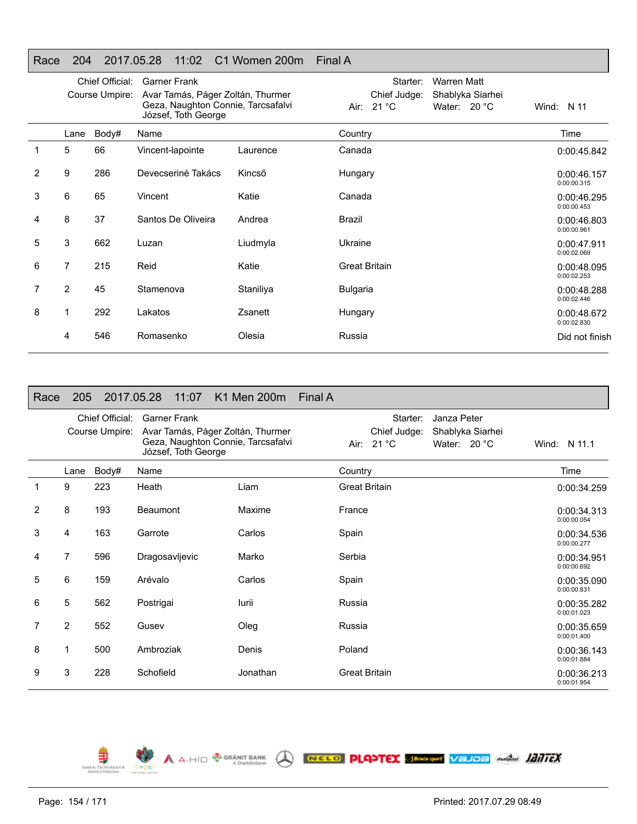# Race 204 2017.05.28 11:02 C1 Women 200m Final A

|   |                | Chief Official:<br>Course Umpire: | <b>Garner Frank</b><br>Avar Tamás, Páger Zoltán, Thurmer<br>Geza, Naughton Connie, Tarcsafalvi<br>József, Toth George |           | <b>Warren Matt</b><br>Starter:<br>Chief Judge:<br>Shablyka Siarhei<br>Air: 21 °C<br>Water: 20 °C | Wind: $N$ 11               |
|---|----------------|-----------------------------------|-----------------------------------------------------------------------------------------------------------------------|-----------|--------------------------------------------------------------------------------------------------|----------------------------|
|   | Lane           | Body#                             | Name                                                                                                                  |           | Country                                                                                          | Time                       |
|   | 5              | 66                                | Vincent-lapointe                                                                                                      | Laurence  | Canada                                                                                           | 0:00:45.842                |
| 2 | 9              | 286                               | Devecseriné Takács                                                                                                    | Kincső    | Hungary                                                                                          | 0:00:46.157<br>0:00:00.315 |
| 3 | 6              | 65                                | Vincent                                                                                                               | Katie     | Canada                                                                                           | 0:00:46.295<br>0:00:00.453 |
| 4 | 8              | 37                                | Santos De Oliveira                                                                                                    | Andrea    | Brazil                                                                                           | 0:00:46.803<br>0:00:00.961 |
| 5 | 3              | 662                               | Luzan                                                                                                                 | Liudmyla  | Ukraine                                                                                          | 0:00:47.911<br>0:00:02.069 |
| 6 | $\overline{7}$ | 215                               | Reid                                                                                                                  | Katie     | <b>Great Britain</b>                                                                             | 0:00:48.095<br>0:00:02.253 |
| 7 | 2              | 45                                | Stamenova                                                                                                             | Staniliya | <b>Bulgaria</b>                                                                                  | 0:00:48.288<br>0:00:02.446 |
| 8 | 1              | 292                               | Lakatos                                                                                                               | Zsanett   | Hungary                                                                                          | 0:00:48.672<br>0:00:02.830 |
|   | 4              | 546                               | Romasenko                                                                                                             | Olesia    | Russia                                                                                           | Did not finish             |

| Race | 205            |                                   | 2017.05.28<br>11:07                                                             | K1 Men 200m Final A                |                                                                                               |                            |
|------|----------------|-----------------------------------|---------------------------------------------------------------------------------|------------------------------------|-----------------------------------------------------------------------------------------------|----------------------------|
|      |                | Chief Official:<br>Course Umpire: | <b>Garner Frank</b><br>Avar Tamás, Páger Zoltán, Thurmer<br>József, Toth George | Geza, Naughton Connie, Tarcsafalvi | Starter:<br>Janza Peter<br>Chief Judge:<br>Shablyka Siarhei<br>Water: $20 °C$<br>Air: $21 °C$ | Wind: N 11.1               |
|      | Lane           | Body#                             | Name                                                                            |                                    | Country                                                                                       | Time                       |
|      | 9              | 223                               | Heath                                                                           | Liam                               | <b>Great Britain</b>                                                                          | 0:00:34.259                |
| 2    | 8              | 193                               | <b>Beaumont</b>                                                                 | Maxime                             | France                                                                                        | 0:00:34.313<br>0:00:00.054 |
| 3    | 4              | 163                               | Garrote                                                                         | Carlos                             | Spain                                                                                         | 0:00:34.536<br>0:00:00.277 |
| 4    | 7              | 596                               | Dragosavljevic                                                                  | Marko                              | Serbia                                                                                        | 0:00:34.951<br>0:00:00.692 |
| 5    | 6              | 159                               | Arévalo                                                                         | Carlos                             | Spain                                                                                         | 0:00:35.090<br>0:00:00.831 |
| 6    | 5              | 562                               | Postrigai                                                                       | lurii                              | Russia                                                                                        | 0:00:35.282<br>0:00:01.023 |
| 7    | $\overline{2}$ | 552                               | Gusev                                                                           | Oleg                               | Russia                                                                                        | 0:00:35.659<br>0:00:01.400 |
| 8    | 1              | 500                               | Ambroziak                                                                       | Denis                              | Poland                                                                                        | 0:00:36.143<br>0:00:01.884 |
| 9    | 3              | 228                               | Schofield                                                                       | Jonathan                           | <b>Great Britain</b>                                                                          | 0:00:36.213<br>0:00:01.954 |

A A-HÍD **<sup>® GRÁNIT BANK</sup> A RECO PLANTEX** SEMASTICI VEJOE ANDIN *INTEX* 

€ EMBERL ERÖPO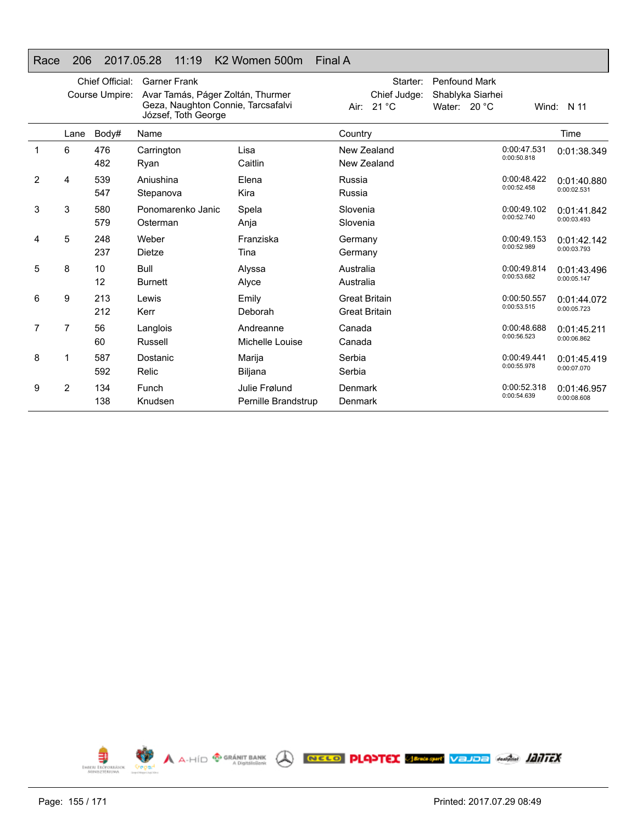# Race 206 2017.05.28 11:19 K2 Women 500m Final A

|                |                | Chief Official:<br>Course Umpire: | <b>Garner Frank</b><br>Avar Tamás, Páger Zoltán, Thurmer<br>Geza, Naughton Connie, Tarcsafalvi<br>József, Toth George |                                      | Starter:<br>Chief Judge:<br>Air: 21 °C       | <b>Penfound Mark</b><br>Shablyka Siarhei<br>Water: $20 °C$ |                            | Wind: $N$ 11               |
|----------------|----------------|-----------------------------------|-----------------------------------------------------------------------------------------------------------------------|--------------------------------------|----------------------------------------------|------------------------------------------------------------|----------------------------|----------------------------|
|                | Lane           | Body#                             | Name                                                                                                                  |                                      | Country                                      |                                                            |                            | Time                       |
|                | 6              | 476<br>482                        | Carrington<br>Ryan                                                                                                    | Lisa<br>Caitlin                      | New Zealand<br>New Zealand                   |                                                            | 0:00:47.531<br>0:00:50.818 | 0:01:38.349                |
| $\overline{2}$ | 4              | 539<br>547                        | Aniushina<br>Stepanova                                                                                                | Elena<br>Kira                        | Russia<br>Russia                             |                                                            | 0:00:48.422<br>0:00:52.458 | 0:01:40.880<br>0:00:02.531 |
| 3              | 3              | 580<br>579                        | Ponomarenko Janic<br>Osterman                                                                                         | Spela<br>Anja                        | Slovenia<br>Slovenia                         |                                                            | 0:00:49.102<br>0:00:52.740 | 0:01:41.842<br>0:00:03.493 |
| 4              | 5              | 248<br>237                        | Weber<br>Dietze                                                                                                       | Franziska<br>Tina                    | Germany<br>Germany                           |                                                            | 0:00:49.153<br>0:00:52.989 | 0:01:42.142<br>0:00:03.793 |
| 5              | 8              | 10<br>12                          | <b>Bull</b><br><b>Burnett</b>                                                                                         | Alyssa<br>Alyce                      | Australia<br>Australia                       |                                                            | 0:00:49.814<br>0:00:53.682 | 0:01:43.496<br>0:00:05.147 |
| 6              | 9              | 213<br>212                        | Lewis<br>Kerr                                                                                                         | Emily<br>Deborah                     | <b>Great Britain</b><br><b>Great Britain</b> |                                                            | 0:00:50.557<br>0:00:53.515 | 0:01:44.072<br>0:00:05.723 |
| 7              | $\overline{7}$ | 56<br>60                          | Langlois<br>Russell                                                                                                   | Andreanne<br>Michelle Louise         | Canada<br>Canada                             |                                                            | 0:00:48.688<br>0:00:56.523 | 0:01:45.211<br>0:00:06.862 |
| 8              | 1              | 587<br>592                        | Dostanic<br>Relic                                                                                                     | Marija<br>Biljana                    | Serbia<br>Serbia                             |                                                            | 0:00:49.441<br>0:00:55.978 | 0:01:45.419<br>0:00:07.070 |
| 9              | $\overline{2}$ | 134<br>138                        | Funch<br>Knudsen                                                                                                      | Julie Frølund<br>Pernille Brandstrup | Denmark<br>Denmark                           |                                                            | 0:00:52.318<br>0:00:54.639 | 0:01:46.957<br>0:00:08.608 |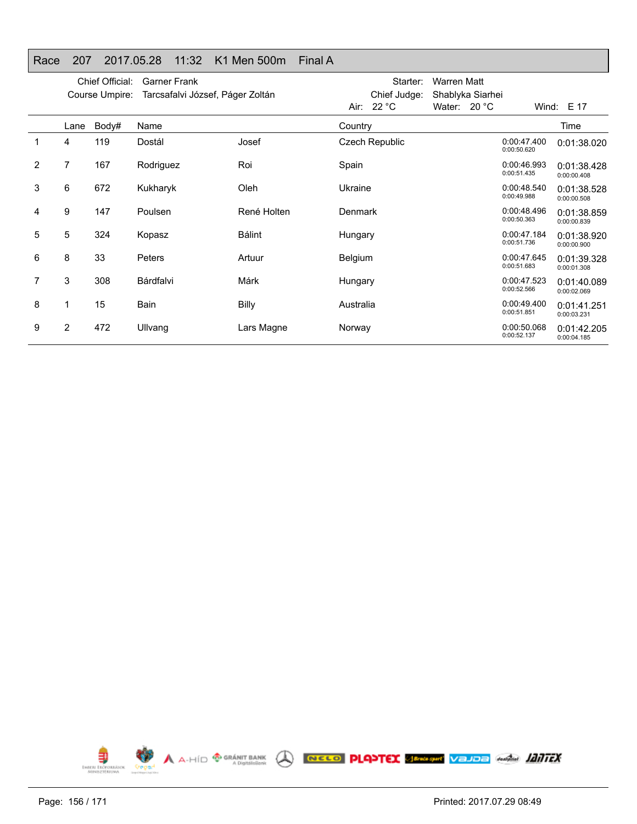# Race 207 2017.05.28 11:32 K1 Men 500m Final A

|                |      | Chief Official:<br>Course Umpire: | <b>Garner Frank</b><br>Tarcsafalvi József, Páger Zoltán |               |                | Starter:<br>Chief Judge: | Warren Matt<br>Shablyka Siarhei |                            |                            |
|----------------|------|-----------------------------------|---------------------------------------------------------|---------------|----------------|--------------------------|---------------------------------|----------------------------|----------------------------|
|                |      |                                   |                                                         |               |                | Air: $22 °C$             | Water: $20 °C$                  |                            | Wind: E 17                 |
|                | Lane | Body#                             | Name                                                    |               | Country        |                          |                                 |                            | Time                       |
|                | 4    | 119                               | Dostál                                                  | Josef         |                | Czech Republic           |                                 | 0:00:47.400<br>0:00:50.620 | 0:01:38.020                |
| $\overline{2}$ | 7    | 167                               | Rodriguez                                               | Roi           | Spain          |                          |                                 | 0:00:46.993<br>0:00:51.435 | 0:01:38.428<br>0:00:00.408 |
| 3              | 6    | 672                               | Kukharyk                                                | Oleh          | Ukraine        |                          |                                 | 0:00:48.540<br>0:00:49.988 | 0:01:38.528<br>0:00:00.508 |
| 4              | 9    | 147                               | Poulsen                                                 | René Holten   | Denmark        |                          |                                 | 0:00:48.496<br>0:00:50.363 | 0:01:38.859<br>0:00:00.839 |
| 5              | 5    | 324                               | Kopasz                                                  | <b>Bálint</b> | Hungary        |                          |                                 | 0:00:47.184<br>0:00:51.736 | 0:01:38.920<br>0:00:00.900 |
| 6              | 8    | 33                                | Peters                                                  | Artuur        | <b>Belgium</b> |                          |                                 | 0:00:47.645<br>0:00:51.683 | 0:01:39.328<br>0:00:01.308 |
| 7              | 3    | 308                               | Bárdfalvi                                               | Márk          | Hungary        |                          |                                 | 0:00:47.523<br>0:00:52.566 | 0:01:40.089<br>0:00:02.069 |
| 8              | 1    | 15                                | Bain                                                    | <b>Billy</b>  | Australia      |                          |                                 | 0:00:49.400<br>0:00:51.851 | 0:01:41.251<br>0:00:03.231 |
| 9              | 2    | 472                               | Ullvang                                                 | Lars Magne    | Norway         |                          |                                 | 0:00:50.068<br>0:00:52.137 | 0:01:42.205<br>0:00:04.185 |

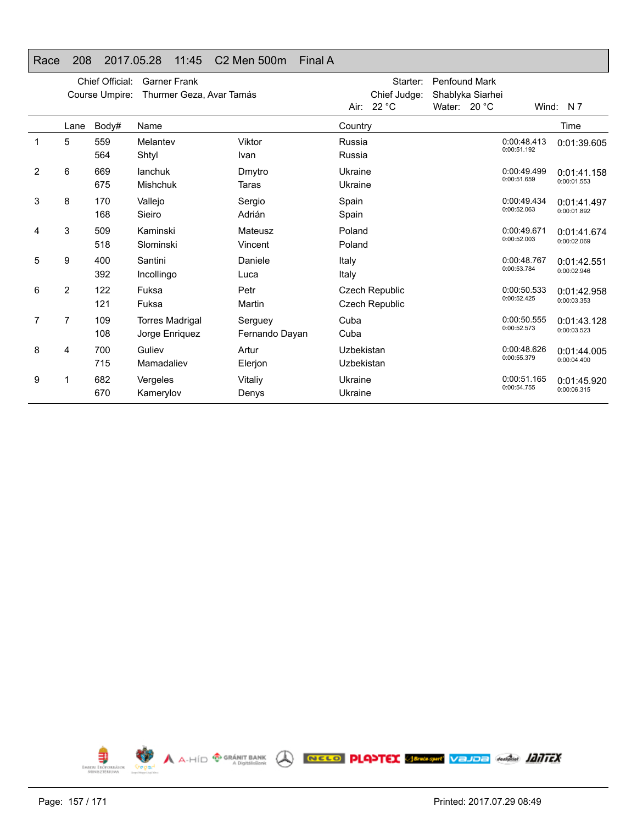# Race 208 2017.05.28 11:45 C2 Men 500m Final A

|                |                | Chief Official:<br>Course Umpire: | <b>Garner Frank</b><br>Thurmer Geza, Avar Tamás |                           |                          | Starter:<br>Chief Judge:<br>Air: 22 °C | <b>Penfound Mark</b><br>Shablyka Siarhei<br>Water: $20 °C$ | Wind:                      | N 7                        |
|----------------|----------------|-----------------------------------|-------------------------------------------------|---------------------------|--------------------------|----------------------------------------|------------------------------------------------------------|----------------------------|----------------------------|
|                | Lane           | Body#                             | Name                                            |                           | Country                  |                                        |                                                            |                            | Time                       |
|                | 5              | 559<br>564                        | Melantev<br>Shtyl                               | Viktor<br>Ivan            | Russia<br>Russia         |                                        |                                                            | 0:00:48.413<br>0:00:51.192 | 0:01:39.605                |
| $\overline{2}$ | 6              | 669<br>675                        | lanchuk<br><b>Mishchuk</b>                      | Dmytro<br>Taras           | Ukraine<br>Ukraine       |                                        |                                                            | 0:00:49.499<br>0:00:51.659 | 0:01:41.158<br>0:00:01.553 |
| 3              | 8              | 170<br>168                        | Vallejo<br>Sieiro                               | Sergio<br>Adrián          | Spain<br>Spain           |                                        |                                                            | 0:00:49.434<br>0:00:52.063 | 0:01:41.497<br>0:00:01.892 |
| 4              | 3              | 509<br>518                        | Kaminski<br>Slominski                           | Mateusz<br>Vincent        | Poland<br>Poland         |                                        |                                                            | 0:00:49.671<br>0:00:52.003 | 0:01:41.674<br>0:00:02.069 |
| 5              | 9              | 400<br>392                        | Santini<br>Incollingo                           | Daniele<br>Luca           | Italy<br>Italy           |                                        |                                                            | 0:00:48.767<br>0:00:53.784 | 0:01:42.551<br>0:00:02.946 |
| 6              | $\overline{2}$ | 122<br>121                        | Fuksa<br>Fuksa                                  | Petr<br>Martin            |                          | Czech Republic<br>Czech Republic       |                                                            | 0:00:50.533<br>0:00:52.425 | 0:01:42.958<br>0:00:03.353 |
| 7              | 7              | 109<br>108                        | <b>Torres Madrigal</b><br>Jorge Enriquez        | Serguey<br>Fernando Dayan | Cuba<br>Cuba             |                                        |                                                            | 0:00:50.555<br>0:00:52.573 | 0:01:43.128<br>0:00:03.523 |
| 8              | 4              | 700<br>715                        | Guliev<br>Mamadaliev                            | Artur<br>Elerjon          | Uzbekistan<br>Uzbekistan |                                        |                                                            | 0:00:48.626<br>0:00:55.379 | 0:01:44.005<br>0:00:04.400 |
| 9              |                | 682<br>670                        | Vergeles<br>Kamerylov                           | Vitaliy<br>Denys          | Ukraine<br>Ukraine       |                                        |                                                            | 0:00:51.165<br>0:00:54.755 | 0:01:45.920<br>0:00:06.315 |

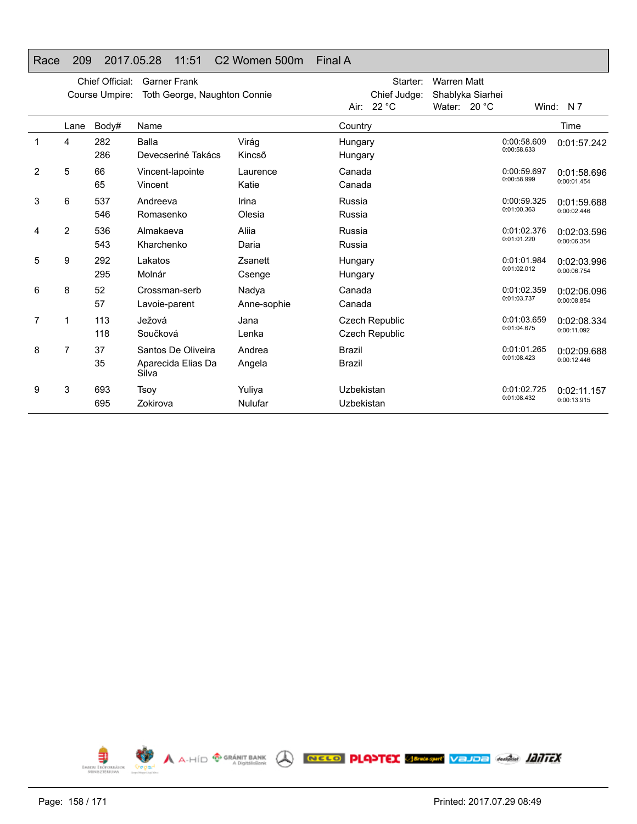# Race 209 2017.05.28 11:51 C2 Women 500m Final A

|   |                | Chief Official:<br>Course Umpire: | <b>Garner Frank</b><br>Toth George, Naughton Connie |                      |                                | Starter:<br>Chief Judge:                | <b>Warren Matt</b> | Shablyka Siarhei |                            |                            |
|---|----------------|-----------------------------------|-----------------------------------------------------|----------------------|--------------------------------|-----------------------------------------|--------------------|------------------|----------------------------|----------------------------|
|   |                |                                   |                                                     |                      |                                | Air: 22 °C                              | Water: 20 °C       |                  |                            | Wind: $N 7$                |
|   | Lane           | Body#                             | Name                                                |                      | Country                        |                                         |                    |                  |                            | Time                       |
| 1 | 4              | 282<br>286                        | <b>Balla</b><br>Devecseriné Takács                  | Virág<br>Kincső      | Hungary<br>Hungary             |                                         |                    |                  | 0:00:58.609<br>0:00:58.633 | 0:01:57.242                |
| 2 | 5              | 66<br>65                          | Vincent-lapointe<br>Vincent                         | Laurence<br>Katie    | Canada<br>Canada               |                                         |                    |                  | 0:00:59.697<br>0:00:58.999 | 0:01:58.696<br>0:00:01.454 |
| 3 | 6              | 537<br>546                        | Andreeva<br>Romasenko                               | Irina<br>Olesia      | Russia<br>Russia               |                                         |                    |                  | 0:00:59.325<br>0:01:00.363 | 0:01:59.688<br>0:00:02.446 |
| 4 | 2              | 536<br>543                        | Almakaeva<br>Kharchenko                             | Aliia<br>Daria       | Russia<br>Russia               |                                         |                    |                  | 0:01:02.376<br>0:01:01.220 | 0:02:03.596<br>0:00:06.354 |
| 5 | 9              | 292<br>295                        | Lakatos<br>Molnár                                   | Zsanett<br>Csenge    | Hungary<br>Hungary             |                                         |                    |                  | 0:01:01.984<br>0:01:02.012 | 0:02:03.996<br>0:00:06.754 |
| 6 | 8              | 52<br>57                          | Crossman-serb<br>Lavoie-parent                      | Nadya<br>Anne-sophie | Canada<br>Canada               |                                         |                    |                  | 0:01:02.359<br>0:01:03.737 | 0:02:06.096<br>0:00:08.854 |
| 7 | 1              | 113<br>118                        | Ježová<br>Součková                                  | Jana<br>Lenka        |                                | Czech Republic<br><b>Czech Republic</b> |                    |                  | 0:01:03.659<br>0:01:04.675 | 0:02:08.334<br>0:00:11.092 |
| 8 | $\overline{7}$ | 37<br>35                          | Santos De Oliveira<br>Aparecida Elias Da<br>Silva   | Andrea<br>Angela     | <b>Brazil</b><br><b>Brazil</b> |                                         |                    |                  | 0:01:01.265<br>0:01:08.423 | 0:02:09.688<br>0:00:12.446 |
| 9 | 3              | 693<br>695                        | Tsoy<br>Zokirova                                    | Yuliya<br>Nulufar    | Uzbekistan<br>Uzbekistan       |                                         |                    |                  | 0:01:02.725<br>0:01:08.432 | 0:02:11.157<br>0:00:13.915 |

**A** A-HÍD **ORANT BANK** A **RECO PLANTEX** SERVER VELOR ANGLES AND **ANTEX** € **EMBERL EROPORRÁS**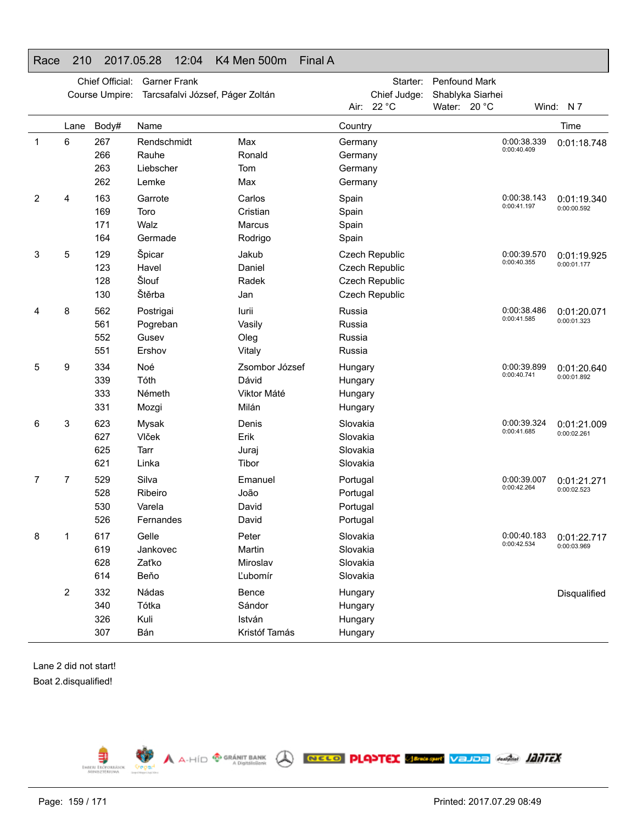# Race 210 2017.05.28 12:04 K4 Men 500m Final A

|   |      | Chief Official:<br>Course Umpire: | <b>Garner Frank</b><br>Tarcsafalvi József, Páger Zoltán |                                                 |                                              | Starter:<br>Chief Judge:<br>Air: 22 °C                               | Penfound Mark<br>Shablyka Siarhei<br>Water: 20 °C |                            | Wind: N7                                 |
|---|------|-----------------------------------|---------------------------------------------------------|-------------------------------------------------|----------------------------------------------|----------------------------------------------------------------------|---------------------------------------------------|----------------------------|------------------------------------------|
|   | Lane | Body#                             | Name                                                    |                                                 | Country                                      |                                                                      |                                                   |                            | Time                                     |
| 1 | 6    | 267<br>266<br>263<br>262          | Rendschmidt<br>Rauhe<br>Liebscher<br>Lemke              | Max<br>Ronald<br>Tom<br>Max                     | Germany<br>Germany<br>Germany<br>Germany     |                                                                      |                                                   | 0:00:38.339<br>0:00:40.409 | 0:01:18.748                              |
| 2 | 4    | 163<br>169<br>171<br>164          | Garrote<br>Toro<br>Walz<br>Germade                      | Carlos<br>Cristian<br>Marcus<br>Rodrigo         | Spain<br>Spain<br>Spain<br>Spain             |                                                                      |                                                   | 0:00:38.143<br>0:00:41.197 | 0:01:19.340<br>0:00:00.592               |
| 3 | 5    | 129<br>123<br>128<br>130          | Špicar<br>Havel<br>Šlouf<br>Štěrba                      | Jakub<br>Daniel<br>Radek<br>Jan                 |                                              | Czech Republic<br>Czech Republic<br>Czech Republic<br>Czech Republic |                                                   | 0:00:39.570<br>0:00:40.355 | 0:01:19.925<br>0:00:01.177               |
| 4 | 8    | 562<br>561<br>552<br>551          | Postrigai<br>Pogreban<br>Gusev<br>Ershov                | lurii<br>Vasily<br>Oleg<br>Vitaly               | Russia<br>Russia<br>Russia<br>Russia         |                                                                      |                                                   | 0:00:38.486<br>0:00:41.585 | 0:01:20.071<br>0:00:01.323               |
| 5 | 9    | 334<br>339<br>333<br>331          | Noé<br>Tóth<br>Németh<br>Mozgi                          | Zsombor József<br>Dávid<br>Viktor Máté<br>Milán | Hungary<br>Hungary<br>Hungary<br>Hungary     |                                                                      |                                                   | 0:00:39.899<br>0:00:40.741 | 0:01:20.640<br>0:00:01.892               |
| 6 | 3    | 623<br>627<br>625<br>621          | Mysak<br>Vlček<br>Tarr<br>Linka                         | Denis<br>Erik<br>Juraj<br>Tibor                 | Slovakia<br>Slovakia<br>Slovakia<br>Slovakia |                                                                      |                                                   | 0:00:39.324<br>0:00:41.685 | 0:01:21.009<br>0:00:02.261               |
| 7 | 7    | 529<br>528<br>530<br>526          | Silva<br>Ribeiro<br>Varela<br>Fernandes                 | Emanuel<br>João<br>David<br>David               | Portugal<br>Portugal<br>Portugal<br>Portugal |                                                                      |                                                   | 0:00:39.007<br>0:00:42.264 | 0:01:21.271<br>0:00:02.523               |
| 8 |      | 617<br>619<br>628<br>614          | Gelle<br>Jankovec<br>Zaťko<br>Beňo                      | Peter<br>Martin<br>Miroslav<br>Ľubomír          | Slovakia<br>Slovakia<br>Slovakia<br>Slovakia |                                                                      |                                                   | 0:00:42.534                | 0:00:40.183   0:01:22.717<br>0:00:03.969 |
|   | 2    | 332<br>340<br>326<br>307          | Nádas<br>Tótka<br>Kuli<br>Bán                           | Bence<br>Sándor<br>István<br>Kristóf Tamás      | Hungary<br>Hungary<br>Hungary<br>Hungary     |                                                                      |                                                   |                            | Disqualified                             |

Lane 2 did not start! Boat 2.disqualified!

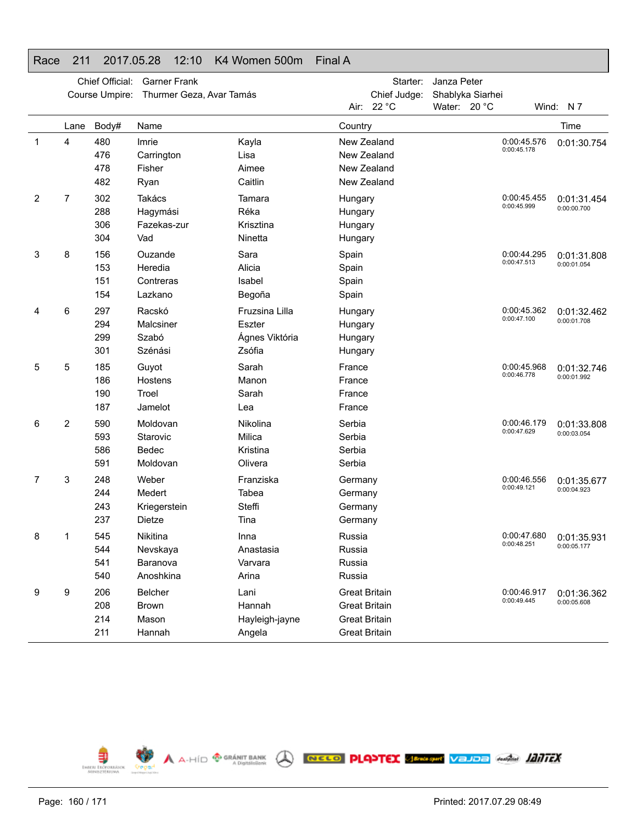|   |      | Chief Official: | <b>Garner Frank</b>      |                |                      | Starter:     | Janza Peter      |                            |             |
|---|------|-----------------|--------------------------|----------------|----------------------|--------------|------------------|----------------------------|-------------|
|   |      | Course Umpire:  | Thurmer Geza, Avar Tamás |                |                      | Chief Judge: | Shablyka Siarhei |                            |             |
|   |      |                 |                          |                |                      | Air: 22 °C   | Water: 20 °C     |                            | Wind: N7    |
|   | Lane | Body#           | Name                     |                | Country              |              |                  |                            | Time        |
| 1 | 4    | 480             | Imrie                    | Kayla          | New Zealand          |              |                  | 0:00:45.576<br>0:00:45.178 | 0:01:30.754 |
|   |      | 476             | Carrington               | Lisa           | New Zealand          |              |                  |                            |             |
|   |      | 478             | Fisher                   | Aimee          | New Zealand          |              |                  |                            |             |
|   |      | 482             | Ryan                     | Caitlin        | New Zealand          |              |                  |                            |             |
| 2 | 7    | 302             | Takács                   | Tamara         | Hungary              |              |                  | 0:00:45.455                | 0:01:31.454 |
|   |      | 288             | Hagymási                 | Réka           | Hungary              |              |                  | 0:00:45.999                | 0:00:00.700 |
|   |      | 306             | Fazekas-zur              | Krisztina      | Hungary              |              |                  |                            |             |
|   |      | 304             | Vad                      | Ninetta        | Hungary              |              |                  |                            |             |
| 3 | 8    | 156             | Ouzande                  | Sara           | Spain                |              |                  | 0:00:44.295                | 0:01:31.808 |
|   |      | 153             | Heredia                  | Alicia         | Spain                |              |                  | 0:00:47.513                | 0:00:01.054 |
|   |      | 151             | Contreras                | Isabel         | Spain                |              |                  |                            |             |
|   |      | 154             | Lazkano                  | Begoña         | Spain                |              |                  |                            |             |
| 4 | 6    | 297             | Racskó                   | Fruzsina Lilla | Hungary              |              |                  | 0:00:45.362                | 0:01:32.462 |
|   |      | 294             | Malcsiner                | Eszter         | Hungary              |              |                  | 0:00:47.100                | 0:00:01.708 |
|   |      | 299             | Szabó                    | Ágnes Viktória | Hungary              |              |                  |                            |             |
|   |      | 301             | Szénási                  | Zsófia         | Hungary              |              |                  |                            |             |
| 5 | 5    | 185             | Guyot                    | Sarah          | France               |              |                  | 0:00:45.968                | 0:01:32.746 |
|   |      | 186             | Hostens                  | Manon          | France               |              |                  | 0:00:46.778                | 0:00:01.992 |
|   |      | 190             | Troel                    | Sarah          | France               |              |                  |                            |             |
|   |      | 187             | Jamelot                  | Lea            | France               |              |                  |                            |             |
| 6 | 2    | 590             | Moldovan                 | Nikolina       | Serbia               |              |                  | 0:00:46.179                | 0:01:33.808 |
|   |      | 593             | Starovic                 | Milica         | Serbia               |              |                  | 0:00:47.629                | 0:00:03.054 |
|   |      | 586             | Bedec                    | Kristina       | Serbia               |              |                  |                            |             |
|   |      | 591             | Moldovan                 | Olivera        | Serbia               |              |                  |                            |             |
| 7 | 3    | 248             | Weber                    | Franziska      | Germany              |              |                  | 0:00:46.556                | 0:01:35.677 |
|   |      | 244             | Medert                   | Tabea          | Germany              |              |                  | 0:00:49.121                | 0:00:04.923 |
|   |      | 243             | Kriegerstein             | Steffi         | Germany              |              |                  |                            |             |
|   |      | 237             | <b>Dietze</b>            | Tina           | Germany              |              |                  |                            |             |
| 8 | 1    | 545             | Nikitina                 | Inna           | Russia               |              |                  | 0:00:47.680                | 0:01:35.931 |
|   |      | 544             | Nevskaya                 | Anastasia      | Russia               |              |                  | 0:00:48.251                | 0:00:05.177 |
|   |      | 541             | Baranova                 | Varvara        | Russia               |              |                  |                            |             |
|   |      | 540             | Anoshkina                | Arina          | Russia               |              |                  |                            |             |
| 9 | 9    | 206             | <b>Belcher</b>           | Lani           | <b>Great Britain</b> |              |                  | 0:00:46.917                | 0:01:36.362 |
|   |      | 208             | Brown                    | Hannah         | <b>Great Britain</b> |              |                  | 0:00:49.445                | 0:00:05.608 |
|   |      | 214             | Mason                    | Hayleigh-jayne | <b>Great Britain</b> |              |                  |                            |             |
|   |      | 211             | Hannah                   | Angela         | <b>Great Britain</b> |              |                  |                            |             |

A A-HÍD <sup>®</sup> GRÁNIT BANK A RECO PLANTEX SERGISME VELDE ANGLIA **ANTEX** 





 $\bigoplus_{\text{lower tree}}$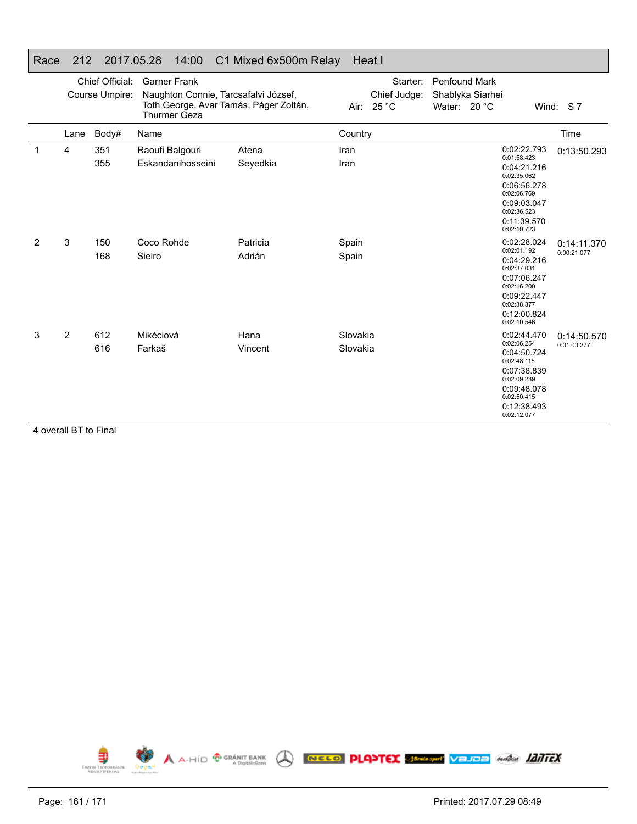#### Race 212 2017.05.28 14:00 C1 Mixed 6x500m Relay Heat I

|   |                                                                                                               | Chief Official: | <b>Garner Frank</b>                                                                                   |                    |                      | Starter:                   | <b>Penfound Mark</b>             |                                                                                                                                                    |                            |
|---|---------------------------------------------------------------------------------------------------------------|-----------------|-------------------------------------------------------------------------------------------------------|--------------------|----------------------|----------------------------|----------------------------------|----------------------------------------------------------------------------------------------------------------------------------------------------|----------------------------|
|   |                                                                                                               | Course Umpire:  | Naughton Connie, Tarcsafalvi József,<br>Toth George, Avar Tamás, Páger Zoltán,<br><b>Thurmer Geza</b> |                    |                      | Chief Judge:<br>Air: 25 °C | Shablyka Siarhei<br>Water: 20 °C |                                                                                                                                                    | Wind: S7                   |
|   | Lane                                                                                                          | Body#           | Name                                                                                                  |                    | Country              |                            |                                  |                                                                                                                                                    | Time                       |
| 1 | 4                                                                                                             | 351<br>355      | Raoufi Balgouri<br>Eskandanihosseini                                                                  | Atena<br>Seyedkia  | Iran<br>Iran         |                            |                                  | 0:02:22.793<br>0:01:58.423<br>0:04:21.216<br>0:02:35.062<br>0:06:56.278<br>0:02:06.769<br>0:09:03.047<br>0:02:36.523<br>0:11:39.570<br>0:02:10.723 | 0:13:50.293                |
| 2 | 3                                                                                                             | 150<br>168      | Coco Rohde<br>Sieiro                                                                                  | Patricia<br>Adrián | Spain<br>Spain       |                            |                                  | 0:02:28.024<br>0:02:01.192<br>0:04:29.216<br>0:02:37.031<br>0:07:06.247<br>0:02:16.200<br>0:09:22.447<br>0:02:38.377<br>0:12:00.824<br>0:02:10.546 | 0:14:11.370<br>0:00:21.077 |
| 3 | 2<br>$\lambda$ and as $\lambda$ in $\mathbf{D}$ $\mathbf{T}$ for $\mathbf{E}$ in $\mathbf{E}$ in $\mathbf{E}$ | 612<br>616      | Mikéciová<br>Farkaš                                                                                   | Hana<br>Vincent    | Slovakia<br>Slovakia |                            |                                  | 0:02:44.470<br>0:02:06.254<br>0:04:50.724<br>0:02:48.115<br>0:07:38.839<br>0:02:09.239<br>0:09:48.078<br>0:02:50.415<br>0:12:38.493<br>0:02:12.077 | 0:14:50.570<br>0:01:00.277 |

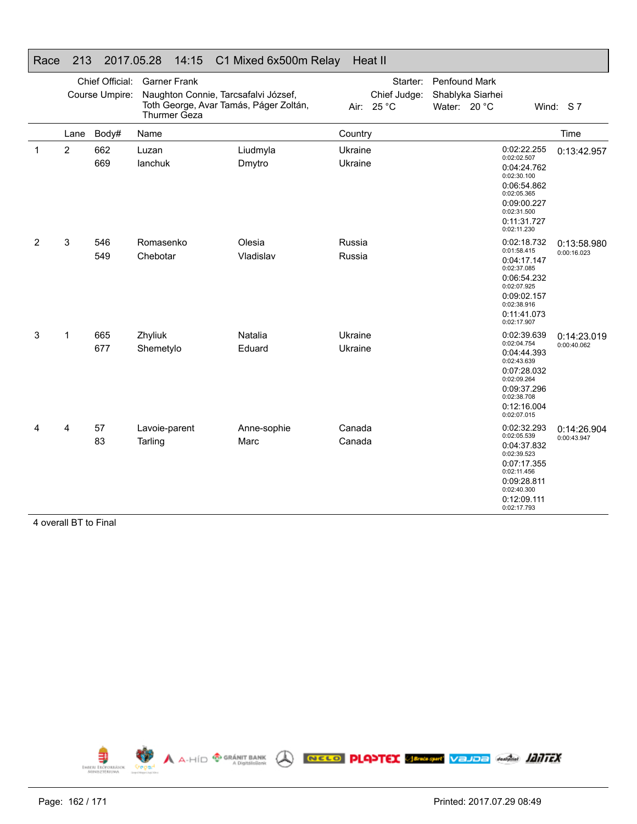| Race         | 213            |                                   | 2017.05.28               | 14:15                               | C1 Mixed 6x500m Relay                                                          |                    | Heat II                                |                                                   |                                                                                                                                                    |                            |
|--------------|----------------|-----------------------------------|--------------------------|-------------------------------------|--------------------------------------------------------------------------------|--------------------|----------------------------------------|---------------------------------------------------|----------------------------------------------------------------------------------------------------------------------------------------------------|----------------------------|
|              |                | Chief Official:<br>Course Umpire: |                          | <b>Garner Frank</b><br>Thurmer Geza | Naughton Connie, Tarcsafalvi József,<br>Toth George, Avar Tamás, Páger Zoltán, |                    | Starter:<br>Chief Judge:<br>Air: 25 °C | Penfound Mark<br>Shablyka Siarhei<br>Water: 20 °C |                                                                                                                                                    | Wind: S7                   |
|              | Lane           | Body#                             | Name                     |                                     |                                                                                | Country            |                                        |                                                   |                                                                                                                                                    | Time                       |
| $\mathbf{1}$ | $\overline{2}$ | 662<br>669                        | Luzan<br>lanchuk         |                                     | Liudmyla<br>Dmytro                                                             | Ukraine<br>Ukraine |                                        |                                                   | 0:02:22.255<br>0:02:02.507<br>0:04:24.762<br>0:02:30.100<br>0:06:54.862<br>0:02:05.365<br>0:09:00.227<br>0:02:31.500<br>0:11:31.727<br>0:02:11.230 | 0:13:42.957                |
| 2            | 3              | 546<br>549                        | Romasenko<br>Chebotar    |                                     | Olesia<br>Vladislav                                                            | Russia<br>Russia   |                                        |                                                   | 0:02:18.732<br>0:01:58.415<br>0:04:17.147<br>0:02:37.085<br>0:06:54.232<br>0:02:07.925<br>0:09:02.157<br>0:02:38.916<br>0:11:41.073<br>0:02:17.907 | 0:13:58.980<br>0:00:16.023 |
| 3            | 1              | 665<br>677                        | Zhyliuk<br>Shemetylo     |                                     | Natalia<br>Eduard                                                              | Ukraine<br>Ukraine |                                        |                                                   | 0:02:39.639<br>0:02:04.754<br>0:04:44.393<br>0:02:43.639<br>0:07:28.032<br>0:02:09.264<br>0:09:37.296<br>0:02:38.708<br>0:12:16.004<br>0:02:07.015 | 0:14:23.019<br>0:00:40.062 |
| 4            | 4              | 57<br>83                          | Lavoie-parent<br>Tarling |                                     | Anne-sophie<br>Marc                                                            | Canada<br>Canada   |                                        |                                                   | 0:02:32.293<br>0:02:05.539<br>0:04:37.832<br>0:02:39.523<br>0:07:17.355<br>0:02:11.456<br>0:09:28.811<br>0:02:40.300<br>0:12:09.111<br>0:02:17.793 | 0:14:26.904<br>0:00:43.947 |

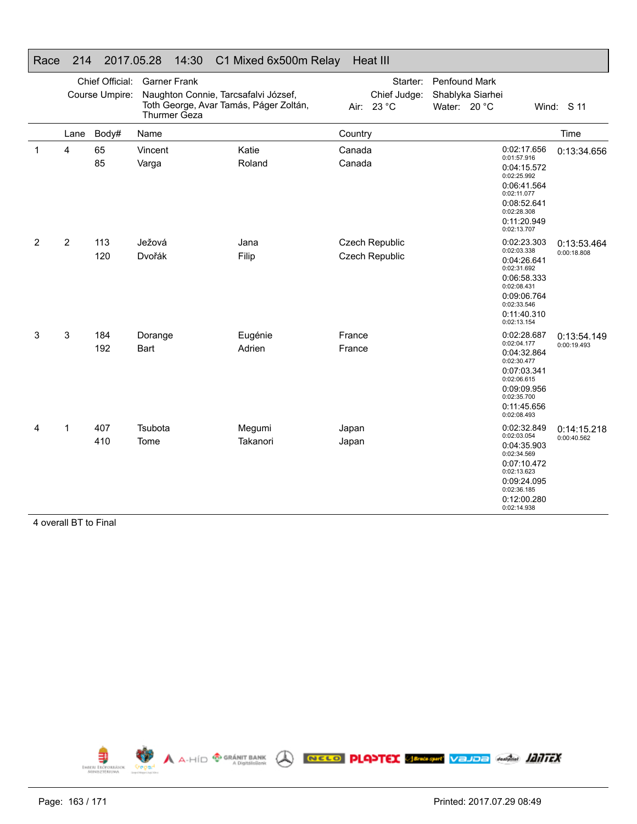| 1 vacc | ∠ । ⊤          |                                   | 2011.0020                                                                                                                    | $\mathsf{F}$ . $\mathsf{U}$ . $\mathsf{U}$ in in $\mathsf{U}$ in $\mathsf{U}$ is a contribution of $\mathsf{I}$ |                  | 110a                                           |                               |                  |                                                                                                                                                    |                            |
|--------|----------------|-----------------------------------|------------------------------------------------------------------------------------------------------------------------------|-----------------------------------------------------------------------------------------------------------------|------------------|------------------------------------------------|-------------------------------|------------------|----------------------------------------------------------------------------------------------------------------------------------------------------|----------------------------|
|        |                | Chief Official:<br>Course Umpire: | <b>Garner Frank</b><br>Naughton Connie, Tarcsafalvi József,<br>Toth George, Avar Tamás, Páger Zoltán,<br><b>Thurmer Geza</b> |                                                                                                                 |                  | Starter:<br>Chief Judge:<br>Air: 23 °C         | Penfound Mark<br>Water: 20 °C | Shablyka Siarhei |                                                                                                                                                    | Wind: S 11                 |
|        | Lane           | Body#                             | Name                                                                                                                         |                                                                                                                 | Country          |                                                |                               |                  |                                                                                                                                                    | Time                       |
| 1      | 4              | 65<br>85                          | Vincent<br>Varga                                                                                                             | Katie<br>Roland                                                                                                 | Canada<br>Canada |                                                |                               |                  | 0:02:17.656<br>0:01:57.916<br>0:04:15.572<br>0:02:25.992<br>0:06:41.564<br>0:02:11.077<br>0:08:52.641<br>0:02:28.308<br>0:11:20.949<br>0:02:13.707 | 0:13:34.656                |
| 2      | $\overline{2}$ | 113<br>120                        | Ježová<br>Dvořák                                                                                                             | Jana<br>Filip                                                                                                   |                  | <b>Czech Republic</b><br><b>Czech Republic</b> |                               |                  | 0:02:23.303<br>0:02:03.338<br>0:04:26.641<br>0:02:31.692<br>0:06:58.333<br>0:02:08.431<br>0:09:06.764<br>0:02:33.546<br>0:11:40.310<br>0:02:13.154 | 0:13:53.464<br>0:00:18.808 |
| 3      | 3              | 184<br>192                        | Dorange<br>Bart                                                                                                              | Eugénie<br>Adrien                                                                                               | France<br>France |                                                |                               |                  | 0:02:28.687<br>0:02:04.177<br>0:04:32.864<br>0:02:30.477<br>0:07:03.341<br>0:02:06.615<br>0:09:09.956<br>0:02:35.700<br>0:11:45.656<br>0:02:08.493 | 0:13:54.149<br>0:00:19.493 |
| 4      | 1              | 407<br>410                        | Tsubota<br>Tome                                                                                                              | Megumi<br>Takanori                                                                                              | Japan<br>Japan   |                                                |                               |                  | 0:02:32.849<br>0:02:03.054<br>0:04:35.903<br>0:02:34.569<br>0:07:10.472<br>0:02:13.623<br>0:09:24.095<br>0:02:36.185<br>0:12:00.280<br>0:02:14.938 | 0:14:15.218<br>0:00:40.562 |

# Race 214 2017.05.28 14:30 C1 Mixed 6x500m Relay Heat III

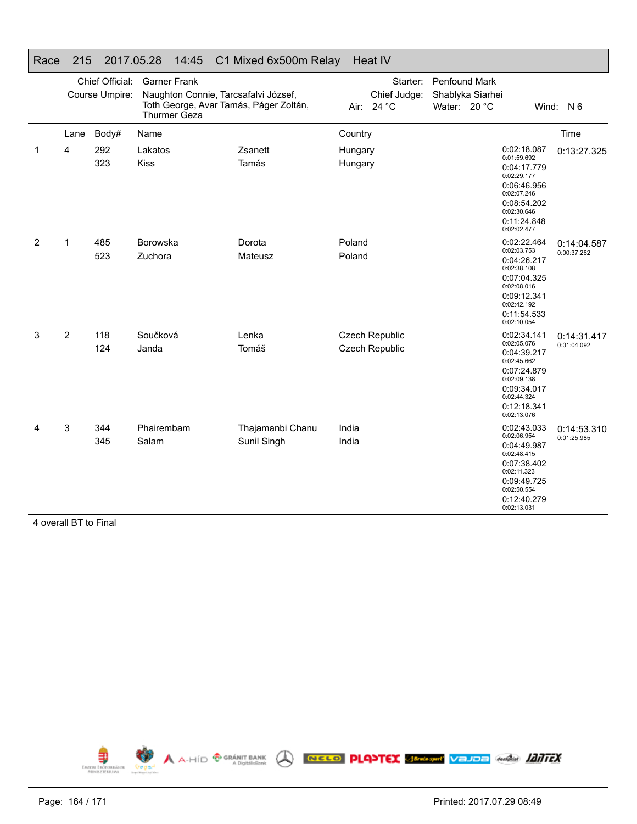|   |                |                                   | $\cdots$<br>.                       |                                                                                |                    |                                                |                               |                  |                                                                                                                                                    |                            |
|---|----------------|-----------------------------------|-------------------------------------|--------------------------------------------------------------------------------|--------------------|------------------------------------------------|-------------------------------|------------------|----------------------------------------------------------------------------------------------------------------------------------------------------|----------------------------|
|   |                | Chief Official:<br>Course Umpire: | <b>Garner Frank</b><br>Thurmer Geza | Naughton Connie, Tarcsafalvi József,<br>Toth George, Avar Tamás, Páger Zoltán, |                    | Starter:<br>Chief Judge:<br>Air: 24 °C         | Penfound Mark<br>Water: 20 °C | Shablyka Siarhei |                                                                                                                                                    | Wind: N 6                  |
|   | Lane           | Body#                             | Name                                |                                                                                | Country            |                                                |                               |                  |                                                                                                                                                    | Time                       |
| 1 | 4              | 292<br>323                        | Lakatos<br><b>Kiss</b>              | Zsanett<br>Tamás                                                               | Hungary<br>Hungary |                                                |                               |                  | 0:02:18.087<br>0:01:59.692<br>0:04:17.779<br>0:02:29.177<br>0:06:46.956<br>0:02:07.246<br>0:08:54.202<br>0:02:30.646<br>0:11:24.848<br>0:02:02.477 | 0:13:27.325                |
| 2 | 1              | 485<br>523                        | Borowska<br>Zuchora                 | Dorota<br>Mateusz                                                              | Poland<br>Poland   |                                                |                               |                  | 0:02:22.464<br>0:02:03.753<br>0:04:26.217<br>0:02:38.108<br>0:07:04.325<br>0:02:08.016<br>0:09:12.341<br>0:02:42.192<br>0:11:54.533<br>0:02:10.054 | 0:14:04.587<br>0:00:37.262 |
| 3 | $\overline{2}$ | 118<br>124                        | Součková<br>Janda                   | Lenka<br>Tomáš                                                                 |                    | <b>Czech Republic</b><br><b>Czech Republic</b> |                               |                  | 0:02:34.141<br>0:02:05.076<br>0:04:39.217<br>0:02:45.662<br>0:07:24.879<br>0:02:09.138<br>0:09:34.017<br>0:02:44.324<br>0:12:18.341<br>0:02:13.076 | 0:14:31.417<br>0:01:04.092 |
| 4 | 3              | 344<br>345                        | Phairembam<br>Salam                 | Thajamanbi Chanu<br>Sunil Singh                                                | India<br>India     |                                                |                               |                  | 0:02:43.033<br>0:02:06.954<br>0:04:49.987<br>0:02:48.415<br>0:07:38.402<br>0:02:11.323<br>0:09:49.725<br>0:02:50.554<br>0:12:40.279<br>0:02:13.031 | 0:14:53.310<br>0:01:25.985 |

#### Race 215 2017.05.28 14:45 C1 Mixed 6x500m Relay Heat IV

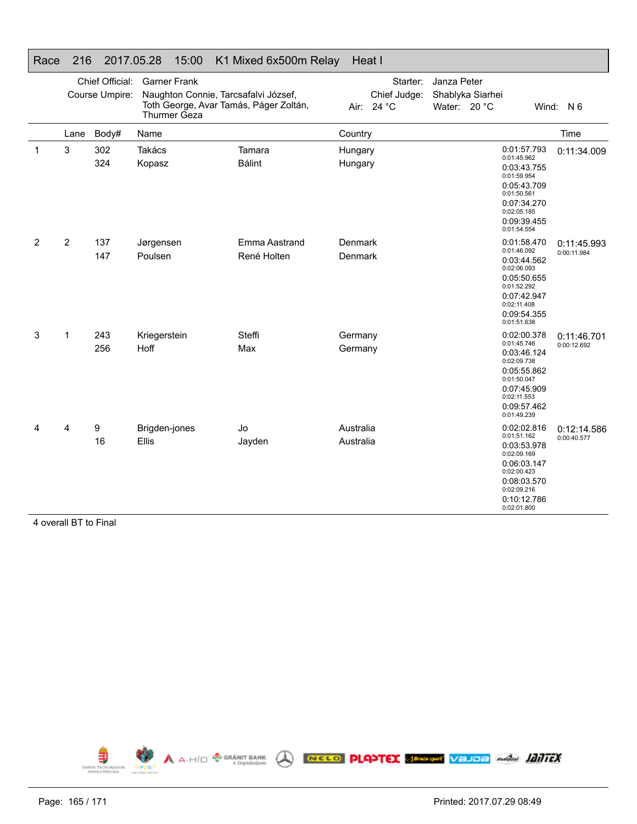|   |                |                                   | .                                          | $10.00$ $111111111000$ $010000111110101$                                       |                        |                                        |                             |                  |                                                                                                                                                    |                            |
|---|----------------|-----------------------------------|--------------------------------------------|--------------------------------------------------------------------------------|------------------------|----------------------------------------|-----------------------------|------------------|----------------------------------------------------------------------------------------------------------------------------------------------------|----------------------------|
|   |                | Chief Official:<br>Course Umpire: | <b>Garner Frank</b><br><b>Thurmer Geza</b> | Naughton Connie, Tarcsafalvi József,<br>Toth George, Avar Tamás, Páger Zoltán, |                        | Starter:<br>Chief Judge:<br>Air: 24 °C | Janza Peter<br>Water: 20 °C | Shablyka Siarhei |                                                                                                                                                    | Wind: N 6                  |
|   | Lane           | Body#                             | Name                                       |                                                                                | Country                |                                        |                             |                  |                                                                                                                                                    | Time                       |
| 1 | 3              | 302<br>324                        | Takács<br>Kopasz                           | Tamara<br><b>Bálint</b>                                                        | Hungary<br>Hungary     |                                        |                             |                  | 0:01:57.793<br>0:01:45.962<br>0:03:43.755<br>0:01:59.954<br>0:05:43.709<br>0:01:50.561<br>0:07:34.270<br>0:02:05.185<br>0:09:39.455<br>0:01:54.554 | 0:11:34.009                |
| 2 | $\overline{2}$ | 137<br>147                        | Jørgensen<br>Poulsen                       | Emma Aastrand<br>René Holten                                                   | Denmark<br>Denmark     |                                        |                             |                  | 0:01:58.470<br>0:01:46.092<br>0:03:44.562<br>0:02:06.093<br>0:05:50.655<br>0:01:52.292<br>0:07:42.947<br>0:02:11.408<br>0:09:54.355<br>0:01:51.638 | 0:11:45.993<br>0:00:11.984 |
| 3 | 1              | 243<br>256                        | Kriegerstein<br>Hoff                       | <b>Steffi</b><br>Max                                                           | Germany<br>Germany     |                                        |                             |                  | 0:02:00.378<br>0:01:45.746<br>0:03:46.124<br>0:02:09.738<br>0:05:55.862<br>0:01:50.047<br>0:07:45.909<br>0:02:11.553<br>0:09:57.462<br>0:01:49.239 | 0:11:46.701<br>0:00:12.692 |
| 4 | 4              | 9<br>16                           | Brigden-jones<br>Ellis                     | Jo<br>Jayden                                                                   | Australia<br>Australia |                                        |                             |                  | 0:02:02.816<br>0:01:51.162<br>0:03:53.978<br>0:02:09.169<br>0:06:03.147<br>0:02:00.423<br>0:08:03.570<br>0:02:09.216<br>0:10:12.786<br>0:02:01.800 | 0:12:14.586<br>0:00:40.577 |

#### Race 216 2017.05.28 15:00 K1 Mixed 6x500m Relay Heat I

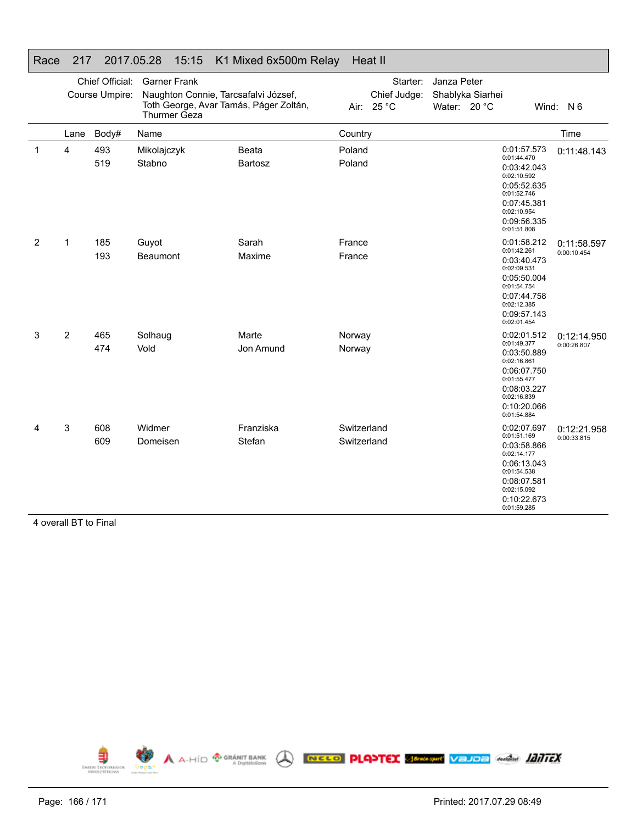|   |             | Chief Official: | <b>Garner Frank</b>                                                                            |                     |                            | Starter:                   | Janza Peter                      |  |                                                                                                                                                    |                            |
|---|-------------|-----------------|------------------------------------------------------------------------------------------------|---------------------|----------------------------|----------------------------|----------------------------------|--|----------------------------------------------------------------------------------------------------------------------------------------------------|----------------------------|
|   |             | Course Umpire:  | Naughton Connie, Tarcsafalvi József,<br>Toth George, Avar Tamás, Páger Zoltán,<br>Thurmer Geza |                     |                            | Chief Judge:<br>Air: 25 °C | Shablyka Siarhei<br>Water: 20 °C |  |                                                                                                                                                    | Wind: N 6                  |
|   | Lane        | Body#           | Name                                                                                           |                     | Country                    |                            |                                  |  |                                                                                                                                                    | Time                       |
| 1 | 4           | 493<br>519      | Mikolajczyk<br>Stabno                                                                          | Beata<br>Bartosz    | Poland<br>Poland           |                            |                                  |  | 0:01:57.573<br>0:01:44.470<br>0:03:42.043<br>0:02:10.592<br>0:05:52.635<br>0:01:52.746<br>0:07:45.381<br>0:02:10.954<br>0:09:56.335<br>0:01:51.808 | 0:11:48.143                |
| 2 | $\mathbf 1$ | 185<br>193      | Guyot<br>Beaumont                                                                              | Sarah<br>Maxime     | France<br>France           |                            |                                  |  | 0:01:58.212<br>0:01:42.261<br>0:03:40.473<br>0:02:09.531<br>0:05:50.004<br>0:01:54.754<br>0:07:44.758<br>0:02:12.385<br>0:09:57.143<br>0:02:01.454 | 0:11:58.597<br>0:00:10.454 |
| 3 | 2           | 465<br>474      | Solhaug<br>Vold                                                                                | Marte<br>Jon Amund  | Norway<br>Norway           |                            |                                  |  | 0:02:01.512<br>0:01:49.377<br>0:03:50.889<br>0:02:16.861<br>0:06:07.750<br>0:01:55.477<br>0:08:03.227<br>0:02:16.839<br>0:10:20.066<br>0:01:54.884 | 0:12:14.950<br>0:00:26.807 |
| 4 | 3           | 608<br>609      | Widmer<br>Domeisen                                                                             | Franziska<br>Stefan | Switzerland<br>Switzerland |                            |                                  |  | 0:02:07.697<br>0:01:51.169<br>0:03:58.866<br>0:02:14.177<br>0:06:13.043<br>0:01:54.538<br>0:08:07.581<br>0:02:15.092<br>0:10:22.673<br>0:01:59.285 | 0:12:21.958<br>0:00:33.815 |

#### Race 217 2017.05.28 15:15 K1 Mixed 6x500m Relay Heat II

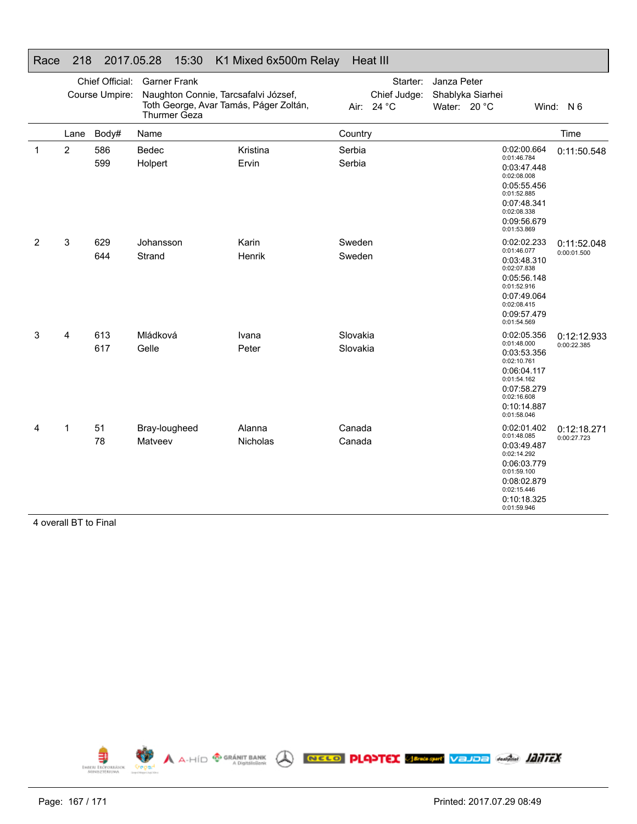| Race         | 218            |                                   | 2017.05.28               | 15:30                               | K1 Mixed 6x500m Relay                                                          |                      |      | Heat III                          |                                                 |                                                                                                                                                    |                            |
|--------------|----------------|-----------------------------------|--------------------------|-------------------------------------|--------------------------------------------------------------------------------|----------------------|------|-----------------------------------|-------------------------------------------------|----------------------------------------------------------------------------------------------------------------------------------------------------|----------------------------|
|              |                | Chief Official:<br>Course Umpire: |                          | <b>Garner Frank</b><br>Thurmer Geza | Naughton Connie, Tarcsafalvi József,<br>Toth George, Avar Tamás, Páger Zoltán, |                      | Air: | Starter:<br>Chief Judge:<br>24 °C | Janza Peter<br>Shablyka Siarhei<br>Water: 20 °C |                                                                                                                                                    | Wind: N 6                  |
|              | Lane           | Body#                             | Name                     |                                     |                                                                                | Country              |      |                                   |                                                 |                                                                                                                                                    | Time                       |
| $\mathbf{1}$ | $\overline{2}$ | 586<br>599                        | Bedec<br>Holpert         |                                     | Kristina<br>Ervin                                                              | Serbia<br>Serbia     |      |                                   |                                                 | 0:02:00.664<br>0:01:46.784<br>0:03:47.448<br>0:02:08.008<br>0:05:55.456<br>0:01:52.885<br>0:07:48.341<br>0:02:08.338<br>0:09:56.679<br>0:01:53.869 | 0:11:50.548                |
| 2            | 3              | 629<br>644                        | Johansson<br>Strand      |                                     | Karin<br>Henrik                                                                | Sweden<br>Sweden     |      |                                   |                                                 | 0:02:02.233<br>0:01:46.077<br>0:03:48.310<br>0:02:07.838<br>0:05:56.148<br>0:01:52.916<br>0:07:49.064<br>0:02:08.415<br>0:09:57.479<br>0:01:54.569 | 0:11:52.048<br>0:00:01.500 |
| 3            | 4              | 613<br>617                        | Mládková<br>Gelle        |                                     | Ivana<br>Peter                                                                 | Slovakia<br>Slovakia |      |                                   |                                                 | 0:02:05.356<br>0:01:48.000<br>0:03:53.356<br>0:02:10.761<br>0:06:04.117<br>0:01:54.162<br>0:07:58.279<br>0:02:16.608<br>0:10:14.887<br>0:01:58.046 | 0:12:12.933<br>0:00:22.385 |
| 4            | 1              | 51<br>78                          | Bray-lougheed<br>Matveev |                                     | Alanna<br>Nicholas                                                             | Canada<br>Canada     |      |                                   |                                                 | 0:02:01.402<br>0:01:48.085<br>0:03:49.487<br>0:02:14.292<br>0:06:03.779<br>0:01:59.100<br>0:08:02.879<br>0:02:15.446<br>0:10:18.325<br>0:01:59.946 | 0:12:18.271<br>0:00:27.723 |

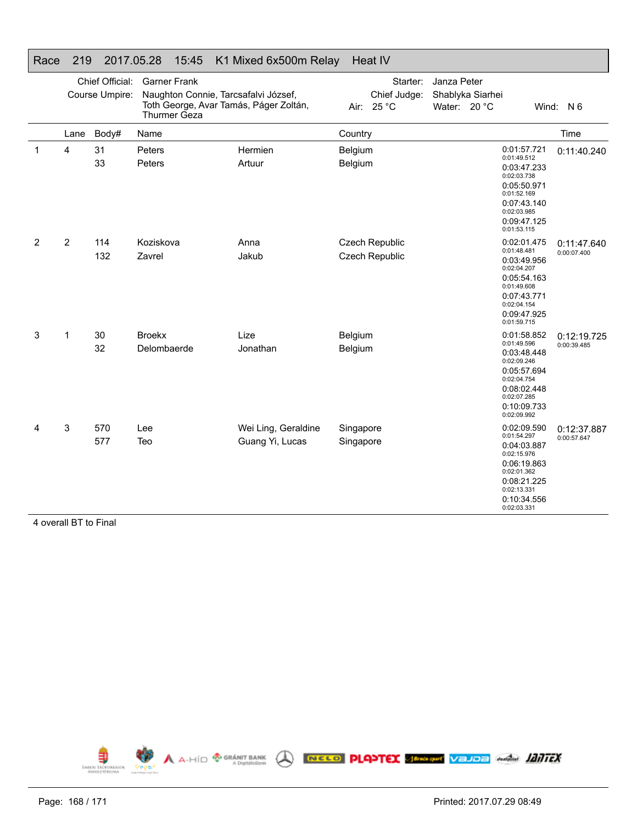| י זטיט |                |                                   | 2011.00.20                                                                                                                   | <b>10.40 INTIMIACU UAUUUIII INCIAY</b> |                        |                                         |                             |                  |                                                                                                                                                    |                            |
|--------|----------------|-----------------------------------|------------------------------------------------------------------------------------------------------------------------------|----------------------------------------|------------------------|-----------------------------------------|-----------------------------|------------------|----------------------------------------------------------------------------------------------------------------------------------------------------|----------------------------|
|        |                | Chief Official:<br>Course Umpire: | <b>Garner Frank</b><br>Naughton Connie, Tarcsafalvi József,<br>Toth George, Avar Tamás, Páger Zoltán,<br><b>Thurmer Geza</b> |                                        | Air:                   | Starter:<br>Chief Judge:<br>25 °C       | Janza Peter<br>Water: 20 °C | Shablyka Siarhei |                                                                                                                                                    | Wind: N 6                  |
|        | Lane           | Body#                             | Name                                                                                                                         |                                        | Country                |                                         |                             |                  |                                                                                                                                                    | Time                       |
| 1      | 4              | 31<br>33                          | Peters<br>Peters                                                                                                             | Hermien<br>Artuur                      | Belgium<br>Belgium     |                                         |                             |                  | 0:01:57.721<br>0:01:49.512<br>0:03:47.233<br>0:02:03.738<br>0:05:50.971<br>0:01:52.169<br>0:07:43.140<br>0:02:03.985<br>0:09:47.125<br>0:01:53.115 | 0:11:40.240                |
| 2      | $\overline{2}$ | 114<br>132                        | Koziskova<br>Zavrel                                                                                                          | Anna<br>Jakub                          |                        | Czech Republic<br><b>Czech Republic</b> |                             |                  | 0:02:01.475<br>0:01:48.481<br>0:03:49.956<br>0:02:04.207<br>0:05:54.163<br>0:01:49.608<br>0:07:43.771<br>0:02:04.154<br>0:09:47.925<br>0:01:59.715 | 0:11:47.640<br>0:00:07.400 |
| 3      | 1              | 30<br>32                          | <b>Broekx</b><br>Delombaerde                                                                                                 | Lize<br>Jonathan                       | Belgium<br>Belgium     |                                         |                             |                  | 0:01:58.852<br>0:01:49.596<br>0:03:48.448<br>0:02:09.246<br>0:05:57.694<br>0:02:04.754<br>0:08:02.448<br>0:02:07.285<br>0:10:09.733<br>0:02:09.992 | 0:12:19.725<br>0:00:39.485 |
| 4      | 3              | 570<br>577                        | Lee<br>Teo                                                                                                                   | Wei Ling, Geraldine<br>Guang Yi, Lucas | Singapore<br>Singapore |                                         |                             |                  | 0:02:09.590<br>0:01:54.297<br>0:04:03.887<br>0:02:15.976<br>0:06:19.863<br>0:02:01.362<br>0:08:21.225<br>0:02:13.331<br>0:10:34.556<br>0:02:03.331 | 0:12:37.887<br>0:00:57.647 |

#### Race 219 2017.05.28 15:45 K1 Mixed 6x500m Relay Heat IV

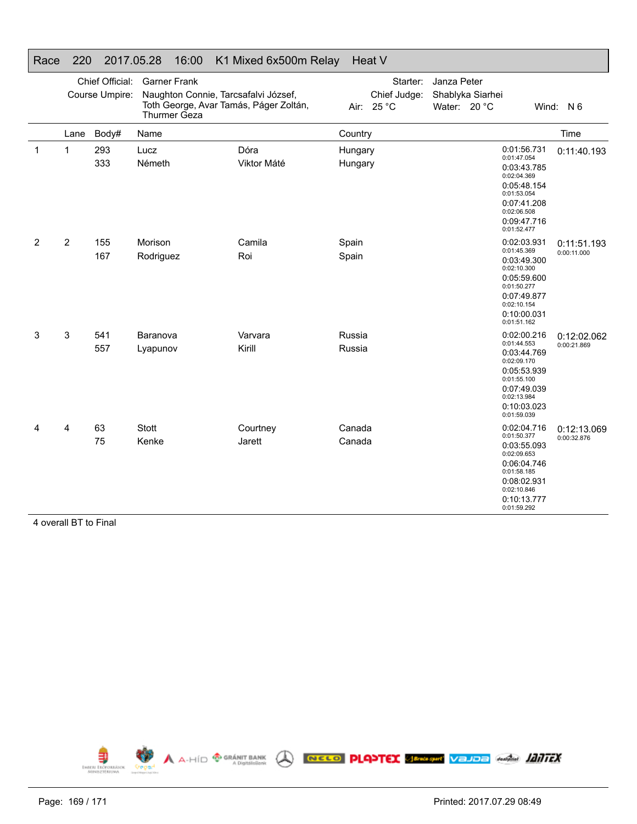| Race         | 220            |                                   | 2017.05.28            | 16:00                               | K1 Mixed 6x500m Relay                                                          |                    | Heat V                            |                             |                  |                                                                                                                                                    |                            |
|--------------|----------------|-----------------------------------|-----------------------|-------------------------------------|--------------------------------------------------------------------------------|--------------------|-----------------------------------|-----------------------------|------------------|----------------------------------------------------------------------------------------------------------------------------------------------------|----------------------------|
|              |                | Chief Official:<br>Course Umpire: |                       | <b>Garner Frank</b><br>Thurmer Geza | Naughton Connie, Tarcsafalvi József,<br>Toth George, Avar Tamás, Páger Zoltán, | Air:               | Starter:<br>Chief Judge:<br>25 °C | Janza Peter<br>Water: 20 °C | Shablyka Siarhei |                                                                                                                                                    | Wind: N 6                  |
|              | Lane           | Body#                             | Name                  |                                     |                                                                                | Country            |                                   |                             |                  |                                                                                                                                                    | Time                       |
| $\mathbf{1}$ | $\mathbf{1}$   | 293<br>333                        | Lucz<br>Németh        |                                     | Dóra<br>Viktor Máté                                                            | Hungary<br>Hungary |                                   |                             |                  | 0:01:56.731<br>0:01:47.054<br>0:03:43.785<br>0:02:04.369<br>0:05:48.154<br>0:01:53.054<br>0:07:41.208<br>0:02:06.508<br>0:09:47.716<br>0:01:52.477 | 0:11:40.193                |
| 2            | $\overline{2}$ | 155<br>167                        | Morison<br>Rodriguez  |                                     | Camila<br>Roi                                                                  | Spain<br>Spain     |                                   |                             |                  | 0:02:03.931<br>0:01:45.369<br>0:03:49.300<br>0:02:10.300<br>0:05:59.600<br>0:01:50.277<br>0:07:49.877<br>0:02:10.154<br>0:10:00.031<br>0:01:51.162 | 0:11:51.193<br>0:00:11.000 |
| 3            | 3              | 541<br>557                        | Baranova<br>Lyapunov  |                                     | Varvara<br>Kirill                                                              | Russia<br>Russia   |                                   |                             |                  | 0:02:00.216<br>0:01:44.553<br>0:03:44.769<br>0:02:09.170<br>0:05:53.939<br>0:01:55.100<br>0:07:49.039<br>0:02:13.984<br>0:10:03.023<br>0:01:59.039 | 0:12:02.062<br>0:00:21.869 |
| 4            | 4              | 63<br>75                          | <b>Stott</b><br>Kenke |                                     | Courtney<br>Jarett                                                             | Canada<br>Canada   |                                   |                             |                  | 0:02:04.716<br>0:01:50.377<br>0:03:55.093<br>0:02:09.653<br>0:06:04.746<br>0:01:58.185<br>0:08:02.931<br>0:02:10.846<br>0:10:13.777<br>0:01:59.292 | 0:12:13.069<br>0:00:32.876 |

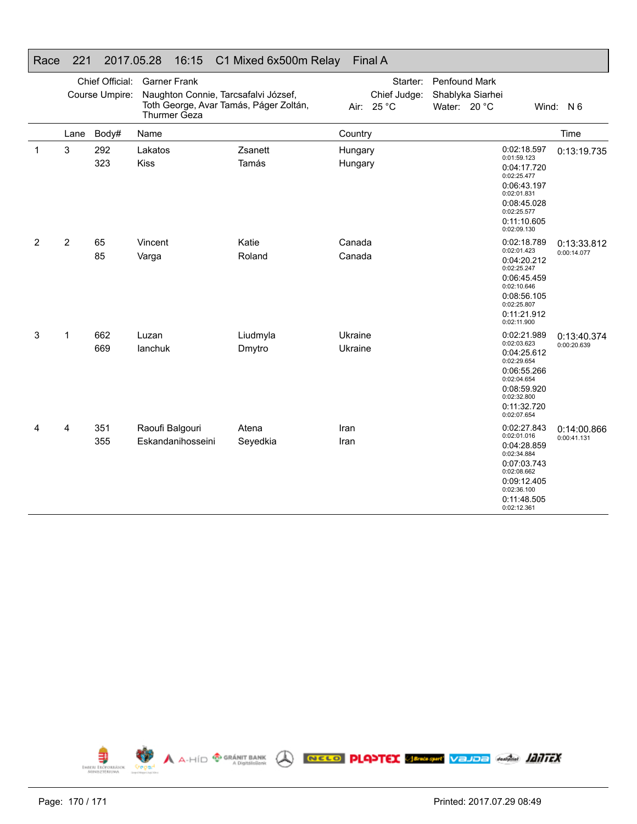|                | Chief Official: |                | <b>Garner Frank</b>                                                            |          |         | Starter:                   | <b>Penfound Mark</b>             |  |                            |                            |  |
|----------------|-----------------|----------------|--------------------------------------------------------------------------------|----------|---------|----------------------------|----------------------------------|--|----------------------------|----------------------------|--|
|                |                 | Course Umpire: | Naughton Connie, Tarcsafalvi József,<br>Toth George, Avar Tamás, Páger Zoltán, |          |         | Chief Judge:<br>Air: 25 °C | Shablyka Siarhei<br>Water: 20 °C |  |                            | Wind: N 6                  |  |
|                |                 |                | Thurmer Geza                                                                   |          |         |                            |                                  |  |                            |                            |  |
|                | Lane            | Body#          | Name                                                                           |          | Country |                            |                                  |  |                            | Time                       |  |
| $\mathbf{1}$   | 3               | 292            | Lakatos                                                                        | Zsanett  | Hungary |                            |                                  |  | 0:02:18.597<br>0:01:59.123 | 0:13:19.735                |  |
|                |                 | 323            | Kiss                                                                           | Tamás    | Hungary |                            |                                  |  | 0:04:17.720<br>0:02:25.477 |                            |  |
|                |                 |                |                                                                                |          |         |                            |                                  |  | 0:06:43.197<br>0:02:01.831 |                            |  |
|                |                 |                |                                                                                |          |         |                            |                                  |  | 0:08:45.028<br>0:02:25.577 |                            |  |
|                |                 |                |                                                                                |          |         |                            |                                  |  | 0:11:10.605<br>0:02:09.130 |                            |  |
| $\overline{2}$ | $\overline{2}$  | 65             | Vincent                                                                        | Katie    | Canada  |                            |                                  |  | 0:02:18.789<br>0:02:01.423 | 0:13:33.812<br>0:00:14.077 |  |
|                |                 | 85             | Varga                                                                          | Roland   | Canada  |                            |                                  |  | 0:04:20.212<br>0:02:25.247 |                            |  |
|                |                 |                |                                                                                |          |         |                            |                                  |  | 0:06:45.459<br>0:02:10.646 |                            |  |
|                |                 |                |                                                                                |          |         |                            |                                  |  | 0:08:56.105<br>0:02:25.807 |                            |  |
|                |                 |                |                                                                                |          |         |                            |                                  |  | 0:11:21.912<br>0:02:11.900 |                            |  |
| 3              | $\mathbf 1$     | 662            | Luzan                                                                          | Liudmyla | Ukraine |                            |                                  |  | 0:02:21.989<br>0:02:03.623 | 0:13:40.374                |  |
|                |                 | 669            | lanchuk                                                                        | Dmytro   | Ukraine |                            |                                  |  | 0:04:25.612<br>0:02:29.654 | 0:00:20.639                |  |
|                |                 |                |                                                                                |          |         |                            |                                  |  | 0:06:55.266<br>0:02:04.654 |                            |  |
|                |                 |                |                                                                                |          |         |                            |                                  |  | 0:08:59.920<br>0:02:32.800 |                            |  |
|                |                 |                |                                                                                |          |         |                            |                                  |  | 0:11:32.720<br>0:02:07.654 |                            |  |
| 4              | 4               | 351            | Raoufi Balgouri                                                                | Atena    | Iran    |                            |                                  |  | 0:02:27.843<br>0:02:01.016 | 0:14:00.866                |  |
|                |                 | 355            | Eskandanihosseini                                                              | Seyedkia | Iran    |                            |                                  |  | 0:04:28.859                | 0:00:41.131                |  |
|                |                 |                |                                                                                |          |         |                            |                                  |  | 0:02:34.884<br>0:07:03.743 |                            |  |
|                |                 |                |                                                                                |          |         |                            |                                  |  | 0:02:08.662<br>0:09:12.405 |                            |  |
|                |                 |                |                                                                                |          |         |                            |                                  |  | 0:02:36.100                |                            |  |
|                |                 |                |                                                                                |          |         |                            |                                  |  | 0:11:48.505<br>0:02:12.361 |                            |  |

#### Race 221 2017.05.28 16:15 C1 Mixed 6x500m Relay Final A